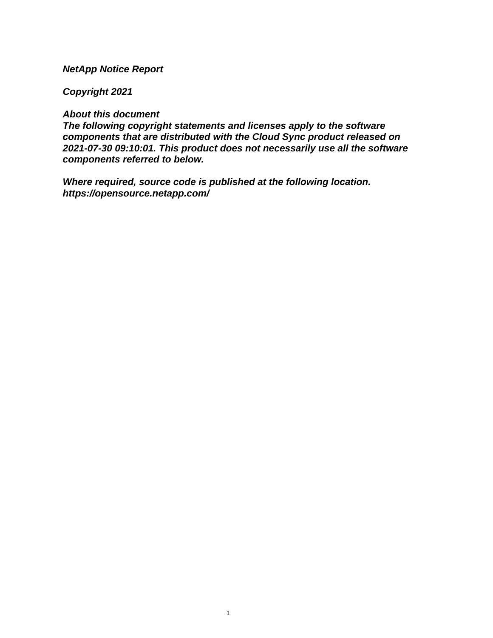## **NetApp Notice Report**

## **Copyright 2021**

## **About this document**

**The following copyright statements and licenses apply to the software components that are distributed with the Cloud Sync product released on 2021-07-30 09:10:01. This product does not necessarily use all the software components referred to below.**

**Where required, source code is published at the following location. <https://opensource.netapp.com/>**

1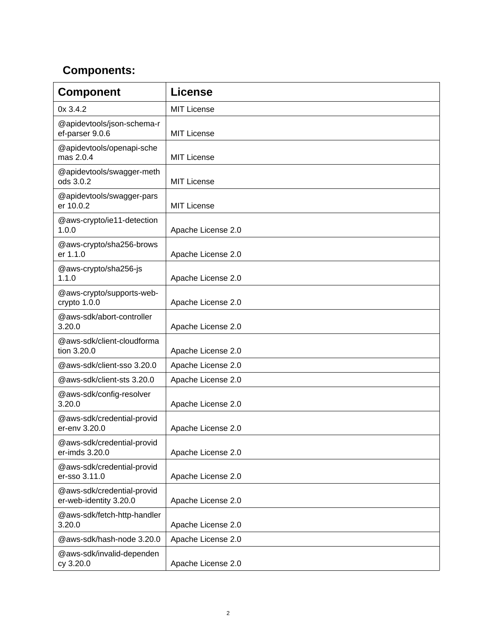## **Components:**

| <b>Component</b>                                     | <b>License</b>     |
|------------------------------------------------------|--------------------|
| 0x 3.4.2                                             | <b>MIT License</b> |
| @apidevtools/json-schema-r<br>ef-parser 9.0.6        | <b>MIT License</b> |
| @apidevtools/openapi-sche<br>mas 2.0.4               | <b>MIT License</b> |
| @apidevtools/swagger-meth<br>ods 3.0.2               | <b>MIT License</b> |
| @apidevtools/swagger-pars<br>er 10.0.2               | <b>MIT License</b> |
| @aws-crypto/ie11-detection<br>1.0.0                  | Apache License 2.0 |
| @aws-crypto/sha256-brows<br>er 1.1.0                 | Apache License 2.0 |
| @aws-crypto/sha256-js<br>1.1.0                       | Apache License 2.0 |
| @aws-crypto/supports-web-<br>crypto 1.0.0            | Apache License 2.0 |
| @aws-sdk/abort-controller<br>3.20.0                  | Apache License 2.0 |
| @aws-sdk/client-cloudforma<br>tion 3.20.0            | Apache License 2.0 |
| @aws-sdk/client-sso 3.20.0                           | Apache License 2.0 |
| @aws-sdk/client-sts 3.20.0                           | Apache License 2.0 |
| @aws-sdk/config-resolver<br>3.20.0                   | Apache License 2.0 |
| @aws-sdk/credential-provid<br>er-env 3.20.0          | Apache License 2.0 |
| @aws-sdk/credential-provid<br>er-imds 3.20.0         | Apache License 2.0 |
| @aws-sdk/credential-provid<br>er-sso 3.11.0          | Apache License 2.0 |
| @aws-sdk/credential-provid<br>er-web-identity 3.20.0 | Apache License 2.0 |
| @aws-sdk/fetch-http-handler<br>3.20.0                | Apache License 2.0 |
| @aws-sdk/hash-node 3.20.0                            | Apache License 2.0 |
| @aws-sdk/invalid-dependen<br>cy 3.20.0               | Apache License 2.0 |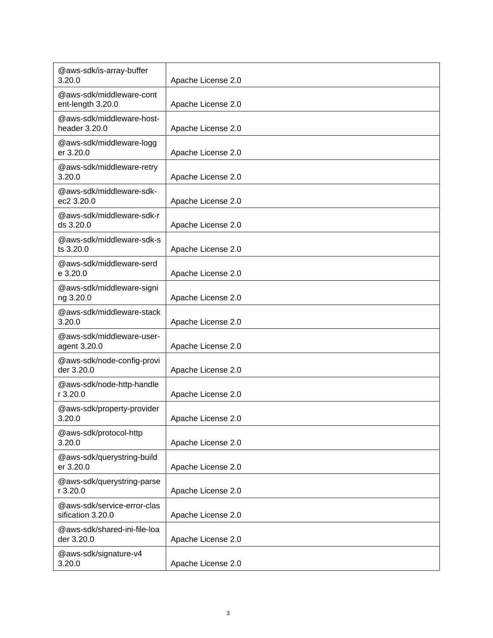| @aws-sdk/is-array-buffer<br>3.20.0               | Apache License 2.0 |
|--------------------------------------------------|--------------------|
| @aws-sdk/middleware-cont<br>ent-length 3.20.0    | Apache License 2.0 |
| @aws-sdk/middleware-host-<br>header 3.20.0       | Apache License 2.0 |
| @aws-sdk/middleware-logg<br>er 3.20.0            | Apache License 2.0 |
| @aws-sdk/middleware-retry<br>3.20.0              | Apache License 2.0 |
| @aws-sdk/middleware-sdk-<br>ec2 3.20.0           | Apache License 2.0 |
| @aws-sdk/middleware-sdk-r<br>ds 3.20.0           | Apache License 2.0 |
| @aws-sdk/middleware-sdk-s<br>ts 3.20.0           | Apache License 2.0 |
| @aws-sdk/middleware-serd<br>e 3.20.0             | Apache License 2.0 |
| @aws-sdk/middleware-signi<br>ng 3.20.0           | Apache License 2.0 |
| @aws-sdk/middleware-stack<br>3.20.0              | Apache License 2.0 |
| @aws-sdk/middleware-user-<br>agent 3.20.0        | Apache License 2.0 |
| @aws-sdk/node-config-provi<br>der 3.20.0         | Apache License 2.0 |
| @aws-sdk/node-http-handle<br>r 3.20.0            | Apache License 2.0 |
| @aws-sdk/property-provider<br>3.20.0             | Apache License 2.0 |
| @aws-sdk/protocol-http<br>3.20.0                 | Apache License 2.0 |
| @aws-sdk/querystring-build<br>er 3.20.0          | Apache License 2.0 |
| @aws-sdk/querystring-parse<br>r 3.20.0           | Apache License 2.0 |
| @aws-sdk/service-error-clas<br>sification 3.20.0 | Apache License 2.0 |
| @aws-sdk/shared-ini-file-loa<br>der 3.20.0       | Apache License 2.0 |
| @aws-sdk/signature-v4<br>3.20.0                  | Apache License 2.0 |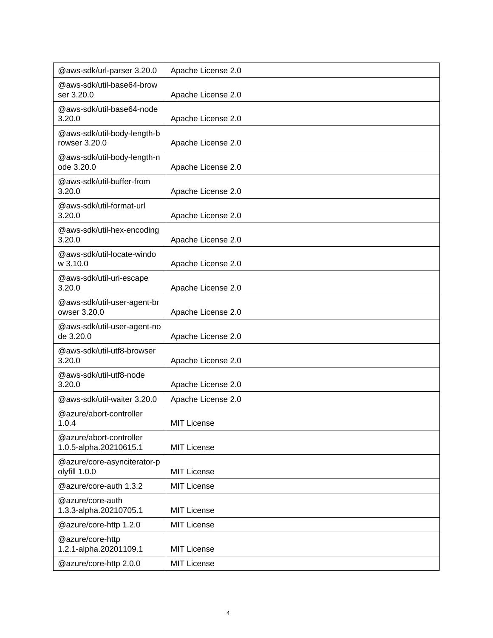| @aws-sdk/url-parser 3.20.0                        | Apache License 2.0 |
|---------------------------------------------------|--------------------|
| @aws-sdk/util-base64-brow<br>ser 3.20.0           | Apache License 2.0 |
| @aws-sdk/util-base64-node<br>3.20.0               | Apache License 2.0 |
| @aws-sdk/util-body-length-b<br>rowser 3.20.0      | Apache License 2.0 |
| @aws-sdk/util-body-length-n<br>ode 3.20.0         | Apache License 2.0 |
| @aws-sdk/util-buffer-from<br>3.20.0               | Apache License 2.0 |
| @aws-sdk/util-format-url<br>3.20.0                | Apache License 2.0 |
| @aws-sdk/util-hex-encoding<br>3.20.0              | Apache License 2.0 |
| @aws-sdk/util-locate-windo<br>w 3.10.0            | Apache License 2.0 |
| @aws-sdk/util-uri-escape<br>3.20.0                | Apache License 2.0 |
| @aws-sdk/util-user-agent-br<br>owser 3.20.0       | Apache License 2.0 |
| @aws-sdk/util-user-agent-no<br>de 3.20.0          | Apache License 2.0 |
| @aws-sdk/util-utf8-browser<br>3.20.0              | Apache License 2.0 |
| @aws-sdk/util-utf8-node<br>3.20.0                 | Apache License 2.0 |
| @aws-sdk/util-waiter 3.20.0                       | Apache License 2.0 |
| @azure/abort-controller<br>1.0.4                  | <b>MIT License</b> |
| @azure/abort-controller<br>1.0.5-alpha.20210615.1 | <b>MIT License</b> |
| @azure/core-asynciterator-p<br>olyfill 1.0.0      | <b>MIT License</b> |
| @azure/core-auth 1.3.2                            | <b>MIT License</b> |
| @azure/core-auth<br>1.3.3-alpha.20210705.1        | <b>MIT License</b> |
| @azure/core-http 1.2.0                            | <b>MIT License</b> |
| @azure/core-http<br>1.2.1-alpha.20201109.1        | <b>MIT License</b> |
| @azure/core-http 2.0.0                            | <b>MIT License</b> |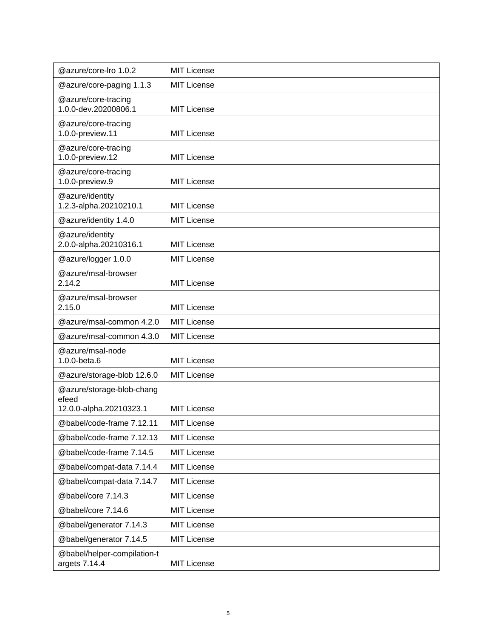| @azure/core-lro 1.0.2                        | <b>MIT License</b> |
|----------------------------------------------|--------------------|
| @azure/core-paging 1.1.3                     | <b>MIT License</b> |
| @azure/core-tracing<br>1.0.0-dev.20200806.1  | <b>MIT License</b> |
| @azure/core-tracing<br>1.0.0-preview.11      | <b>MIT License</b> |
| @azure/core-tracing<br>1.0.0-preview.12      | <b>MIT License</b> |
| @azure/core-tracing<br>1.0.0-preview.9       | <b>MIT License</b> |
| @azure/identity<br>1.2.3-alpha.20210210.1    | <b>MIT License</b> |
| @azure/identity 1.4.0                        | <b>MIT License</b> |
| @azure/identity<br>2.0.0-alpha.20210316.1    | <b>MIT License</b> |
| @azure/logger 1.0.0                          | <b>MIT License</b> |
| @azure/msal-browser<br>2.14.2                | <b>MIT License</b> |
| @azure/msal-browser<br>2.15.0                | <b>MIT License</b> |
| @azure/msal-common 4.2.0                     | <b>MIT License</b> |
| @azure/msal-common 4.3.0                     | <b>MIT License</b> |
| @azure/msal-node<br>1.0.0-beta.6             | <b>MIT License</b> |
| @azure/storage-blob 12.6.0                   | <b>MIT License</b> |
| @azure/storage-blob-chang<br>efeed           |                    |
| 12.0.0-alpha.20210323.1                      | <b>MIT License</b> |
| @babel/code-frame 7.12.11                    | <b>MIT License</b> |
| @babel/code-frame 7.12.13                    | <b>MIT License</b> |
| @babel/code-frame 7.14.5                     | <b>MIT License</b> |
| @babel/compat-data 7.14.4                    | <b>MIT License</b> |
| @babel/compat-data 7.14.7                    | <b>MIT License</b> |
| @babel/core 7.14.3                           | <b>MIT License</b> |
| @babel/core 7.14.6                           | <b>MIT License</b> |
| @babel/generator 7.14.3                      | <b>MIT License</b> |
| @babel/generator 7.14.5                      | <b>MIT License</b> |
| @babel/helper-compilation-t<br>argets 7.14.4 | <b>MIT License</b> |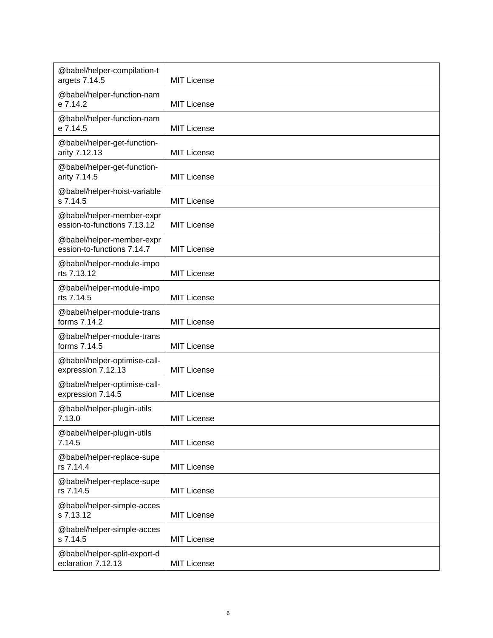| @babel/helper-compilation-t<br>argets 7.14.5             | <b>MIT License</b> |
|----------------------------------------------------------|--------------------|
| @babel/helper-function-nam<br>e 7.14.2                   | <b>MIT License</b> |
| @babel/helper-function-nam<br>e 7.14.5                   | <b>MIT License</b> |
| @babel/helper-get-function-<br>arity 7.12.13             | <b>MIT License</b> |
| @babel/helper-get-function-<br>arity 7.14.5              | <b>MIT License</b> |
| @babel/helper-hoist-variable<br>s 7.14.5                 | <b>MIT License</b> |
| @babel/helper-member-expr<br>ession-to-functions 7.13.12 | <b>MIT License</b> |
| @babel/helper-member-expr<br>ession-to-functions 7.14.7  | <b>MIT License</b> |
| @babel/helper-module-impo<br>rts 7.13.12                 | <b>MIT License</b> |
| @babel/helper-module-impo<br>rts 7.14.5                  | <b>MIT License</b> |
| @babel/helper-module-trans<br>forms 7.14.2               | <b>MIT License</b> |
| @babel/helper-module-trans<br>forms 7.14.5               | <b>MIT License</b> |
| @babel/helper-optimise-call-<br>expression 7.12.13       | <b>MIT License</b> |
| @babel/helper-optimise-call-<br>expression 7.14.5        | <b>MIT License</b> |
| @babel/helper-plugin-utils<br>7.13.0                     | <b>MIT License</b> |
| @babel/helper-plugin-utils<br>7.14.5                     | <b>MIT License</b> |
| @babel/helper-replace-supe<br>rs 7.14.4                  | <b>MIT License</b> |
| @babel/helper-replace-supe<br>rs 7.14.5                  | <b>MIT License</b> |
| @babel/helper-simple-acces<br>s 7.13.12                  | <b>MIT License</b> |
| @babel/helper-simple-acces<br>s 7.14.5                   | <b>MIT License</b> |
| @babel/helper-split-export-d<br>eclaration 7.12.13       | <b>MIT License</b> |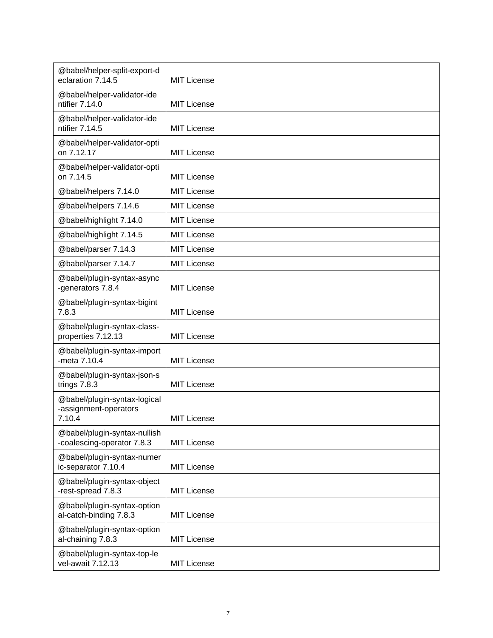| @babel/helper-split-export-d<br>eclaration 7.14.5               | <b>MIT License</b> |
|-----------------------------------------------------------------|--------------------|
| @babel/helper-validator-ide<br>ntifier 7.14.0                   | <b>MIT License</b> |
| @babel/helper-validator-ide<br>ntifier 7.14.5                   | <b>MIT License</b> |
| @babel/helper-validator-opti<br>on 7.12.17                      | <b>MIT License</b> |
| @babel/helper-validator-opti<br>on 7.14.5                       | <b>MIT License</b> |
| @babel/helpers 7.14.0                                           | <b>MIT License</b> |
| @babel/helpers 7.14.6                                           | <b>MIT License</b> |
| @babel/highlight 7.14.0                                         | <b>MIT License</b> |
| @babel/highlight 7.14.5                                         | <b>MIT License</b> |
| @babel/parser 7.14.3                                            | <b>MIT License</b> |
| @babel/parser 7.14.7                                            | MIT License        |
| @babel/plugin-syntax-async<br>-generators 7.8.4                 | <b>MIT License</b> |
| @babel/plugin-syntax-bigint<br>7.8.3                            | <b>MIT License</b> |
| @babel/plugin-syntax-class-<br>properties 7.12.13               | <b>MIT License</b> |
| @babel/plugin-syntax-import<br>-meta 7.10.4                     | <b>MIT License</b> |
| @babel/plugin-syntax-json-s<br>trings 7.8.3                     | <b>MIT License</b> |
| @babel/plugin-syntax-logical<br>-assignment-operators<br>7.10.4 | <b>MIT License</b> |
| @babel/plugin-syntax-nullish<br>-coalescing-operator 7.8.3      | <b>MIT License</b> |
| @babel/plugin-syntax-numer<br>ic-separator 7.10.4               | <b>MIT License</b> |
| @babel/plugin-syntax-object<br>-rest-spread 7.8.3               | <b>MIT License</b> |
| @babel/plugin-syntax-option<br>al-catch-binding 7.8.3           | <b>MIT License</b> |
| @babel/plugin-syntax-option<br>al-chaining 7.8.3                | <b>MIT License</b> |
| @babel/plugin-syntax-top-le<br>vel-await 7.12.13                | <b>MIT License</b> |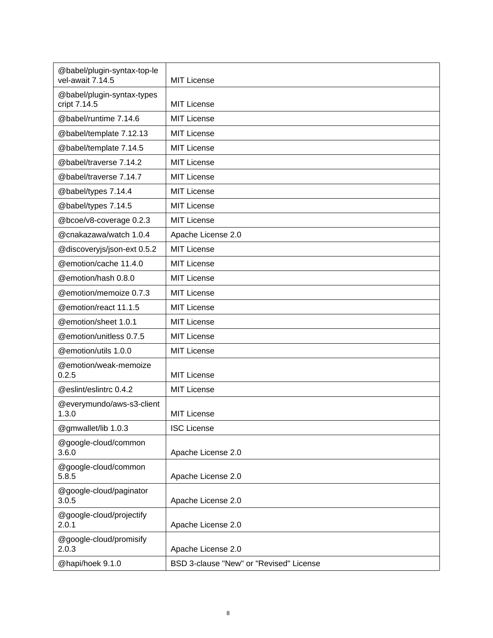| @babel/plugin-syntax-top-le<br>vel-await 7.14.5 | <b>MIT License</b>                      |
|-------------------------------------------------|-----------------------------------------|
| @babel/plugin-syntax-types<br>cript 7.14.5      | <b>MIT License</b>                      |
| @babel/runtime 7.14.6                           | <b>MIT License</b>                      |
| @babel/template 7.12.13                         | <b>MIT License</b>                      |
| @babel/template 7.14.5                          | <b>MIT License</b>                      |
| @babel/traverse 7.14.2                          | <b>MIT License</b>                      |
| @babel/traverse 7.14.7                          | <b>MIT License</b>                      |
| @babel/types 7.14.4                             | <b>MIT License</b>                      |
| @babel/types 7.14.5                             | <b>MIT License</b>                      |
| @bcoe/v8-coverage 0.2.3                         | <b>MIT License</b>                      |
| @cnakazawa/watch 1.0.4                          | Apache License 2.0                      |
| @discoveryjs/json-ext 0.5.2                     | <b>MIT License</b>                      |
| @emotion/cache 11.4.0                           | <b>MIT License</b>                      |
| @emotion/hash 0.8.0                             | <b>MIT License</b>                      |
| @emotion/memoize 0.7.3                          | <b>MIT License</b>                      |
| @emotion/react 11.1.5                           | <b>MIT License</b>                      |
| @emotion/sheet 1.0.1                            | <b>MIT License</b>                      |
| @emotion/unitless 0.7.5                         | <b>MIT License</b>                      |
| @emotion/utils 1.0.0                            | <b>MIT License</b>                      |
| @emotion/weak-memoize<br>0.2.5                  | <b>MIT License</b>                      |
| @eslint/eslintrc 0.4.2                          | <b>MIT License</b>                      |
| @everymundo/aws-s3-client<br>1.3.0              | <b>MIT License</b>                      |
| @gmwallet/lib 1.0.3                             | <b>ISC License</b>                      |
| @google-cloud/common<br>3.6.0                   | Apache License 2.0                      |
| @google-cloud/common<br>5.8.5                   | Apache License 2.0                      |
| @google-cloud/paginator<br>3.0.5                | Apache License 2.0                      |
| @google-cloud/projectify<br>2.0.1               | Apache License 2.0                      |
| @google-cloud/promisify<br>2.0.3                | Apache License 2.0                      |
| @hapi/hoek 9.1.0                                | BSD 3-clause "New" or "Revised" License |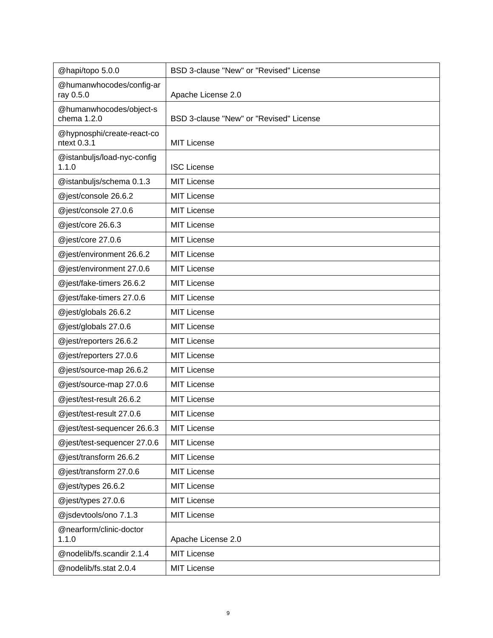| @hapi/topo 5.0.0                          | BSD 3-clause "New" or "Revised" License |
|-------------------------------------------|-----------------------------------------|
| @humanwhocodes/config-ar<br>ray 0.5.0     | Apache License 2.0                      |
| @humanwhocodes/object-s<br>chema 1.2.0    | BSD 3-clause "New" or "Revised" License |
| @hypnosphi/create-react-co<br>ntext 0.3.1 | <b>MIT License</b>                      |
| @istanbuljs/load-nyc-config<br>1.1.0      | <b>ISC License</b>                      |
| @istanbuljs/schema 0.1.3                  | <b>MIT License</b>                      |
| @jest/console 26.6.2                      | <b>MIT License</b>                      |
| @jest/console 27.0.6                      | <b>MIT License</b>                      |
| @jest/core 26.6.3                         | <b>MIT License</b>                      |
| @jest/core 27.0.6                         | <b>MIT License</b>                      |
| @jest/environment 26.6.2                  | <b>MIT License</b>                      |
| @jest/environment 27.0.6                  | <b>MIT License</b>                      |
| @jest/fake-timers 26.6.2                  | <b>MIT License</b>                      |
| @jest/fake-timers 27.0.6                  | <b>MIT License</b>                      |
| @jest/globals 26.6.2                      | <b>MIT License</b>                      |
| @jest/globals 27.0.6                      | <b>MIT License</b>                      |
| @jest/reporters 26.6.2                    | <b>MIT License</b>                      |
| @jest/reporters 27.0.6                    | <b>MIT License</b>                      |
| @jest/source-map 26.6.2                   | <b>MIT License</b>                      |
| @jest/source-map 27.0.6                   | <b>MIT License</b>                      |
| @jest/test-result 26.6.2                  | <b>MIT License</b>                      |
| @jest/test-result 27.0.6                  | <b>MIT License</b>                      |
| @jest/test-sequencer 26.6.3               | <b>MIT License</b>                      |
| @jest/test-sequencer 27.0.6               | <b>MIT License</b>                      |
| @jest/transform 26.6.2                    | <b>MIT License</b>                      |
| @jest/transform 27.0.6                    | <b>MIT License</b>                      |
| @jest/types 26.6.2                        | <b>MIT License</b>                      |
| @jest/types 27.0.6                        | <b>MIT License</b>                      |
| @jsdevtools/ono 7.1.3                     | <b>MIT License</b>                      |
| @nearform/clinic-doctor<br>1.1.0          | Apache License 2.0                      |
| @nodelib/fs.scandir 2.1.4                 | <b>MIT License</b>                      |
| @nodelib/fs.stat 2.0.4                    | <b>MIT License</b>                      |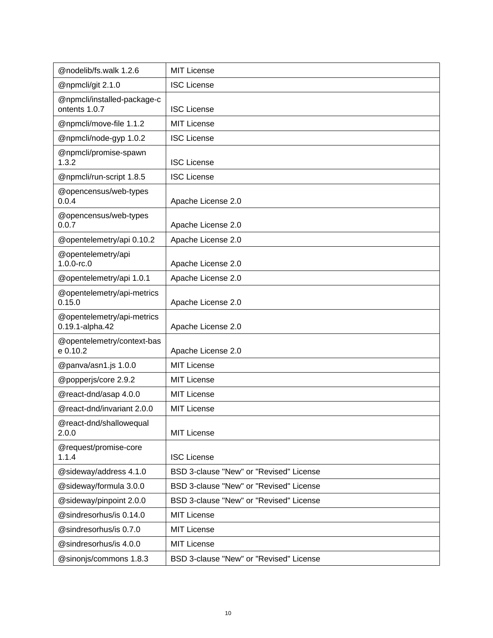| @nodelib/fs.walk 1.2.6                        | <b>MIT License</b>                      |
|-----------------------------------------------|-----------------------------------------|
| @npmcli/git 2.1.0                             | <b>ISC License</b>                      |
| @npmcli/installed-package-c<br>ontents 1.0.7  | <b>ISC License</b>                      |
| @npmcli/move-file 1.1.2                       | <b>MIT License</b>                      |
| @npmcli/node-gyp 1.0.2                        | <b>ISC License</b>                      |
| @npmcli/promise-spawn<br>1.3.2                | <b>ISC License</b>                      |
| @npmcli/run-script 1.8.5                      | <b>ISC License</b>                      |
| @opencensus/web-types<br>0.0.4                | Apache License 2.0                      |
| @opencensus/web-types<br>0.0.7                | Apache License 2.0                      |
| @opentelemetry/api 0.10.2                     | Apache License 2.0                      |
| @opentelemetry/api<br>$1.0.0$ -rc. $0$        | Apache License 2.0                      |
| @opentelemetry/api 1.0.1                      | Apache License 2.0                      |
| @opentelemetry/api-metrics<br>0.15.0          | Apache License 2.0                      |
| @opentelemetry/api-metrics<br>0.19.1-alpha.42 | Apache License 2.0                      |
| @opentelemetry/context-bas<br>e 0.10.2        | Apache License 2.0                      |
| @panva/asn1.js 1.0.0                          | <b>MIT License</b>                      |
| @popperjs/core 2.9.2                          | <b>MIT License</b>                      |
| @react-dnd/asap 4.0.0                         | <b>MIT License</b>                      |
| @react-dnd/invariant 2.0.0                    | <b>MIT License</b>                      |
| @react-dnd/shallowequal<br>2.0.0              | <b>MIT License</b>                      |
| @request/promise-core<br>1.1.4                | <b>ISC License</b>                      |
| @sideway/address 4.1.0                        | BSD 3-clause "New" or "Revised" License |
| @sideway/formula 3.0.0                        | BSD 3-clause "New" or "Revised" License |
| @sideway/pinpoint 2.0.0                       | BSD 3-clause "New" or "Revised" License |
| @sindresorhus/is 0.14.0                       | <b>MIT License</b>                      |
| @sindresorhus/is 0.7.0                        | <b>MIT License</b>                      |
| @sindresorhus/is 4.0.0                        | <b>MIT License</b>                      |
| @sinonjs/commons 1.8.3                        | BSD 3-clause "New" or "Revised" License |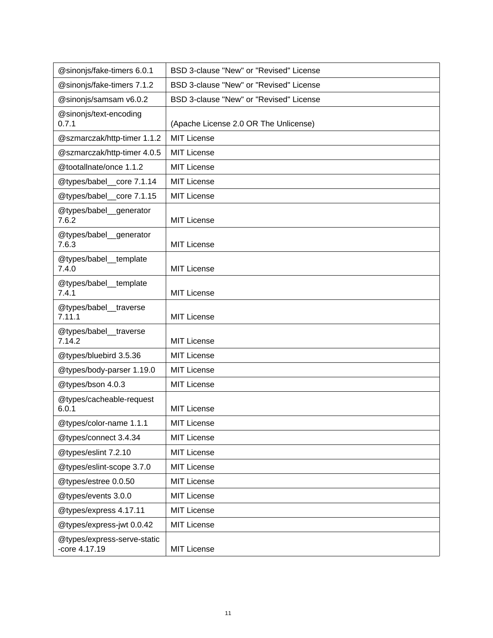| @sinonjs/fake-timers 6.0.1                   | BSD 3-clause "New" or "Revised" License |
|----------------------------------------------|-----------------------------------------|
| @sinonjs/fake-timers 7.1.2                   | BSD 3-clause "New" or "Revised" License |
| @sinonjs/samsam v6.0.2                       | BSD 3-clause "New" or "Revised" License |
| @sinonjs/text-encoding<br>0.7.1              | (Apache License 2.0 OR The Unlicense)   |
| @szmarczak/http-timer 1.1.2                  | <b>MIT License</b>                      |
| @szmarczak/http-timer 4.0.5                  | <b>MIT License</b>                      |
| @tootallnate/once 1.1.2                      | <b>MIT License</b>                      |
| @types/babel_core 7.1.14                     | <b>MIT License</b>                      |
| @types/babel_core 7.1.15                     | <b>MIT License</b>                      |
| @types/babel_generator<br>7.6.2              | <b>MIT License</b>                      |
| @types/babel_generator<br>7.6.3              | <b>MIT License</b>                      |
| @types/babel_template<br>7.4.0               | <b>MIT License</b>                      |
| @types/babel_template<br>7.4.1               | MIT License                             |
| @types/babel_traverse<br>7.11.1              | <b>MIT License</b>                      |
| @types/babel_traverse<br>7.14.2              | MIT License                             |
| @types/bluebird 3.5.36                       | <b>MIT License</b>                      |
| @types/body-parser 1.19.0                    | <b>MIT License</b>                      |
| @types/bson 4.0.3                            | <b>MIT License</b>                      |
| @types/cacheable-request<br>6.0.1            | MIT License                             |
| @types/color-name 1.1.1                      | <b>MIT License</b>                      |
| @types/connect 3.4.34                        | <b>MIT License</b>                      |
| @types/eslint 7.2.10                         | <b>MIT License</b>                      |
| @types/eslint-scope 3.7.0                    | MIT License                             |
| @types/estree 0.0.50                         | MIT License                             |
| @types/events 3.0.0                          | MIT License                             |
| @types/express 4.17.11                       | <b>MIT License</b>                      |
| @types/express-jwt 0.0.42                    | <b>MIT License</b>                      |
| @types/express-serve-static<br>-core 4.17.19 | <b>MIT License</b>                      |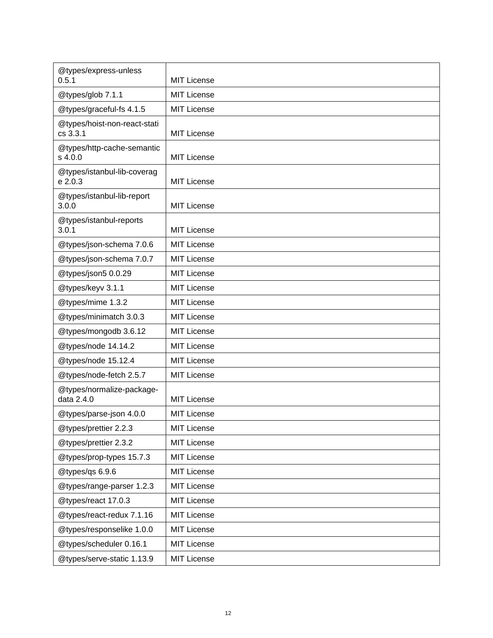| @types/express-unless<br>0.5.1           | <b>MIT License</b> |
|------------------------------------------|--------------------|
| @types/glob 7.1.1                        | <b>MIT License</b> |
| @types/graceful-fs 4.1.5                 | <b>MIT License</b> |
| @types/hoist-non-react-stati<br>cs 3.3.1 | <b>MIT License</b> |
| @types/http-cache-semantic<br>s 4.0.0    | <b>MIT License</b> |
| @types/istanbul-lib-coverag<br>e 2.0.3   | <b>MIT License</b> |
| @types/istanbul-lib-report<br>3.0.0      | <b>MIT License</b> |
| @types/istanbul-reports<br>3.0.1         | <b>MIT License</b> |
| @types/json-schema 7.0.6                 | <b>MIT License</b> |
| @types/json-schema 7.0.7                 | <b>MIT License</b> |
| @types/json5 0.0.29                      | <b>MIT License</b> |
| @types/keyv 3.1.1                        | <b>MIT License</b> |
| @types/mime 1.3.2                        | <b>MIT License</b> |
| @types/minimatch 3.0.3                   | <b>MIT License</b> |
| @types/mongodb 3.6.12                    | <b>MIT License</b> |
| @types/node 14.14.2                      | <b>MIT License</b> |
| @types/node 15.12.4                      | <b>MIT License</b> |
| @types/node-fetch 2.5.7                  | <b>MIT License</b> |
| @types/normalize-package-<br>data 2.4.0  | <b>MIT License</b> |
| @types/parse-json 4.0.0                  | <b>MIT License</b> |
| @types/prettier 2.2.3                    | MIT License        |
| @types/prettier 2.3.2                    | MIT License        |
| @types/prop-types 15.7.3                 | MIT License        |
| @types/qs 6.9.6                          | MIT License        |
| @types/range-parser 1.2.3                | <b>MIT License</b> |
| @types/react 17.0.3                      | MIT License        |
| @types/react-redux 7.1.16                | <b>MIT License</b> |
| @types/responselike 1.0.0                | MIT License        |
| @types/scheduler 0.16.1                  | <b>MIT License</b> |
| @types/serve-static 1.13.9               | MIT License        |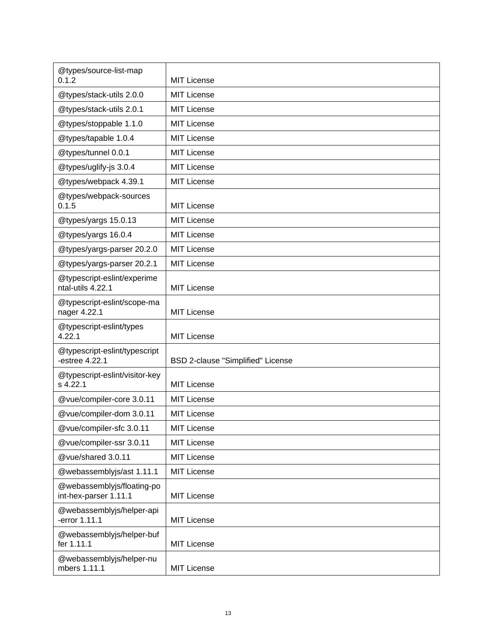| @types/source-list-map<br>0.1.2                     | <b>MIT License</b>                |
|-----------------------------------------------------|-----------------------------------|
| @types/stack-utils 2.0.0                            | <b>MIT License</b>                |
| @types/stack-utils 2.0.1                            | <b>MIT License</b>                |
| @types/stoppable 1.1.0                              | <b>MIT License</b>                |
| @types/tapable 1.0.4                                | <b>MIT License</b>                |
| @types/tunnel 0.0.1                                 | <b>MIT License</b>                |
| @types/uglify-js 3.0.4                              | <b>MIT License</b>                |
| @types/webpack 4.39.1                               | <b>MIT License</b>                |
| @types/webpack-sources<br>0.1.5                     | <b>MIT License</b>                |
| @types/yargs 15.0.13                                | <b>MIT License</b>                |
| @types/yargs 16.0.4                                 | <b>MIT License</b>                |
| @types/yargs-parser 20.2.0                          | <b>MIT License</b>                |
| @types/yargs-parser 20.2.1                          | MIT License                       |
| @typescript-eslint/experime<br>ntal-utils 4.22.1    | <b>MIT License</b>                |
| @typescript-eslint/scope-ma<br>nager 4.22.1         | <b>MIT License</b>                |
| @typescript-eslint/types<br>4.22.1                  | <b>MIT License</b>                |
| @typescript-eslint/typescript<br>-estree 4.22.1     | BSD 2-clause "Simplified" License |
| @typescript-eslint/visitor-key<br>s 4.22.1          | <b>MIT License</b>                |
| @vue/compiler-core 3.0.11                           | <b>MIT License</b>                |
| @vue/compiler-dom 3.0.11                            | <b>MIT License</b>                |
| @vue/compiler-sfc 3.0.11                            | <b>MIT License</b>                |
| @vue/compiler-ssr 3.0.11                            | <b>MIT License</b>                |
| @vue/shared 3.0.11                                  | <b>MIT License</b>                |
| @webassemblyjs/ast 1.11.1                           | <b>MIT License</b>                |
| @webassemblyjs/floating-po<br>int-hex-parser 1.11.1 | <b>MIT License</b>                |
| @webassemblyjs/helper-api<br>-error 1.11.1          | <b>MIT License</b>                |
| @webassemblyjs/helper-buf<br>fer 1.11.1             | <b>MIT License</b>                |
| @webassemblyjs/helper-nu<br>mbers 1.11.1            | <b>MIT License</b>                |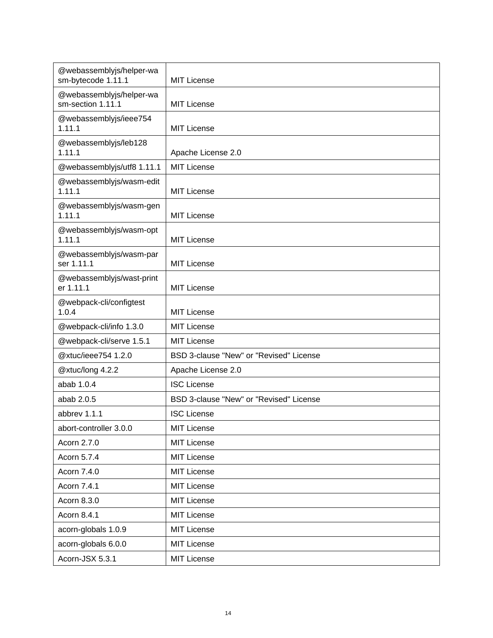| @webassemblyjs/helper-wa<br>sm-bytecode 1.11.1 | <b>MIT License</b>                      |
|------------------------------------------------|-----------------------------------------|
| @webassemblyjs/helper-wa<br>sm-section 1.11.1  | <b>MIT License</b>                      |
| @webassemblyjs/ieee754<br>1.11.1               | <b>MIT License</b>                      |
| @webassemblyjs/leb128<br>1.11.1                | Apache License 2.0                      |
| @webassemblyjs/utf8 1.11.1                     | <b>MIT License</b>                      |
| @webassemblyjs/wasm-edit<br>1.11.1             | <b>MIT License</b>                      |
| @webassemblyjs/wasm-gen<br>1.11.1              | <b>MIT License</b>                      |
| @webassemblyjs/wasm-opt<br>1.11.1              | <b>MIT License</b>                      |
| @webassemblyjs/wasm-par<br>ser 1.11.1          | <b>MIT License</b>                      |
| @webassemblyjs/wast-print<br>er 1.11.1         | <b>MIT License</b>                      |
| @webpack-cli/configtest<br>1.0.4               | <b>MIT License</b>                      |
| @webpack-cli/info 1.3.0                        | <b>MIT License</b>                      |
| @webpack-cli/serve 1.5.1                       | MIT License                             |
| @xtuc/ieee754 1.2.0                            | BSD 3-clause "New" or "Revised" License |
| @xtuc/long 4.2.2                               | Apache License 2.0                      |
| abab 1.0.4                                     | <b>ISC License</b>                      |
| abab 2.0.5                                     | BSD 3-clause "New" or "Revised" License |
| abbrev 1.1.1                                   | <b>ISC License</b>                      |
| abort-controller 3.0.0                         | <b>MIT License</b>                      |
| Acorn 2.7.0                                    | <b>MIT License</b>                      |
| Acorn 5.7.4                                    | <b>MIT License</b>                      |
| Acorn 7.4.0                                    | <b>MIT License</b>                      |
| Acorn 7.4.1                                    | <b>MIT License</b>                      |
| Acorn 8.3.0                                    | <b>MIT License</b>                      |
| Acorn 8.4.1                                    | <b>MIT License</b>                      |
| acorn-globals 1.0.9                            | <b>MIT License</b>                      |
| acorn-globals 6.0.0                            | <b>MIT License</b>                      |
| Acorn-JSX 5.3.1                                | <b>MIT License</b>                      |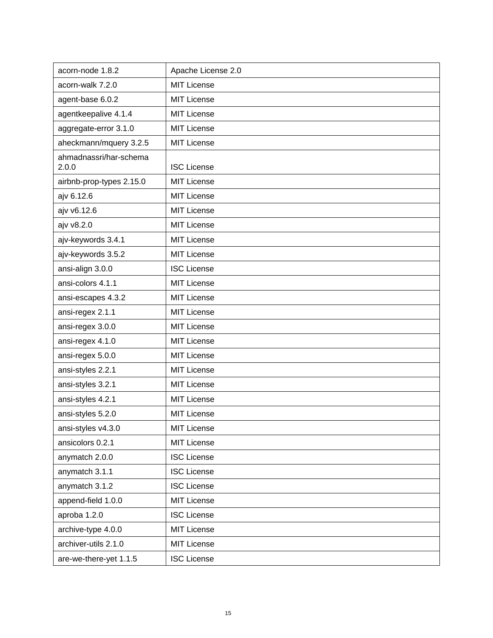| acorn-node 1.8.2                | Apache License 2.0 |
|---------------------------------|--------------------|
| acorn-walk 7.2.0                | <b>MIT License</b> |
| agent-base 6.0.2                | <b>MIT License</b> |
| agentkeepalive 4.1.4            | <b>MIT License</b> |
| aggregate-error 3.1.0           | <b>MIT License</b> |
| aheckmann/mquery 3.2.5          | <b>MIT License</b> |
| ahmadnassri/har-schema<br>2.0.0 | <b>ISC License</b> |
| airbnb-prop-types 2.15.0        | <b>MIT License</b> |
| ajv 6.12.6                      | <b>MIT License</b> |
| ajv v6.12.6                     | <b>MIT License</b> |
| ajv v8.2.0                      | <b>MIT License</b> |
| ajv-keywords 3.4.1              | <b>MIT License</b> |
| ajv-keywords 3.5.2              | <b>MIT License</b> |
| ansi-align 3.0.0                | <b>ISC License</b> |
| ansi-colors 4.1.1               | <b>MIT License</b> |
| ansi-escapes 4.3.2              | <b>MIT License</b> |
| ansi-regex 2.1.1                | <b>MIT License</b> |
| ansi-regex 3.0.0                | <b>MIT License</b> |
| ansi-regex 4.1.0                | <b>MIT License</b> |
| ansi-regex 5.0.0                | <b>MIT License</b> |
| ansi-styles 2.2.1               | <b>MIT License</b> |
| ansi-styles 3.2.1               | <b>MIT License</b> |
| ansi-styles 4.2.1               | <b>MIT License</b> |
| ansi-styles 5.2.0               | <b>MIT License</b> |
| ansi-styles v4.3.0              | <b>MIT License</b> |
| ansicolors 0.2.1                | <b>MIT License</b> |
| anymatch 2.0.0                  | <b>ISC License</b> |
| anymatch 3.1.1                  | <b>ISC License</b> |
| anymatch 3.1.2                  | <b>ISC License</b> |
| append-field 1.0.0              | <b>MIT License</b> |
| aproba 1.2.0                    | <b>ISC License</b> |
| archive-type 4.0.0              | <b>MIT License</b> |
| archiver-utils 2.1.0            | <b>MIT License</b> |
| are-we-there-yet 1.1.5          | <b>ISC License</b> |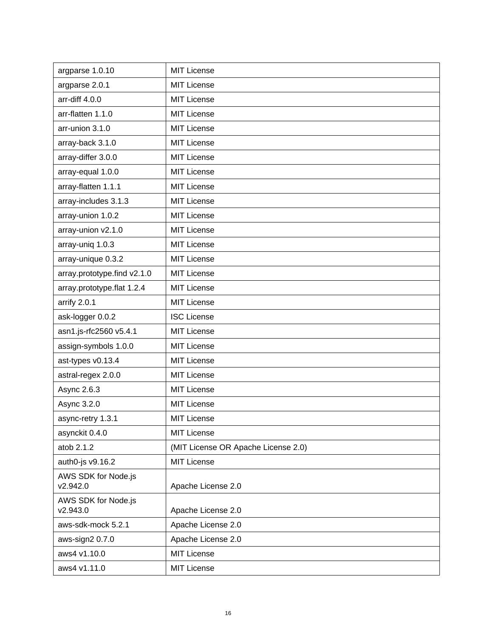| argparse 1.0.10                 | <b>MIT License</b>                  |
|---------------------------------|-------------------------------------|
| argparse 2.0.1                  | <b>MIT License</b>                  |
| arr-diff 4.0.0                  | <b>MIT License</b>                  |
| arr-flatten 1.1.0               | <b>MIT License</b>                  |
| arr-union 3.1.0                 | <b>MIT License</b>                  |
| array-back 3.1.0                | <b>MIT License</b>                  |
| array-differ 3.0.0              | <b>MIT License</b>                  |
| array-equal 1.0.0               | <b>MIT License</b>                  |
| array-flatten 1.1.1             | <b>MIT License</b>                  |
| array-includes 3.1.3            | <b>MIT License</b>                  |
| array-union 1.0.2               | <b>MIT License</b>                  |
| array-union v2.1.0              | <b>MIT License</b>                  |
| array-uniq 1.0.3                | <b>MIT License</b>                  |
| array-unique 0.3.2              | <b>MIT License</b>                  |
| array.prototype.find v2.1.0     | <b>MIT License</b>                  |
| array.prototype.flat 1.2.4      | <b>MIT License</b>                  |
| arrify 2.0.1                    | <b>MIT License</b>                  |
| ask-logger 0.0.2                | <b>ISC License</b>                  |
| asn1.js-rfc2560 v5.4.1          | <b>MIT License</b>                  |
| assign-symbols 1.0.0            | <b>MIT License</b>                  |
| ast-types v0.13.4               | <b>MIT License</b>                  |
| astral-regex 2.0.0              | <b>MIT License</b>                  |
| Async 2.6.3                     | <b>MIT License</b>                  |
| Async 3.2.0                     | <b>MIT License</b>                  |
| async-retry 1.3.1               | <b>MIT License</b>                  |
| asynckit 0.4.0                  | <b>MIT License</b>                  |
| atob 2.1.2                      | (MIT License OR Apache License 2.0) |
| auth0-js v9.16.2                | <b>MIT License</b>                  |
| AWS SDK for Node.js<br>v2.942.0 | Apache License 2.0                  |
| AWS SDK for Node.js<br>v2.943.0 | Apache License 2.0                  |
| aws-sdk-mock 5.2.1              | Apache License 2.0                  |
| aws-sign2 0.7.0                 | Apache License 2.0                  |
| aws4 v1.10.0                    | <b>MIT License</b>                  |
| aws4 v1.11.0                    | <b>MIT License</b>                  |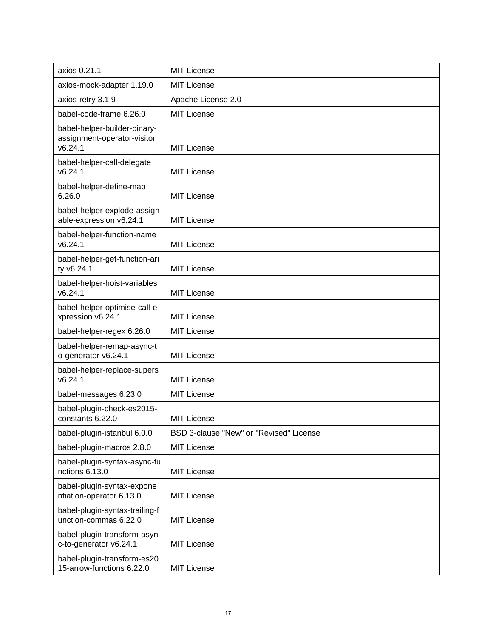| axios 0.21.1                                                           | MIT License                             |
|------------------------------------------------------------------------|-----------------------------------------|
| axios-mock-adapter 1.19.0                                              | <b>MIT License</b>                      |
| axios-retry 3.1.9                                                      | Apache License 2.0                      |
| babel-code-frame 6.26.0                                                | <b>MIT License</b>                      |
| babel-helper-builder-binary-<br>assignment-operator-visitor<br>v6.24.1 | <b>MIT License</b>                      |
| babel-helper-call-delegate<br>v6.24.1                                  | <b>MIT License</b>                      |
| babel-helper-define-map<br>6.26.0                                      | <b>MIT License</b>                      |
| babel-helper-explode-assign<br>able-expression v6.24.1                 | <b>MIT License</b>                      |
| babel-helper-function-name<br>v6.24.1                                  | <b>MIT License</b>                      |
| babel-helper-get-function-ari<br>ty v6.24.1                            | <b>MIT License</b>                      |
| babel-helper-hoist-variables<br>v6.24.1                                | <b>MIT License</b>                      |
| babel-helper-optimise-call-e<br>xpression v6.24.1                      | <b>MIT License</b>                      |
| babel-helper-regex 6.26.0                                              | <b>MIT License</b>                      |
| babel-helper-remap-async-t<br>o-generator v6.24.1                      | <b>MIT License</b>                      |
| babel-helper-replace-supers<br>v6.24.1                                 | <b>MIT License</b>                      |
| babel-messages 6.23.0                                                  | <b>MIT License</b>                      |
| babel-plugin-check-es2015-<br>constants 6.22.0                         | <b>MIT License</b>                      |
| babel-plugin-istanbul 6.0.0                                            | BSD 3-clause "New" or "Revised" License |
| babel-plugin-macros 2.8.0                                              | <b>MIT License</b>                      |
| babel-plugin-syntax-async-fu<br>nctions 6.13.0                         | <b>MIT License</b>                      |
| babel-plugin-syntax-expone<br>ntiation-operator 6.13.0                 | <b>MIT License</b>                      |
| babel-plugin-syntax-trailing-f<br>unction-commas 6.22.0                | <b>MIT License</b>                      |
| babel-plugin-transform-asyn<br>c-to-generator v6.24.1                  | <b>MIT License</b>                      |
| babel-plugin-transform-es20<br>15-arrow-functions 6.22.0               | <b>MIT License</b>                      |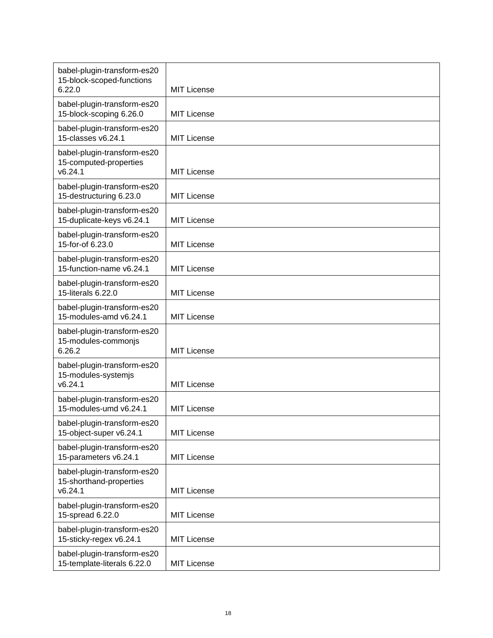| babel-plugin-transform-es20<br>15-block-scoped-functions          |                    |
|-------------------------------------------------------------------|--------------------|
| 6.22.0                                                            | <b>MIT License</b> |
| babel-plugin-transform-es20<br>15-block-scoping 6.26.0            | <b>MIT License</b> |
| babel-plugin-transform-es20<br>15-classes v6.24.1                 | <b>MIT License</b> |
| babel-plugin-transform-es20<br>15-computed-properties<br>v6.24.1  | <b>MIT License</b> |
| babel-plugin-transform-es20<br>15-destructuring 6.23.0            | <b>MIT License</b> |
| babel-plugin-transform-es20<br>15-duplicate-keys v6.24.1          | <b>MIT License</b> |
| babel-plugin-transform-es20<br>15-for-of 6.23.0                   | <b>MIT License</b> |
| babel-plugin-transform-es20<br>15-function-name v6.24.1           | <b>MIT License</b> |
| babel-plugin-transform-es20<br>15-literals 6.22.0                 | <b>MIT License</b> |
| babel-plugin-transform-es20<br>15-modules-amd v6.24.1             | <b>MIT License</b> |
| babel-plugin-transform-es20<br>15-modules-commonjs<br>6.26.2      | <b>MIT License</b> |
| babel-plugin-transform-es20<br>15-modules-systemjs<br>v6.24.1     | <b>MIT License</b> |
| babel-plugin-transform-es20<br>15-modules-umd v6.24.1             | <b>MIT License</b> |
| babel-plugin-transform-es20<br>15-object-super v6.24.1            | <b>MIT License</b> |
| babel-plugin-transform-es20<br>15-parameters v6.24.1              | <b>MIT License</b> |
| babel-plugin-transform-es20<br>15-shorthand-properties<br>v6.24.1 | <b>MIT License</b> |
| babel-plugin-transform-es20<br>15-spread 6.22.0                   | <b>MIT License</b> |
| babel-plugin-transform-es20<br>15-sticky-regex v6.24.1            | <b>MIT License</b> |
| babel-plugin-transform-es20<br>15-template-literals 6.22.0        | <b>MIT License</b> |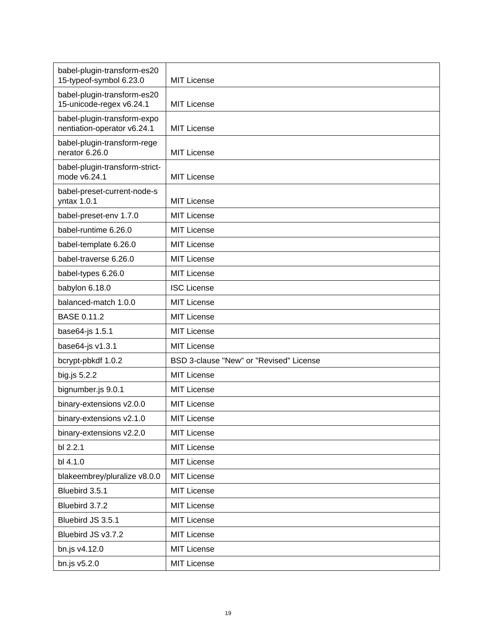| babel-plugin-transform-es20<br>15-typeof-symbol 6.23.0     | MIT License                             |
|------------------------------------------------------------|-----------------------------------------|
| babel-plugin-transform-es20<br>15-unicode-regex v6.24.1    | <b>MIT License</b>                      |
| babel-plugin-transform-expo<br>nentiation-operator v6.24.1 | <b>MIT License</b>                      |
| babel-plugin-transform-rege<br>nerator 6.26.0              | <b>MIT License</b>                      |
| babel-plugin-transform-strict-<br>mode v6.24.1             | <b>MIT License</b>                      |
| babel-preset-current-node-s<br>yntax 1.0.1                 | <b>MIT License</b>                      |
| babel-preset-env 1.7.0                                     | <b>MIT License</b>                      |
| babel-runtime 6.26.0                                       | <b>MIT License</b>                      |
| babel-template 6.26.0                                      | <b>MIT License</b>                      |
| babel-traverse 6.26.0                                      | <b>MIT License</b>                      |
| babel-types 6.26.0                                         | MIT License                             |
| babylon 6.18.0                                             | <b>ISC License</b>                      |
| balanced-match 1.0.0                                       | <b>MIT License</b>                      |
| <b>BASE 0.11.2</b>                                         | <b>MIT License</b>                      |
| base64-js 1.5.1                                            | <b>MIT License</b>                      |
| base64-js v1.3.1                                           | <b>MIT License</b>                      |
| bcrypt-pbkdf 1.0.2                                         | BSD 3-clause "New" or "Revised" License |
| big.js 5.2.2                                               | <b>MIT License</b>                      |
| bignumber.js 9.0.1                                         | MIT License                             |
| binary-extensions v2.0.0                                   | <b>MIT License</b>                      |
| binary-extensions v2.1.0                                   | <b>MIT License</b>                      |
| binary-extensions v2.2.0                                   | <b>MIT License</b>                      |
| bl 2.2.1                                                   | <b>MIT License</b>                      |
| bl 4.1.0                                                   | <b>MIT License</b>                      |
| blakeembrey/pluralize v8.0.0                               | <b>MIT License</b>                      |
| Bluebird 3.5.1                                             | <b>MIT License</b>                      |
| Bluebird 3.7.2                                             | <b>MIT License</b>                      |
| Bluebird JS 3.5.1                                          | <b>MIT License</b>                      |
| Bluebird JS v3.7.2                                         | <b>MIT License</b>                      |
| bn.js v4.12.0                                              | <b>MIT License</b>                      |
| bn.js v5.2.0                                               | <b>MIT License</b>                      |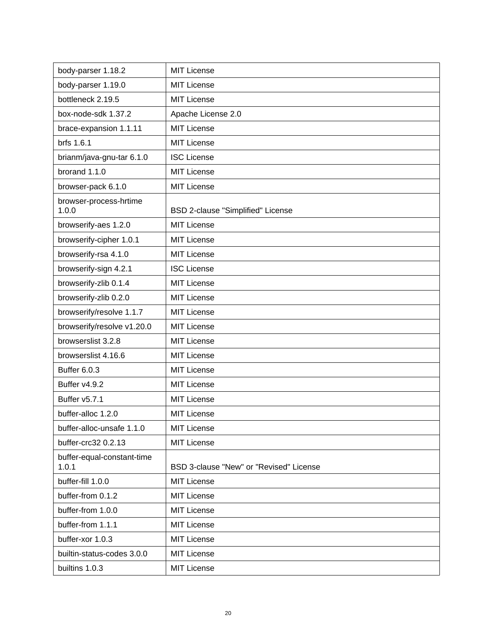| body-parser 1.18.2                  | <b>MIT License</b>                      |
|-------------------------------------|-----------------------------------------|
| body-parser 1.19.0                  | <b>MIT License</b>                      |
| bottleneck 2.19.5                   | <b>MIT License</b>                      |
| box-node-sdk 1.37.2                 | Apache License 2.0                      |
| brace-expansion 1.1.11              | MIT License                             |
| brfs 1.6.1                          | <b>MIT License</b>                      |
| brianm/java-gnu-tar 6.1.0           | <b>ISC License</b>                      |
| brorand 1.1.0                       | <b>MIT License</b>                      |
| browser-pack 6.1.0                  | <b>MIT License</b>                      |
| browser-process-hrtime<br>1.0.0     | BSD 2-clause "Simplified" License       |
| browserify-aes 1.2.0                | MIT License                             |
| browserify-cipher 1.0.1             | <b>MIT License</b>                      |
| browserify-rsa 4.1.0                | <b>MIT License</b>                      |
| browserify-sign 4.2.1               | <b>ISC License</b>                      |
| browserify-zlib 0.1.4               | <b>MIT License</b>                      |
| browserify-zlib 0.2.0               | <b>MIT License</b>                      |
| browserify/resolve 1.1.7            | <b>MIT License</b>                      |
| browserify/resolve v1.20.0          | <b>MIT License</b>                      |
| browserslist 3.2.8                  | <b>MIT License</b>                      |
| browserslist 4.16.6                 | <b>MIT License</b>                      |
| <b>Buffer 6.0.3</b>                 | <b>MIT License</b>                      |
| Buffer v4.9.2                       | <b>MIT License</b>                      |
| Buffer v5.7.1                       | <b>MIT License</b>                      |
| buffer-alloc 1.2.0                  | <b>MIT License</b>                      |
| buffer-alloc-unsafe 1.1.0           | <b>MIT License</b>                      |
| buffer-crc32 0.2.13                 | <b>MIT License</b>                      |
| buffer-equal-constant-time<br>1.0.1 | BSD 3-clause "New" or "Revised" License |
| buffer-fill 1.0.0                   | <b>MIT License</b>                      |
| buffer-from 0.1.2                   | <b>MIT License</b>                      |
| buffer-from 1.0.0                   | <b>MIT License</b>                      |
| buffer-from 1.1.1                   | <b>MIT License</b>                      |
| buffer-xor 1.0.3                    | <b>MIT License</b>                      |
| builtin-status-codes 3.0.0          | <b>MIT License</b>                      |
| builtins 1.0.3                      | <b>MIT License</b>                      |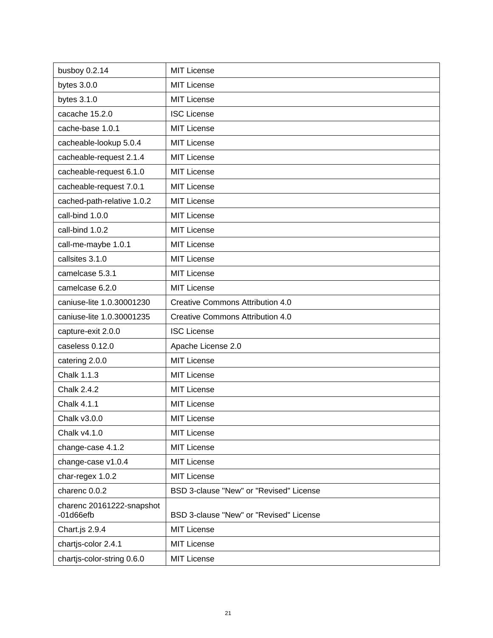| busboy 0.2.14                            | <b>MIT License</b>                      |
|------------------------------------------|-----------------------------------------|
| bytes $3.0.0$                            | <b>MIT License</b>                      |
| bytes 3.1.0                              | <b>MIT License</b>                      |
| cacache 15.2.0                           | <b>ISC License</b>                      |
| cache-base 1.0.1                         | <b>MIT License</b>                      |
| cacheable-lookup 5.0.4                   | <b>MIT License</b>                      |
| cacheable-request 2.1.4                  | <b>MIT License</b>                      |
| cacheable-request 6.1.0                  | <b>MIT License</b>                      |
| cacheable-request 7.0.1                  | <b>MIT License</b>                      |
| cached-path-relative 1.0.2               | <b>MIT License</b>                      |
| call-bind 1.0.0                          | <b>MIT License</b>                      |
| call-bind 1.0.2                          | <b>MIT License</b>                      |
| call-me-maybe 1.0.1                      | <b>MIT License</b>                      |
| callsites 3.1.0                          | <b>MIT License</b>                      |
| camelcase 5.3.1                          | <b>MIT License</b>                      |
| camelcase 6.2.0                          | <b>MIT License</b>                      |
| caniuse-lite 1.0.30001230                | <b>Creative Commons Attribution 4.0</b> |
| caniuse-lite 1.0.30001235                | <b>Creative Commons Attribution 4.0</b> |
| capture-exit 2.0.0                       | <b>ISC License</b>                      |
| caseless 0.12.0                          | Apache License 2.0                      |
| catering 2.0.0                           | <b>MIT License</b>                      |
| Chalk 1.1.3                              | <b>MIT License</b>                      |
| <b>Chalk 2.4.2</b>                       | <b>MIT License</b>                      |
| <b>Chalk 4.1.1</b>                       | <b>MIT License</b>                      |
| Chalk v3.0.0                             | <b>MIT License</b>                      |
| Chalk v4.1.0                             | <b>MIT License</b>                      |
| change-case 4.1.2                        | <b>MIT License</b>                      |
| change-case v1.0.4                       | <b>MIT License</b>                      |
| char-regex 1.0.2                         | <b>MIT License</b>                      |
| charenc 0.0.2                            | BSD 3-clause "New" or "Revised" License |
| charenc 20161222-snapshot<br>$-01d66efb$ | BSD 3-clause "New" or "Revised" License |
| Chart.js 2.9.4                           | <b>MIT License</b>                      |
| chartjs-color 2.4.1                      | <b>MIT License</b>                      |
| chartjs-color-string 0.6.0               | <b>MIT License</b>                      |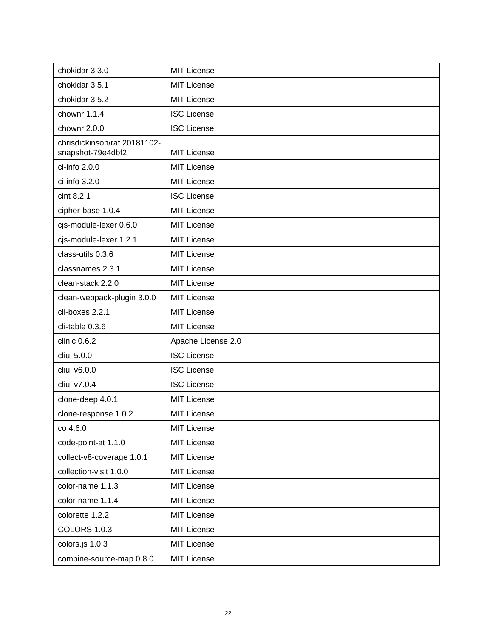| chokidar 3.3.0                                    | <b>MIT License</b> |
|---------------------------------------------------|--------------------|
| chokidar 3.5.1                                    | <b>MIT License</b> |
| chokidar 3.5.2                                    | <b>MIT License</b> |
| chownr 1.1.4                                      | <b>ISC License</b> |
| chownr 2.0.0                                      | <b>ISC License</b> |
| chrisdickinson/raf 20181102-<br>snapshot-79e4dbf2 | <b>MIT License</b> |
| ci-info 2.0.0                                     | <b>MIT License</b> |
| ci-info 3.2.0                                     | <b>MIT License</b> |
| cint 8.2.1                                        | <b>ISC License</b> |
| cipher-base 1.0.4                                 | <b>MIT License</b> |
| cjs-module-lexer 0.6.0                            | <b>MIT License</b> |
| cjs-module-lexer 1.2.1                            | <b>MIT License</b> |
| class-utils 0.3.6                                 | <b>MIT License</b> |
| classnames 2.3.1                                  | <b>MIT License</b> |
| clean-stack 2.2.0                                 | <b>MIT License</b> |
| clean-webpack-plugin 3.0.0                        | <b>MIT License</b> |
| cli-boxes 2.2.1                                   | <b>MIT License</b> |
| cli-table 0.3.6                                   | <b>MIT License</b> |
| clinic 0.6.2                                      | Apache License 2.0 |
| cliui 5.0.0                                       | <b>ISC License</b> |
| cliui v6.0.0                                      | <b>ISC License</b> |
| cliui v7.0.4                                      | <b>ISC License</b> |
| clone-deep 4.0.1                                  | <b>MIT License</b> |
| clone-response 1.0.2                              | <b>MIT License</b> |
| co 4.6.0                                          | <b>MIT License</b> |
| code-point-at 1.1.0                               | <b>MIT License</b> |
| collect-v8-coverage 1.0.1                         | <b>MIT License</b> |
| collection-visit 1.0.0                            | <b>MIT License</b> |
| color-name 1.1.3                                  | <b>MIT License</b> |
| color-name 1.1.4                                  | <b>MIT License</b> |
| colorette 1.2.2                                   | <b>MIT License</b> |
| <b>COLORS 1.0.3</b>                               | <b>MIT License</b> |
| colors.js 1.0.3                                   | <b>MIT License</b> |
| combine-source-map 0.8.0                          | <b>MIT License</b> |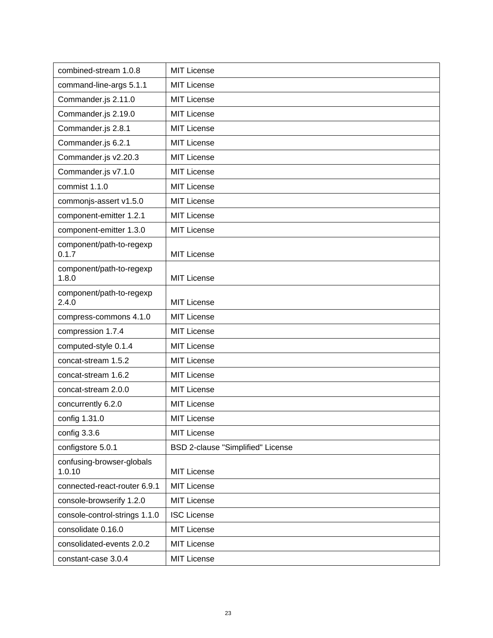| combined-stream 1.0.8               | <b>MIT License</b>                |
|-------------------------------------|-----------------------------------|
| command-line-args 5.1.1             | <b>MIT License</b>                |
| Commander.js 2.11.0                 | MIT License                       |
| Commander.js 2.19.0                 | <b>MIT License</b>                |
| Commander.js 2.8.1                  | MIT License                       |
| Commander.js 6.2.1                  | <b>MIT License</b>                |
| Commander.js v2.20.3                | MIT License                       |
| Commander.js v7.1.0                 | <b>MIT License</b>                |
| commist 1.1.0                       | MIT License                       |
| commonjs-assert v1.5.0              | <b>MIT License</b>                |
| component-emitter 1.2.1             | <b>MIT License</b>                |
| component-emitter 1.3.0             | MIT License                       |
| component/path-to-regexp<br>0.1.7   | MIT License                       |
| component/path-to-regexp            |                                   |
| 1.8.0                               | MIT License                       |
| component/path-to-regexp<br>2.4.0   | <b>MIT License</b>                |
| compress-commons 4.1.0              | <b>MIT License</b>                |
| compression 1.7.4                   | <b>MIT License</b>                |
| computed-style 0.1.4                | MIT License                       |
| concat-stream 1.5.2                 | MIT License                       |
| concat-stream 1.6.2                 | <b>MIT License</b>                |
| concat-stream 2.0.0                 | <b>MIT License</b>                |
| concurrently 6.2.0                  | <b>MIT License</b>                |
| config 1.31.0                       | <b>MIT License</b>                |
| config 3.3.6                        | <b>MIT License</b>                |
| configstore 5.0.1                   | BSD 2-clause "Simplified" License |
| confusing-browser-globals<br>1.0.10 | <b>MIT License</b>                |
| connected-react-router 6.9.1        | <b>MIT License</b>                |
| console-browserify 1.2.0            | <b>MIT License</b>                |
| console-control-strings 1.1.0       | <b>ISC License</b>                |
| consolidate 0.16.0                  | <b>MIT License</b>                |
| consolidated-events 2.0.2           | <b>MIT License</b>                |
| constant-case 3.0.4                 | MIT License                       |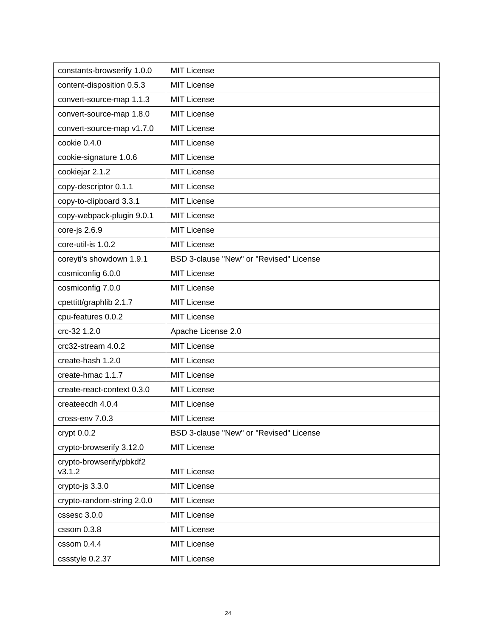| constants-browserify 1.0.0         | <b>MIT License</b>                      |
|------------------------------------|-----------------------------------------|
| content-disposition 0.5.3          | <b>MIT License</b>                      |
| convert-source-map 1.1.3           | MIT License                             |
| convert-source-map 1.8.0           | <b>MIT License</b>                      |
| convert-source-map v1.7.0          | <b>MIT License</b>                      |
| cookie 0.4.0                       | <b>MIT License</b>                      |
| cookie-signature 1.0.6             | <b>MIT License</b>                      |
| cookiejar 2.1.2                    | <b>MIT License</b>                      |
| copy-descriptor 0.1.1              | <b>MIT License</b>                      |
| copy-to-clipboard 3.3.1            | <b>MIT License</b>                      |
| copy-webpack-plugin 9.0.1          | <b>MIT License</b>                      |
| core-js 2.6.9                      | <b>MIT License</b>                      |
| core-util-is 1.0.2                 | <b>MIT License</b>                      |
| coreyti's showdown 1.9.1           | BSD 3-clause "New" or "Revised" License |
| cosmiconfig 6.0.0                  | <b>MIT License</b>                      |
| cosmiconfig 7.0.0                  | <b>MIT License</b>                      |
| cpettitt/graphlib 2.1.7            | <b>MIT License</b>                      |
| cpu-features 0.0.2                 | <b>MIT License</b>                      |
| crc-32 1.2.0                       | Apache License 2.0                      |
| crc32-stream 4.0.2                 | <b>MIT License</b>                      |
| create-hash 1.2.0                  | <b>MIT License</b>                      |
| create-hmac 1.1.7                  | <b>MIT License</b>                      |
| create-react-context 0.3.0         | <b>MIT License</b>                      |
| createecdh 4.0.4                   | <b>MIT License</b>                      |
| cross-env 7.0.3                    | <b>MIT License</b>                      |
| $cr$ ypt $0.0.2$                   | BSD 3-clause "New" or "Revised" License |
| crypto-browserify 3.12.0           | <b>MIT License</b>                      |
| crypto-browserify/pbkdf2<br>v3.1.2 | <b>MIT License</b>                      |
| crypto-js 3.3.0                    | <b>MIT License</b>                      |
| crypto-random-string 2.0.0         | <b>MIT License</b>                      |
| cssesc 3.0.0                       | <b>MIT License</b>                      |
| cssom 0.3.8                        | <b>MIT License</b>                      |
| cssom 0.4.4                        | <b>MIT License</b>                      |
| cssstyle 0.2.37                    | <b>MIT License</b>                      |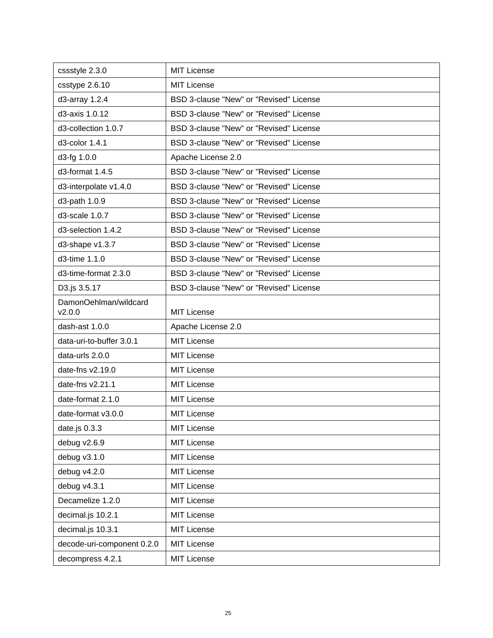| cssstyle 2.3.0                  | <b>MIT License</b>                      |
|---------------------------------|-----------------------------------------|
| csstype 2.6.10                  | <b>MIT License</b>                      |
| d3-array 1.2.4                  | BSD 3-clause "New" or "Revised" License |
| d3-axis 1.0.12                  | BSD 3-clause "New" or "Revised" License |
| d3-collection 1.0.7             | BSD 3-clause "New" or "Revised" License |
| d3-color 1.4.1                  | BSD 3-clause "New" or "Revised" License |
| d3-fg 1.0.0                     | Apache License 2.0                      |
| d3-format 1.4.5                 | BSD 3-clause "New" or "Revised" License |
| d3-interpolate v1.4.0           | BSD 3-clause "New" or "Revised" License |
| d3-path 1.0.9                   | BSD 3-clause "New" or "Revised" License |
| d3-scale 1.0.7                  | BSD 3-clause "New" or "Revised" License |
| d3-selection 1.4.2              | BSD 3-clause "New" or "Revised" License |
| d3-shape v1.3.7                 | BSD 3-clause "New" or "Revised" License |
| d3-time 1.1.0                   | BSD 3-clause "New" or "Revised" License |
| d3-time-format 2.3.0            | BSD 3-clause "New" or "Revised" License |
| D3.js 3.5.17                    | BSD 3-clause "New" or "Revised" License |
| DamonOehlman/wildcard<br>V2.0.0 | <b>MIT License</b>                      |
| dash-ast 1.0.0                  | Apache License 2.0                      |
| data-uri-to-buffer 3.0.1        | <b>MIT License</b>                      |
| data-urls 2.0.0                 | <b>MIT License</b>                      |
| date-fns v2.19.0                | <b>MIT License</b>                      |
| date-fns v2.21.1                | <b>MIT License</b>                      |
| date-format 2.1.0               | <b>MIT License</b>                      |
| date-format v3.0.0              | <b>MIT License</b>                      |
| date.js $0.3.3$                 | <b>MIT License</b>                      |
| debug v2.6.9                    | <b>MIT License</b>                      |
| debug v3.1.0                    | <b>MIT License</b>                      |
| debug v4.2.0                    | <b>MIT License</b>                      |
| debug v4.3.1                    | <b>MIT License</b>                      |
| Decamelize 1.2.0                | <b>MIT License</b>                      |
| decimal.js 10.2.1               | <b>MIT License</b>                      |
| decimal.js 10.3.1               | <b>MIT License</b>                      |
| decode-uri-component 0.2.0      | <b>MIT License</b>                      |
| decompress 4.2.1                | MIT License                             |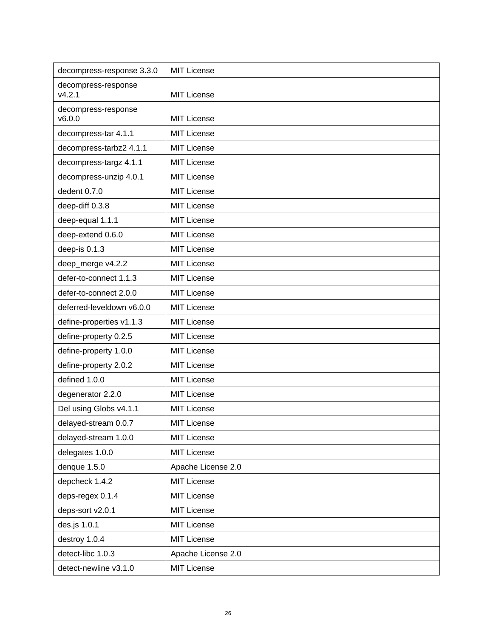| decompress-response 3.3.0     | <b>MIT License</b> |
|-------------------------------|--------------------|
| decompress-response<br>v4.2.1 | <b>MIT License</b> |
| decompress-response<br>v6.0.0 | <b>MIT License</b> |
| decompress-tar 4.1.1          | <b>MIT License</b> |
| decompress-tarbz2 4.1.1       | <b>MIT License</b> |
| decompress-targz 4.1.1        | <b>MIT License</b> |
| decompress-unzip 4.0.1        | <b>MIT License</b> |
| dedent 0.7.0                  | <b>MIT License</b> |
| deep-diff 0.3.8               | <b>MIT License</b> |
| deep-equal 1.1.1              | <b>MIT License</b> |
| deep-extend 0.6.0             | <b>MIT License</b> |
| deep-is 0.1.3                 | <b>MIT License</b> |
| deep_merge v4.2.2             | <b>MIT License</b> |
| defer-to-connect 1.1.3        | <b>MIT License</b> |
| defer-to-connect 2.0.0        | <b>MIT License</b> |
| deferred-leveldown v6.0.0     | <b>MIT License</b> |
| define-properties v1.1.3      | <b>MIT License</b> |
| define-property 0.2.5         | <b>MIT License</b> |
| define-property 1.0.0         | <b>MIT License</b> |
| define-property 2.0.2         | <b>MIT License</b> |
| defined 1.0.0                 | <b>MIT License</b> |
| degenerator 2.2.0             | <b>MIT License</b> |
| Del using Globs v4.1.1        | <b>MIT License</b> |
| delayed-stream 0.0.7          | <b>MIT License</b> |
| delayed-stream 1.0.0          | <b>MIT License</b> |
| delegates 1.0.0               | <b>MIT License</b> |
| denque 1.5.0                  | Apache License 2.0 |
| depcheck 1.4.2                | <b>MIT License</b> |
| deps-regex 0.1.4              | <b>MIT License</b> |
| deps-sort v2.0.1              | <b>MIT License</b> |
| des.js 1.0.1                  | <b>MIT License</b> |
| destroy 1.0.4                 | <b>MIT License</b> |
| detect-libc 1.0.3             | Apache License 2.0 |
| detect-newline v3.1.0         | <b>MIT License</b> |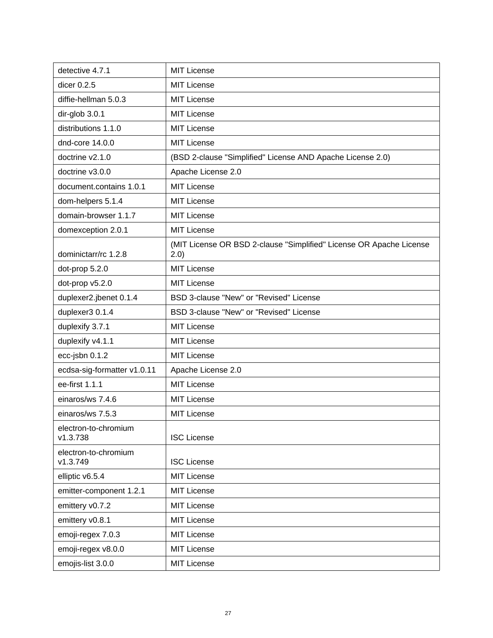| detective 4.7.1                  | <b>MIT License</b>                                                           |
|----------------------------------|------------------------------------------------------------------------------|
| dicer $0.2.5$                    | <b>MIT License</b>                                                           |
| diffie-hellman 5.0.3             | <b>MIT License</b>                                                           |
| dir-glob 3.0.1                   | <b>MIT License</b>                                                           |
| distributions 1.1.0              | <b>MIT License</b>                                                           |
| dnd-core 14.0.0                  | <b>MIT License</b>                                                           |
| doctrine v2.1.0                  | (BSD 2-clause "Simplified" License AND Apache License 2.0)                   |
| doctrine v3.0.0                  | Apache License 2.0                                                           |
| document.contains 1.0.1          | <b>MIT License</b>                                                           |
| dom-helpers 5.1.4                | <b>MIT License</b>                                                           |
| domain-browser 1.1.7             | <b>MIT License</b>                                                           |
| domexception 2.0.1               | <b>MIT License</b>                                                           |
| dominictarr/rc 1.2.8             | (MIT License OR BSD 2-clause "Simplified" License OR Apache License<br>(2.0) |
| dot-prop 5.2.0                   | <b>MIT License</b>                                                           |
| dot-prop v5.2.0                  | <b>MIT License</b>                                                           |
| duplexer2.jbenet 0.1.4           | BSD 3-clause "New" or "Revised" License                                      |
| duplexer3 0.1.4                  | BSD 3-clause "New" or "Revised" License                                      |
| duplexify 3.7.1                  | <b>MIT License</b>                                                           |
| duplexify v4.1.1                 | <b>MIT License</b>                                                           |
| ecc-jsbn 0.1.2                   | <b>MIT License</b>                                                           |
| ecdsa-sig-formatter v1.0.11      | Apache License 2.0                                                           |
| ee-first 1.1.1                   | <b>MIT License</b>                                                           |
| einaros/ws 7.4.6                 | <b>MIT License</b>                                                           |
| einaros/ws 7.5.3                 | <b>MIT License</b>                                                           |
| electron-to-chromium<br>v1.3.738 | <b>ISC License</b>                                                           |
| electron-to-chromium<br>v1.3.749 | <b>ISC License</b>                                                           |
| elliptic v6.5.4                  | <b>MIT License</b>                                                           |
| emitter-component 1.2.1          | <b>MIT License</b>                                                           |
| emittery v0.7.2                  | <b>MIT License</b>                                                           |
| emittery v0.8.1                  | <b>MIT License</b>                                                           |
| emoji-regex 7.0.3                | <b>MIT License</b>                                                           |
| emoji-regex v8.0.0               | <b>MIT License</b>                                                           |
| emojis-list 3.0.0                | <b>MIT License</b>                                                           |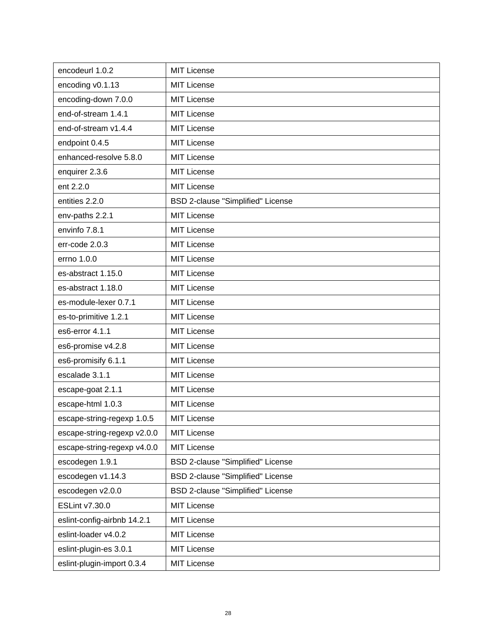| encodeurl 1.0.2             | MIT License                       |
|-----------------------------|-----------------------------------|
| encoding v0.1.13            | <b>MIT License</b>                |
| encoding-down 7.0.0         | <b>MIT License</b>                |
| end-of-stream 1.4.1         | <b>MIT License</b>                |
| end-of-stream v1.4.4        | <b>MIT License</b>                |
| endpoint 0.4.5              | MIT License                       |
| enhanced-resolve 5.8.0      | <b>MIT License</b>                |
| enquirer 2.3.6              | <b>MIT License</b>                |
| ent 2.2.0                   | <b>MIT License</b>                |
| entities 2.2.0              | BSD 2-clause "Simplified" License |
| env-paths 2.2.1             | <b>MIT License</b>                |
| envinfo 7.8.1               | <b>MIT License</b>                |
| err-code 2.0.3              | <b>MIT License</b>                |
| errno 1.0.0                 | <b>MIT License</b>                |
| es-abstract 1.15.0          | <b>MIT License</b>                |
| es-abstract 1.18.0          | <b>MIT License</b>                |
| es-module-lexer 0.7.1       | <b>MIT License</b>                |
| es-to-primitive 1.2.1       | MIT License                       |
| es6-error 4.1.1             | <b>MIT License</b>                |
| es6-promise v4.2.8          | <b>MIT License</b>                |
| es6-promisify 6.1.1         | <b>MIT License</b>                |
| escalade 3.1.1              | <b>MIT License</b>                |
| escape-goat 2.1.1           | <b>MIT License</b>                |
| escape-html 1.0.3           | <b>MIT License</b>                |
| escape-string-regexp 1.0.5  | <b>MIT License</b>                |
| escape-string-regexp v2.0.0 | <b>MIT License</b>                |
| escape-string-regexp v4.0.0 | <b>MIT License</b>                |
| escodegen 1.9.1             | BSD 2-clause "Simplified" License |
| escodegen v1.14.3           | BSD 2-clause "Simplified" License |
| escodegen v2.0.0            | BSD 2-clause "Simplified" License |
| ESLint v7.30.0              | <b>MIT License</b>                |
| eslint-config-airbnb 14.2.1 | <b>MIT License</b>                |
| eslint-loader v4.0.2        | <b>MIT License</b>                |
| eslint-plugin-es 3.0.1      | <b>MIT License</b>                |
| eslint-plugin-import 0.3.4  | <b>MIT License</b>                |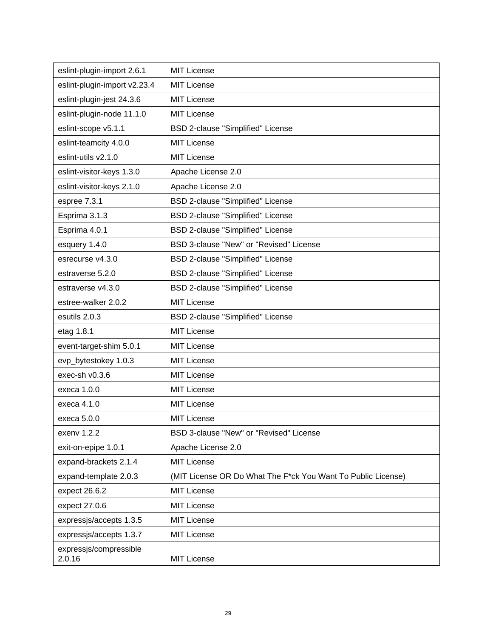| eslint-plugin-import 2.6.1       | <b>MIT License</b>                                           |
|----------------------------------|--------------------------------------------------------------|
| eslint-plugin-import v2.23.4     | <b>MIT License</b>                                           |
| eslint-plugin-jest 24.3.6        | <b>MIT License</b>                                           |
| eslint-plugin-node 11.1.0        | <b>MIT License</b>                                           |
| eslint-scope v5.1.1              | BSD 2-clause "Simplified" License                            |
| eslint-teamcity 4.0.0            | <b>MIT License</b>                                           |
| eslint-utils v2.1.0              | <b>MIT License</b>                                           |
| eslint-visitor-keys 1.3.0        | Apache License 2.0                                           |
| eslint-visitor-keys 2.1.0        | Apache License 2.0                                           |
| espree 7.3.1                     | BSD 2-clause "Simplified" License                            |
| Esprima 3.1.3                    | BSD 2-clause "Simplified" License                            |
| Esprima 4.0.1                    | BSD 2-clause "Simplified" License                            |
| esquery 1.4.0                    | BSD 3-clause "New" or "Revised" License                      |
| esrecurse v4.3.0                 | <b>BSD 2-clause "Simplified" License</b>                     |
| estraverse 5.2.0                 | BSD 2-clause "Simplified" License                            |
| estraverse v4.3.0                | BSD 2-clause "Simplified" License                            |
| estree-walker 2.0.2              | <b>MIT License</b>                                           |
| esutils 2.0.3                    | BSD 2-clause "Simplified" License                            |
| etag 1.8.1                       | <b>MIT License</b>                                           |
| event-target-shim 5.0.1          | <b>MIT License</b>                                           |
| evp_bytestokey 1.0.3             | <b>MIT License</b>                                           |
| exec-sh v0.3.6                   | <b>MIT License</b>                                           |
| execa 1.0.0                      | <b>MIT License</b>                                           |
| execa 4.1.0                      | <b>MIT License</b>                                           |
| execa 5.0.0                      | <b>MIT License</b>                                           |
| exenv 1.2.2                      | BSD 3-clause "New" or "Revised" License                      |
| exit-on-epipe 1.0.1              | Apache License 2.0                                           |
| expand-brackets 2.1.4            | <b>MIT License</b>                                           |
| expand-template 2.0.3            | (MIT License OR Do What The F*ck You Want To Public License) |
| expect 26.6.2                    | <b>MIT License</b>                                           |
| expect 27.0.6                    | <b>MIT License</b>                                           |
| expressjs/accepts 1.3.5          | <b>MIT License</b>                                           |
| expressjs/accepts 1.3.7          | <b>MIT License</b>                                           |
| expressjs/compressible<br>2.0.16 | <b>MIT License</b>                                           |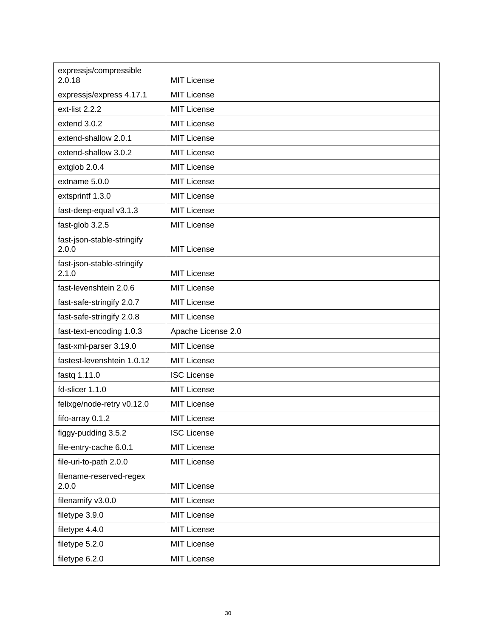| expressjs/compressible<br>2.0.18    | MIT License        |
|-------------------------------------|--------------------|
| expressjs/express 4.17.1            | <b>MIT License</b> |
| ext-list 2.2.2                      | <b>MIT License</b> |
| extend 3.0.2                        | <b>MIT License</b> |
| extend-shallow 2.0.1                | <b>MIT License</b> |
| extend-shallow 3.0.2                | <b>MIT License</b> |
| extglob 2.0.4                       | <b>MIT License</b> |
| extname 5.0.0                       | <b>MIT License</b> |
| extsprintf 1.3.0                    | <b>MIT License</b> |
| fast-deep-equal v3.1.3              | <b>MIT License</b> |
| fast-glob 3.2.5                     | <b>MIT License</b> |
| fast-json-stable-stringify<br>2.0.0 | MIT License        |
| fast-json-stable-stringify<br>2.1.0 | <b>MIT License</b> |
| fast-levenshtein 2.0.6              | <b>MIT License</b> |
| fast-safe-stringify 2.0.7           | <b>MIT License</b> |
| fast-safe-stringify 2.0.8           | <b>MIT License</b> |
| fast-text-encoding 1.0.3            | Apache License 2.0 |
| fast-xml-parser 3.19.0              | <b>MIT License</b> |
| fastest-levenshtein 1.0.12          | MIT License        |
| fastq 1.11.0                        | <b>ISC License</b> |
| fd-slicer 1.1.0                     | <b>MIT License</b> |
| felixge/node-retry v0.12.0          | <b>MIT License</b> |
| fifo-array 0.1.2                    | <b>MIT License</b> |
| figgy-pudding 3.5.2                 | <b>ISC License</b> |
| file-entry-cache 6.0.1              | <b>MIT License</b> |
| file-uri-to-path 2.0.0              | <b>MIT License</b> |
| filename-reserved-regex<br>2.0.0    | <b>MIT License</b> |
| filenamify v3.0.0                   | <b>MIT License</b> |
| filetype 3.9.0                      | <b>MIT License</b> |
| filetype 4.4.0                      | <b>MIT License</b> |
| filetype 5.2.0                      | <b>MIT License</b> |
| filetype 6.2.0                      | <b>MIT License</b> |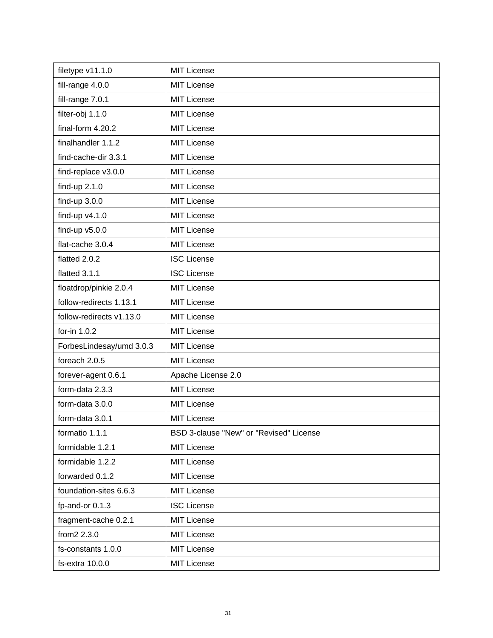| filetype v11.1.0         | <b>MIT License</b>                      |
|--------------------------|-----------------------------------------|
| fill-range 4.0.0         | <b>MIT License</b>                      |
| fill-range 7.0.1         | <b>MIT License</b>                      |
| filter-obj 1.1.0         | <b>MIT License</b>                      |
| final-form 4.20.2        | <b>MIT License</b>                      |
| finalhandler 1.1.2       | <b>MIT License</b>                      |
| find-cache-dir 3.3.1     | <b>MIT License</b>                      |
| find-replace v3.0.0      | <b>MIT License</b>                      |
| find-up 2.1.0            | <b>MIT License</b>                      |
| find-up $3.0.0$          | <b>MIT License</b>                      |
| find-up $v4.1.0$         | <b>MIT License</b>                      |
| find-up $v5.0.0$         | <b>MIT License</b>                      |
| flat-cache 3.0.4         | <b>MIT License</b>                      |
| flatted 2.0.2            | <b>ISC License</b>                      |
| flatted 3.1.1            | <b>ISC License</b>                      |
| floatdrop/pinkie 2.0.4   | <b>MIT License</b>                      |
| follow-redirects 1.13.1  | <b>MIT License</b>                      |
| follow-redirects v1.13.0 | <b>MIT License</b>                      |
| for-in 1.0.2             | <b>MIT License</b>                      |
| ForbesLindesay/umd 3.0.3 | <b>MIT License</b>                      |
| foreach 2.0.5            | <b>MIT License</b>                      |
| forever-agent 0.6.1      | Apache License 2.0                      |
| form-data 2.3.3          | <b>MIT License</b>                      |
| form-data 3.0.0          | <b>MIT License</b>                      |
| form-data 3.0.1          | <b>MIT License</b>                      |
| formatio 1.1.1           | BSD 3-clause "New" or "Revised" License |
| formidable 1.2.1         | <b>MIT License</b>                      |
| formidable 1.2.2         | <b>MIT License</b>                      |
| forwarded 0.1.2          | <b>MIT License</b>                      |
| foundation-sites 6.6.3   | <b>MIT License</b>                      |
| fp-and-or 0.1.3          | <b>ISC License</b>                      |
| fragment-cache 0.2.1     | <b>MIT License</b>                      |
| from2 2.3.0              | <b>MIT License</b>                      |
| fs-constants 1.0.0       | <b>MIT License</b>                      |
| fs-extra 10.0.0          | <b>MIT License</b>                      |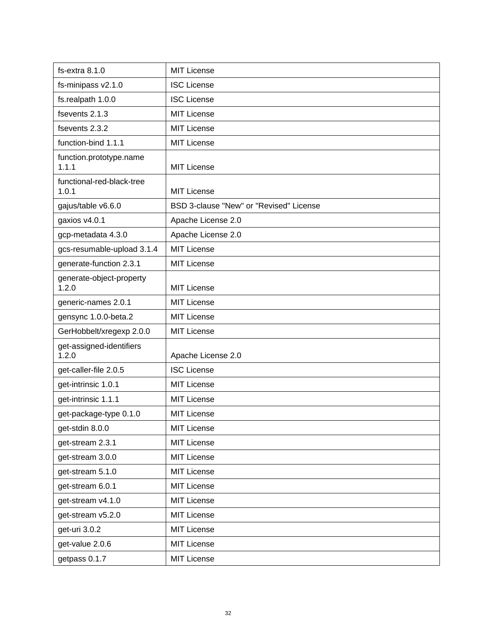| fs-extra 8.1.0                     | <b>MIT License</b>                      |
|------------------------------------|-----------------------------------------|
| fs-minipass v2.1.0                 | <b>ISC License</b>                      |
| fs.realpath 1.0.0                  | <b>ISC License</b>                      |
| fsevents 2.1.3                     | <b>MIT License</b>                      |
| fsevents 2.3.2                     | <b>MIT License</b>                      |
| function-bind 1.1.1                | <b>MIT License</b>                      |
| function.prototype.name<br>1.1.1   | <b>MIT License</b>                      |
| functional-red-black-tree<br>1.0.1 | <b>MIT License</b>                      |
| gajus/table v6.6.0                 | BSD 3-clause "New" or "Revised" License |
| gaxios v4.0.1                      | Apache License 2.0                      |
| gcp-metadata 4.3.0                 | Apache License 2.0                      |
| gcs-resumable-upload 3.1.4         | <b>MIT License</b>                      |
| generate-function 2.3.1            | <b>MIT License</b>                      |
| generate-object-property<br>1.2.0  | <b>MIT License</b>                      |
| generic-names 2.0.1                | <b>MIT License</b>                      |
| gensync 1.0.0-beta.2               | <b>MIT License</b>                      |
| GerHobbelt/xregexp 2.0.0           | <b>MIT License</b>                      |
| get-assigned-identifiers<br>1.2.0  | Apache License 2.0                      |
| get-caller-file 2.0.5              | <b>ISC License</b>                      |
| get-intrinsic 1.0.1                | <b>MIT License</b>                      |
| get-intrinsic 1.1.1                | <b>MIT License</b>                      |
| get-package-type 0.1.0             | <b>MIT License</b>                      |
| get-stdin 8.0.0                    | <b>MIT License</b>                      |
| get-stream 2.3.1                   | <b>MIT License</b>                      |
| get-stream 3.0.0                   | <b>MIT License</b>                      |
| get-stream 5.1.0                   | <b>MIT License</b>                      |
| get-stream 6.0.1                   | <b>MIT License</b>                      |
| get-stream v4.1.0                  | <b>MIT License</b>                      |
| get-stream v5.2.0                  | <b>MIT License</b>                      |
| get-uri 3.0.2                      | <b>MIT License</b>                      |
| get-value 2.0.6                    | <b>MIT License</b>                      |
| getpass 0.1.7                      | <b>MIT License</b>                      |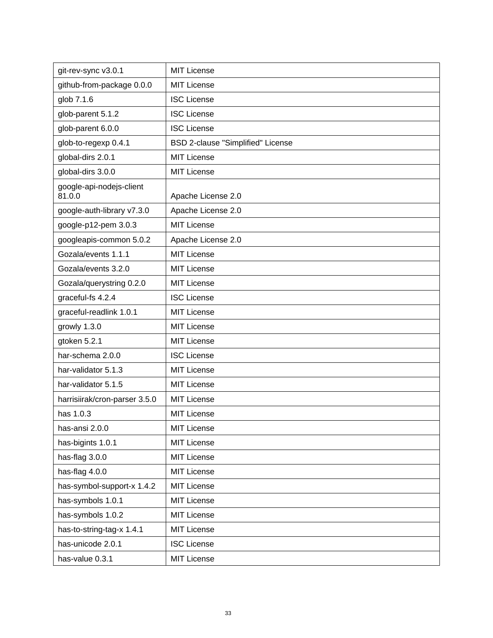| git-rev-sync v3.0.1                | <b>MIT License</b>                       |
|------------------------------------|------------------------------------------|
| github-from-package 0.0.0          | <b>MIT License</b>                       |
| glob 7.1.6                         | <b>ISC License</b>                       |
| glob-parent 5.1.2                  | <b>ISC License</b>                       |
| glob-parent 6.0.0                  | <b>ISC License</b>                       |
| glob-to-regexp 0.4.1               | <b>BSD 2-clause "Simplified" License</b> |
| global-dirs 2.0.1                  | <b>MIT License</b>                       |
| global-dirs 3.0.0                  | <b>MIT License</b>                       |
| google-api-nodejs-client<br>81.0.0 | Apache License 2.0                       |
| google-auth-library v7.3.0         | Apache License 2.0                       |
| google-p12-pem 3.0.3               | <b>MIT License</b>                       |
| googleapis-common 5.0.2            | Apache License 2.0                       |
| Gozala/events 1.1.1                | <b>MIT License</b>                       |
| Gozala/events 3.2.0                | <b>MIT License</b>                       |
| Gozala/querystring 0.2.0           | <b>MIT License</b>                       |
| graceful-fs 4.2.4                  | <b>ISC License</b>                       |
| graceful-readlink 1.0.1            | <b>MIT License</b>                       |
| growly 1.3.0                       | <b>MIT License</b>                       |
| gtoken 5.2.1                       | <b>MIT License</b>                       |
| har-schema 2.0.0                   | <b>ISC License</b>                       |
| har-validator 5.1.3                | <b>MIT License</b>                       |
| har-validator 5.1.5                | <b>MIT License</b>                       |
| harrisiirak/cron-parser 3.5.0      | <b>MIT License</b>                       |
| has 1.0.3                          | <b>MIT License</b>                       |
| has-ansi 2.0.0                     | MIT License                              |
| has-bigints 1.0.1                  | MIT License                              |
| has-flag 3.0.0                     | MIT License                              |
| has-flag 4.0.0                     | <b>MIT License</b>                       |
| has-symbol-support-x 1.4.2         | MIT License                              |
| has-symbols 1.0.1                  | <b>MIT License</b>                       |
| has-symbols 1.0.2                  | MIT License                              |
| has-to-string-tag-x 1.4.1          | <b>MIT License</b>                       |
| has-unicode 2.0.1                  | <b>ISC License</b>                       |
| has-value 0.3.1                    | <b>MIT License</b>                       |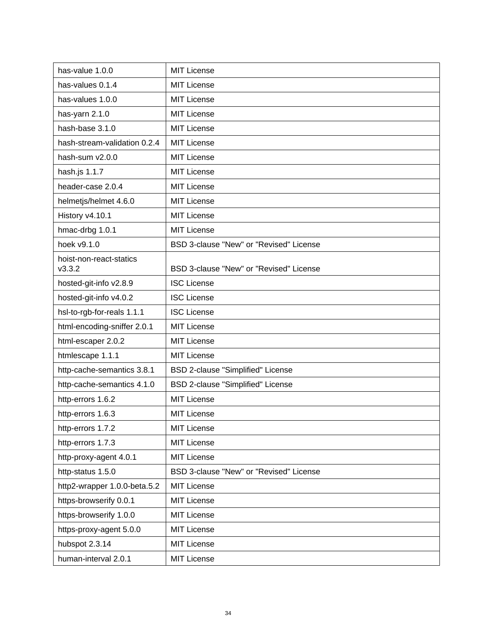| has-value 1.0.0                   | <b>MIT License</b>                      |
|-----------------------------------|-----------------------------------------|
| has-values 0.1.4                  | <b>MIT License</b>                      |
| has-values 1.0.0                  | <b>MIT License</b>                      |
| has-yarn 2.1.0                    | <b>MIT License</b>                      |
| hash-base 3.1.0                   | MIT License                             |
| hash-stream-validation 0.2.4      | <b>MIT License</b>                      |
| hash-sum v2.0.0                   | <b>MIT License</b>                      |
| hash.js 1.1.7                     | <b>MIT License</b>                      |
| header-case 2.0.4                 | <b>MIT License</b>                      |
| helmetjs/helmet 4.6.0             | <b>MIT License</b>                      |
| History v4.10.1                   | <b>MIT License</b>                      |
| hmac-drbg 1.0.1                   | <b>MIT License</b>                      |
| hoek v9.1.0                       | BSD 3-clause "New" or "Revised" License |
| hoist-non-react-statics<br>V3.3.2 | BSD 3-clause "New" or "Revised" License |
| hosted-git-info v2.8.9            | <b>ISC License</b>                      |
| hosted-git-info v4.0.2            | <b>ISC License</b>                      |
| hsl-to-rgb-for-reals 1.1.1        | <b>ISC License</b>                      |
| html-encoding-sniffer 2.0.1       | <b>MIT License</b>                      |
| html-escaper 2.0.2                | <b>MIT License</b>                      |
| htmlescape 1.1.1                  | <b>MIT License</b>                      |
| http-cache-semantics 3.8.1        | BSD 2-clause "Simplified" License       |
| http-cache-semantics 4.1.0        | BSD 2-clause "Simplified" License       |
| http-errors 1.6.2                 | <b>MIT License</b>                      |
| http-errors 1.6.3                 | <b>MIT License</b>                      |
| http-errors 1.7.2                 | <b>MIT License</b>                      |
| http-errors 1.7.3                 | <b>MIT License</b>                      |
| http-proxy-agent 4.0.1            | <b>MIT License</b>                      |
| http-status 1.5.0                 | BSD 3-clause "New" or "Revised" License |
| http2-wrapper 1.0.0-beta.5.2      | <b>MIT License</b>                      |
| https-browserify 0.0.1            | <b>MIT License</b>                      |
| https-browserify 1.0.0            | <b>MIT License</b>                      |
| https-proxy-agent 5.0.0           | <b>MIT License</b>                      |
| hubspot 2.3.14                    | <b>MIT License</b>                      |
| human-interval 2.0.1              | <b>MIT License</b>                      |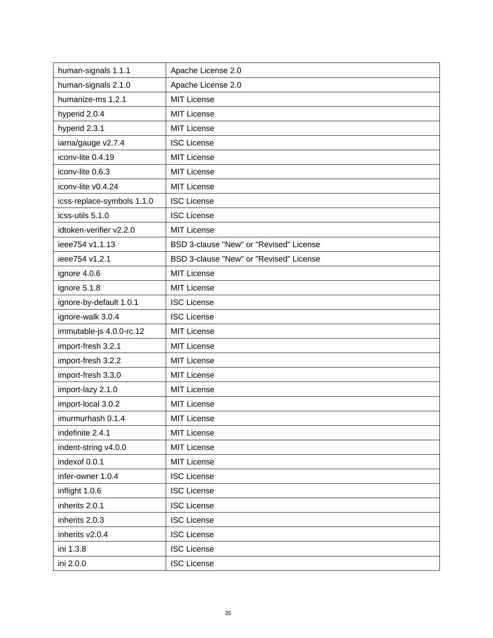| human-signals 1.1.1        | Apache License 2.0                      |
|----------------------------|-----------------------------------------|
| human-signals 2.1.0        | Apache License 2.0                      |
| humanize-ms 1.2.1          | <b>MIT License</b>                      |
| hyperid 2.0.4              | <b>MIT License</b>                      |
| hyperid 2.3.1              | <b>MIT License</b>                      |
| iarna/gauge v2.7.4         | <b>ISC License</b>                      |
| iconv-lite 0.4.19          | <b>MIT License</b>                      |
| iconv-lite 0.6.3           | <b>MIT License</b>                      |
| iconv-lite v0.4.24         | <b>MIT License</b>                      |
| icss-replace-symbols 1.1.0 | <b>ISC License</b>                      |
| icss-utils 5.1.0           | <b>ISC License</b>                      |
| idtoken-verifier v2.2.0    | <b>MIT License</b>                      |
| ieee754 v1.1.13            | BSD 3-clause "New" or "Revised" License |
| ieee754 v1.2.1             | BSD 3-clause "New" or "Revised" License |
| ignore 4.0.6               | <b>MIT License</b>                      |
| ignore 5.1.8               | <b>MIT License</b>                      |
| ignore-by-default 1.0.1    | <b>ISC License</b>                      |
| ignore-walk 3.0.4          | <b>ISC License</b>                      |
| immutable-js 4.0.0-rc.12   | <b>MIT License</b>                      |
| import-fresh 3.2.1         | <b>MIT License</b>                      |
| import-fresh 3.2.2         | <b>MIT License</b>                      |
| import-fresh 3.3.0         | <b>MIT License</b>                      |
| import-lazy 2.1.0          | <b>MIT License</b>                      |
| import-local 3.0.2         | <b>MIT License</b>                      |
| imurmurhash 0.1.4          | <b>MIT License</b>                      |
| indefinite 2.4.1           | <b>MIT License</b>                      |
| indent-string v4.0.0       | <b>MIT License</b>                      |
| indexof 0.0.1              | <b>MIT License</b>                      |
| infer-owner 1.0.4          | <b>ISC License</b>                      |
| inflight 1.0.6             | <b>ISC License</b>                      |
| inherits 2.0.1             | <b>ISC License</b>                      |
| inherits 2.0.3             | <b>ISC License</b>                      |
| inherits v2.0.4            | <b>ISC License</b>                      |
| ini 1.3.8                  | <b>ISC License</b>                      |
| ini 2.0.0                  | <b>ISC License</b>                      |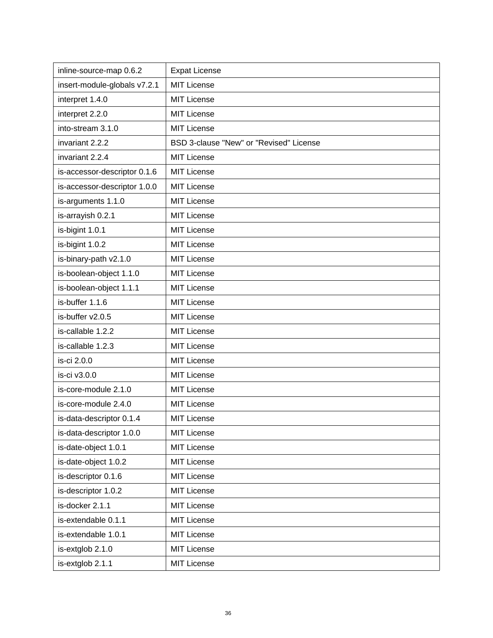| inline-source-map 0.6.2      | <b>Expat License</b>                    |
|------------------------------|-----------------------------------------|
| insert-module-globals v7.2.1 | <b>MIT License</b>                      |
| interpret 1.4.0              | <b>MIT License</b>                      |
| interpret 2.2.0              | <b>MIT License</b>                      |
| into-stream 3.1.0            | <b>MIT License</b>                      |
| invariant 2.2.2              | BSD 3-clause "New" or "Revised" License |
| invariant 2.2.4              | <b>MIT License</b>                      |
| is-accessor-descriptor 0.1.6 | <b>MIT License</b>                      |
| is-accessor-descriptor 1.0.0 | <b>MIT License</b>                      |
| is-arguments 1.1.0           | <b>MIT License</b>                      |
| is-arrayish 0.2.1            | <b>MIT License</b>                      |
| is-bigint 1.0.1              | <b>MIT License</b>                      |
| is-bigint 1.0.2              | <b>MIT License</b>                      |
| is-binary-path v2.1.0        | <b>MIT License</b>                      |
| is-boolean-object 1.1.0      | <b>MIT License</b>                      |
| is-boolean-object 1.1.1      | <b>MIT License</b>                      |
| is-buffer 1.1.6              | <b>MIT License</b>                      |
| is-buffer v2.0.5             | <b>MIT License</b>                      |
| is-callable 1.2.2            | <b>MIT License</b>                      |
| is-callable 1.2.3            | <b>MIT License</b>                      |
| is-ci 2.0.0                  | <b>MIT License</b>                      |
| is-ci v3.0.0                 | <b>MIT License</b>                      |
| is-core-module 2.1.0         | <b>MIT License</b>                      |
| is-core-module 2.4.0         | <b>MIT License</b>                      |
| is-data-descriptor 0.1.4     | <b>MIT License</b>                      |
| is-data-descriptor 1.0.0     | <b>MIT License</b>                      |
| is-date-object 1.0.1         | MIT License                             |
| is-date-object 1.0.2         | <b>MIT License</b>                      |
| is-descriptor 0.1.6          | <b>MIT License</b>                      |
| is-descriptor 1.0.2          | <b>MIT License</b>                      |
| is-docker 2.1.1              | <b>MIT License</b>                      |
| is-extendable 0.1.1          | <b>MIT License</b>                      |
| is-extendable 1.0.1          | <b>MIT License</b>                      |
| is-extglob 2.1.0             | <b>MIT License</b>                      |
| is-extglob 2.1.1             | <b>MIT License</b>                      |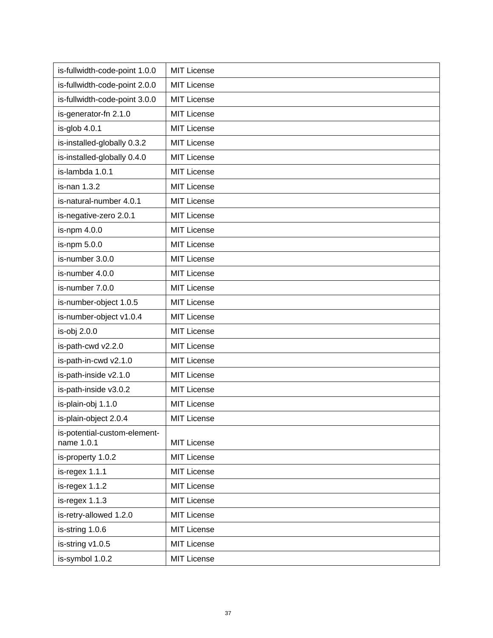| is-fullwidth-code-point 1.0.0              | MIT License        |
|--------------------------------------------|--------------------|
| is-fullwidth-code-point 2.0.0              | <b>MIT License</b> |
| is-fullwidth-code-point 3.0.0              | <b>MIT License</b> |
| is-generator-fn 2.1.0                      | MIT License        |
| is-glob 4.0.1                              | <b>MIT License</b> |
| is-installed-globally 0.3.2                | MIT License        |
| is-installed-globally 0.4.0                | <b>MIT License</b> |
| is-lambda 1.0.1                            | MIT License        |
| is-nan 1.3.2                               | <b>MIT License</b> |
| is-natural-number 4.0.1                    | <b>MIT License</b> |
| is-negative-zero 2.0.1                     | <b>MIT License</b> |
| is-npm 4.0.0                               | <b>MIT License</b> |
| is-npm 5.0.0                               | <b>MIT License</b> |
| is-number 3.0.0                            | <b>MIT License</b> |
| is-number 4.0.0                            | <b>MIT License</b> |
| is-number 7.0.0                            | <b>MIT License</b> |
| is-number-object 1.0.5                     | <b>MIT License</b> |
| is-number-object v1.0.4                    | MIT License        |
| is-obj 2.0.0                               | <b>MIT License</b> |
| is-path-cwd v2.2.0                         | <b>MIT License</b> |
| is-path-in-cwd v2.1.0                      | <b>MIT License</b> |
| is-path-inside v2.1.0                      | <b>MIT License</b> |
| is-path-inside v3.0.2                      | <b>MIT License</b> |
| is-plain-obj 1.1.0                         | <b>MIT License</b> |
| is-plain-object 2.0.4                      | <b>MIT License</b> |
| is-potential-custom-element-<br>name 1.0.1 | <b>MIT License</b> |
| is-property 1.0.2                          | <b>MIT License</b> |
| is-regex 1.1.1                             | <b>MIT License</b> |
| $is-regex 1.1.2$                           | <b>MIT License</b> |
| is-regex 1.1.3                             | <b>MIT License</b> |
| is-retry-allowed 1.2.0                     | <b>MIT License</b> |
| is-string 1.0.6                            | <b>MIT License</b> |
| is-string v1.0.5                           | <b>MIT License</b> |
| is-symbol 1.0.2                            | <b>MIT License</b> |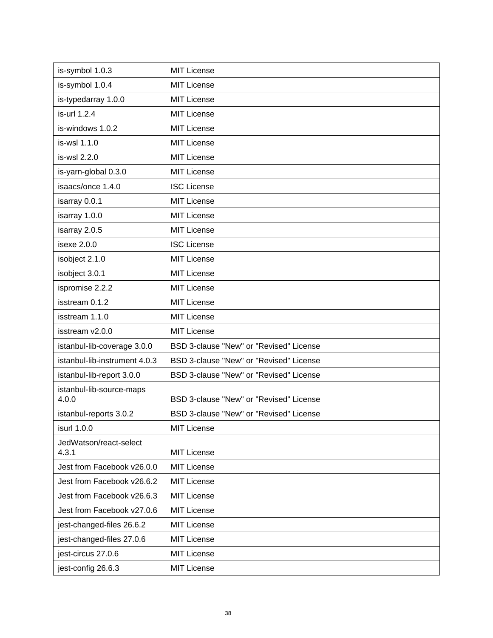| is-symbol 1.0.3                   | <b>MIT License</b>                      |
|-----------------------------------|-----------------------------------------|
| is-symbol 1.0.4                   | <b>MIT License</b>                      |
| is-typedarray 1.0.0               | <b>MIT License</b>                      |
| is-url 1.2.4                      | <b>MIT License</b>                      |
| is-windows 1.0.2                  | <b>MIT License</b>                      |
| is-wsl 1.1.0                      | <b>MIT License</b>                      |
| is-wsl 2.2.0                      | <b>MIT License</b>                      |
| is-yarn-global 0.3.0              | <b>MIT License</b>                      |
| isaacs/once 1.4.0                 | <b>ISC License</b>                      |
| isarray 0.0.1                     | <b>MIT License</b>                      |
| isarray 1.0.0                     | <b>MIT License</b>                      |
| isarray 2.0.5                     | <b>MIT License</b>                      |
| isexe 2.0.0                       | <b>ISC License</b>                      |
| isobject 2.1.0                    | <b>MIT License</b>                      |
| isobject 3.0.1                    | <b>MIT License</b>                      |
| ispromise 2.2.2                   | <b>MIT License</b>                      |
| isstream 0.1.2                    | <b>MIT License</b>                      |
| isstream 1.1.0                    | <b>MIT License</b>                      |
| isstream v2.0.0                   | <b>MIT License</b>                      |
| istanbul-lib-coverage 3.0.0       | BSD 3-clause "New" or "Revised" License |
| istanbul-lib-instrument 4.0.3     | BSD 3-clause "New" or "Revised" License |
| istanbul-lib-report 3.0.0         | BSD 3-clause "New" or "Revised" License |
| istanbul-lib-source-maps<br>4.0.0 | BSD 3-clause "New" or "Revised" License |
| istanbul-reports 3.0.2            | BSD 3-clause "New" or "Revised" License |
| isurl 1.0.0                       | <b>MIT License</b>                      |
| JedWatson/react-select<br>4.3.1   | <b>MIT License</b>                      |
| Jest from Facebook v26.0.0        | <b>MIT License</b>                      |
| Jest from Facebook v26.6.2        | <b>MIT License</b>                      |
| Jest from Facebook v26.6.3        | <b>MIT License</b>                      |
| Jest from Facebook v27.0.6        | <b>MIT License</b>                      |
| jest-changed-files 26.6.2         | <b>MIT License</b>                      |
| jest-changed-files 27.0.6         | <b>MIT License</b>                      |
| jest-circus 27.0.6                | <b>MIT License</b>                      |
| jest-config 26.6.3                | <b>MIT License</b>                      |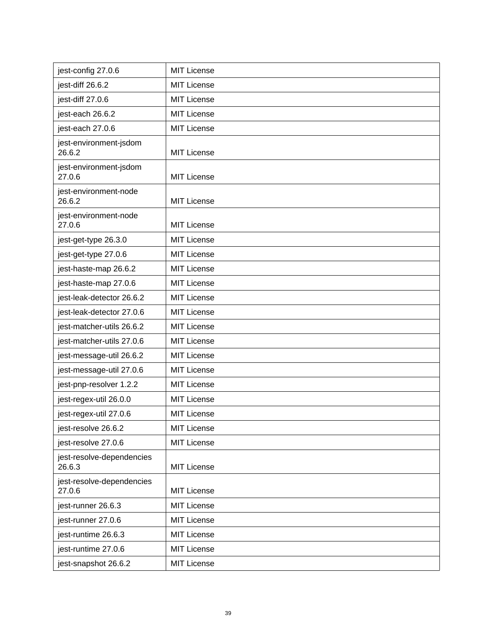| jest-config 27.0.6                  | <b>MIT License</b> |
|-------------------------------------|--------------------|
| jest-diff 26.6.2                    | <b>MIT License</b> |
| jest-diff 27.0.6                    | <b>MIT License</b> |
| jest-each 26.6.2                    | <b>MIT License</b> |
| jest-each 27.0.6                    | <b>MIT License</b> |
| jest-environment-jsdom<br>26.6.2    | <b>MIT License</b> |
| jest-environment-jsdom<br>27.0.6    | <b>MIT License</b> |
| jest-environment-node<br>26.6.2     | <b>MIT License</b> |
| jest-environment-node<br>27.0.6     | <b>MIT License</b> |
| jest-get-type 26.3.0                | <b>MIT License</b> |
| jest-get-type 27.0.6                | <b>MIT License</b> |
| jest-haste-map 26.6.2               | <b>MIT License</b> |
| jest-haste-map 27.0.6               | <b>MIT License</b> |
| jest-leak-detector 26.6.2           | <b>MIT License</b> |
| jest-leak-detector 27.0.6           | <b>MIT License</b> |
| jest-matcher-utils 26.6.2           | <b>MIT License</b> |
| jest-matcher-utils 27.0.6           | <b>MIT License</b> |
| jest-message-util 26.6.2            | <b>MIT License</b> |
| jest-message-util 27.0.6            | <b>MIT License</b> |
| jest-pnp-resolver 1.2.2             | <b>MIT License</b> |
| jest-regex-util 26.0.0              | <b>MIT License</b> |
| jest-regex-util 27.0.6              | <b>MIT License</b> |
| jest-resolve 26.6.2                 | <b>MIT License</b> |
| jest-resolve 27.0.6                 | <b>MIT License</b> |
| jest-resolve-dependencies<br>26.6.3 | <b>MIT License</b> |
| jest-resolve-dependencies<br>27.0.6 | <b>MIT License</b> |
| jest-runner 26.6.3                  | <b>MIT License</b> |
| jest-runner 27.0.6                  | <b>MIT License</b> |
| jest-runtime 26.6.3                 | <b>MIT License</b> |
| jest-runtime 27.0.6                 | <b>MIT License</b> |
| jest-snapshot 26.6.2                | <b>MIT License</b> |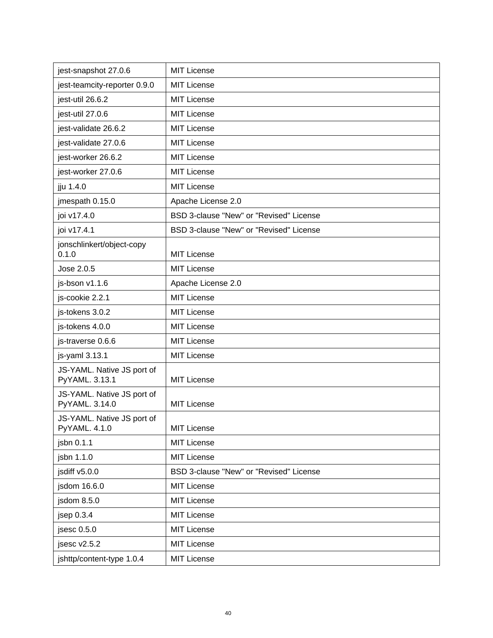| jest-snapshot 27.0.6                         | <b>MIT License</b>                      |
|----------------------------------------------|-----------------------------------------|
| jest-teamcity-reporter 0.9.0                 | <b>MIT License</b>                      |
| jest-util 26.6.2                             | <b>MIT License</b>                      |
| jest-util 27.0.6                             | <b>MIT License</b>                      |
| jest-validate 26.6.2                         | <b>MIT License</b>                      |
| jest-validate 27.0.6                         | <b>MIT License</b>                      |
| jest-worker 26.6.2                           | <b>MIT License</b>                      |
| jest-worker 27.0.6                           | <b>MIT License</b>                      |
| jju 1.4.0                                    | <b>MIT License</b>                      |
| jmespath 0.15.0                              | Apache License 2.0                      |
| joi v17.4.0                                  | BSD 3-clause "New" or "Revised" License |
| joi v17.4.1                                  | BSD 3-clause "New" or "Revised" License |
| jonschlinkert/object-copy<br>0.1.0           | <b>MIT License</b>                      |
| Jose 2.0.5                                   | <b>MIT License</b>                      |
| js-bson v1.1.6                               | Apache License 2.0                      |
| js-cookie 2.2.1                              | <b>MIT License</b>                      |
| js-tokens 3.0.2                              | <b>MIT License</b>                      |
| js-tokens 4.0.0                              | <b>MIT License</b>                      |
| js-traverse 0.6.6                            | <b>MIT License</b>                      |
| js-yaml 3.13.1                               | <b>MIT License</b>                      |
| JS-YAML. Native JS port of<br>PyYAML. 3.13.1 | <b>MIT License</b>                      |
| JS-YAML. Native JS port of<br>PyYAML. 3.14.0 | <b>MIT License</b>                      |
| JS-YAML. Native JS port of<br>PyYAML. 4.1.0  | <b>MIT License</b>                      |
| jsbn 0.1.1                                   | <b>MIT License</b>                      |
| jsbn 1.1.0                                   | <b>MIT License</b>                      |
| jsdiff v5.0.0                                | BSD 3-clause "New" or "Revised" License |
| jsdom 16.6.0                                 | <b>MIT License</b>                      |
| jsdom 8.5.0                                  | <b>MIT License</b>                      |
| jsep $0.3.4$                                 | <b>MIT License</b>                      |
| jsesc 0.5.0                                  | <b>MIT License</b>                      |
| jsesc v2.5.2                                 | <b>MIT License</b>                      |
| jshttp/content-type 1.0.4                    | <b>MIT License</b>                      |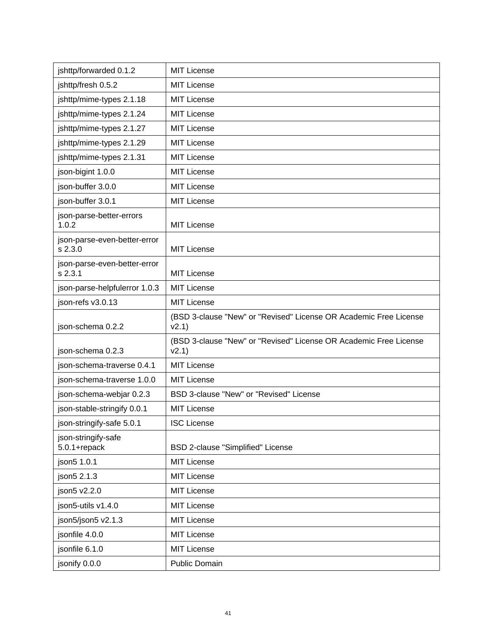| jshttp/forwarded 0.1.2                  | <b>MIT License</b>                                                         |
|-----------------------------------------|----------------------------------------------------------------------------|
| jshttp/fresh 0.5.2                      | <b>MIT License</b>                                                         |
| jshttp/mime-types 2.1.18                | <b>MIT License</b>                                                         |
| jshttp/mime-types 2.1.24                | <b>MIT License</b>                                                         |
| jshttp/mime-types 2.1.27                | <b>MIT License</b>                                                         |
| jshttp/mime-types 2.1.29                | <b>MIT License</b>                                                         |
| jshttp/mime-types 2.1.31                | <b>MIT License</b>                                                         |
| json-bigint 1.0.0                       | <b>MIT License</b>                                                         |
| json-buffer 3.0.0                       | <b>MIT License</b>                                                         |
| json-buffer 3.0.1                       | <b>MIT License</b>                                                         |
| json-parse-better-errors<br>1.0.2       | <b>MIT License</b>                                                         |
| json-parse-even-better-error<br>s 2.3.0 | <b>MIT License</b>                                                         |
| json-parse-even-better-error<br>s 2.3.1 | <b>MIT License</b>                                                         |
| json-parse-helpfulerror 1.0.3           | <b>MIT License</b>                                                         |
| json-refs v3.0.13                       | <b>MIT License</b>                                                         |
| json-schema 0.2.2                       | (BSD 3-clause "New" or "Revised" License OR Academic Free License<br>v2.1) |
| json-schema 0.2.3                       | (BSD 3-clause "New" or "Revised" License OR Academic Free License<br>v2.1) |
| json-schema-traverse 0.4.1              | <b>MIT License</b>                                                         |
| json-schema-traverse 1.0.0              | <b>MIT License</b>                                                         |
| json-schema-webjar 0.2.3                | BSD 3-clause "New" or "Revised" License                                    |
| json-stable-stringify 0.0.1             | <b>MIT License</b>                                                         |
| json-stringify-safe 5.0.1               | <b>ISC License</b>                                                         |
| json-stringify-safe<br>5.0.1+repack     | BSD 2-clause "Simplified" License                                          |
| json5 1.0.1                             | MIT License                                                                |
| json5 2.1.3                             | MIT License                                                                |
| json5 v2.2.0                            | <b>MIT License</b>                                                         |
| json5-utils v1.4.0                      | <b>MIT License</b>                                                         |
| json5/json5 v2.1.3                      | <b>MIT License</b>                                                         |
| jsonfile 4.0.0                          | <b>MIT License</b>                                                         |
| jsonfile 6.1.0                          | <b>MIT License</b>                                                         |
| jsonify 0.0.0                           | Public Domain                                                              |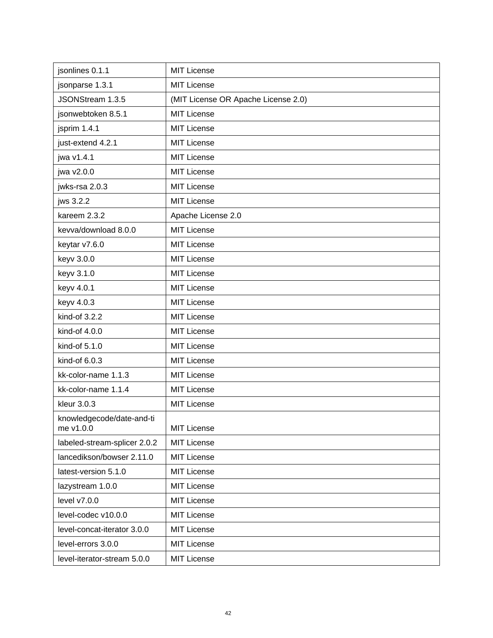| jsonlines 0.1.1                        | <b>MIT License</b>                  |
|----------------------------------------|-------------------------------------|
| jsonparse 1.3.1                        | <b>MIT License</b>                  |
| JSONStream 1.3.5                       | (MIT License OR Apache License 2.0) |
| jsonwebtoken 8.5.1                     | <b>MIT License</b>                  |
| jsprim 1.4.1                           | <b>MIT License</b>                  |
| just-extend 4.2.1                      | <b>MIT License</b>                  |
| jwa v1.4.1                             | MIT License                         |
| jwa v2.0.0                             | <b>MIT License</b>                  |
| jwks-rsa 2.0.3                         | MIT License                         |
| jws 3.2.2                              | <b>MIT License</b>                  |
| kareem 2.3.2                           | Apache License 2.0                  |
| kevva/download 8.0.0                   | <b>MIT License</b>                  |
| keytar v7.6.0                          | <b>MIT License</b>                  |
| keyv 3.0.0                             | <b>MIT License</b>                  |
| keyv 3.1.0                             | MIT License                         |
| keyv 4.0.1                             | <b>MIT License</b>                  |
| keyv 4.0.3                             | MIT License                         |
| kind-of 3.2.2                          | <b>MIT License</b>                  |
| kind-of 4.0.0                          | <b>MIT License</b>                  |
| kind-of 5.1.0                          | <b>MIT License</b>                  |
| kind-of 6.0.3                          | MIT License                         |
| kk-color-name 1.1.3                    | <b>MIT License</b>                  |
| kk-color-name 1.1.4                    | <b>MIT License</b>                  |
| kleur 3.0.3                            | <b>MIT License</b>                  |
| knowledgecode/date-and-ti<br>me v1.0.0 | <b>MIT License</b>                  |
| labeled-stream-splicer 2.0.2           | <b>MIT License</b>                  |
| lancedikson/bowser 2.11.0              | <b>MIT License</b>                  |
| latest-version 5.1.0                   | <b>MIT License</b>                  |
| lazystream 1.0.0                       | <b>MIT License</b>                  |
| level v7.0.0                           | <b>MIT License</b>                  |
| level-codec v10.0.0                    | <b>MIT License</b>                  |
| level-concat-iterator 3.0.0            | <b>MIT License</b>                  |
| level-errors 3.0.0                     | <b>MIT License</b>                  |
| level-iterator-stream 5.0.0            | <b>MIT License</b>                  |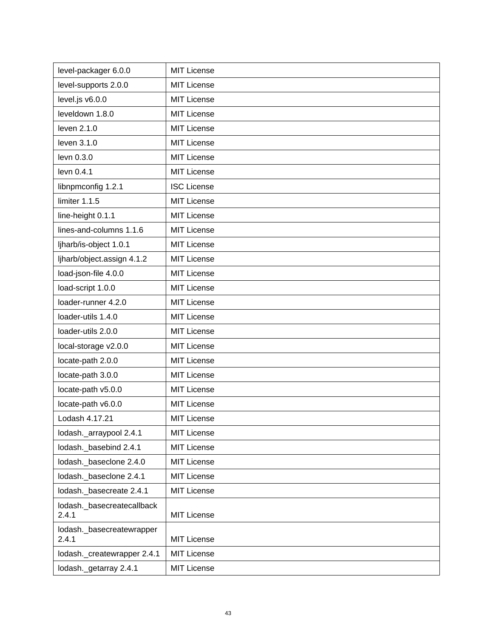| level-packager 6.0.0                | <b>MIT License</b> |
|-------------------------------------|--------------------|
| level-supports 2.0.0                | <b>MIT License</b> |
| level.js v6.0.0                     | <b>MIT License</b> |
| leveldown 1.8.0                     | <b>MIT License</b> |
| leven 2.1.0                         | <b>MIT License</b> |
| leven 3.1.0                         | <b>MIT License</b> |
| levn 0.3.0                          | <b>MIT License</b> |
| levn 0.4.1                          | <b>MIT License</b> |
| libnpmconfig 1.2.1                  | <b>ISC License</b> |
| limiter 1.1.5                       | <b>MIT License</b> |
| line-height 0.1.1                   | <b>MIT License</b> |
| lines-and-columns 1.1.6             | <b>MIT License</b> |
| ljharb/is-object 1.0.1              | <b>MIT License</b> |
| ljharb/object.assign 4.1.2          | <b>MIT License</b> |
| load-json-file 4.0.0                | <b>MIT License</b> |
| load-script 1.0.0                   | <b>MIT License</b> |
| loader-runner 4.2.0                 | <b>MIT License</b> |
| loader-utils 1.4.0                  | <b>MIT License</b> |
| loader-utils 2.0.0                  | <b>MIT License</b> |
| local-storage v2.0.0                | <b>MIT License</b> |
| locate-path 2.0.0                   | <b>MIT License</b> |
| locate-path 3.0.0                   | <b>MIT License</b> |
| locate-path v5.0.0                  | <b>MIT License</b> |
| locate-path v6.0.0                  | <b>MIT License</b> |
| Lodash 4.17.21                      | <b>MIT License</b> |
| lodash._arraypool 2.4.1             | <b>MIT License</b> |
| lodash. basebind 2.4.1              | <b>MIT License</b> |
| lodash._baseclone 2.4.0             | <b>MIT License</b> |
| lodash._baseclone 2.4.1             | <b>MIT License</b> |
| lodash. basecreate 2.4.1            | <b>MIT License</b> |
| lodash._basecreatecallback<br>2.4.1 | <b>MIT License</b> |
| lodash._basecreatewrapper<br>2.4.1  | <b>MIT License</b> |
| lodash._createwrapper 2.4.1         | <b>MIT License</b> |
| lodash._getarray 2.4.1              | <b>MIT License</b> |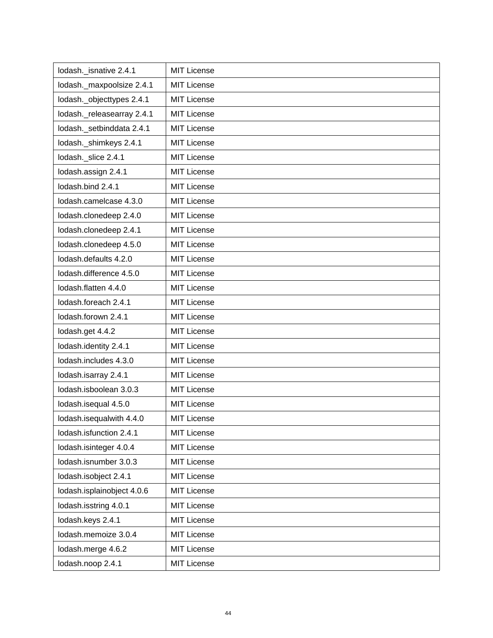| lodash. isnative 2.4.1     | <b>MIT License</b> |
|----------------------------|--------------------|
| lodash._maxpoolsize 2.4.1  | <b>MIT License</b> |
| lodash._objecttypes 2.4.1  | <b>MIT License</b> |
| lodash._releasearray 2.4.1 | <b>MIT License</b> |
| lodash._setbinddata 2.4.1  | <b>MIT License</b> |
| lodash._shimkeys 2.4.1     | <b>MIT License</b> |
| lodash. slice 2.4.1        | MIT License        |
| lodash.assign 2.4.1        | <b>MIT License</b> |
| lodash.bind 2.4.1          | <b>MIT License</b> |
| lodash.camelcase 4.3.0     | <b>MIT License</b> |
| lodash.clonedeep 2.4.0     | <b>MIT License</b> |
| lodash.clonedeep 2.4.1     | <b>MIT License</b> |
| lodash.clonedeep 4.5.0     | <b>MIT License</b> |
| lodash.defaults 4.2.0      | <b>MIT License</b> |
| lodash.difference 4.5.0    | <b>MIT License</b> |
| lodash.flatten 4.4.0       | <b>MIT License</b> |
| lodash.foreach 2.4.1       | <b>MIT License</b> |
| lodash.forown 2.4.1        | <b>MIT License</b> |
| lodash.get 4.4.2           | <b>MIT License</b> |
| lodash.identity 2.4.1      | <b>MIT License</b> |
| lodash.includes 4.3.0      | <b>MIT License</b> |
| lodash.isarray 2.4.1       | <b>MIT License</b> |
| lodash.isboolean 3.0.3     | <b>MIT License</b> |
| lodash.isequal 4.5.0       | <b>MIT License</b> |
| lodash.isequalwith 4.4.0   | <b>MIT License</b> |
| lodash.isfunction 2.4.1    | <b>MIT License</b> |
| lodash.isinteger 4.0.4     | <b>MIT License</b> |
| lodash.isnumber 3.0.3      | <b>MIT License</b> |
| lodash.isobject 2.4.1      | <b>MIT License</b> |
| lodash.isplainobject 4.0.6 | <b>MIT License</b> |
| lodash.isstring 4.0.1      | <b>MIT License</b> |
| lodash.keys 2.4.1          | <b>MIT License</b> |
| lodash.memoize 3.0.4       | <b>MIT License</b> |
| lodash.merge 4.6.2         | <b>MIT License</b> |
| lodash.noop 2.4.1          | <b>MIT License</b> |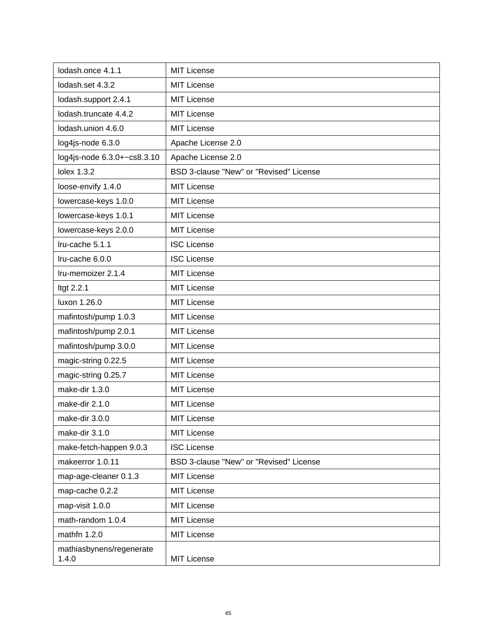| lodash.once 4.1.1                 | <b>MIT License</b>                      |
|-----------------------------------|-----------------------------------------|
| lodash.set 4.3.2                  | <b>MIT License</b>                      |
| lodash.support 2.4.1              | <b>MIT License</b>                      |
| lodash.truncate 4.4.2             | <b>MIT License</b>                      |
| lodash.union 4.6.0                | <b>MIT License</b>                      |
| log4js-node 6.3.0                 | Apache License 2.0                      |
| log4js-node 6.3.0+~cs8.3.10       | Apache License 2.0                      |
| lolex 1.3.2                       | BSD 3-clause "New" or "Revised" License |
| loose-envify 1.4.0                | <b>MIT License</b>                      |
| lowercase-keys 1.0.0              | <b>MIT License</b>                      |
| lowercase-keys 1.0.1              | <b>MIT License</b>                      |
| lowercase-keys 2.0.0              | <b>MIT License</b>                      |
| Iru-cache 5.1.1                   | <b>ISC License</b>                      |
| Iru-cache 6.0.0                   | <b>ISC License</b>                      |
| Iru-memoizer 2.1.4                | <b>MIT License</b>                      |
| Itgt 2.2.1                        | <b>MIT License</b>                      |
| luxon 1.26.0                      | <b>MIT License</b>                      |
| mafintosh/pump 1.0.3              | <b>MIT License</b>                      |
| mafintosh/pump 2.0.1              | <b>MIT License</b>                      |
| mafintosh/pump 3.0.0              | <b>MIT License</b>                      |
| magic-string 0.22.5               | <b>MIT License</b>                      |
| magic-string 0.25.7               | <b>MIT License</b>                      |
| make-dir 1.3.0                    | <b>MIT License</b>                      |
| make-dir 2.1.0                    | <b>MIT License</b>                      |
| make-dir 3.0.0                    | <b>MIT License</b>                      |
| make-dir 3.1.0                    | <b>MIT License</b>                      |
| make-fetch-happen 9.0.3           | <b>ISC License</b>                      |
| makeerror 1.0.11                  | BSD 3-clause "New" or "Revised" License |
| map-age-cleaner 0.1.3             | <b>MIT License</b>                      |
| map-cache 0.2.2                   | <b>MIT License</b>                      |
| map-visit 1.0.0                   | <b>MIT License</b>                      |
| math-random 1.0.4                 | <b>MIT License</b>                      |
| mathfn 1.2.0                      | <b>MIT License</b>                      |
| mathiasbynens/regenerate<br>1.4.0 | <b>MIT License</b>                      |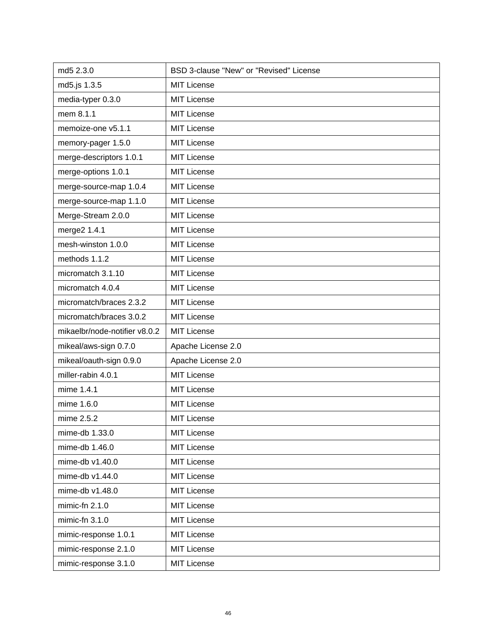| md5 2.3.0                     | BSD 3-clause "New" or "Revised" License |
|-------------------------------|-----------------------------------------|
| md5.js 1.3.5                  | <b>MIT License</b>                      |
| media-typer 0.3.0             | <b>MIT License</b>                      |
| mem 8.1.1                     | <b>MIT License</b>                      |
| memoize-one v5.1.1            | <b>MIT License</b>                      |
| memory-pager 1.5.0            | <b>MIT License</b>                      |
| merge-descriptors 1.0.1       | <b>MIT License</b>                      |
| merge-options 1.0.1           | <b>MIT License</b>                      |
| merge-source-map 1.0.4        | <b>MIT License</b>                      |
| merge-source-map 1.1.0        | <b>MIT License</b>                      |
| Merge-Stream 2.0.0            | <b>MIT License</b>                      |
| merge2 1.4.1                  | <b>MIT License</b>                      |
| mesh-winston 1.0.0            | <b>MIT License</b>                      |
| methods 1.1.2                 | <b>MIT License</b>                      |
| micromatch 3.1.10             | <b>MIT License</b>                      |
| micromatch 4.0.4              | <b>MIT License</b>                      |
| micromatch/braces 2.3.2       | <b>MIT License</b>                      |
| micromatch/braces 3.0.2       | <b>MIT License</b>                      |
| mikaelbr/node-notifier v8.0.2 | <b>MIT License</b>                      |
| mikeal/aws-sign 0.7.0         | Apache License 2.0                      |
| mikeal/oauth-sign 0.9.0       | Apache License 2.0                      |
| miller-rabin 4.0.1            | <b>MIT License</b>                      |
| mime 1.4.1                    | <b>MIT License</b>                      |
| mime 1.6.0                    | <b>MIT License</b>                      |
| mime 2.5.2                    | <b>MIT License</b>                      |
| mime-db 1.33.0                | <b>MIT License</b>                      |
| mime-db 1.46.0                | <b>MIT License</b>                      |
| mime-db v1.40.0               | <b>MIT License</b>                      |
| mime-db v1.44.0               | <b>MIT License</b>                      |
| mime-db v1.48.0               | <b>MIT License</b>                      |
| mimic-fn 2.1.0                | <b>MIT License</b>                      |
| mimic-fn $3.1.0$              | <b>MIT License</b>                      |
| mimic-response 1.0.1          | <b>MIT License</b>                      |
| mimic-response 2.1.0          | <b>MIT License</b>                      |
| mimic-response 3.1.0          | MIT License                             |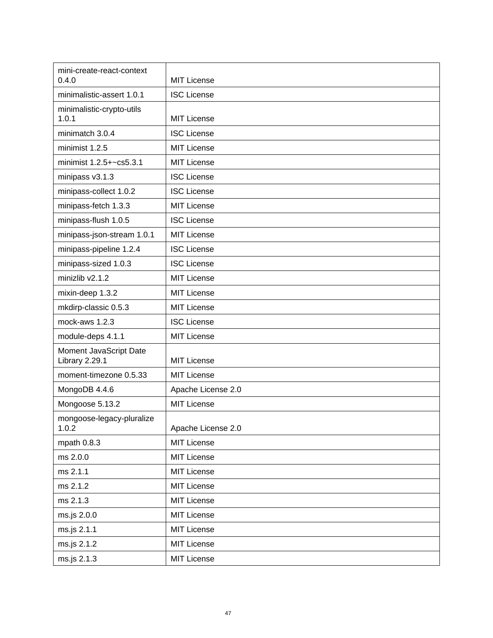| mini-create-react-context<br>0.4.0       | <b>MIT License</b> |
|------------------------------------------|--------------------|
| minimalistic-assert 1.0.1                | <b>ISC License</b> |
| minimalistic-crypto-utils<br>1.0.1       | <b>MIT License</b> |
| minimatch 3.0.4                          | <b>ISC License</b> |
| minimist 1.2.5                           | <b>MIT License</b> |
| minimist 1.2.5+~cs5.3.1                  | <b>MIT License</b> |
| minipass v3.1.3                          | <b>ISC License</b> |
| minipass-collect 1.0.2                   | <b>ISC License</b> |
| minipass-fetch 1.3.3                     | <b>MIT License</b> |
| minipass-flush 1.0.5                     | <b>ISC License</b> |
| minipass-json-stream 1.0.1               | <b>MIT License</b> |
| minipass-pipeline 1.2.4                  | <b>ISC License</b> |
| minipass-sized 1.0.3                     | <b>ISC License</b> |
| minizlib v2.1.2                          | <b>MIT License</b> |
| mixin-deep 1.3.2                         | <b>MIT License</b> |
| mkdirp-classic 0.5.3                     | <b>MIT License</b> |
| mock-aws 1.2.3                           | <b>ISC License</b> |
| module-deps 4.1.1                        | <b>MIT License</b> |
| Moment JavaScript Date<br>Library 2.29.1 | <b>MIT License</b> |
| moment-timezone 0.5.33                   | <b>MIT License</b> |
| MongoDB 4.4.6                            | Apache License 2.0 |
| Mongoose 5.13.2                          | <b>MIT License</b> |
| mongoose-legacy-pluralize<br>1.0.2       | Apache License 2.0 |
| mpath 0.8.3                              | <b>MIT License</b> |
| ms 2.0.0                                 | <b>MIT License</b> |
| ms 2.1.1                                 | <b>MIT License</b> |
| ms 2.1.2                                 | <b>MIT License</b> |
| ms 2.1.3                                 | <b>MIT License</b> |
| ms.js 2.0.0                              | <b>MIT License</b> |
| ms.js 2.1.1                              | <b>MIT License</b> |
| ms.js 2.1.2                              | <b>MIT License</b> |
| ms.js 2.1.3                              | <b>MIT License</b> |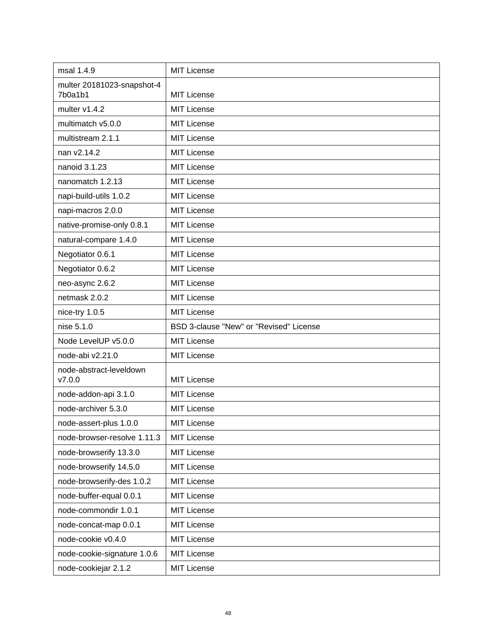| msal 1.4.9                            | <b>MIT License</b>                      |
|---------------------------------------|-----------------------------------------|
| multer 20181023-snapshot-4<br>7b0a1b1 | <b>MIT License</b>                      |
| multer v1.4.2                         | <b>MIT License</b>                      |
| multimatch v5.0.0                     | <b>MIT License</b>                      |
| multistream 2.1.1                     | <b>MIT License</b>                      |
| nan v2.14.2                           | <b>MIT License</b>                      |
| nanoid 3.1.23                         | <b>MIT License</b>                      |
| nanomatch 1.2.13                      | <b>MIT License</b>                      |
| napi-build-utils 1.0.2                | <b>MIT License</b>                      |
| napi-macros 2.0.0                     | <b>MIT License</b>                      |
| native-promise-only 0.8.1             | <b>MIT License</b>                      |
| natural-compare 1.4.0                 | <b>MIT License</b>                      |
| Negotiator 0.6.1                      | <b>MIT License</b>                      |
| Negotiator 0.6.2                      | <b>MIT License</b>                      |
| neo-async 2.6.2                       | <b>MIT License</b>                      |
| netmask 2.0.2                         | <b>MIT License</b>                      |
| nice-try 1.0.5                        | <b>MIT License</b>                      |
|                                       |                                         |
| nise 5.1.0                            | BSD 3-clause "New" or "Revised" License |
| Node LevelUP v5.0.0                   | <b>MIT License</b>                      |
| node-abi v2.21.0                      | <b>MIT License</b>                      |
| node-abstract-leveldown<br>V7.0.0     | <b>MIT License</b>                      |
| node-addon-api 3.1.0                  | <b>MIT License</b>                      |
| node-archiver 5.3.0                   | <b>MIT License</b>                      |
| node-assert-plus 1.0.0                | MIT License                             |
| node-browser-resolve 1.11.3           | <b>MIT License</b>                      |
| node-browserify 13.3.0                | <b>MIT License</b>                      |
| node-browserify 14.5.0                | <b>MIT License</b>                      |
| node-browserify-des 1.0.2             | MIT License                             |
| node-buffer-equal 0.0.1               | <b>MIT License</b>                      |
| node-commondir 1.0.1                  | MIT License                             |
| node-concat-map 0.0.1                 | <b>MIT License</b>                      |
| node-cookie v0.4.0                    | <b>MIT License</b>                      |
| node-cookie-signature 1.0.6           | <b>MIT License</b>                      |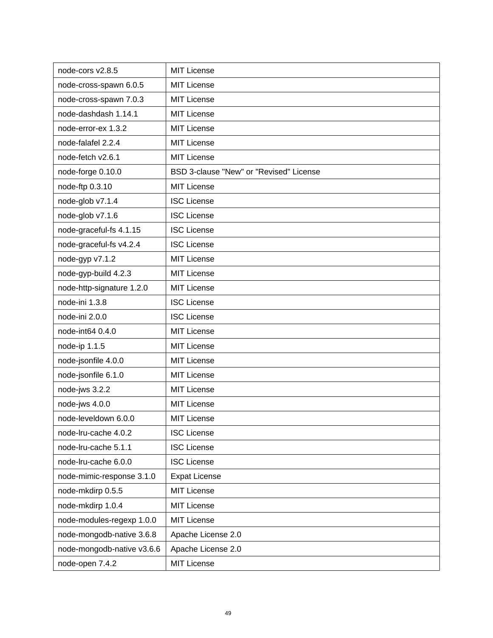| node-cors v2.8.5           | <b>MIT License</b>                      |
|----------------------------|-----------------------------------------|
| node-cross-spawn 6.0.5     | <b>MIT License</b>                      |
| node-cross-spawn 7.0.3     | <b>MIT License</b>                      |
| node-dashdash 1.14.1       | <b>MIT License</b>                      |
| node-error-ex 1.3.2        | <b>MIT License</b>                      |
| node-falafel 2.2.4         | <b>MIT License</b>                      |
| node-fetch v2.6.1          | <b>MIT License</b>                      |
| node-forge 0.10.0          | BSD 3-clause "New" or "Revised" License |
| node-ftp 0.3.10            | <b>MIT License</b>                      |
| node-glob v7.1.4           | <b>ISC License</b>                      |
| node-glob v7.1.6           | <b>ISC License</b>                      |
| node-graceful-fs 4.1.15    | <b>ISC License</b>                      |
| node-graceful-fs v4.2.4    | <b>ISC License</b>                      |
| node-gyp v7.1.2            | <b>MIT License</b>                      |
| node-gyp-build 4.2.3       | <b>MIT License</b>                      |
| node-http-signature 1.2.0  | <b>MIT License</b>                      |
| node-ini 1.3.8             | <b>ISC License</b>                      |
| node-ini 2.0.0             | <b>ISC License</b>                      |
| node-int64 0.4.0           | <b>MIT License</b>                      |
| node-ip 1.1.5              | <b>MIT License</b>                      |
| node-jsonfile 4.0.0        | <b>MIT License</b>                      |
| node-jsonfile 6.1.0        | <b>MIT License</b>                      |
| node-jws 3.2.2             | <b>MIT License</b>                      |
| node-jws 4.0.0             | <b>MIT License</b>                      |
| node-leveldown 6.0.0       | <b>MIT License</b>                      |
| node-Iru-cache 4.0.2       | <b>ISC License</b>                      |
| node-Iru-cache 5.1.1       | <b>ISC License</b>                      |
| node-Iru-cache 6.0.0       | <b>ISC License</b>                      |
| node-mimic-response 3.1.0  | <b>Expat License</b>                    |
| node-mkdirp 0.5.5          | <b>MIT License</b>                      |
| node-mkdirp 1.0.4          | <b>MIT License</b>                      |
| node-modules-regexp 1.0.0  | <b>MIT License</b>                      |
| node-mongodb-native 3.6.8  | Apache License 2.0                      |
| node-mongodb-native v3.6.6 | Apache License 2.0                      |
| node-open 7.4.2            | <b>MIT License</b>                      |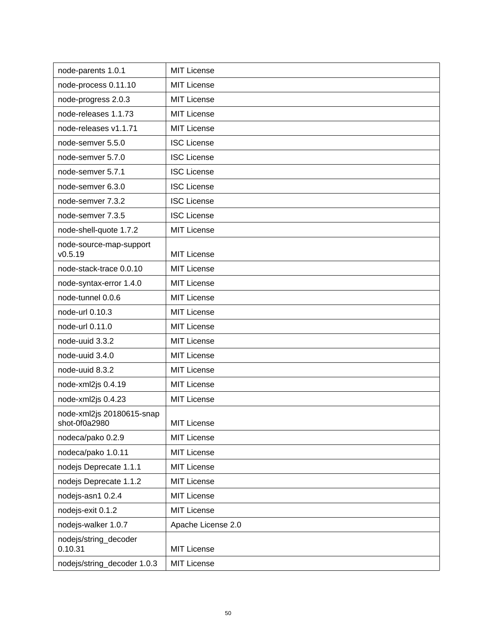| node-parents 1.0.1                         | <b>MIT License</b> |
|--------------------------------------------|--------------------|
| node-process 0.11.10                       | <b>MIT License</b> |
| node-progress 2.0.3                        | <b>MIT License</b> |
| node-releases 1.1.73                       | <b>MIT License</b> |
| node-releases v1.1.71                      | <b>MIT License</b> |
| node-semver 5.5.0                          | <b>ISC License</b> |
| node-semver 5.7.0                          | <b>ISC License</b> |
| node-semver 5.7.1                          | <b>ISC License</b> |
| node-semver 6.3.0                          | <b>ISC License</b> |
| node-semver 7.3.2                          | <b>ISC License</b> |
| node-semver 7.3.5                          | <b>ISC License</b> |
| node-shell-quote 1.7.2                     | <b>MIT License</b> |
| node-source-map-support<br>v0.5.19         | <b>MIT License</b> |
| node-stack-trace 0.0.10                    | <b>MIT License</b> |
| node-syntax-error 1.4.0                    | <b>MIT License</b> |
| node-tunnel 0.0.6                          | <b>MIT License</b> |
| node-url 0.10.3                            | <b>MIT License</b> |
| node-url 0.11.0                            | <b>MIT License</b> |
| node-uuid 3.3.2                            | <b>MIT License</b> |
| node-uuid 3.4.0                            | <b>MIT License</b> |
| node-uuid 8.3.2                            | <b>MIT License</b> |
|                                            |                    |
| node-xml2js 0.4.19                         | <b>MIT License</b> |
| node-xml2js 0.4.23                         | MIT License        |
| node-xml2js 20180615-snap<br>shot-0f0a2980 | MIT License        |
| nodeca/pako 0.2.9                          | <b>MIT License</b> |
| nodeca/pako 1.0.11                         | <b>MIT License</b> |
| nodejs Deprecate 1.1.1                     | MIT License        |
| nodejs Deprecate 1.1.2                     | <b>MIT License</b> |
| nodejs-asn1 0.2.4                          | MIT License        |
| nodejs-exit 0.1.2                          | <b>MIT License</b> |
| nodejs-walker 1.0.7                        | Apache License 2.0 |
| nodejs/string_decoder<br>0.10.31           | <b>MIT License</b> |
| nodejs/string_decoder 1.0.3                | <b>MIT License</b> |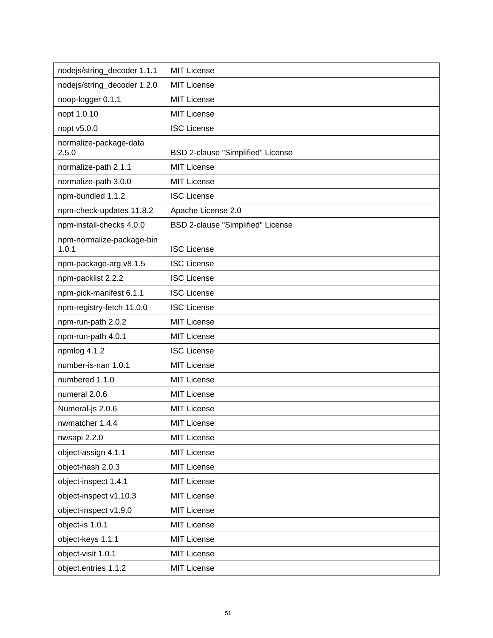| nodejs/string_decoder 1.1.1        | <b>MIT License</b>                       |
|------------------------------------|------------------------------------------|
| nodejs/string_decoder 1.2.0        | <b>MIT License</b>                       |
| noop-logger 0.1.1                  | <b>MIT License</b>                       |
| nopt 1.0.10                        | <b>MIT License</b>                       |
| nopt v5.0.0                        | <b>ISC License</b>                       |
| normalize-package-data             |                                          |
| 2.5.0                              | <b>BSD 2-clause "Simplified" License</b> |
| normalize-path 2.1.1               | <b>MIT License</b>                       |
| normalize-path 3.0.0               | <b>MIT License</b>                       |
| npm-bundled 1.1.2                  | <b>ISC License</b>                       |
| npm-check-updates 11.8.2           | Apache License 2.0                       |
| npm-install-checks 4.0.0           | BSD 2-clause "Simplified" License        |
| npm-normalize-package-bin<br>1.0.1 | <b>ISC License</b>                       |
| npm-package-arg v8.1.5             | <b>ISC License</b>                       |
| npm-packlist 2.2.2                 | <b>ISC License</b>                       |
| npm-pick-manifest 6.1.1            | <b>ISC License</b>                       |
| npm-registry-fetch 11.0.0          | <b>ISC License</b>                       |
| npm-run-path 2.0.2                 | <b>MIT License</b>                       |
| npm-run-path 4.0.1                 | <b>MIT License</b>                       |
| npmlog 4.1.2                       | <b>ISC License</b>                       |
| number-is-nan 1.0.1                | <b>MIT License</b>                       |
| numbered 1.1.0                     | <b>MIT License</b>                       |
| numeral 2.0.6                      | <b>MIT License</b>                       |
| Numeral-js 2.0.6                   | <b>MIT License</b>                       |
| nwmatcher 1.4.4                    | <b>MIT License</b>                       |
| nwsapi 2.2.0                       | <b>MIT License</b>                       |
| object-assign 4.1.1                | <b>MIT License</b>                       |
| object-hash 2.0.3                  | <b>MIT License</b>                       |
| object-inspect 1.4.1               | <b>MIT License</b>                       |
| object-inspect v1.10.3             | MIT License                              |
| object-inspect v1.9.0              | <b>MIT License</b>                       |
| object-is 1.0.1                    | <b>MIT License</b>                       |
| object-keys 1.1.1                  | <b>MIT License</b>                       |
| object-visit 1.0.1                 | <b>MIT License</b>                       |
| object.entries 1.1.2               | <b>MIT License</b>                       |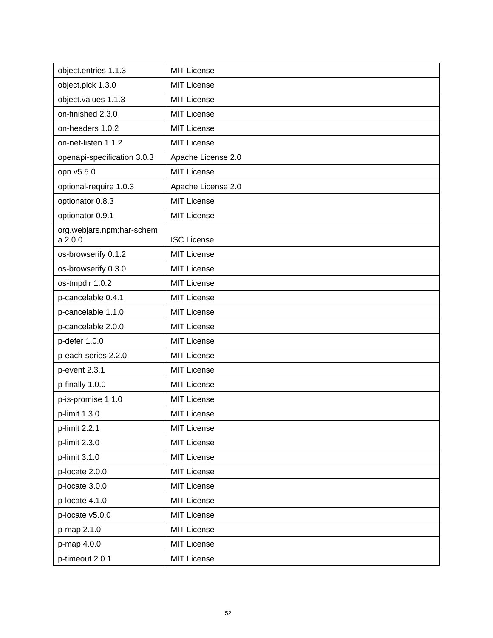| object.entries 1.1.3                 | <b>MIT License</b> |
|--------------------------------------|--------------------|
| object.pick 1.3.0                    | <b>MIT License</b> |
| object.values 1.1.3                  | <b>MIT License</b> |
| on-finished 2.3.0                    | <b>MIT License</b> |
| on-headers 1.0.2                     | <b>MIT License</b> |
| on-net-listen 1.1.2                  | <b>MIT License</b> |
| openapi-specification 3.0.3          | Apache License 2.0 |
| opn v5.5.0                           | <b>MIT License</b> |
| optional-require 1.0.3               | Apache License 2.0 |
| optionator 0.8.3                     | <b>MIT License</b> |
| optionator 0.9.1                     | <b>MIT License</b> |
| org.webjars.npm:har-schem<br>a 2.0.0 | <b>ISC License</b> |
| os-browserify 0.1.2                  | <b>MIT License</b> |
| os-browserify 0.3.0                  | <b>MIT License</b> |
| os-tmpdir 1.0.2                      | <b>MIT License</b> |
| p-cancelable 0.4.1                   | <b>MIT License</b> |
| p-cancelable 1.1.0                   | <b>MIT License</b> |
| p-cancelable 2.0.0                   | <b>MIT License</b> |
| p-defer 1.0.0                        | <b>MIT License</b> |
| p-each-series 2.2.0                  | <b>MIT License</b> |
| p-event 2.3.1                        | <b>MIT License</b> |
| p-finally 1.0.0                      | <b>MIT License</b> |
| p-is-promise 1.1.0                   | <b>MIT License</b> |
| p-limit 1.3.0                        | <b>MIT License</b> |
| p-limit 2.2.1                        | <b>MIT License</b> |
| p-limit 2.3.0                        | <b>MIT License</b> |
| p-limit 3.1.0                        | <b>MIT License</b> |
| p-locate 2.0.0                       | <b>MIT License</b> |
| p-locate 3.0.0                       | <b>MIT License</b> |
| p-locate 4.1.0                       | <b>MIT License</b> |
| p-locate v5.0.0                      | <b>MIT License</b> |
| p-map 2.1.0                          | <b>MIT License</b> |
| p-map 4.0.0                          | <b>MIT License</b> |
| p-timeout 2.0.1                      | <b>MIT License</b> |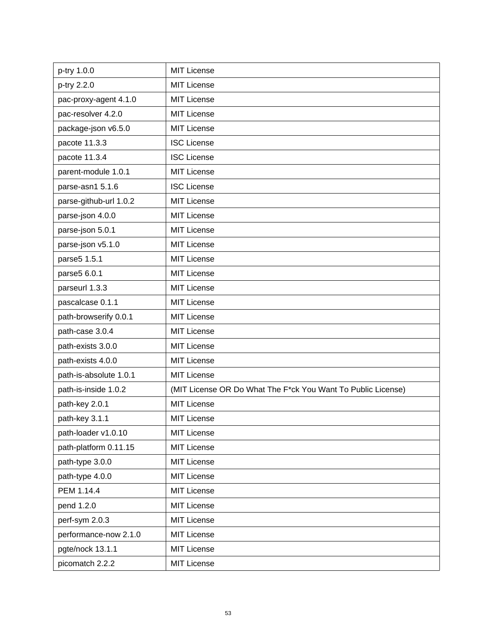| p-try 1.0.0            | <b>MIT License</b>                                           |
|------------------------|--------------------------------------------------------------|
| p-try 2.2.0            | <b>MIT License</b>                                           |
| pac-proxy-agent 4.1.0  | <b>MIT License</b>                                           |
| pac-resolver 4.2.0     | <b>MIT License</b>                                           |
| package-json v6.5.0    | MIT License                                                  |
| pacote 11.3.3          | <b>ISC License</b>                                           |
| pacote 11.3.4          | <b>ISC License</b>                                           |
| parent-module 1.0.1    | <b>MIT License</b>                                           |
| parse-asn1 5.1.6       | <b>ISC License</b>                                           |
| parse-github-url 1.0.2 | <b>MIT License</b>                                           |
| parse-json 4.0.0       | <b>MIT License</b>                                           |
| parse-json 5.0.1       | <b>MIT License</b>                                           |
| parse-json v5.1.0      | <b>MIT License</b>                                           |
| parse5 1.5.1           | <b>MIT License</b>                                           |
| parse5 6.0.1           | <b>MIT License</b>                                           |
| parseurl 1.3.3         | <b>MIT License</b>                                           |
| pascalcase 0.1.1       | <b>MIT License</b>                                           |
| path-browserify 0.0.1  | MIT License                                                  |
| path-case 3.0.4        | <b>MIT License</b>                                           |
| path-exists 3.0.0      | <b>MIT License</b>                                           |
| path-exists 4.0.0      | <b>MIT License</b>                                           |
| path-is-absolute 1.0.1 | <b>MIT License</b>                                           |
| path-is-inside 1.0.2   | (MIT License OR Do What The F*ck You Want To Public License) |
| path-key 2.0.1         | <b>MIT License</b>                                           |
| path-key 3.1.1         | <b>MIT License</b>                                           |
| path-loader v1.0.10    | <b>MIT License</b>                                           |
| path-platform 0.11.15  | <b>MIT License</b>                                           |
| path-type 3.0.0        | <b>MIT License</b>                                           |
| path-type 4.0.0        | <b>MIT License</b>                                           |
| PEM 1.14.4             | <b>MIT License</b>                                           |
| pend 1.2.0             | <b>MIT License</b>                                           |
| perf-sym 2.0.3         | <b>MIT License</b>                                           |
| performance-now 2.1.0  | <b>MIT License</b>                                           |
| pgte/nock 13.1.1       | <b>MIT License</b>                                           |
| picomatch 2.2.2        | <b>MIT License</b>                                           |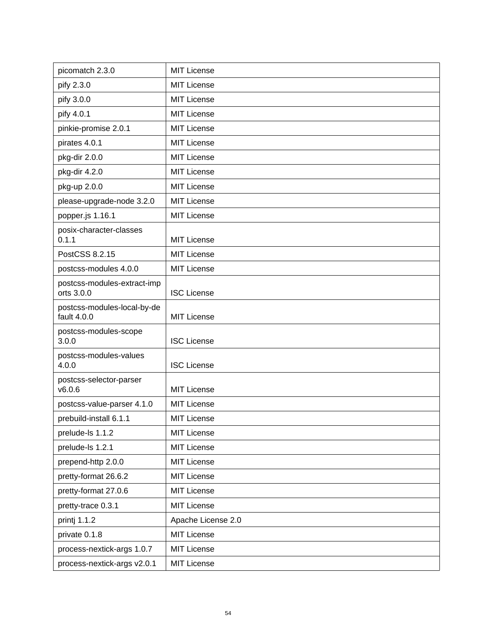| picomatch 2.3.0                            | <b>MIT License</b> |
|--------------------------------------------|--------------------|
| pify 2.3.0                                 | <b>MIT License</b> |
| pify 3.0.0                                 | <b>MIT License</b> |
| pify 4.0.1                                 | <b>MIT License</b> |
| pinkie-promise 2.0.1                       | <b>MIT License</b> |
| pirates 4.0.1                              | <b>MIT License</b> |
| pkg-dir 2.0.0                              | <b>MIT License</b> |
| pkg-dir 4.2.0                              | <b>MIT License</b> |
| pkg-up 2.0.0                               | <b>MIT License</b> |
| please-upgrade-node 3.2.0                  | <b>MIT License</b> |
| popper.js 1.16.1                           | <b>MIT License</b> |
| posix-character-classes<br>0.1.1           | <b>MIT License</b> |
| PostCSS 8.2.15                             | <b>MIT License</b> |
| postcss-modules 4.0.0                      | <b>MIT License</b> |
| postcss-modules-extract-imp<br>orts 3.0.0  | <b>ISC License</b> |
| postcss-modules-local-by-de<br>fault 4.0.0 | <b>MIT License</b> |
| postcss-modules-scope<br>3.0.0             | <b>ISC License</b> |
| postcss-modules-values<br>4.0.0            | <b>ISC License</b> |
| postcss-selector-parser<br>v6.0.6          | <b>MIT License</b> |
| postcss-value-parser 4.1.0                 | <b>MIT License</b> |
| prebuild-install 6.1.1                     | <b>MIT License</b> |
| prelude-ls 1.1.2                           | <b>MIT License</b> |
| prelude-ls 1.2.1                           | <b>MIT License</b> |
| prepend-http 2.0.0                         | <b>MIT License</b> |
| pretty-format 26.6.2                       | <b>MIT License</b> |
| pretty-format 27.0.6                       | <b>MIT License</b> |
| pretty-trace 0.3.1                         | <b>MIT License</b> |
| printj 1.1.2                               | Apache License 2.0 |
| private 0.1.8                              | <b>MIT License</b> |
| process-nextick-args 1.0.7                 | <b>MIT License</b> |
| process-nextick-args v2.0.1                | <b>MIT License</b> |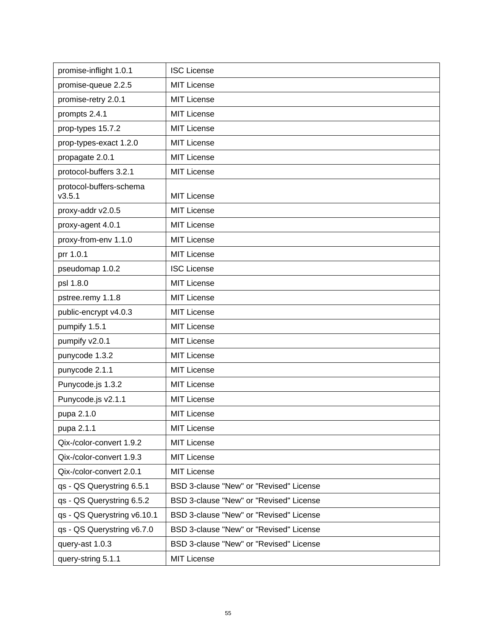| promise-inflight 1.0.1            | <b>ISC License</b>                      |
|-----------------------------------|-----------------------------------------|
| promise-queue 2.2.5               | <b>MIT License</b>                      |
| promise-retry 2.0.1               | <b>MIT License</b>                      |
| prompts 2.4.1                     | <b>MIT License</b>                      |
| prop-types 15.7.2                 | <b>MIT License</b>                      |
| prop-types-exact 1.2.0            | <b>MIT License</b>                      |
| propagate 2.0.1                   | <b>MIT License</b>                      |
| protocol-buffers 3.2.1            | <b>MIT License</b>                      |
| protocol-buffers-schema<br>v3.5.1 | <b>MIT License</b>                      |
| proxy-addr v2.0.5                 | <b>MIT License</b>                      |
| proxy-agent 4.0.1                 | <b>MIT License</b>                      |
| proxy-from-env 1.1.0              | <b>MIT License</b>                      |
| prr 1.0.1                         | <b>MIT License</b>                      |
| pseudomap 1.0.2                   | <b>ISC License</b>                      |
| psl 1.8.0                         | <b>MIT License</b>                      |
| pstree.remy 1.1.8                 | <b>MIT License</b>                      |
| public-encrypt v4.0.3             | <b>MIT License</b>                      |
| pumpify 1.5.1                     | <b>MIT License</b>                      |
| pumpify v2.0.1                    | <b>MIT License</b>                      |
| punycode 1.3.2                    | <b>MIT License</b>                      |
| punycode 2.1.1                    | <b>MIT License</b>                      |
| Punycode.js 1.3.2                 | <b>MIT License</b>                      |
| Punycode.js v2.1.1                | <b>MIT License</b>                      |
| pupa 2.1.0                        | <b>MIT License</b>                      |
| pupa 2.1.1                        | <b>MIT License</b>                      |
| Qix-/color-convert 1.9.2          | <b>MIT License</b>                      |
| Qix-/color-convert 1.9.3          | <b>MIT License</b>                      |
| Qix-/color-convert 2.0.1          | <b>MIT License</b>                      |
| qs - QS Querystring 6.5.1         | BSD 3-clause "New" or "Revised" License |
| qs - QS Querystring 6.5.2         | BSD 3-clause "New" or "Revised" License |
| qs - QS Querystring v6.10.1       | BSD 3-clause "New" or "Revised" License |
| qs - QS Querystring v6.7.0        | BSD 3-clause "New" or "Revised" License |
| query-ast 1.0.3                   | BSD 3-clause "New" or "Revised" License |
| query-string 5.1.1                | <b>MIT License</b>                      |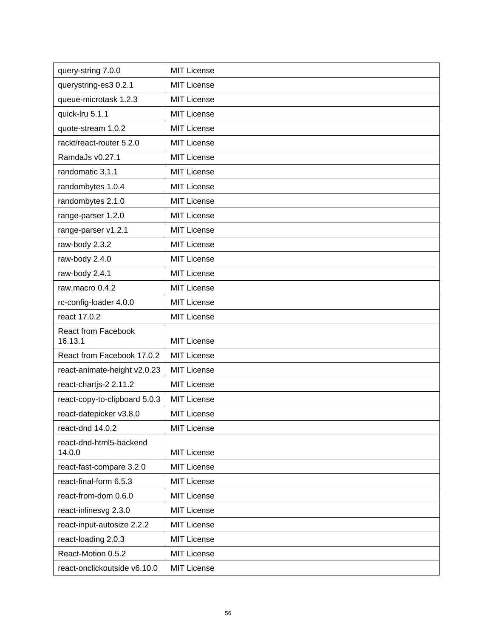| query-string 7.0.0                    | <b>MIT License</b> |
|---------------------------------------|--------------------|
| querystring-es3 0.2.1                 | <b>MIT License</b> |
| queue-microtask 1.2.3                 | <b>MIT License</b> |
| quick-Iru 5.1.1                       | <b>MIT License</b> |
| quote-stream 1.0.2                    | <b>MIT License</b> |
| rackt/react-router 5.2.0              | <b>MIT License</b> |
| RamdaJs v0.27.1                       | <b>MIT License</b> |
| randomatic 3.1.1                      | <b>MIT License</b> |
| randombytes 1.0.4                     | <b>MIT License</b> |
| randombytes 2.1.0                     | <b>MIT License</b> |
| range-parser 1.2.0                    | <b>MIT License</b> |
| range-parser v1.2.1                   | <b>MIT License</b> |
| raw-body 2.3.2                        | <b>MIT License</b> |
| raw-body 2.4.0                        | <b>MIT License</b> |
| raw-body 2.4.1                        | <b>MIT License</b> |
| raw.macro 0.4.2                       | <b>MIT License</b> |
| rc-config-loader 4.0.0                | <b>MIT License</b> |
| react 17.0.2                          | <b>MIT License</b> |
| <b>React from Facebook</b><br>16.13.1 | <b>MIT License</b> |
| React from Facebook 17.0.2            | <b>MIT License</b> |
| react-animate-height v2.0.23          | <b>MIT License</b> |
| react-chartjs-2 2.11.2                | <b>MIT License</b> |
| react-copy-to-clipboard 5.0.3         | <b>MIT License</b> |
| react-datepicker v3.8.0               | <b>MIT License</b> |
| react-dnd 14.0.2                      | <b>MIT License</b> |
| react-dnd-html5-backend<br>14.0.0     | <b>MIT License</b> |
| react-fast-compare 3.2.0              | <b>MIT License</b> |
| react-final-form 6.5.3                | <b>MIT License</b> |
| react-from-dom 0.6.0                  | <b>MIT License</b> |
| react-inlinesvg 2.3.0                 | <b>MIT License</b> |
| react-input-autosize 2.2.2            | <b>MIT License</b> |
| react-loading 2.0.3                   | <b>MIT License</b> |
| React-Motion 0.5.2                    | <b>MIT License</b> |
| react-onclickoutside v6.10.0          | MIT License        |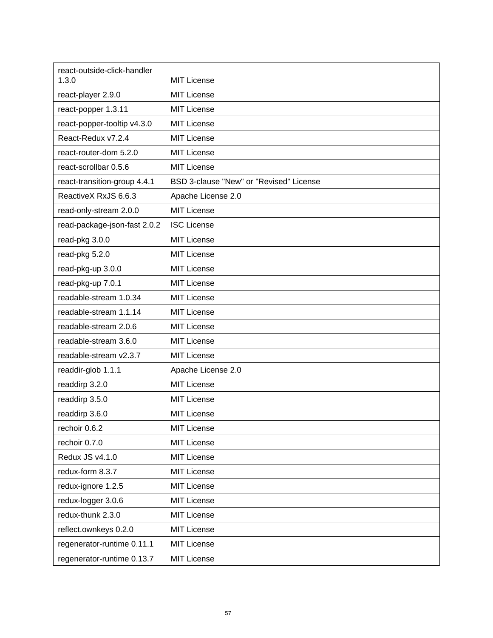| react-outside-click-handler<br>1.3.0 | <b>MIT License</b>                      |
|--------------------------------------|-----------------------------------------|
| react-player 2.9.0                   | <b>MIT License</b>                      |
| react-popper 1.3.11                  | <b>MIT License</b>                      |
| react-popper-tooltip v4.3.0          | <b>MIT License</b>                      |
| React-Redux v7.2.4                   | <b>MIT License</b>                      |
| react-router-dom 5.2.0               | <b>MIT License</b>                      |
| react-scrollbar 0.5.6                | <b>MIT License</b>                      |
| react-transition-group 4.4.1         | BSD 3-clause "New" or "Revised" License |
| ReactiveX RxJS 6.6.3                 | Apache License 2.0                      |
| read-only-stream 2.0.0               | <b>MIT License</b>                      |
| read-package-json-fast 2.0.2         | <b>ISC License</b>                      |
| read-pkg 3.0.0                       | <b>MIT License</b>                      |
| read-pkg 5.2.0                       | <b>MIT License</b>                      |
| read-pkg-up 3.0.0                    | <b>MIT License</b>                      |
| read-pkg-up 7.0.1                    | <b>MIT License</b>                      |
| readable-stream 1.0.34               | <b>MIT License</b>                      |
| readable-stream 1.1.14               | <b>MIT License</b>                      |
| readable-stream 2.0.6                | <b>MIT License</b>                      |
| readable-stream 3.6.0                | <b>MIT License</b>                      |
| readable-stream v2.3.7               | <b>MIT License</b>                      |
| readdir-glob 1.1.1                   | Apache License 2.0                      |
| readdirp 3.2.0                       | <b>MIT License</b>                      |
| readdirp 3.5.0                       | <b>MIT License</b>                      |
| readdirp 3.6.0                       | <b>MIT License</b>                      |
| rechoir 0.6.2                        | <b>MIT License</b>                      |
| rechoir 0.7.0                        | <b>MIT License</b>                      |
| Redux JS v4.1.0                      | <b>MIT License</b>                      |
| redux-form 8.3.7                     | <b>MIT License</b>                      |
| redux-ignore 1.2.5                   | <b>MIT License</b>                      |
| redux-logger 3.0.6                   | <b>MIT License</b>                      |
| redux-thunk 2.3.0                    | <b>MIT License</b>                      |
| reflect.ownkeys 0.2.0                | <b>MIT License</b>                      |
| regenerator-runtime 0.11.1           | <b>MIT License</b>                      |
| regenerator-runtime 0.13.7           | <b>MIT License</b>                      |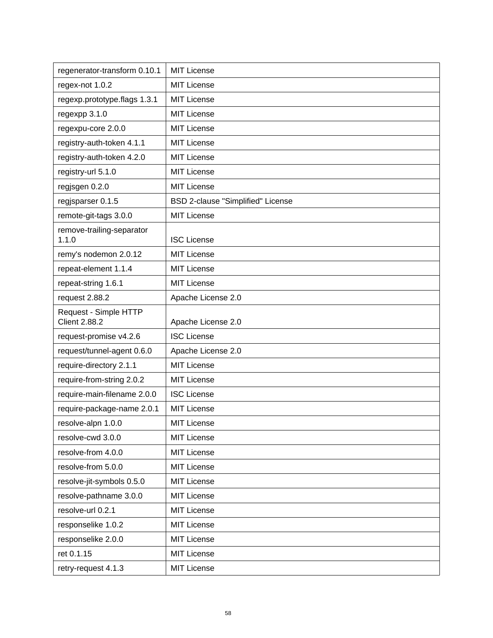| regenerator-transform 0.10.1                  | <b>MIT License</b>                |
|-----------------------------------------------|-----------------------------------|
| regex-not 1.0.2                               | <b>MIT License</b>                |
| regexp.prototype.flags 1.3.1                  | <b>MIT License</b>                |
| regexpp 3.1.0                                 | <b>MIT License</b>                |
| regexpu-core 2.0.0                            | <b>MIT License</b>                |
| registry-auth-token 4.1.1                     | <b>MIT License</b>                |
| registry-auth-token 4.2.0                     | <b>MIT License</b>                |
| registry-url 5.1.0                            | <b>MIT License</b>                |
| regjsgen 0.2.0                                | <b>MIT License</b>                |
| regjsparser 0.1.5                             | BSD 2-clause "Simplified" License |
| remote-git-tags 3.0.0                         | <b>MIT License</b>                |
| remove-trailing-separator                     |                                   |
| 1.1.0                                         | <b>ISC License</b>                |
| remy's nodemon 2.0.12                         | <b>MIT License</b>                |
| repeat-element 1.1.4                          | <b>MIT License</b>                |
| repeat-string 1.6.1                           | <b>MIT License</b>                |
| request 2.88.2                                | Apache License 2.0                |
| Request - Simple HTTP<br><b>Client 2.88.2</b> | Apache License 2.0                |
| request-promise v4.2.6                        | <b>ISC License</b>                |
| request/tunnel-agent 0.6.0                    | Apache License 2.0                |
| require-directory 2.1.1                       | <b>MIT License</b>                |
| require-from-string 2.0.2                     | <b>MIT License</b>                |
| require-main-filename 2.0.0                   | <b>ISC License</b>                |
| require-package-name 2.0.1                    | <b>MIT License</b>                |
| resolve-alpn 1.0.0                            | <b>MIT License</b>                |
| resolve-cwd 3.0.0                             | MIT License                       |
| resolve-from 4.0.0                            | <b>MIT License</b>                |
| resolve-from 5.0.0                            | MIT License                       |
| resolve-jit-symbols 0.5.0                     | <b>MIT License</b>                |
| resolve-pathname 3.0.0                        | MIT License                       |
| resolve-url 0.2.1                             | <b>MIT License</b>                |
| responselike 1.0.2                            | <b>MIT License</b>                |
| responselike 2.0.0                            | <b>MIT License</b>                |
| ret 0.1.15                                    | <b>MIT License</b>                |
| retry-request 4.1.3                           | <b>MIT License</b>                |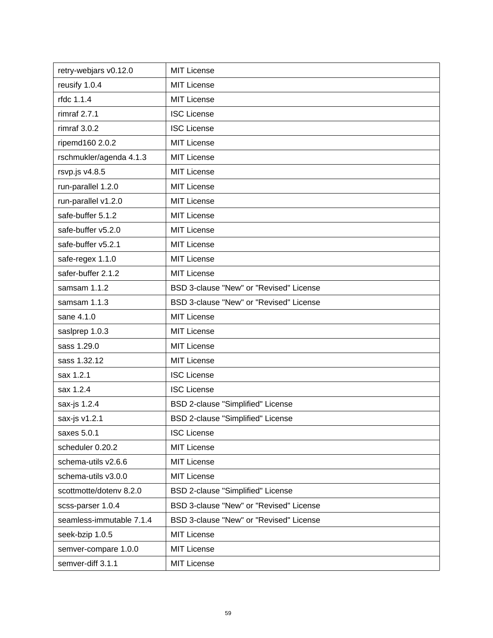| retry-webjars v0.12.0    | <b>MIT License</b>                       |
|--------------------------|------------------------------------------|
| reusify 1.0.4            | <b>MIT License</b>                       |
| rfdc 1.1.4               | <b>MIT License</b>                       |
| rimraf $2.7.1$           | <b>ISC License</b>                       |
| rimraf 3.0.2             | <b>ISC License</b>                       |
| ripemd160 2.0.2          | <b>MIT License</b>                       |
| rschmukler/agenda 4.1.3  | <b>MIT License</b>                       |
| rsvp.js v4.8.5           | <b>MIT License</b>                       |
| run-parallel 1.2.0       | <b>MIT License</b>                       |
| run-parallel v1.2.0      | MIT License                              |
| safe-buffer 5.1.2        | <b>MIT License</b>                       |
| safe-buffer v5.2.0       | <b>MIT License</b>                       |
| safe-buffer v5.2.1       | <b>MIT License</b>                       |
| safe-regex 1.1.0         | <b>MIT License</b>                       |
| safer-buffer 2.1.2       | <b>MIT License</b>                       |
| samsam 1.1.2             | BSD 3-clause "New" or "Revised" License  |
| samsam 1.1.3             | BSD 3-clause "New" or "Revised" License  |
| sane 4.1.0               | <b>MIT License</b>                       |
| saslprep 1.0.3           | <b>MIT License</b>                       |
| sass 1.29.0              | <b>MIT License</b>                       |
| sass 1.32.12             | <b>MIT License</b>                       |
| sax 1.2.1                | <b>ISC License</b>                       |
| sax 1.2.4                | <b>ISC License</b>                       |
| sax-js 1.2.4             | <b>BSD 2-clause "Simplified" License</b> |
| sax-js v1.2.1            | BSD 2-clause "Simplified" License        |
| saxes 5.0.1              | <b>ISC License</b>                       |
| scheduler 0.20.2         | <b>MIT License</b>                       |
| schema-utils v2.6.6      | <b>MIT License</b>                       |
| schema-utils v3.0.0      | MIT License                              |
| scottmotte/dotenv 8.2.0  | BSD 2-clause "Simplified" License        |
| scss-parser 1.0.4        | BSD 3-clause "New" or "Revised" License  |
| seamless-immutable 7.1.4 | BSD 3-clause "New" or "Revised" License  |
| seek-bzip 1.0.5          | <b>MIT License</b>                       |
| semver-compare 1.0.0     | <b>MIT License</b>                       |
| semver-diff 3.1.1        | <b>MIT License</b>                       |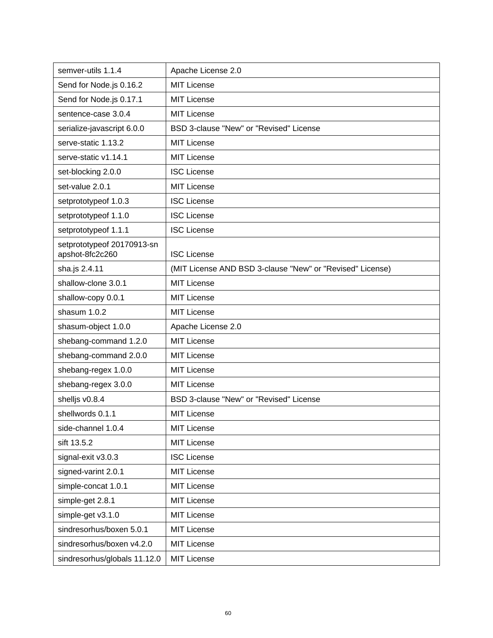| semver-utils 1.1.4                            | Apache License 2.0                                        |
|-----------------------------------------------|-----------------------------------------------------------|
| Send for Node.js 0.16.2                       | <b>MIT License</b>                                        |
| Send for Node js 0.17.1                       | <b>MIT License</b>                                        |
| sentence-case 3.0.4                           | <b>MIT License</b>                                        |
| serialize-javascript 6.0.0                    | BSD 3-clause "New" or "Revised" License                   |
| serve-static 1.13.2                           | <b>MIT License</b>                                        |
| serve-static v1.14.1                          | <b>MIT License</b>                                        |
| set-blocking 2.0.0                            | <b>ISC License</b>                                        |
| set-value 2.0.1                               | <b>MIT License</b>                                        |
| setprototypeof 1.0.3                          | <b>ISC License</b>                                        |
| setprototypeof 1.1.0                          | <b>ISC License</b>                                        |
| setprototypeof 1.1.1                          | <b>ISC License</b>                                        |
| setprototypeof 20170913-sn<br>apshot-8fc2c260 | <b>ISC License</b>                                        |
| sha.js 2.4.11                                 | (MIT License AND BSD 3-clause "New" or "Revised" License) |
| shallow-clone 3.0.1                           | <b>MIT License</b>                                        |
| shallow-copy 0.0.1                            | <b>MIT License</b>                                        |
| shasum 1.0.2                                  | <b>MIT License</b>                                        |
| shasum-object 1.0.0                           | Apache License 2.0                                        |
| shebang-command 1.2.0                         | <b>MIT License</b>                                        |
| shebang-command 2.0.0                         | <b>MIT License</b>                                        |
| shebang-regex 1.0.0                           | <b>MIT License</b>                                        |
| shebang-regex 3.0.0                           | <b>MIT License</b>                                        |
| shelljs v0.8.4                                | BSD 3-clause "New" or "Revised" License                   |
| shellwords 0.1.1                              | <b>MIT License</b>                                        |
| side-channel 1.0.4                            | <b>MIT License</b>                                        |
| sift 13.5.2                                   | <b>MIT License</b>                                        |
| signal-exit v3.0.3                            | <b>ISC License</b>                                        |
| signed-varint 2.0.1                           | <b>MIT License</b>                                        |
| simple-concat 1.0.1                           | <b>MIT License</b>                                        |
| simple-get 2.8.1                              | <b>MIT License</b>                                        |
| simple-get v3.1.0                             | <b>MIT License</b>                                        |
| sindresorhus/boxen 5.0.1                      | <b>MIT License</b>                                        |
| sindresorhus/boxen v4.2.0                     | <b>MIT License</b>                                        |
| sindresorhus/globals 11.12.0                  | <b>MIT License</b>                                        |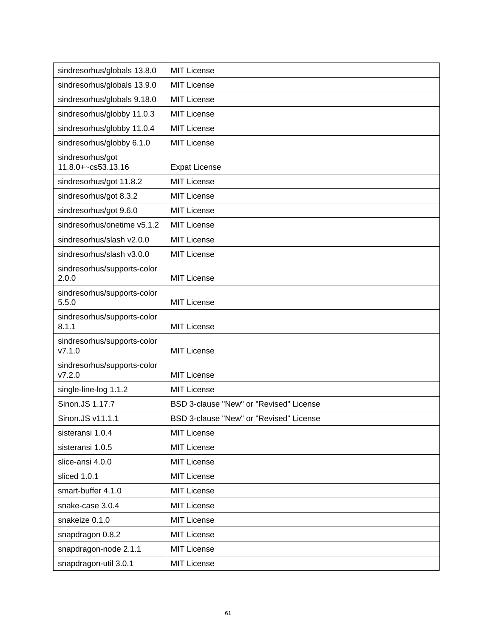| sindresorhus/globals 13.8.0            | <b>MIT License</b>                      |
|----------------------------------------|-----------------------------------------|
| sindresorhus/globals 13.9.0            | <b>MIT License</b>                      |
| sindresorhus/globals 9.18.0            | <b>MIT License</b>                      |
| sindresorhus/globby 11.0.3             | <b>MIT License</b>                      |
| sindresorhus/globby 11.0.4             | <b>MIT License</b>                      |
| sindresorhus/globby 6.1.0              | <b>MIT License</b>                      |
| sindresorhus/got<br>11.8.0+~cs53.13.16 | <b>Expat License</b>                    |
| sindresorhus/got 11.8.2                | <b>MIT License</b>                      |
| sindresorhus/got 8.3.2                 | <b>MIT License</b>                      |
| sindresorhus/got 9.6.0                 | <b>MIT License</b>                      |
| sindresorhus/onetime v5.1.2            | <b>MIT License</b>                      |
| sindresorhus/slash v2.0.0              | <b>MIT License</b>                      |
| sindresorhus/slash v3.0.0              | <b>MIT License</b>                      |
| sindresorhus/supports-color<br>2.0.0   | <b>MIT License</b>                      |
| sindresorhus/supports-color<br>5.5.0   | <b>MIT License</b>                      |
| sindresorhus/supports-color<br>8.1.1   | <b>MIT License</b>                      |
| sindresorhus/supports-color<br>V7.1.0  | <b>MIT License</b>                      |
| sindresorhus/supports-color<br>V7.2.0  | <b>MIT License</b>                      |
| single-line-log 1.1.2                  | <b>MIT License</b>                      |
| Sinon.JS 1.17.7                        | BSD 3-clause "New" or "Revised" License |
| Sinon.JS v11.1.1                       | BSD 3-clause "New" or "Revised" License |
| sisteransi 1.0.4                       | <b>MIT License</b>                      |
| sisteransi 1.0.5                       | <b>MIT License</b>                      |
| slice-ansi 4.0.0                       | MIT License                             |
| sliced 1.0.1                           | <b>MIT License</b>                      |
| smart-buffer 4.1.0                     | <b>MIT License</b>                      |
| snake-case 3.0.4                       | <b>MIT License</b>                      |
| snakeize 0.1.0                         | MIT License                             |
| snapdragon 0.8.2                       | <b>MIT License</b>                      |
| snapdragon-node 2.1.1                  | <b>MIT License</b>                      |
| snapdragon-util 3.0.1                  | <b>MIT License</b>                      |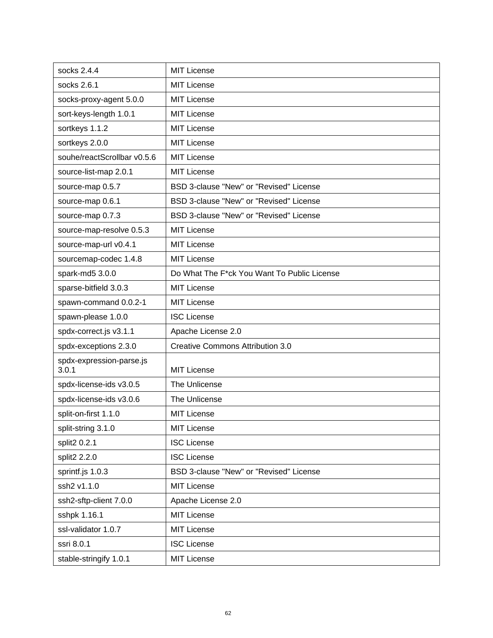| socks 2.4.4                       | <b>MIT License</b>                          |
|-----------------------------------|---------------------------------------------|
| socks 2.6.1                       | <b>MIT License</b>                          |
| socks-proxy-agent 5.0.0           | <b>MIT License</b>                          |
| sort-keys-length 1.0.1            | <b>MIT License</b>                          |
| sortkeys 1.1.2                    | <b>MIT License</b>                          |
| sortkeys 2.0.0                    | <b>MIT License</b>                          |
| souhe/reactScrollbar v0.5.6       | <b>MIT License</b>                          |
| source-list-map 2.0.1             | <b>MIT License</b>                          |
| source-map 0.5.7                  | BSD 3-clause "New" or "Revised" License     |
| source-map 0.6.1                  | BSD 3-clause "New" or "Revised" License     |
| source-map 0.7.3                  | BSD 3-clause "New" or "Revised" License     |
| source-map-resolve 0.5.3          | <b>MIT License</b>                          |
| source-map-url v0.4.1             | <b>MIT License</b>                          |
| sourcemap-codec 1.4.8             | <b>MIT License</b>                          |
| spark-md5 3.0.0                   | Do What The F*ck You Want To Public License |
| sparse-bitfield 3.0.3             | <b>MIT License</b>                          |
| spawn-command 0.0.2-1             | <b>MIT License</b>                          |
| spawn-please 1.0.0                | <b>ISC License</b>                          |
| spdx-correct.js v3.1.1            | Apache License 2.0                          |
| spdx-exceptions 2.3.0             | <b>Creative Commons Attribution 3.0</b>     |
| spdx-expression-parse.js<br>3.0.1 | <b>MIT License</b>                          |
| spdx-license-ids v3.0.5           | The Unlicense                               |
| spdx-license-ids v3.0.6           | The Unlicense                               |
| split-on-first 1.1.0              | <b>MIT License</b>                          |
| split-string 3.1.0                | <b>MIT License</b>                          |
| split2 0.2.1                      | <b>ISC License</b>                          |
| split2 2.2.0                      | <b>ISC License</b>                          |
| sprintf.js 1.0.3                  | BSD 3-clause "New" or "Revised" License     |
| ssh2 v1.1.0                       | <b>MIT License</b>                          |
| ssh2-sftp-client 7.0.0            | Apache License 2.0                          |
| sshpk 1.16.1                      | <b>MIT License</b>                          |
| ssl-validator 1.0.7               | <b>MIT License</b>                          |
| ssri 8.0.1                        | <b>ISC License</b>                          |
| stable-stringify 1.0.1            | <b>MIT License</b>                          |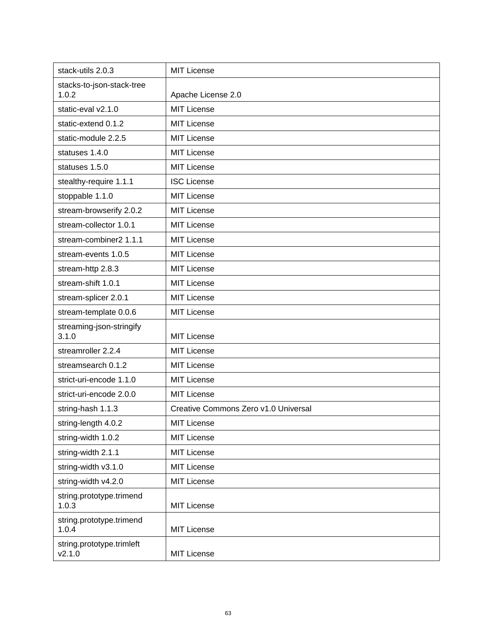| stack-utils 2.0.3                   | <b>MIT License</b>                   |
|-------------------------------------|--------------------------------------|
| stacks-to-json-stack-tree<br>1.0.2  | Apache License 2.0                   |
| static-eval v2.1.0                  | <b>MIT License</b>                   |
| static-extend 0.1.2                 | <b>MIT License</b>                   |
| static-module 2.2.5                 | <b>MIT License</b>                   |
| statuses 1.4.0                      | <b>MIT License</b>                   |
| statuses 1.5.0                      | <b>MIT License</b>                   |
| stealthy-require 1.1.1              | <b>ISC License</b>                   |
| stoppable 1.1.0                     | <b>MIT License</b>                   |
| stream-browserify 2.0.2             | <b>MIT License</b>                   |
| stream-collector 1.0.1              | <b>MIT License</b>                   |
| stream-combiner2 1.1.1              | <b>MIT License</b>                   |
| stream-events 1.0.5                 | <b>MIT License</b>                   |
| stream-http 2.8.3                   | <b>MIT License</b>                   |
| stream-shift 1.0.1                  | <b>MIT License</b>                   |
| stream-splicer 2.0.1                | <b>MIT License</b>                   |
| stream-template 0.0.6               | <b>MIT License</b>                   |
| streaming-json-stringify<br>3.1.0   | <b>MIT License</b>                   |
| streamroller 2.2.4                  | <b>MIT License</b>                   |
| streamsearch 0.1.2                  | <b>MIT License</b>                   |
| strict-uri-encode 1.1.0             | <b>MIT License</b>                   |
| strict-uri-encode 2.0.0             | <b>MIT License</b>                   |
| string-hash 1.1.3                   | Creative Commons Zero v1.0 Universal |
| string-length 4.0.2                 | MIT License                          |
| string-width 1.0.2                  | <b>MIT License</b>                   |
| string-width 2.1.1                  | <b>MIT License</b>                   |
| string-width v3.1.0                 | <b>MIT License</b>                   |
| string-width v4.2.0                 | <b>MIT License</b>                   |
| string.prototype.trimend<br>1.0.3   | <b>MIT License</b>                   |
| string.prototype.trimend<br>1.0.4   | <b>MIT License</b>                   |
| string.prototype.trimleft<br>V2.1.0 | <b>MIT License</b>                   |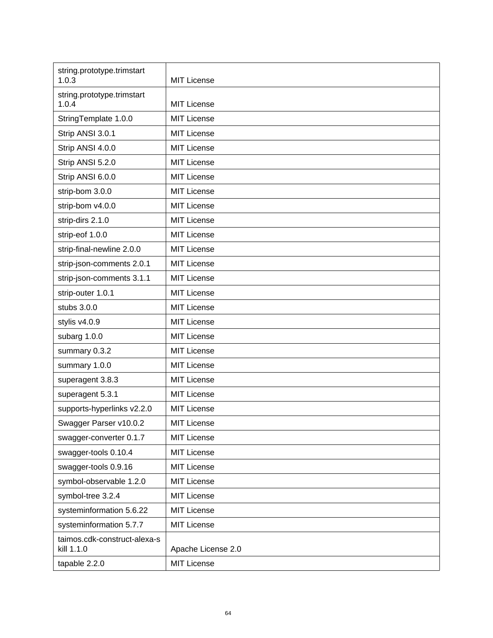| string.prototype.trimstart<br>1.0.3        | <b>MIT License</b> |
|--------------------------------------------|--------------------|
| string.prototype.trimstart<br>1.0.4        | <b>MIT License</b> |
| StringTemplate 1.0.0                       | <b>MIT License</b> |
| Strip ANSI 3.0.1                           | <b>MIT License</b> |
| Strip ANSI 4.0.0                           | <b>MIT License</b> |
| Strip ANSI 5.2.0                           | <b>MIT License</b> |
| Strip ANSI 6.0.0                           | <b>MIT License</b> |
| strip-bom 3.0.0                            | <b>MIT License</b> |
| strip-bom v4.0.0                           | <b>MIT License</b> |
| strip-dirs 2.1.0                           | <b>MIT License</b> |
| strip-eof 1.0.0                            | <b>MIT License</b> |
| strip-final-newline 2.0.0                  | <b>MIT License</b> |
| strip-json-comments 2.0.1                  | <b>MIT License</b> |
| strip-json-comments 3.1.1                  | <b>MIT License</b> |
| strip-outer 1.0.1                          | <b>MIT License</b> |
| stubs 3.0.0                                | <b>MIT License</b> |
| stylis v4.0.9                              | <b>MIT License</b> |
| subarg 1.0.0                               | <b>MIT License</b> |
| summary 0.3.2                              | <b>MIT License</b> |
| summary 1.0.0                              | <b>MIT License</b> |
| superagent 3.8.3                           | <b>MIT License</b> |
| superagent 5.3.1                           | <b>MIT License</b> |
| supports-hyperlinks v2.2.0                 | <b>MIT License</b> |
| Swagger Parser v10.0.2                     | MIT License        |
| swagger-converter 0.1.7                    | <b>MIT License</b> |
| swagger-tools 0.10.4                       | <b>MIT License</b> |
| swagger-tools 0.9.16                       | <b>MIT License</b> |
| symbol-observable 1.2.0                    | <b>MIT License</b> |
| symbol-tree 3.2.4                          | <b>MIT License</b> |
| systeminformation 5.6.22                   | <b>MIT License</b> |
| systeminformation 5.7.7                    | <b>MIT License</b> |
| taimos.cdk-construct-alexa-s<br>kill 1.1.0 | Apache License 2.0 |
| tapable 2.2.0                              | <b>MIT License</b> |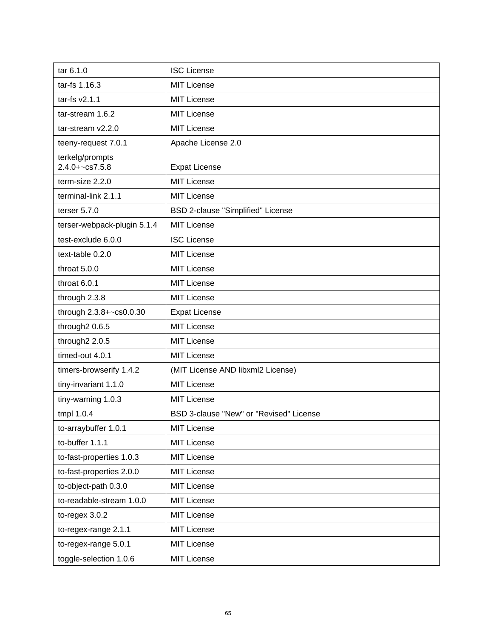| tar 6.1.0                             | <b>ISC License</b>                      |
|---------------------------------------|-----------------------------------------|
| tar-fs 1.16.3                         | <b>MIT License</b>                      |
| tar-fs v2.1.1                         | <b>MIT License</b>                      |
| tar-stream 1.6.2                      | <b>MIT License</b>                      |
| tar-stream v2.2.0                     | <b>MIT License</b>                      |
| teeny-request 7.0.1                   | Apache License 2.0                      |
| terkelg/prompts<br>$2.4.0 + -cs7.5.8$ | <b>Expat License</b>                    |
| term-size 2.2.0                       | <b>MIT License</b>                      |
| terminal-link 2.1.1                   | <b>MIT License</b>                      |
| terser $5.7.0$                        | BSD 2-clause "Simplified" License       |
| terser-webpack-plugin 5.1.4           | <b>MIT License</b>                      |
| test-exclude 6.0.0                    | <b>ISC License</b>                      |
| text-table 0.2.0                      | <b>MIT License</b>                      |
| throat 5.0.0                          | <b>MIT License</b>                      |
| throat 6.0.1                          | <b>MIT License</b>                      |
| through 2.3.8                         | <b>MIT License</b>                      |
| through 2.3.8+~cs0.0.30               | <b>Expat License</b>                    |
| through2 0.6.5                        | <b>MIT License</b>                      |
| through2 2.0.5                        | <b>MIT License</b>                      |
| timed-out 4.0.1                       | <b>MIT License</b>                      |
| timers-browserify 1.4.2               | (MIT License AND libxml2 License)       |
| tiny-invariant 1.1.0                  | <b>MIT License</b>                      |
| tiny-warning 1.0.3                    | <b>MIT License</b>                      |
| tmpl 1.0.4                            | BSD 3-clause "New" or "Revised" License |
| to-arraybuffer 1.0.1                  | MIT License                             |
| to-buffer 1.1.1                       | <b>MIT License</b>                      |
| to-fast-properties 1.0.3              | <b>MIT License</b>                      |
| to-fast-properties 2.0.0              | <b>MIT License</b>                      |
| to-object-path 0.3.0                  | <b>MIT License</b>                      |
| to-readable-stream 1.0.0              | <b>MIT License</b>                      |
| to-regex $3.0.2$                      | <b>MIT License</b>                      |
| to-regex-range 2.1.1                  | <b>MIT License</b>                      |
| to-regex-range 5.0.1                  | <b>MIT License</b>                      |
| toggle-selection 1.0.6                | <b>MIT License</b>                      |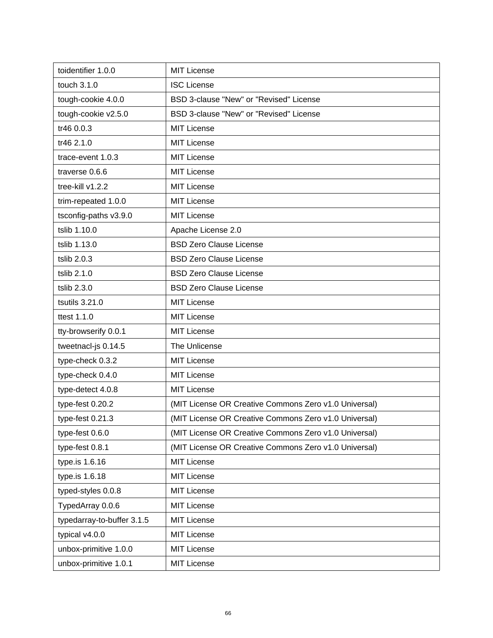| toidentifier 1.0.0         | <b>MIT License</b>                                    |
|----------------------------|-------------------------------------------------------|
| touch 3.1.0                | <b>ISC License</b>                                    |
| tough-cookie 4.0.0         | BSD 3-clause "New" or "Revised" License               |
| tough-cookie v2.5.0        | BSD 3-clause "New" or "Revised" License               |
| tr46 0.0.3                 | <b>MIT License</b>                                    |
| tr46 2.1.0                 | <b>MIT License</b>                                    |
| trace-event 1.0.3          | <b>MIT License</b>                                    |
| traverse 0.6.6             | <b>MIT License</b>                                    |
| tree-kill v1.2.2           | <b>MIT License</b>                                    |
| trim-repeated 1.0.0        | <b>MIT License</b>                                    |
| tsconfig-paths v3.9.0      | <b>MIT License</b>                                    |
| tslib 1.10.0               | Apache License 2.0                                    |
| tslib 1.13.0               | <b>BSD Zero Clause License</b>                        |
| tslib 2.0.3                | <b>BSD Zero Clause License</b>                        |
| tslib 2.1.0                | <b>BSD Zero Clause License</b>                        |
| tslib 2.3.0                | <b>BSD Zero Clause License</b>                        |
| tsutils 3.21.0             | <b>MIT License</b>                                    |
| ttest 1.1.0                | <b>MIT License</b>                                    |
| tty-browserify 0.0.1       | <b>MIT License</b>                                    |
| tweetnacl-js 0.14.5        | The Unlicense                                         |
| type-check 0.3.2           | <b>MIT License</b>                                    |
| type-check 0.4.0           | <b>MIT License</b>                                    |
| type-detect 4.0.8          | <b>MIT License</b>                                    |
| type-fest 0.20.2           | (MIT License OR Creative Commons Zero v1.0 Universal) |
| type-fest 0.21.3           | (MIT License OR Creative Commons Zero v1.0 Universal) |
| type-fest 0.6.0            | (MIT License OR Creative Commons Zero v1.0 Universal) |
| type-fest 0.8.1            | (MIT License OR Creative Commons Zero v1.0 Universal) |
| type.is 1.6.16             | <b>MIT License</b>                                    |
| type.is 1.6.18             | <b>MIT License</b>                                    |
| typed-styles 0.0.8         | <b>MIT License</b>                                    |
| TypedArray 0.0.6           | <b>MIT License</b>                                    |
| typedarray-to-buffer 3.1.5 | <b>MIT License</b>                                    |
| typical v4.0.0             | <b>MIT License</b>                                    |
| unbox-primitive 1.0.0      | <b>MIT License</b>                                    |
| unbox-primitive 1.0.1      | <b>MIT License</b>                                    |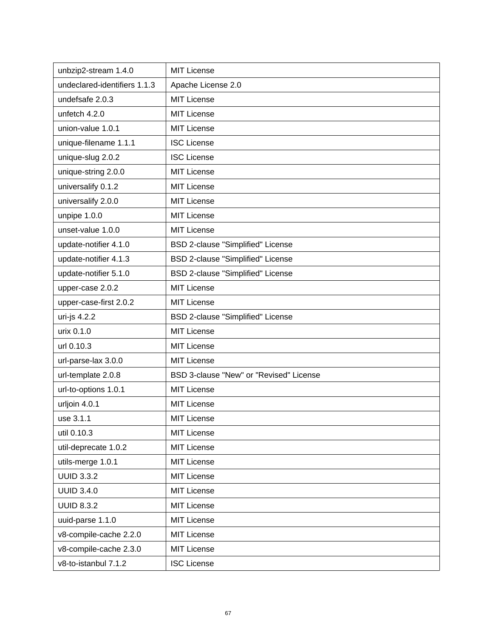| unbzip2-stream 1.4.0         | <b>MIT License</b>                      |
|------------------------------|-----------------------------------------|
| undeclared-identifiers 1.1.3 | Apache License 2.0                      |
| undefsafe 2.0.3              | <b>MIT License</b>                      |
| unfetch 4.2.0                | <b>MIT License</b>                      |
| union-value 1.0.1            | <b>MIT License</b>                      |
| unique-filename 1.1.1        | <b>ISC License</b>                      |
| unique-slug 2.0.2            | <b>ISC License</b>                      |
| unique-string 2.0.0          | <b>MIT License</b>                      |
| universalify 0.1.2           | <b>MIT License</b>                      |
| universalify 2.0.0           | <b>MIT License</b>                      |
| unpipe 1.0.0                 | <b>MIT License</b>                      |
| unset-value 1.0.0            | <b>MIT License</b>                      |
| update-notifier 4.1.0        | BSD 2-clause "Simplified" License       |
| update-notifier 4.1.3        | BSD 2-clause "Simplified" License       |
| update-notifier 5.1.0        | BSD 2-clause "Simplified" License       |
| upper-case 2.0.2             | <b>MIT License</b>                      |
| upper-case-first 2.0.2       | <b>MIT License</b>                      |
| uri-js 4.2.2                 | BSD 2-clause "Simplified" License       |
| urix 0.1.0                   | <b>MIT License</b>                      |
| url 0.10.3                   | <b>MIT License</b>                      |
| url-parse-lax 3.0.0          | <b>MIT License</b>                      |
| url-template 2.0.8           | BSD 3-clause "New" or "Revised" License |
| url-to-options 1.0.1         | <b>MIT License</b>                      |
| urljoin 4.0.1                | <b>MIT License</b>                      |
| use 3.1.1                    | <b>MIT License</b>                      |
| util 0.10.3                  | <b>MIT License</b>                      |
| util-deprecate 1.0.2         | <b>MIT License</b>                      |
| utils-merge 1.0.1            | <b>MIT License</b>                      |
| <b>UUID 3.3.2</b>            | <b>MIT License</b>                      |
| <b>UUID 3.4.0</b>            | <b>MIT License</b>                      |
| <b>UUID 8.3.2</b>            | <b>MIT License</b>                      |
| uuid-parse 1.1.0             | <b>MIT License</b>                      |
| v8-compile-cache 2.2.0       | <b>MIT License</b>                      |
| v8-compile-cache 2.3.0       | <b>MIT License</b>                      |
| v8-to-istanbul 7.1.2         | <b>ISC License</b>                      |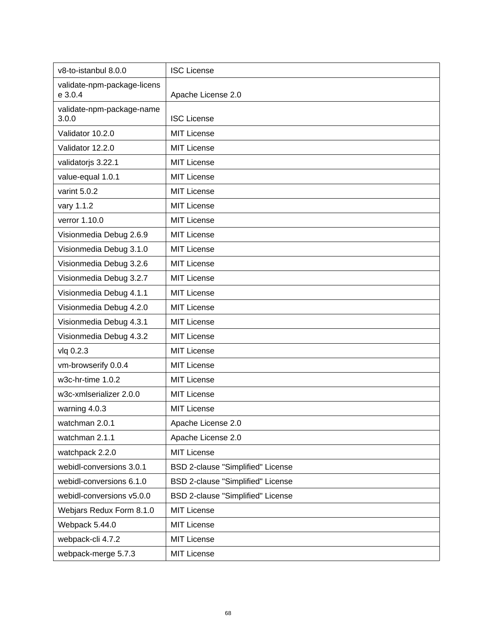| v8-to-istanbul 8.0.0                   | <b>ISC License</b>                |
|----------------------------------------|-----------------------------------|
| validate-npm-package-licens<br>e 3.0.4 | Apache License 2.0                |
| validate-npm-package-name<br>3.0.0     | <b>ISC License</b>                |
| Validator 10.2.0                       | <b>MIT License</b>                |
| Validator 12.2.0                       | <b>MIT License</b>                |
| validatorjs 3.22.1                     | <b>MIT License</b>                |
| value-equal 1.0.1                      | <b>MIT License</b>                |
| varint 5.0.2                           | <b>MIT License</b>                |
| vary 1.1.2                             | <b>MIT License</b>                |
| verror 1.10.0                          | <b>MIT License</b>                |
| Visionmedia Debug 2.6.9                | <b>MIT License</b>                |
| Visionmedia Debug 3.1.0                | <b>MIT License</b>                |
| Visionmedia Debug 3.2.6                | <b>MIT License</b>                |
| Visionmedia Debug 3.2.7                | <b>MIT License</b>                |
| Visionmedia Debug 4.1.1                | <b>MIT License</b>                |
| Visionmedia Debug 4.2.0                | <b>MIT License</b>                |
| Visionmedia Debug 4.3.1                | <b>MIT License</b>                |
| Visionmedia Debug 4.3.2                | <b>MIT License</b>                |
| vlq 0.2.3                              | <b>MIT License</b>                |
| vm-browserify 0.0.4                    | <b>MIT License</b>                |
| w3c-hr-time 1.0.2                      | <b>MIT License</b>                |
| w3c-xmlserializer 2.0.0                | <b>MIT License</b>                |
| warning 4.0.3                          | <b>MIT License</b>                |
| watchman 2.0.1                         | Apache License 2.0                |
| watchman 2.1.1                         | Apache License 2.0                |
| watchpack 2.2.0                        | <b>MIT License</b>                |
| webidl-conversions 3.0.1               | BSD 2-clause "Simplified" License |
| webidl-conversions 6.1.0               | BSD 2-clause "Simplified" License |
| webidl-conversions v5.0.0              | BSD 2-clause "Simplified" License |
| Webjars Redux Form 8.1.0               | <b>MIT License</b>                |
| Webpack 5.44.0                         | <b>MIT License</b>                |
| webpack-cli 4.7.2                      | <b>MIT License</b>                |
| webpack-merge 5.7.3                    | <b>MIT License</b>                |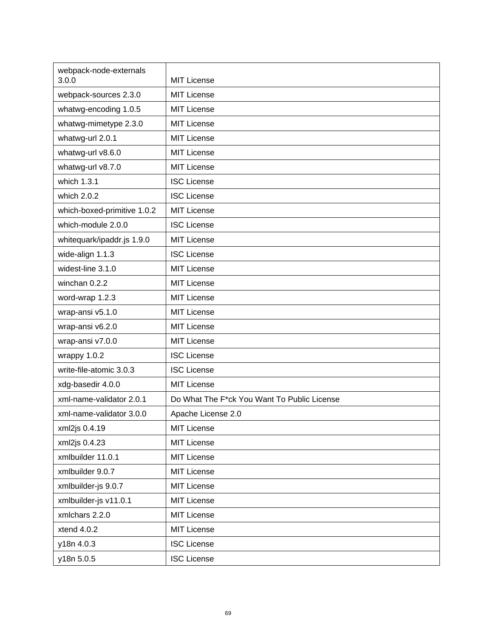| webpack-node-externals<br>3.0.0 | <b>MIT License</b>                          |
|---------------------------------|---------------------------------------------|
| webpack-sources 2.3.0           | <b>MIT License</b>                          |
| whatwg-encoding 1.0.5           | <b>MIT License</b>                          |
| whatwg-mimetype 2.3.0           | <b>MIT License</b>                          |
| whatwg-url 2.0.1                | <b>MIT License</b>                          |
| whatwg-url v8.6.0               | <b>MIT License</b>                          |
| whatwg-url v8.7.0               | <b>MIT License</b>                          |
| which 1.3.1                     | <b>ISC License</b>                          |
| which 2.0.2                     | <b>ISC License</b>                          |
| which-boxed-primitive 1.0.2     | <b>MIT License</b>                          |
| which-module 2.0.0              | <b>ISC License</b>                          |
| whitequark/ipaddr.js 1.9.0      | <b>MIT License</b>                          |
| wide-align 1.1.3                | <b>ISC License</b>                          |
| widest-line 3.1.0               | <b>MIT License</b>                          |
| winchan 0.2.2                   | <b>MIT License</b>                          |
| word-wrap 1.2.3                 | <b>MIT License</b>                          |
| wrap-ansi v5.1.0                | <b>MIT License</b>                          |
| wrap-ansi v6.2.0                | <b>MIT License</b>                          |
| wrap-ansi v7.0.0                | <b>MIT License</b>                          |
| wrappy 1.0.2                    | <b>ISC License</b>                          |
| write-file-atomic 3.0.3         | <b>ISC License</b>                          |
| xdg-basedir 4.0.0               | <b>MIT License</b>                          |
| xml-name-validator 2.0.1        | Do What The F*ck You Want To Public License |
| xml-name-validator 3.0.0        | Apache License 2.0                          |
| xml2js 0.4.19                   | <b>MIT License</b>                          |
| xml2js 0.4.23                   | <b>MIT License</b>                          |
| xmlbuilder 11.0.1               | <b>MIT License</b>                          |
| xmlbuilder 9.0.7                | <b>MIT License</b>                          |
| xmlbuilder-js 9.0.7             | <b>MIT License</b>                          |
| xmlbuilder-js v11.0.1           | <b>MIT License</b>                          |
| xmlchars 2.2.0                  | <b>MIT License</b>                          |
| xtend 4.0.2                     | <b>MIT License</b>                          |
| y18n 4.0.3                      | <b>ISC License</b>                          |
| y18n 5.0.5                      | <b>ISC License</b>                          |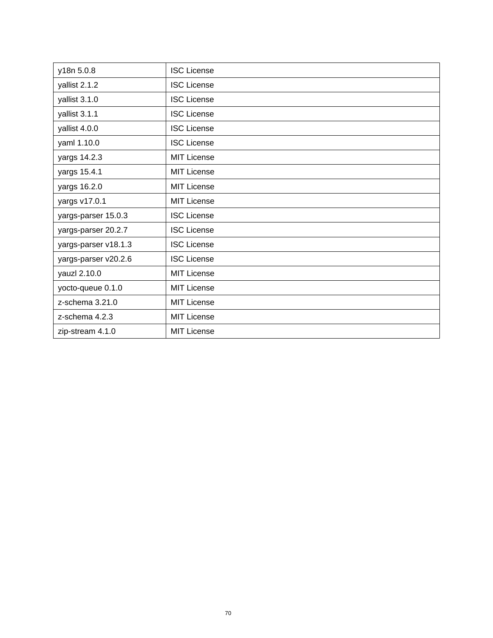| y18n 5.0.8           | <b>ISC License</b> |
|----------------------|--------------------|
| yallist 2.1.2        | <b>ISC License</b> |
| yallist 3.1.0        | <b>ISC License</b> |
| yallist 3.1.1        | <b>ISC License</b> |
| yallist 4.0.0        | <b>ISC License</b> |
| yaml 1.10.0          | <b>ISC License</b> |
| yargs 14.2.3         | <b>MIT License</b> |
| yargs 15.4.1         | <b>MIT License</b> |
| yargs 16.2.0         | <b>MIT License</b> |
| yargs v17.0.1        | <b>MIT License</b> |
| yargs-parser 15.0.3  | <b>ISC License</b> |
| yargs-parser 20.2.7  | <b>ISC License</b> |
| yargs-parser v18.1.3 | <b>ISC License</b> |
| yargs-parser v20.2.6 | <b>ISC License</b> |
| yauzl 2.10.0         | <b>MIT License</b> |
| yocto-queue 0.1.0    | <b>MIT License</b> |
| z-schema 3.21.0      | <b>MIT License</b> |
| z-schema 4.2.3       | <b>MIT License</b> |
| zip-stream 4.1.0     | <b>MIT License</b> |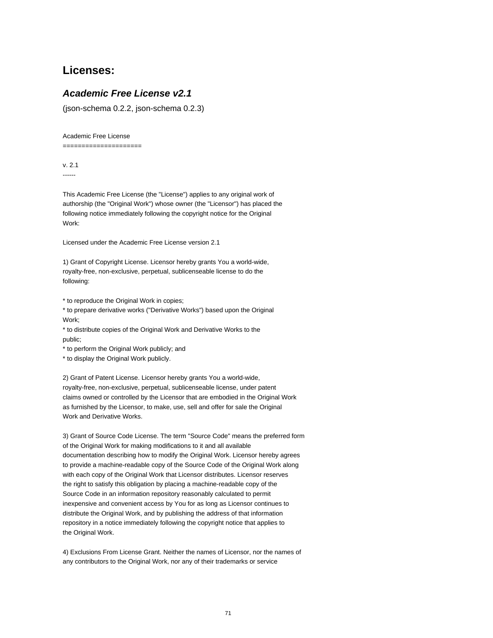## **Licenses:**

## **Academic Free License v2.1**

(json-schema 0.2.2, json-schema 0.2.3)

## Academic Free License

=====================

v. 2.1 ------

This Academic Free License (the "License") applies to any original work of authorship (the "Original Work") whose owner (the "Licensor") has placed the following notice immediately following the copyright notice for the Original Work:

Licensed under the Academic Free License version 2.1

1) Grant of Copyright License. Licensor hereby grants You a world-wide, royalty-free, non-exclusive, perpetual, sublicenseable license to do the following:

\* to reproduce the Original Work in copies;

\* to prepare derivative works ("Derivative Works") based upon the Original Work;

\* to distribute copies of the Original Work and Derivative Works to the public;

\* to perform the Original Work publicly; and

\* to display the Original Work publicly.

2) Grant of Patent License. Licensor hereby grants You a world-wide, royalty-free, non-exclusive, perpetual, sublicenseable license, under patent claims owned or controlled by the Licensor that are embodied in the Original Work as furnished by the Licensor, to make, use, sell and offer for sale the Original Work and Derivative Works.

3) Grant of Source Code License. The term "Source Code" means the preferred form of the Original Work for making modifications to it and all available documentation describing how to modify the Original Work. Licensor hereby agrees to provide a machine-readable copy of the Source Code of the Original Work along with each copy of the Original Work that Licensor distributes. Licensor reserves the right to satisfy this obligation by placing a machine-readable copy of the Source Code in an information repository reasonably calculated to permit inexpensive and convenient access by You for as long as Licensor continues to distribute the Original Work, and by publishing the address of that information repository in a notice immediately following the copyright notice that applies to the Original Work.

4) Exclusions From License Grant. Neither the names of Licensor, nor the names of any contributors to the Original Work, nor any of their trademarks or service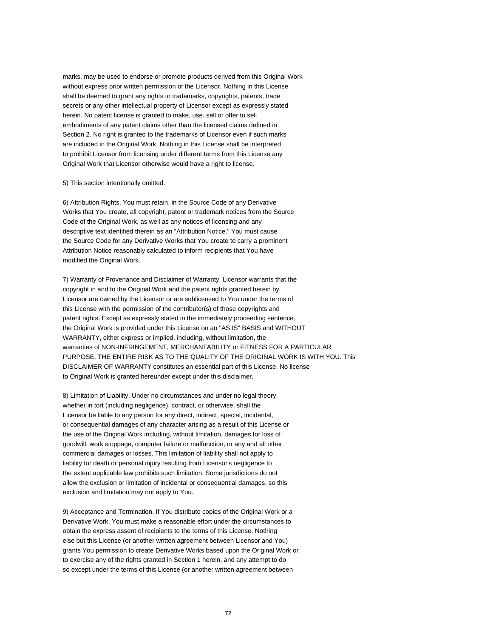marks, may be used to endorse or promote products derived from this Original Work without express prior written permission of the Licensor. Nothing in this License shall be deemed to grant any rights to trademarks, copyrights, patents, trade secrets or any other intellectual property of Licensor except as expressly stated herein. No patent license is granted to make, use, sell or offer to sell embodiments of any patent claims other than the licensed claims defined in Section 2. No right is granted to the trademarks of Licensor even if such marks are included in the Original Work. Nothing in this License shall be interpreted to prohibit Licensor from licensing under different terms from this License any Original Work that Licensor otherwise would have a right to license.

## 5) This section intentionally omitted.

6) Attribution Rights. You must retain, in the Source Code of any Derivative Works that You create, all copyright, patent or trademark notices from the Source Code of the Original Work, as well as any notices of licensing and any descriptive text identified therein as an "Attribution Notice." You must cause the Source Code for any Derivative Works that You create to carry a prominent Attribution Notice reasonably calculated to inform recipients that You have modified the Original Work.

7) Warranty of Provenance and Disclaimer of Warranty. Licensor warrants that the copyright in and to the Original Work and the patent rights granted herein by Licensor are owned by the Licensor or are sublicensed to You under the terms of this License with the permission of the contributor(s) of those copyrights and patent rights. Except as expressly stated in the immediately proceeding sentence, the Original Work is provided under this License on an "AS IS" BASIS and WITHOUT WARRANTY, either express or implied, including, without limitation, the warranties of NON-INFRINGEMENT, MERCHANTABILITY or FITNESS FOR A PARTICULAR PURPOSE. THE ENTIRE RISK AS TO THE QUALITY OF THE ORIGINAL WORK IS WITH YOU. This DISCLAIMER OF WARRANTY constitutes an essential part of this License. No license to Original Work is granted hereunder except under this disclaimer.

8) Limitation of Liability. Under no circumstances and under no legal theory, whether in tort (including negligence), contract, or otherwise, shall the Licensor be liable to any person for any direct, indirect, special, incidental, or consequential damages of any character arising as a result of this License or the use of the Original Work including, without limitation, damages for loss of goodwill, work stoppage, computer failure or malfunction, or any and all other commercial damages or losses. This limitation of liability shall not apply to liability for death or personal injury resulting from Licensor's negligence to the extent applicable law prohibits such limitation. Some jurisdictions do not allow the exclusion or limitation of incidental or consequential damages, so this exclusion and limitation may not apply to You.

9) Acceptance and Termination. If You distribute copies of the Original Work or a Derivative Work, You must make a reasonable effort under the circumstances to obtain the express assent of recipients to the terms of this License. Nothing else but this License (or another written agreement between Licensor and You) grants You permission to create Derivative Works based upon the Original Work or to exercise any of the rights granted in Section 1 herein, and any attempt to do so except under the terms of this License (or another written agreement between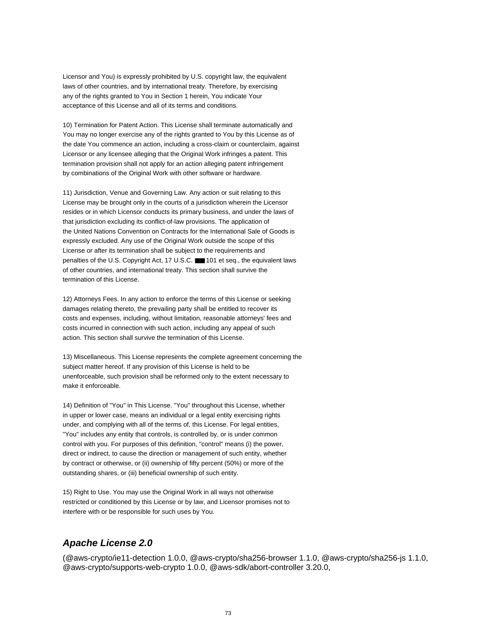Licensor and You) is expressly prohibited by U.S. copyright law, the equivalent laws of other countries, and by international treaty. Therefore, by exercising any of the rights granted to You in Section 1 herein, You indicate Your acceptance of this License and all of its terms and conditions.

10) Termination for Patent Action. This License shall terminate automatically and You may no longer exercise any of the rights granted to You by this License as of the date You commence an action, including a cross-claim or counterclaim, against Licensor or any licensee alleging that the Original Work infringes a patent. This termination provision shall not apply for an action alleging patent infringement by combinations of the Original Work with other software or hardware.

11) Jurisdiction, Venue and Governing Law. Any action or suit relating to this License may be brought only in the courts of a jurisdiction wherein the Licensor resides or in which Licensor conducts its primary business, and under the laws of that jurisdiction excluding its conflict-of-law provisions. The application of the United Nations Convention on Contracts for the International Sale of Goods is expressly excluded. Any use of the Original Work outside the scope of this License or after its termination shall be subject to the requirements and penalties of the U.S. Copyright Act, 17 U.S.C. ■■ 101 et seq., the equivalent laws of other countries, and international treaty. This section shall survive the termination of this License.

12) Attorneys Fees. In any action to enforce the terms of this License or seeking damages relating thereto, the prevailing party shall be entitled to recover its costs and expenses, including, without limitation, reasonable attorneys' fees and costs incurred in connection with such action, including any appeal of such action. This section shall survive the termination of this License.

13) Miscellaneous. This License represents the complete agreement concerning the subject matter hereof. If any provision of this License is held to be unenforceable, such provision shall be reformed only to the extent necessary to make it enforceable.

14) Definition of "You" in This License. "You" throughout this License, whether in upper or lower case, means an individual or a legal entity exercising rights under, and complying with all of the terms of, this License. For legal entities, "You" includes any entity that controls, is controlled by, or is under common control with you. For purposes of this definition, "control" means (i) the power, direct or indirect, to cause the direction or management of such entity, whether by contract or otherwise, or (ii) ownership of fifty percent (50%) or more of the outstanding shares, or (iii) beneficial ownership of such entity.

15) Right to Use. You may use the Original Work in all ways not otherwise restricted or conditioned by this License or by law, and Licensor promises not to interfere with or be responsible for such uses by You.

## **Apache License 2.0**

(@aws-crypto/ie11-detection 1.0.0, @aws-crypto/sha256-browser 1.1.0, @aws-crypto/sha256-js 1.1.0, @aws-crypto/supports-web-crypto 1.0.0, @aws-sdk/abort-controller 3.20.0,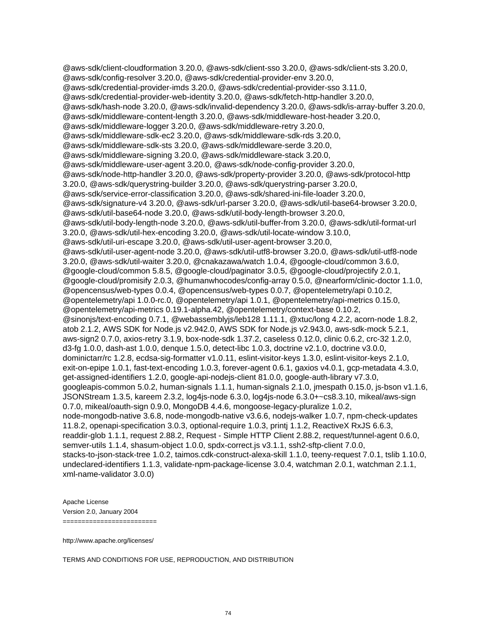@aws-sdk/client-cloudformation 3.20.0, @aws-sdk/client-sso 3.20.0, @aws-sdk/client-sts 3.20.0, @aws-sdk/config-resolver 3.20.0, @aws-sdk/credential-provider-env 3.20.0, @aws-sdk/credential-provider-imds 3.20.0, @aws-sdk/credential-provider-sso 3.11.0, @aws-sdk/credential-provider-web-identity 3.20.0, @aws-sdk/fetch-http-handler 3.20.0, @aws-sdk/hash-node 3.20.0, @aws-sdk/invalid-dependency 3.20.0, @aws-sdk/is-array-buffer 3.20.0, @aws-sdk/middleware-content-length 3.20.0, @aws-sdk/middleware-host-header 3.20.0, @aws-sdk/middleware-logger 3.20.0, @aws-sdk/middleware-retry 3.20.0, @aws-sdk/middleware-sdk-ec2 3.20.0, @aws-sdk/middleware-sdk-rds 3.20.0, @aws-sdk/middleware-sdk-sts 3.20.0, @aws-sdk/middleware-serde 3.20.0, @aws-sdk/middleware-signing 3.20.0, @aws-sdk/middleware-stack 3.20.0, @aws-sdk/middleware-user-agent 3.20.0, @aws-sdk/node-config-provider 3.20.0, @aws-sdk/node-http-handler 3.20.0, @aws-sdk/property-provider 3.20.0, @aws-sdk/protocol-http 3.20.0, @aws-sdk/querystring-builder 3.20.0, @aws-sdk/querystring-parser 3.20.0, @aws-sdk/service-error-classification 3.20.0, @aws-sdk/shared-ini-file-loader 3.20.0, @aws-sdk/signature-v4 3.20.0, @aws-sdk/url-parser 3.20.0, @aws-sdk/util-base64-browser 3.20.0, @aws-sdk/util-base64-node 3.20.0, @aws-sdk/util-body-length-browser 3.20.0, @aws-sdk/util-body-length-node 3.20.0, @aws-sdk/util-buffer-from 3.20.0, @aws-sdk/util-format-url 3.20.0, @aws-sdk/util-hex-encoding 3.20.0, @aws-sdk/util-locate-window 3.10.0, @aws-sdk/util-uri-escape 3.20.0, @aws-sdk/util-user-agent-browser 3.20.0, @aws-sdk/util-user-agent-node 3.20.0, @aws-sdk/util-utf8-browser 3.20.0, @aws-sdk/util-utf8-node 3.20.0, @aws-sdk/util-waiter 3.20.0, @cnakazawa/watch 1.0.4, @google-cloud/common 3.6.0, @google-cloud/common 5.8.5, @google-cloud/paginator 3.0.5, @google-cloud/projectify 2.0.1, @google-cloud/promisify 2.0.3, @humanwhocodes/config-array 0.5.0, @nearform/clinic-doctor 1.1.0, @opencensus/web-types 0.0.4, @opencensus/web-types 0.0.7, @opentelemetry/api 0.10.2, @opentelemetry/api 1.0.0-rc.0, @opentelemetry/api 1.0.1, @opentelemetry/api-metrics 0.15.0, @opentelemetry/api-metrics 0.19.1-alpha.42, @opentelemetry/context-base 0.10.2, @sinonjs/text-encoding 0.7.1, @webassemblyjs/leb128 1.11.1, @xtuc/long 4.2.2, acorn-node 1.8.2, atob 2.1.2, AWS SDK for Node.js v2.942.0, AWS SDK for Node.js v2.943.0, aws-sdk-mock 5.2.1, aws-sign2 0.7.0, axios-retry 3.1.9, box-node-sdk 1.37.2, caseless 0.12.0, clinic 0.6.2, crc-32 1.2.0, d3-fg 1.0.0, dash-ast 1.0.0, denque 1.5.0, detect-libc 1.0.3, doctrine v2.1.0, doctrine v3.0.0, dominictarr/rc 1.2.8, ecdsa-sig-formatter v1.0.11, eslint-visitor-keys 1.3.0, eslint-visitor-keys 2.1.0, exit-on-epipe 1.0.1, fast-text-encoding 1.0.3, forever-agent 0.6.1, gaxios v4.0.1, gcp-metadata 4.3.0, get-assigned-identifiers 1.2.0, google-api-nodejs-client 81.0.0, google-auth-library v7.3.0, googleapis-common 5.0.2, human-signals 1.1.1, human-signals 2.1.0, jmespath 0.15.0, js-bson v1.1.6, JSONStream 1.3.5, kareem 2.3.2, log4js-node 6.3.0, log4js-node 6.3.0+~cs8.3.10, mikeal/aws-sign 0.7.0, mikeal/oauth-sign 0.9.0, MongoDB 4.4.6, mongoose-legacy-pluralize 1.0.2, node-mongodb-native 3.6.8, node-mongodb-native v3.6.6, nodejs-walker 1.0.7, npm-check-updates 11.8.2, openapi-specification 3.0.3, optional-require 1.0.3, printj 1.1.2, ReactiveX RxJS 6.6.3, readdir-glob 1.1.1, request 2.88.2, Request - Simple HTTP Client 2.88.2, request/tunnel-agent 0.6.0, semver-utils 1.1.4, shasum-object 1.0.0, spdx-correct.js v3.1.1, ssh2-sftp-client 7.0.0, stacks-to-json-stack-tree 1.0.2, taimos.cdk-construct-alexa-skill 1.1.0, teeny-request 7.0.1, tslib 1.10.0, undeclared-identifiers 1.1.3, validate-npm-package-license 3.0.4, watchman 2.0.1, watchman 2.1.1, xml-name-validator 3.0.0)

Apache License Version 2.0, January 2004 =========================

http://www.apache.org/licenses/

TERMS AND CONDITIONS FOR USE, REPRODUCTION, AND DISTRIBUTION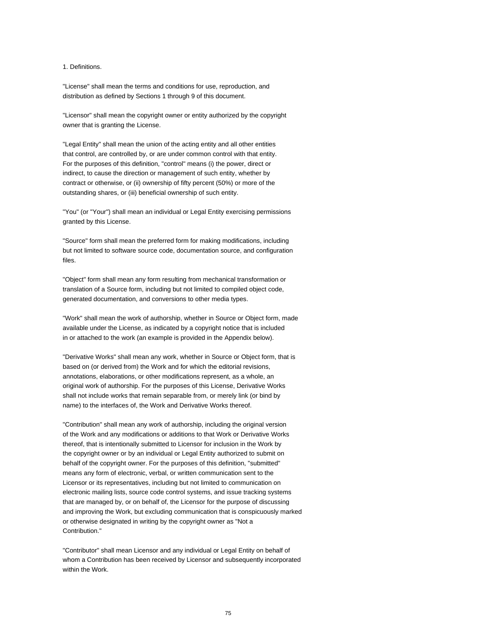#### 1. Definitions.

"License" shall mean the terms and conditions for use, reproduction, and distribution as defined by Sections 1 through 9 of this document.

"Licensor" shall mean the copyright owner or entity authorized by the copyright owner that is granting the License.

"Legal Entity" shall mean the union of the acting entity and all other entities that control, are controlled by, or are under common control with that entity. For the purposes of this definition, "control" means (i) the power, direct or indirect, to cause the direction or management of such entity, whether by contract or otherwise, or (ii) ownership of fifty percent (50%) or more of the outstanding shares, or (iii) beneficial ownership of such entity.

"You" (or "Your") shall mean an individual or Legal Entity exercising permissions granted by this License.

"Source" form shall mean the preferred form for making modifications, including but not limited to software source code, documentation source, and configuration files.

"Object" form shall mean any form resulting from mechanical transformation or translation of a Source form, including but not limited to compiled object code, generated documentation, and conversions to other media types.

"Work" shall mean the work of authorship, whether in Source or Object form, made available under the License, as indicated by a copyright notice that is included in or attached to the work (an example is provided in the Appendix below).

"Derivative Works" shall mean any work, whether in Source or Object form, that is based on (or derived from) the Work and for which the editorial revisions, annotations, elaborations, or other modifications represent, as a whole, an original work of authorship. For the purposes of this License, Derivative Works shall not include works that remain separable from, or merely link (or bind by name) to the interfaces of, the Work and Derivative Works thereof.

"Contribution" shall mean any work of authorship, including the original version of the Work and any modifications or additions to that Work or Derivative Works thereof, that is intentionally submitted to Licensor for inclusion in the Work by the copyright owner or by an individual or Legal Entity authorized to submit on behalf of the copyright owner. For the purposes of this definition, "submitted" means any form of electronic, verbal, or written communication sent to the Licensor or its representatives, including but not limited to communication on electronic mailing lists, source code control systems, and issue tracking systems that are managed by, or on behalf of, the Licensor for the purpose of discussing and improving the Work, but excluding communication that is conspicuously marked or otherwise designated in writing by the copyright owner as "Not a Contribution."

"Contributor" shall mean Licensor and any individual or Legal Entity on behalf of whom a Contribution has been received by Licensor and subsequently incorporated within the Work.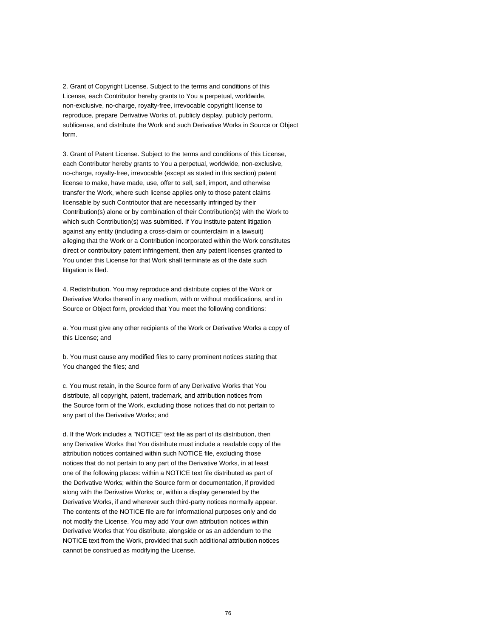2. Grant of Copyright License. Subject to the terms and conditions of this License, each Contributor hereby grants to You a perpetual, worldwide, non-exclusive, no-charge, royalty-free, irrevocable copyright license to reproduce, prepare Derivative Works of, publicly display, publicly perform, sublicense, and distribute the Work and such Derivative Works in Source or Object form.

3. Grant of Patent License. Subject to the terms and conditions of this License, each Contributor hereby grants to You a perpetual, worldwide, non-exclusive, no-charge, royalty-free, irrevocable (except as stated in this section) patent license to make, have made, use, offer to sell, sell, import, and otherwise transfer the Work, where such license applies only to those patent claims licensable by such Contributor that are necessarily infringed by their Contribution(s) alone or by combination of their Contribution(s) with the Work to which such Contribution(s) was submitted. If You institute patent litigation against any entity (including a cross-claim or counterclaim in a lawsuit) alleging that the Work or a Contribution incorporated within the Work constitutes direct or contributory patent infringement, then any patent licenses granted to You under this License for that Work shall terminate as of the date such litigation is filed.

4. Redistribution. You may reproduce and distribute copies of the Work or Derivative Works thereof in any medium, with or without modifications, and in Source or Object form, provided that You meet the following conditions:

a. You must give any other recipients of the Work or Derivative Works a copy of this License; and

b. You must cause any modified files to carry prominent notices stating that You changed the files; and

c. You must retain, in the Source form of any Derivative Works that You distribute, all copyright, patent, trademark, and attribution notices from the Source form of the Work, excluding those notices that do not pertain to any part of the Derivative Works; and

d. If the Work includes a "NOTICE" text file as part of its distribution, then any Derivative Works that You distribute must include a readable copy of the attribution notices contained within such NOTICE file, excluding those notices that do not pertain to any part of the Derivative Works, in at least one of the following places: within a NOTICE text file distributed as part of the Derivative Works; within the Source form or documentation, if provided along with the Derivative Works; or, within a display generated by the Derivative Works, if and wherever such third-party notices normally appear. The contents of the NOTICE file are for informational purposes only and do not modify the License. You may add Your own attribution notices within Derivative Works that You distribute, alongside or as an addendum to the NOTICE text from the Work, provided that such additional attribution notices cannot be construed as modifying the License.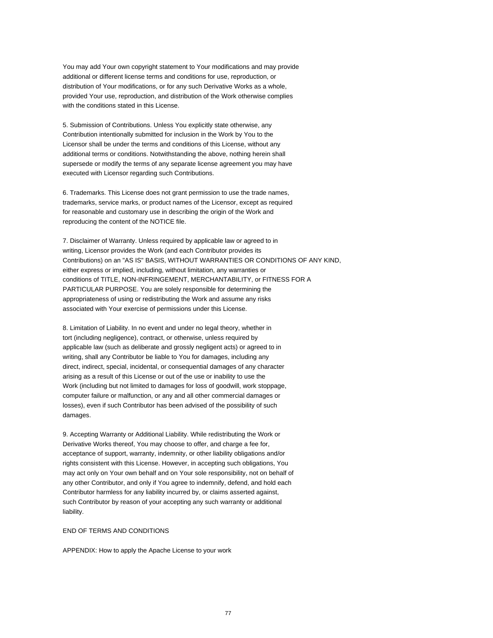You may add Your own copyright statement to Your modifications and may provide additional or different license terms and conditions for use, reproduction, or distribution of Your modifications, or for any such Derivative Works as a whole, provided Your use, reproduction, and distribution of the Work otherwise complies with the conditions stated in this License.

5. Submission of Contributions. Unless You explicitly state otherwise, any Contribution intentionally submitted for inclusion in the Work by You to the Licensor shall be under the terms and conditions of this License, without any additional terms or conditions. Notwithstanding the above, nothing herein shall supersede or modify the terms of any separate license agreement you may have executed with Licensor regarding such Contributions.

6. Trademarks. This License does not grant permission to use the trade names, trademarks, service marks, or product names of the Licensor, except as required for reasonable and customary use in describing the origin of the Work and reproducing the content of the NOTICE file.

7. Disclaimer of Warranty. Unless required by applicable law or agreed to in writing, Licensor provides the Work (and each Contributor provides its Contributions) on an "AS IS" BASIS, WITHOUT WARRANTIES OR CONDITIONS OF ANY KIND, either express or implied, including, without limitation, any warranties or conditions of TITLE, NON-INFRINGEMENT, MERCHANTABILITY, or FITNESS FOR A PARTICULAR PURPOSE. You are solely responsible for determining the appropriateness of using or redistributing the Work and assume any risks associated with Your exercise of permissions under this License.

8. Limitation of Liability. In no event and under no legal theory, whether in tort (including negligence), contract, or otherwise, unless required by applicable law (such as deliberate and grossly negligent acts) or agreed to in writing, shall any Contributor be liable to You for damages, including any direct, indirect, special, incidental, or consequential damages of any character arising as a result of this License or out of the use or inability to use the Work (including but not limited to damages for loss of goodwill, work stoppage, computer failure or malfunction, or any and all other commercial damages or losses), even if such Contributor has been advised of the possibility of such damages.

9. Accepting Warranty or Additional Liability. While redistributing the Work or Derivative Works thereof, You may choose to offer, and charge a fee for, acceptance of support, warranty, indemnity, or other liability obligations and/or rights consistent with this License. However, in accepting such obligations, You may act only on Your own behalf and on Your sole responsibility, not on behalf of any other Contributor, and only if You agree to indemnify, defend, and hold each Contributor harmless for any liability incurred by, or claims asserted against, such Contributor by reason of your accepting any such warranty or additional liability.

#### END OF TERMS AND CONDITIONS

APPENDIX: How to apply the Apache License to your work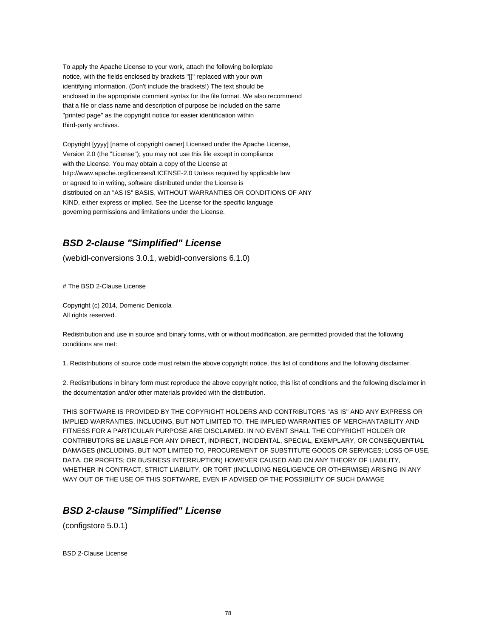To apply the Apache License to your work, attach the following boilerplate notice, with the fields enclosed by brackets "[]" replaced with your own identifying information. (Don't include the brackets!) The text should be enclosed in the appropriate comment syntax for the file format. We also recommend that a file or class name and description of purpose be included on the same "printed page" as the copyright notice for easier identification within third-party archives.

Copyright [yyyy] [name of copyright owner] Licensed under the Apache License, Version 2.0 (the "License"); you may not use this file except in compliance with the License. You may obtain a copy of the License at http://www.apache.org/licenses/LICENSE-2.0 Unless required by applicable law or agreed to in writing, software distributed under the License is distributed on an "AS IS" BASIS, WITHOUT WARRANTIES OR CONDITIONS OF ANY KIND, either express or implied. See the License for the specific language governing permissions and limitations under the License.

# **BSD 2-clause "Simplified" License**

(webidl-conversions 3.0.1, webidl-conversions 6.1.0)

# The BSD 2-Clause License

Copyright (c) 2014, Domenic Denicola All rights reserved.

Redistribution and use in source and binary forms, with or without modification, are permitted provided that the following conditions are met:

1. Redistributions of source code must retain the above copyright notice, this list of conditions and the following disclaimer.

2. Redistributions in binary form must reproduce the above copyright notice, this list of conditions and the following disclaimer in the documentation and/or other materials provided with the distribution.

THIS SOFTWARE IS PROVIDED BY THE COPYRIGHT HOLDERS AND CONTRIBUTORS "AS IS" AND ANY EXPRESS OR IMPLIED WARRANTIES, INCLUDING, BUT NOT LIMITED TO, THE IMPLIED WARRANTIES OF MERCHANTABILITY AND FITNESS FOR A PARTICULAR PURPOSE ARE DISCLAIMED. IN NO EVENT SHALL THE COPYRIGHT HOLDER OR CONTRIBUTORS BE LIABLE FOR ANY DIRECT, INDIRECT, INCIDENTAL, SPECIAL, EXEMPLARY, OR CONSEQUENTIAL DAMAGES (INCLUDING, BUT NOT LIMITED TO, PROCUREMENT OF SUBSTITUTE GOODS OR SERVICES; LOSS OF USE, DATA, OR PROFITS; OR BUSINESS INTERRUPTION) HOWEVER CAUSED AND ON ANY THEORY OF LIABILITY, WHETHER IN CONTRACT, STRICT LIABILITY, OR TORT (INCLUDING NEGLIGENCE OR OTHERWISE) ARISING IN ANY WAY OUT OF THE USE OF THIS SOFTWARE, EVEN IF ADVISED OF THE POSSIBILITY OF SUCH DAMAGE

## **BSD 2-clause "Simplified" License**

(configstore 5.0.1)

BSD 2-Clause License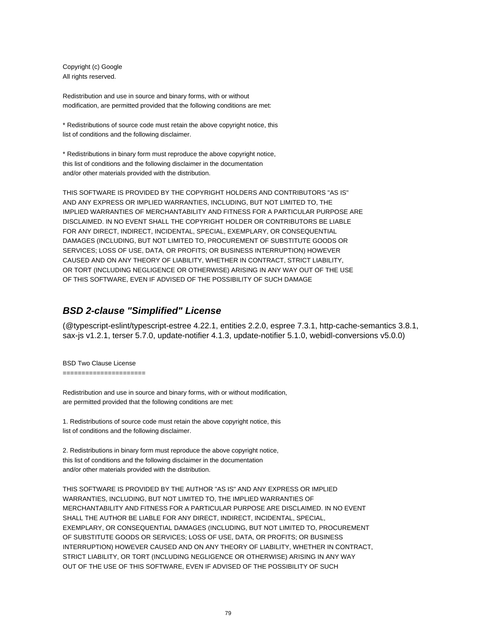Copyright (c) Google All rights reserved.

Redistribution and use in source and binary forms, with or without modification, are permitted provided that the following conditions are met:

\* Redistributions of source code must retain the above copyright notice, this list of conditions and the following disclaimer.

\* Redistributions in binary form must reproduce the above copyright notice, this list of conditions and the following disclaimer in the documentation and/or other materials provided with the distribution.

THIS SOFTWARE IS PROVIDED BY THE COPYRIGHT HOLDERS AND CONTRIBUTORS "AS IS" AND ANY EXPRESS OR IMPLIED WARRANTIES, INCLUDING, BUT NOT LIMITED TO, THE IMPLIED WARRANTIES OF MERCHANTABILITY AND FITNESS FOR A PARTICULAR PURPOSE ARE DISCLAIMED. IN NO EVENT SHALL THE COPYRIGHT HOLDER OR CONTRIBUTORS BE LIABLE FOR ANY DIRECT, INDIRECT, INCIDENTAL, SPECIAL, EXEMPLARY, OR CONSEQUENTIAL DAMAGES (INCLUDING, BUT NOT LIMITED TO, PROCUREMENT OF SUBSTITUTE GOODS OR SERVICES; LOSS OF USE, DATA, OR PROFITS; OR BUSINESS INTERRUPTION) HOWEVER CAUSED AND ON ANY THEORY OF LIABILITY, WHETHER IN CONTRACT, STRICT LIABILITY, OR TORT (INCLUDING NEGLIGENCE OR OTHERWISE) ARISING IN ANY WAY OUT OF THE USE OF THIS SOFTWARE, EVEN IF ADVISED OF THE POSSIBILITY OF SUCH DAMAGE

#### **BSD 2-clause "Simplified" License**

(@typescript-eslint/typescript-estree 4.22.1, entities 2.2.0, espree 7.3.1, http-cache-semantics 3.8.1, sax-js v1.2.1, terser 5.7.0, update-notifier 4.1.3, update-notifier 5.1.0, webidl-conversions v5.0.0)

BSD Two Clause License

======================

Redistribution and use in source and binary forms, with or without modification, are permitted provided that the following conditions are met:

1. Redistributions of source code must retain the above copyright notice, this list of conditions and the following disclaimer.

2. Redistributions in binary form must reproduce the above copyright notice, this list of conditions and the following disclaimer in the documentation and/or other materials provided with the distribution.

THIS SOFTWARE IS PROVIDED BY THE AUTHOR "AS IS" AND ANY EXPRESS OR IMPLIED WARRANTIES, INCLUDING, BUT NOT LIMITED TO, THE IMPLIED WARRANTIES OF MERCHANTABILITY AND FITNESS FOR A PARTICULAR PURPOSE ARE DISCLAIMED. IN NO EVENT SHALL THE AUTHOR BE LIABLE FOR ANY DIRECT, INDIRECT, INCIDENTAL, SPECIAL, EXEMPLARY, OR CONSEQUENTIAL DAMAGES (INCLUDING, BUT NOT LIMITED TO, PROCUREMENT OF SUBSTITUTE GOODS OR SERVICES; LOSS OF USE, DATA, OR PROFITS; OR BUSINESS INTERRUPTION) HOWEVER CAUSED AND ON ANY THEORY OF LIABILITY, WHETHER IN CONTRACT, STRICT LIABILITY, OR TORT (INCLUDING NEGLIGENCE OR OTHERWISE) ARISING IN ANY WAY OUT OF THE USE OF THIS SOFTWARE, EVEN IF ADVISED OF THE POSSIBILITY OF SUCH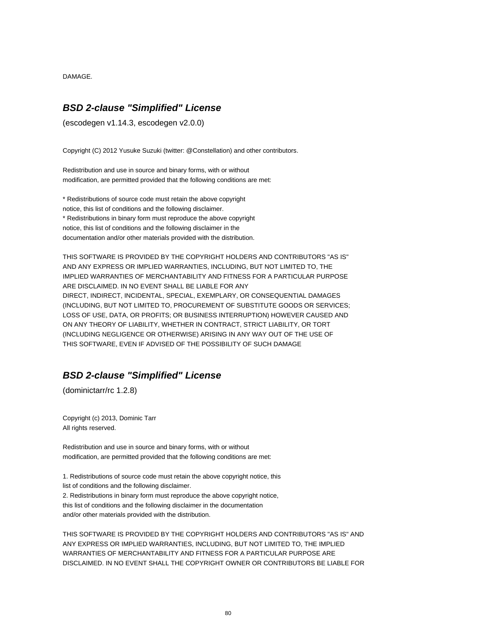DAMAGE.

### **BSD 2-clause "Simplified" License**

(escodegen v1.14.3, escodegen v2.0.0)

Copyright (C) 2012 Yusuke Suzuki (twitter: @Constellation) and other contributors.

Redistribution and use in source and binary forms, with or without modification, are permitted provided that the following conditions are met:

\* Redistributions of source code must retain the above copyright notice, this list of conditions and the following disclaimer. \* Redistributions in binary form must reproduce the above copyright notice, this list of conditions and the following disclaimer in the documentation and/or other materials provided with the distribution.

THIS SOFTWARE IS PROVIDED BY THE COPYRIGHT HOLDERS AND CONTRIBUTORS "AS IS" AND ANY EXPRESS OR IMPLIED WARRANTIES, INCLUDING, BUT NOT LIMITED TO, THE IMPLIED WARRANTIES OF MERCHANTABILITY AND FITNESS FOR A PARTICULAR PURPOSE ARE DISCLAIMED. IN NO EVENT SHALL BE LIABLE FOR ANY DIRECT, INDIRECT, INCIDENTAL, SPECIAL, EXEMPLARY, OR CONSEQUENTIAL DAMAGES (INCLUDING, BUT NOT LIMITED TO, PROCUREMENT OF SUBSTITUTE GOODS OR SERVICES; LOSS OF USE, DATA, OR PROFITS; OR BUSINESS INTERRUPTION) HOWEVER CAUSED AND ON ANY THEORY OF LIABILITY, WHETHER IN CONTRACT, STRICT LIABILITY, OR TORT (INCLUDING NEGLIGENCE OR OTHERWISE) ARISING IN ANY WAY OUT OF THE USE OF THIS SOFTWARE, EVEN IF ADVISED OF THE POSSIBILITY OF SUCH DAMAGE

# **BSD 2-clause "Simplified" License**

(dominictarr/rc 1.2.8)

Copyright (c) 2013, Dominic Tarr All rights reserved.

Redistribution and use in source and binary forms, with or without modification, are permitted provided that the following conditions are met:

1. Redistributions of source code must retain the above copyright notice, this list of conditions and the following disclaimer. 2. Redistributions in binary form must reproduce the above copyright notice, this list of conditions and the following disclaimer in the documentation and/or other materials provided with the distribution.

THIS SOFTWARE IS PROVIDED BY THE COPYRIGHT HOLDERS AND CONTRIBUTORS "AS IS" AND ANY EXPRESS OR IMPLIED WARRANTIES, INCLUDING, BUT NOT LIMITED TO, THE IMPLIED WARRANTIES OF MERCHANTABILITY AND FITNESS FOR A PARTICULAR PURPOSE ARE DISCLAIMED. IN NO EVENT SHALL THE COPYRIGHT OWNER OR CONTRIBUTORS BE LIABLE FOR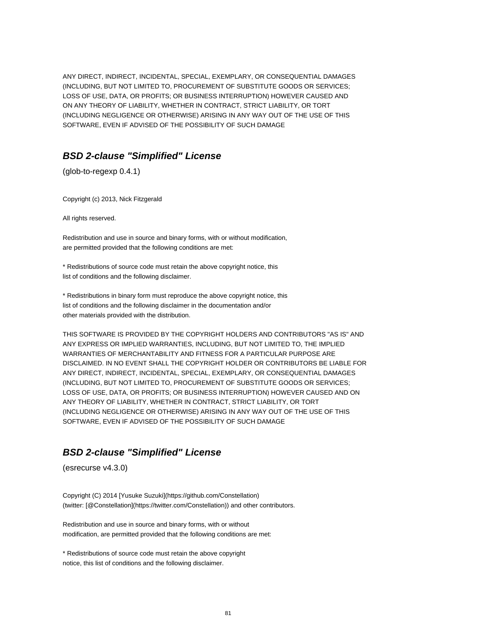ANY DIRECT, INDIRECT, INCIDENTAL, SPECIAL, EXEMPLARY, OR CONSEQUENTIAL DAMAGES (INCLUDING, BUT NOT LIMITED TO, PROCUREMENT OF SUBSTITUTE GOODS OR SERVICES; LOSS OF USE, DATA, OR PROFITS; OR BUSINESS INTERRUPTION) HOWEVER CAUSED AND ON ANY THEORY OF LIABILITY, WHETHER IN CONTRACT, STRICT LIABILITY, OR TORT (INCLUDING NEGLIGENCE OR OTHERWISE) ARISING IN ANY WAY OUT OF THE USE OF THIS SOFTWARE, EVEN IF ADVISED OF THE POSSIBILITY OF SUCH DAMAGE

## **BSD 2-clause "Simplified" License**

(glob-to-regexp 0.4.1)

Copyright (c) 2013, Nick Fitzgerald

All rights reserved.

Redistribution and use in source and binary forms, with or without modification, are permitted provided that the following conditions are met:

\* Redistributions of source code must retain the above copyright notice, this list of conditions and the following disclaimer.

\* Redistributions in binary form must reproduce the above copyright notice, this list of conditions and the following disclaimer in the documentation and/or other materials provided with the distribution.

THIS SOFTWARE IS PROVIDED BY THE COPYRIGHT HOLDERS AND CONTRIBUTORS "AS IS" AND ANY EXPRESS OR IMPLIED WARRANTIES, INCLUDING, BUT NOT LIMITED TO, THE IMPLIED WARRANTIES OF MERCHANTABILITY AND FITNESS FOR A PARTICULAR PURPOSE ARE DISCLAIMED. IN NO EVENT SHALL THE COPYRIGHT HOLDER OR CONTRIBUTORS BE LIABLE FOR ANY DIRECT, INDIRECT, INCIDENTAL, SPECIAL, EXEMPLARY, OR CONSEQUENTIAL DAMAGES (INCLUDING, BUT NOT LIMITED TO, PROCUREMENT OF SUBSTITUTE GOODS OR SERVICES; LOSS OF USE, DATA, OR PROFITS; OR BUSINESS INTERRUPTION) HOWEVER CAUSED AND ON ANY THEORY OF LIABILITY, WHETHER IN CONTRACT, STRICT LIABILITY, OR TORT (INCLUDING NEGLIGENCE OR OTHERWISE) ARISING IN ANY WAY OUT OF THE USE OF THIS SOFTWARE, EVEN IF ADVISED OF THE POSSIBILITY OF SUCH DAMAGE

# **BSD 2-clause "Simplified" License**

(esrecurse v4.3.0)

Copyright (C) 2014 [Yusuke Suzuki](https://github.com/Constellation) (twitter: [@Constellation](https://twitter.com/Constellation)) and other contributors.

Redistribution and use in source and binary forms, with or without modification, are permitted provided that the following conditions are met:

\* Redistributions of source code must retain the above copyright notice, this list of conditions and the following disclaimer.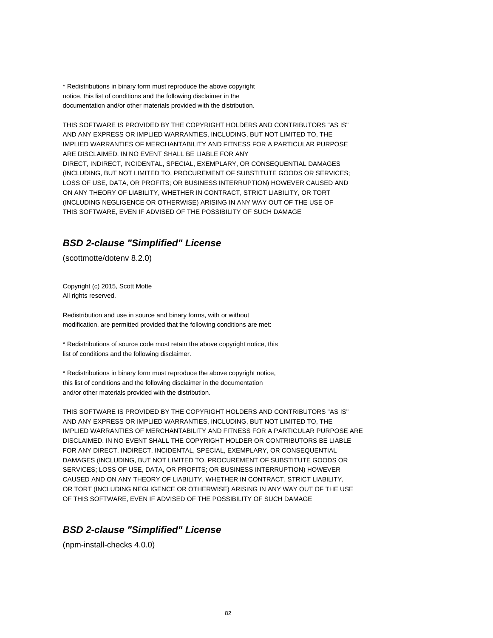\* Redistributions in binary form must reproduce the above copyright notice, this list of conditions and the following disclaimer in the documentation and/or other materials provided with the distribution.

THIS SOFTWARE IS PROVIDED BY THE COPYRIGHT HOLDERS AND CONTRIBUTORS "AS IS" AND ANY EXPRESS OR IMPLIED WARRANTIES, INCLUDING, BUT NOT LIMITED TO, THE IMPLIED WARRANTIES OF MERCHANTABILITY AND FITNESS FOR A PARTICULAR PURPOSE ARE DISCLAIMED. IN NO EVENT SHALL BE LIABLE FOR ANY DIRECT, INDIRECT, INCIDENTAL, SPECIAL, EXEMPLARY, OR CONSEQUENTIAL DAMAGES (INCLUDING, BUT NOT LIMITED TO, PROCUREMENT OF SUBSTITUTE GOODS OR SERVICES; LOSS OF USE, DATA, OR PROFITS; OR BUSINESS INTERRUPTION) HOWEVER CAUSED AND ON ANY THEORY OF LIABILITY, WHETHER IN CONTRACT, STRICT LIABILITY, OR TORT (INCLUDING NEGLIGENCE OR OTHERWISE) ARISING IN ANY WAY OUT OF THE USE OF THIS SOFTWARE, EVEN IF ADVISED OF THE POSSIBILITY OF SUCH DAMAGE

## **BSD 2-clause "Simplified" License**

(scottmotte/dotenv 8.2.0)

Copyright (c) 2015, Scott Motte All rights reserved.

Redistribution and use in source and binary forms, with or without modification, are permitted provided that the following conditions are met:

\* Redistributions of source code must retain the above copyright notice, this list of conditions and the following disclaimer.

\* Redistributions in binary form must reproduce the above copyright notice, this list of conditions and the following disclaimer in the documentation and/or other materials provided with the distribution.

THIS SOFTWARE IS PROVIDED BY THE COPYRIGHT HOLDERS AND CONTRIBUTORS "AS IS" AND ANY EXPRESS OR IMPLIED WARRANTIES, INCLUDING, BUT NOT LIMITED TO, THE IMPLIED WARRANTIES OF MERCHANTABILITY AND FITNESS FOR A PARTICULAR PURPOSE ARE DISCLAIMED. IN NO EVENT SHALL THE COPYRIGHT HOLDER OR CONTRIBUTORS BE LIABLE FOR ANY DIRECT, INDIRECT, INCIDENTAL, SPECIAL, EXEMPLARY, OR CONSEQUENTIAL DAMAGES (INCLUDING, BUT NOT LIMITED TO, PROCUREMENT OF SUBSTITUTE GOODS OR SERVICES; LOSS OF USE, DATA, OR PROFITS; OR BUSINESS INTERRUPTION) HOWEVER CAUSED AND ON ANY THEORY OF LIABILITY, WHETHER IN CONTRACT, STRICT LIABILITY, OR TORT (INCLUDING NEGLIGENCE OR OTHERWISE) ARISING IN ANY WAY OUT OF THE USE OF THIS SOFTWARE, EVEN IF ADVISED OF THE POSSIBILITY OF SUCH DAMAGE

# **BSD 2-clause "Simplified" License**

(npm-install-checks 4.0.0)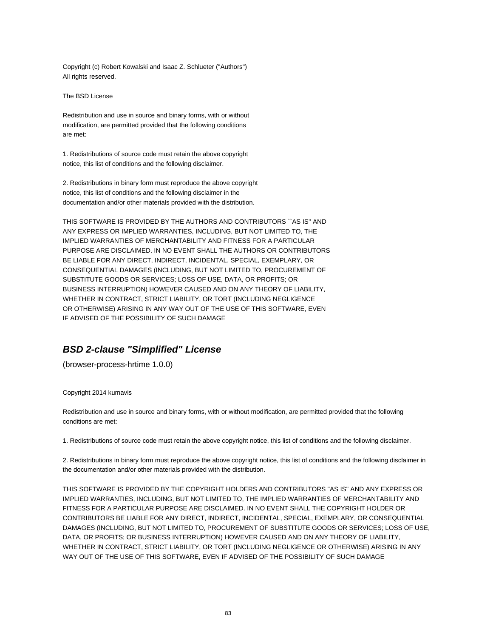Copyright (c) Robert Kowalski and Isaac Z. Schlueter ("Authors") All rights reserved.

The BSD License

Redistribution and use in source and binary forms, with or without modification, are permitted provided that the following conditions are met:

1. Redistributions of source code must retain the above copyright notice, this list of conditions and the following disclaimer.

2. Redistributions in binary form must reproduce the above copyright notice, this list of conditions and the following disclaimer in the documentation and/or other materials provided with the distribution.

THIS SOFTWARE IS PROVIDED BY THE AUTHORS AND CONTRIBUTORS ``AS IS'' AND ANY EXPRESS OR IMPLIED WARRANTIES, INCLUDING, BUT NOT LIMITED TO, THE IMPLIED WARRANTIES OF MERCHANTABILITY AND FITNESS FOR A PARTICULAR PURPOSE ARE DISCLAIMED. IN NO EVENT SHALL THE AUTHORS OR CONTRIBUTORS BE LIABLE FOR ANY DIRECT, INDIRECT, INCIDENTAL, SPECIAL, EXEMPLARY, OR CONSEQUENTIAL DAMAGES (INCLUDING, BUT NOT LIMITED TO, PROCUREMENT OF SUBSTITUTE GOODS OR SERVICES; LOSS OF USE, DATA, OR PROFITS; OR BUSINESS INTERRUPTION) HOWEVER CAUSED AND ON ANY THEORY OF LIABILITY, WHETHER IN CONTRACT, STRICT LIABILITY, OR TORT (INCLUDING NEGLIGENCE OR OTHERWISE) ARISING IN ANY WAY OUT OF THE USE OF THIS SOFTWARE, EVEN IF ADVISED OF THE POSSIBILITY OF SUCH DAMAGE

## **BSD 2-clause "Simplified" License**

(browser-process-hrtime 1.0.0)

Copyright 2014 kumavis

Redistribution and use in source and binary forms, with or without modification, are permitted provided that the following conditions are met:

1. Redistributions of source code must retain the above copyright notice, this list of conditions and the following disclaimer.

2. Redistributions in binary form must reproduce the above copyright notice, this list of conditions and the following disclaimer in the documentation and/or other materials provided with the distribution.

THIS SOFTWARE IS PROVIDED BY THE COPYRIGHT HOLDERS AND CONTRIBUTORS "AS IS" AND ANY EXPRESS OR IMPLIED WARRANTIES, INCLUDING, BUT NOT LIMITED TO, THE IMPLIED WARRANTIES OF MERCHANTABILITY AND FITNESS FOR A PARTICULAR PURPOSE ARE DISCLAIMED. IN NO EVENT SHALL THE COPYRIGHT HOLDER OR CONTRIBUTORS BE LIABLE FOR ANY DIRECT, INDIRECT, INCIDENTAL, SPECIAL, EXEMPLARY, OR CONSEQUENTIAL DAMAGES (INCLUDING, BUT NOT LIMITED TO, PROCUREMENT OF SUBSTITUTE GOODS OR SERVICES; LOSS OF USE, DATA, OR PROFITS; OR BUSINESS INTERRUPTION) HOWEVER CAUSED AND ON ANY THEORY OF LIABILITY, WHETHER IN CONTRACT, STRICT LIABILITY, OR TORT (INCLUDING NEGLIGENCE OR OTHERWISE) ARISING IN ANY WAY OUT OF THE USE OF THIS SOFTWARE, EVEN IF ADVISED OF THE POSSIBILITY OF SUCH DAMAGE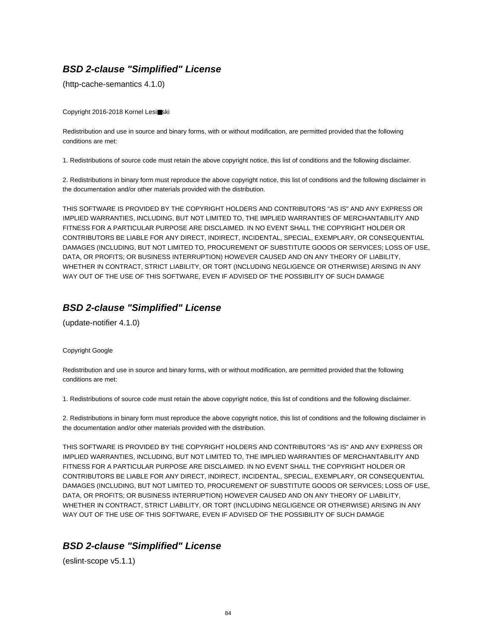# **BSD 2-clause "Simplified" License**

(http-cache-semantics 4.1.0)

Copyright 2016-2018 Kornel Lesi■ski

Redistribution and use in source and binary forms, with or without modification, are permitted provided that the following conditions are met:

1. Redistributions of source code must retain the above copyright notice, this list of conditions and the following disclaimer.

2. Redistributions in binary form must reproduce the above copyright notice, this list of conditions and the following disclaimer in the documentation and/or other materials provided with the distribution.

THIS SOFTWARE IS PROVIDED BY THE COPYRIGHT HOLDERS AND CONTRIBUTORS "AS IS" AND ANY EXPRESS OR IMPLIED WARRANTIES, INCLUDING, BUT NOT LIMITED TO, THE IMPLIED WARRANTIES OF MERCHANTABILITY AND FITNESS FOR A PARTICULAR PURPOSE ARE DISCLAIMED. IN NO EVENT SHALL THE COPYRIGHT HOLDER OR CONTRIBUTORS BE LIABLE FOR ANY DIRECT, INDIRECT, INCIDENTAL, SPECIAL, EXEMPLARY, OR CONSEQUENTIAL DAMAGES (INCLUDING, BUT NOT LIMITED TO, PROCUREMENT OF SUBSTITUTE GOODS OR SERVICES; LOSS OF USE, DATA, OR PROFITS; OR BUSINESS INTERRUPTION) HOWEVER CAUSED AND ON ANY THEORY OF LIABILITY, WHETHER IN CONTRACT, STRICT LIABILITY, OR TORT (INCLUDING NEGLIGENCE OR OTHERWISE) ARISING IN ANY WAY OUT OF THE USE OF THIS SOFTWARE, EVEN IF ADVISED OF THE POSSIBILITY OF SUCH DAMAGE

# **BSD 2-clause "Simplified" License**

(update-notifier 4.1.0)

#### Copyright Google

Redistribution and use in source and binary forms, with or without modification, are permitted provided that the following conditions are met:

1. Redistributions of source code must retain the above copyright notice, this list of conditions and the following disclaimer.

2. Redistributions in binary form must reproduce the above copyright notice, this list of conditions and the following disclaimer in the documentation and/or other materials provided with the distribution.

THIS SOFTWARE IS PROVIDED BY THE COPYRIGHT HOLDERS AND CONTRIBUTORS "AS IS" AND ANY EXPRESS OR IMPLIED WARRANTIES, INCLUDING, BUT NOT LIMITED TO, THE IMPLIED WARRANTIES OF MERCHANTABILITY AND FITNESS FOR A PARTICULAR PURPOSE ARE DISCLAIMED. IN NO EVENT SHALL THE COPYRIGHT HOLDER OR CONTRIBUTORS BE LIABLE FOR ANY DIRECT, INDIRECT, INCIDENTAL, SPECIAL, EXEMPLARY, OR CONSEQUENTIAL DAMAGES (INCLUDING, BUT NOT LIMITED TO, PROCUREMENT OF SUBSTITUTE GOODS OR SERVICES; LOSS OF USE, DATA, OR PROFITS; OR BUSINESS INTERRUPTION) HOWEVER CAUSED AND ON ANY THEORY OF LIABILITY, WHETHER IN CONTRACT, STRICT LIABILITY, OR TORT (INCLUDING NEGLIGENCE OR OTHERWISE) ARISING IN ANY WAY OUT OF THE USE OF THIS SOFTWARE, EVEN IF ADVISED OF THE POSSIBILITY OF SUCH DAMAGE

# **BSD 2-clause "Simplified" License**

(eslint-scope v5.1.1)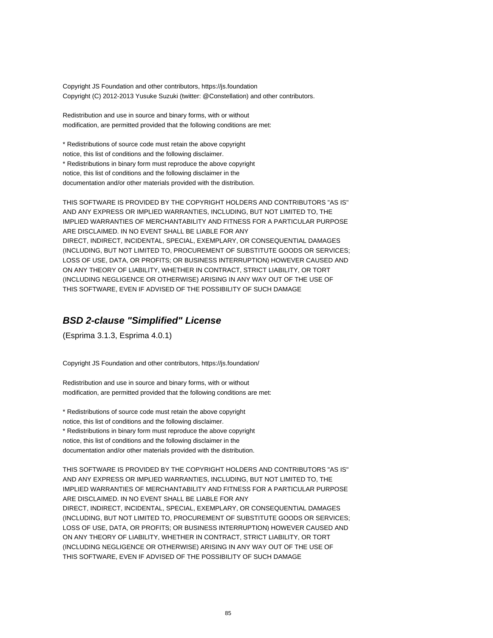Copyright JS Foundation and other contributors, https://js.foundation Copyright (C) 2012-2013 Yusuke Suzuki (twitter: @Constellation) and other contributors.

Redistribution and use in source and binary forms, with or without modification, are permitted provided that the following conditions are met:

\* Redistributions of source code must retain the above copyright notice, this list of conditions and the following disclaimer. \* Redistributions in binary form must reproduce the above copyright notice, this list of conditions and the following disclaimer in the documentation and/or other materials provided with the distribution.

THIS SOFTWARE IS PROVIDED BY THE COPYRIGHT HOLDERS AND CONTRIBUTORS "AS IS" AND ANY EXPRESS OR IMPLIED WARRANTIES, INCLUDING, BUT NOT LIMITED TO, THE IMPLIED WARRANTIES OF MERCHANTABILITY AND FITNESS FOR A PARTICULAR PURPOSE ARE DISCLAIMED. IN NO EVENT SHALL BE LIABLE FOR ANY DIRECT, INDIRECT, INCIDENTAL, SPECIAL, EXEMPLARY, OR CONSEQUENTIAL DAMAGES (INCLUDING, BUT NOT LIMITED TO, PROCUREMENT OF SUBSTITUTE GOODS OR SERVICES; LOSS OF USE, DATA, OR PROFITS; OR BUSINESS INTERRUPTION) HOWEVER CAUSED AND ON ANY THEORY OF LIABILITY, WHETHER IN CONTRACT, STRICT LIABILITY, OR TORT (INCLUDING NEGLIGENCE OR OTHERWISE) ARISING IN ANY WAY OUT OF THE USE OF THIS SOFTWARE, EVEN IF ADVISED OF THE POSSIBILITY OF SUCH DAMAGE

## **BSD 2-clause "Simplified" License**

(Esprima 3.1.3, Esprima 4.0.1)

Copyright JS Foundation and other contributors, https://js.foundation/

Redistribution and use in source and binary forms, with or without modification, are permitted provided that the following conditions are met:

\* Redistributions of source code must retain the above copyright notice, this list of conditions and the following disclaimer. \* Redistributions in binary form must reproduce the above copyright notice, this list of conditions and the following disclaimer in the documentation and/or other materials provided with the distribution.

THIS SOFTWARE IS PROVIDED BY THE COPYRIGHT HOLDERS AND CONTRIBUTORS "AS IS" AND ANY EXPRESS OR IMPLIED WARRANTIES, INCLUDING, BUT NOT LIMITED TO, THE IMPLIED WARRANTIES OF MERCHANTABILITY AND FITNESS FOR A PARTICULAR PURPOSE ARE DISCLAIMED. IN NO EVENT SHALL BE LIABLE FOR ANY DIRECT, INDIRECT, INCIDENTAL, SPECIAL, EXEMPLARY, OR CONSEQUENTIAL DAMAGES (INCLUDING, BUT NOT LIMITED TO, PROCUREMENT OF SUBSTITUTE GOODS OR SERVICES; LOSS OF USE, DATA, OR PROFITS; OR BUSINESS INTERRUPTION) HOWEVER CAUSED AND ON ANY THEORY OF LIABILITY, WHETHER IN CONTRACT, STRICT LIABILITY, OR TORT (INCLUDING NEGLIGENCE OR OTHERWISE) ARISING IN ANY WAY OUT OF THE USE OF THIS SOFTWARE, EVEN IF ADVISED OF THE POSSIBILITY OF SUCH DAMAGE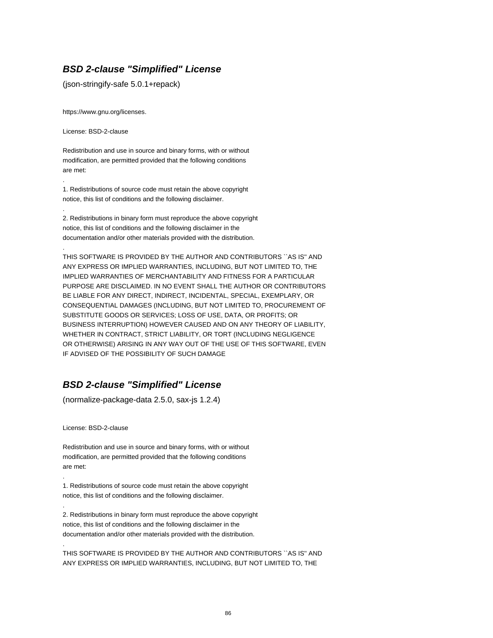## **BSD 2-clause "Simplified" License**

(json-stringify-safe 5.0.1+repack)

https://www.gnu.org/licenses.

License: BSD-2-clause

.

.

.

Redistribution and use in source and binary forms, with or without modification, are permitted provided that the following conditions are met:

1. Redistributions of source code must retain the above copyright notice, this list of conditions and the following disclaimer.

2. Redistributions in binary form must reproduce the above copyright notice, this list of conditions and the following disclaimer in the documentation and/or other materials provided with the distribution.

THIS SOFTWARE IS PROVIDED BY THE AUTHOR AND CONTRIBUTORS ``AS IS'' AND ANY EXPRESS OR IMPLIED WARRANTIES, INCLUDING, BUT NOT LIMITED TO, THE IMPLIED WARRANTIES OF MERCHANTABILITY AND FITNESS FOR A PARTICULAR PURPOSE ARE DISCLAIMED. IN NO EVENT SHALL THE AUTHOR OR CONTRIBUTORS BE LIABLE FOR ANY DIRECT, INDIRECT, INCIDENTAL, SPECIAL, EXEMPLARY, OR CONSEQUENTIAL DAMAGES (INCLUDING, BUT NOT LIMITED TO, PROCUREMENT OF SUBSTITUTE GOODS OR SERVICES; LOSS OF USE, DATA, OR PROFITS; OR BUSINESS INTERRUPTION) HOWEVER CAUSED AND ON ANY THEORY OF LIABILITY, WHETHER IN CONTRACT, STRICT LIABILITY, OR TORT (INCLUDING NEGLIGENCE OR OTHERWISE) ARISING IN ANY WAY OUT OF THE USE OF THIS SOFTWARE, EVEN IF ADVISED OF THE POSSIBILITY OF SUCH DAMAGE

# **BSD 2-clause "Simplified" License**

(normalize-package-data 2.5.0, sax-js 1.2.4)

License: BSD-2-clause

.

.

.

Redistribution and use in source and binary forms, with or without modification, are permitted provided that the following conditions are met:

1. Redistributions of source code must retain the above copyright notice, this list of conditions and the following disclaimer.

2. Redistributions in binary form must reproduce the above copyright notice, this list of conditions and the following disclaimer in the documentation and/or other materials provided with the distribution.

THIS SOFTWARE IS PROVIDED BY THE AUTHOR AND CONTRIBUTORS ``AS IS'' AND ANY EXPRESS OR IMPLIED WARRANTIES, INCLUDING, BUT NOT LIMITED TO, THE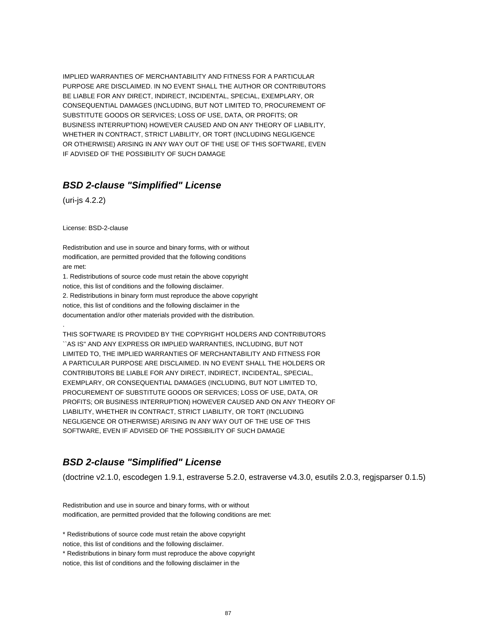IMPLIED WARRANTIES OF MERCHANTABILITY AND FITNESS FOR A PARTICULAR PURPOSE ARE DISCLAIMED. IN NO EVENT SHALL THE AUTHOR OR CONTRIBUTORS BE LIABLE FOR ANY DIRECT, INDIRECT, INCIDENTAL, SPECIAL, EXEMPLARY, OR CONSEQUENTIAL DAMAGES (INCLUDING, BUT NOT LIMITED TO, PROCUREMENT OF SUBSTITUTE GOODS OR SERVICES; LOSS OF USE, DATA, OR PROFITS; OR BUSINESS INTERRUPTION) HOWEVER CAUSED AND ON ANY THEORY OF LIABILITY, WHETHER IN CONTRACT, STRICT LIABILITY, OR TORT (INCLUDING NEGLIGENCE OR OTHERWISE) ARISING IN ANY WAY OUT OF THE USE OF THIS SOFTWARE, EVEN IF ADVISED OF THE POSSIBILITY OF SUCH DAMAGE

## **BSD 2-clause "Simplified" License**

(uri-js 4.2.2)

.

License: BSD-2-clause

Redistribution and use in source and binary forms, with or without modification, are permitted provided that the following conditions are met:

1. Redistributions of source code must retain the above copyright notice, this list of conditions and the following disclaimer. 2. Redistributions in binary form must reproduce the above copyright notice, this list of conditions and the following disclaimer in the documentation and/or other materials provided with the distribution.

THIS SOFTWARE IS PROVIDED BY THE COPYRIGHT HOLDERS AND CONTRIBUTORS ``AS IS'' AND ANY EXPRESS OR IMPLIED WARRANTIES, INCLUDING, BUT NOT LIMITED TO, THE IMPLIED WARRANTIES OF MERCHANTABILITY AND FITNESS FOR A PARTICULAR PURPOSE ARE DISCLAIMED. IN NO EVENT SHALL THE HOLDERS OR CONTRIBUTORS BE LIABLE FOR ANY DIRECT, INDIRECT, INCIDENTAL, SPECIAL, EXEMPLARY, OR CONSEQUENTIAL DAMAGES (INCLUDING, BUT NOT LIMITED TO, PROCUREMENT OF SUBSTITUTE GOODS OR SERVICES; LOSS OF USE, DATA, OR PROFITS; OR BUSINESS INTERRUPTION) HOWEVER CAUSED AND ON ANY THEORY OF LIABILITY, WHETHER IN CONTRACT, STRICT LIABILITY, OR TORT (INCLUDING NEGLIGENCE OR OTHERWISE) ARISING IN ANY WAY OUT OF THE USE OF THIS SOFTWARE, EVEN IF ADVISED OF THE POSSIBILITY OF SUCH DAMAGE

# **BSD 2-clause "Simplified" License**

(doctrine v2.1.0, escodegen 1.9.1, estraverse 5.2.0, estraverse v4.3.0, esutils 2.0.3, regjsparser 0.1.5)

Redistribution and use in source and binary forms, with or without modification, are permitted provided that the following conditions are met:

\* Redistributions of source code must retain the above copyright notice, this list of conditions and the following disclaimer.

\* Redistributions in binary form must reproduce the above copyright notice, this list of conditions and the following disclaimer in the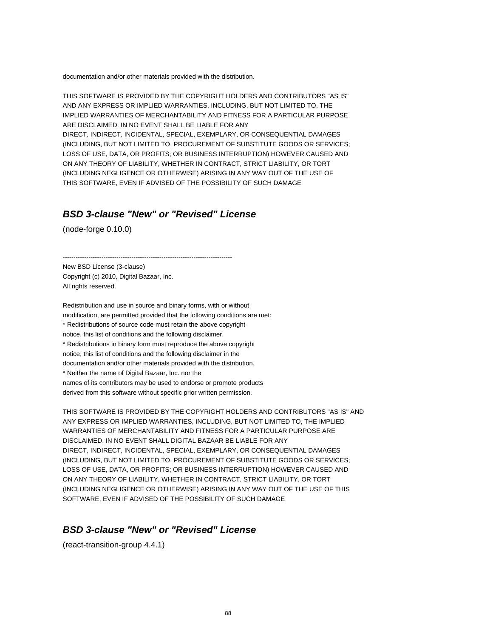documentation and/or other materials provided with the distribution.

THIS SOFTWARE IS PROVIDED BY THE COPYRIGHT HOLDERS AND CONTRIBUTORS "AS IS" AND ANY EXPRESS OR IMPLIED WARRANTIES, INCLUDING, BUT NOT LIMITED TO, THE IMPLIED WARRANTIES OF MERCHANTABILITY AND FITNESS FOR A PARTICULAR PURPOSE ARE DISCLAIMED. IN NO EVENT SHALL BE LIABLE FOR ANY DIRECT, INDIRECT, INCIDENTAL, SPECIAL, EXEMPLARY, OR CONSEQUENTIAL DAMAGES (INCLUDING, BUT NOT LIMITED TO, PROCUREMENT OF SUBSTITUTE GOODS OR SERVICES; LOSS OF USE, DATA, OR PROFITS; OR BUSINESS INTERRUPTION) HOWEVER CAUSED AND ON ANY THEORY OF LIABILITY, WHETHER IN CONTRACT, STRICT LIABILITY, OR TORT (INCLUDING NEGLIGENCE OR OTHERWISE) ARISING IN ANY WAY OUT OF THE USE OF THIS SOFTWARE, EVEN IF ADVISED OF THE POSSIBILITY OF SUCH DAMAGE

#### **BSD 3-clause "New" or "Revised" License**

(node-forge 0.10.0)

 $-$ 

New BSD License (3-clause) Copyright (c) 2010, Digital Bazaar, Inc. All rights reserved.

Redistribution and use in source and binary forms, with or without modification, are permitted provided that the following conditions are met: \* Redistributions of source code must retain the above copyright notice, this list of conditions and the following disclaimer. \* Redistributions in binary form must reproduce the above copyright notice, this list of conditions and the following disclaimer in the documentation and/or other materials provided with the distribution. \* Neither the name of Digital Bazaar, Inc. nor the names of its contributors may be used to endorse or promote products derived from this software without specific prior written permission.

THIS SOFTWARE IS PROVIDED BY THE COPYRIGHT HOLDERS AND CONTRIBUTORS "AS IS" AND ANY EXPRESS OR IMPLIED WARRANTIES, INCLUDING, BUT NOT LIMITED TO, THE IMPLIED WARRANTIES OF MERCHANTABILITY AND FITNESS FOR A PARTICULAR PURPOSE ARE DISCLAIMED. IN NO EVENT SHALL DIGITAL BAZAAR BE LIABLE FOR ANY DIRECT, INDIRECT, INCIDENTAL, SPECIAL, EXEMPLARY, OR CONSEQUENTIAL DAMAGES (INCLUDING, BUT NOT LIMITED TO, PROCUREMENT OF SUBSTITUTE GOODS OR SERVICES; LOSS OF USE, DATA, OR PROFITS; OR BUSINESS INTERRUPTION) HOWEVER CAUSED AND ON ANY THEORY OF LIABILITY, WHETHER IN CONTRACT, STRICT LIABILITY, OR TORT (INCLUDING NEGLIGENCE OR OTHERWISE) ARISING IN ANY WAY OUT OF THE USE OF THIS SOFTWARE, EVEN IF ADVISED OF THE POSSIBILITY OF SUCH DAMAGE

#### **BSD 3-clause "New" or "Revised" License**

(react-transition-group 4.4.1)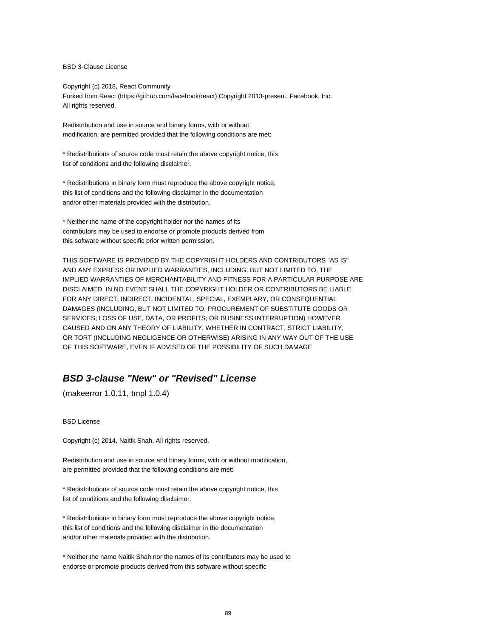BSD 3-Clause License

Copyright (c) 2018, React Community Forked from React (https://github.com/facebook/react) Copyright 2013-present, Facebook, Inc. All rights reserved.

Redistribution and use in source and binary forms, with or without modification, are permitted provided that the following conditions are met:

\* Redistributions of source code must retain the above copyright notice, this list of conditions and the following disclaimer.

\* Redistributions in binary form must reproduce the above copyright notice, this list of conditions and the following disclaimer in the documentation and/or other materials provided with the distribution.

\* Neither the name of the copyright holder nor the names of its contributors may be used to endorse or promote products derived from this software without specific prior written permission.

THIS SOFTWARE IS PROVIDED BY THE COPYRIGHT HOLDERS AND CONTRIBUTORS "AS IS" AND ANY EXPRESS OR IMPLIED WARRANTIES, INCLUDING, BUT NOT LIMITED TO, THE IMPLIED WARRANTIES OF MERCHANTABILITY AND FITNESS FOR A PARTICULAR PURPOSE ARE DISCLAIMED. IN NO EVENT SHALL THE COPYRIGHT HOLDER OR CONTRIBUTORS BE LIABLE FOR ANY DIRECT, INDIRECT, INCIDENTAL, SPECIAL, EXEMPLARY, OR CONSEQUENTIAL DAMAGES (INCLUDING, BUT NOT LIMITED TO, PROCUREMENT OF SUBSTITUTE GOODS OR SERVICES; LOSS OF USE, DATA, OR PROFITS; OR BUSINESS INTERRUPTION) HOWEVER CAUSED AND ON ANY THEORY OF LIABILITY, WHETHER IN CONTRACT, STRICT LIABILITY, OR TORT (INCLUDING NEGLIGENCE OR OTHERWISE) ARISING IN ANY WAY OUT OF THE USE OF THIS SOFTWARE, EVEN IF ADVISED OF THE POSSIBILITY OF SUCH DAMAGE

# **BSD 3-clause "New" or "Revised" License**

(makeerror 1.0.11, tmpl 1.0.4)

#### BSD License

Copyright (c) 2014, Naitik Shah. All rights reserved.

Redistribution and use in source and binary forms, with or without modification, are permitted provided that the following conditions are met:

\* Redistributions of source code must retain the above copyright notice, this list of conditions and the following disclaimer.

\* Redistributions in binary form must reproduce the above copyright notice, this list of conditions and the following disclaimer in the documentation and/or other materials provided with the distribution.

\* Neither the name Naitik Shah nor the names of its contributors may be used to endorse or promote products derived from this software without specific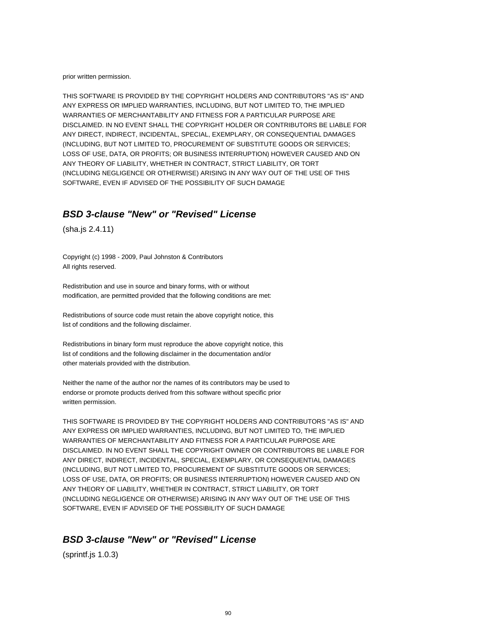prior written permission.

THIS SOFTWARE IS PROVIDED BY THE COPYRIGHT HOLDERS AND CONTRIBUTORS "AS IS" AND ANY EXPRESS OR IMPLIED WARRANTIES, INCLUDING, BUT NOT LIMITED TO, THE IMPLIED WARRANTIES OF MERCHANTABILITY AND FITNESS FOR A PARTICULAR PURPOSE ARE DISCLAIMED. IN NO EVENT SHALL THE COPYRIGHT HOLDER OR CONTRIBUTORS BE LIABLE FOR ANY DIRECT, INDIRECT, INCIDENTAL, SPECIAL, EXEMPLARY, OR CONSEQUENTIAL DAMAGES (INCLUDING, BUT NOT LIMITED TO, PROCUREMENT OF SUBSTITUTE GOODS OR SERVICES; LOSS OF USE, DATA, OR PROFITS; OR BUSINESS INTERRUPTION) HOWEVER CAUSED AND ON ANY THEORY OF LIABILITY, WHETHER IN CONTRACT, STRICT LIABILITY, OR TORT (INCLUDING NEGLIGENCE OR OTHERWISE) ARISING IN ANY WAY OUT OF THE USE OF THIS SOFTWARE, EVEN IF ADVISED OF THE POSSIBILITY OF SUCH DAMAGE

# **BSD 3-clause "New" or "Revised" License**

(sha.js 2.4.11)

Copyright (c) 1998 - 2009, Paul Johnston & Contributors All rights reserved.

Redistribution and use in source and binary forms, with or without modification, are permitted provided that the following conditions are met:

Redistributions of source code must retain the above copyright notice, this list of conditions and the following disclaimer.

Redistributions in binary form must reproduce the above copyright notice, this list of conditions and the following disclaimer in the documentation and/or other materials provided with the distribution.

Neither the name of the author nor the names of its contributors may be used to endorse or promote products derived from this software without specific prior written permission.

THIS SOFTWARE IS PROVIDED BY THE COPYRIGHT HOLDERS AND CONTRIBUTORS "AS IS" AND ANY EXPRESS OR IMPLIED WARRANTIES, INCLUDING, BUT NOT LIMITED TO, THE IMPLIED WARRANTIES OF MERCHANTABILITY AND FITNESS FOR A PARTICULAR PURPOSE ARE DISCLAIMED. IN NO EVENT SHALL THE COPYRIGHT OWNER OR CONTRIBUTORS BE LIABLE FOR ANY DIRECT, INDIRECT, INCIDENTAL, SPECIAL, EXEMPLARY, OR CONSEQUENTIAL DAMAGES (INCLUDING, BUT NOT LIMITED TO, PROCUREMENT OF SUBSTITUTE GOODS OR SERVICES; LOSS OF USE, DATA, OR PROFITS; OR BUSINESS INTERRUPTION) HOWEVER CAUSED AND ON ANY THEORY OF LIABILITY, WHETHER IN CONTRACT, STRICT LIABILITY, OR TORT (INCLUDING NEGLIGENCE OR OTHERWISE) ARISING IN ANY WAY OUT OF THE USE OF THIS SOFTWARE, EVEN IF ADVISED OF THE POSSIBILITY OF SUCH DAMAGE

#### **BSD 3-clause "New" or "Revised" License**

(sprintf.js 1.0.3)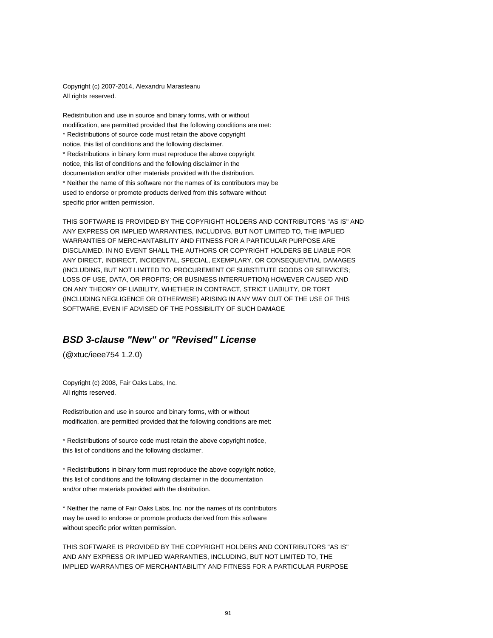Copyright (c) 2007-2014, Alexandru Marasteanu All rights reserved.

Redistribution and use in source and binary forms, with or without modification, are permitted provided that the following conditions are met: \* Redistributions of source code must retain the above copyright notice, this list of conditions and the following disclaimer. \* Redistributions in binary form must reproduce the above copyright notice, this list of conditions and the following disclaimer in the documentation and/or other materials provided with the distribution. \* Neither the name of this software nor the names of its contributors may be used to endorse or promote products derived from this software without specific prior written permission.

THIS SOFTWARE IS PROVIDED BY THE COPYRIGHT HOLDERS AND CONTRIBUTORS "AS IS" AND ANY EXPRESS OR IMPLIED WARRANTIES, INCLUDING, BUT NOT LIMITED TO, THE IMPLIED WARRANTIES OF MERCHANTABILITY AND FITNESS FOR A PARTICULAR PURPOSE ARE DISCLAIMED. IN NO EVENT SHALL THE AUTHORS OR COPYRIGHT HOLDERS BE LIABLE FOR ANY DIRECT, INDIRECT, INCIDENTAL, SPECIAL, EXEMPLARY, OR CONSEQUENTIAL DAMAGES (INCLUDING, BUT NOT LIMITED TO, PROCUREMENT OF SUBSTITUTE GOODS OR SERVICES; LOSS OF USE, DATA, OR PROFITS; OR BUSINESS INTERRUPTION) HOWEVER CAUSED AND ON ANY THEORY OF LIABILITY, WHETHER IN CONTRACT, STRICT LIABILITY, OR TORT (INCLUDING NEGLIGENCE OR OTHERWISE) ARISING IN ANY WAY OUT OF THE USE OF THIS SOFTWARE, EVEN IF ADVISED OF THE POSSIBILITY OF SUCH DAMAGE

#### **BSD 3-clause "New" or "Revised" License**

(@xtuc/ieee754 1.2.0)

Copyright (c) 2008, Fair Oaks Labs, Inc. All rights reserved.

Redistribution and use in source and binary forms, with or without modification, are permitted provided that the following conditions are met:

\* Redistributions of source code must retain the above copyright notice, this list of conditions and the following disclaimer.

\* Redistributions in binary form must reproduce the above copyright notice, this list of conditions and the following disclaimer in the documentation and/or other materials provided with the distribution.

\* Neither the name of Fair Oaks Labs, Inc. nor the names of its contributors may be used to endorse or promote products derived from this software without specific prior written permission.

THIS SOFTWARE IS PROVIDED BY THE COPYRIGHT HOLDERS AND CONTRIBUTORS "AS IS" AND ANY EXPRESS OR IMPLIED WARRANTIES, INCLUDING, BUT NOT LIMITED TO, THE IMPLIED WARRANTIES OF MERCHANTABILITY AND FITNESS FOR A PARTICULAR PURPOSE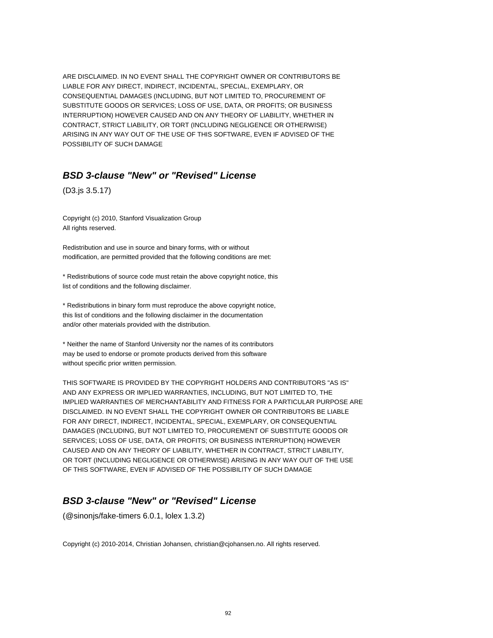ARE DISCLAIMED. IN NO EVENT SHALL THE COPYRIGHT OWNER OR CONTRIBUTORS BE LIABLE FOR ANY DIRECT, INDIRECT, INCIDENTAL, SPECIAL, EXEMPLARY, OR CONSEQUENTIAL DAMAGES (INCLUDING, BUT NOT LIMITED TO, PROCUREMENT OF SUBSTITUTE GOODS OR SERVICES; LOSS OF USE, DATA, OR PROFITS; OR BUSINESS INTERRUPTION) HOWEVER CAUSED AND ON ANY THEORY OF LIABILITY, WHETHER IN CONTRACT, STRICT LIABILITY, OR TORT (INCLUDING NEGLIGENCE OR OTHERWISE) ARISING IN ANY WAY OUT OF THE USE OF THIS SOFTWARE, EVEN IF ADVISED OF THE POSSIBILITY OF SUCH DAMAGE

#### **BSD 3-clause "New" or "Revised" License**

(D3.js 3.5.17)

Copyright (c) 2010, Stanford Visualization Group All rights reserved.

Redistribution and use in source and binary forms, with or without modification, are permitted provided that the following conditions are met:

\* Redistributions of source code must retain the above copyright notice, this list of conditions and the following disclaimer.

\* Redistributions in binary form must reproduce the above copyright notice, this list of conditions and the following disclaimer in the documentation and/or other materials provided with the distribution.

\* Neither the name of Stanford University nor the names of its contributors may be used to endorse or promote products derived from this software without specific prior written permission.

THIS SOFTWARE IS PROVIDED BY THE COPYRIGHT HOLDERS AND CONTRIBUTORS "AS IS" AND ANY EXPRESS OR IMPLIED WARRANTIES, INCLUDING, BUT NOT LIMITED TO, THE IMPLIED WARRANTIES OF MERCHANTABILITY AND FITNESS FOR A PARTICULAR PURPOSE ARE DISCLAIMED. IN NO EVENT SHALL THE COPYRIGHT OWNER OR CONTRIBUTORS BE LIABLE FOR ANY DIRECT, INDIRECT, INCIDENTAL, SPECIAL, EXEMPLARY, OR CONSEQUENTIAL DAMAGES (INCLUDING, BUT NOT LIMITED TO, PROCUREMENT OF SUBSTITUTE GOODS OR SERVICES; LOSS OF USE, DATA, OR PROFITS; OR BUSINESS INTERRUPTION) HOWEVER CAUSED AND ON ANY THEORY OF LIABILITY, WHETHER IN CONTRACT, STRICT LIABILITY, OR TORT (INCLUDING NEGLIGENCE OR OTHERWISE) ARISING IN ANY WAY OUT OF THE USE OF THIS SOFTWARE, EVEN IF ADVISED OF THE POSSIBILITY OF SUCH DAMAGE

# **BSD 3-clause "New" or "Revised" License**

(@sinonjs/fake-timers 6.0.1, lolex 1.3.2)

Copyright (c) 2010-2014, Christian Johansen, christian@cjohansen.no. All rights reserved.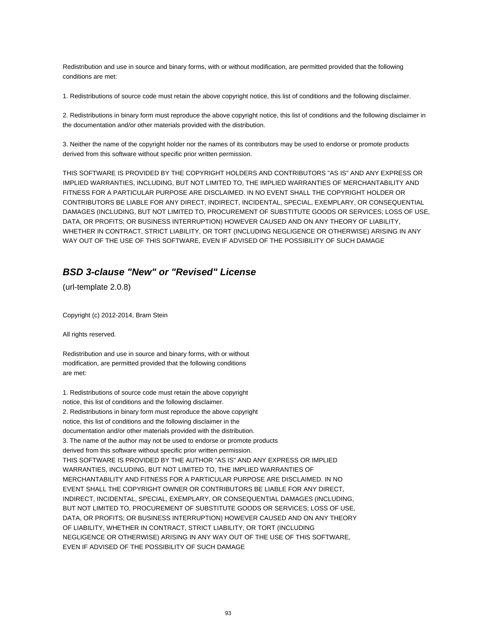Redistribution and use in source and binary forms, with or without modification, are permitted provided that the following conditions are met:

1. Redistributions of source code must retain the above copyright notice, this list of conditions and the following disclaimer.

2. Redistributions in binary form must reproduce the above copyright notice, this list of conditions and the following disclaimer in the documentation and/or other materials provided with the distribution.

3. Neither the name of the copyright holder nor the names of its contributors may be used to endorse or promote products derived from this software without specific prior written permission.

THIS SOFTWARE IS PROVIDED BY THE COPYRIGHT HOLDERS AND CONTRIBUTORS "AS IS" AND ANY EXPRESS OR IMPLIED WARRANTIES, INCLUDING, BUT NOT LIMITED TO, THE IMPLIED WARRANTIES OF MERCHANTABILITY AND FITNESS FOR A PARTICULAR PURPOSE ARE DISCLAIMED. IN NO EVENT SHALL THE COPYRIGHT HOLDER OR CONTRIBUTORS BE LIABLE FOR ANY DIRECT, INDIRECT, INCIDENTAL, SPECIAL, EXEMPLARY, OR CONSEQUENTIAL DAMAGES (INCLUDING, BUT NOT LIMITED TO, PROCUREMENT OF SUBSTITUTE GOODS OR SERVICES; LOSS OF USE, DATA, OR PROFITS; OR BUSINESS INTERRUPTION) HOWEVER CAUSED AND ON ANY THEORY OF LIABILITY, WHETHER IN CONTRACT, STRICT LIABILITY, OR TORT (INCLUDING NEGLIGENCE OR OTHERWISE) ARISING IN ANY WAY OUT OF THE USE OF THIS SOFTWARE, EVEN IF ADVISED OF THE POSSIBILITY OF SUCH DAMAGE

## **BSD 3-clause "New" or "Revised" License**

(url-template 2.0.8)

Copyright (c) 2012-2014, Bram Stein

All rights reserved.

Redistribution and use in source and binary forms, with or without modification, are permitted provided that the following conditions are met:

1. Redistributions of source code must retain the above copyright notice, this list of conditions and the following disclaimer. 2. Redistributions in binary form must reproduce the above copyright notice, this list of conditions and the following disclaimer in the documentation and/or other materials provided with the distribution. 3. The name of the author may not be used to endorse or promote products derived from this software without specific prior written permission. THIS SOFTWARE IS PROVIDED BY THE AUTHOR "AS IS" AND ANY EXPRESS OR IMPLIED WARRANTIES, INCLUDING, BUT NOT LIMITED TO, THE IMPLIED WARRANTIES OF MERCHANTABILITY AND FITNESS FOR A PARTICULAR PURPOSE ARE DISCLAIMED. IN NO EVENT SHALL THE COPYRIGHT OWNER OR CONTRIBUTORS BE LIABLE FOR ANY DIRECT, INDIRECT, INCIDENTAL, SPECIAL, EXEMPLARY, OR CONSEQUENTIAL DAMAGES (INCLUDING, BUT NOT LIMITED TO, PROCUREMENT OF SUBSTITUTE GOODS OR SERVICES; LOSS OF USE, DATA, OR PROFITS; OR BUSINESS INTERRUPTION) HOWEVER CAUSED AND ON ANY THEORY OF LIABILITY, WHETHER IN CONTRACT, STRICT LIABILITY, OR TORT (INCLUDING NEGLIGENCE OR OTHERWISE) ARISING IN ANY WAY OUT OF THE USE OF THIS SOFTWARE, EVEN IF ADVISED OF THE POSSIBILITY OF SUCH DAMAGE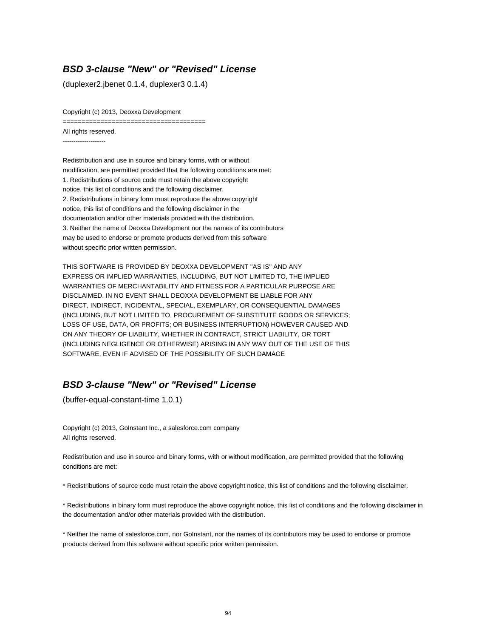### **BSD 3-clause "New" or "Revised" License**

(duplexer2.jbenet 0.1.4, duplexer3 0.1.4)

Copyright (c) 2013, Deoxxa Development

======================================

All rights reserved.

--------------------

Redistribution and use in source and binary forms, with or without modification, are permitted provided that the following conditions are met: 1. Redistributions of source code must retain the above copyright notice, this list of conditions and the following disclaimer. 2. Redistributions in binary form must reproduce the above copyright notice, this list of conditions and the following disclaimer in the documentation and/or other materials provided with the distribution. 3. Neither the name of Deoxxa Development nor the names of its contributors may be used to endorse or promote products derived from this software without specific prior written permission.

THIS SOFTWARE IS PROVIDED BY DEOXXA DEVELOPMENT ''AS IS'' AND ANY EXPRESS OR IMPLIED WARRANTIES, INCLUDING, BUT NOT LIMITED TO, THE IMPLIED WARRANTIES OF MERCHANTABILITY AND FITNESS FOR A PARTICULAR PURPOSE ARE DISCLAIMED. IN NO EVENT SHALL DEOXXA DEVELOPMENT BE LIABLE FOR ANY DIRECT, INDIRECT, INCIDENTAL, SPECIAL, EXEMPLARY, OR CONSEQUENTIAL DAMAGES (INCLUDING, BUT NOT LIMITED TO, PROCUREMENT OF SUBSTITUTE GOODS OR SERVICES; LOSS OF USE, DATA, OR PROFITS; OR BUSINESS INTERRUPTION) HOWEVER CAUSED AND ON ANY THEORY OF LIABILITY, WHETHER IN CONTRACT, STRICT LIABILITY, OR TORT (INCLUDING NEGLIGENCE OR OTHERWISE) ARISING IN ANY WAY OUT OF THE USE OF THIS SOFTWARE, EVEN IF ADVISED OF THE POSSIBILITY OF SUCH DAMAGE

# **BSD 3-clause "New" or "Revised" License**

(buffer-equal-constant-time 1.0.1)

Copyright (c) 2013, GoInstant Inc., a salesforce.com company All rights reserved.

Redistribution and use in source and binary forms, with or without modification, are permitted provided that the following conditions are met:

\* Redistributions of source code must retain the above copyright notice, this list of conditions and the following disclaimer.

\* Redistributions in binary form must reproduce the above copyright notice, this list of conditions and the following disclaimer in the documentation and/or other materials provided with the distribution.

\* Neither the name of salesforce.com, nor GoInstant, nor the names of its contributors may be used to endorse or promote products derived from this software without specific prior written permission.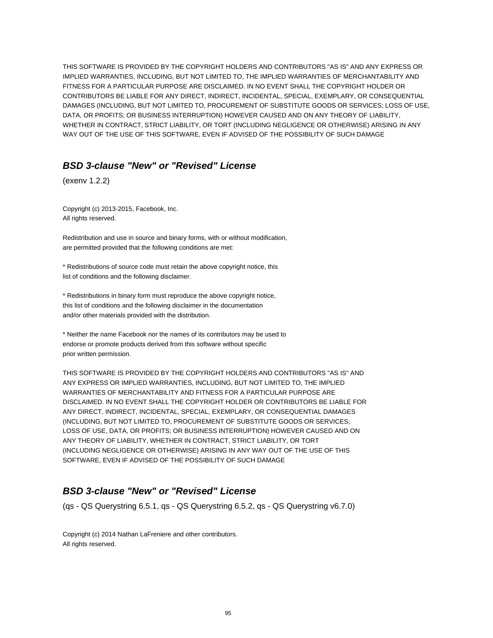THIS SOFTWARE IS PROVIDED BY THE COPYRIGHT HOLDERS AND CONTRIBUTORS "AS IS" AND ANY EXPRESS OR IMPLIED WARRANTIES, INCLUDING, BUT NOT LIMITED TO, THE IMPLIED WARRANTIES OF MERCHANTABILITY AND FITNESS FOR A PARTICULAR PURPOSE ARE DISCLAIMED. IN NO EVENT SHALL THE COPYRIGHT HOLDER OR CONTRIBUTORS BE LIABLE FOR ANY DIRECT, INDIRECT, INCIDENTAL, SPECIAL, EXEMPLARY, OR CONSEQUENTIAL DAMAGES (INCLUDING, BUT NOT LIMITED TO, PROCUREMENT OF SUBSTITUTE GOODS OR SERVICES; LOSS OF USE, DATA, OR PROFITS; OR BUSINESS INTERRUPTION) HOWEVER CAUSED AND ON ANY THEORY OF LIABILITY, WHETHER IN CONTRACT, STRICT LIABILITY, OR TORT (INCLUDING NEGLIGENCE OR OTHERWISE) ARISING IN ANY WAY OUT OF THE USE OF THIS SOFTWARE, EVEN IF ADVISED OF THE POSSIBILITY OF SUCH DAMAGE

## **BSD 3-clause "New" or "Revised" License**

(exenv 1.2.2)

Copyright (c) 2013-2015, Facebook, Inc. All rights reserved.

Redistribution and use in source and binary forms, with or without modification, are permitted provided that the following conditions are met:

\* Redistributions of source code must retain the above copyright notice, this list of conditions and the following disclaimer.

\* Redistributions in binary form must reproduce the above copyright notice, this list of conditions and the following disclaimer in the documentation and/or other materials provided with the distribution.

\* Neither the name Facebook nor the names of its contributors may be used to endorse or promote products derived from this software without specific prior written permission.

THIS SOFTWARE IS PROVIDED BY THE COPYRIGHT HOLDERS AND CONTRIBUTORS "AS IS" AND ANY EXPRESS OR IMPLIED WARRANTIES, INCLUDING, BUT NOT LIMITED TO, THE IMPLIED WARRANTIES OF MERCHANTABILITY AND FITNESS FOR A PARTICULAR PURPOSE ARE DISCLAIMED. IN NO EVENT SHALL THE COPYRIGHT HOLDER OR CONTRIBUTORS BE LIABLE FOR ANY DIRECT, INDIRECT, INCIDENTAL, SPECIAL, EXEMPLARY, OR CONSEQUENTIAL DAMAGES (INCLUDING, BUT NOT LIMITED TO, PROCUREMENT OF SUBSTITUTE GOODS OR SERVICES; LOSS OF USE, DATA, OR PROFITS; OR BUSINESS INTERRUPTION) HOWEVER CAUSED AND ON ANY THEORY OF LIABILITY, WHETHER IN CONTRACT, STRICT LIABILITY, OR TORT (INCLUDING NEGLIGENCE OR OTHERWISE) ARISING IN ANY WAY OUT OF THE USE OF THIS SOFTWARE, EVEN IF ADVISED OF THE POSSIBILITY OF SUCH DAMAGE

## **BSD 3-clause "New" or "Revised" License**

(qs - QS Querystring 6.5.1, qs - QS Querystring 6.5.2, qs - QS Querystring v6.7.0)

Copyright (c) 2014 Nathan LaFreniere and other contributors. All rights reserved.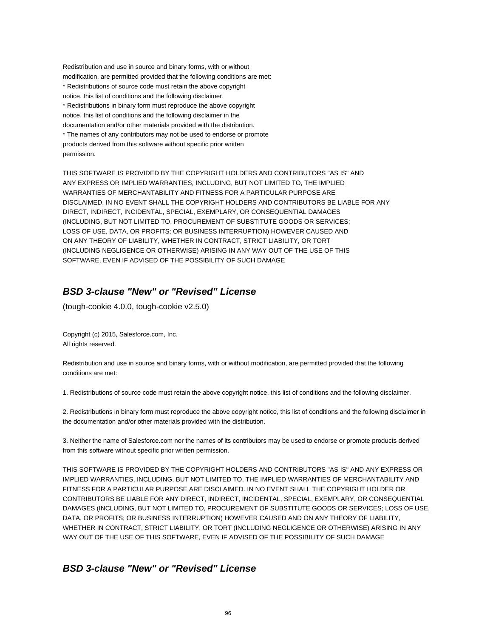Redistribution and use in source and binary forms, with or without modification, are permitted provided that the following conditions are met: \* Redistributions of source code must retain the above copyright notice, this list of conditions and the following disclaimer. \* Redistributions in binary form must reproduce the above copyright notice, this list of conditions and the following disclaimer in the documentation and/or other materials provided with the distribution. \* The names of any contributors may not be used to endorse or promote products derived from this software without specific prior written permission.

THIS SOFTWARE IS PROVIDED BY THE COPYRIGHT HOLDERS AND CONTRIBUTORS "AS IS" AND ANY EXPRESS OR IMPLIED WARRANTIES, INCLUDING, BUT NOT LIMITED TO, THE IMPLIED WARRANTIES OF MERCHANTABILITY AND FITNESS FOR A PARTICULAR PURPOSE ARE DISCLAIMED. IN NO EVENT SHALL THE COPYRIGHT HOLDERS AND CONTRIBUTORS BE LIABLE FOR ANY DIRECT, INDIRECT, INCIDENTAL, SPECIAL, EXEMPLARY, OR CONSEQUENTIAL DAMAGES (INCLUDING, BUT NOT LIMITED TO, PROCUREMENT OF SUBSTITUTE GOODS OR SERVICES; LOSS OF USE, DATA, OR PROFITS; OR BUSINESS INTERRUPTION) HOWEVER CAUSED AND ON ANY THEORY OF LIABILITY, WHETHER IN CONTRACT, STRICT LIABILITY, OR TORT (INCLUDING NEGLIGENCE OR OTHERWISE) ARISING IN ANY WAY OUT OF THE USE OF THIS SOFTWARE, EVEN IF ADVISED OF THE POSSIBILITY OF SUCH DAMAGE

## **BSD 3-clause "New" or "Revised" License**

(tough-cookie 4.0.0, tough-cookie v2.5.0)

Copyright (c) 2015, Salesforce.com, Inc. All rights reserved.

Redistribution and use in source and binary forms, with or without modification, are permitted provided that the following conditions are met:

1. Redistributions of source code must retain the above copyright notice, this list of conditions and the following disclaimer.

2. Redistributions in binary form must reproduce the above copyright notice, this list of conditions and the following disclaimer in the documentation and/or other materials provided with the distribution.

3. Neither the name of Salesforce.com nor the names of its contributors may be used to endorse or promote products derived from this software without specific prior written permission.

THIS SOFTWARE IS PROVIDED BY THE COPYRIGHT HOLDERS AND CONTRIBUTORS "AS IS" AND ANY EXPRESS OR IMPLIED WARRANTIES, INCLUDING, BUT NOT LIMITED TO, THE IMPLIED WARRANTIES OF MERCHANTABILITY AND FITNESS FOR A PARTICULAR PURPOSE ARE DISCLAIMED. IN NO EVENT SHALL THE COPYRIGHT HOLDER OR CONTRIBUTORS BE LIABLE FOR ANY DIRECT, INDIRECT, INCIDENTAL, SPECIAL, EXEMPLARY, OR CONSEQUENTIAL DAMAGES (INCLUDING, BUT NOT LIMITED TO, PROCUREMENT OF SUBSTITUTE GOODS OR SERVICES; LOSS OF USE, DATA, OR PROFITS; OR BUSINESS INTERRUPTION) HOWEVER CAUSED AND ON ANY THEORY OF LIABILITY, WHETHER IN CONTRACT, STRICT LIABILITY, OR TORT (INCLUDING NEGLIGENCE OR OTHERWISE) ARISING IN ANY WAY OUT OF THE USE OF THIS SOFTWARE, EVEN IF ADVISED OF THE POSSIBILITY OF SUCH DAMAGE

## **BSD 3-clause "New" or "Revised" License**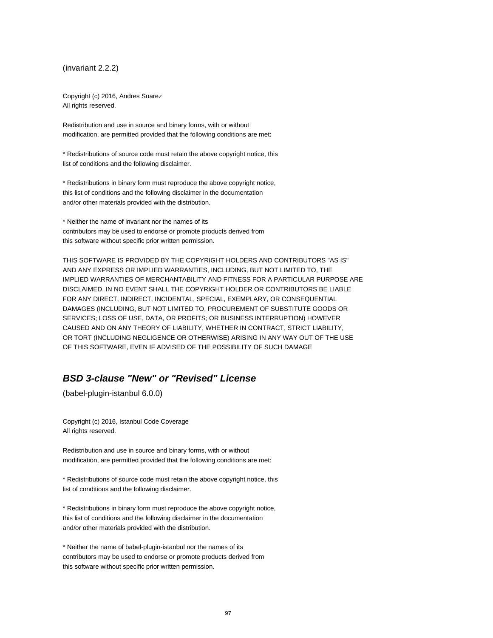(invariant 2.2.2)

Copyright (c) 2016, Andres Suarez All rights reserved.

Redistribution and use in source and binary forms, with or without modification, are permitted provided that the following conditions are met:

\* Redistributions of source code must retain the above copyright notice, this list of conditions and the following disclaimer.

\* Redistributions in binary form must reproduce the above copyright notice, this list of conditions and the following disclaimer in the documentation and/or other materials provided with the distribution.

\* Neither the name of invariant nor the names of its contributors may be used to endorse or promote products derived from this software without specific prior written permission.

THIS SOFTWARE IS PROVIDED BY THE COPYRIGHT HOLDERS AND CONTRIBUTORS "AS IS" AND ANY EXPRESS OR IMPLIED WARRANTIES, INCLUDING, BUT NOT LIMITED TO, THE IMPLIED WARRANTIES OF MERCHANTABILITY AND FITNESS FOR A PARTICULAR PURPOSE ARE DISCLAIMED. IN NO EVENT SHALL THE COPYRIGHT HOLDER OR CONTRIBUTORS BE LIABLE FOR ANY DIRECT, INDIRECT, INCIDENTAL, SPECIAL, EXEMPLARY, OR CONSEQUENTIAL DAMAGES (INCLUDING, BUT NOT LIMITED TO, PROCUREMENT OF SUBSTITUTE GOODS OR SERVICES; LOSS OF USE, DATA, OR PROFITS; OR BUSINESS INTERRUPTION) HOWEVER CAUSED AND ON ANY THEORY OF LIABILITY, WHETHER IN CONTRACT, STRICT LIABILITY, OR TORT (INCLUDING NEGLIGENCE OR OTHERWISE) ARISING IN ANY WAY OUT OF THE USE OF THIS SOFTWARE, EVEN IF ADVISED OF THE POSSIBILITY OF SUCH DAMAGE

# **BSD 3-clause "New" or "Revised" License**

(babel-plugin-istanbul 6.0.0)

Copyright (c) 2016, Istanbul Code Coverage All rights reserved.

Redistribution and use in source and binary forms, with or without modification, are permitted provided that the following conditions are met:

\* Redistributions of source code must retain the above copyright notice, this list of conditions and the following disclaimer.

\* Redistributions in binary form must reproduce the above copyright notice, this list of conditions and the following disclaimer in the documentation and/or other materials provided with the distribution.

\* Neither the name of babel-plugin-istanbul nor the names of its contributors may be used to endorse or promote products derived from this software without specific prior written permission.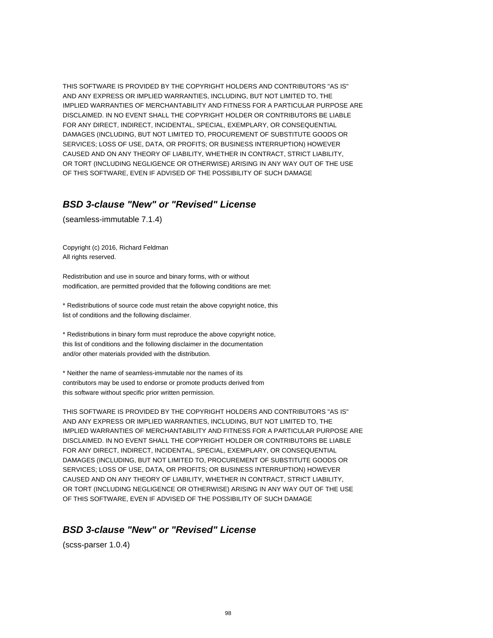THIS SOFTWARE IS PROVIDED BY THE COPYRIGHT HOLDERS AND CONTRIBUTORS "AS IS" AND ANY EXPRESS OR IMPLIED WARRANTIES, INCLUDING, BUT NOT LIMITED TO, THE IMPLIED WARRANTIES OF MERCHANTABILITY AND FITNESS FOR A PARTICULAR PURPOSE ARE DISCLAIMED. IN NO EVENT SHALL THE COPYRIGHT HOLDER OR CONTRIBUTORS BE LIABLE FOR ANY DIRECT, INDIRECT, INCIDENTAL, SPECIAL, EXEMPLARY, OR CONSEQUENTIAL DAMAGES (INCLUDING, BUT NOT LIMITED TO, PROCUREMENT OF SUBSTITUTE GOODS OR SERVICES; LOSS OF USE, DATA, OR PROFITS; OR BUSINESS INTERRUPTION) HOWEVER CAUSED AND ON ANY THEORY OF LIABILITY, WHETHER IN CONTRACT, STRICT LIABILITY, OR TORT (INCLUDING NEGLIGENCE OR OTHERWISE) ARISING IN ANY WAY OUT OF THE USE OF THIS SOFTWARE, EVEN IF ADVISED OF THE POSSIBILITY OF SUCH DAMAGE

## **BSD 3-clause "New" or "Revised" License**

(seamless-immutable 7.1.4)

Copyright (c) 2016, Richard Feldman All rights reserved.

Redistribution and use in source and binary forms, with or without modification, are permitted provided that the following conditions are met:

\* Redistributions of source code must retain the above copyright notice, this list of conditions and the following disclaimer.

\* Redistributions in binary form must reproduce the above copyright notice, this list of conditions and the following disclaimer in the documentation and/or other materials provided with the distribution.

\* Neither the name of seamless-immutable nor the names of its contributors may be used to endorse or promote products derived from this software without specific prior written permission.

THIS SOFTWARE IS PROVIDED BY THE COPYRIGHT HOLDERS AND CONTRIBUTORS "AS IS" AND ANY EXPRESS OR IMPLIED WARRANTIES, INCLUDING, BUT NOT LIMITED TO, THE IMPLIED WARRANTIES OF MERCHANTABILITY AND FITNESS FOR A PARTICULAR PURPOSE ARE DISCLAIMED. IN NO EVENT SHALL THE COPYRIGHT HOLDER OR CONTRIBUTORS BE LIABLE FOR ANY DIRECT, INDIRECT, INCIDENTAL, SPECIAL, EXEMPLARY, OR CONSEQUENTIAL DAMAGES (INCLUDING, BUT NOT LIMITED TO, PROCUREMENT OF SUBSTITUTE GOODS OR SERVICES; LOSS OF USE, DATA, OR PROFITS; OR BUSINESS INTERRUPTION) HOWEVER CAUSED AND ON ANY THEORY OF LIABILITY, WHETHER IN CONTRACT, STRICT LIABILITY, OR TORT (INCLUDING NEGLIGENCE OR OTHERWISE) ARISING IN ANY WAY OUT OF THE USE OF THIS SOFTWARE, EVEN IF ADVISED OF THE POSSIBILITY OF SUCH DAMAGE

#### **BSD 3-clause "New" or "Revised" License**

(scss-parser 1.0.4)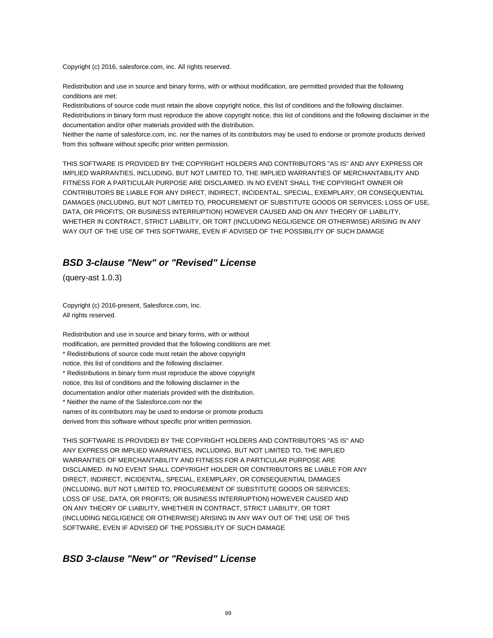Copyright (c) 2016, salesforce.com, inc. All rights reserved.

Redistribution and use in source and binary forms, with or without modification, are permitted provided that the following conditions are met:

Redistributions of source code must retain the above copyright notice, this list of conditions and the following disclaimer. Redistributions in binary form must reproduce the above copyright notice, this list of conditions and the following disclaimer in the documentation and/or other materials provided with the distribution.

Neither the name of salesforce.com, inc. nor the names of its contributors may be used to endorse or promote products derived from this software without specific prior written permission.

THIS SOFTWARE IS PROVIDED BY THE COPYRIGHT HOLDERS AND CONTRIBUTORS "AS IS" AND ANY EXPRESS OR IMPLIED WARRANTIES, INCLUDING, BUT NOT LIMITED TO, THE IMPLIED WARRANTIES OF MERCHANTABILITY AND FITNESS FOR A PARTICULAR PURPOSE ARE DISCLAIMED. IN NO EVENT SHALL THE COPYRIGHT OWNER OR CONTRIBUTORS BE LIABLE FOR ANY DIRECT, INDIRECT, INCIDENTAL, SPECIAL, EXEMPLARY, OR CONSEQUENTIAL DAMAGES (INCLUDING, BUT NOT LIMITED TO, PROCUREMENT OF SUBSTITUTE GOODS OR SERVICES; LOSS OF USE, DATA, OR PROFITS; OR BUSINESS INTERRUPTION) HOWEVER CAUSED AND ON ANY THEORY OF LIABILITY, WHETHER IN CONTRACT, STRICT LIABILITY, OR TORT (INCLUDING NEGLIGENCE OR OTHERWISE) ARISING IN ANY WAY OUT OF THE USE OF THIS SOFTWARE, EVEN IF ADVISED OF THE POSSIBILITY OF SUCH DAMAGE

#### **BSD 3-clause "New" or "Revised" License**

(query-ast 1.0.3)

Copyright (c) 2016-present, Salesforce.com, Inc. All rights reserved.

Redistribution and use in source and binary forms, with or without modification, are permitted provided that the following conditions are met: \* Redistributions of source code must retain the above copyright notice, this list of conditions and the following disclaimer. \* Redistributions in binary form must reproduce the above copyright notice, this list of conditions and the following disclaimer in the documentation and/or other materials provided with the distribution. \* Neither the name of the Salesforce.com nor the names of its contributors may be used to endorse or promote products derived from this software without specific prior written permission.

THIS SOFTWARE IS PROVIDED BY THE COPYRIGHT HOLDERS AND CONTRIBUTORS "AS IS" AND ANY EXPRESS OR IMPLIED WARRANTIES, INCLUDING, BUT NOT LIMITED TO, THE IMPLIED WARRANTIES OF MERCHANTABILITY AND FITNESS FOR A PARTICULAR PURPOSE ARE DISCLAIMED. IN NO EVENT SHALL COPYRIGHT HOLDER OR CONTRIBUTORS BE LIABLE FOR ANY DIRECT, INDIRECT, INCIDENTAL, SPECIAL, EXEMPLARY, OR CONSEQUENTIAL DAMAGES (INCLUDING, BUT NOT LIMITED TO, PROCUREMENT OF SUBSTITUTE GOODS OR SERVICES; LOSS OF USE, DATA, OR PROFITS; OR BUSINESS INTERRUPTION) HOWEVER CAUSED AND ON ANY THEORY OF LIABILITY, WHETHER IN CONTRACT, STRICT LIABILITY, OR TORT (INCLUDING NEGLIGENCE OR OTHERWISE) ARISING IN ANY WAY OUT OF THE USE OF THIS SOFTWARE, EVEN IF ADVISED OF THE POSSIBILITY OF SUCH DAMAGE

#### **BSD 3-clause "New" or "Revised" License**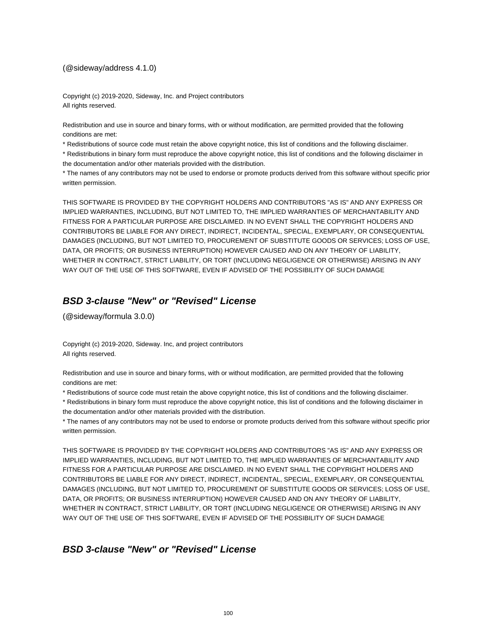#### (@sideway/address 4.1.0)

Copyright (c) 2019-2020, Sideway, Inc. and Project contributors All rights reserved.

Redistribution and use in source and binary forms, with or without modification, are permitted provided that the following conditions are met:

\* Redistributions of source code must retain the above copyright notice, this list of conditions and the following disclaimer.

\* Redistributions in binary form must reproduce the above copyright notice, this list of conditions and the following disclaimer in the documentation and/or other materials provided with the distribution.

\* The names of any contributors may not be used to endorse or promote products derived from this software without specific prior written permission.

THIS SOFTWARE IS PROVIDED BY THE COPYRIGHT HOLDERS AND CONTRIBUTORS "AS IS" AND ANY EXPRESS OR IMPLIED WARRANTIES, INCLUDING, BUT NOT LIMITED TO, THE IMPLIED WARRANTIES OF MERCHANTABILITY AND FITNESS FOR A PARTICULAR PURPOSE ARE DISCLAIMED. IN NO EVENT SHALL THE COPYRIGHT HOLDERS AND CONTRIBUTORS BE LIABLE FOR ANY DIRECT, INDIRECT, INCIDENTAL, SPECIAL, EXEMPLARY, OR CONSEQUENTIAL DAMAGES (INCLUDING, BUT NOT LIMITED TO, PROCUREMENT OF SUBSTITUTE GOODS OR SERVICES; LOSS OF USE, DATA, OR PROFITS; OR BUSINESS INTERRUPTION) HOWEVER CAUSED AND ON ANY THEORY OF LIABILITY, WHETHER IN CONTRACT, STRICT LIABILITY, OR TORT (INCLUDING NEGLIGENCE OR OTHERWISE) ARISING IN ANY WAY OUT OF THE USE OF THIS SOFTWARE, EVEN IF ADVISED OF THE POSSIBILITY OF SUCH DAMAGE

## **BSD 3-clause "New" or "Revised" License**

(@sideway/formula 3.0.0)

Copyright (c) 2019-2020, Sideway. Inc, and project contributors All rights reserved.

Redistribution and use in source and binary forms, with or without modification, are permitted provided that the following conditions are met:

\* Redistributions of source code must retain the above copyright notice, this list of conditions and the following disclaimer.

\* Redistributions in binary form must reproduce the above copyright notice, this list of conditions and the following disclaimer in the documentation and/or other materials provided with the distribution.

\* The names of any contributors may not be used to endorse or promote products derived from this software without specific prior written permission.

THIS SOFTWARE IS PROVIDED BY THE COPYRIGHT HOLDERS AND CONTRIBUTORS "AS IS" AND ANY EXPRESS OR IMPLIED WARRANTIES, INCLUDING, BUT NOT LIMITED TO, THE IMPLIED WARRANTIES OF MERCHANTABILITY AND FITNESS FOR A PARTICULAR PURPOSE ARE DISCLAIMED. IN NO EVENT SHALL THE COPYRIGHT HOLDERS AND CONTRIBUTORS BE LIABLE FOR ANY DIRECT, INDIRECT, INCIDENTAL, SPECIAL, EXEMPLARY, OR CONSEQUENTIAL DAMAGES (INCLUDING, BUT NOT LIMITED TO, PROCUREMENT OF SUBSTITUTE GOODS OR SERVICES; LOSS OF USE, DATA, OR PROFITS; OR BUSINESS INTERRUPTION) HOWEVER CAUSED AND ON ANY THEORY OF LIABILITY, WHETHER IN CONTRACT, STRICT LIABILITY, OR TORT (INCLUDING NEGLIGENCE OR OTHERWISE) ARISING IN ANY WAY OUT OF THE USE OF THIS SOFTWARE, EVEN IF ADVISED OF THE POSSIBILITY OF SUCH DAMAGE

## **BSD 3-clause "New" or "Revised" License**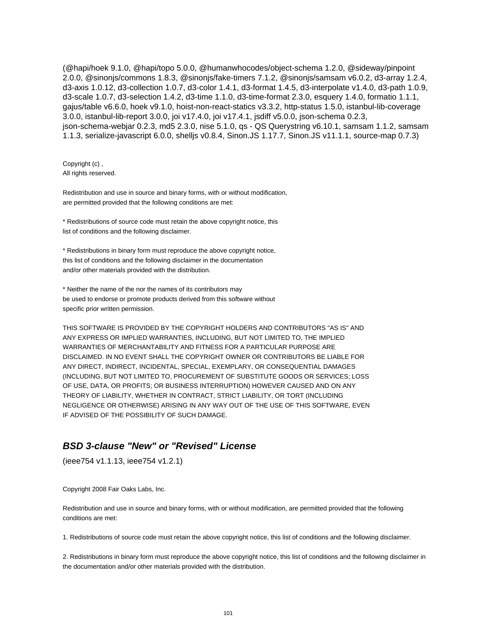(@hapi/hoek 9.1.0, @hapi/topo 5.0.0, @humanwhocodes/object-schema 1.2.0, @sideway/pinpoint 2.0.0, @sinonjs/commons 1.8.3, @sinonjs/fake-timers 7.1.2, @sinonjs/samsam v6.0.2, d3-array 1.2.4, d3-axis 1.0.12, d3-collection 1.0.7, d3-color 1.4.1, d3-format 1.4.5, d3-interpolate v1.4.0, d3-path 1.0.9, d3-scale 1.0.7, d3-selection 1.4.2, d3-time 1.1.0, d3-time-format 2.3.0, esquery 1.4.0, formatio 1.1.1, gajus/table v6.6.0, hoek v9.1.0, hoist-non-react-statics v3.3.2, http-status 1.5.0, istanbul-lib-coverage 3.0.0, istanbul-lib-report 3.0.0, joi v17.4.0, joi v17.4.1, jsdiff v5.0.0, json-schema 0.2.3, json-schema-webjar 0.2.3, md5 2.3.0, nise 5.1.0, qs - QS Querystring v6.10.1, samsam 1.1.2, samsam 1.1.3, serialize-javascript 6.0.0, shelljs v0.8.4, Sinon.JS 1.17.7, Sinon.JS v11.1.1, source-map 0.7.3)

Copyright (c) , All rights reserved.

Redistribution and use in source and binary forms, with or without modification, are permitted provided that the following conditions are met:

\* Redistributions of source code must retain the above copyright notice, this list of conditions and the following disclaimer.

\* Redistributions in binary form must reproduce the above copyright notice, this list of conditions and the following disclaimer in the documentation and/or other materials provided with the distribution.

\* Neither the name of the nor the names of its contributors may be used to endorse or promote products derived from this software without specific prior written permission.

THIS SOFTWARE IS PROVIDED BY THE COPYRIGHT HOLDERS AND CONTRIBUTORS "AS IS" AND ANY EXPRESS OR IMPLIED WARRANTIES, INCLUDING, BUT NOT LIMITED TO, THE IMPLIED WARRANTIES OF MERCHANTABILITY AND FITNESS FOR A PARTICULAR PURPOSE ARE DISCLAIMED. IN NO EVENT SHALL THE COPYRIGHT OWNER OR CONTRIBUTORS BE LIABLE FOR ANY DIRECT, INDIRECT, INCIDENTAL, SPECIAL, EXEMPLARY, OR CONSEQUENTIAL DAMAGES (INCLUDING, BUT NOT LIMITED TO, PROCUREMENT OF SUBSTITUTE GOODS OR SERVICES; LOSS OF USE, DATA, OR PROFITS; OR BUSINESS INTERRUPTION) HOWEVER CAUSED AND ON ANY THEORY OF LIABILITY, WHETHER IN CONTRACT, STRICT LIABILITY, OR TORT (INCLUDING NEGLIGENCE OR OTHERWISE) ARISING IN ANY WAY OUT OF THE USE OF THIS SOFTWARE, EVEN IF ADVISED OF THE POSSIBILITY OF SUCH DAMAGE.

#### **BSD 3-clause "New" or "Revised" License**

(ieee754 v1.1.13, ieee754 v1.2.1)

Copyright 2008 Fair Oaks Labs, Inc.

Redistribution and use in source and binary forms, with or without modification, are permitted provided that the following conditions are met:

1. Redistributions of source code must retain the above copyright notice, this list of conditions and the following disclaimer.

2. Redistributions in binary form must reproduce the above copyright notice, this list of conditions and the following disclaimer in the documentation and/or other materials provided with the distribution.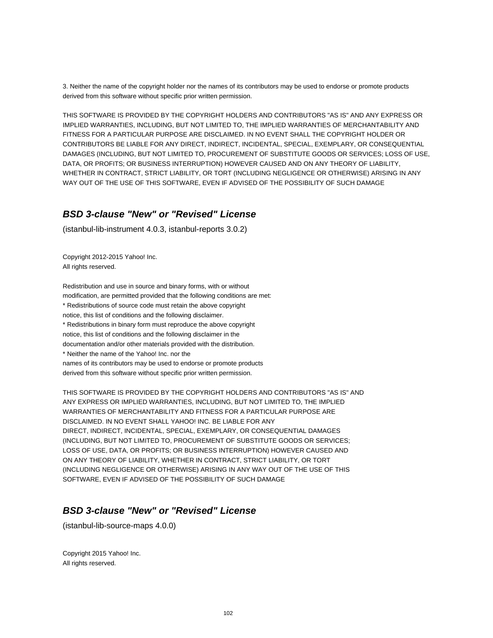3. Neither the name of the copyright holder nor the names of its contributors may be used to endorse or promote products derived from this software without specific prior written permission.

THIS SOFTWARE IS PROVIDED BY THE COPYRIGHT HOLDERS AND CONTRIBUTORS "AS IS" AND ANY EXPRESS OR IMPLIED WARRANTIES, INCLUDING, BUT NOT LIMITED TO, THE IMPLIED WARRANTIES OF MERCHANTABILITY AND FITNESS FOR A PARTICULAR PURPOSE ARE DISCLAIMED. IN NO EVENT SHALL THE COPYRIGHT HOLDER OR CONTRIBUTORS BE LIABLE FOR ANY DIRECT, INDIRECT, INCIDENTAL, SPECIAL, EXEMPLARY, OR CONSEQUENTIAL DAMAGES (INCLUDING, BUT NOT LIMITED TO, PROCUREMENT OF SUBSTITUTE GOODS OR SERVICES; LOSS OF USE, DATA, OR PROFITS; OR BUSINESS INTERRUPTION) HOWEVER CAUSED AND ON ANY THEORY OF LIABILITY, WHETHER IN CONTRACT, STRICT LIABILITY, OR TORT (INCLUDING NEGLIGENCE OR OTHERWISE) ARISING IN ANY WAY OUT OF THE USE OF THIS SOFTWARE, EVEN IF ADVISED OF THE POSSIBILITY OF SUCH DAMAGE

#### **BSD 3-clause "New" or "Revised" License**

(istanbul-lib-instrument 4.0.3, istanbul-reports 3.0.2)

Copyright 2012-2015 Yahoo! Inc. All rights reserved.

Redistribution and use in source and binary forms, with or without modification, are permitted provided that the following conditions are met: \* Redistributions of source code must retain the above copyright notice, this list of conditions and the following disclaimer. \* Redistributions in binary form must reproduce the above copyright notice, this list of conditions and the following disclaimer in the documentation and/or other materials provided with the distribution. \* Neither the name of the Yahoo! Inc. nor the names of its contributors may be used to endorse or promote products derived from this software without specific prior written permission.

THIS SOFTWARE IS PROVIDED BY THE COPYRIGHT HOLDERS AND CONTRIBUTORS "AS IS" AND ANY EXPRESS OR IMPLIED WARRANTIES, INCLUDING, BUT NOT LIMITED TO, THE IMPLIED WARRANTIES OF MERCHANTABILITY AND FITNESS FOR A PARTICULAR PURPOSE ARE DISCLAIMED. IN NO EVENT SHALL YAHOO! INC. BE LIABLE FOR ANY DIRECT, INDIRECT, INCIDENTAL, SPECIAL, EXEMPLARY, OR CONSEQUENTIAL DAMAGES (INCLUDING, BUT NOT LIMITED TO, PROCUREMENT OF SUBSTITUTE GOODS OR SERVICES; LOSS OF USE, DATA, OR PROFITS; OR BUSINESS INTERRUPTION) HOWEVER CAUSED AND ON ANY THEORY OF LIABILITY, WHETHER IN CONTRACT, STRICT LIABILITY, OR TORT (INCLUDING NEGLIGENCE OR OTHERWISE) ARISING IN ANY WAY OUT OF THE USE OF THIS SOFTWARE, EVEN IF ADVISED OF THE POSSIBILITY OF SUCH DAMAGE

## **BSD 3-clause "New" or "Revised" License**

(istanbul-lib-source-maps 4.0.0)

Copyright 2015 Yahoo! Inc. All rights reserved.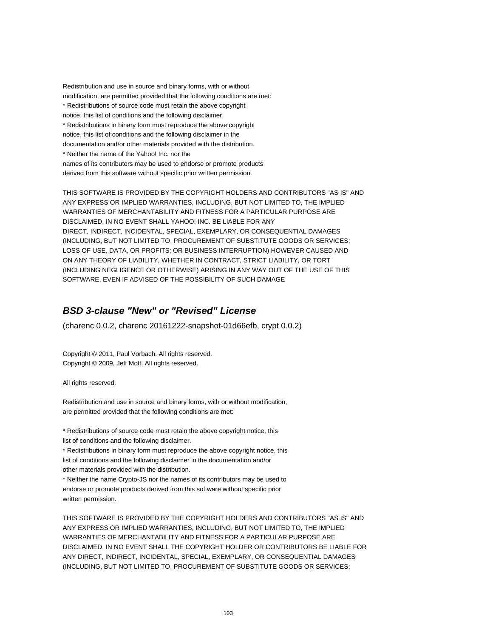Redistribution and use in source and binary forms, with or without modification, are permitted provided that the following conditions are met: \* Redistributions of source code must retain the above copyright notice, this list of conditions and the following disclaimer. \* Redistributions in binary form must reproduce the above copyright notice, this list of conditions and the following disclaimer in the documentation and/or other materials provided with the distribution. \* Neither the name of the Yahoo! Inc. nor the names of its contributors may be used to endorse or promote products derived from this software without specific prior written permission.

THIS SOFTWARE IS PROVIDED BY THE COPYRIGHT HOLDERS AND CONTRIBUTORS "AS IS" AND ANY EXPRESS OR IMPLIED WARRANTIES, INCLUDING, BUT NOT LIMITED TO, THE IMPLIED WARRANTIES OF MERCHANTABILITY AND FITNESS FOR A PARTICULAR PURPOSE ARE DISCLAIMED. IN NO EVENT SHALL YAHOO! INC. BE LIABLE FOR ANY DIRECT, INDIRECT, INCIDENTAL, SPECIAL, EXEMPLARY, OR CONSEQUENTIAL DAMAGES (INCLUDING, BUT NOT LIMITED TO, PROCUREMENT OF SUBSTITUTE GOODS OR SERVICES; LOSS OF USE, DATA, OR PROFITS; OR BUSINESS INTERRUPTION) HOWEVER CAUSED AND ON ANY THEORY OF LIABILITY, WHETHER IN CONTRACT, STRICT LIABILITY, OR TORT (INCLUDING NEGLIGENCE OR OTHERWISE) ARISING IN ANY WAY OUT OF THE USE OF THIS SOFTWARE, EVEN IF ADVISED OF THE POSSIBILITY OF SUCH DAMAGE

### **BSD 3-clause "New" or "Revised" License**

(charenc 0.0.2, charenc 20161222-snapshot-01d66efb, crypt 0.0.2)

Copyright © 2011, Paul Vorbach. All rights reserved. Copyright © 2009, Jeff Mott. All rights reserved.

All rights reserved.

Redistribution and use in source and binary forms, with or without modification, are permitted provided that the following conditions are met:

\* Redistributions of source code must retain the above copyright notice, this list of conditions and the following disclaimer.

\* Redistributions in binary form must reproduce the above copyright notice, this list of conditions and the following disclaimer in the documentation and/or other materials provided with the distribution.

\* Neither the name Crypto-JS nor the names of its contributors may be used to endorse or promote products derived from this software without specific prior written permission.

THIS SOFTWARE IS PROVIDED BY THE COPYRIGHT HOLDERS AND CONTRIBUTORS "AS IS" AND ANY EXPRESS OR IMPLIED WARRANTIES, INCLUDING, BUT NOT LIMITED TO, THE IMPLIED WARRANTIES OF MERCHANTABILITY AND FITNESS FOR A PARTICULAR PURPOSE ARE DISCLAIMED. IN NO EVENT SHALL THE COPYRIGHT HOLDER OR CONTRIBUTORS BE LIABLE FOR ANY DIRECT, INDIRECT, INCIDENTAL, SPECIAL, EXEMPLARY, OR CONSEQUENTIAL DAMAGES (INCLUDING, BUT NOT LIMITED TO, PROCUREMENT OF SUBSTITUTE GOODS OR SERVICES;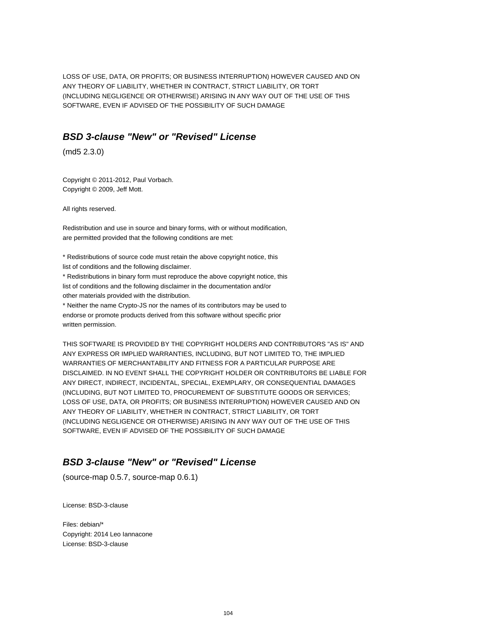LOSS OF USE, DATA, OR PROFITS; OR BUSINESS INTERRUPTION) HOWEVER CAUSED AND ON ANY THEORY OF LIABILITY, WHETHER IN CONTRACT, STRICT LIABILITY, OR TORT (INCLUDING NEGLIGENCE OR OTHERWISE) ARISING IN ANY WAY OUT OF THE USE OF THIS SOFTWARE, EVEN IF ADVISED OF THE POSSIBILITY OF SUCH DAMAGE

#### **BSD 3-clause "New" or "Revised" License**

(md5 2.3.0)

Copyright © 2011-2012, Paul Vorbach. Copyright © 2009, Jeff Mott.

All rights reserved.

Redistribution and use in source and binary forms, with or without modification, are permitted provided that the following conditions are met:

\* Redistributions of source code must retain the above copyright notice, this list of conditions and the following disclaimer.

\* Redistributions in binary form must reproduce the above copyright notice, this list of conditions and the following disclaimer in the documentation and/or other materials provided with the distribution.

\* Neither the name Crypto-JS nor the names of its contributors may be used to endorse or promote products derived from this software without specific prior written permission.

THIS SOFTWARE IS PROVIDED BY THE COPYRIGHT HOLDERS AND CONTRIBUTORS "AS IS" AND ANY EXPRESS OR IMPLIED WARRANTIES, INCLUDING, BUT NOT LIMITED TO, THE IMPLIED WARRANTIES OF MERCHANTABILITY AND FITNESS FOR A PARTICULAR PURPOSE ARE DISCLAIMED. IN NO EVENT SHALL THE COPYRIGHT HOLDER OR CONTRIBUTORS BE LIABLE FOR ANY DIRECT, INDIRECT, INCIDENTAL, SPECIAL, EXEMPLARY, OR CONSEQUENTIAL DAMAGES (INCLUDING, BUT NOT LIMITED TO, PROCUREMENT OF SUBSTITUTE GOODS OR SERVICES; LOSS OF USE, DATA, OR PROFITS; OR BUSINESS INTERRUPTION) HOWEVER CAUSED AND ON ANY THEORY OF LIABILITY, WHETHER IN CONTRACT, STRICT LIABILITY, OR TORT (INCLUDING NEGLIGENCE OR OTHERWISE) ARISING IN ANY WAY OUT OF THE USE OF THIS SOFTWARE, EVEN IF ADVISED OF THE POSSIBILITY OF SUCH DAMAGE

## **BSD 3-clause "New" or "Revised" License**

(source-map 0.5.7, source-map 0.6.1)

License: BSD-3-clause

Files: debian/\* Copyright: 2014 Leo Iannacone License: BSD-3-clause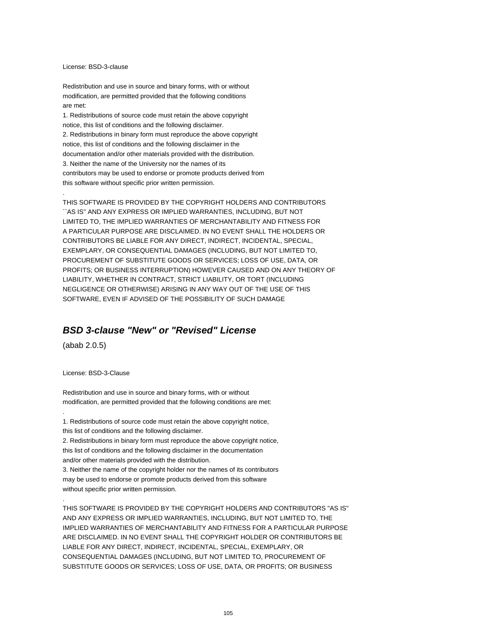#### License: BSD-3-clause

Redistribution and use in source and binary forms, with or without modification, are permitted provided that the following conditions are met:

1. Redistributions of source code must retain the above copyright notice, this list of conditions and the following disclaimer. 2. Redistributions in binary form must reproduce the above copyright notice, this list of conditions and the following disclaimer in the documentation and/or other materials provided with the distribution. 3. Neither the name of the University nor the names of its contributors may be used to endorse or promote products derived from this software without specific prior written permission.

THIS SOFTWARE IS PROVIDED BY THE COPYRIGHT HOLDERS AND CONTRIBUTORS ``AS IS'' AND ANY EXPRESS OR IMPLIED WARRANTIES, INCLUDING, BUT NOT LIMITED TO, THE IMPLIED WARRANTIES OF MERCHANTABILITY AND FITNESS FOR A PARTICULAR PURPOSE ARE DISCLAIMED. IN NO EVENT SHALL THE HOLDERS OR CONTRIBUTORS BE LIABLE FOR ANY DIRECT, INDIRECT, INCIDENTAL, SPECIAL, EXEMPLARY, OR CONSEQUENTIAL DAMAGES (INCLUDING, BUT NOT LIMITED TO, PROCUREMENT OF SUBSTITUTE GOODS OR SERVICES; LOSS OF USE, DATA, OR PROFITS; OR BUSINESS INTERRUPTION) HOWEVER CAUSED AND ON ANY THEORY OF LIABILITY, WHETHER IN CONTRACT, STRICT LIABILITY, OR TORT (INCLUDING NEGLIGENCE OR OTHERWISE) ARISING IN ANY WAY OUT OF THE USE OF THIS SOFTWARE, EVEN IF ADVISED OF THE POSSIBILITY OF SUCH DAMAGE

### **BSD 3-clause "New" or "Revised" License**

(abab 2.0.5)

.

.

.

License: BSD-3-Clause

Redistribution and use in source and binary forms, with or without modification, are permitted provided that the following conditions are met:

1. Redistributions of source code must retain the above copyright notice, this list of conditions and the following disclaimer.

2. Redistributions in binary form must reproduce the above copyright notice, this list of conditions and the following disclaimer in the documentation and/or other materials provided with the distribution.

3. Neither the name of the copyright holder nor the names of its contributors may be used to endorse or promote products derived from this software without specific prior written permission.

THIS SOFTWARE IS PROVIDED BY THE COPYRIGHT HOLDERS AND CONTRIBUTORS "AS IS" AND ANY EXPRESS OR IMPLIED WARRANTIES, INCLUDING, BUT NOT LIMITED TO, THE IMPLIED WARRANTIES OF MERCHANTABILITY AND FITNESS FOR A PARTICULAR PURPOSE ARE DISCLAIMED. IN NO EVENT SHALL THE COPYRIGHT HOLDER OR CONTRIBUTORS BE LIABLE FOR ANY DIRECT, INDIRECT, INCIDENTAL, SPECIAL, EXEMPLARY, OR CONSEQUENTIAL DAMAGES (INCLUDING, BUT NOT LIMITED TO, PROCUREMENT OF SUBSTITUTE GOODS OR SERVICES; LOSS OF USE, DATA, OR PROFITS; OR BUSINESS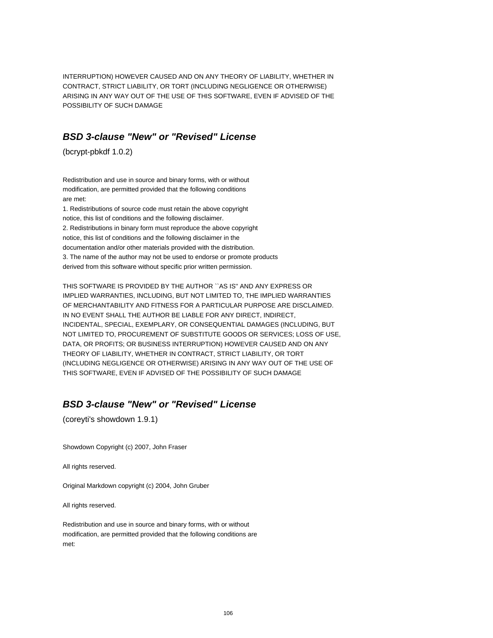INTERRUPTION) HOWEVER CAUSED AND ON ANY THEORY OF LIABILITY, WHETHER IN CONTRACT, STRICT LIABILITY, OR TORT (INCLUDING NEGLIGENCE OR OTHERWISE) ARISING IN ANY WAY OUT OF THE USE OF THIS SOFTWARE, EVEN IF ADVISED OF THE POSSIBILITY OF SUCH DAMAGE

# **BSD 3-clause "New" or "Revised" License**

(bcrypt-pbkdf 1.0.2)

Redistribution and use in source and binary forms, with or without modification, are permitted provided that the following conditions are met:

1. Redistributions of source code must retain the above copyright notice, this list of conditions and the following disclaimer. 2. Redistributions in binary form must reproduce the above copyright notice, this list of conditions and the following disclaimer in the documentation and/or other materials provided with the distribution. 3. The name of the author may not be used to endorse or promote products derived from this software without specific prior written permission.

THIS SOFTWARE IS PROVIDED BY THE AUTHOR ``AS IS'' AND ANY EXPRESS OR IMPLIED WARRANTIES, INCLUDING, BUT NOT LIMITED TO, THE IMPLIED WARRANTIES OF MERCHANTABILITY AND FITNESS FOR A PARTICULAR PURPOSE ARE DISCLAIMED. IN NO EVENT SHALL THE AUTHOR BE LIABLE FOR ANY DIRECT, INDIRECT, INCIDENTAL, SPECIAL, EXEMPLARY, OR CONSEQUENTIAL DAMAGES (INCLUDING, BUT NOT LIMITED TO, PROCUREMENT OF SUBSTITUTE GOODS OR SERVICES; LOSS OF USE, DATA, OR PROFITS; OR BUSINESS INTERRUPTION) HOWEVER CAUSED AND ON ANY THEORY OF LIABILITY, WHETHER IN CONTRACT, STRICT LIABILITY, OR TORT (INCLUDING NEGLIGENCE OR OTHERWISE) ARISING IN ANY WAY OUT OF THE USE OF THIS SOFTWARE, EVEN IF ADVISED OF THE POSSIBILITY OF SUCH DAMAGE

# **BSD 3-clause "New" or "Revised" License**

(coreyti's showdown 1.9.1)

Showdown Copyright (c) 2007, John Fraser

All rights reserved.

Original Markdown copyright (c) 2004, John Gruber

All rights reserved.

Redistribution and use in source and binary forms, with or without modification, are permitted provided that the following conditions are met: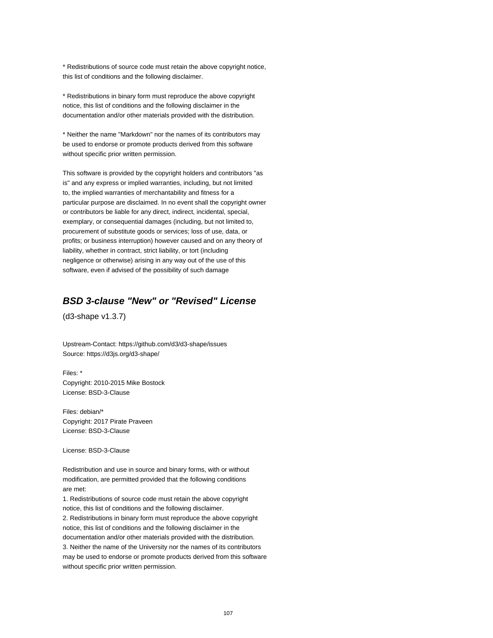\* Redistributions of source code must retain the above copyright notice, this list of conditions and the following disclaimer.

\* Redistributions in binary form must reproduce the above copyright notice, this list of conditions and the following disclaimer in the documentation and/or other materials provided with the distribution.

\* Neither the name "Markdown" nor the names of its contributors may be used to endorse or promote products derived from this software without specific prior written permission.

This software is provided by the copyright holders and contributors "as is" and any express or implied warranties, including, but not limited to, the implied warranties of merchantability and fitness for a particular purpose are disclaimed. In no event shall the copyright owner or contributors be liable for any direct, indirect, incidental, special, exemplary, or consequential damages (including, but not limited to, procurement of substitute goods or services; loss of use, data, or profits; or business interruption) however caused and on any theory of liability, whether in contract, strict liability, or tort (including negligence or otherwise) arising in any way out of the use of this software, even if advised of the possibility of such damage

## **BSD 3-clause "New" or "Revised" License**

(d3-shape v1.3.7)

Upstream-Contact: https://github.com/d3/d3-shape/issues Source: https://d3js.org/d3-shape/

Files: \* Copyright: 2010-2015 Mike Bostock License: BSD-3-Clause

Files: debian/\* Copyright: 2017 Pirate Praveen License: BSD-3-Clause

License: BSD-3-Clause

Redistribution and use in source and binary forms, with or without modification, are permitted provided that the following conditions are met:

1. Redistributions of source code must retain the above copyright notice, this list of conditions and the following disclaimer. 2. Redistributions in binary form must reproduce the above copyright notice, this list of conditions and the following disclaimer in the documentation and/or other materials provided with the distribution. 3. Neither the name of the University nor the names of its contributors may be used to endorse or promote products derived from this software without specific prior written permission.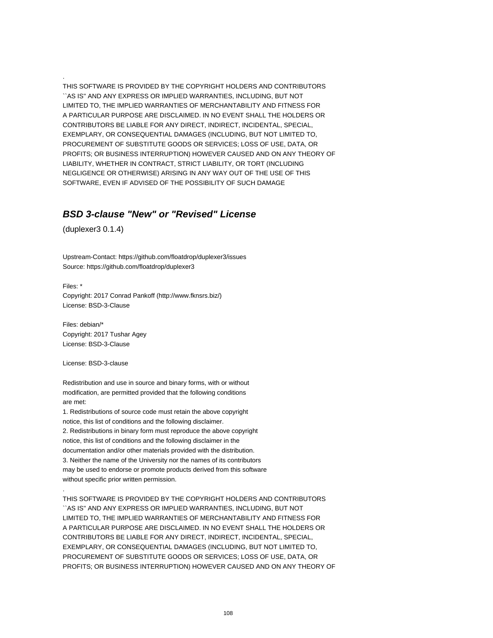THIS SOFTWARE IS PROVIDED BY THE COPYRIGHT HOLDERS AND CONTRIBUTORS ``AS IS'' AND ANY EXPRESS OR IMPLIED WARRANTIES, INCLUDING, BUT NOT LIMITED TO, THE IMPLIED WARRANTIES OF MERCHANTABILITY AND FITNESS FOR A PARTICULAR PURPOSE ARE DISCLAIMED. IN NO EVENT SHALL THE HOLDERS OR CONTRIBUTORS BE LIABLE FOR ANY DIRECT, INDIRECT, INCIDENTAL, SPECIAL, EXEMPLARY, OR CONSEQUENTIAL DAMAGES (INCLUDING, BUT NOT LIMITED TO, PROCUREMENT OF SUBSTITUTE GOODS OR SERVICES; LOSS OF USE, DATA, OR PROFITS; OR BUSINESS INTERRUPTION) HOWEVER CAUSED AND ON ANY THEORY OF LIABILITY, WHETHER IN CONTRACT, STRICT LIABILITY, OR TORT (INCLUDING NEGLIGENCE OR OTHERWISE) ARISING IN ANY WAY OUT OF THE USE OF THIS SOFTWARE, EVEN IF ADVISED OF THE POSSIBILITY OF SUCH DAMAGE

# **BSD 3-clause "New" or "Revised" License**

(duplexer3 0.1.4)

.

Upstream-Contact: https://github.com/floatdrop/duplexer3/issues Source: https://github.com/floatdrop/duplexer3

Files: \* Copyright: 2017 Conrad Pankoff (http://www.fknsrs.biz/) License: BSD-3-Clause

Files: debian/\* Copyright: 2017 Tushar Agey License: BSD-3-Clause

License: BSD-3-clause

.

Redistribution and use in source and binary forms, with or without modification, are permitted provided that the following conditions are met:

1. Redistributions of source code must retain the above copyright notice, this list of conditions and the following disclaimer. 2. Redistributions in binary form must reproduce the above copyright notice, this list of conditions and the following disclaimer in the documentation and/or other materials provided with the distribution. 3. Neither the name of the University nor the names of its contributors may be used to endorse or promote products derived from this software without specific prior written permission.

THIS SOFTWARE IS PROVIDED BY THE COPYRIGHT HOLDERS AND CONTRIBUTORS ``AS IS'' AND ANY EXPRESS OR IMPLIED WARRANTIES, INCLUDING, BUT NOT LIMITED TO, THE IMPLIED WARRANTIES OF MERCHANTABILITY AND FITNESS FOR A PARTICULAR PURPOSE ARE DISCLAIMED. IN NO EVENT SHALL THE HOLDERS OR CONTRIBUTORS BE LIABLE FOR ANY DIRECT, INDIRECT, INCIDENTAL, SPECIAL, EXEMPLARY, OR CONSEQUENTIAL DAMAGES (INCLUDING, BUT NOT LIMITED TO, PROCUREMENT OF SUBSTITUTE GOODS OR SERVICES; LOSS OF USE, DATA, OR PROFITS; OR BUSINESS INTERRUPTION) HOWEVER CAUSED AND ON ANY THEORY OF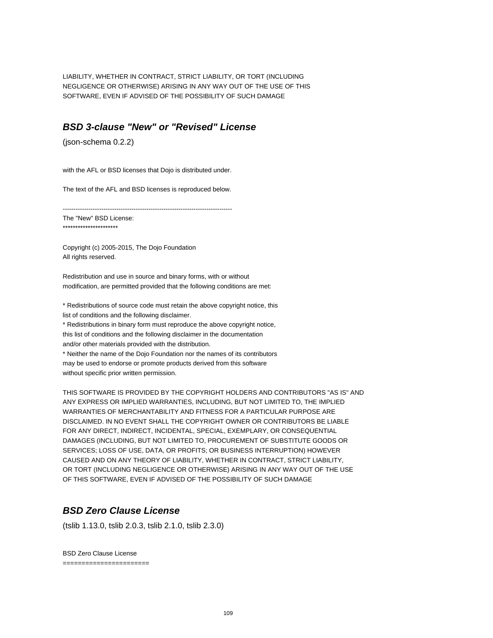LIABILITY, WHETHER IN CONTRACT, STRICT LIABILITY, OR TORT (INCLUDING NEGLIGENCE OR OTHERWISE) ARISING IN ANY WAY OUT OF THE USE OF THIS SOFTWARE, EVEN IF ADVISED OF THE POSSIBILITY OF SUCH DAMAGE

### **BSD 3-clause "New" or "Revised" License**

(json-schema 0.2.2)

with the AFL or BSD licenses that Dojo is distributed under.

The text of the AFL and BSD licenses is reproduced below.

-------------------------------------------------------------------------------

The "New" BSD License: \*\*\*\*\*\*\*\*\*\*\*\*\*\*\*\*\*\*\*\*\*\*

Copyright (c) 2005-2015, The Dojo Foundation All rights reserved.

Redistribution and use in source and binary forms, with or without modification, are permitted provided that the following conditions are met:

\* Redistributions of source code must retain the above copyright notice, this list of conditions and the following disclaimer.

\* Redistributions in binary form must reproduce the above copyright notice, this list of conditions and the following disclaimer in the documentation and/or other materials provided with the distribution.

\* Neither the name of the Dojo Foundation nor the names of its contributors may be used to endorse or promote products derived from this software without specific prior written permission.

THIS SOFTWARE IS PROVIDED BY THE COPYRIGHT HOLDERS AND CONTRIBUTORS "AS IS" AND ANY EXPRESS OR IMPLIED WARRANTIES, INCLUDING, BUT NOT LIMITED TO, THE IMPLIED WARRANTIES OF MERCHANTABILITY AND FITNESS FOR A PARTICULAR PURPOSE ARE DISCLAIMED. IN NO EVENT SHALL THE COPYRIGHT OWNER OR CONTRIBUTORS BE LIABLE FOR ANY DIRECT, INDIRECT, INCIDENTAL, SPECIAL, EXEMPLARY, OR CONSEQUENTIAL DAMAGES (INCLUDING, BUT NOT LIMITED TO, PROCUREMENT OF SUBSTITUTE GOODS OR SERVICES; LOSS OF USE, DATA, OR PROFITS; OR BUSINESS INTERRUPTION) HOWEVER CAUSED AND ON ANY THEORY OF LIABILITY, WHETHER IN CONTRACT, STRICT LIABILITY, OR TORT (INCLUDING NEGLIGENCE OR OTHERWISE) ARISING IN ANY WAY OUT OF THE USE OF THIS SOFTWARE, EVEN IF ADVISED OF THE POSSIBILITY OF SUCH DAMAGE

# **BSD Zero Clause License**

(tslib 1.13.0, tslib 2.0.3, tslib 2.1.0, tslib 2.3.0)

BSD Zero Clause License =======================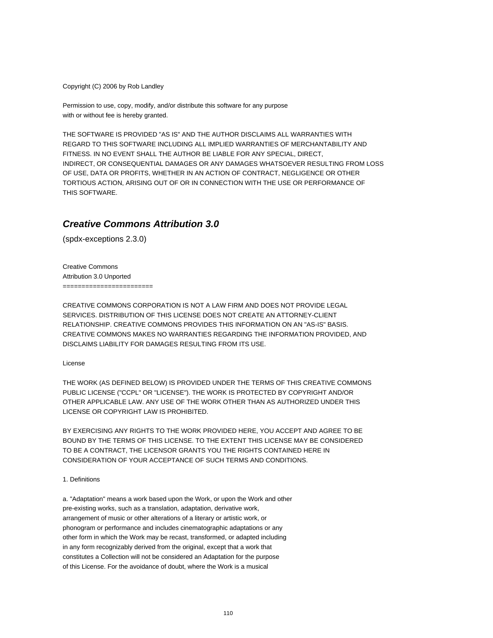Copyright (C) 2006 by Rob Landley

Permission to use, copy, modify, and/or distribute this software for any purpose with or without fee is hereby granted.

THE SOFTWARE IS PROVIDED "AS IS" AND THE AUTHOR DISCLAIMS ALL WARRANTIES WITH REGARD TO THIS SOFTWARE INCLUDING ALL IMPLIED WARRANTIES OF MERCHANTABILITY AND FITNESS. IN NO EVENT SHALL THE AUTHOR BE LIABLE FOR ANY SPECIAL, DIRECT, INDIRECT, OR CONSEQUENTIAL DAMAGES OR ANY DAMAGES WHATSOEVER RESULTING FROM LOSS OF USE, DATA OR PROFITS, WHETHER IN AN ACTION OF CONTRACT, NEGLIGENCE OR OTHER TORTIOUS ACTION, ARISING OUT OF OR IN CONNECTION WITH THE USE OR PERFORMANCE OF THIS SOFTWARE.

# **Creative Commons Attribution 3.0**

(spdx-exceptions 2.3.0)

Creative Commons Attribution 3.0 Unported ========================

CREATIVE COMMONS CORPORATION IS NOT A LAW FIRM AND DOES NOT PROVIDE LEGAL SERVICES. DISTRIBUTION OF THIS LICENSE DOES NOT CREATE AN ATTORNEY-CLIENT RELATIONSHIP. CREATIVE COMMONS PROVIDES THIS INFORMATION ON AN "AS-IS" BASIS. CREATIVE COMMONS MAKES NO WARRANTIES REGARDING THE INFORMATION PROVIDED, AND DISCLAIMS LIABILITY FOR DAMAGES RESULTING FROM ITS USE.

License

THE WORK (AS DEFINED BELOW) IS PROVIDED UNDER THE TERMS OF THIS CREATIVE COMMONS PUBLIC LICENSE ("CCPL" OR "LICENSE"). THE WORK IS PROTECTED BY COPYRIGHT AND/OR OTHER APPLICABLE LAW. ANY USE OF THE WORK OTHER THAN AS AUTHORIZED UNDER THIS LICENSE OR COPYRIGHT LAW IS PROHIBITED.

BY EXERCISING ANY RIGHTS TO THE WORK PROVIDED HERE, YOU ACCEPT AND AGREE TO BE BOUND BY THE TERMS OF THIS LICENSE. TO THE EXTENT THIS LICENSE MAY BE CONSIDERED TO BE A CONTRACT, THE LICENSOR GRANTS YOU THE RIGHTS CONTAINED HERE IN CONSIDERATION OF YOUR ACCEPTANCE OF SUCH TERMS AND CONDITIONS.

#### 1. Definitions

a. "Adaptation" means a work based upon the Work, or upon the Work and other pre-existing works, such as a translation, adaptation, derivative work, arrangement of music or other alterations of a literary or artistic work, or phonogram or performance and includes cinematographic adaptations or any other form in which the Work may be recast, transformed, or adapted including in any form recognizably derived from the original, except that a work that constitutes a Collection will not be considered an Adaptation for the purpose of this License. For the avoidance of doubt, where the Work is a musical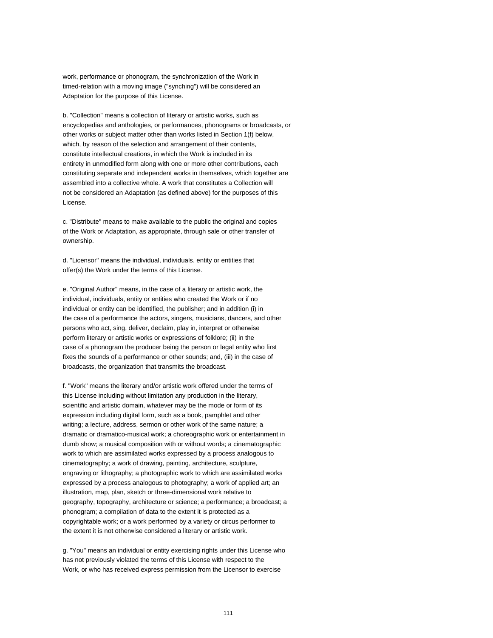work, performance or phonogram, the synchronization of the Work in timed-relation with a moving image ("synching") will be considered an Adaptation for the purpose of this License.

b. "Collection" means a collection of literary or artistic works, such as encyclopedias and anthologies, or performances, phonograms or broadcasts, or other works or subject matter other than works listed in Section 1(f) below, which, by reason of the selection and arrangement of their contents, constitute intellectual creations, in which the Work is included in its entirety in unmodified form along with one or more other contributions, each constituting separate and independent works in themselves, which together are assembled into a collective whole. A work that constitutes a Collection will not be considered an Adaptation (as defined above) for the purposes of this License.

c. "Distribute" means to make available to the public the original and copies of the Work or Adaptation, as appropriate, through sale or other transfer of ownership.

d. "Licensor" means the individual, individuals, entity or entities that offer(s) the Work under the terms of this License.

e. "Original Author" means, in the case of a literary or artistic work, the individual, individuals, entity or entities who created the Work or if no individual or entity can be identified, the publisher; and in addition (i) in the case of a performance the actors, singers, musicians, dancers, and other persons who act, sing, deliver, declaim, play in, interpret or otherwise perform literary or artistic works or expressions of folklore; (ii) in the case of a phonogram the producer being the person or legal entity who first fixes the sounds of a performance or other sounds; and, (iii) in the case of broadcasts, the organization that transmits the broadcast.

f. "Work" means the literary and/or artistic work offered under the terms of this License including without limitation any production in the literary, scientific and artistic domain, whatever may be the mode or form of its expression including digital form, such as a book, pamphlet and other writing; a lecture, address, sermon or other work of the same nature; a dramatic or dramatico-musical work; a choreographic work or entertainment in dumb show; a musical composition with or without words; a cinematographic work to which are assimilated works expressed by a process analogous to cinematography; a work of drawing, painting, architecture, sculpture, engraving or lithography; a photographic work to which are assimilated works expressed by a process analogous to photography; a work of applied art; an illustration, map, plan, sketch or three-dimensional work relative to geography, topography, architecture or science; a performance; a broadcast; a phonogram; a compilation of data to the extent it is protected as a copyrightable work; or a work performed by a variety or circus performer to the extent it is not otherwise considered a literary or artistic work.

g. "You" means an individual or entity exercising rights under this License who has not previously violated the terms of this License with respect to the Work, or who has received express permission from the Licensor to exercise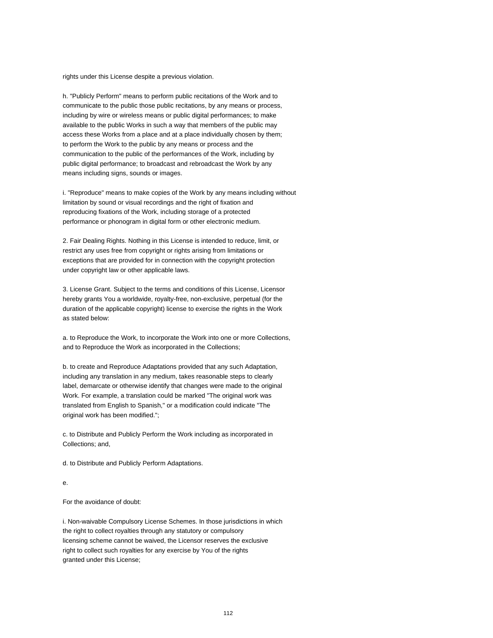rights under this License despite a previous violation.

h. "Publicly Perform" means to perform public recitations of the Work and to communicate to the public those public recitations, by any means or process, including by wire or wireless means or public digital performances; to make available to the public Works in such a way that members of the public may access these Works from a place and at a place individually chosen by them; to perform the Work to the public by any means or process and the communication to the public of the performances of the Work, including by public digital performance; to broadcast and rebroadcast the Work by any means including signs, sounds or images.

i. "Reproduce" means to make copies of the Work by any means including without limitation by sound or visual recordings and the right of fixation and reproducing fixations of the Work, including storage of a protected performance or phonogram in digital form or other electronic medium.

2. Fair Dealing Rights. Nothing in this License is intended to reduce, limit, or restrict any uses free from copyright or rights arising from limitations or exceptions that are provided for in connection with the copyright protection under copyright law or other applicable laws.

3. License Grant. Subject to the terms and conditions of this License, Licensor hereby grants You a worldwide, royalty-free, non-exclusive, perpetual (for the duration of the applicable copyright) license to exercise the rights in the Work as stated below:

a. to Reproduce the Work, to incorporate the Work into one or more Collections, and to Reproduce the Work as incorporated in the Collections;

b. to create and Reproduce Adaptations provided that any such Adaptation, including any translation in any medium, takes reasonable steps to clearly label, demarcate or otherwise identify that changes were made to the original Work. For example, a translation could be marked "The original work was translated from English to Spanish," or a modification could indicate "The original work has been modified.";

c. to Distribute and Publicly Perform the Work including as incorporated in Collections; and,

d. to Distribute and Publicly Perform Adaptations.

e.

For the avoidance of doubt:

i. Non-waivable Compulsory License Schemes. In those jurisdictions in which the right to collect royalties through any statutory or compulsory licensing scheme cannot be waived, the Licensor reserves the exclusive right to collect such royalties for any exercise by You of the rights granted under this License;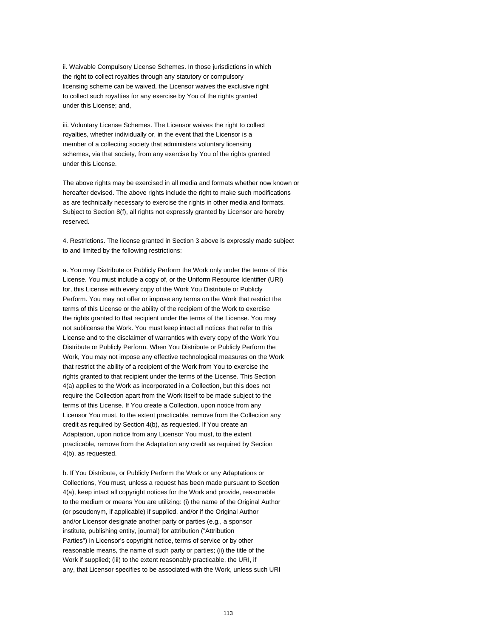ii. Waivable Compulsory License Schemes. In those jurisdictions in which the right to collect royalties through any statutory or compulsory licensing scheme can be waived, the Licensor waives the exclusive right to collect such royalties for any exercise by You of the rights granted under this License; and,

iii. Voluntary License Schemes. The Licensor waives the right to collect royalties, whether individually or, in the event that the Licensor is a member of a collecting society that administers voluntary licensing schemes, via that society, from any exercise by You of the rights granted under this License.

The above rights may be exercised in all media and formats whether now known or hereafter devised. The above rights include the right to make such modifications as are technically necessary to exercise the rights in other media and formats. Subject to Section 8(f), all rights not expressly granted by Licensor are hereby reserved.

4. Restrictions. The license granted in Section 3 above is expressly made subject to and limited by the following restrictions:

a. You may Distribute or Publicly Perform the Work only under the terms of this License. You must include a copy of, or the Uniform Resource Identifier (URI) for, this License with every copy of the Work You Distribute or Publicly Perform. You may not offer or impose any terms on the Work that restrict the terms of this License or the ability of the recipient of the Work to exercise the rights granted to that recipient under the terms of the License. You may not sublicense the Work. You must keep intact all notices that refer to this License and to the disclaimer of warranties with every copy of the Work You Distribute or Publicly Perform. When You Distribute or Publicly Perform the Work, You may not impose any effective technological measures on the Work that restrict the ability of a recipient of the Work from You to exercise the rights granted to that recipient under the terms of the License. This Section 4(a) applies to the Work as incorporated in a Collection, but this does not require the Collection apart from the Work itself to be made subject to the terms of this License. If You create a Collection, upon notice from any Licensor You must, to the extent practicable, remove from the Collection any credit as required by Section 4(b), as requested. If You create an Adaptation, upon notice from any Licensor You must, to the extent practicable, remove from the Adaptation any credit as required by Section 4(b), as requested.

b. If You Distribute, or Publicly Perform the Work or any Adaptations or Collections, You must, unless a request has been made pursuant to Section 4(a), keep intact all copyright notices for the Work and provide, reasonable to the medium or means You are utilizing: (i) the name of the Original Author (or pseudonym, if applicable) if supplied, and/or if the Original Author and/or Licensor designate another party or parties (e.g., a sponsor institute, publishing entity, journal) for attribution ("Attribution Parties") in Licensor's copyright notice, terms of service or by other reasonable means, the name of such party or parties; (ii) the title of the Work if supplied; (iii) to the extent reasonably practicable, the URI, if any, that Licensor specifies to be associated with the Work, unless such URI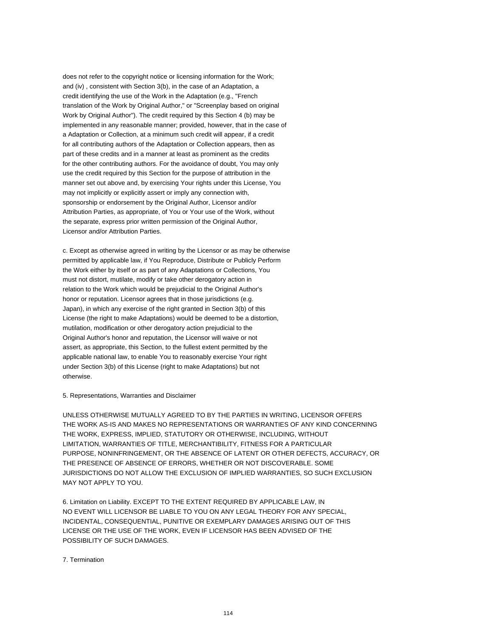does not refer to the copyright notice or licensing information for the Work; and (iv) , consistent with Section 3(b), in the case of an Adaptation, a credit identifying the use of the Work in the Adaptation (e.g., "French translation of the Work by Original Author," or "Screenplay based on original Work by Original Author"). The credit required by this Section 4 (b) may be implemented in any reasonable manner; provided, however, that in the case of a Adaptation or Collection, at a minimum such credit will appear, if a credit for all contributing authors of the Adaptation or Collection appears, then as part of these credits and in a manner at least as prominent as the credits for the other contributing authors. For the avoidance of doubt, You may only use the credit required by this Section for the purpose of attribution in the manner set out above and, by exercising Your rights under this License, You may not implicitly or explicitly assert or imply any connection with, sponsorship or endorsement by the Original Author, Licensor and/or Attribution Parties, as appropriate, of You or Your use of the Work, without the separate, express prior written permission of the Original Author, Licensor and/or Attribution Parties.

c. Except as otherwise agreed in writing by the Licensor or as may be otherwise permitted by applicable law, if You Reproduce, Distribute or Publicly Perform the Work either by itself or as part of any Adaptations or Collections, You must not distort, mutilate, modify or take other derogatory action in relation to the Work which would be prejudicial to the Original Author's honor or reputation. Licensor agrees that in those jurisdictions (e.g. Japan), in which any exercise of the right granted in Section 3(b) of this License (the right to make Adaptations) would be deemed to be a distortion, mutilation, modification or other derogatory action prejudicial to the Original Author's honor and reputation, the Licensor will waive or not assert, as appropriate, this Section, to the fullest extent permitted by the applicable national law, to enable You to reasonably exercise Your right under Section 3(b) of this License (right to make Adaptations) but not otherwise.

5. Representations, Warranties and Disclaimer

UNLESS OTHERWISE MUTUALLY AGREED TO BY THE PARTIES IN WRITING, LICENSOR OFFERS THE WORK AS-IS AND MAKES NO REPRESENTATIONS OR WARRANTIES OF ANY KIND CONCERNING THE WORK, EXPRESS, IMPLIED, STATUTORY OR OTHERWISE, INCLUDING, WITHOUT LIMITATION, WARRANTIES OF TITLE, MERCHANTIBILITY, FITNESS FOR A PARTICULAR PURPOSE, NONINFRINGEMENT, OR THE ABSENCE OF LATENT OR OTHER DEFECTS, ACCURACY, OR THE PRESENCE OF ABSENCE OF ERRORS, WHETHER OR NOT DISCOVERABLE. SOME JURISDICTIONS DO NOT ALLOW THE EXCLUSION OF IMPLIED WARRANTIES, SO SUCH EXCLUSION MAY NOT APPLY TO YOU.

6. Limitation on Liability. EXCEPT TO THE EXTENT REQUIRED BY APPLICABLE LAW, IN NO EVENT WILL LICENSOR BE LIABLE TO YOU ON ANY LEGAL THEORY FOR ANY SPECIAL, INCIDENTAL, CONSEQUENTIAL, PUNITIVE OR EXEMPLARY DAMAGES ARISING OUT OF THIS LICENSE OR THE USE OF THE WORK, EVEN IF LICENSOR HAS BEEN ADVISED OF THE POSSIBILITY OF SUCH DAMAGES.

#### 7. Termination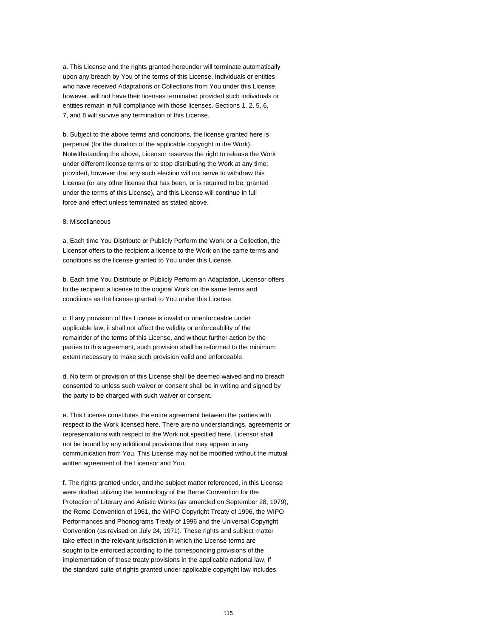a. This License and the rights granted hereunder will terminate automatically upon any breach by You of the terms of this License. Individuals or entities who have received Adaptations or Collections from You under this License, however, will not have their licenses terminated provided such individuals or entities remain in full compliance with those licenses. Sections 1, 2, 5, 6, 7, and 8 will survive any termination of this License.

b. Subject to the above terms and conditions, the license granted here is perpetual (for the duration of the applicable copyright in the Work). Notwithstanding the above, Licensor reserves the right to release the Work under different license terms or to stop distributing the Work at any time; provided, however that any such election will not serve to withdraw this License (or any other license that has been, or is required to be, granted under the terms of this License), and this License will continue in full force and effect unless terminated as stated above.

#### 8. Miscellaneous

a. Each time You Distribute or Publicly Perform the Work or a Collection, the Licensor offers to the recipient a license to the Work on the same terms and conditions as the license granted to You under this License.

b. Each time You Distribute or Publicly Perform an Adaptation, Licensor offers to the recipient a license to the original Work on the same terms and conditions as the license granted to You under this License.

c. If any provision of this License is invalid or unenforceable under applicable law, it shall not affect the validity or enforceability of the remainder of the terms of this License, and without further action by the parties to this agreement, such provision shall be reformed to the minimum extent necessary to make such provision valid and enforceable.

d. No term or provision of this License shall be deemed waived and no breach consented to unless such waiver or consent shall be in writing and signed by the party to be charged with such waiver or consent.

e. This License constitutes the entire agreement between the parties with respect to the Work licensed here. There are no understandings, agreements or representations with respect to the Work not specified here. Licensor shall not be bound by any additional provisions that may appear in any communication from You. This License may not be modified without the mutual written agreement of the Licensor and You.

f. The rights granted under, and the subject matter referenced, in this License were drafted utilizing the terminology of the Berne Convention for the Protection of Literary and Artistic Works (as amended on September 28, 1979), the Rome Convention of 1961, the WIPO Copyright Treaty of 1996, the WIPO Performances and Phonograms Treaty of 1996 and the Universal Copyright Convention (as revised on July 24, 1971). These rights and subject matter take effect in the relevant jurisdiction in which the License terms are sought to be enforced according to the corresponding provisions of the implementation of those treaty provisions in the applicable national law. If the standard suite of rights granted under applicable copyright law includes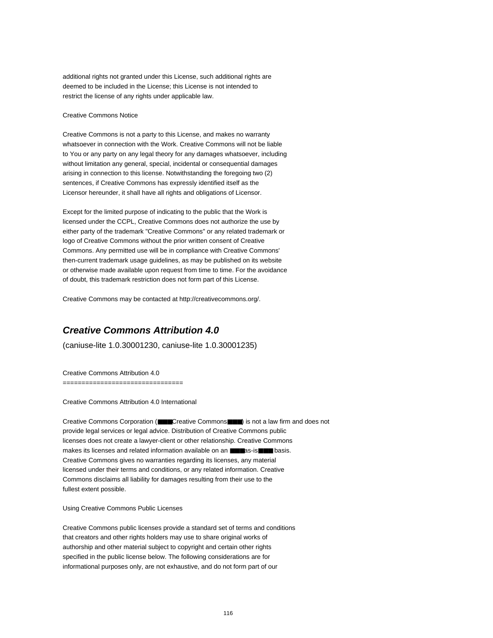additional rights not granted under this License, such additional rights are deemed to be included in the License; this License is not intended to restrict the license of any rights under applicable law.

#### Creative Commons Notice

Creative Commons is not a party to this License, and makes no warranty whatsoever in connection with the Work. Creative Commons will not be liable to You or any party on any legal theory for any damages whatsoever, including without limitation any general, special, incidental or consequential damages arising in connection to this license. Notwithstanding the foregoing two (2) sentences, if Creative Commons has expressly identified itself as the Licensor hereunder, it shall have all rights and obligations of Licensor.

Except for the limited purpose of indicating to the public that the Work is licensed under the CCPL, Creative Commons does not authorize the use by either party of the trademark "Creative Commons" or any related trademark or logo of Creative Commons without the prior written consent of Creative Commons. Any permitted use will be in compliance with Creative Commons' then-current trademark usage guidelines, as may be published on its website or otherwise made available upon request from time to time. For the avoidance of doubt, this trademark restriction does not form part of this License.

Creative Commons may be contacted at http://creativecommons.org/.

#### **Creative Commons Attribution 4.0**

(caniuse-lite 1.0.30001230, caniuse-lite 1.0.30001235)

Creative Commons Attribution 4.0

===================================

Creative Commons Attribution 4.0 International

Creative Commons Corporation (■■■Creative Commons■■■) is not a law firm and does not provide legal services or legal advice. Distribution of Creative Commons public licenses does not create a lawyer-client or other relationship. Creative Commons makes its licenses and related information available on an ■■■as-is■■■ basis. Creative Commons gives no warranties regarding its licenses, any material licensed under their terms and conditions, or any related information. Creative Commons disclaims all liability for damages resulting from their use to the fullest extent possible.

Using Creative Commons Public Licenses

Creative Commons public licenses provide a standard set of terms and conditions that creators and other rights holders may use to share original works of authorship and other material subject to copyright and certain other rights specified in the public license below. The following considerations are for informational purposes only, are not exhaustive, and do not form part of our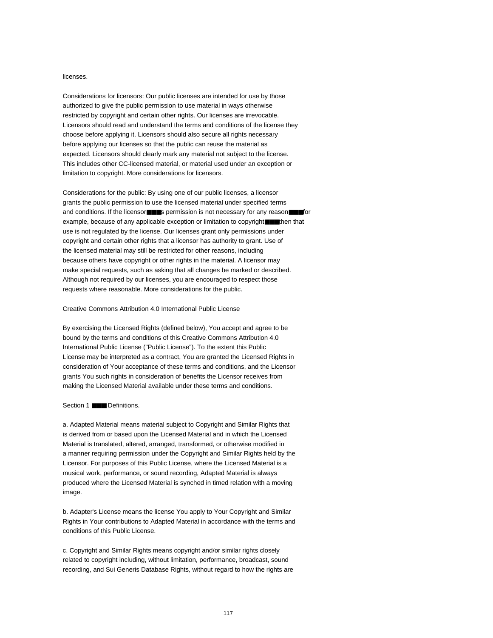#### licenses.

Considerations for licensors: Our public licenses are intended for use by those authorized to give the public permission to use material in ways otherwise restricted by copyright and certain other rights. Our licenses are irrevocable. Licensors should read and understand the terms and conditions of the license they choose before applying it. Licensors should also secure all rights necessary before applying our licenses so that the public can reuse the material as expected. Licensors should clearly mark any material not subject to the license. This includes other CC-licensed material, or material used under an exception or limitation to copyright. More considerations for licensors.

Considerations for the public: By using one of our public licenses, a licensor grants the public permission to use the licensed material under specified terms and conditions. If the licensor■■■s permission is not necessary for any reason■■■for example, because of any applicable exception or limitation to copyright■■then that use is not regulated by the license. Our licenses grant only permissions under copyright and certain other rights that a licensor has authority to grant. Use of the licensed material may still be restricted for other reasons, including because others have copyright or other rights in the material. A licensor may make special requests, such as asking that all changes be marked or described. Although not required by our licenses, you are encouraged to respect those requests where reasonable. More considerations for the public.

#### Creative Commons Attribution 4.0 International Public License

By exercising the Licensed Rights (defined below), You accept and agree to be bound by the terms and conditions of this Creative Commons Attribution 4.0 International Public License ("Public License"). To the extent this Public License may be interpreted as a contract, You are granted the Licensed Rights in consideration of Your acceptance of these terms and conditions, and the Licensor grants You such rights in consideration of benefits the Licensor receives from making the Licensed Material available under these terms and conditions.

#### Section 1 ■■■ Definitions.

a. Adapted Material means material subject to Copyright and Similar Rights that is derived from or based upon the Licensed Material and in which the Licensed Material is translated, altered, arranged, transformed, or otherwise modified in a manner requiring permission under the Copyright and Similar Rights held by the Licensor. For purposes of this Public License, where the Licensed Material is a musical work, performance, or sound recording, Adapted Material is always produced where the Licensed Material is synched in timed relation with a moving image.

b. Adapter's License means the license You apply to Your Copyright and Similar Rights in Your contributions to Adapted Material in accordance with the terms and conditions of this Public License.

c. Copyright and Similar Rights means copyright and/or similar rights closely related to copyright including, without limitation, performance, broadcast, sound recording, and Sui Generis Database Rights, without regard to how the rights are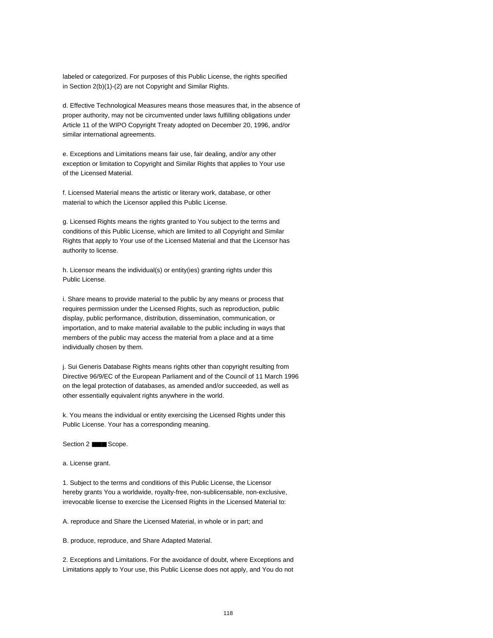labeled or categorized. For purposes of this Public License, the rights specified in Section 2(b)(1)-(2) are not Copyright and Similar Rights.

d. Effective Technological Measures means those measures that, in the absence of proper authority, may not be circumvented under laws fulfilling obligations under Article 11 of the WIPO Copyright Treaty adopted on December 20, 1996, and/or similar international agreements.

e. Exceptions and Limitations means fair use, fair dealing, and/or any other exception or limitation to Copyright and Similar Rights that applies to Your use of the Licensed Material.

f. Licensed Material means the artistic or literary work, database, or other material to which the Licensor applied this Public License.

g. Licensed Rights means the rights granted to You subject to the terms and conditions of this Public License, which are limited to all Copyright and Similar Rights that apply to Your use of the Licensed Material and that the Licensor has authority to license.

h. Licensor means the individual(s) or entity(ies) granting rights under this Public License.

i. Share means to provide material to the public by any means or process that requires permission under the Licensed Rights, such as reproduction, public display, public performance, distribution, dissemination, communication, or importation, and to make material available to the public including in ways that members of the public may access the material from a place and at a time individually chosen by them.

j. Sui Generis Database Rights means rights other than copyright resulting from Directive 96/9/EC of the European Parliament and of the Council of 11 March 1996 on the legal protection of databases, as amended and/or succeeded, as well as other essentially equivalent rights anywhere in the world.

k. You means the individual or entity exercising the Licensed Rights under this Public License. Your has a corresponding meaning.

Section 2 ■■■ Scope.

a. License grant.

1. Subject to the terms and conditions of this Public License, the Licensor hereby grants You a worldwide, royalty-free, non-sublicensable, non-exclusive, irrevocable license to exercise the Licensed Rights in the Licensed Material to:

A. reproduce and Share the Licensed Material, in whole or in part; and

B. produce, reproduce, and Share Adapted Material.

2. Exceptions and Limitations. For the avoidance of doubt, where Exceptions and Limitations apply to Your use, this Public License does not apply, and You do not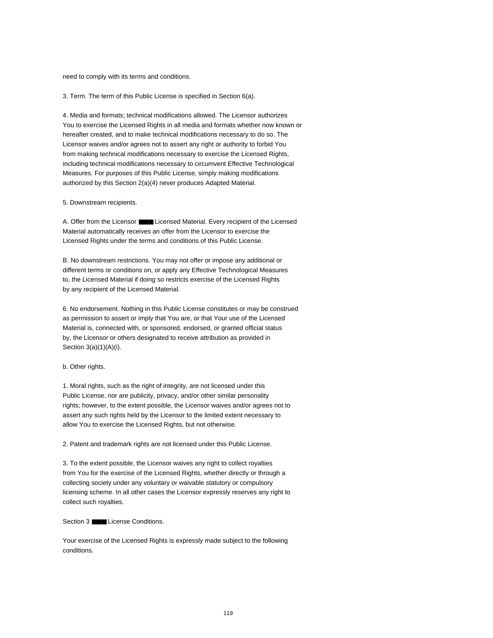need to comply with its terms and conditions.

3. Term. The term of this Public License is specified in Section 6(a).

4. Media and formats; technical modifications allowed. The Licensor authorizes You to exercise the Licensed Rights in all media and formats whether now known or hereafter created, and to make technical modifications necessary to do so. The Licensor waives and/or agrees not to assert any right or authority to forbid You from making technical modifications necessary to exercise the Licensed Rights, including technical modifications necessary to circumvent Effective Technological Measures. For purposes of this Public License, simply making modifications authorized by this Section 2(a)(4) never produces Adapted Material.

5. Downstream recipients.

A. Offer from the Licensor ■■■ Licensed Material. Every recipient of the Licensed Material automatically receives an offer from the Licensor to exercise the Licensed Rights under the terms and conditions of this Public License.

B. No downstream restrictions. You may not offer or impose any additional or different terms or conditions on, or apply any Effective Technological Measures to, the Licensed Material if doing so restricts exercise of the Licensed Rights by any recipient of the Licensed Material.

6. No endorsement. Nothing in this Public License constitutes or may be construed as permission to assert or imply that You are, or that Your use of the Licensed Material is, connected with, or sponsored, endorsed, or granted official status by, the Licensor or others designated to receive attribution as provided in Section 3(a)(1)(A)(i).

#### b. Other rights.

1. Moral rights, such as the right of integrity, are not licensed under this Public License, nor are publicity, privacy, and/or other similar personality rights; however, to the extent possible, the Licensor waives and/or agrees not to assert any such rights held by the Licensor to the limited extent necessary to allow You to exercise the Licensed Rights, but not otherwise.

2. Patent and trademark rights are not licensed under this Public License.

3. To the extent possible, the Licensor waives any right to collect royalties from You for the exercise of the Licensed Rights, whether directly or through a collecting society under any voluntary or waivable statutory or compulsory licensing scheme. In all other cases the Licensor expressly reserves any right to collect such royalties.

Section 3 ■■■ License Conditions.

Your exercise of the Licensed Rights is expressly made subject to the following conditions.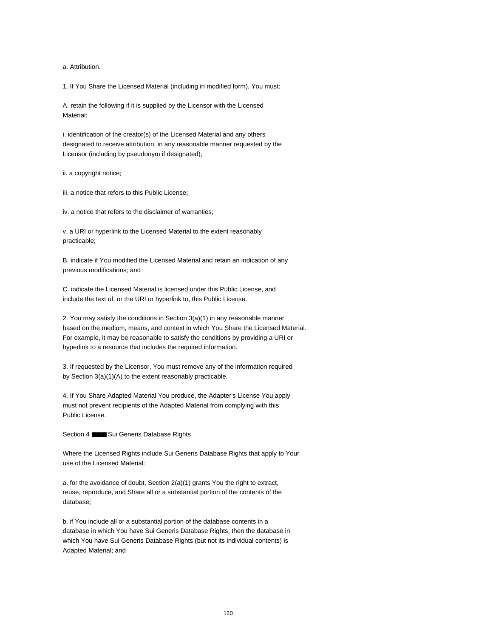a. Attribution.

1. If You Share the Licensed Material (including in modified form), You must:

A. retain the following if it is supplied by the Licensor with the Licensed Material:

i. identification of the creator(s) of the Licensed Material and any others designated to receive attribution, in any reasonable manner requested by the Licensor (including by pseudonym if designated);

ii. a copyright notice;

iii. a notice that refers to this Public License;

iv. a notice that refers to the disclaimer of warranties;

v. a URI or hyperlink to the Licensed Material to the extent reasonably practicable;

B. indicate if You modified the Licensed Material and retain an indication of any previous modifications; and

C. indicate the Licensed Material is licensed under this Public License, and include the text of, or the URI or hyperlink to, this Public License.

2. You may satisfy the conditions in Section 3(a)(1) in any reasonable manner based on the medium, means, and context in which You Share the Licensed Material. For example, it may be reasonable to satisfy the conditions by providing a URI or hyperlink to a resource that includes the required information.

3. If requested by the Licensor, You must remove any of the information required by Section 3(a)(1)(A) to the extent reasonably practicable.

4. If You Share Adapted Material You produce, the Adapter's License You apply must not prevent recipients of the Adapted Material from complying with this Public License.

Section 4 **■■■** Sui Generis Database Rights.

Where the Licensed Rights include Sui Generis Database Rights that apply to Your use of the Licensed Material:

a. for the avoidance of doubt, Section 2(a)(1) grants You the right to extract, reuse, reproduce, and Share all or a substantial portion of the contents of the database;

b. if You include all or a substantial portion of the database contents in a database in which You have Sui Generis Database Rights, then the database in which You have Sui Generis Database Rights (but not its individual contents) is Adapted Material; and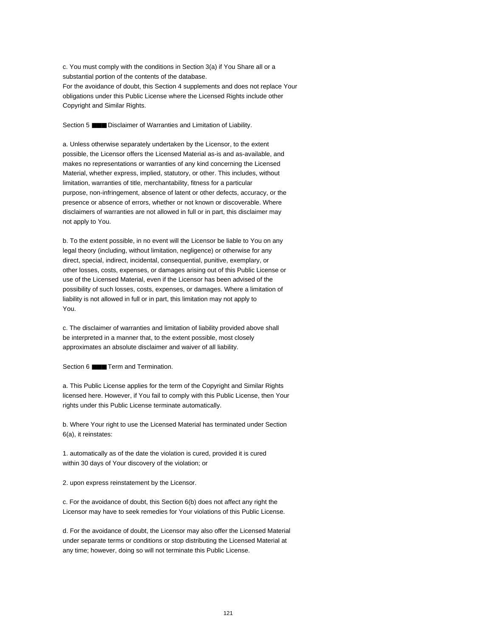c. You must comply with the conditions in Section 3(a) if You Share all or a substantial portion of the contents of the database. For the avoidance of doubt, this Section 4 supplements and does not replace Your obligations under this Public License where the Licensed Rights include other Copyright and Similar Rights.

Section 5 **■■■** Disclaimer of Warranties and Limitation of Liability.

a. Unless otherwise separately undertaken by the Licensor, to the extent possible, the Licensor offers the Licensed Material as-is and as-available, and makes no representations or warranties of any kind concerning the Licensed Material, whether express, implied, statutory, or other. This includes, without limitation, warranties of title, merchantability, fitness for a particular purpose, non-infringement, absence of latent or other defects, accuracy, or the presence or absence of errors, whether or not known or discoverable. Where disclaimers of warranties are not allowed in full or in part, this disclaimer may not apply to You.

b. To the extent possible, in no event will the Licensor be liable to You on any legal theory (including, without limitation, negligence) or otherwise for any direct, special, indirect, incidental, consequential, punitive, exemplary, or other losses, costs, expenses, or damages arising out of this Public License or use of the Licensed Material, even if the Licensor has been advised of the possibility of such losses, costs, expenses, or damages. Where a limitation of liability is not allowed in full or in part, this limitation may not apply to You.

c. The disclaimer of warranties and limitation of liability provided above shall be interpreted in a manner that, to the extent possible, most closely approximates an absolute disclaimer and waiver of all liability.

Section 6 ■■■ Term and Termination.

a. This Public License applies for the term of the Copyright and Similar Rights licensed here. However, if You fail to comply with this Public License, then Your rights under this Public License terminate automatically.

b. Where Your right to use the Licensed Material has terminated under Section 6(a), it reinstates:

1. automatically as of the date the violation is cured, provided it is cured within 30 days of Your discovery of the violation; or

2. upon express reinstatement by the Licensor.

c. For the avoidance of doubt, this Section 6(b) does not affect any right the Licensor may have to seek remedies for Your violations of this Public License.

d. For the avoidance of doubt, the Licensor may also offer the Licensed Material under separate terms or conditions or stop distributing the Licensed Material at any time; however, doing so will not terminate this Public License.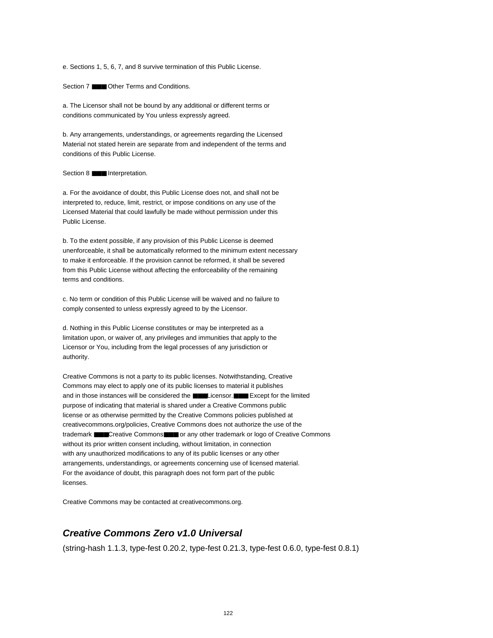e. Sections 1, 5, 6, 7, and 8 survive termination of this Public License.

Section 7 ■■■ Other Terms and Conditions.

a. The Licensor shall not be bound by any additional or different terms or conditions communicated by You unless expressly agreed.

b. Any arrangements, understandings, or agreements regarding the Licensed Material not stated herein are separate from and independent of the terms and conditions of this Public License.

#### Section 8 **■■■** Interpretation.

a. For the avoidance of doubt, this Public License does not, and shall not be interpreted to, reduce, limit, restrict, or impose conditions on any use of the Licensed Material that could lawfully be made without permission under this Public License.

b. To the extent possible, if any provision of this Public License is deemed unenforceable, it shall be automatically reformed to the minimum extent necessary to make it enforceable. If the provision cannot be reformed, it shall be severed from this Public License without affecting the enforceability of the remaining terms and conditions.

c. No term or condition of this Public License will be waived and no failure to comply consented to unless expressly agreed to by the Licensor.

d. Nothing in this Public License constitutes or may be interpreted as a limitation upon, or waiver of, any privileges and immunities that apply to the Licensor or You, including from the legal processes of any jurisdiction or authority.

Creative Commons is not a party to its public licenses. Notwithstanding, Creative Commons may elect to apply one of its public licenses to material it publishes and in those instances will be considered the ■■■Licensor.■■■ Except for the limited purpose of indicating that material is shared under a Creative Commons public license or as otherwise permitted by the Creative Commons policies published at creativecommons.org/policies, Creative Commons does not authorize the use of the trademark ■■■Creative Commons■■■ or any other trademark or logo of Creative Commons without its prior written consent including, without limitation, in connection with any unauthorized modifications to any of its public licenses or any other arrangements, understandings, or agreements concerning use of licensed material. For the avoidance of doubt, this paragraph does not form part of the public licenses.

Creative Commons may be contacted at creativecommons.org.

# **Creative Commons Zero v1.0 Universal**

(string-hash 1.1.3, type-fest 0.20.2, type-fest 0.21.3, type-fest 0.6.0, type-fest 0.8.1)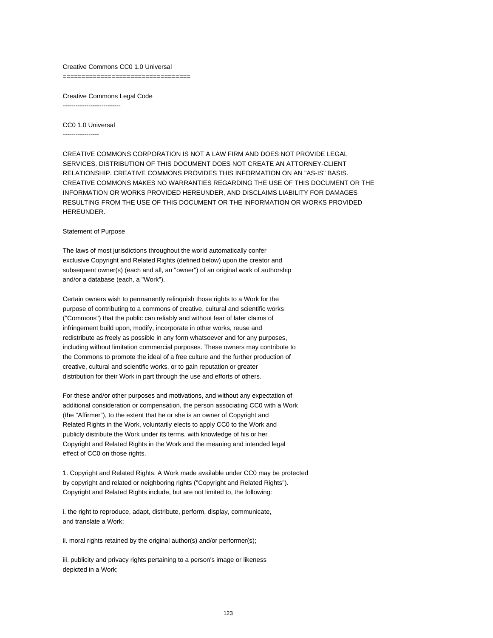#### Creative Commons CC0 1.0 Universal

==================================

Creative Commons Legal Code ---------------------------

CC0 1.0 Universal

-----------------

CREATIVE COMMONS CORPORATION IS NOT A LAW FIRM AND DOES NOT PROVIDE LEGAL SERVICES. DISTRIBUTION OF THIS DOCUMENT DOES NOT CREATE AN ATTORNEY-CLIENT RELATIONSHIP. CREATIVE COMMONS PROVIDES THIS INFORMATION ON AN "AS-IS" BASIS. CREATIVE COMMONS MAKES NO WARRANTIES REGARDING THE USE OF THIS DOCUMENT OR THE INFORMATION OR WORKS PROVIDED HEREUNDER, AND DISCLAIMS LIABILITY FOR DAMAGES RESULTING FROM THE USE OF THIS DOCUMENT OR THE INFORMATION OR WORKS PROVIDED HEREUNDER.

#### Statement of Purpose

The laws of most jurisdictions throughout the world automatically confer exclusive Copyright and Related Rights (defined below) upon the creator and subsequent owner(s) (each and all, an "owner") of an original work of authorship and/or a database (each, a "Work").

Certain owners wish to permanently relinquish those rights to a Work for the purpose of contributing to a commons of creative, cultural and scientific works ("Commons") that the public can reliably and without fear of later claims of infringement build upon, modify, incorporate in other works, reuse and redistribute as freely as possible in any form whatsoever and for any purposes, including without limitation commercial purposes. These owners may contribute to the Commons to promote the ideal of a free culture and the further production of creative, cultural and scientific works, or to gain reputation or greater distribution for their Work in part through the use and efforts of others.

For these and/or other purposes and motivations, and without any expectation of additional consideration or compensation, the person associating CC0 with a Work (the "Affirmer"), to the extent that he or she is an owner of Copyright and Related Rights in the Work, voluntarily elects to apply CC0 to the Work and publicly distribute the Work under its terms, with knowledge of his or her Copyright and Related Rights in the Work and the meaning and intended legal effect of CC0 on those rights.

1. Copyright and Related Rights. A Work made available under CC0 may be protected by copyright and related or neighboring rights ("Copyright and Related Rights"). Copyright and Related Rights include, but are not limited to, the following:

i. the right to reproduce, adapt, distribute, perform, display, communicate, and translate a Work;

ii. moral rights retained by the original author(s) and/or performer(s);

iii. publicity and privacy rights pertaining to a person's image or likeness depicted in a Work;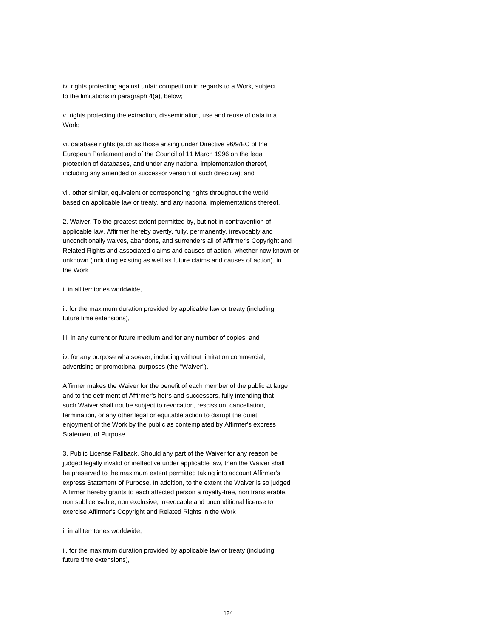iv. rights protecting against unfair competition in regards to a Work, subject to the limitations in paragraph 4(a), below;

v. rights protecting the extraction, dissemination, use and reuse of data in a Work;

vi. database rights (such as those arising under Directive 96/9/EC of the European Parliament and of the Council of 11 March 1996 on the legal protection of databases, and under any national implementation thereof, including any amended or successor version of such directive); and

vii. other similar, equivalent or corresponding rights throughout the world based on applicable law or treaty, and any national implementations thereof.

2. Waiver. To the greatest extent permitted by, but not in contravention of, applicable law, Affirmer hereby overtly, fully, permanently, irrevocably and unconditionally waives, abandons, and surrenders all of Affirmer's Copyright and Related Rights and associated claims and causes of action, whether now known or unknown (including existing as well as future claims and causes of action), in the Work

i. in all territories worldwide,

ii. for the maximum duration provided by applicable law or treaty (including future time extensions),

iii. in any current or future medium and for any number of copies, and

iv. for any purpose whatsoever, including without limitation commercial, advertising or promotional purposes (the "Waiver").

Affirmer makes the Waiver for the benefit of each member of the public at large and to the detriment of Affirmer's heirs and successors, fully intending that such Waiver shall not be subject to revocation, rescission, cancellation, termination, or any other legal or equitable action to disrupt the quiet enjoyment of the Work by the public as contemplated by Affirmer's express Statement of Purpose.

3. Public License Fallback. Should any part of the Waiver for any reason be judged legally invalid or ineffective under applicable law, then the Waiver shall be preserved to the maximum extent permitted taking into account Affirmer's express Statement of Purpose. In addition, to the extent the Waiver is so judged Affirmer hereby grants to each affected person a royalty-free, non transferable, non sublicensable, non exclusive, irrevocable and unconditional license to exercise Affirmer's Copyright and Related Rights in the Work

#### i. in all territories worldwide,

ii. for the maximum duration provided by applicable law or treaty (including future time extensions),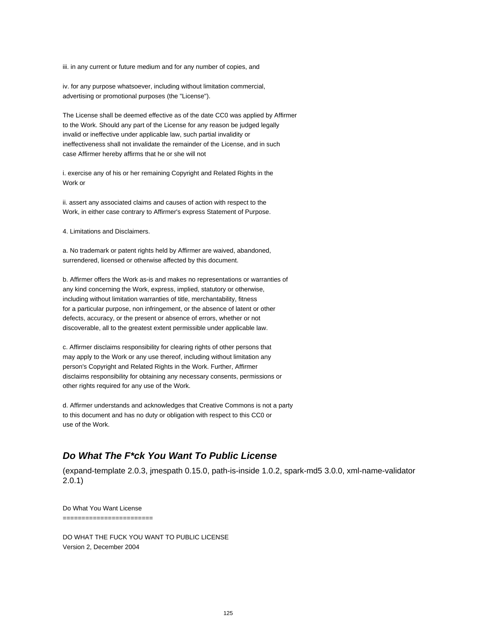iii. in any current or future medium and for any number of copies, and

iv. for any purpose whatsoever, including without limitation commercial, advertising or promotional purposes (the "License").

The License shall be deemed effective as of the date CC0 was applied by Affirmer to the Work. Should any part of the License for any reason be judged legally invalid or ineffective under applicable law, such partial invalidity or ineffectiveness shall not invalidate the remainder of the License, and in such case Affirmer hereby affirms that he or she will not

i. exercise any of his or her remaining Copyright and Related Rights in the Work or

ii. assert any associated claims and causes of action with respect to the Work, in either case contrary to Affirmer's express Statement of Purpose.

4. Limitations and Disclaimers.

a. No trademark or patent rights held by Affirmer are waived, abandoned, surrendered, licensed or otherwise affected by this document.

b. Affirmer offers the Work as-is and makes no representations or warranties of any kind concerning the Work, express, implied, statutory or otherwise, including without limitation warranties of title, merchantability, fitness for a particular purpose, non infringement, or the absence of latent or other defects, accuracy, or the present or absence of errors, whether or not discoverable, all to the greatest extent permissible under applicable law.

c. Affirmer disclaims responsibility for clearing rights of other persons that may apply to the Work or any use thereof, including without limitation any person's Copyright and Related Rights in the Work. Further, Affirmer disclaims responsibility for obtaining any necessary consents, permissions or other rights required for any use of the Work.

d. Affirmer understands and acknowledges that Creative Commons is not a party to this document and has no duty or obligation with respect to this CC0 or use of the Work.

# **Do What The F\*ck You Want To Public License**

(expand-template 2.0.3, jmespath 0.15.0, path-is-inside 1.0.2, spark-md5 3.0.0, xml-name-validator 2.0.1)

Do What You Want License ========================

DO WHAT THE FUCK YOU WANT TO PUBLIC LICENSE Version 2, December 2004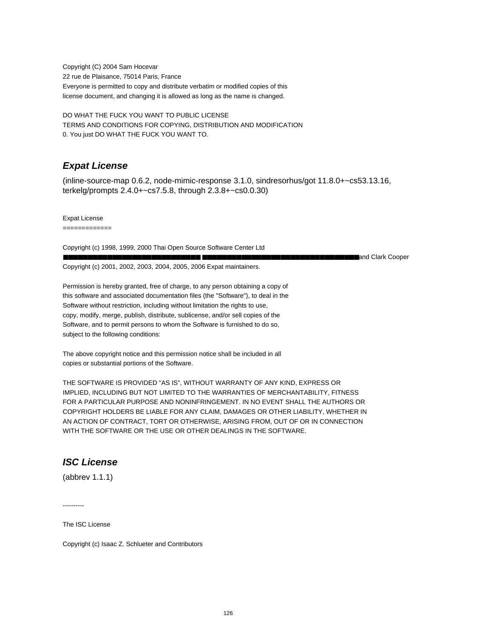Copyright (C) 2004 Sam Hocevar 22 rue de Plaisance, 75014 Paris, France Everyone is permitted to copy and distribute verbatim or modified copies of this license document, and changing it is allowed as long as the name is changed.

DO WHAT THE FUCK YOU WANT TO PUBLIC LICENSE TERMS AND CONDITIONS FOR COPYING, DISTRIBUTION AND MODIFICATION 0. You just DO WHAT THE FUCK YOU WANT TO.

# **Expat License**

(inline-source-map 0.6.2, node-mimic-response 3.1.0, sindresorhus/got 11.8.0+~cs53.13.16, terkelg/prompts 2.4.0+~cs7.5.8, through 2.3.8+~cs0.0.30)

Expat License

=============

Copyright (c) 1998, 1999, 2000 Thai Open Source Software Center Ltd ■■■■■■■■■■■■■■■■■■■■■■■■■■■■ ■■■■■■■■■■■■■■■■■■■■■■■■■■■■■■■■and Clark Cooper Copyright (c) 2001, 2002, 2003, 2004, 2005, 2006 Expat maintainers.

Permission is hereby granted, free of charge, to any person obtaining a copy of this software and associated documentation files (the "Software"), to deal in the Software without restriction, including without limitation the rights to use, copy, modify, merge, publish, distribute, sublicense, and/or sell copies of the Software, and to permit persons to whom the Software is furnished to do so, subject to the following conditions:

The above copyright notice and this permission notice shall be included in all copies or substantial portions of the Software.

THE SOFTWARE IS PROVIDED "AS IS", WITHOUT WARRANTY OF ANY KIND, EXPRESS OR IMPLIED, INCLUDING BUT NOT LIMITED TO THE WARRANTIES OF MERCHANTABILITY, FITNESS FOR A PARTICULAR PURPOSE AND NONINFRINGEMENT. IN NO EVENT SHALL THE AUTHORS OR COPYRIGHT HOLDERS BE LIABLE FOR ANY CLAIM, DAMAGES OR OTHER LIABILITY, WHETHER IN AN ACTION OF CONTRACT, TORT OR OTHERWISE, ARISING FROM, OUT OF OR IN CONNECTION WITH THE SOFTWARE OR THE USE OR OTHER DEALINGS IN THE SOFTWARE.

# **ISC License**

(abbrev 1.1.1)

----------

The ISC License

Copyright (c) Isaac Z. Schlueter and Contributors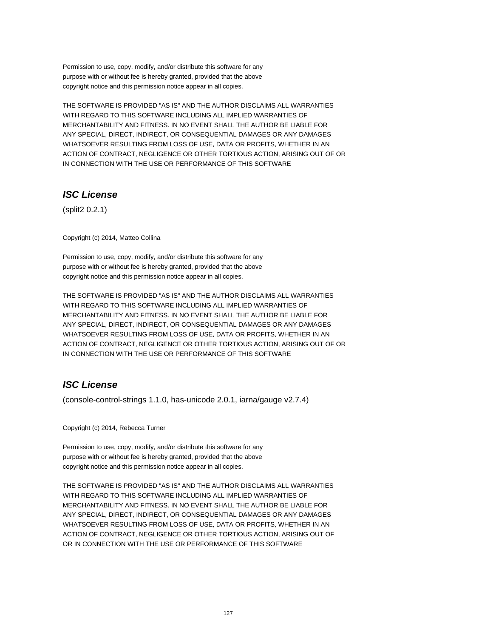Permission to use, copy, modify, and/or distribute this software for any purpose with or without fee is hereby granted, provided that the above copyright notice and this permission notice appear in all copies.

THE SOFTWARE IS PROVIDED "AS IS" AND THE AUTHOR DISCLAIMS ALL WARRANTIES WITH REGARD TO THIS SOFTWARE INCLUDING ALL IMPLIED WARRANTIES OF MERCHANTABILITY AND FITNESS. IN NO EVENT SHALL THE AUTHOR BE LIABLE FOR ANY SPECIAL, DIRECT, INDIRECT, OR CONSEQUENTIAL DAMAGES OR ANY DAMAGES WHATSOEVER RESULTING FROM LOSS OF USE, DATA OR PROFITS, WHETHER IN AN ACTION OF CONTRACT, NEGLIGENCE OR OTHER TORTIOUS ACTION, ARISING OUT OF OR IN CONNECTION WITH THE USE OR PERFORMANCE OF THIS SOFTWARE

# **ISC License**

(split2 0.2.1)

Copyright (c) 2014, Matteo Collina

Permission to use, copy, modify, and/or distribute this software for any purpose with or without fee is hereby granted, provided that the above copyright notice and this permission notice appear in all copies.

THE SOFTWARE IS PROVIDED "AS IS" AND THE AUTHOR DISCLAIMS ALL WARRANTIES WITH REGARD TO THIS SOFTWARE INCLUDING ALL IMPLIED WARRANTIES OF MERCHANTABILITY AND FITNESS. IN NO EVENT SHALL THE AUTHOR BE LIABLE FOR ANY SPECIAL, DIRECT, INDIRECT, OR CONSEQUENTIAL DAMAGES OR ANY DAMAGES WHATSOEVER RESULTING FROM LOSS OF USE, DATA OR PROFITS, WHETHER IN AN ACTION OF CONTRACT, NEGLIGENCE OR OTHER TORTIOUS ACTION, ARISING OUT OF OR IN CONNECTION WITH THE USE OR PERFORMANCE OF THIS SOFTWARE

# **ISC License**

(console-control-strings 1.1.0, has-unicode 2.0.1, iarna/gauge v2.7.4)

Copyright (c) 2014, Rebecca Turner

Permission to use, copy, modify, and/or distribute this software for any purpose with or without fee is hereby granted, provided that the above copyright notice and this permission notice appear in all copies.

THE SOFTWARE IS PROVIDED "AS IS" AND THE AUTHOR DISCLAIMS ALL WARRANTIES WITH REGARD TO THIS SOFTWARE INCLUDING ALL IMPLIED WARRANTIES OF MERCHANTABILITY AND FITNESS. IN NO EVENT SHALL THE AUTHOR BE LIABLE FOR ANY SPECIAL, DIRECT, INDIRECT, OR CONSEQUENTIAL DAMAGES OR ANY DAMAGES WHATSOEVER RESULTING FROM LOSS OF USE, DATA OR PROFITS, WHETHER IN AN ACTION OF CONTRACT, NEGLIGENCE OR OTHER TORTIOUS ACTION, ARISING OUT OF OR IN CONNECTION WITH THE USE OR PERFORMANCE OF THIS SOFTWARE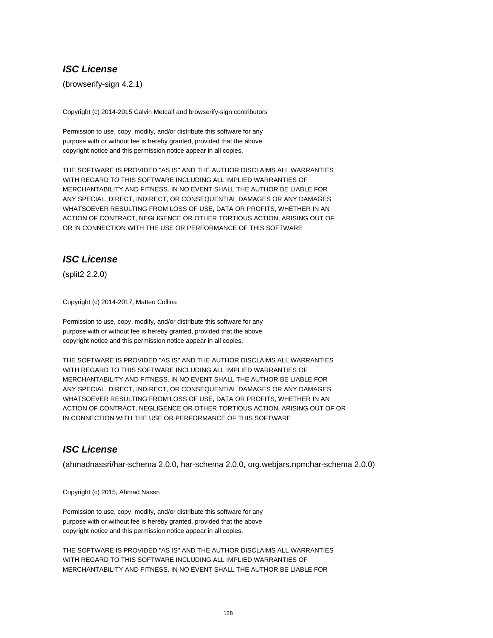# **ISC License**

(browserify-sign 4.2.1)

Copyright (c) 2014-2015 Calvin Metcalf and browserify-sign contributors

Permission to use, copy, modify, and/or distribute this software for any purpose with or without fee is hereby granted, provided that the above copyright notice and this permission notice appear in all copies.

THE SOFTWARE IS PROVIDED "AS IS" AND THE AUTHOR DISCLAIMS ALL WARRANTIES WITH REGARD TO THIS SOFTWARE INCLUDING ALL IMPLIED WARRANTIES OF MERCHANTABILITY AND FITNESS. IN NO EVENT SHALL THE AUTHOR BE LIABLE FOR ANY SPECIAL, DIRECT, INDIRECT, OR CONSEQUENTIAL DAMAGES OR ANY DAMAGES WHATSOEVER RESULTING FROM LOSS OF USE, DATA OR PROFITS, WHETHER IN AN ACTION OF CONTRACT, NEGLIGENCE OR OTHER TORTIOUS ACTION, ARISING OUT OF OR IN CONNECTION WITH THE USE OR PERFORMANCE OF THIS SOFTWARE

# **ISC License**

(split2 2.2.0)

Copyright (c) 2014-2017, Matteo Collina

Permission to use, copy, modify, and/or distribute this software for any purpose with or without fee is hereby granted, provided that the above copyright notice and this permission notice appear in all copies.

THE SOFTWARE IS PROVIDED "AS IS" AND THE AUTHOR DISCLAIMS ALL WARRANTIES WITH REGARD TO THIS SOFTWARE INCLUDING ALL IMPLIED WARRANTIES OF MERCHANTABILITY AND FITNESS. IN NO EVENT SHALL THE AUTHOR BE LIABLE FOR ANY SPECIAL, DIRECT, INDIRECT, OR CONSEQUENTIAL DAMAGES OR ANY DAMAGES WHATSOEVER RESULTING FROM LOSS OF USE, DATA OR PROFITS, WHETHER IN AN ACTION OF CONTRACT, NEGLIGENCE OR OTHER TORTIOUS ACTION, ARISING OUT OF OR IN CONNECTION WITH THE USE OR PERFORMANCE OF THIS SOFTWARE

# **ISC License**

(ahmadnassri/har-schema 2.0.0, har-schema 2.0.0, org.webjars.npm:har-schema 2.0.0)

Copyright (c) 2015, Ahmad Nassri

Permission to use, copy, modify, and/or distribute this software for any purpose with or without fee is hereby granted, provided that the above copyright notice and this permission notice appear in all copies.

THE SOFTWARE IS PROVIDED "AS IS" AND THE AUTHOR DISCLAIMS ALL WARRANTIES WITH REGARD TO THIS SOFTWARE INCLUDING ALL IMPLIED WARRANTIES OF MERCHANTABILITY AND FITNESS. IN NO EVENT SHALL THE AUTHOR BE LIABLE FOR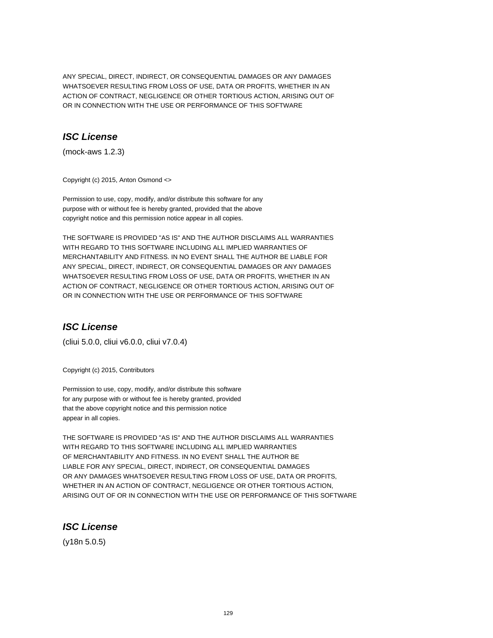ANY SPECIAL, DIRECT, INDIRECT, OR CONSEQUENTIAL DAMAGES OR ANY DAMAGES WHATSOEVER RESULTING FROM LOSS OF USE, DATA OR PROFITS, WHETHER IN AN ACTION OF CONTRACT, NEGLIGENCE OR OTHER TORTIOUS ACTION, ARISING OUT OF OR IN CONNECTION WITH THE USE OR PERFORMANCE OF THIS SOFTWARE

# **ISC License**

(mock-aws 1.2.3)

Copyright (c) 2015, Anton Osmond <>

Permission to use, copy, modify, and/or distribute this software for any purpose with or without fee is hereby granted, provided that the above copyright notice and this permission notice appear in all copies.

THE SOFTWARE IS PROVIDED "AS IS" AND THE AUTHOR DISCLAIMS ALL WARRANTIES WITH REGARD TO THIS SOFTWARE INCLUDING ALL IMPLIED WARRANTIES OF MERCHANTABILITY AND FITNESS. IN NO EVENT SHALL THE AUTHOR BE LIABLE FOR ANY SPECIAL, DIRECT, INDIRECT, OR CONSEQUENTIAL DAMAGES OR ANY DAMAGES WHATSOEVER RESULTING FROM LOSS OF USE, DATA OR PROFITS, WHETHER IN AN ACTION OF CONTRACT, NEGLIGENCE OR OTHER TORTIOUS ACTION, ARISING OUT OF OR IN CONNECTION WITH THE USE OR PERFORMANCE OF THIS SOFTWARE

# **ISC License**

(cliui 5.0.0, cliui v6.0.0, cliui v7.0.4)

Copyright (c) 2015, Contributors

Permission to use, copy, modify, and/or distribute this software for any purpose with or without fee is hereby granted, provided that the above copyright notice and this permission notice appear in all copies.

THE SOFTWARE IS PROVIDED "AS IS" AND THE AUTHOR DISCLAIMS ALL WARRANTIES WITH REGARD TO THIS SOFTWARE INCLUDING ALL IMPLIED WARRANTIES OF MERCHANTABILITY AND FITNESS. IN NO EVENT SHALL THE AUTHOR BE LIABLE FOR ANY SPECIAL, DIRECT, INDIRECT, OR CONSEQUENTIAL DAMAGES OR ANY DAMAGES WHATSOEVER RESULTING FROM LOSS OF USE, DATA OR PROFITS, WHETHER IN AN ACTION OF CONTRACT, NEGLIGENCE OR OTHER TORTIOUS ACTION, ARISING OUT OF OR IN CONNECTION WITH THE USE OR PERFORMANCE OF THIS SOFTWARE

# **ISC License**

(y18n 5.0.5)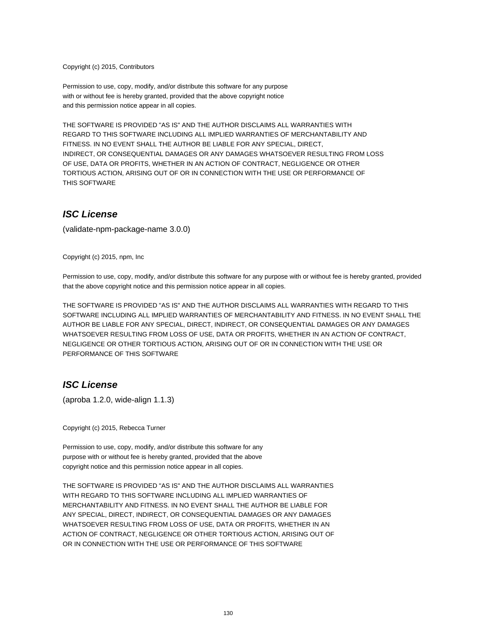Copyright (c) 2015, Contributors

Permission to use, copy, modify, and/or distribute this software for any purpose with or without fee is hereby granted, provided that the above copyright notice and this permission notice appear in all copies.

THE SOFTWARE IS PROVIDED "AS IS" AND THE AUTHOR DISCLAIMS ALL WARRANTIES WITH REGARD TO THIS SOFTWARE INCLUDING ALL IMPLIED WARRANTIES OF MERCHANTABILITY AND FITNESS. IN NO EVENT SHALL THE AUTHOR BE LIABLE FOR ANY SPECIAL, DIRECT, INDIRECT, OR CONSEQUENTIAL DAMAGES OR ANY DAMAGES WHATSOEVER RESULTING FROM LOSS OF USE, DATA OR PROFITS, WHETHER IN AN ACTION OF CONTRACT, NEGLIGENCE OR OTHER TORTIOUS ACTION, ARISING OUT OF OR IN CONNECTION WITH THE USE OR PERFORMANCE OF THIS SOFTWARE

### **ISC License**

(validate-npm-package-name 3.0.0)

Copyright (c) 2015, npm, Inc

Permission to use, copy, modify, and/or distribute this software for any purpose with or without fee is hereby granted, provided that the above copyright notice and this permission notice appear in all copies.

THE SOFTWARE IS PROVIDED "AS IS" AND THE AUTHOR DISCLAIMS ALL WARRANTIES WITH REGARD TO THIS SOFTWARE INCLUDING ALL IMPLIED WARRANTIES OF MERCHANTABILITY AND FITNESS. IN NO EVENT SHALL THE AUTHOR BE LIABLE FOR ANY SPECIAL, DIRECT, INDIRECT, OR CONSEQUENTIAL DAMAGES OR ANY DAMAGES WHATSOEVER RESULTING FROM LOSS OF USE, DATA OR PROFITS, WHETHER IN AN ACTION OF CONTRACT, NEGLIGENCE OR OTHER TORTIOUS ACTION, ARISING OUT OF OR IN CONNECTION WITH THE USE OR PERFORMANCE OF THIS SOFTWARE

# **ISC License**

(aproba 1.2.0, wide-align 1.1.3)

Copyright (c) 2015, Rebecca Turner

Permission to use, copy, modify, and/or distribute this software for any purpose with or without fee is hereby granted, provided that the above copyright notice and this permission notice appear in all copies.

THE SOFTWARE IS PROVIDED "AS IS" AND THE AUTHOR DISCLAIMS ALL WARRANTIES WITH REGARD TO THIS SOFTWARE INCLUDING ALL IMPLIED WARRANTIES OF MERCHANTABILITY AND FITNESS. IN NO EVENT SHALL THE AUTHOR BE LIABLE FOR ANY SPECIAL, DIRECT, INDIRECT, OR CONSEQUENTIAL DAMAGES OR ANY DAMAGES WHATSOEVER RESULTING FROM LOSS OF USE, DATA OR PROFITS, WHETHER IN AN ACTION OF CONTRACT, NEGLIGENCE OR OTHER TORTIOUS ACTION, ARISING OUT OF OR IN CONNECTION WITH THE USE OR PERFORMANCE OF THIS SOFTWARE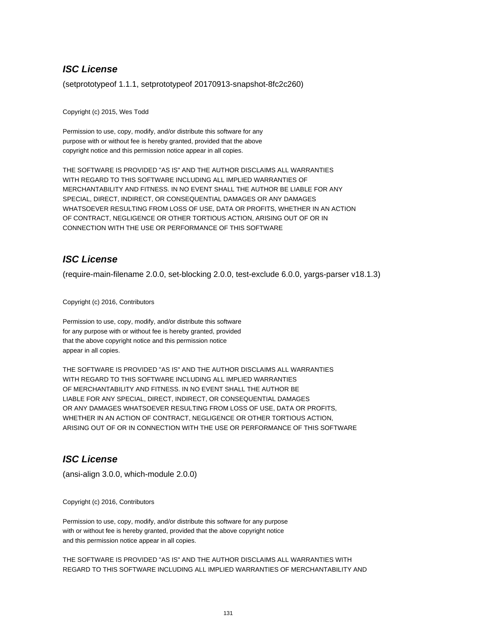# **ISC License**

(setprototypeof 1.1.1, setprototypeof 20170913-snapshot-8fc2c260)

Copyright (c) 2015, Wes Todd

Permission to use, copy, modify, and/or distribute this software for any purpose with or without fee is hereby granted, provided that the above copyright notice and this permission notice appear in all copies.

THE SOFTWARE IS PROVIDED "AS IS" AND THE AUTHOR DISCLAIMS ALL WARRANTIES WITH REGARD TO THIS SOFTWARE INCLUDING ALL IMPLIED WARRANTIES OF MERCHANTABILITY AND FITNESS. IN NO EVENT SHALL THE AUTHOR BE LIABLE FOR ANY SPECIAL, DIRECT, INDIRECT, OR CONSEQUENTIAL DAMAGES OR ANY DAMAGES WHATSOEVER RESULTING FROM LOSS OF USE, DATA OR PROFITS, WHETHER IN AN ACTION OF CONTRACT, NEGLIGENCE OR OTHER TORTIOUS ACTION, ARISING OUT OF OR IN CONNECTION WITH THE USE OR PERFORMANCE OF THIS SOFTWARE

# **ISC License**

(require-main-filename 2.0.0, set-blocking 2.0.0, test-exclude 6.0.0, yargs-parser v18.1.3)

Copyright (c) 2016, Contributors

Permission to use, copy, modify, and/or distribute this software for any purpose with or without fee is hereby granted, provided that the above copyright notice and this permission notice appear in all copies.

THE SOFTWARE IS PROVIDED "AS IS" AND THE AUTHOR DISCLAIMS ALL WARRANTIES WITH REGARD TO THIS SOFTWARE INCLUDING ALL IMPLIED WARRANTIES OF MERCHANTABILITY AND FITNESS. IN NO EVENT SHALL THE AUTHOR BE LIABLE FOR ANY SPECIAL, DIRECT, INDIRECT, OR CONSEQUENTIAL DAMAGES OR ANY DAMAGES WHATSOEVER RESULTING FROM LOSS OF USE, DATA OR PROFITS, WHETHER IN AN ACTION OF CONTRACT, NEGLIGENCE OR OTHER TORTIOUS ACTION, ARISING OUT OF OR IN CONNECTION WITH THE USE OR PERFORMANCE OF THIS SOFTWARE

# **ISC License**

(ansi-align 3.0.0, which-module 2.0.0)

Copyright (c) 2016, Contributors

Permission to use, copy, modify, and/or distribute this software for any purpose with or without fee is hereby granted, provided that the above copyright notice and this permission notice appear in all copies.

THE SOFTWARE IS PROVIDED "AS IS" AND THE AUTHOR DISCLAIMS ALL WARRANTIES WITH REGARD TO THIS SOFTWARE INCLUDING ALL IMPLIED WARRANTIES OF MERCHANTABILITY AND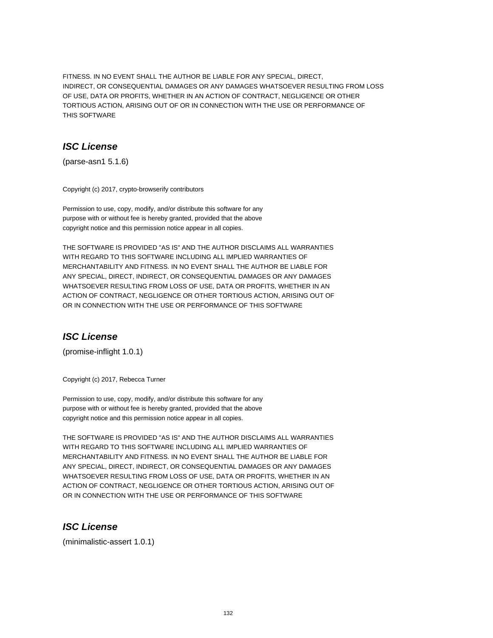FITNESS. IN NO EVENT SHALL THE AUTHOR BE LIABLE FOR ANY SPECIAL, DIRECT, INDIRECT, OR CONSEQUENTIAL DAMAGES OR ANY DAMAGES WHATSOEVER RESULTING FROM LOSS OF USE, DATA OR PROFITS, WHETHER IN AN ACTION OF CONTRACT, NEGLIGENCE OR OTHER TORTIOUS ACTION, ARISING OUT OF OR IN CONNECTION WITH THE USE OR PERFORMANCE OF THIS SOFTWARE

# **ISC License**

(parse-asn1 5.1.6)

Copyright (c) 2017, crypto-browserify contributors

Permission to use, copy, modify, and/or distribute this software for any purpose with or without fee is hereby granted, provided that the above copyright notice and this permission notice appear in all copies.

THE SOFTWARE IS PROVIDED "AS IS" AND THE AUTHOR DISCLAIMS ALL WARRANTIES WITH REGARD TO THIS SOFTWARE INCLUDING ALL IMPLIED WARRANTIES OF MERCHANTABILITY AND FITNESS. IN NO EVENT SHALL THE AUTHOR BE LIABLE FOR ANY SPECIAL, DIRECT, INDIRECT, OR CONSEQUENTIAL DAMAGES OR ANY DAMAGES WHATSOEVER RESULTING FROM LOSS OF USE, DATA OR PROFITS, WHETHER IN AN ACTION OF CONTRACT, NEGLIGENCE OR OTHER TORTIOUS ACTION, ARISING OUT OF OR IN CONNECTION WITH THE USE OR PERFORMANCE OF THIS SOFTWARE

# **ISC License**

(promise-inflight 1.0.1)

Copyright (c) 2017, Rebecca Turner

Permission to use, copy, modify, and/or distribute this software for any purpose with or without fee is hereby granted, provided that the above copyright notice and this permission notice appear in all copies.

THE SOFTWARE IS PROVIDED "AS IS" AND THE AUTHOR DISCLAIMS ALL WARRANTIES WITH REGARD TO THIS SOFTWARE INCLUDING ALL IMPLIED WARRANTIES OF MERCHANTABILITY AND FITNESS. IN NO EVENT SHALL THE AUTHOR BE LIABLE FOR ANY SPECIAL, DIRECT, INDIRECT, OR CONSEQUENTIAL DAMAGES OR ANY DAMAGES WHATSOEVER RESULTING FROM LOSS OF USE, DATA OR PROFITS, WHETHER IN AN ACTION OF CONTRACT, NEGLIGENCE OR OTHER TORTIOUS ACTION, ARISING OUT OF OR IN CONNECTION WITH THE USE OR PERFORMANCE OF THIS SOFTWARE

# **ISC License**

(minimalistic-assert 1.0.1)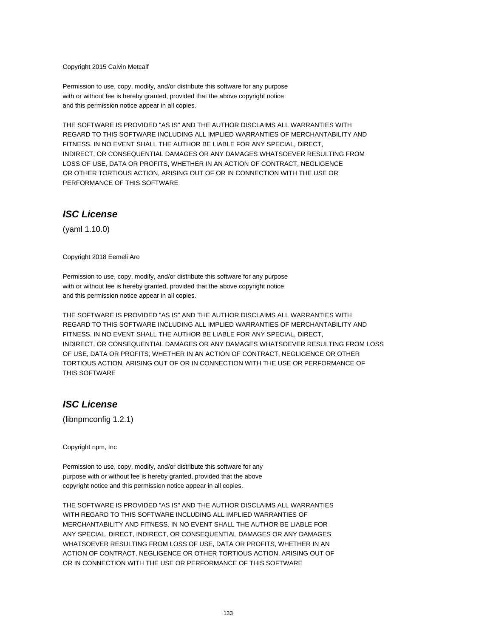Copyright 2015 Calvin Metcalf

Permission to use, copy, modify, and/or distribute this software for any purpose with or without fee is hereby granted, provided that the above copyright notice and this permission notice appear in all copies.

THE SOFTWARE IS PROVIDED "AS IS" AND THE AUTHOR DISCLAIMS ALL WARRANTIES WITH REGARD TO THIS SOFTWARE INCLUDING ALL IMPLIED WARRANTIES OF MERCHANTABILITY AND FITNESS. IN NO EVENT SHALL THE AUTHOR BE LIABLE FOR ANY SPECIAL, DIRECT, INDIRECT, OR CONSEQUENTIAL DAMAGES OR ANY DAMAGES WHATSOEVER RESULTING FROM LOSS OF USE, DATA OR PROFITS, WHETHER IN AN ACTION OF CONTRACT, NEGLIGENCE OR OTHER TORTIOUS ACTION, ARISING OUT OF OR IN CONNECTION WITH THE USE OR PERFORMANCE OF THIS SOFTWARE

### **ISC License**

(yaml 1.10.0)

Copyright 2018 Eemeli Aro

Permission to use, copy, modify, and/or distribute this software for any purpose with or without fee is hereby granted, provided that the above copyright notice and this permission notice appear in all copies.

THE SOFTWARE IS PROVIDED "AS IS" AND THE AUTHOR DISCLAIMS ALL WARRANTIES WITH REGARD TO THIS SOFTWARE INCLUDING ALL IMPLIED WARRANTIES OF MERCHANTABILITY AND FITNESS. IN NO EVENT SHALL THE AUTHOR BE LIABLE FOR ANY SPECIAL, DIRECT, INDIRECT, OR CONSEQUENTIAL DAMAGES OR ANY DAMAGES WHATSOEVER RESULTING FROM LOSS OF USE, DATA OR PROFITS, WHETHER IN AN ACTION OF CONTRACT, NEGLIGENCE OR OTHER TORTIOUS ACTION, ARISING OUT OF OR IN CONNECTION WITH THE USE OR PERFORMANCE OF THIS SOFTWARE

#### **ISC License**

(libnpmconfig 1.2.1)

Copyright npm, Inc

Permission to use, copy, modify, and/or distribute this software for any purpose with or without fee is hereby granted, provided that the above copyright notice and this permission notice appear in all copies.

THE SOFTWARE IS PROVIDED "AS IS" AND THE AUTHOR DISCLAIMS ALL WARRANTIES WITH REGARD TO THIS SOFTWARE INCLUDING ALL IMPLIED WARRANTIES OF MERCHANTABILITY AND FITNESS. IN NO EVENT SHALL THE AUTHOR BE LIABLE FOR ANY SPECIAL, DIRECT, INDIRECT, OR CONSEQUENTIAL DAMAGES OR ANY DAMAGES WHATSOEVER RESULTING FROM LOSS OF USE, DATA OR PROFITS, WHETHER IN AN ACTION OF CONTRACT, NEGLIGENCE OR OTHER TORTIOUS ACTION, ARISING OUT OF OR IN CONNECTION WITH THE USE OR PERFORMANCE OF THIS SOFTWARE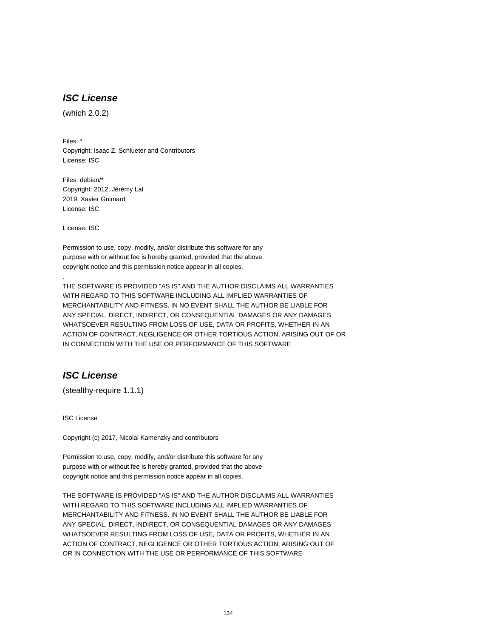# **ISC License**

(which 2.0.2)

Files: \* Copyright: Isaac Z. Schlueter and Contributors License: ISC

Files: debian/\* Copyright: 2012, Jérémy Lal 2019, Xavier Guimard License: ISC

License: ISC

.

Permission to use, copy, modify, and/or distribute this software for any purpose with or without fee is hereby granted, provided that the above copyright notice and this permission notice appear in all copies.

THE SOFTWARE IS PROVIDED "AS IS" AND THE AUTHOR DISCLAIMS ALL WARRANTIES WITH REGARD TO THIS SOFTWARE INCLUDING ALL IMPLIED WARRANTIES OF MERCHANTABILITY AND FITNESS. IN NO EVENT SHALL THE AUTHOR BE LIABLE FOR ANY SPECIAL, DIRECT, INDIRECT, OR CONSEQUENTIAL DAMAGES OR ANY DAMAGES WHATSOEVER RESULTING FROM LOSS OF USE, DATA OR PROFITS, WHETHER IN AN ACTION OF CONTRACT, NEGLIGENCE OR OTHER TORTIOUS ACTION, ARISING OUT OF OR IN CONNECTION WITH THE USE OR PERFORMANCE OF THIS SOFTWARE

# **ISC License**

(stealthy-require 1.1.1)

ISC License

Copyright (c) 2017, Nicolai Kamenzky and contributors

Permission to use, copy, modify, and/or distribute this software for any purpose with or without fee is hereby granted, provided that the above copyright notice and this permission notice appear in all copies.

THE SOFTWARE IS PROVIDED "AS IS" AND THE AUTHOR DISCLAIMS ALL WARRANTIES WITH REGARD TO THIS SOFTWARE INCLUDING ALL IMPLIED WARRANTIES OF MERCHANTABILITY AND FITNESS. IN NO EVENT SHALL THE AUTHOR BE LIABLE FOR ANY SPECIAL, DIRECT, INDIRECT, OR CONSEQUENTIAL DAMAGES OR ANY DAMAGES WHATSOEVER RESULTING FROM LOSS OF USE, DATA OR PROFITS, WHETHER IN AN ACTION OF CONTRACT, NEGLIGENCE OR OTHER TORTIOUS ACTION, ARISING OUT OF OR IN CONNECTION WITH THE USE OR PERFORMANCE OF THIS SOFTWARE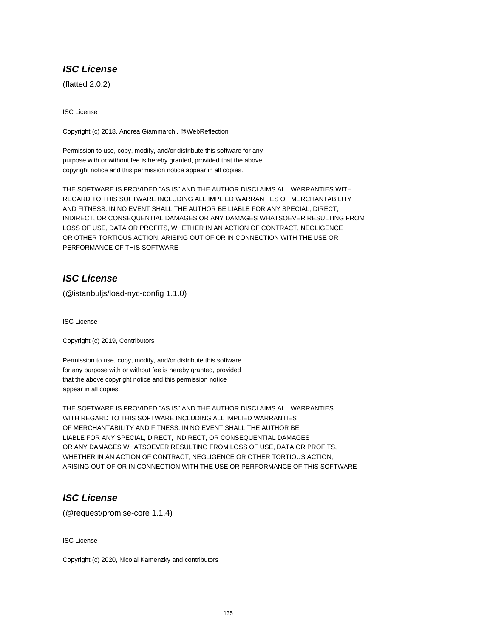# **ISC License**

(flatted 2.0.2)

ISC License

Copyright (c) 2018, Andrea Giammarchi, @WebReflection

Permission to use, copy, modify, and/or distribute this software for any purpose with or without fee is hereby granted, provided that the above copyright notice and this permission notice appear in all copies.

THE SOFTWARE IS PROVIDED "AS IS" AND THE AUTHOR DISCLAIMS ALL WARRANTIES WITH REGARD TO THIS SOFTWARE INCLUDING ALL IMPLIED WARRANTIES OF MERCHANTABILITY AND FITNESS. IN NO EVENT SHALL THE AUTHOR BE LIABLE FOR ANY SPECIAL, DIRECT, INDIRECT, OR CONSEQUENTIAL DAMAGES OR ANY DAMAGES WHATSOEVER RESULTING FROM LOSS OF USE, DATA OR PROFITS, WHETHER IN AN ACTION OF CONTRACT, NEGLIGENCE OR OTHER TORTIOUS ACTION, ARISING OUT OF OR IN CONNECTION WITH THE USE OR PERFORMANCE OF THIS SOFTWARE

# **ISC License**

(@istanbuljs/load-nyc-config 1.1.0)

ISC License

Copyright (c) 2019, Contributors

Permission to use, copy, modify, and/or distribute this software for any purpose with or without fee is hereby granted, provided that the above copyright notice and this permission notice appear in all copies.

THE SOFTWARE IS PROVIDED "AS IS" AND THE AUTHOR DISCLAIMS ALL WARRANTIES WITH REGARD TO THIS SOFTWARE INCLUDING ALL IMPLIED WARRANTIES OF MERCHANTABILITY AND FITNESS. IN NO EVENT SHALL THE AUTHOR BE LIABLE FOR ANY SPECIAL, DIRECT, INDIRECT, OR CONSEQUENTIAL DAMAGES OR ANY DAMAGES WHATSOEVER RESULTING FROM LOSS OF USE, DATA OR PROFITS, WHETHER IN AN ACTION OF CONTRACT, NEGLIGENCE OR OTHER TORTIOUS ACTION, ARISING OUT OF OR IN CONNECTION WITH THE USE OR PERFORMANCE OF THIS SOFTWARE

# **ISC License**

(@request/promise-core 1.1.4)

ISC License

Copyright (c) 2020, Nicolai Kamenzky and contributors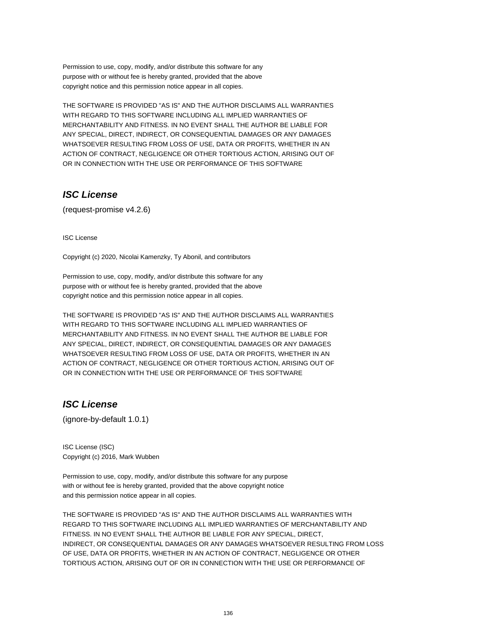Permission to use, copy, modify, and/or distribute this software for any purpose with or without fee is hereby granted, provided that the above copyright notice and this permission notice appear in all copies.

THE SOFTWARE IS PROVIDED "AS IS" AND THE AUTHOR DISCLAIMS ALL WARRANTIES WITH REGARD TO THIS SOFTWARE INCLUDING ALL IMPLIED WARRANTIES OF MERCHANTABILITY AND FITNESS. IN NO EVENT SHALL THE AUTHOR BE LIABLE FOR ANY SPECIAL, DIRECT, INDIRECT, OR CONSEQUENTIAL DAMAGES OR ANY DAMAGES WHATSOEVER RESULTING FROM LOSS OF USE, DATA OR PROFITS, WHETHER IN AN ACTION OF CONTRACT, NEGLIGENCE OR OTHER TORTIOUS ACTION, ARISING OUT OF OR IN CONNECTION WITH THE USE OR PERFORMANCE OF THIS SOFTWARE

# **ISC License**

(request-promise v4.2.6)

ISC License

Copyright (c) 2020, Nicolai Kamenzky, Ty Abonil, and contributors

Permission to use, copy, modify, and/or distribute this software for any purpose with or without fee is hereby granted, provided that the above copyright notice and this permission notice appear in all copies.

THE SOFTWARE IS PROVIDED "AS IS" AND THE AUTHOR DISCLAIMS ALL WARRANTIES WITH REGARD TO THIS SOFTWARE INCLUDING ALL IMPLIED WARRANTIES OF MERCHANTABILITY AND FITNESS. IN NO EVENT SHALL THE AUTHOR BE LIABLE FOR ANY SPECIAL, DIRECT, INDIRECT, OR CONSEQUENTIAL DAMAGES OR ANY DAMAGES WHATSOEVER RESULTING FROM LOSS OF USE, DATA OR PROFITS, WHETHER IN AN ACTION OF CONTRACT, NEGLIGENCE OR OTHER TORTIOUS ACTION, ARISING OUT OF OR IN CONNECTION WITH THE USE OR PERFORMANCE OF THIS SOFTWARE

# **ISC License**

(ignore-by-default 1.0.1)

ISC License (ISC) Copyright (c) 2016, Mark Wubben

Permission to use, copy, modify, and/or distribute this software for any purpose with or without fee is hereby granted, provided that the above copyright notice and this permission notice appear in all copies.

THE SOFTWARE IS PROVIDED "AS IS" AND THE AUTHOR DISCLAIMS ALL WARRANTIES WITH REGARD TO THIS SOFTWARE INCLUDING ALL IMPLIED WARRANTIES OF MERCHANTABILITY AND FITNESS. IN NO EVENT SHALL THE AUTHOR BE LIABLE FOR ANY SPECIAL, DIRECT, INDIRECT, OR CONSEQUENTIAL DAMAGES OR ANY DAMAGES WHATSOEVER RESULTING FROM LOSS OF USE, DATA OR PROFITS, WHETHER IN AN ACTION OF CONTRACT, NEGLIGENCE OR OTHER TORTIOUS ACTION, ARISING OUT OF OR IN CONNECTION WITH THE USE OR PERFORMANCE OF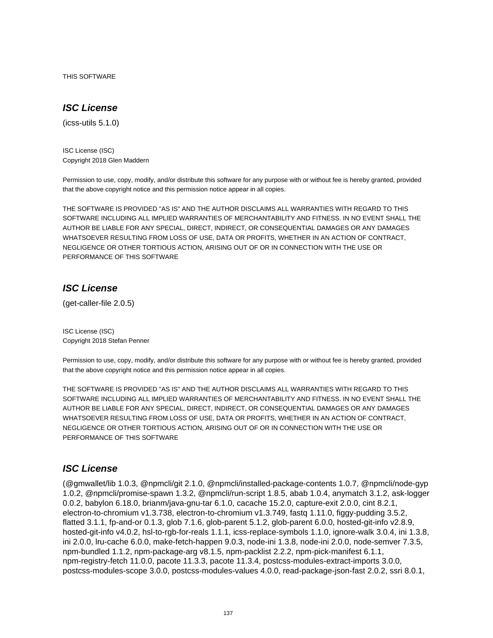THIS SOFTWARE

# **ISC License**

(icss-utils 5.1.0)

ISC License (ISC) Copyright 2018 Glen Maddern

Permission to use, copy, modify, and/or distribute this software for any purpose with or without fee is hereby granted, provided that the above copyright notice and this permission notice appear in all copies.

THE SOFTWARE IS PROVIDED "AS IS" AND THE AUTHOR DISCLAIMS ALL WARRANTIES WITH REGARD TO THIS SOFTWARE INCLUDING ALL IMPLIED WARRANTIES OF MERCHANTABILITY AND FITNESS. IN NO EVENT SHALL THE AUTHOR BE LIABLE FOR ANY SPECIAL, DIRECT, INDIRECT, OR CONSEQUENTIAL DAMAGES OR ANY DAMAGES WHATSOEVER RESULTING FROM LOSS OF USE, DATA OR PROFITS, WHETHER IN AN ACTION OF CONTRACT, NEGLIGENCE OR OTHER TORTIOUS ACTION, ARISING OUT OF OR IN CONNECTION WITH THE USE OR PERFORMANCE OF THIS SOFTWARE

# **ISC License**

(get-caller-file 2.0.5)

ISC License (ISC) Copyright 2018 Stefan Penner

Permission to use, copy, modify, and/or distribute this software for any purpose with or without fee is hereby granted, provided that the above copyright notice and this permission notice appear in all copies.

THE SOFTWARE IS PROVIDED "AS IS" AND THE AUTHOR DISCLAIMS ALL WARRANTIES WITH REGARD TO THIS SOFTWARE INCLUDING ALL IMPLIED WARRANTIES OF MERCHANTABILITY AND FITNESS. IN NO EVENT SHALL THE AUTHOR BE LIABLE FOR ANY SPECIAL, DIRECT, INDIRECT, OR CONSEQUENTIAL DAMAGES OR ANY DAMAGES WHATSOEVER RESULTING FROM LOSS OF USE, DATA OR PROFITS, WHETHER IN AN ACTION OF CONTRACT, NEGLIGENCE OR OTHER TORTIOUS ACTION, ARISING OUT OF OR IN CONNECTION WITH THE USE OR PERFORMANCE OF THIS SOFTWARE

# **ISC License**

(@gmwallet/lib 1.0.3, @npmcli/git 2.1.0, @npmcli/installed-package-contents 1.0.7, @npmcli/node-gyp 1.0.2, @npmcli/promise-spawn 1.3.2, @npmcli/run-script 1.8.5, abab 1.0.4, anymatch 3.1.2, ask-logger 0.0.2, babylon 6.18.0, brianm/java-gnu-tar 6.1.0, cacache 15.2.0, capture-exit 2.0.0, cint 8.2.1, electron-to-chromium v1.3.738, electron-to-chromium v1.3.749, fastq 1.11.0, figgy-pudding 3.5.2, flatted 3.1.1, fp-and-or 0.1.3, glob 7.1.6, glob-parent 5.1.2, glob-parent 6.0.0, hosted-git-info v2.8.9, hosted-git-info v4.0.2, hsl-to-rgb-for-reals 1.1.1, icss-replace-symbols 1.1.0, ignore-walk 3.0.4, ini 1.3.8, ini 2.0.0, lru-cache 6.0.0, make-fetch-happen 9.0.3, node-ini 1.3.8, node-ini 2.0.0, node-semver 7.3.5, npm-bundled 1.1.2, npm-package-arg v8.1.5, npm-packlist 2.2.2, npm-pick-manifest 6.1.1, npm-registry-fetch 11.0.0, pacote 11.3.3, pacote 11.3.4, postcss-modules-extract-imports 3.0.0, postcss-modules-scope 3.0.0, postcss-modules-values 4.0.0, read-package-json-fast 2.0.2, ssri 8.0.1,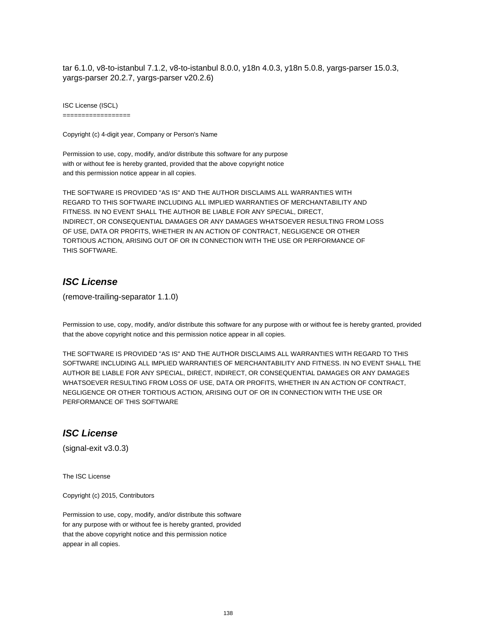tar 6.1.0, v8-to-istanbul 7.1.2, v8-to-istanbul 8.0.0, y18n 4.0.3, y18n 5.0.8, yargs-parser 15.0.3, yargs-parser 20.2.7, yargs-parser v20.2.6)

ISC License (ISCL) ==================

Copyright (c) 4-digit year, Company or Person's Name

Permission to use, copy, modify, and/or distribute this software for any purpose with or without fee is hereby granted, provided that the above copyright notice and this permission notice appear in all copies.

THE SOFTWARE IS PROVIDED "AS IS" AND THE AUTHOR DISCLAIMS ALL WARRANTIES WITH REGARD TO THIS SOFTWARE INCLUDING ALL IMPLIED WARRANTIES OF MERCHANTABILITY AND FITNESS. IN NO EVENT SHALL THE AUTHOR BE LIABLE FOR ANY SPECIAL, DIRECT, INDIRECT, OR CONSEQUENTIAL DAMAGES OR ANY DAMAGES WHATSOEVER RESULTING FROM LOSS OF USE, DATA OR PROFITS, WHETHER IN AN ACTION OF CONTRACT, NEGLIGENCE OR OTHER TORTIOUS ACTION, ARISING OUT OF OR IN CONNECTION WITH THE USE OR PERFORMANCE OF THIS SOFTWARE.

### **ISC License**

(remove-trailing-separator 1.1.0)

Permission to use, copy, modify, and/or distribute this software for any purpose with or without fee is hereby granted, provided that the above copyright notice and this permission notice appear in all copies.

THE SOFTWARE IS PROVIDED "AS IS" AND THE AUTHOR DISCLAIMS ALL WARRANTIES WITH REGARD TO THIS SOFTWARE INCLUDING ALL IMPLIED WARRANTIES OF MERCHANTABILITY AND FITNESS. IN NO EVENT SHALL THE AUTHOR BE LIABLE FOR ANY SPECIAL, DIRECT, INDIRECT, OR CONSEQUENTIAL DAMAGES OR ANY DAMAGES WHATSOEVER RESULTING FROM LOSS OF USE, DATA OR PROFITS, WHETHER IN AN ACTION OF CONTRACT, NEGLIGENCE OR OTHER TORTIOUS ACTION, ARISING OUT OF OR IN CONNECTION WITH THE USE OR PERFORMANCE OF THIS SOFTWARE

# **ISC License**

(signal-exit v3.0.3)

The ISC License

Copyright (c) 2015, Contributors

Permission to use, copy, modify, and/or distribute this software for any purpose with or without fee is hereby granted, provided that the above copyright notice and this permission notice appear in all copies.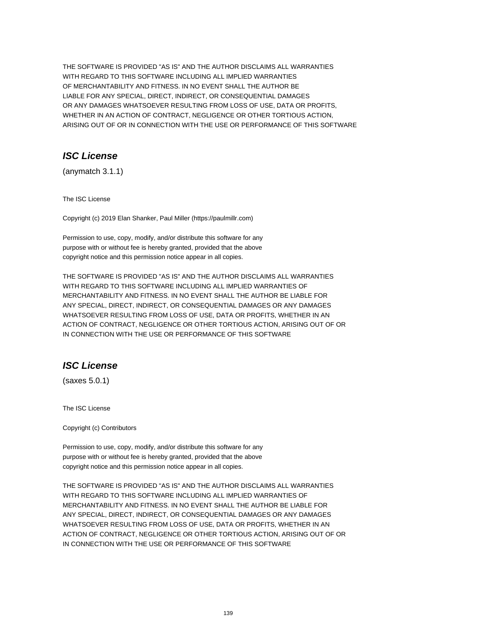THE SOFTWARE IS PROVIDED "AS IS" AND THE AUTHOR DISCLAIMS ALL WARRANTIES WITH REGARD TO THIS SOFTWARE INCLUDING ALL IMPLIED WARRANTIES OF MERCHANTABILITY AND FITNESS. IN NO EVENT SHALL THE AUTHOR BE LIABLE FOR ANY SPECIAL, DIRECT, INDIRECT, OR CONSEQUENTIAL DAMAGES OR ANY DAMAGES WHATSOEVER RESULTING FROM LOSS OF USE, DATA OR PROFITS, WHETHER IN AN ACTION OF CONTRACT, NEGLIGENCE OR OTHER TORTIOUS ACTION, ARISING OUT OF OR IN CONNECTION WITH THE USE OR PERFORMANCE OF THIS SOFTWARE

# **ISC License**

(anymatch 3.1.1)

The ISC License

Copyright (c) 2019 Elan Shanker, Paul Miller (https://paulmillr.com)

Permission to use, copy, modify, and/or distribute this software for any purpose with or without fee is hereby granted, provided that the above copyright notice and this permission notice appear in all copies.

THE SOFTWARE IS PROVIDED "AS IS" AND THE AUTHOR DISCLAIMS ALL WARRANTIES WITH REGARD TO THIS SOFTWARE INCLUDING ALL IMPLIED WARRANTIES OF MERCHANTABILITY AND FITNESS. IN NO EVENT SHALL THE AUTHOR BE LIABLE FOR ANY SPECIAL, DIRECT, INDIRECT, OR CONSEQUENTIAL DAMAGES OR ANY DAMAGES WHATSOEVER RESULTING FROM LOSS OF USE, DATA OR PROFITS, WHETHER IN AN ACTION OF CONTRACT, NEGLIGENCE OR OTHER TORTIOUS ACTION, ARISING OUT OF OR IN CONNECTION WITH THE USE OR PERFORMANCE OF THIS SOFTWARE

# **ISC License**

(saxes 5.0.1)

The ISC License

Copyright (c) Contributors

Permission to use, copy, modify, and/or distribute this software for any purpose with or without fee is hereby granted, provided that the above copyright notice and this permission notice appear in all copies.

THE SOFTWARE IS PROVIDED "AS IS" AND THE AUTHOR DISCLAIMS ALL WARRANTIES WITH REGARD TO THIS SOFTWARE INCLUDING ALL IMPLIED WARRANTIES OF MERCHANTABILITY AND FITNESS. IN NO EVENT SHALL THE AUTHOR BE LIABLE FOR ANY SPECIAL, DIRECT, INDIRECT, OR CONSEQUENTIAL DAMAGES OR ANY DAMAGES WHATSOEVER RESULTING FROM LOSS OF USE, DATA OR PROFITS, WHETHER IN AN ACTION OF CONTRACT, NEGLIGENCE OR OTHER TORTIOUS ACTION, ARISING OUT OF OR IN CONNECTION WITH THE USE OR PERFORMANCE OF THIS SOFTWARE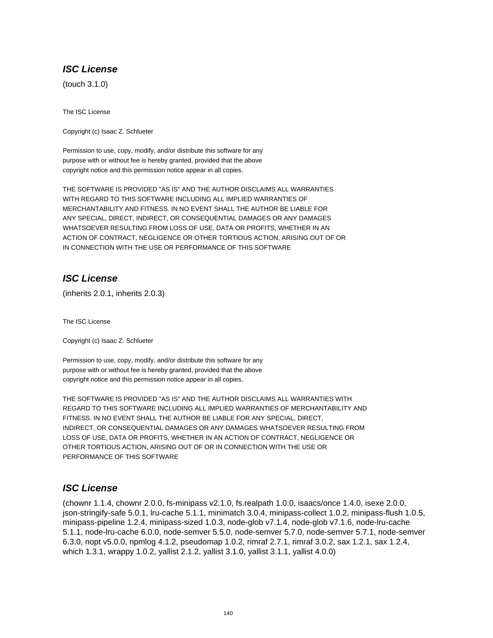# **ISC License**

(touch 3.1.0)

The ISC License

Copyright (c) Isaac Z. Schlueter

Permission to use, copy, modify, and/or distribute this software for any purpose with or without fee is hereby granted, provided that the above copyright notice and this permission notice appear in all copies.

THE SOFTWARE IS PROVIDED "AS IS" AND THE AUTHOR DISCLAIMS ALL WARRANTIES WITH REGARD TO THIS SOFTWARE INCLUDING ALL IMPLIED WARRANTIES OF MERCHANTABILITY AND FITNESS. IN NO EVENT SHALL THE AUTHOR BE LIABLE FOR ANY SPECIAL, DIRECT, INDIRECT, OR CONSEQUENTIAL DAMAGES OR ANY DAMAGES WHATSOEVER RESULTING FROM LOSS OF USE, DATA OR PROFITS, WHETHER IN AN ACTION OF CONTRACT, NEGLIGENCE OR OTHER TORTIOUS ACTION, ARISING OUT OF OR IN CONNECTION WITH THE USE OR PERFORMANCE OF THIS SOFTWARE

# **ISC License**

(inherits 2.0.1, inherits 2.0.3)

The ISC License

Copyright (c) Isaac Z. Schlueter

Permission to use, copy, modify, and/or distribute this software for any purpose with or without fee is hereby granted, provided that the above copyright notice and this permission notice appear in all copies.

THE SOFTWARE IS PROVIDED "AS IS" AND THE AUTHOR DISCLAIMS ALL WARRANTIES WITH REGARD TO THIS SOFTWARE INCLUDING ALL IMPLIED WARRANTIES OF MERCHANTABILITY AND FITNESS. IN NO EVENT SHALL THE AUTHOR BE LIABLE FOR ANY SPECIAL, DIRECT, INDIRECT, OR CONSEQUENTIAL DAMAGES OR ANY DAMAGES WHATSOEVER RESULTING FROM LOSS OF USE, DATA OR PROFITS, WHETHER IN AN ACTION OF CONTRACT, NEGLIGENCE OR OTHER TORTIOUS ACTION, ARISING OUT OF OR IN CONNECTION WITH THE USE OR PERFORMANCE OF THIS SOFTWARE

# **ISC License**

(chownr 1.1.4, chownr 2.0.0, fs-minipass v2.1.0, fs.realpath 1.0.0, isaacs/once 1.4.0, isexe 2.0.0, json-stringify-safe 5.0.1, lru-cache 5.1.1, minimatch 3.0.4, minipass-collect 1.0.2, minipass-flush 1.0.5, minipass-pipeline 1.2.4, minipass-sized 1.0.3, node-glob v7.1.4, node-glob v7.1.6, node-lru-cache 5.1.1, node-lru-cache 6.0.0, node-semver 5.5.0, node-semver 5.7.0, node-semver 5.7.1, node-semver 6.3.0, nopt v5.0.0, npmlog 4.1.2, pseudomap 1.0.2, rimraf 2.7.1, rimraf 3.0.2, sax 1.2.1, sax 1.2.4, which 1.3.1, wrappy 1.0.2, yallist 2.1.2, yallist 3.1.0, yallist 3.1.1, yallist 4.0.0)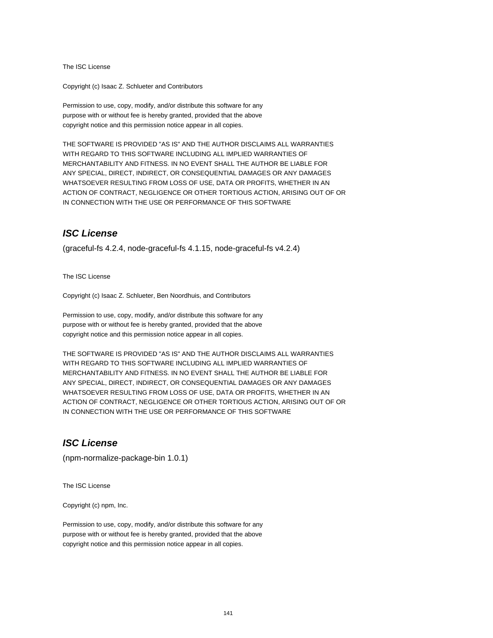The ISC License

Copyright (c) Isaac Z. Schlueter and Contributors

Permission to use, copy, modify, and/or distribute this software for any purpose with or without fee is hereby granted, provided that the above copyright notice and this permission notice appear in all copies.

THE SOFTWARE IS PROVIDED "AS IS" AND THE AUTHOR DISCLAIMS ALL WARRANTIES WITH REGARD TO THIS SOFTWARE INCLUDING ALL IMPLIED WARRANTIES OF MERCHANTABILITY AND FITNESS. IN NO EVENT SHALL THE AUTHOR BE LIABLE FOR ANY SPECIAL, DIRECT, INDIRECT, OR CONSEQUENTIAL DAMAGES OR ANY DAMAGES WHATSOEVER RESULTING FROM LOSS OF USE, DATA OR PROFITS, WHETHER IN AN ACTION OF CONTRACT, NEGLIGENCE OR OTHER TORTIOUS ACTION, ARISING OUT OF OR IN CONNECTION WITH THE USE OR PERFORMANCE OF THIS SOFTWARE

#### **ISC License**

(graceful-fs 4.2.4, node-graceful-fs 4.1.15, node-graceful-fs v4.2.4)

The ISC License

Copyright (c) Isaac Z. Schlueter, Ben Noordhuis, and Contributors

Permission to use, copy, modify, and/or distribute this software for any purpose with or without fee is hereby granted, provided that the above copyright notice and this permission notice appear in all copies.

THE SOFTWARE IS PROVIDED "AS IS" AND THE AUTHOR DISCLAIMS ALL WARRANTIES WITH REGARD TO THIS SOFTWARE INCLUDING ALL IMPLIED WARRANTIES OF MERCHANTABILITY AND FITNESS. IN NO EVENT SHALL THE AUTHOR BE LIABLE FOR ANY SPECIAL, DIRECT, INDIRECT, OR CONSEQUENTIAL DAMAGES OR ANY DAMAGES WHATSOEVER RESULTING FROM LOSS OF USE, DATA OR PROFITS, WHETHER IN AN ACTION OF CONTRACT, NEGLIGENCE OR OTHER TORTIOUS ACTION, ARISING OUT OF OR IN CONNECTION WITH THE USE OR PERFORMANCE OF THIS SOFTWARE

# **ISC License**

(npm-normalize-package-bin 1.0.1)

The ISC License

Copyright (c) npm, Inc.

Permission to use, copy, modify, and/or distribute this software for any purpose with or without fee is hereby granted, provided that the above copyright notice and this permission notice appear in all copies.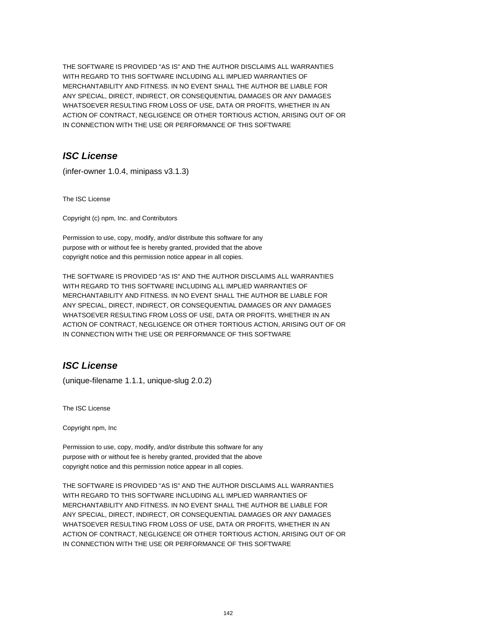THE SOFTWARE IS PROVIDED "AS IS" AND THE AUTHOR DISCLAIMS ALL WARRANTIES WITH REGARD TO THIS SOFTWARE INCLUDING ALL IMPLIED WARRANTIES OF MERCHANTABILITY AND FITNESS. IN NO EVENT SHALL THE AUTHOR BE LIABLE FOR ANY SPECIAL, DIRECT, INDIRECT, OR CONSEQUENTIAL DAMAGES OR ANY DAMAGES WHATSOEVER RESULTING FROM LOSS OF USE, DATA OR PROFITS, WHETHER IN AN ACTION OF CONTRACT, NEGLIGENCE OR OTHER TORTIOUS ACTION, ARISING OUT OF OR IN CONNECTION WITH THE USE OR PERFORMANCE OF THIS SOFTWARE

# **ISC License**

(infer-owner 1.0.4, minipass v3.1.3)

The ISC License

Copyright (c) npm, Inc. and Contributors

Permission to use, copy, modify, and/or distribute this software for any purpose with or without fee is hereby granted, provided that the above copyright notice and this permission notice appear in all copies.

THE SOFTWARE IS PROVIDED "AS IS" AND THE AUTHOR DISCLAIMS ALL WARRANTIES WITH REGARD TO THIS SOFTWARE INCLUDING ALL IMPLIED WARRANTIES OF MERCHANTABILITY AND FITNESS. IN NO EVENT SHALL THE AUTHOR BE LIABLE FOR ANY SPECIAL, DIRECT, INDIRECT, OR CONSEQUENTIAL DAMAGES OR ANY DAMAGES WHATSOEVER RESULTING FROM LOSS OF USE, DATA OR PROFITS, WHETHER IN AN ACTION OF CONTRACT, NEGLIGENCE OR OTHER TORTIOUS ACTION, ARISING OUT OF OR IN CONNECTION WITH THE USE OR PERFORMANCE OF THIS SOFTWARE

# **ISC License**

(unique-filename 1.1.1, unique-slug 2.0.2)

The ISC License

Copyright npm, Inc

Permission to use, copy, modify, and/or distribute this software for any purpose with or without fee is hereby granted, provided that the above copyright notice and this permission notice appear in all copies.

THE SOFTWARE IS PROVIDED "AS IS" AND THE AUTHOR DISCLAIMS ALL WARRANTIES WITH REGARD TO THIS SOFTWARE INCLUDING ALL IMPLIED WARRANTIES OF MERCHANTABILITY AND FITNESS. IN NO EVENT SHALL THE AUTHOR BE LIABLE FOR ANY SPECIAL, DIRECT, INDIRECT, OR CONSEQUENTIAL DAMAGES OR ANY DAMAGES WHATSOEVER RESULTING FROM LOSS OF USE, DATA OR PROFITS, WHETHER IN AN ACTION OF CONTRACT, NEGLIGENCE OR OTHER TORTIOUS ACTION, ARISING OUT OF OR IN CONNECTION WITH THE USE OR PERFORMANCE OF THIS SOFTWARE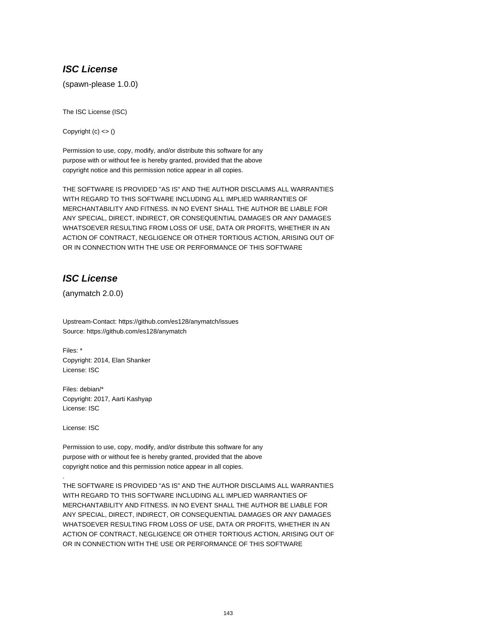# **ISC License**

(spawn-please 1.0.0)

The ISC License (ISC)

Copyright  $(c) \leq ($ 

Permission to use, copy, modify, and/or distribute this software for any purpose with or without fee is hereby granted, provided that the above copyright notice and this permission notice appear in all copies.

THE SOFTWARE IS PROVIDED "AS IS" AND THE AUTHOR DISCLAIMS ALL WARRANTIES WITH REGARD TO THIS SOFTWARE INCLUDING ALL IMPLIED WARRANTIES OF MERCHANTABILITY AND FITNESS. IN NO EVENT SHALL THE AUTHOR BE LIABLE FOR ANY SPECIAL, DIRECT, INDIRECT, OR CONSEQUENTIAL DAMAGES OR ANY DAMAGES WHATSOEVER RESULTING FROM LOSS OF USE, DATA OR PROFITS, WHETHER IN AN ACTION OF CONTRACT, NEGLIGENCE OR OTHER TORTIOUS ACTION, ARISING OUT OF OR IN CONNECTION WITH THE USE OR PERFORMANCE OF THIS SOFTWARE

# **ISC License**

(anymatch 2.0.0)

Upstream-Contact: https://github.com/es128/anymatch/issues Source: https://github.com/es128/anymatch

Files: \* Copyright: 2014, Elan Shanker License: ISC

Files: debian/\* Copyright: 2017, Aarti Kashyap License: ISC

License: ISC

.

Permission to use, copy, modify, and/or distribute this software for any purpose with or without fee is hereby granted, provided that the above copyright notice and this permission notice appear in all copies.

THE SOFTWARE IS PROVIDED "AS IS" AND THE AUTHOR DISCLAIMS ALL WARRANTIES WITH REGARD TO THIS SOFTWARE INCLUDING ALL IMPLIED WARRANTIES OF MERCHANTABILITY AND FITNESS. IN NO EVENT SHALL THE AUTHOR BE LIABLE FOR ANY SPECIAL, DIRECT, INDIRECT, OR CONSEQUENTIAL DAMAGES OR ANY DAMAGES WHATSOEVER RESULTING FROM LOSS OF USE, DATA OR PROFITS, WHETHER IN AN ACTION OF CONTRACT, NEGLIGENCE OR OTHER TORTIOUS ACTION, ARISING OUT OF OR IN CONNECTION WITH THE USE OR PERFORMANCE OF THIS SOFTWARE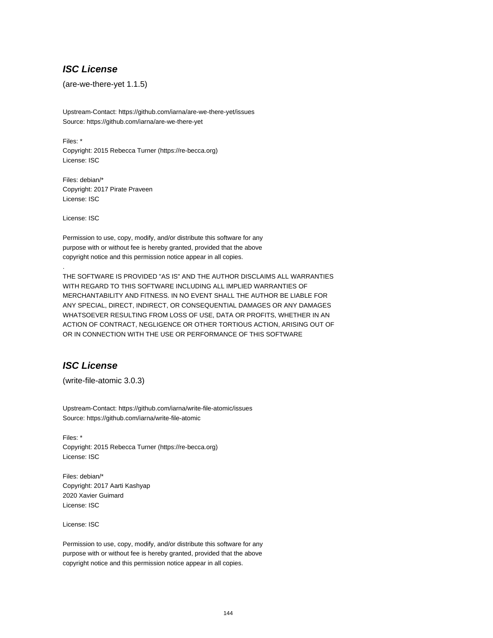### **ISC License**

(are-we-there-yet 1.1.5)

Upstream-Contact: https://github.com/iarna/are-we-there-yet/issues Source: https://github.com/iarna/are-we-there-yet

Files: \* Copyright: 2015 Rebecca Turner (https://re-becca.org) License: ISC

Files: debian/\* Copyright: 2017 Pirate Praveen License: ISC

License: ISC

.

Permission to use, copy, modify, and/or distribute this software for any purpose with or without fee is hereby granted, provided that the above copyright notice and this permission notice appear in all copies.

THE SOFTWARE IS PROVIDED "AS IS" AND THE AUTHOR DISCLAIMS ALL WARRANTIES WITH REGARD TO THIS SOFTWARE INCLUDING ALL IMPLIED WARRANTIES OF MERCHANTABILITY AND FITNESS. IN NO EVENT SHALL THE AUTHOR BE LIABLE FOR ANY SPECIAL, DIRECT, INDIRECT, OR CONSEQUENTIAL DAMAGES OR ANY DAMAGES WHATSOEVER RESULTING FROM LOSS OF USE, DATA OR PROFITS, WHETHER IN AN ACTION OF CONTRACT, NEGLIGENCE OR OTHER TORTIOUS ACTION, ARISING OUT OF OR IN CONNECTION WITH THE USE OR PERFORMANCE OF THIS SOFTWARE

# **ISC License**

(write-file-atomic 3.0.3)

Upstream-Contact: https://github.com/iarna/write-file-atomic/issues Source: https://github.com/iarna/write-file-atomic

Files: \* Copyright: 2015 Rebecca Turner (https://re-becca.org) License: ISC

Files: debian/\* Copyright: 2017 Aarti Kashyap 2020 Xavier Guimard License: ISC

License: ISC

Permission to use, copy, modify, and/or distribute this software for any purpose with or without fee is hereby granted, provided that the above copyright notice and this permission notice appear in all copies.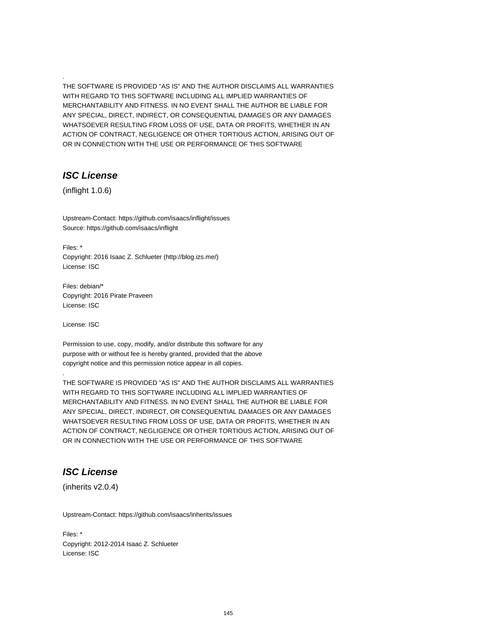THE SOFTWARE IS PROVIDED "AS IS" AND THE AUTHOR DISCLAIMS ALL WARRANTIES WITH REGARD TO THIS SOFTWARE INCLUDING ALL IMPLIED WARRANTIES OF MERCHANTABILITY AND FITNESS. IN NO EVENT SHALL THE AUTHOR BE LIABLE FOR ANY SPECIAL, DIRECT, INDIRECT, OR CONSEQUENTIAL DAMAGES OR ANY DAMAGES WHATSOEVER RESULTING FROM LOSS OF USE, DATA OR PROFITS, WHETHER IN AN ACTION OF CONTRACT, NEGLIGENCE OR OTHER TORTIOUS ACTION, ARISING OUT OF OR IN CONNECTION WITH THE USE OR PERFORMANCE OF THIS SOFTWARE

### **ISC License**

.

(inflight 1.0.6)

Upstream-Contact: https://github.com/isaacs/inflight/issues Source: https://github.com/isaacs/inflight

Files: \* Copyright: 2016 Isaac Z. Schlueter (http://blog.izs.me/) License: ISC

Files: debian/\* Copyright: 2016 Pirate Praveen License: ISC

License: ISC

.

Permission to use, copy, modify, and/or distribute this software for any purpose with or without fee is hereby granted, provided that the above copyright notice and this permission notice appear in all copies.

THE SOFTWARE IS PROVIDED "AS IS" AND THE AUTHOR DISCLAIMS ALL WARRANTIES WITH REGARD TO THIS SOFTWARE INCLUDING ALL IMPLIED WARRANTIES OF MERCHANTABILITY AND FITNESS. IN NO EVENT SHALL THE AUTHOR BE LIABLE FOR ANY SPECIAL, DIRECT, INDIRECT, OR CONSEQUENTIAL DAMAGES OR ANY DAMAGES WHATSOEVER RESULTING FROM LOSS OF USE, DATA OR PROFITS, WHETHER IN AN ACTION OF CONTRACT, NEGLIGENCE OR OTHER TORTIOUS ACTION, ARISING OUT OF OR IN CONNECTION WITH THE USE OR PERFORMANCE OF THIS SOFTWARE

# **ISC License**

(inherits v2.0.4)

Upstream-Contact: https://github.com/isaacs/inherits/issues

Files: \* Copyright: 2012-2014 Isaac Z. Schlueter License: ISC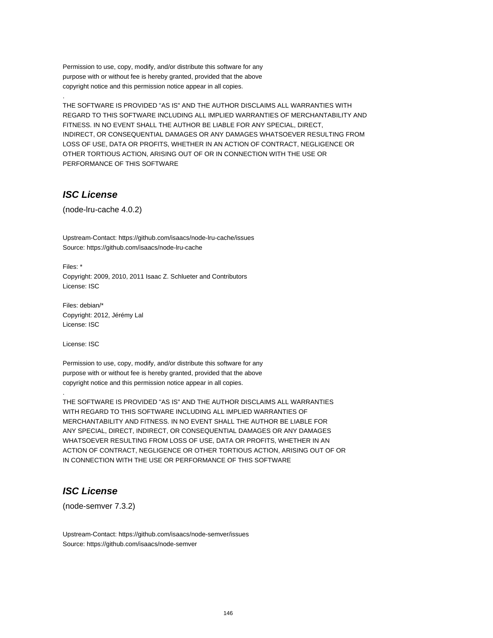Permission to use, copy, modify, and/or distribute this software for any purpose with or without fee is hereby granted, provided that the above copyright notice and this permission notice appear in all copies.

THE SOFTWARE IS PROVIDED "AS IS" AND THE AUTHOR DISCLAIMS ALL WARRANTIES WITH REGARD TO THIS SOFTWARE INCLUDING ALL IMPLIED WARRANTIES OF MERCHANTABILITY AND FITNESS. IN NO EVENT SHALL THE AUTHOR BE LIABLE FOR ANY SPECIAL, DIRECT, INDIRECT, OR CONSEQUENTIAL DAMAGES OR ANY DAMAGES WHATSOEVER RESULTING FROM LOSS OF USE, DATA OR PROFITS, WHETHER IN AN ACTION OF CONTRACT, NEGLIGENCE OR OTHER TORTIOUS ACTION, ARISING OUT OF OR IN CONNECTION WITH THE USE OR PERFORMANCE OF THIS SOFTWARE

### **ISC License**

.

(node-lru-cache 4.0.2)

Upstream-Contact: https://github.com/isaacs/node-lru-cache/issues Source: https://github.com/isaacs/node-lru-cache

Files: \* Copyright: 2009, 2010, 2011 Isaac Z. Schlueter and Contributors License: ISC

Files: debian/\* Copyright: 2012, Jérémy Lal License: ISC

License: ISC

.

Permission to use, copy, modify, and/or distribute this software for any purpose with or without fee is hereby granted, provided that the above copyright notice and this permission notice appear in all copies.

THE SOFTWARE IS PROVIDED "AS IS" AND THE AUTHOR DISCLAIMS ALL WARRANTIES WITH REGARD TO THIS SOFTWARE INCLUDING ALL IMPLIED WARRANTIES OF MERCHANTABILITY AND FITNESS. IN NO EVENT SHALL THE AUTHOR BE LIABLE FOR ANY SPECIAL, DIRECT, INDIRECT, OR CONSEQUENTIAL DAMAGES OR ANY DAMAGES WHATSOEVER RESULTING FROM LOSS OF USE, DATA OR PROFITS, WHETHER IN AN ACTION OF CONTRACT, NEGLIGENCE OR OTHER TORTIOUS ACTION, ARISING OUT OF OR IN CONNECTION WITH THE USE OR PERFORMANCE OF THIS SOFTWARE

## **ISC License**

(node-semver 7.3.2)

Upstream-Contact: https://github.com/isaacs/node-semver/issues Source: https://github.com/isaacs/node-semver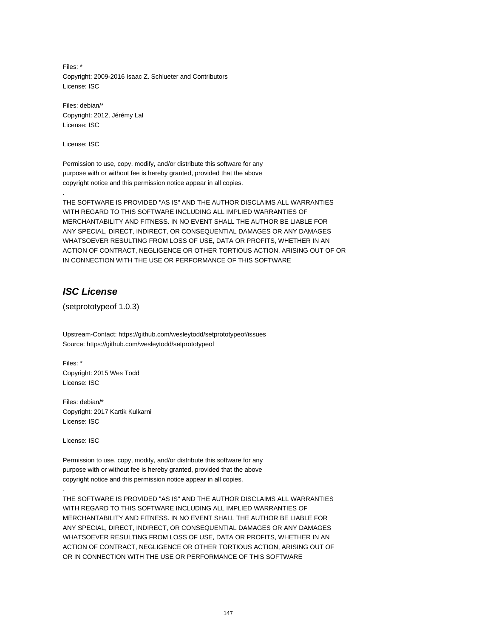Files: \* Copyright: 2009-2016 Isaac Z. Schlueter and Contributors License: ISC

Files: debian/\* Copyright: 2012, Jérémy Lal License: ISC

License: ISC

.

Permission to use, copy, modify, and/or distribute this software for any purpose with or without fee is hereby granted, provided that the above copyright notice and this permission notice appear in all copies.

THE SOFTWARE IS PROVIDED "AS IS" AND THE AUTHOR DISCLAIMS ALL WARRANTIES WITH REGARD TO THIS SOFTWARE INCLUDING ALL IMPLIED WARRANTIES OF MERCHANTABILITY AND FITNESS. IN NO EVENT SHALL THE AUTHOR BE LIABLE FOR ANY SPECIAL, DIRECT, INDIRECT, OR CONSEQUENTIAL DAMAGES OR ANY DAMAGES WHATSOEVER RESULTING FROM LOSS OF USE, DATA OR PROFITS, WHETHER IN AN ACTION OF CONTRACT, NEGLIGENCE OR OTHER TORTIOUS ACTION, ARISING OUT OF OR IN CONNECTION WITH THE USE OR PERFORMANCE OF THIS SOFTWARE

# **ISC License**

(setprototypeof 1.0.3)

Upstream-Contact: https://github.com/wesleytodd/setprototypeof/issues Source: https://github.com/wesleytodd/setprototypeof

Files: \* Copyright: 2015 Wes Todd License: ISC

Files: debian/\* Copyright: 2017 Kartik Kulkarni License: ISC

License: ISC

.

Permission to use, copy, modify, and/or distribute this software for any purpose with or without fee is hereby granted, provided that the above copyright notice and this permission notice appear in all copies.

THE SOFTWARE IS PROVIDED "AS IS" AND THE AUTHOR DISCLAIMS ALL WARRANTIES WITH REGARD TO THIS SOFTWARE INCLUDING ALL IMPLIED WARRANTIES OF MERCHANTABILITY AND FITNESS. IN NO EVENT SHALL THE AUTHOR BE LIABLE FOR ANY SPECIAL, DIRECT, INDIRECT, OR CONSEQUENTIAL DAMAGES OR ANY DAMAGES WHATSOEVER RESULTING FROM LOSS OF USE, DATA OR PROFITS, WHETHER IN AN ACTION OF CONTRACT, NEGLIGENCE OR OTHER TORTIOUS ACTION, ARISING OUT OF OR IN CONNECTION WITH THE USE OR PERFORMANCE OF THIS SOFTWARE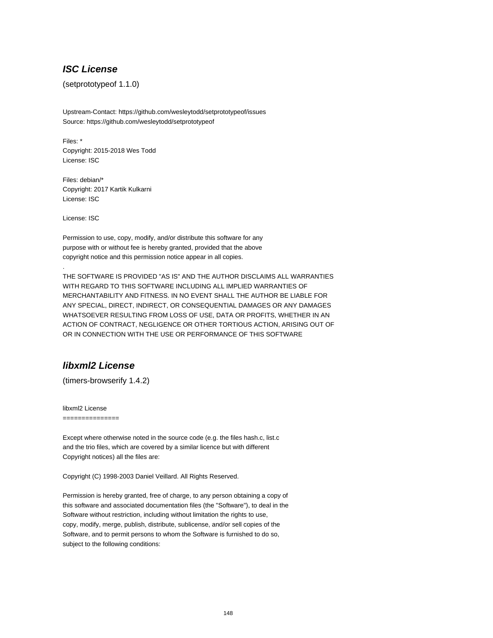### **ISC License**

(setprototypeof 1.1.0)

Upstream-Contact: https://github.com/wesleytodd/setprototypeof/issues Source: https://github.com/wesleytodd/setprototypeof

Files: \* Copyright: 2015-2018 Wes Todd License: ISC

Files: debian/\* Copyright: 2017 Kartik Kulkarni License: ISC

License: ISC

.

Permission to use, copy, modify, and/or distribute this software for any purpose with or without fee is hereby granted, provided that the above copyright notice and this permission notice appear in all copies.

THE SOFTWARE IS PROVIDED "AS IS" AND THE AUTHOR DISCLAIMS ALL WARRANTIES WITH REGARD TO THIS SOFTWARE INCLUDING ALL IMPLIED WARRANTIES OF MERCHANTABILITY AND FITNESS. IN NO EVENT SHALL THE AUTHOR BE LIABLE FOR ANY SPECIAL, DIRECT, INDIRECT, OR CONSEQUENTIAL DAMAGES OR ANY DAMAGES WHATSOEVER RESULTING FROM LOSS OF USE, DATA OR PROFITS, WHETHER IN AN ACTION OF CONTRACT, NEGLIGENCE OR OTHER TORTIOUS ACTION, ARISING OUT OF OR IN CONNECTION WITH THE USE OR PERFORMANCE OF THIS SOFTWARE

### **libxml2 License**

(timers-browserify 1.4.2)

libxml2 License

===============

Except where otherwise noted in the source code (e.g. the files hash.c, list.c and the trio files, which are covered by a similar licence but with different Copyright notices) all the files are:

Copyright (C) 1998-2003 Daniel Veillard. All Rights Reserved.

Permission is hereby granted, free of charge, to any person obtaining a copy of this software and associated documentation files (the "Software"), to deal in the Software without restriction, including without limitation the rights to use, copy, modify, merge, publish, distribute, sublicense, and/or sell copies of the Software, and to permit persons to whom the Software is furnished to do so, subject to the following conditions: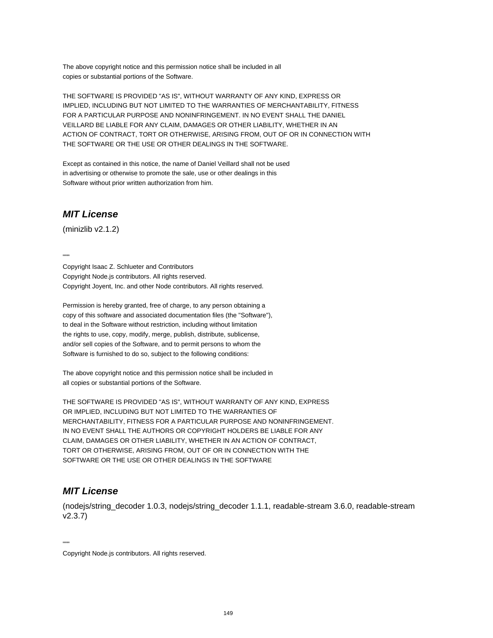The above copyright notice and this permission notice shall be included in all copies or substantial portions of the Software.

THE SOFTWARE IS PROVIDED "AS IS", WITHOUT WARRANTY OF ANY KIND, EXPRESS OR IMPLIED, INCLUDING BUT NOT LIMITED TO THE WARRANTIES OF MERCHANTABILITY, FITNESS FOR A PARTICULAR PURPOSE AND NONINFRINGEMENT. IN NO EVENT SHALL THE DANIEL VEILLARD BE LIABLE FOR ANY CLAIM, DAMAGES OR OTHER LIABILITY, WHETHER IN AN ACTION OF CONTRACT, TORT OR OTHERWISE, ARISING FROM, OUT OF OR IN CONNECTION WITH THE SOFTWARE OR THE USE OR OTHER DEALINGS IN THE SOFTWARE.

Except as contained in this notice, the name of Daniel Veillard shall not be used in advertising or otherwise to promote the sale, use or other dealings in this Software without prior written authorization from him.

## **MIT License**

(minizlib v2.1.2)

....

Copyright Isaac Z. Schlueter and Contributors Copyright Node.js contributors. All rights reserved. Copyright Joyent, Inc. and other Node contributors. All rights reserved.

Permission is hereby granted, free of charge, to any person obtaining a copy of this software and associated documentation files (the "Software"), to deal in the Software without restriction, including without limitation the rights to use, copy, modify, merge, publish, distribute, sublicense, and/or sell copies of the Software, and to permit persons to whom the Software is furnished to do so, subject to the following conditions:

The above copyright notice and this permission notice shall be included in all copies or substantial portions of the Software.

THE SOFTWARE IS PROVIDED "AS IS", WITHOUT WARRANTY OF ANY KIND, EXPRESS OR IMPLIED, INCLUDING BUT NOT LIMITED TO THE WARRANTIES OF MERCHANTABILITY, FITNESS FOR A PARTICULAR PURPOSE AND NONINFRINGEMENT. IN NO EVENT SHALL THE AUTHORS OR COPYRIGHT HOLDERS BE LIABLE FOR ANY CLAIM, DAMAGES OR OTHER LIABILITY, WHETHER IN AN ACTION OF CONTRACT, TORT OR OTHERWISE, ARISING FROM, OUT OF OR IN CONNECTION WITH THE SOFTWARE OR THE USE OR OTHER DEALINGS IN THE SOFTWARE

## **MIT License**

(nodejs/string\_decoder 1.0.3, nodejs/string\_decoder 1.1.1, readable-stream 3.6.0, readable-stream v2.3.7)

"""

Copyright Node.js contributors. All rights reserved.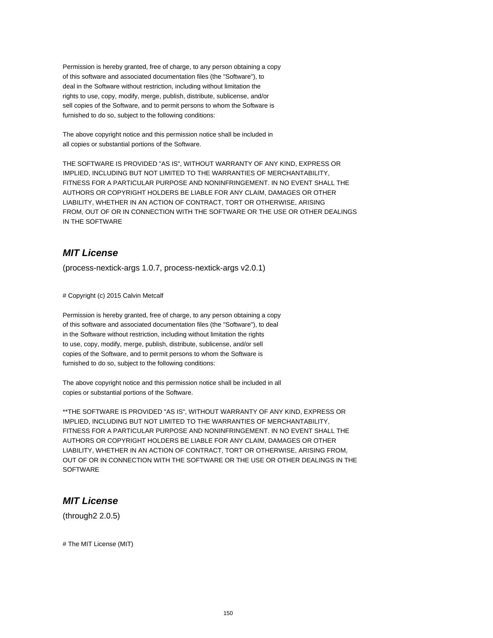Permission is hereby granted, free of charge, to any person obtaining a copy of this software and associated documentation files (the "Software"), to deal in the Software without restriction, including without limitation the rights to use, copy, modify, merge, publish, distribute, sublicense, and/or sell copies of the Software, and to permit persons to whom the Software is furnished to do so, subject to the following conditions:

The above copyright notice and this permission notice shall be included in all copies or substantial portions of the Software.

THE SOFTWARE IS PROVIDED "AS IS", WITHOUT WARRANTY OF ANY KIND, EXPRESS OR IMPLIED, INCLUDING BUT NOT LIMITED TO THE WARRANTIES OF MERCHANTABILITY, FITNESS FOR A PARTICULAR PURPOSE AND NONINFRINGEMENT. IN NO EVENT SHALL THE AUTHORS OR COPYRIGHT HOLDERS BE LIABLE FOR ANY CLAIM, DAMAGES OR OTHER LIABILITY, WHETHER IN AN ACTION OF CONTRACT, TORT OR OTHERWISE, ARISING FROM, OUT OF OR IN CONNECTION WITH THE SOFTWARE OR THE USE OR OTHER DEALINGS IN THE SOFTWARE

# **MIT License**

(process-nextick-args 1.0.7, process-nextick-args v2.0.1)

# Copyright (c) 2015 Calvin Metcalf

Permission is hereby granted, free of charge, to any person obtaining a copy of this software and associated documentation files (the "Software"), to deal in the Software without restriction, including without limitation the rights to use, copy, modify, merge, publish, distribute, sublicense, and/or sell copies of the Software, and to permit persons to whom the Software is furnished to do so, subject to the following conditions:

The above copyright notice and this permission notice shall be included in all copies or substantial portions of the Software.

\*\*THE SOFTWARE IS PROVIDED "AS IS", WITHOUT WARRANTY OF ANY KIND, EXPRESS OR IMPLIED, INCLUDING BUT NOT LIMITED TO THE WARRANTIES OF MERCHANTABILITY, FITNESS FOR A PARTICULAR PURPOSE AND NONINFRINGEMENT. IN NO EVENT SHALL THE AUTHORS OR COPYRIGHT HOLDERS BE LIABLE FOR ANY CLAIM, DAMAGES OR OTHER LIABILITY, WHETHER IN AN ACTION OF CONTRACT, TORT OR OTHERWISE, ARISING FROM, OUT OF OR IN CONNECTION WITH THE SOFTWARE OR THE USE OR OTHER DEALINGS IN THE **SOFTWARE** 

### **MIT License**

(through2 2.0.5)

# The MIT License (MIT)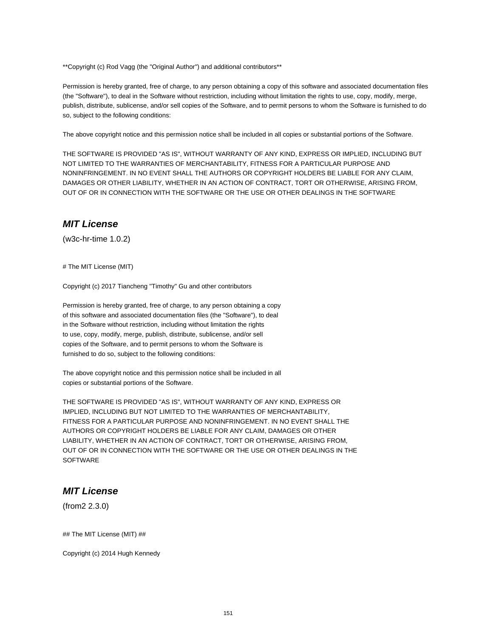\*\*Copyright (c) Rod Vagg (the "Original Author") and additional contributors\*\*

Permission is hereby granted, free of charge, to any person obtaining a copy of this software and associated documentation files (the "Software"), to deal in the Software without restriction, including without limitation the rights to use, copy, modify, merge, publish, distribute, sublicense, and/or sell copies of the Software, and to permit persons to whom the Software is furnished to do so, subject to the following conditions:

The above copyright notice and this permission notice shall be included in all copies or substantial portions of the Software.

THE SOFTWARE IS PROVIDED "AS IS", WITHOUT WARRANTY OF ANY KIND, EXPRESS OR IMPLIED, INCLUDING BUT NOT LIMITED TO THE WARRANTIES OF MERCHANTABILITY, FITNESS FOR A PARTICULAR PURPOSE AND NONINFRINGEMENT. IN NO EVENT SHALL THE AUTHORS OR COPYRIGHT HOLDERS BE LIABLE FOR ANY CLAIM, DAMAGES OR OTHER LIABILITY, WHETHER IN AN ACTION OF CONTRACT, TORT OR OTHERWISE, ARISING FROM, OUT OF OR IN CONNECTION WITH THE SOFTWARE OR THE USE OR OTHER DEALINGS IN THE SOFTWARE

#### **MIT License**

(w3c-hr-time 1.0.2)

# The MIT License (MIT)

Copyright (c) 2017 Tiancheng "Timothy" Gu and other contributors

Permission is hereby granted, free of charge, to any person obtaining a copy of this software and associated documentation files (the "Software"), to deal in the Software without restriction, including without limitation the rights to use, copy, modify, merge, publish, distribute, sublicense, and/or sell copies of the Software, and to permit persons to whom the Software is furnished to do so, subject to the following conditions:

The above copyright notice and this permission notice shall be included in all copies or substantial portions of the Software.

THE SOFTWARE IS PROVIDED "AS IS", WITHOUT WARRANTY OF ANY KIND, EXPRESS OR IMPLIED, INCLUDING BUT NOT LIMITED TO THE WARRANTIES OF MERCHANTABILITY, FITNESS FOR A PARTICULAR PURPOSE AND NONINFRINGEMENT. IN NO EVENT SHALL THE AUTHORS OR COPYRIGHT HOLDERS BE LIABLE FOR ANY CLAIM, DAMAGES OR OTHER LIABILITY, WHETHER IN AN ACTION OF CONTRACT, TORT OR OTHERWISE, ARISING FROM, OUT OF OR IN CONNECTION WITH THE SOFTWARE OR THE USE OR OTHER DEALINGS IN THE **SOFTWARE** 

### **MIT License**

(from2 2.3.0)

## The MIT License (MIT) ##

Copyright (c) 2014 Hugh Kennedy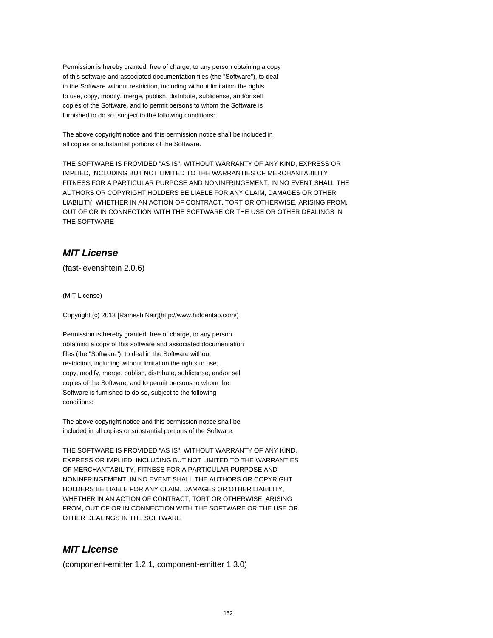Permission is hereby granted, free of charge, to any person obtaining a copy of this software and associated documentation files (the "Software"), to deal in the Software without restriction, including without limitation the rights to use, copy, modify, merge, publish, distribute, sublicense, and/or sell copies of the Software, and to permit persons to whom the Software is furnished to do so, subject to the following conditions:

The above copyright notice and this permission notice shall be included in all copies or substantial portions of the Software.

THE SOFTWARE IS PROVIDED "AS IS", WITHOUT WARRANTY OF ANY KIND, EXPRESS OR IMPLIED, INCLUDING BUT NOT LIMITED TO THE WARRANTIES OF MERCHANTABILITY, FITNESS FOR A PARTICULAR PURPOSE AND NONINFRINGEMENT. IN NO EVENT SHALL THE AUTHORS OR COPYRIGHT HOLDERS BE LIABLE FOR ANY CLAIM, DAMAGES OR OTHER LIABILITY, WHETHER IN AN ACTION OF CONTRACT, TORT OR OTHERWISE, ARISING FROM, OUT OF OR IN CONNECTION WITH THE SOFTWARE OR THE USE OR OTHER DEALINGS IN THE SOFTWARE

# **MIT License**

(fast-levenshtein 2.0.6)

(MIT License)

Copyright (c) 2013 [Ramesh Nair](http://www.hiddentao.com/)

Permission is hereby granted, free of charge, to any person obtaining a copy of this software and associated documentation files (the "Software"), to deal in the Software without restriction, including without limitation the rights to use, copy, modify, merge, publish, distribute, sublicense, and/or sell copies of the Software, and to permit persons to whom the Software is furnished to do so, subject to the following conditions:

The above copyright notice and this permission notice shall be included in all copies or substantial portions of the Software.

THE SOFTWARE IS PROVIDED "AS IS", WITHOUT WARRANTY OF ANY KIND, EXPRESS OR IMPLIED, INCLUDING BUT NOT LIMITED TO THE WARRANTIES OF MERCHANTABILITY, FITNESS FOR A PARTICULAR PURPOSE AND NONINFRINGEMENT. IN NO EVENT SHALL THE AUTHORS OR COPYRIGHT HOLDERS BE LIABLE FOR ANY CLAIM, DAMAGES OR OTHER LIABILITY, WHETHER IN AN ACTION OF CONTRACT, TORT OR OTHERWISE, ARISING FROM, OUT OF OR IN CONNECTION WITH THE SOFTWARE OR THE USE OR OTHER DEALINGS IN THE SOFTWARE

## **MIT License**

(component-emitter 1.2.1, component-emitter 1.3.0)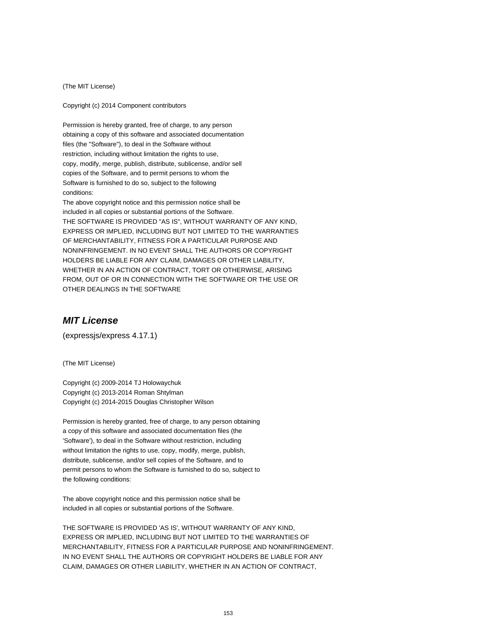(The MIT License)

Copyright (c) 2014 Component contributors

Permission is hereby granted, free of charge, to any person obtaining a copy of this software and associated documentation files (the "Software"), to deal in the Software without restriction, including without limitation the rights to use, copy, modify, merge, publish, distribute, sublicense, and/or sell copies of the Software, and to permit persons to whom the Software is furnished to do so, subject to the following conditions:

The above copyright notice and this permission notice shall be included in all copies or substantial portions of the Software. THE SOFTWARE IS PROVIDED "AS IS", WITHOUT WARRANTY OF ANY KIND, EXPRESS OR IMPLIED, INCLUDING BUT NOT LIMITED TO THE WARRANTIES OF MERCHANTABILITY, FITNESS FOR A PARTICULAR PURPOSE AND NONINFRINGEMENT. IN NO EVENT SHALL THE AUTHORS OR COPYRIGHT HOLDERS BE LIABLE FOR ANY CLAIM, DAMAGES OR OTHER LIABILITY, WHETHER IN AN ACTION OF CONTRACT, TORT OR OTHERWISE, ARISING FROM, OUT OF OR IN CONNECTION WITH THE SOFTWARE OR THE USE OR OTHER DEALINGS IN THE SOFTWARE

#### **MIT License**

(expressjs/express 4.17.1)

(The MIT License)

Copyright (c) 2009-2014 TJ Holowaychuk Copyright (c) 2013-2014 Roman Shtylman Copyright (c) 2014-2015 Douglas Christopher Wilson

Permission is hereby granted, free of charge, to any person obtaining a copy of this software and associated documentation files (the 'Software'), to deal in the Software without restriction, including without limitation the rights to use, copy, modify, merge, publish, distribute, sublicense, and/or sell copies of the Software, and to permit persons to whom the Software is furnished to do so, subject to the following conditions:

The above copyright notice and this permission notice shall be included in all copies or substantial portions of the Software.

THE SOFTWARE IS PROVIDED 'AS IS', WITHOUT WARRANTY OF ANY KIND, EXPRESS OR IMPLIED, INCLUDING BUT NOT LIMITED TO THE WARRANTIES OF MERCHANTABILITY, FITNESS FOR A PARTICULAR PURPOSE AND NONINFRINGEMENT. IN NO EVENT SHALL THE AUTHORS OR COPYRIGHT HOLDERS BE LIABLE FOR ANY CLAIM, DAMAGES OR OTHER LIABILITY, WHETHER IN AN ACTION OF CONTRACT,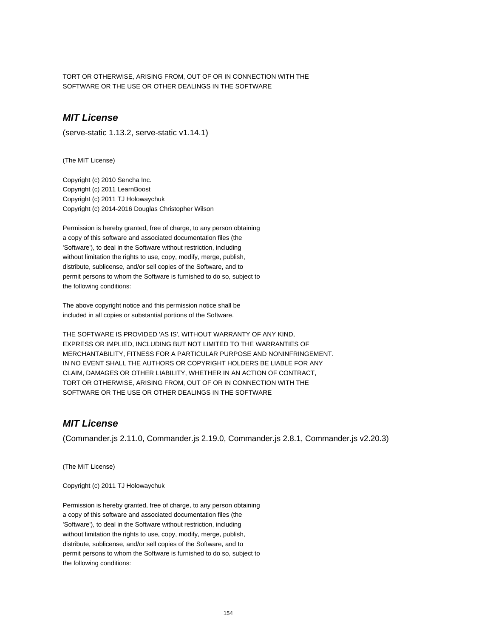TORT OR OTHERWISE, ARISING FROM, OUT OF OR IN CONNECTION WITH THE SOFTWARE OR THE USE OR OTHER DEALINGS IN THE SOFTWARE

## **MIT License**

(serve-static 1.13.2, serve-static v1.14.1)

(The MIT License)

Copyright (c) 2010 Sencha Inc. Copyright (c) 2011 LearnBoost Copyright (c) 2011 TJ Holowaychuk Copyright (c) 2014-2016 Douglas Christopher Wilson

Permission is hereby granted, free of charge, to any person obtaining a copy of this software and associated documentation files (the 'Software'), to deal in the Software without restriction, including without limitation the rights to use, copy, modify, merge, publish, distribute, sublicense, and/or sell copies of the Software, and to permit persons to whom the Software is furnished to do so, subject to the following conditions:

The above copyright notice and this permission notice shall be included in all copies or substantial portions of the Software.

THE SOFTWARE IS PROVIDED 'AS IS', WITHOUT WARRANTY OF ANY KIND, EXPRESS OR IMPLIED, INCLUDING BUT NOT LIMITED TO THE WARRANTIES OF MERCHANTABILITY, FITNESS FOR A PARTICULAR PURPOSE AND NONINFRINGEMENT. IN NO EVENT SHALL THE AUTHORS OR COPYRIGHT HOLDERS BE LIABLE FOR ANY CLAIM, DAMAGES OR OTHER LIABILITY, WHETHER IN AN ACTION OF CONTRACT, TORT OR OTHERWISE, ARISING FROM, OUT OF OR IN CONNECTION WITH THE SOFTWARE OR THE USE OR OTHER DEALINGS IN THE SOFTWARE

### **MIT License**

(Commander.js 2.11.0, Commander.js 2.19.0, Commander.js 2.8.1, Commander.js v2.20.3)

(The MIT License)

Copyright (c) 2011 TJ Holowaychuk

Permission is hereby granted, free of charge, to any person obtaining a copy of this software and associated documentation files (the 'Software'), to deal in the Software without restriction, including without limitation the rights to use, copy, modify, merge, publish, distribute, sublicense, and/or sell copies of the Software, and to permit persons to whom the Software is furnished to do so, subject to the following conditions: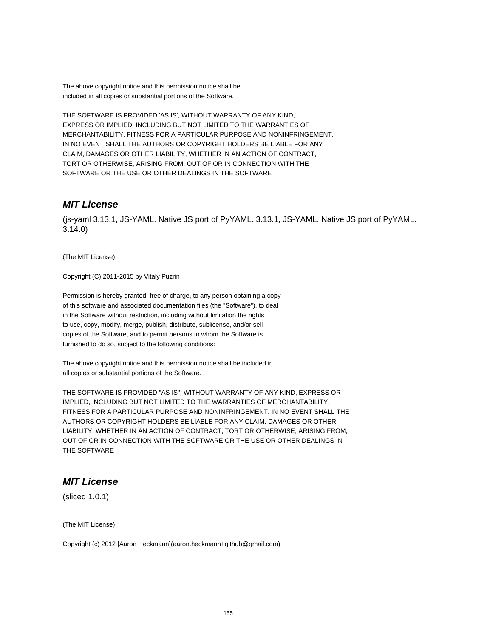The above copyright notice and this permission notice shall be included in all copies or substantial portions of the Software.

THE SOFTWARE IS PROVIDED 'AS IS', WITHOUT WARRANTY OF ANY KIND, EXPRESS OR IMPLIED, INCLUDING BUT NOT LIMITED TO THE WARRANTIES OF MERCHANTABILITY, FITNESS FOR A PARTICULAR PURPOSE AND NONINFRINGEMENT. IN NO EVENT SHALL THE AUTHORS OR COPYRIGHT HOLDERS BE LIABLE FOR ANY CLAIM, DAMAGES OR OTHER LIABILITY, WHETHER IN AN ACTION OF CONTRACT, TORT OR OTHERWISE, ARISING FROM, OUT OF OR IN CONNECTION WITH THE SOFTWARE OR THE USE OR OTHER DEALINGS IN THE SOFTWARE

### **MIT License**

(js-yaml 3.13.1, JS-YAML. Native JS port of PyYAML. 3.13.1, JS-YAML. Native JS port of PyYAML. 3.14.0)

(The MIT License)

Copyright (C) 2011-2015 by Vitaly Puzrin

Permission is hereby granted, free of charge, to any person obtaining a copy of this software and associated documentation files (the "Software"), to deal in the Software without restriction, including without limitation the rights to use, copy, modify, merge, publish, distribute, sublicense, and/or sell copies of the Software, and to permit persons to whom the Software is furnished to do so, subject to the following conditions:

The above copyright notice and this permission notice shall be included in all copies or substantial portions of the Software.

THE SOFTWARE IS PROVIDED "AS IS", WITHOUT WARRANTY OF ANY KIND, EXPRESS OR IMPLIED, INCLUDING BUT NOT LIMITED TO THE WARRANTIES OF MERCHANTABILITY, FITNESS FOR A PARTICULAR PURPOSE AND NONINFRINGEMENT. IN NO EVENT SHALL THE AUTHORS OR COPYRIGHT HOLDERS BE LIABLE FOR ANY CLAIM, DAMAGES OR OTHER LIABILITY, WHETHER IN AN ACTION OF CONTRACT, TORT OR OTHERWISE, ARISING FROM, OUT OF OR IN CONNECTION WITH THE SOFTWARE OR THE USE OR OTHER DEALINGS IN THE SOFTWARE

## **MIT License**

(sliced 1.0.1)

(The MIT License)

Copyright (c) 2012 [Aaron Heckmann](aaron.heckmann+github@gmail.com)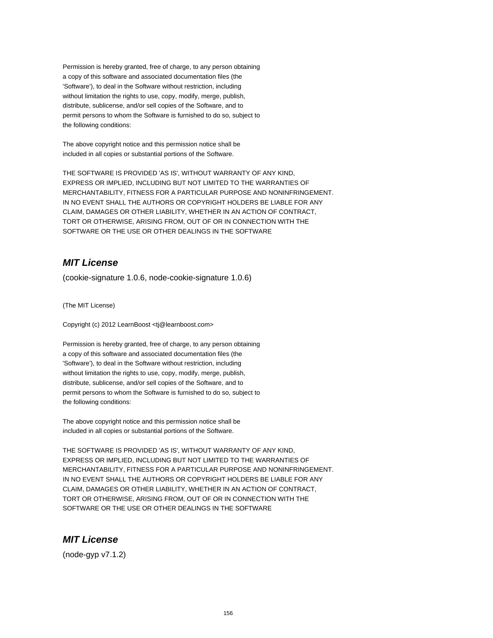Permission is hereby granted, free of charge, to any person obtaining a copy of this software and associated documentation files (the 'Software'), to deal in the Software without restriction, including without limitation the rights to use, copy, modify, merge, publish, distribute, sublicense, and/or sell copies of the Software, and to permit persons to whom the Software is furnished to do so, subject to the following conditions:

The above copyright notice and this permission notice shall be included in all copies or substantial portions of the Software.

THE SOFTWARE IS PROVIDED 'AS IS', WITHOUT WARRANTY OF ANY KIND, EXPRESS OR IMPLIED, INCLUDING BUT NOT LIMITED TO THE WARRANTIES OF MERCHANTABILITY, FITNESS FOR A PARTICULAR PURPOSE AND NONINFRINGEMENT. IN NO EVENT SHALL THE AUTHORS OR COPYRIGHT HOLDERS BE LIABLE FOR ANY CLAIM, DAMAGES OR OTHER LIABILITY, WHETHER IN AN ACTION OF CONTRACT, TORT OR OTHERWISE, ARISING FROM, OUT OF OR IN CONNECTION WITH THE SOFTWARE OR THE USE OR OTHER DEALINGS IN THE SOFTWARE

## **MIT License**

(cookie-signature 1.0.6, node-cookie-signature 1.0.6)

(The MIT License)

Copyright (c) 2012 LearnBoost <tj@learnboost.com>

Permission is hereby granted, free of charge, to any person obtaining a copy of this software and associated documentation files (the 'Software'), to deal in the Software without restriction, including without limitation the rights to use, copy, modify, merge, publish, distribute, sublicense, and/or sell copies of the Software, and to permit persons to whom the Software is furnished to do so, subject to the following conditions:

The above copyright notice and this permission notice shall be included in all copies or substantial portions of the Software.

THE SOFTWARE IS PROVIDED 'AS IS', WITHOUT WARRANTY OF ANY KIND, EXPRESS OR IMPLIED, INCLUDING BUT NOT LIMITED TO THE WARRANTIES OF MERCHANTABILITY, FITNESS FOR A PARTICULAR PURPOSE AND NONINFRINGEMENT. IN NO EVENT SHALL THE AUTHORS OR COPYRIGHT HOLDERS BE LIABLE FOR ANY CLAIM, DAMAGES OR OTHER LIABILITY, WHETHER IN AN ACTION OF CONTRACT, TORT OR OTHERWISE, ARISING FROM, OUT OF OR IN CONNECTION WITH THE SOFTWARE OR THE USE OR OTHER DEALINGS IN THE SOFTWARE

## **MIT License**

(node-gyp v7.1.2)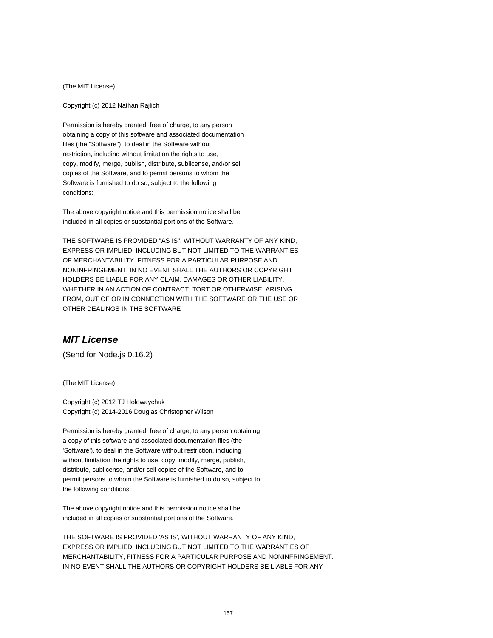(The MIT License)

Copyright (c) 2012 Nathan Rajlich

Permission is hereby granted, free of charge, to any person obtaining a copy of this software and associated documentation files (the "Software"), to deal in the Software without restriction, including without limitation the rights to use, copy, modify, merge, publish, distribute, sublicense, and/or sell copies of the Software, and to permit persons to whom the Software is furnished to do so, subject to the following conditions:

The above copyright notice and this permission notice shall be included in all copies or substantial portions of the Software.

THE SOFTWARE IS PROVIDED "AS IS", WITHOUT WARRANTY OF ANY KIND, EXPRESS OR IMPLIED, INCLUDING BUT NOT LIMITED TO THE WARRANTIES OF MERCHANTABILITY, FITNESS FOR A PARTICULAR PURPOSE AND NONINFRINGEMENT. IN NO EVENT SHALL THE AUTHORS OR COPYRIGHT HOLDERS BE LIABLE FOR ANY CLAIM, DAMAGES OR OTHER LIABILITY, WHETHER IN AN ACTION OF CONTRACT, TORT OR OTHERWISE, ARISING FROM, OUT OF OR IN CONNECTION WITH THE SOFTWARE OR THE USE OR OTHER DEALINGS IN THE SOFTWARE

#### **MIT License**

(Send for Node.js 0.16.2)

(The MIT License)

Copyright (c) 2012 TJ Holowaychuk Copyright (c) 2014-2016 Douglas Christopher Wilson

Permission is hereby granted, free of charge, to any person obtaining a copy of this software and associated documentation files (the 'Software'), to deal in the Software without restriction, including without limitation the rights to use, copy, modify, merge, publish, distribute, sublicense, and/or sell copies of the Software, and to permit persons to whom the Software is furnished to do so, subject to the following conditions:

The above copyright notice and this permission notice shall be included in all copies or substantial portions of the Software.

THE SOFTWARE IS PROVIDED 'AS IS', WITHOUT WARRANTY OF ANY KIND, EXPRESS OR IMPLIED, INCLUDING BUT NOT LIMITED TO THE WARRANTIES OF MERCHANTABILITY, FITNESS FOR A PARTICULAR PURPOSE AND NONINFRINGEMENT. IN NO EVENT SHALL THE AUTHORS OR COPYRIGHT HOLDERS BE LIABLE FOR ANY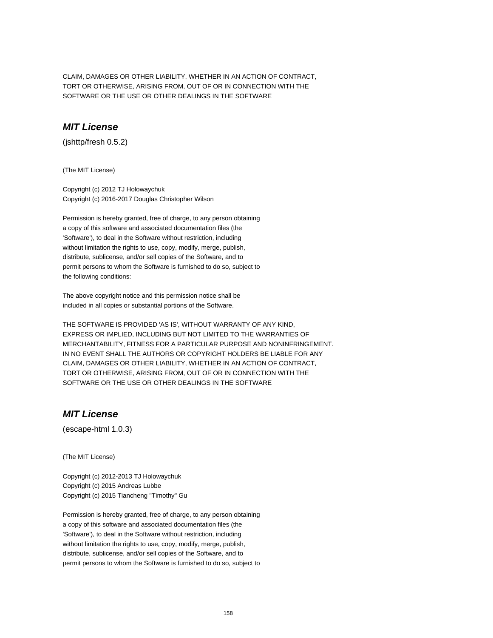CLAIM, DAMAGES OR OTHER LIABILITY, WHETHER IN AN ACTION OF CONTRACT, TORT OR OTHERWISE, ARISING FROM, OUT OF OR IN CONNECTION WITH THE SOFTWARE OR THE USE OR OTHER DEALINGS IN THE SOFTWARE

### **MIT License**

(jshttp/fresh 0.5.2)

(The MIT License)

Copyright (c) 2012 TJ Holowaychuk Copyright (c) 2016-2017 Douglas Christopher Wilson

Permission is hereby granted, free of charge, to any person obtaining a copy of this software and associated documentation files (the 'Software'), to deal in the Software without restriction, including without limitation the rights to use, copy, modify, merge, publish, distribute, sublicense, and/or sell copies of the Software, and to permit persons to whom the Software is furnished to do so, subject to the following conditions:

The above copyright notice and this permission notice shall be included in all copies or substantial portions of the Software.

THE SOFTWARE IS PROVIDED 'AS IS', WITHOUT WARRANTY OF ANY KIND, EXPRESS OR IMPLIED, INCLUDING BUT NOT LIMITED TO THE WARRANTIES OF MERCHANTABILITY, FITNESS FOR A PARTICULAR PURPOSE AND NONINFRINGEMENT. IN NO EVENT SHALL THE AUTHORS OR COPYRIGHT HOLDERS BE LIABLE FOR ANY CLAIM, DAMAGES OR OTHER LIABILITY, WHETHER IN AN ACTION OF CONTRACT, TORT OR OTHERWISE, ARISING FROM, OUT OF OR IN CONNECTION WITH THE SOFTWARE OR THE USE OR OTHER DEALINGS IN THE SOFTWARE

# **MIT License**

(escape-html 1.0.3)

(The MIT License)

Copyright (c) 2012-2013 TJ Holowaychuk Copyright (c) 2015 Andreas Lubbe Copyright (c) 2015 Tiancheng "Timothy" Gu

Permission is hereby granted, free of charge, to any person obtaining a copy of this software and associated documentation files (the 'Software'), to deal in the Software without restriction, including without limitation the rights to use, copy, modify, merge, publish, distribute, sublicense, and/or sell copies of the Software, and to permit persons to whom the Software is furnished to do so, subject to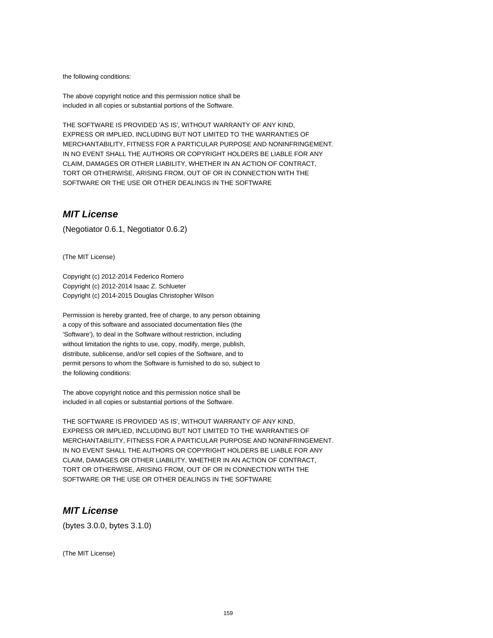the following conditions:

The above copyright notice and this permission notice shall be included in all copies or substantial portions of the Software.

THE SOFTWARE IS PROVIDED 'AS IS', WITHOUT WARRANTY OF ANY KIND, EXPRESS OR IMPLIED, INCLUDING BUT NOT LIMITED TO THE WARRANTIES OF MERCHANTABILITY, FITNESS FOR A PARTICULAR PURPOSE AND NONINFRINGEMENT. IN NO EVENT SHALL THE AUTHORS OR COPYRIGHT HOLDERS BE LIABLE FOR ANY CLAIM, DAMAGES OR OTHER LIABILITY, WHETHER IN AN ACTION OF CONTRACT, TORT OR OTHERWISE, ARISING FROM, OUT OF OR IN CONNECTION WITH THE SOFTWARE OR THE USE OR OTHER DEALINGS IN THE SOFTWARE

#### **MIT License**

(Negotiator 0.6.1, Negotiator 0.6.2)

(The MIT License)

Copyright (c) 2012-2014 Federico Romero Copyright (c) 2012-2014 Isaac Z. Schlueter Copyright (c) 2014-2015 Douglas Christopher Wilson

Permission is hereby granted, free of charge, to any person obtaining a copy of this software and associated documentation files (the 'Software'), to deal in the Software without restriction, including without limitation the rights to use, copy, modify, merge, publish, distribute, sublicense, and/or sell copies of the Software, and to permit persons to whom the Software is furnished to do so, subject to the following conditions:

The above copyright notice and this permission notice shall be included in all copies or substantial portions of the Software.

THE SOFTWARE IS PROVIDED 'AS IS', WITHOUT WARRANTY OF ANY KIND, EXPRESS OR IMPLIED, INCLUDING BUT NOT LIMITED TO THE WARRANTIES OF MERCHANTABILITY, FITNESS FOR A PARTICULAR PURPOSE AND NONINFRINGEMENT. IN NO EVENT SHALL THE AUTHORS OR COPYRIGHT HOLDERS BE LIABLE FOR ANY CLAIM, DAMAGES OR OTHER LIABILITY, WHETHER IN AN ACTION OF CONTRACT, TORT OR OTHERWISE, ARISING FROM, OUT OF OR IN CONNECTION WITH THE SOFTWARE OR THE USE OR OTHER DEALINGS IN THE SOFTWARE

### **MIT License**

(bytes 3.0.0, bytes 3.1.0)

(The MIT License)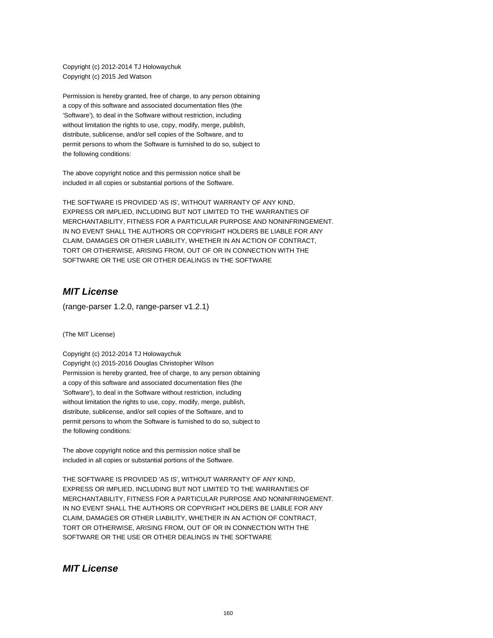Copyright (c) 2012-2014 TJ Holowaychuk Copyright (c) 2015 Jed Watson

Permission is hereby granted, free of charge, to any person obtaining a copy of this software and associated documentation files (the 'Software'), to deal in the Software without restriction, including without limitation the rights to use, copy, modify, merge, publish, distribute, sublicense, and/or sell copies of the Software, and to permit persons to whom the Software is furnished to do so, subject to the following conditions:

The above copyright notice and this permission notice shall be included in all copies or substantial portions of the Software.

THE SOFTWARE IS PROVIDED 'AS IS', WITHOUT WARRANTY OF ANY KIND, EXPRESS OR IMPLIED, INCLUDING BUT NOT LIMITED TO THE WARRANTIES OF MERCHANTABILITY, FITNESS FOR A PARTICULAR PURPOSE AND NONINFRINGEMENT. IN NO EVENT SHALL THE AUTHORS OR COPYRIGHT HOLDERS BE LIABLE FOR ANY CLAIM, DAMAGES OR OTHER LIABILITY, WHETHER IN AN ACTION OF CONTRACT, TORT OR OTHERWISE, ARISING FROM, OUT OF OR IN CONNECTION WITH THE SOFTWARE OR THE USE OR OTHER DEALINGS IN THE SOFTWARE

## **MIT License**

(range-parser 1.2.0, range-parser v1.2.1)

(The MIT License)

Copyright (c) 2012-2014 TJ Holowaychuk Copyright (c) 2015-2016 Douglas Christopher Wilson Permission is hereby granted, free of charge, to any person obtaining a copy of this software and associated documentation files (the 'Software'), to deal in the Software without restriction, including without limitation the rights to use, copy, modify, merge, publish, distribute, sublicense, and/or sell copies of the Software, and to permit persons to whom the Software is furnished to do so, subject to the following conditions:

The above copyright notice and this permission notice shall be included in all copies or substantial portions of the Software.

THE SOFTWARE IS PROVIDED 'AS IS', WITHOUT WARRANTY OF ANY KIND, EXPRESS OR IMPLIED, INCLUDING BUT NOT LIMITED TO THE WARRANTIES OF MERCHANTABILITY, FITNESS FOR A PARTICULAR PURPOSE AND NONINFRINGEMENT. IN NO EVENT SHALL THE AUTHORS OR COPYRIGHT HOLDERS BE LIABLE FOR ANY CLAIM, DAMAGES OR OTHER LIABILITY, WHETHER IN AN ACTION OF CONTRACT, TORT OR OTHERWISE, ARISING FROM, OUT OF OR IN CONNECTION WITH THE SOFTWARE OR THE USE OR OTHER DEALINGS IN THE SOFTWARE

#### **MIT License**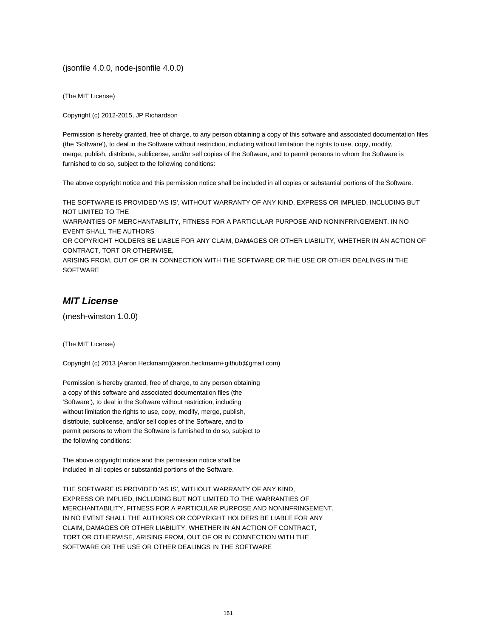(jsonfile 4.0.0, node-jsonfile 4.0.0)

(The MIT License)

Copyright (c) 2012-2015, JP Richardson

Permission is hereby granted, free of charge, to any person obtaining a copy of this software and associated documentation files (the 'Software'), to deal in the Software without restriction, including without limitation the rights to use, copy, modify, merge, publish, distribute, sublicense, and/or sell copies of the Software, and to permit persons to whom the Software is furnished to do so, subject to the following conditions:

The above copyright notice and this permission notice shall be included in all copies or substantial portions of the Software.

THE SOFTWARE IS PROVIDED 'AS IS', WITHOUT WARRANTY OF ANY KIND, EXPRESS OR IMPLIED, INCLUDING BUT NOT LIMITED TO THE WARRANTIES OF MERCHANTABILITY, FITNESS FOR A PARTICULAR PURPOSE AND NONINFRINGEMENT. IN NO EVENT SHALL THE AUTHORS OR COPYRIGHT HOLDERS BE LIABLE FOR ANY CLAIM, DAMAGES OR OTHER LIABILITY, WHETHER IN AN ACTION OF CONTRACT, TORT OR OTHERWISE, ARISING FROM, OUT OF OR IN CONNECTION WITH THE SOFTWARE OR THE USE OR OTHER DEALINGS IN THE SOFTWARE

## **MIT License**

(mesh-winston 1.0.0)

(The MIT License)

Copyright (c) 2013 [Aaron Heckmann](aaron.heckmann+github@gmail.com)

Permission is hereby granted, free of charge, to any person obtaining a copy of this software and associated documentation files (the 'Software'), to deal in the Software without restriction, including without limitation the rights to use, copy, modify, merge, publish, distribute, sublicense, and/or sell copies of the Software, and to permit persons to whom the Software is furnished to do so, subject to the following conditions:

The above copyright notice and this permission notice shall be included in all copies or substantial portions of the Software.

THE SOFTWARE IS PROVIDED 'AS IS', WITHOUT WARRANTY OF ANY KIND, EXPRESS OR IMPLIED, INCLUDING BUT NOT LIMITED TO THE WARRANTIES OF MERCHANTABILITY, FITNESS FOR A PARTICULAR PURPOSE AND NONINFRINGEMENT. IN NO EVENT SHALL THE AUTHORS OR COPYRIGHT HOLDERS BE LIABLE FOR ANY CLAIM, DAMAGES OR OTHER LIABILITY, WHETHER IN AN ACTION OF CONTRACT, TORT OR OTHERWISE, ARISING FROM, OUT OF OR IN CONNECTION WITH THE SOFTWARE OR THE USE OR OTHER DEALINGS IN THE SOFTWARE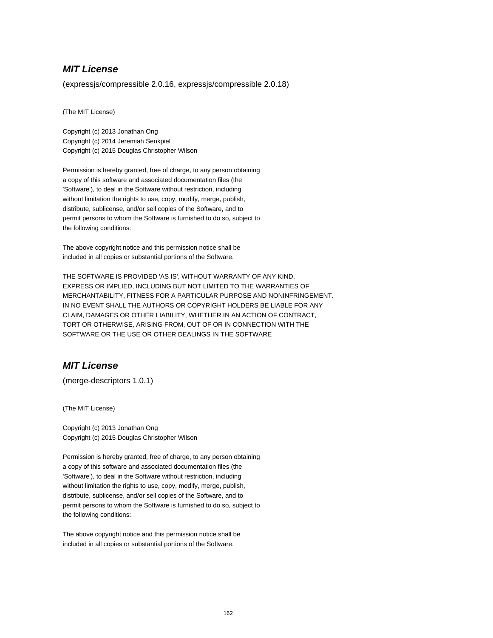#### **MIT License**

(expressjs/compressible 2.0.16, expressjs/compressible 2.0.18)

(The MIT License)

Copyright (c) 2013 Jonathan Ong Copyright (c) 2014 Jeremiah Senkpiel Copyright (c) 2015 Douglas Christopher Wilson

Permission is hereby granted, free of charge, to any person obtaining a copy of this software and associated documentation files (the 'Software'), to deal in the Software without restriction, including without limitation the rights to use, copy, modify, merge, publish, distribute, sublicense, and/or sell copies of the Software, and to permit persons to whom the Software is furnished to do so, subject to the following conditions:

The above copyright notice and this permission notice shall be included in all copies or substantial portions of the Software.

THE SOFTWARE IS PROVIDED 'AS IS', WITHOUT WARRANTY OF ANY KIND, EXPRESS OR IMPLIED, INCLUDING BUT NOT LIMITED TO THE WARRANTIES OF MERCHANTABILITY, FITNESS FOR A PARTICULAR PURPOSE AND NONINFRINGEMENT. IN NO EVENT SHALL THE AUTHORS OR COPYRIGHT HOLDERS BE LIABLE FOR ANY CLAIM, DAMAGES OR OTHER LIABILITY, WHETHER IN AN ACTION OF CONTRACT, TORT OR OTHERWISE, ARISING FROM, OUT OF OR IN CONNECTION WITH THE SOFTWARE OR THE USE OR OTHER DEALINGS IN THE SOFTWARE

## **MIT License**

(merge-descriptors 1.0.1)

(The MIT License)

Copyright (c) 2013 Jonathan Ong Copyright (c) 2015 Douglas Christopher Wilson

Permission is hereby granted, free of charge, to any person obtaining a copy of this software and associated documentation files (the 'Software'), to deal in the Software without restriction, including without limitation the rights to use, copy, modify, merge, publish, distribute, sublicense, and/or sell copies of the Software, and to permit persons to whom the Software is furnished to do so, subject to the following conditions:

The above copyright notice and this permission notice shall be included in all copies or substantial portions of the Software.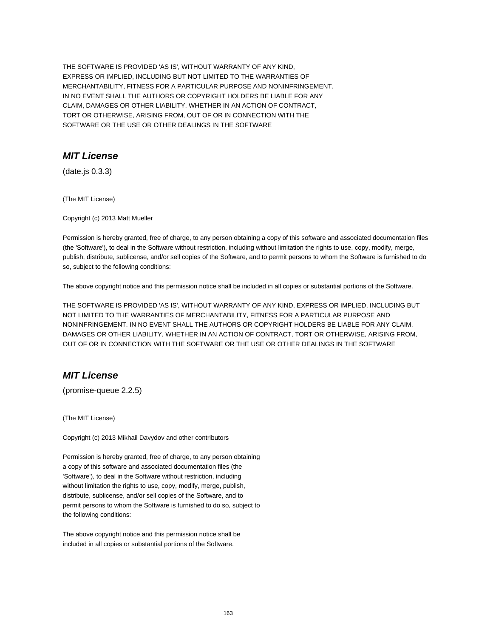THE SOFTWARE IS PROVIDED 'AS IS', WITHOUT WARRANTY OF ANY KIND, EXPRESS OR IMPLIED, INCLUDING BUT NOT LIMITED TO THE WARRANTIES OF MERCHANTABILITY, FITNESS FOR A PARTICULAR PURPOSE AND NONINFRINGEMENT. IN NO EVENT SHALL THE AUTHORS OR COPYRIGHT HOLDERS BE LIABLE FOR ANY CLAIM, DAMAGES OR OTHER LIABILITY, WHETHER IN AN ACTION OF CONTRACT, TORT OR OTHERWISE, ARISING FROM, OUT OF OR IN CONNECTION WITH THE SOFTWARE OR THE USE OR OTHER DEALINGS IN THE SOFTWARE

### **MIT License**

(date.js 0.3.3)

(The MIT License)

Copyright (c) 2013 Matt Mueller

Permission is hereby granted, free of charge, to any person obtaining a copy of this software and associated documentation files (the 'Software'), to deal in the Software without restriction, including without limitation the rights to use, copy, modify, merge, publish, distribute, sublicense, and/or sell copies of the Software, and to permit persons to whom the Software is furnished to do so, subject to the following conditions:

The above copyright notice and this permission notice shall be included in all copies or substantial portions of the Software.

THE SOFTWARE IS PROVIDED 'AS IS', WITHOUT WARRANTY OF ANY KIND, EXPRESS OR IMPLIED, INCLUDING BUT NOT LIMITED TO THE WARRANTIES OF MERCHANTABILITY, FITNESS FOR A PARTICULAR PURPOSE AND NONINFRINGEMENT. IN NO EVENT SHALL THE AUTHORS OR COPYRIGHT HOLDERS BE LIABLE FOR ANY CLAIM, DAMAGES OR OTHER LIABILITY, WHETHER IN AN ACTION OF CONTRACT, TORT OR OTHERWISE, ARISING FROM, OUT OF OR IN CONNECTION WITH THE SOFTWARE OR THE USE OR OTHER DEALINGS IN THE SOFTWARE

# **MIT License**

(promise-queue 2.2.5)

(The MIT License)

Copyright (c) 2013 Mikhail Davydov and other contributors

Permission is hereby granted, free of charge, to any person obtaining a copy of this software and associated documentation files (the 'Software'), to deal in the Software without restriction, including without limitation the rights to use, copy, modify, merge, publish, distribute, sublicense, and/or sell copies of the Software, and to permit persons to whom the Software is furnished to do so, subject to the following conditions:

The above copyright notice and this permission notice shall be included in all copies or substantial portions of the Software.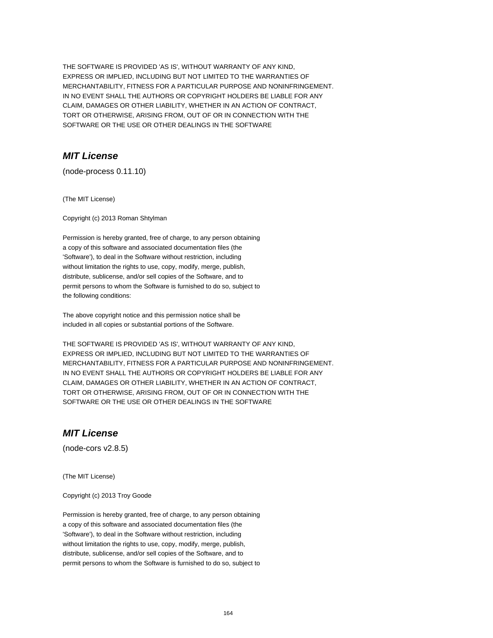THE SOFTWARE IS PROVIDED 'AS IS', WITHOUT WARRANTY OF ANY KIND, EXPRESS OR IMPLIED, INCLUDING BUT NOT LIMITED TO THE WARRANTIES OF MERCHANTABILITY, FITNESS FOR A PARTICULAR PURPOSE AND NONINFRINGEMENT. IN NO EVENT SHALL THE AUTHORS OR COPYRIGHT HOLDERS BE LIABLE FOR ANY CLAIM, DAMAGES OR OTHER LIABILITY, WHETHER IN AN ACTION OF CONTRACT, TORT OR OTHERWISE, ARISING FROM, OUT OF OR IN CONNECTION WITH THE SOFTWARE OR THE USE OR OTHER DEALINGS IN THE SOFTWARE

# **MIT License**

(node-process 0.11.10)

(The MIT License)

Copyright (c) 2013 Roman Shtylman

Permission is hereby granted, free of charge, to any person obtaining a copy of this software and associated documentation files (the 'Software'), to deal in the Software without restriction, including without limitation the rights to use, copy, modify, merge, publish, distribute, sublicense, and/or sell copies of the Software, and to permit persons to whom the Software is furnished to do so, subject to the following conditions:

The above copyright notice and this permission notice shall be included in all copies or substantial portions of the Software.

THE SOFTWARE IS PROVIDED 'AS IS', WITHOUT WARRANTY OF ANY KIND, EXPRESS OR IMPLIED, INCLUDING BUT NOT LIMITED TO THE WARRANTIES OF MERCHANTABILITY, FITNESS FOR A PARTICULAR PURPOSE AND NONINFRINGEMENT. IN NO EVENT SHALL THE AUTHORS OR COPYRIGHT HOLDERS BE LIABLE FOR ANY CLAIM, DAMAGES OR OTHER LIABILITY, WHETHER IN AN ACTION OF CONTRACT, TORT OR OTHERWISE, ARISING FROM, OUT OF OR IN CONNECTION WITH THE SOFTWARE OR THE USE OR OTHER DEALINGS IN THE SOFTWARE

## **MIT License**

(node-cors v2.8.5)

(The MIT License)

Copyright (c) 2013 Troy Goode

Permission is hereby granted, free of charge, to any person obtaining a copy of this software and associated documentation files (the 'Software'), to deal in the Software without restriction, including without limitation the rights to use, copy, modify, merge, publish, distribute, sublicense, and/or sell copies of the Software, and to permit persons to whom the Software is furnished to do so, subject to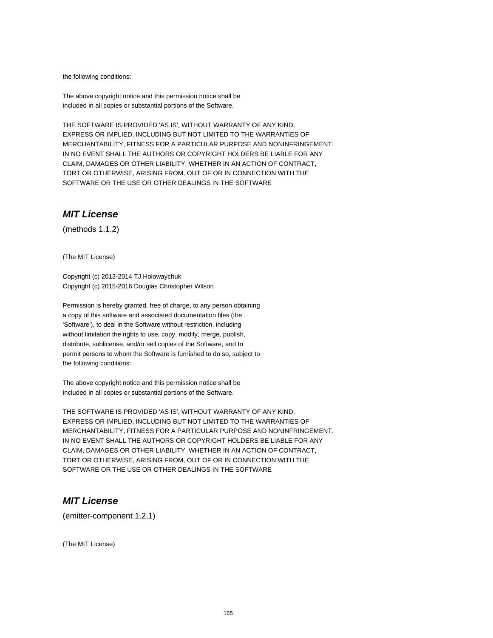the following conditions:

The above copyright notice and this permission notice shall be included in all copies or substantial portions of the Software.

THE SOFTWARE IS PROVIDED 'AS IS', WITHOUT WARRANTY OF ANY KIND, EXPRESS OR IMPLIED, INCLUDING BUT NOT LIMITED TO THE WARRANTIES OF MERCHANTABILITY, FITNESS FOR A PARTICULAR PURPOSE AND NONINFRINGEMENT. IN NO EVENT SHALL THE AUTHORS OR COPYRIGHT HOLDERS BE LIABLE FOR ANY CLAIM, DAMAGES OR OTHER LIABILITY, WHETHER IN AN ACTION OF CONTRACT, TORT OR OTHERWISE, ARISING FROM, OUT OF OR IN CONNECTION WITH THE SOFTWARE OR THE USE OR OTHER DEALINGS IN THE SOFTWARE

### **MIT License**

(methods 1.1.2)

(The MIT License)

Copyright (c) 2013-2014 TJ Holowaychuk Copyright (c) 2015-2016 Douglas Christopher Wilson

Permission is hereby granted, free of charge, to any person obtaining a copy of this software and associated documentation files (the 'Software'), to deal in the Software without restriction, including without limitation the rights to use, copy, modify, merge, publish, distribute, sublicense, and/or sell copies of the Software, and to permit persons to whom the Software is furnished to do so, subject to the following conditions:

The above copyright notice and this permission notice shall be included in all copies or substantial portions of the Software.

THE SOFTWARE IS PROVIDED 'AS IS', WITHOUT WARRANTY OF ANY KIND, EXPRESS OR IMPLIED, INCLUDING BUT NOT LIMITED TO THE WARRANTIES OF MERCHANTABILITY, FITNESS FOR A PARTICULAR PURPOSE AND NONINFRINGEMENT. IN NO EVENT SHALL THE AUTHORS OR COPYRIGHT HOLDERS BE LIABLE FOR ANY CLAIM, DAMAGES OR OTHER LIABILITY, WHETHER IN AN ACTION OF CONTRACT, TORT OR OTHERWISE, ARISING FROM, OUT OF OR IN CONNECTION WITH THE SOFTWARE OR THE USE OR OTHER DEALINGS IN THE SOFTWARE

### **MIT License**

(emitter-component 1.2.1)

(The MIT License)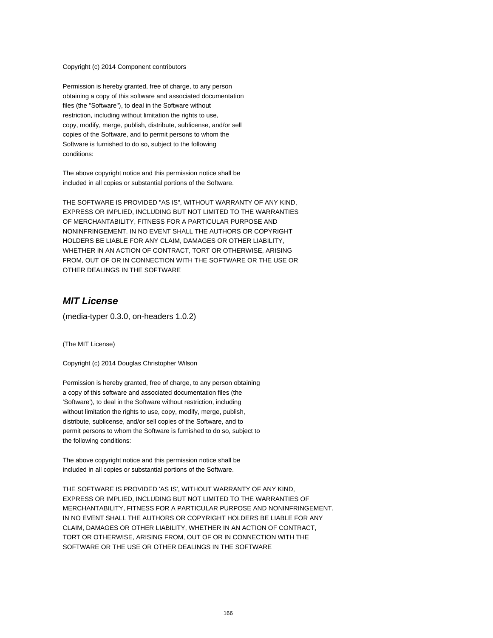Copyright (c) 2014 Component contributors

Permission is hereby granted, free of charge, to any person obtaining a copy of this software and associated documentation files (the "Software"), to deal in the Software without restriction, including without limitation the rights to use, copy, modify, merge, publish, distribute, sublicense, and/or sell copies of the Software, and to permit persons to whom the Software is furnished to do so, subject to the following conditions:

The above copyright notice and this permission notice shall be included in all copies or substantial portions of the Software.

THE SOFTWARE IS PROVIDED "AS IS", WITHOUT WARRANTY OF ANY KIND, EXPRESS OR IMPLIED, INCLUDING BUT NOT LIMITED TO THE WARRANTIES OF MERCHANTABILITY, FITNESS FOR A PARTICULAR PURPOSE AND NONINFRINGEMENT. IN NO EVENT SHALL THE AUTHORS OR COPYRIGHT HOLDERS BE LIABLE FOR ANY CLAIM, DAMAGES OR OTHER LIABILITY, WHETHER IN AN ACTION OF CONTRACT, TORT OR OTHERWISE, ARISING FROM, OUT OF OR IN CONNECTION WITH THE SOFTWARE OR THE USE OR OTHER DEALINGS IN THE SOFTWARE

### **MIT License**

(media-typer 0.3.0, on-headers 1.0.2)

(The MIT License)

Copyright (c) 2014 Douglas Christopher Wilson

Permission is hereby granted, free of charge, to any person obtaining a copy of this software and associated documentation files (the 'Software'), to deal in the Software without restriction, including without limitation the rights to use, copy, modify, merge, publish, distribute, sublicense, and/or sell copies of the Software, and to permit persons to whom the Software is furnished to do so, subject to the following conditions:

The above copyright notice and this permission notice shall be included in all copies or substantial portions of the Software.

THE SOFTWARE IS PROVIDED 'AS IS', WITHOUT WARRANTY OF ANY KIND, EXPRESS OR IMPLIED, INCLUDING BUT NOT LIMITED TO THE WARRANTIES OF MERCHANTABILITY, FITNESS FOR A PARTICULAR PURPOSE AND NONINFRINGEMENT. IN NO EVENT SHALL THE AUTHORS OR COPYRIGHT HOLDERS BE LIABLE FOR ANY CLAIM, DAMAGES OR OTHER LIABILITY, WHETHER IN AN ACTION OF CONTRACT, TORT OR OTHERWISE, ARISING FROM, OUT OF OR IN CONNECTION WITH THE SOFTWARE OR THE USE OR OTHER DEALINGS IN THE SOFTWARE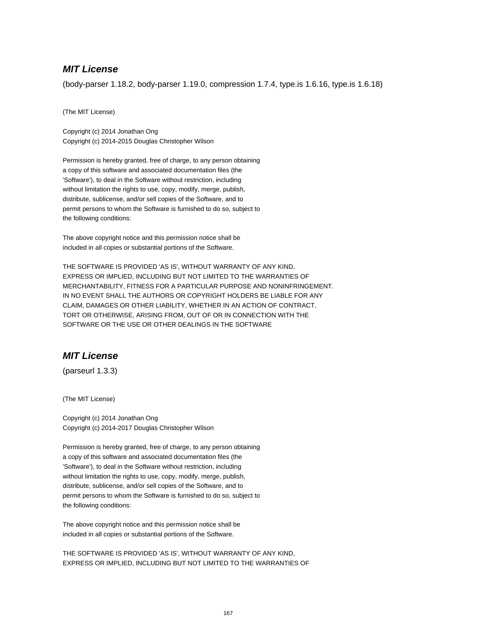#### **MIT License**

(body-parser 1.18.2, body-parser 1.19.0, compression 1.7.4, type.is 1.6.16, type.is 1.6.18)

(The MIT License)

Copyright (c) 2014 Jonathan Ong Copyright (c) 2014-2015 Douglas Christopher Wilson

Permission is hereby granted, free of charge, to any person obtaining a copy of this software and associated documentation files (the 'Software'), to deal in the Software without restriction, including without limitation the rights to use, copy, modify, merge, publish, distribute, sublicense, and/or sell copies of the Software, and to permit persons to whom the Software is furnished to do so, subject to the following conditions:

The above copyright notice and this permission notice shall be included in all copies or substantial portions of the Software.

THE SOFTWARE IS PROVIDED 'AS IS', WITHOUT WARRANTY OF ANY KIND, EXPRESS OR IMPLIED, INCLUDING BUT NOT LIMITED TO THE WARRANTIES OF MERCHANTABILITY, FITNESS FOR A PARTICULAR PURPOSE AND NONINFRINGEMENT. IN NO EVENT SHALL THE AUTHORS OR COPYRIGHT HOLDERS BE LIABLE FOR ANY CLAIM, DAMAGES OR OTHER LIABILITY, WHETHER IN AN ACTION OF CONTRACT, TORT OR OTHERWISE, ARISING FROM, OUT OF OR IN CONNECTION WITH THE SOFTWARE OR THE USE OR OTHER DEALINGS IN THE SOFTWARE

# **MIT License**

(parseurl 1.3.3)

(The MIT License)

Copyright (c) 2014 Jonathan Ong Copyright (c) 2014-2017 Douglas Christopher Wilson

Permission is hereby granted, free of charge, to any person obtaining a copy of this software and associated documentation files (the 'Software'), to deal in the Software without restriction, including without limitation the rights to use, copy, modify, merge, publish, distribute, sublicense, and/or sell copies of the Software, and to permit persons to whom the Software is furnished to do so, subject to the following conditions:

The above copyright notice and this permission notice shall be included in all copies or substantial portions of the Software.

THE SOFTWARE IS PROVIDED 'AS IS', WITHOUT WARRANTY OF ANY KIND, EXPRESS OR IMPLIED, INCLUDING BUT NOT LIMITED TO THE WARRANTIES OF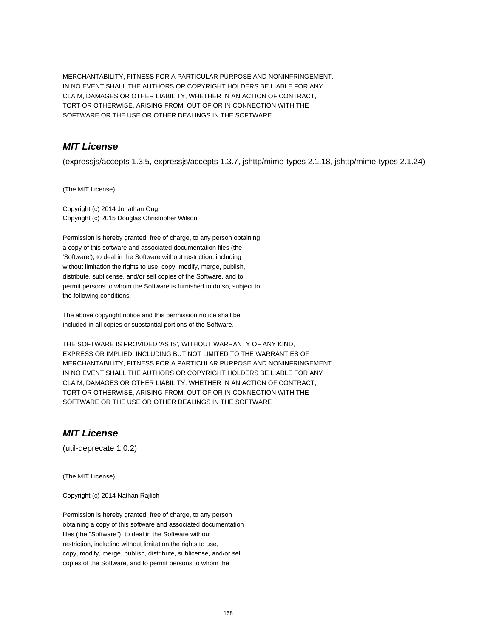MERCHANTABILITY, FITNESS FOR A PARTICULAR PURPOSE AND NONINFRINGEMENT. IN NO EVENT SHALL THE AUTHORS OR COPYRIGHT HOLDERS BE LIABLE FOR ANY CLAIM, DAMAGES OR OTHER LIABILITY, WHETHER IN AN ACTION OF CONTRACT, TORT OR OTHERWISE, ARISING FROM, OUT OF OR IN CONNECTION WITH THE SOFTWARE OR THE USE OR OTHER DEALINGS IN THE SOFTWARE

# **MIT License**

(expressjs/accepts 1.3.5, expressjs/accepts 1.3.7, jshttp/mime-types 2.1.18, jshttp/mime-types 2.1.24)

(The MIT License)

Copyright (c) 2014 Jonathan Ong Copyright (c) 2015 Douglas Christopher Wilson

Permission is hereby granted, free of charge, to any person obtaining a copy of this software and associated documentation files (the 'Software'), to deal in the Software without restriction, including without limitation the rights to use, copy, modify, merge, publish, distribute, sublicense, and/or sell copies of the Software, and to permit persons to whom the Software is furnished to do so, subject to the following conditions:

The above copyright notice and this permission notice shall be included in all copies or substantial portions of the Software.

THE SOFTWARE IS PROVIDED 'AS IS', WITHOUT WARRANTY OF ANY KIND, EXPRESS OR IMPLIED, INCLUDING BUT NOT LIMITED TO THE WARRANTIES OF MERCHANTABILITY, FITNESS FOR A PARTICULAR PURPOSE AND NONINFRINGEMENT. IN NO EVENT SHALL THE AUTHORS OR COPYRIGHT HOLDERS BE LIABLE FOR ANY CLAIM, DAMAGES OR OTHER LIABILITY, WHETHER IN AN ACTION OF CONTRACT, TORT OR OTHERWISE, ARISING FROM, OUT OF OR IN CONNECTION WITH THE SOFTWARE OR THE USE OR OTHER DEALINGS IN THE SOFTWARE

### **MIT License**

(util-deprecate 1.0.2)

(The MIT License)

Copyright (c) 2014 Nathan Rajlich

Permission is hereby granted, free of charge, to any person obtaining a copy of this software and associated documentation files (the "Software"), to deal in the Software without restriction, including without limitation the rights to use, copy, modify, merge, publish, distribute, sublicense, and/or sell copies of the Software, and to permit persons to whom the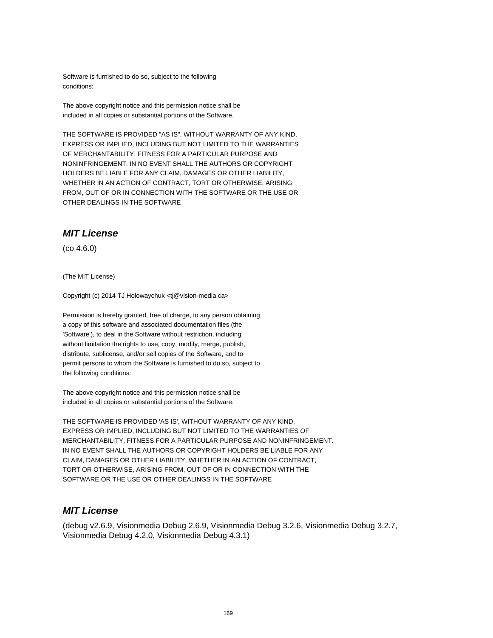Software is furnished to do so, subject to the following conditions:

The above copyright notice and this permission notice shall be included in all copies or substantial portions of the Software.

THE SOFTWARE IS PROVIDED "AS IS", WITHOUT WARRANTY OF ANY KIND, EXPRESS OR IMPLIED, INCLUDING BUT NOT LIMITED TO THE WARRANTIES OF MERCHANTABILITY, FITNESS FOR A PARTICULAR PURPOSE AND NONINFRINGEMENT. IN NO EVENT SHALL THE AUTHORS OR COPYRIGHT HOLDERS BE LIABLE FOR ANY CLAIM, DAMAGES OR OTHER LIABILITY, WHETHER IN AN ACTION OF CONTRACT, TORT OR OTHERWISE, ARISING FROM, OUT OF OR IN CONNECTION WITH THE SOFTWARE OR THE USE OR OTHER DEALINGS IN THE SOFTWARE

#### **MIT License**

(co 4.6.0)

(The MIT License)

Copyright (c) 2014 TJ Holowaychuk <tj@vision-media.ca>

Permission is hereby granted, free of charge, to any person obtaining a copy of this software and associated documentation files (the 'Software'), to deal in the Software without restriction, including without limitation the rights to use, copy, modify, merge, publish, distribute, sublicense, and/or sell copies of the Software, and to permit persons to whom the Software is furnished to do so, subject to the following conditions:

The above copyright notice and this permission notice shall be included in all copies or substantial portions of the Software.

THE SOFTWARE IS PROVIDED 'AS IS', WITHOUT WARRANTY OF ANY KIND, EXPRESS OR IMPLIED, INCLUDING BUT NOT LIMITED TO THE WARRANTIES OF MERCHANTABILITY, FITNESS FOR A PARTICULAR PURPOSE AND NONINFRINGEMENT. IN NO EVENT SHALL THE AUTHORS OR COPYRIGHT HOLDERS BE LIABLE FOR ANY CLAIM, DAMAGES OR OTHER LIABILITY, WHETHER IN AN ACTION OF CONTRACT, TORT OR OTHERWISE, ARISING FROM, OUT OF OR IN CONNECTION WITH THE SOFTWARE OR THE USE OR OTHER DEALINGS IN THE SOFTWARE

#### **MIT License**

(debug v2.6.9, Visionmedia Debug 2.6.9, Visionmedia Debug 3.2.6, Visionmedia Debug 3.2.7, Visionmedia Debug 4.2.0, Visionmedia Debug 4.3.1)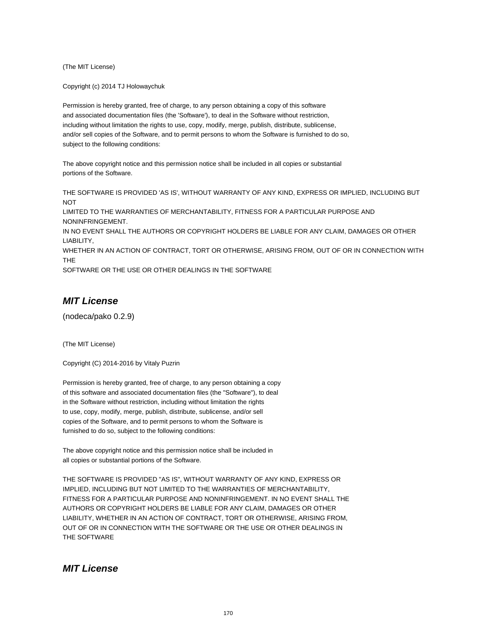(The MIT License)

Copyright (c) 2014 TJ Holowaychuk

Permission is hereby granted, free of charge, to any person obtaining a copy of this software and associated documentation files (the 'Software'), to deal in the Software without restriction, including without limitation the rights to use, copy, modify, merge, publish, distribute, sublicense, and/or sell copies of the Software, and to permit persons to whom the Software is furnished to do so, subject to the following conditions:

The above copyright notice and this permission notice shall be included in all copies or substantial portions of the Software.

THE SOFTWARE IS PROVIDED 'AS IS', WITHOUT WARRANTY OF ANY KIND, EXPRESS OR IMPLIED, INCLUDING BUT **NOT** 

LIMITED TO THE WARRANTIES OF MERCHANTABILITY, FITNESS FOR A PARTICULAR PURPOSE AND NONINFRINGEMENT.

IN NO EVENT SHALL THE AUTHORS OR COPYRIGHT HOLDERS BE LIABLE FOR ANY CLAIM, DAMAGES OR OTHER LIABILITY,

WHETHER IN AN ACTION OF CONTRACT, TORT OR OTHERWISE, ARISING FROM, OUT OF OR IN CONNECTION WITH THE

SOFTWARE OR THE USE OR OTHER DEALINGS IN THE SOFTWARE

## **MIT License**

(nodeca/pako 0.2.9)

(The MIT License)

Copyright (C) 2014-2016 by Vitaly Puzrin

Permission is hereby granted, free of charge, to any person obtaining a copy of this software and associated documentation files (the "Software"), to deal in the Software without restriction, including without limitation the rights to use, copy, modify, merge, publish, distribute, sublicense, and/or sell copies of the Software, and to permit persons to whom the Software is furnished to do so, subject to the following conditions:

The above copyright notice and this permission notice shall be included in all copies or substantial portions of the Software.

THE SOFTWARE IS PROVIDED "AS IS", WITHOUT WARRANTY OF ANY KIND, EXPRESS OR IMPLIED, INCLUDING BUT NOT LIMITED TO THE WARRANTIES OF MERCHANTABILITY, FITNESS FOR A PARTICULAR PURPOSE AND NONINFRINGEMENT. IN NO EVENT SHALL THE AUTHORS OR COPYRIGHT HOLDERS BE LIABLE FOR ANY CLAIM, DAMAGES OR OTHER LIABILITY, WHETHER IN AN ACTION OF CONTRACT, TORT OR OTHERWISE, ARISING FROM, OUT OF OR IN CONNECTION WITH THE SOFTWARE OR THE USE OR OTHER DEALINGS IN THE SOFTWARE

#### **MIT License**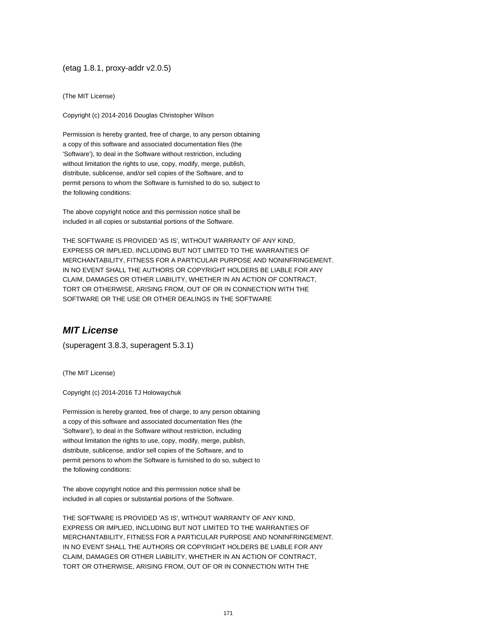#### (etag 1.8.1, proxy-addr v2.0.5)

(The MIT License)

Copyright (c) 2014-2016 Douglas Christopher Wilson

Permission is hereby granted, free of charge, to any person obtaining a copy of this software and associated documentation files (the 'Software'), to deal in the Software without restriction, including without limitation the rights to use, copy, modify, merge, publish, distribute, sublicense, and/or sell copies of the Software, and to permit persons to whom the Software is furnished to do so, subject to the following conditions:

The above copyright notice and this permission notice shall be included in all copies or substantial portions of the Software.

THE SOFTWARE IS PROVIDED 'AS IS', WITHOUT WARRANTY OF ANY KIND, EXPRESS OR IMPLIED, INCLUDING BUT NOT LIMITED TO THE WARRANTIES OF MERCHANTABILITY, FITNESS FOR A PARTICULAR PURPOSE AND NONINFRINGEMENT. IN NO EVENT SHALL THE AUTHORS OR COPYRIGHT HOLDERS BE LIABLE FOR ANY CLAIM, DAMAGES OR OTHER LIABILITY, WHETHER IN AN ACTION OF CONTRACT, TORT OR OTHERWISE, ARISING FROM, OUT OF OR IN CONNECTION WITH THE SOFTWARE OR THE USE OR OTHER DEALINGS IN THE SOFTWARE

# **MIT License**

(superagent 3.8.3, superagent 5.3.1)

(The MIT License)

Copyright (c) 2014-2016 TJ Holowaychuk

Permission is hereby granted, free of charge, to any person obtaining a copy of this software and associated documentation files (the 'Software'), to deal in the Software without restriction, including without limitation the rights to use, copy, modify, merge, publish, distribute, sublicense, and/or sell copies of the Software, and to permit persons to whom the Software is furnished to do so, subject to the following conditions:

The above copyright notice and this permission notice shall be included in all copies or substantial portions of the Software.

THE SOFTWARE IS PROVIDED 'AS IS', WITHOUT WARRANTY OF ANY KIND, EXPRESS OR IMPLIED, INCLUDING BUT NOT LIMITED TO THE WARRANTIES OF MERCHANTABILITY, FITNESS FOR A PARTICULAR PURPOSE AND NONINFRINGEMENT. IN NO EVENT SHALL THE AUTHORS OR COPYRIGHT HOLDERS BE LIABLE FOR ANY CLAIM, DAMAGES OR OTHER LIABILITY, WHETHER IN AN ACTION OF CONTRACT, TORT OR OTHERWISE, ARISING FROM, OUT OF OR IN CONNECTION WITH THE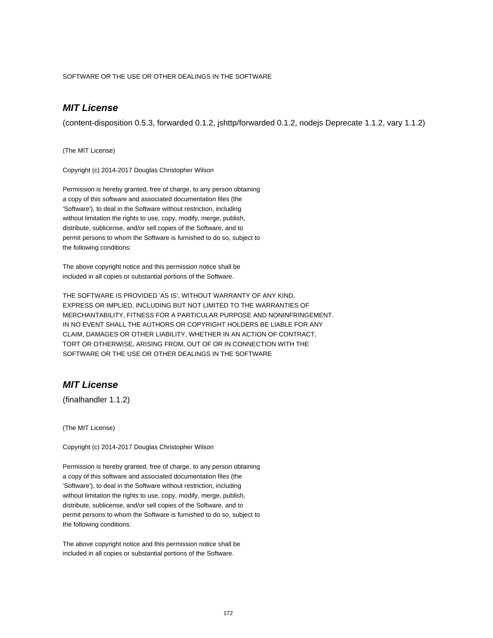SOFTWARE OR THE USE OR OTHER DEALINGS IN THE SOFTWARE

# **MIT License**

(content-disposition 0.5.3, forwarded 0.1.2, jshttp/forwarded 0.1.2, nodejs Deprecate 1.1.2, vary 1.1.2)

(The MIT License)

Copyright (c) 2014-2017 Douglas Christopher Wilson

Permission is hereby granted, free of charge, to any person obtaining a copy of this software and associated documentation files (the 'Software'), to deal in the Software without restriction, including without limitation the rights to use, copy, modify, merge, publish, distribute, sublicense, and/or sell copies of the Software, and to permit persons to whom the Software is furnished to do so, subject to the following conditions:

The above copyright notice and this permission notice shall be included in all copies or substantial portions of the Software.

THE SOFTWARE IS PROVIDED 'AS IS', WITHOUT WARRANTY OF ANY KIND, EXPRESS OR IMPLIED, INCLUDING BUT NOT LIMITED TO THE WARRANTIES OF MERCHANTABILITY, FITNESS FOR A PARTICULAR PURPOSE AND NONINFRINGEMENT. IN NO EVENT SHALL THE AUTHORS OR COPYRIGHT HOLDERS BE LIABLE FOR ANY CLAIM, DAMAGES OR OTHER LIABILITY, WHETHER IN AN ACTION OF CONTRACT, TORT OR OTHERWISE, ARISING FROM, OUT OF OR IN CONNECTION WITH THE SOFTWARE OR THE USE OR OTHER DEALINGS IN THE SOFTWARE

### **MIT License**

(finalhandler 1.1.2)

(The MIT License)

Copyright (c) 2014-2017 Douglas Christopher Wilson

Permission is hereby granted, free of charge, to any person obtaining a copy of this software and associated documentation files (the 'Software'), to deal in the Software without restriction, including without limitation the rights to use, copy, modify, merge, publish, distribute, sublicense, and/or sell copies of the Software, and to permit persons to whom the Software is furnished to do so, subject to the following conditions:

The above copyright notice and this permission notice shall be included in all copies or substantial portions of the Software.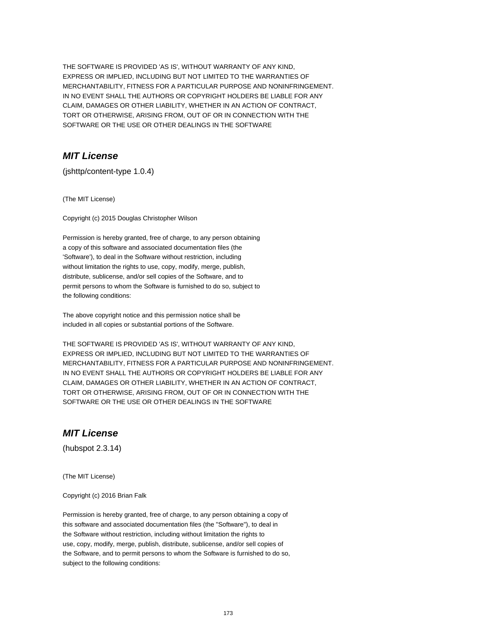THE SOFTWARE IS PROVIDED 'AS IS', WITHOUT WARRANTY OF ANY KIND, EXPRESS OR IMPLIED, INCLUDING BUT NOT LIMITED TO THE WARRANTIES OF MERCHANTABILITY, FITNESS FOR A PARTICULAR PURPOSE AND NONINFRINGEMENT. IN NO EVENT SHALL THE AUTHORS OR COPYRIGHT HOLDERS BE LIABLE FOR ANY CLAIM, DAMAGES OR OTHER LIABILITY, WHETHER IN AN ACTION OF CONTRACT, TORT OR OTHERWISE, ARISING FROM, OUT OF OR IN CONNECTION WITH THE SOFTWARE OR THE USE OR OTHER DEALINGS IN THE SOFTWARE

# **MIT License**

(jshttp/content-type 1.0.4)

(The MIT License)

Copyright (c) 2015 Douglas Christopher Wilson

Permission is hereby granted, free of charge, to any person obtaining a copy of this software and associated documentation files (the 'Software'), to deal in the Software without restriction, including without limitation the rights to use, copy, modify, merge, publish, distribute, sublicense, and/or sell copies of the Software, and to permit persons to whom the Software is furnished to do so, subject to the following conditions:

The above copyright notice and this permission notice shall be included in all copies or substantial portions of the Software.

THE SOFTWARE IS PROVIDED 'AS IS', WITHOUT WARRANTY OF ANY KIND, EXPRESS OR IMPLIED, INCLUDING BUT NOT LIMITED TO THE WARRANTIES OF MERCHANTABILITY, FITNESS FOR A PARTICULAR PURPOSE AND NONINFRINGEMENT. IN NO EVENT SHALL THE AUTHORS OR COPYRIGHT HOLDERS BE LIABLE FOR ANY CLAIM, DAMAGES OR OTHER LIABILITY, WHETHER IN AN ACTION OF CONTRACT, TORT OR OTHERWISE, ARISING FROM, OUT OF OR IN CONNECTION WITH THE SOFTWARE OR THE USE OR OTHER DEALINGS IN THE SOFTWARE

## **MIT License**

(hubspot 2.3.14)

(The MIT License)

Copyright (c) 2016 Brian Falk

Permission is hereby granted, free of charge, to any person obtaining a copy of this software and associated documentation files (the "Software"), to deal in the Software without restriction, including without limitation the rights to use, copy, modify, merge, publish, distribute, sublicense, and/or sell copies of the Software, and to permit persons to whom the Software is furnished to do so, subject to the following conditions: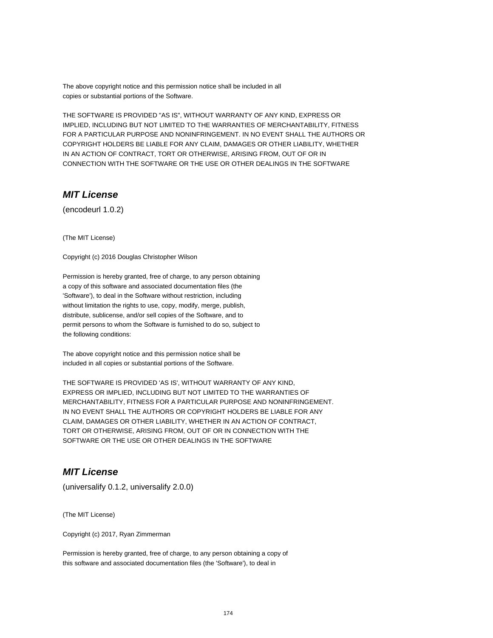The above copyright notice and this permission notice shall be included in all copies or substantial portions of the Software.

THE SOFTWARE IS PROVIDED "AS IS", WITHOUT WARRANTY OF ANY KIND, EXPRESS OR IMPLIED, INCLUDING BUT NOT LIMITED TO THE WARRANTIES OF MERCHANTABILITY, FITNESS FOR A PARTICULAR PURPOSE AND NONINFRINGEMENT. IN NO EVENT SHALL THE AUTHORS OR COPYRIGHT HOLDERS BE LIABLE FOR ANY CLAIM, DAMAGES OR OTHER LIABILITY, WHETHER IN AN ACTION OF CONTRACT, TORT OR OTHERWISE, ARISING FROM, OUT OF OR IN CONNECTION WITH THE SOFTWARE OR THE USE OR OTHER DEALINGS IN THE SOFTWARE

### **MIT License**

(encodeurl 1.0.2)

(The MIT License)

Copyright (c) 2016 Douglas Christopher Wilson

Permission is hereby granted, free of charge, to any person obtaining a copy of this software and associated documentation files (the 'Software'), to deal in the Software without restriction, including without limitation the rights to use, copy, modify, merge, publish, distribute, sublicense, and/or sell copies of the Software, and to permit persons to whom the Software is furnished to do so, subject to the following conditions:

The above copyright notice and this permission notice shall be included in all copies or substantial portions of the Software.

THE SOFTWARE IS PROVIDED 'AS IS', WITHOUT WARRANTY OF ANY KIND, EXPRESS OR IMPLIED, INCLUDING BUT NOT LIMITED TO THE WARRANTIES OF MERCHANTABILITY, FITNESS FOR A PARTICULAR PURPOSE AND NONINFRINGEMENT. IN NO EVENT SHALL THE AUTHORS OR COPYRIGHT HOLDERS BE LIABLE FOR ANY CLAIM, DAMAGES OR OTHER LIABILITY, WHETHER IN AN ACTION OF CONTRACT, TORT OR OTHERWISE, ARISING FROM, OUT OF OR IN CONNECTION WITH THE SOFTWARE OR THE USE OR OTHER DEALINGS IN THE SOFTWARE

### **MIT License**

(universalify 0.1.2, universalify 2.0.0)

(The MIT License)

Copyright (c) 2017, Ryan Zimmerman

Permission is hereby granted, free of charge, to any person obtaining a copy of this software and associated documentation files (the 'Software'), to deal in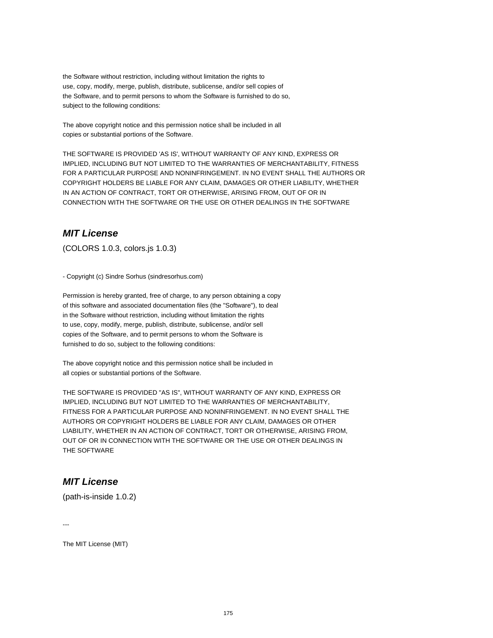the Software without restriction, including without limitation the rights to use, copy, modify, merge, publish, distribute, sublicense, and/or sell copies of the Software, and to permit persons to whom the Software is furnished to do so, subject to the following conditions:

The above copyright notice and this permission notice shall be included in all copies or substantial portions of the Software.

THE SOFTWARE IS PROVIDED 'AS IS', WITHOUT WARRANTY OF ANY KIND, EXPRESS OR IMPLIED, INCLUDING BUT NOT LIMITED TO THE WARRANTIES OF MERCHANTABILITY, FITNESS FOR A PARTICULAR PURPOSE AND NONINFRINGEMENT. IN NO EVENT SHALL THE AUTHORS OR COPYRIGHT HOLDERS BE LIABLE FOR ANY CLAIM, DAMAGES OR OTHER LIABILITY, WHETHER IN AN ACTION OF CONTRACT, TORT OR OTHERWISE, ARISING FROM, OUT OF OR IN CONNECTION WITH THE SOFTWARE OR THE USE OR OTHER DEALINGS IN THE SOFTWARE

#### **MIT License**

(COLORS 1.0.3, colors.js 1.0.3)

- Copyright (c) Sindre Sorhus (sindresorhus.com)

Permission is hereby granted, free of charge, to any person obtaining a copy of this software and associated documentation files (the "Software"), to deal in the Software without restriction, including without limitation the rights to use, copy, modify, merge, publish, distribute, sublicense, and/or sell copies of the Software, and to permit persons to whom the Software is furnished to do so, subject to the following conditions:

The above copyright notice and this permission notice shall be included in all copies or substantial portions of the Software.

THE SOFTWARE IS PROVIDED "AS IS", WITHOUT WARRANTY OF ANY KIND, EXPRESS OR IMPLIED, INCLUDING BUT NOT LIMITED TO THE WARRANTIES OF MERCHANTABILITY, FITNESS FOR A PARTICULAR PURPOSE AND NONINFRINGEMENT. IN NO EVENT SHALL THE AUTHORS OR COPYRIGHT HOLDERS BE LIABLE FOR ANY CLAIM, DAMAGES OR OTHER LIABILITY, WHETHER IN AN ACTION OF CONTRACT, TORT OR OTHERWISE, ARISING FROM, OUT OF OR IN CONNECTION WITH THE SOFTWARE OR THE USE OR OTHER DEALINGS IN THE SOFTWARE

## **MIT License**

(path-is-inside 1.0.2)

---

The MIT License (MIT)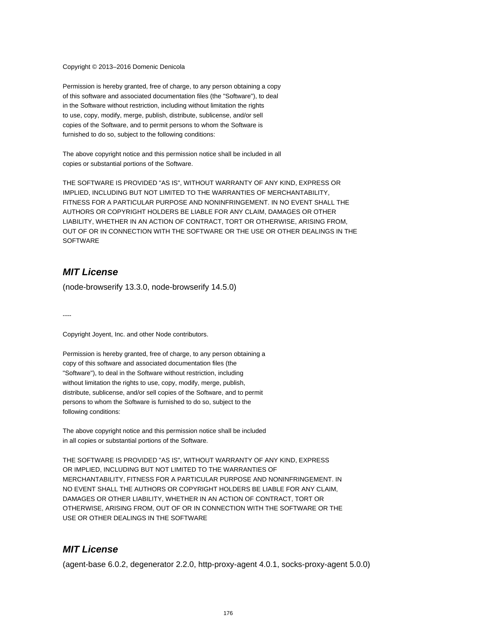Copyright © 2013–2016 Domenic Denicola

Permission is hereby granted, free of charge, to any person obtaining a copy of this software and associated documentation files (the "Software"), to deal in the Software without restriction, including without limitation the rights to use, copy, modify, merge, publish, distribute, sublicense, and/or sell copies of the Software, and to permit persons to whom the Software is furnished to do so, subject to the following conditions:

The above copyright notice and this permission notice shall be included in all copies or substantial portions of the Software.

THE SOFTWARE IS PROVIDED "AS IS", WITHOUT WARRANTY OF ANY KIND, EXPRESS OR IMPLIED, INCLUDING BUT NOT LIMITED TO THE WARRANTIES OF MERCHANTABILITY, FITNESS FOR A PARTICULAR PURPOSE AND NONINFRINGEMENT. IN NO EVENT SHALL THE AUTHORS OR COPYRIGHT HOLDERS BE LIABLE FOR ANY CLAIM, DAMAGES OR OTHER LIABILITY, WHETHER IN AN ACTION OF CONTRACT, TORT OR OTHERWISE, ARISING FROM, OUT OF OR IN CONNECTION WITH THE SOFTWARE OR THE USE OR OTHER DEALINGS IN THE **SOFTWARE** 

## **MIT License**

(node-browserify 13.3.0, node-browserify 14.5.0)

----

Copyright Joyent, Inc. and other Node contributors.

Permission is hereby granted, free of charge, to any person obtaining a copy of this software and associated documentation files (the "Software"), to deal in the Software without restriction, including without limitation the rights to use, copy, modify, merge, publish, distribute, sublicense, and/or sell copies of the Software, and to permit persons to whom the Software is furnished to do so, subject to the following conditions:

The above copyright notice and this permission notice shall be included in all copies or substantial portions of the Software.

THE SOFTWARE IS PROVIDED "AS IS", WITHOUT WARRANTY OF ANY KIND, EXPRESS OR IMPLIED, INCLUDING BUT NOT LIMITED TO THE WARRANTIES OF MERCHANTABILITY, FITNESS FOR A PARTICULAR PURPOSE AND NONINFRINGEMENT. IN NO EVENT SHALL THE AUTHORS OR COPYRIGHT HOLDERS BE LIABLE FOR ANY CLAIM, DAMAGES OR OTHER LIABILITY, WHETHER IN AN ACTION OF CONTRACT, TORT OR OTHERWISE, ARISING FROM, OUT OF OR IN CONNECTION WITH THE SOFTWARE OR THE USE OR OTHER DEALINGS IN THE SOFTWARE

## **MIT License**

(agent-base 6.0.2, degenerator 2.2.0, http-proxy-agent 4.0.1, socks-proxy-agent 5.0.0)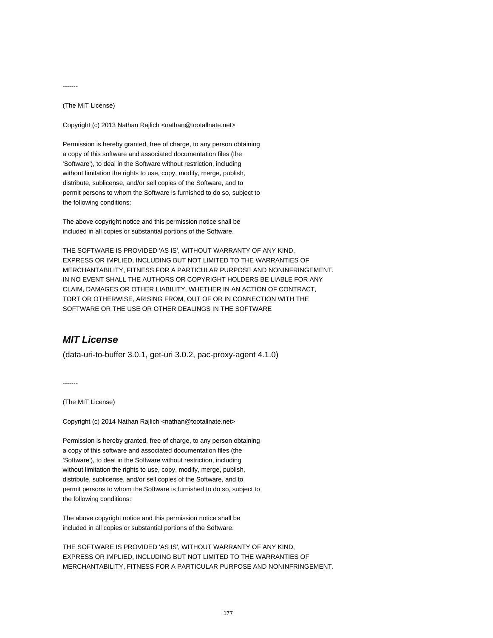-------

(The MIT License)

Copyright (c) 2013 Nathan Rajlich <nathan@tootallnate.net>

Permission is hereby granted, free of charge, to any person obtaining a copy of this software and associated documentation files (the 'Software'), to deal in the Software without restriction, including without limitation the rights to use, copy, modify, merge, publish, distribute, sublicense, and/or sell copies of the Software, and to permit persons to whom the Software is furnished to do so, subject to the following conditions:

The above copyright notice and this permission notice shall be included in all copies or substantial portions of the Software.

THE SOFTWARE IS PROVIDED 'AS IS', WITHOUT WARRANTY OF ANY KIND, EXPRESS OR IMPLIED, INCLUDING BUT NOT LIMITED TO THE WARRANTIES OF MERCHANTABILITY, FITNESS FOR A PARTICULAR PURPOSE AND NONINFRINGEMENT. IN NO EVENT SHALL THE AUTHORS OR COPYRIGHT HOLDERS BE LIABLE FOR ANY CLAIM, DAMAGES OR OTHER LIABILITY, WHETHER IN AN ACTION OF CONTRACT, TORT OR OTHERWISE, ARISING FROM, OUT OF OR IN CONNECTION WITH THE SOFTWARE OR THE USE OR OTHER DEALINGS IN THE SOFTWARE

### **MIT License**

(data-uri-to-buffer 3.0.1, get-uri 3.0.2, pac-proxy-agent 4.1.0)

-------

(The MIT License)

Copyright (c) 2014 Nathan Rajlich <nathan@tootallnate.net>

Permission is hereby granted, free of charge, to any person obtaining a copy of this software and associated documentation files (the 'Software'), to deal in the Software without restriction, including without limitation the rights to use, copy, modify, merge, publish, distribute, sublicense, and/or sell copies of the Software, and to permit persons to whom the Software is furnished to do so, subject to the following conditions:

The above copyright notice and this permission notice shall be included in all copies or substantial portions of the Software.

THE SOFTWARE IS PROVIDED 'AS IS', WITHOUT WARRANTY OF ANY KIND, EXPRESS OR IMPLIED, INCLUDING BUT NOT LIMITED TO THE WARRANTIES OF MERCHANTABILITY, FITNESS FOR A PARTICULAR PURPOSE AND NONINFRINGEMENT.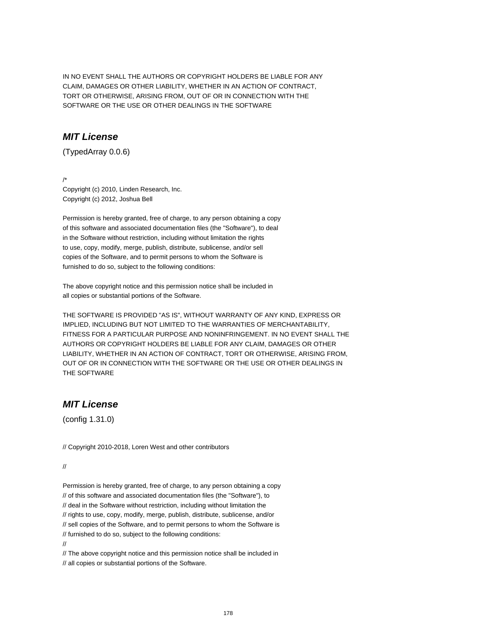IN NO EVENT SHALL THE AUTHORS OR COPYRIGHT HOLDERS BE LIABLE FOR ANY CLAIM, DAMAGES OR OTHER LIABILITY, WHETHER IN AN ACTION OF CONTRACT, TORT OR OTHERWISE, ARISING FROM, OUT OF OR IN CONNECTION WITH THE SOFTWARE OR THE USE OR OTHER DEALINGS IN THE SOFTWARE

### **MIT License**

(TypedArray 0.0.6)

/\* Copyright (c) 2010, Linden Research, Inc. Copyright (c) 2012, Joshua Bell

Permission is hereby granted, free of charge, to any person obtaining a copy of this software and associated documentation files (the "Software"), to deal in the Software without restriction, including without limitation the rights to use, copy, modify, merge, publish, distribute, sublicense, and/or sell copies of the Software, and to permit persons to whom the Software is furnished to do so, subject to the following conditions:

The above copyright notice and this permission notice shall be included in all copies or substantial portions of the Software.

THE SOFTWARE IS PROVIDED "AS IS", WITHOUT WARRANTY OF ANY KIND, EXPRESS OR IMPLIED, INCLUDING BUT NOT LIMITED TO THE WARRANTIES OF MERCHANTABILITY, FITNESS FOR A PARTICULAR PURPOSE AND NONINFRINGEMENT. IN NO EVENT SHALL THE AUTHORS OR COPYRIGHT HOLDERS BE LIABLE FOR ANY CLAIM, DAMAGES OR OTHER LIABILITY, WHETHER IN AN ACTION OF CONTRACT, TORT OR OTHERWISE, ARISING FROM, OUT OF OR IN CONNECTION WITH THE SOFTWARE OR THE USE OR OTHER DEALINGS IN THE SOFTWARE

## **MIT License**

(config 1.31.0)

// Copyright 2010-2018, Loren West and other contributors

#### //

Permission is hereby granted, free of charge, to any person obtaining a copy // of this software and associated documentation files (the "Software"), to // deal in the Software without restriction, including without limitation the // rights to use, copy, modify, merge, publish, distribute, sublicense, and/or // sell copies of the Software, and to permit persons to whom the Software is // furnished to do so, subject to the following conditions: //

// The above copyright notice and this permission notice shall be included in // all copies or substantial portions of the Software.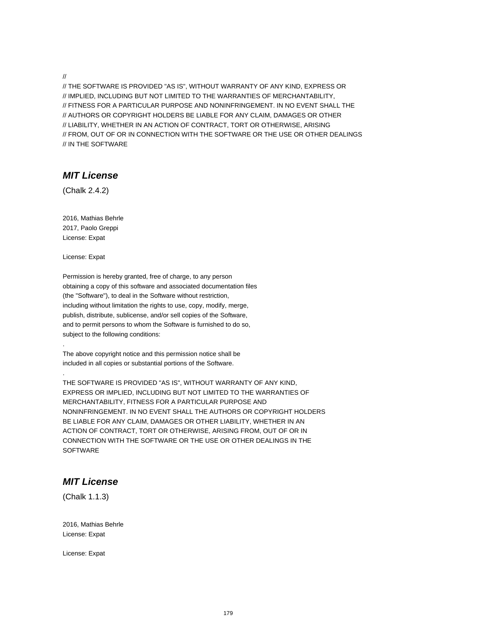//

// THE SOFTWARE IS PROVIDED "AS IS", WITHOUT WARRANTY OF ANY KIND, EXPRESS OR // IMPLIED, INCLUDING BUT NOT LIMITED TO THE WARRANTIES OF MERCHANTABILITY, // FITNESS FOR A PARTICULAR PURPOSE AND NONINFRINGEMENT. IN NO EVENT SHALL THE // AUTHORS OR COPYRIGHT HOLDERS BE LIABLE FOR ANY CLAIM, DAMAGES OR OTHER // LIABILITY, WHETHER IN AN ACTION OF CONTRACT, TORT OR OTHERWISE, ARISING // FROM, OUT OF OR IN CONNECTION WITH THE SOFTWARE OR THE USE OR OTHER DEALINGS // IN THE SOFTWARE

#### **MIT License**

(Chalk 2.4.2)

2016, Mathias Behrle 2017, Paolo Greppi License: Expat

License: Expat

.

.

Permission is hereby granted, free of charge, to any person obtaining a copy of this software and associated documentation files (the "Software"), to deal in the Software without restriction, including without limitation the rights to use, copy, modify, merge, publish, distribute, sublicense, and/or sell copies of the Software, and to permit persons to whom the Software is furnished to do so, subject to the following conditions:

The above copyright notice and this permission notice shall be included in all copies or substantial portions of the Software.

THE SOFTWARE IS PROVIDED "AS IS", WITHOUT WARRANTY OF ANY KIND, EXPRESS OR IMPLIED, INCLUDING BUT NOT LIMITED TO THE WARRANTIES OF MERCHANTABILITY, FITNESS FOR A PARTICULAR PURPOSE AND NONINFRINGEMENT. IN NO EVENT SHALL THE AUTHORS OR COPYRIGHT HOLDERS BE LIABLE FOR ANY CLAIM, DAMAGES OR OTHER LIABILITY, WHETHER IN AN ACTION OF CONTRACT, TORT OR OTHERWISE, ARISING FROM, OUT OF OR IN CONNECTION WITH THE SOFTWARE OR THE USE OR OTHER DEALINGS IN THE **SOFTWARE** 

## **MIT License**

(Chalk 1.1.3)

2016, Mathias Behrle License: Expat

License: Expat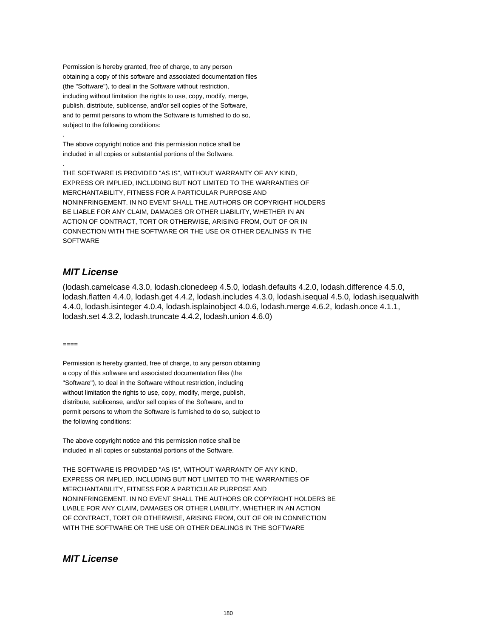Permission is hereby granted, free of charge, to any person obtaining a copy of this software and associated documentation files (the "Software"), to deal in the Software without restriction, including without limitation the rights to use, copy, modify, merge, publish, distribute, sublicense, and/or sell copies of the Software, and to permit persons to whom the Software is furnished to do so, subject to the following conditions:

The above copyright notice and this permission notice shall be included in all copies or substantial portions of the Software.

THE SOFTWARE IS PROVIDED "AS IS", WITHOUT WARRANTY OF ANY KIND, EXPRESS OR IMPLIED, INCLUDING BUT NOT LIMITED TO THE WARRANTIES OF MERCHANTABILITY, FITNESS FOR A PARTICULAR PURPOSE AND NONINFRINGEMENT. IN NO EVENT SHALL THE AUTHORS OR COPYRIGHT HOLDERS BE LIABLE FOR ANY CLAIM, DAMAGES OR OTHER LIABILITY, WHETHER IN AN ACTION OF CONTRACT, TORT OR OTHERWISE, ARISING FROM, OUT OF OR IN CONNECTION WITH THE SOFTWARE OR THE USE OR OTHER DEALINGS IN THE SOFTWARE

## **MIT License**

(lodash.camelcase 4.3.0, lodash.clonedeep 4.5.0, lodash.defaults 4.2.0, lodash.difference 4.5.0, lodash.flatten 4.4.0, lodash.get 4.4.2, lodash.includes 4.3.0, lodash.isequal 4.5.0, lodash.isequalwith 4.4.0, lodash.isinteger 4.0.4, lodash.isplainobject 4.0.6, lodash.merge 4.6.2, lodash.once 4.1.1, lodash.set 4.3.2, lodash.truncate 4.4.2, lodash.union 4.6.0)

 $=$ 

.

.

Permission is hereby granted, free of charge, to any person obtaining a copy of this software and associated documentation files (the "Software"), to deal in the Software without restriction, including without limitation the rights to use, copy, modify, merge, publish, distribute, sublicense, and/or sell copies of the Software, and to permit persons to whom the Software is furnished to do so, subject to the following conditions:

The above copyright notice and this permission notice shall be included in all copies or substantial portions of the Software.

THE SOFTWARE IS PROVIDED "AS IS", WITHOUT WARRANTY OF ANY KIND, EXPRESS OR IMPLIED, INCLUDING BUT NOT LIMITED TO THE WARRANTIES OF MERCHANTABILITY, FITNESS FOR A PARTICULAR PURPOSE AND NONINFRINGEMENT. IN NO EVENT SHALL THE AUTHORS OR COPYRIGHT HOLDERS BE LIABLE FOR ANY CLAIM, DAMAGES OR OTHER LIABILITY, WHETHER IN AN ACTION OF CONTRACT, TORT OR OTHERWISE, ARISING FROM, OUT OF OR IN CONNECTION WITH THE SOFTWARE OR THE USE OR OTHER DEALINGS IN THE SOFTWARE

#### **MIT License**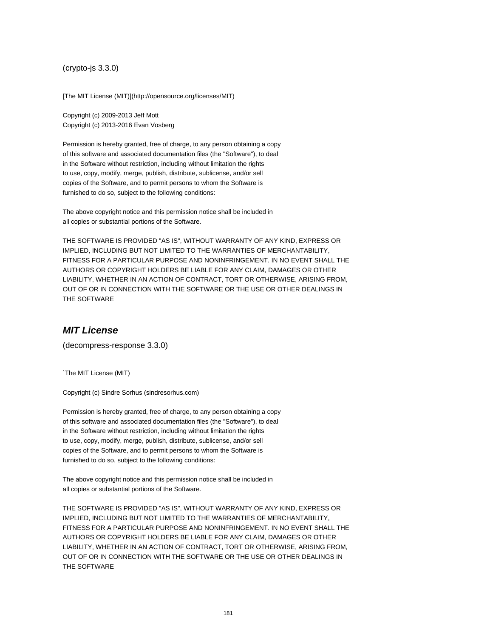(crypto-js 3.3.0)

[The MIT License (MIT)](http://opensource.org/licenses/MIT)

Copyright (c) 2009-2013 Jeff Mott Copyright (c) 2013-2016 Evan Vosberg

Permission is hereby granted, free of charge, to any person obtaining a copy of this software and associated documentation files (the "Software"), to deal in the Software without restriction, including without limitation the rights to use, copy, modify, merge, publish, distribute, sublicense, and/or sell copies of the Software, and to permit persons to whom the Software is furnished to do so, subject to the following conditions:

The above copyright notice and this permission notice shall be included in all copies or substantial portions of the Software.

THE SOFTWARE IS PROVIDED "AS IS", WITHOUT WARRANTY OF ANY KIND, EXPRESS OR IMPLIED, INCLUDING BUT NOT LIMITED TO THE WARRANTIES OF MERCHANTABILITY, FITNESS FOR A PARTICULAR PURPOSE AND NONINFRINGEMENT. IN NO EVENT SHALL THE AUTHORS OR COPYRIGHT HOLDERS BE LIABLE FOR ANY CLAIM, DAMAGES OR OTHER LIABILITY, WHETHER IN AN ACTION OF CONTRACT, TORT OR OTHERWISE, ARISING FROM, OUT OF OR IN CONNECTION WITH THE SOFTWARE OR THE USE OR OTHER DEALINGS IN THE SOFTWARE

# **MIT License**

(decompress-response 3.3.0)

`The MIT License (MIT)

Copyright (c) Sindre Sorhus (sindresorhus.com)

Permission is hereby granted, free of charge, to any person obtaining a copy of this software and associated documentation files (the "Software"), to deal in the Software without restriction, including without limitation the rights to use, copy, modify, merge, publish, distribute, sublicense, and/or sell copies of the Software, and to permit persons to whom the Software is furnished to do so, subject to the following conditions:

The above copyright notice and this permission notice shall be included in all copies or substantial portions of the Software.

THE SOFTWARE IS PROVIDED "AS IS", WITHOUT WARRANTY OF ANY KIND, EXPRESS OR IMPLIED, INCLUDING BUT NOT LIMITED TO THE WARRANTIES OF MERCHANTABILITY, FITNESS FOR A PARTICULAR PURPOSE AND NONINFRINGEMENT. IN NO EVENT SHALL THE AUTHORS OR COPYRIGHT HOLDERS BE LIABLE FOR ANY CLAIM, DAMAGES OR OTHER LIABILITY, WHETHER IN AN ACTION OF CONTRACT, TORT OR OTHERWISE, ARISING FROM, OUT OF OR IN CONNECTION WITH THE SOFTWARE OR THE USE OR OTHER DEALINGS IN THE SOFTWARE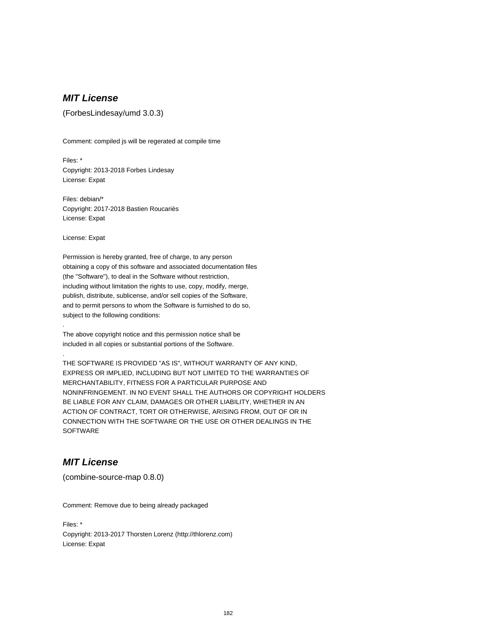# **MIT License**

(ForbesLindesay/umd 3.0.3)

Comment: compiled js will be regerated at compile time

Files: \* Copyright: 2013-2018 Forbes Lindesay License: Expat

Files: debian/\* Copyright: 2017-2018 Bastien Roucariès License: Expat

License: Expat

.

.

Permission is hereby granted, free of charge, to any person obtaining a copy of this software and associated documentation files (the "Software"), to deal in the Software without restriction, including without limitation the rights to use, copy, modify, merge, publish, distribute, sublicense, and/or sell copies of the Software, and to permit persons to whom the Software is furnished to do so, subject to the following conditions:

The above copyright notice and this permission notice shall be included in all copies or substantial portions of the Software.

THE SOFTWARE IS PROVIDED "AS IS", WITHOUT WARRANTY OF ANY KIND, EXPRESS OR IMPLIED, INCLUDING BUT NOT LIMITED TO THE WARRANTIES OF MERCHANTABILITY, FITNESS FOR A PARTICULAR PURPOSE AND NONINFRINGEMENT. IN NO EVENT SHALL THE AUTHORS OR COPYRIGHT HOLDERS BE LIABLE FOR ANY CLAIM, DAMAGES OR OTHER LIABILITY, WHETHER IN AN ACTION OF CONTRACT, TORT OR OTHERWISE, ARISING FROM, OUT OF OR IN CONNECTION WITH THE SOFTWARE OR THE USE OR OTHER DEALINGS IN THE **SOFTWARE** 

# **MIT License**

(combine-source-map 0.8.0)

Comment: Remove due to being already packaged

Files: \* Copyright: 2013-2017 Thorsten Lorenz (http://thlorenz.com) License: Expat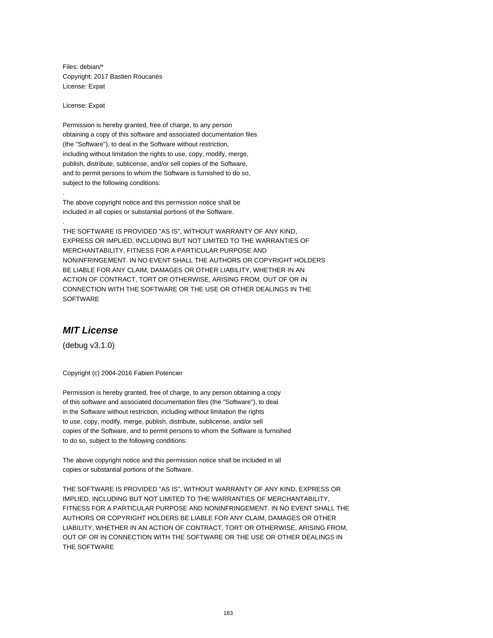Files: debian/\* Copyright: 2017 Bastien Roucariès License: Expat

License: Expat

.

.

Permission is hereby granted, free of charge, to any person obtaining a copy of this software and associated documentation files (the "Software"), to deal in the Software without restriction, including without limitation the rights to use, copy, modify, merge, publish, distribute, sublicense, and/or sell copies of the Software, and to permit persons to whom the Software is furnished to do so, subject to the following conditions:

The above copyright notice and this permission notice shall be included in all copies or substantial portions of the Software.

THE SOFTWARE IS PROVIDED "AS IS", WITHOUT WARRANTY OF ANY KIND, EXPRESS OR IMPLIED, INCLUDING BUT NOT LIMITED TO THE WARRANTIES OF MERCHANTABILITY, FITNESS FOR A PARTICULAR PURPOSE AND NONINFRINGEMENT. IN NO EVENT SHALL THE AUTHORS OR COPYRIGHT HOLDERS BE LIABLE FOR ANY CLAIM, DAMAGES OR OTHER LIABILITY, WHETHER IN AN ACTION OF CONTRACT, TORT OR OTHERWISE, ARISING FROM, OUT OF OR IN CONNECTION WITH THE SOFTWARE OR THE USE OR OTHER DEALINGS IN THE SOFTWARE

#### **MIT License**

(debug v3.1.0)

Copyright (c) 2004-2016 Fabien Potencier

Permission is hereby granted, free of charge, to any person obtaining a copy of this software and associated documentation files (the "Software"), to deal in the Software without restriction, including without limitation the rights to use, copy, modify, merge, publish, distribute, sublicense, and/or sell copies of the Software, and to permit persons to whom the Software is furnished to do so, subject to the following conditions:

The above copyright notice and this permission notice shall be included in all copies or substantial portions of the Software.

THE SOFTWARE IS PROVIDED "AS IS", WITHOUT WARRANTY OF ANY KIND, EXPRESS OR IMPLIED, INCLUDING BUT NOT LIMITED TO THE WARRANTIES OF MERCHANTABILITY, FITNESS FOR A PARTICULAR PURPOSE AND NONINFRINGEMENT. IN NO EVENT SHALL THE AUTHORS OR COPYRIGHT HOLDERS BE LIABLE FOR ANY CLAIM, DAMAGES OR OTHER LIABILITY, WHETHER IN AN ACTION OF CONTRACT, TORT OR OTHERWISE, ARISING FROM, OUT OF OR IN CONNECTION WITH THE SOFTWARE OR THE USE OR OTHER DEALINGS IN THE SOFTWARE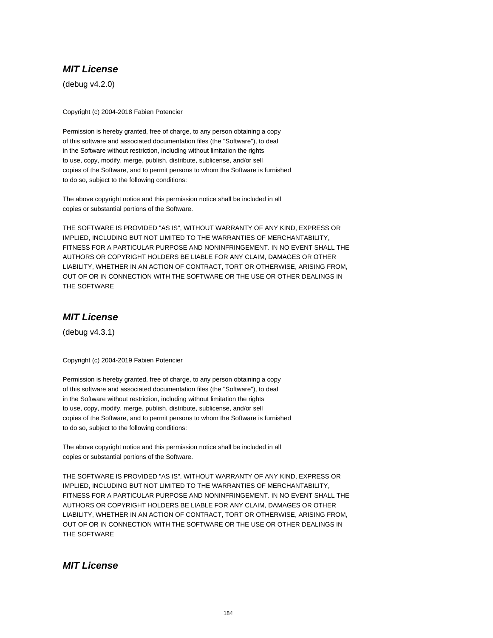# **MIT License**

(debug v4.2.0)

Copyright (c) 2004-2018 Fabien Potencier

Permission is hereby granted, free of charge, to any person obtaining a copy of this software and associated documentation files (the "Software"), to deal in the Software without restriction, including without limitation the rights to use, copy, modify, merge, publish, distribute, sublicense, and/or sell copies of the Software, and to permit persons to whom the Software is furnished to do so, subject to the following conditions:

The above copyright notice and this permission notice shall be included in all copies or substantial portions of the Software.

THE SOFTWARE IS PROVIDED "AS IS", WITHOUT WARRANTY OF ANY KIND, EXPRESS OR IMPLIED, INCLUDING BUT NOT LIMITED TO THE WARRANTIES OF MERCHANTABILITY, FITNESS FOR A PARTICULAR PURPOSE AND NONINFRINGEMENT. IN NO EVENT SHALL THE AUTHORS OR COPYRIGHT HOLDERS BE LIABLE FOR ANY CLAIM, DAMAGES OR OTHER LIABILITY, WHETHER IN AN ACTION OF CONTRACT, TORT OR OTHERWISE, ARISING FROM, OUT OF OR IN CONNECTION WITH THE SOFTWARE OR THE USE OR OTHER DEALINGS IN THE SOFTWARE

# **MIT License**

(debug v4.3.1)

Copyright (c) 2004-2019 Fabien Potencier

Permission is hereby granted, free of charge, to any person obtaining a copy of this software and associated documentation files (the "Software"), to deal in the Software without restriction, including without limitation the rights to use, copy, modify, merge, publish, distribute, sublicense, and/or sell copies of the Software, and to permit persons to whom the Software is furnished to do so, subject to the following conditions:

The above copyright notice and this permission notice shall be included in all copies or substantial portions of the Software.

THE SOFTWARE IS PROVIDED "AS IS", WITHOUT WARRANTY OF ANY KIND, EXPRESS OR IMPLIED, INCLUDING BUT NOT LIMITED TO THE WARRANTIES OF MERCHANTABILITY, FITNESS FOR A PARTICULAR PURPOSE AND NONINFRINGEMENT. IN NO EVENT SHALL THE AUTHORS OR COPYRIGHT HOLDERS BE LIABLE FOR ANY CLAIM, DAMAGES OR OTHER LIABILITY, WHETHER IN AN ACTION OF CONTRACT, TORT OR OTHERWISE, ARISING FROM, OUT OF OR IN CONNECTION WITH THE SOFTWARE OR THE USE OR OTHER DEALINGS IN THE SOFTWARE

# **MIT License**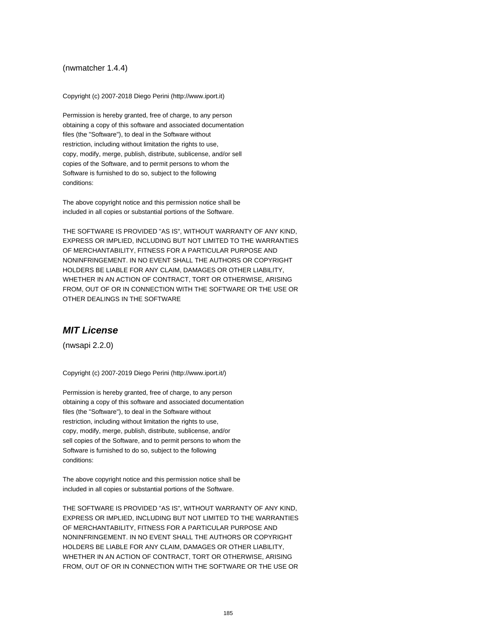#### (nwmatcher 1.4.4)

Copyright (c) 2007-2018 Diego Perini (http://www.iport.it)

Permission is hereby granted, free of charge, to any person obtaining a copy of this software and associated documentation files (the "Software"), to deal in the Software without restriction, including without limitation the rights to use, copy, modify, merge, publish, distribute, sublicense, and/or sell copies of the Software, and to permit persons to whom the Software is furnished to do so, subject to the following conditions:

The above copyright notice and this permission notice shall be included in all copies or substantial portions of the Software.

THE SOFTWARE IS PROVIDED "AS IS", WITHOUT WARRANTY OF ANY KIND, EXPRESS OR IMPLIED, INCLUDING BUT NOT LIMITED TO THE WARRANTIES OF MERCHANTABILITY, FITNESS FOR A PARTICULAR PURPOSE AND NONINFRINGEMENT. IN NO EVENT SHALL THE AUTHORS OR COPYRIGHT HOLDERS BE LIABLE FOR ANY CLAIM, DAMAGES OR OTHER LIABILITY, WHETHER IN AN ACTION OF CONTRACT, TORT OR OTHERWISE, ARISING FROM, OUT OF OR IN CONNECTION WITH THE SOFTWARE OR THE USE OR OTHER DEALINGS IN THE SOFTWARE

#### **MIT License**

(nwsapi 2.2.0)

Copyright (c) 2007-2019 Diego Perini (http://www.iport.it/)

Permission is hereby granted, free of charge, to any person obtaining a copy of this software and associated documentation files (the "Software"), to deal in the Software without restriction, including without limitation the rights to use, copy, modify, merge, publish, distribute, sublicense, and/or sell copies of the Software, and to permit persons to whom the Software is furnished to do so, subject to the following conditions:

The above copyright notice and this permission notice shall be included in all copies or substantial portions of the Software.

THE SOFTWARE IS PROVIDED "AS IS", WITHOUT WARRANTY OF ANY KIND, EXPRESS OR IMPLIED, INCLUDING BUT NOT LIMITED TO THE WARRANTIES OF MERCHANTABILITY, FITNESS FOR A PARTICULAR PURPOSE AND NONINFRINGEMENT. IN NO EVENT SHALL THE AUTHORS OR COPYRIGHT HOLDERS BE LIABLE FOR ANY CLAIM, DAMAGES OR OTHER LIABILITY, WHETHER IN AN ACTION OF CONTRACT, TORT OR OTHERWISE, ARISING FROM, OUT OF OR IN CONNECTION WITH THE SOFTWARE OR THE USE OR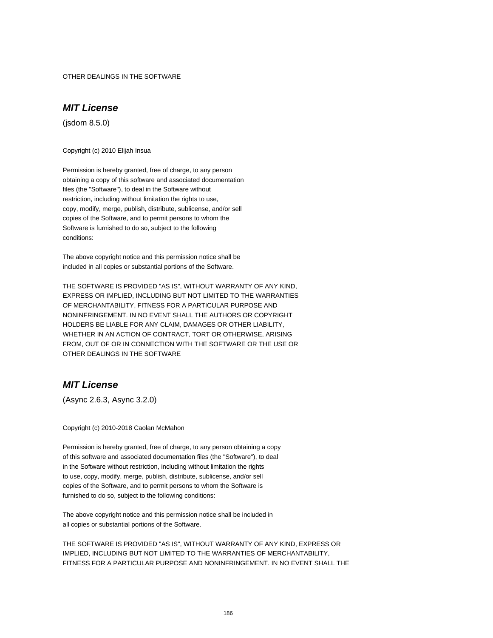OTHER DEALINGS IN THE SOFTWARE

### **MIT License**

(jsdom 8.5.0)

Copyright (c) 2010 Elijah Insua

Permission is hereby granted, free of charge, to any person obtaining a copy of this software and associated documentation files (the "Software"), to deal in the Software without restriction, including without limitation the rights to use, copy, modify, merge, publish, distribute, sublicense, and/or sell copies of the Software, and to permit persons to whom the Software is furnished to do so, subject to the following conditions:

The above copyright notice and this permission notice shall be included in all copies or substantial portions of the Software.

THE SOFTWARE IS PROVIDED "AS IS", WITHOUT WARRANTY OF ANY KIND, EXPRESS OR IMPLIED, INCLUDING BUT NOT LIMITED TO THE WARRANTIES OF MERCHANTABILITY, FITNESS FOR A PARTICULAR PURPOSE AND NONINFRINGEMENT. IN NO EVENT SHALL THE AUTHORS OR COPYRIGHT HOLDERS BE LIABLE FOR ANY CLAIM, DAMAGES OR OTHER LIABILITY, WHETHER IN AN ACTION OF CONTRACT, TORT OR OTHERWISE, ARISING FROM, OUT OF OR IN CONNECTION WITH THE SOFTWARE OR THE USE OR OTHER DEALINGS IN THE SOFTWARE

## **MIT License**

(Async 2.6.3, Async 3.2.0)

Copyright (c) 2010-2018 Caolan McMahon

Permission is hereby granted, free of charge, to any person obtaining a copy of this software and associated documentation files (the "Software"), to deal in the Software without restriction, including without limitation the rights to use, copy, modify, merge, publish, distribute, sublicense, and/or sell copies of the Software, and to permit persons to whom the Software is furnished to do so, subject to the following conditions:

The above copyright notice and this permission notice shall be included in all copies or substantial portions of the Software.

THE SOFTWARE IS PROVIDED "AS IS", WITHOUT WARRANTY OF ANY KIND, EXPRESS OR IMPLIED, INCLUDING BUT NOT LIMITED TO THE WARRANTIES OF MERCHANTABILITY, FITNESS FOR A PARTICULAR PURPOSE AND NONINFRINGEMENT. IN NO EVENT SHALL THE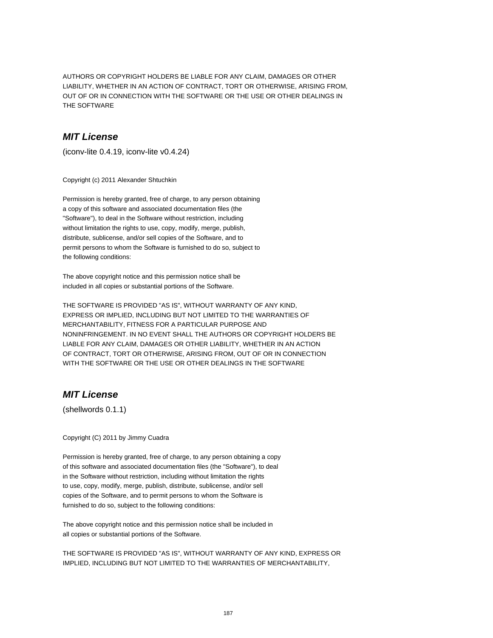AUTHORS OR COPYRIGHT HOLDERS BE LIABLE FOR ANY CLAIM, DAMAGES OR OTHER LIABILITY, WHETHER IN AN ACTION OF CONTRACT, TORT OR OTHERWISE, ARISING FROM, OUT OF OR IN CONNECTION WITH THE SOFTWARE OR THE USE OR OTHER DEALINGS IN THE SOFTWARE

## **MIT License**

(iconv-lite 0.4.19, iconv-lite v0.4.24)

Copyright (c) 2011 Alexander Shtuchkin

Permission is hereby granted, free of charge, to any person obtaining a copy of this software and associated documentation files (the "Software"), to deal in the Software without restriction, including without limitation the rights to use, copy, modify, merge, publish, distribute, sublicense, and/or sell copies of the Software, and to permit persons to whom the Software is furnished to do so, subject to the following conditions:

The above copyright notice and this permission notice shall be included in all copies or substantial portions of the Software.

THE SOFTWARE IS PROVIDED "AS IS", WITHOUT WARRANTY OF ANY KIND, EXPRESS OR IMPLIED, INCLUDING BUT NOT LIMITED TO THE WARRANTIES OF MERCHANTABILITY, FITNESS FOR A PARTICULAR PURPOSE AND NONINFRINGEMENT. IN NO EVENT SHALL THE AUTHORS OR COPYRIGHT HOLDERS BE LIABLE FOR ANY CLAIM, DAMAGES OR OTHER LIABILITY, WHETHER IN AN ACTION OF CONTRACT, TORT OR OTHERWISE, ARISING FROM, OUT OF OR IN CONNECTION WITH THE SOFTWARE OR THE USE OR OTHER DEALINGS IN THE SOFTWARE

# **MIT License**

(shellwords 0.1.1)

Copyright (C) 2011 by Jimmy Cuadra

Permission is hereby granted, free of charge, to any person obtaining a copy of this software and associated documentation files (the "Software"), to deal in the Software without restriction, including without limitation the rights to use, copy, modify, merge, publish, distribute, sublicense, and/or sell copies of the Software, and to permit persons to whom the Software is furnished to do so, subject to the following conditions:

The above copyright notice and this permission notice shall be included in all copies or substantial portions of the Software.

THE SOFTWARE IS PROVIDED "AS IS", WITHOUT WARRANTY OF ANY KIND, EXPRESS OR IMPLIED, INCLUDING BUT NOT LIMITED TO THE WARRANTIES OF MERCHANTABILITY,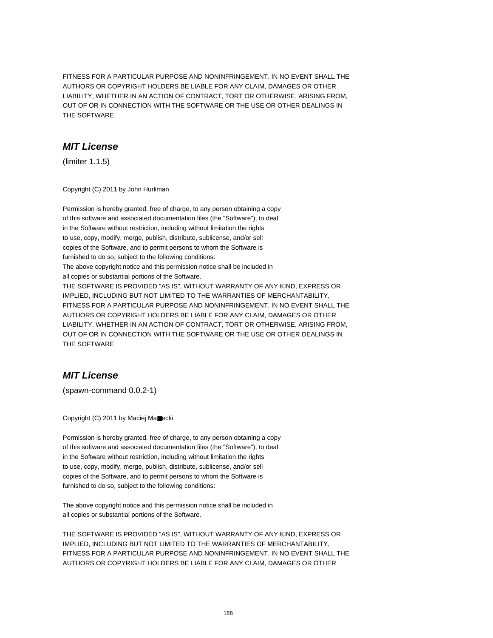FITNESS FOR A PARTICULAR PURPOSE AND NONINFRINGEMENT. IN NO EVENT SHALL THE AUTHORS OR COPYRIGHT HOLDERS BE LIABLE FOR ANY CLAIM, DAMAGES OR OTHER LIABILITY, WHETHER IN AN ACTION OF CONTRACT, TORT OR OTHERWISE, ARISING FROM, OUT OF OR IN CONNECTION WITH THE SOFTWARE OR THE USE OR OTHER DEALINGS IN THE SOFTWARE

## **MIT License**

(limiter 1.1.5)

Copyright (C) 2011 by John Hurliman

Permission is hereby granted, free of charge, to any person obtaining a copy of this software and associated documentation files (the "Software"), to deal in the Software without restriction, including without limitation the rights to use, copy, modify, merge, publish, distribute, sublicense, and/or sell copies of the Software, and to permit persons to whom the Software is furnished to do so, subject to the following conditions: The above copyright notice and this permission notice shall be included in all copies or substantial portions of the Software. THE SOFTWARE IS PROVIDED "AS IS", WITHOUT WARRANTY OF ANY KIND, EXPRESS OR IMPLIED, INCLUDING BUT NOT LIMITED TO THE WARRANTIES OF MERCHANTABILITY, FITNESS FOR A PARTICULAR PURPOSE AND NONINFRINGEMENT. IN NO EVENT SHALL THE AUTHORS OR COPYRIGHT HOLDERS BE LIABLE FOR ANY CLAIM, DAMAGES OR OTHER LIABILITY, WHETHER IN AN ACTION OF CONTRACT, TORT OR OTHERWISE, ARISING FROM, OUT OF OR IN CONNECTION WITH THE SOFTWARE OR THE USE OR OTHER DEALINGS IN THE SOFTWARE

# **MIT License**

(spawn-command 0.0.2-1)

Copyright (C) 2011 by Maciej Ma■ecki

Permission is hereby granted, free of charge, to any person obtaining a copy of this software and associated documentation files (the "Software"), to deal in the Software without restriction, including without limitation the rights to use, copy, modify, merge, publish, distribute, sublicense, and/or sell copies of the Software, and to permit persons to whom the Software is furnished to do so, subject to the following conditions:

The above copyright notice and this permission notice shall be included in all copies or substantial portions of the Software.

THE SOFTWARE IS PROVIDED "AS IS", WITHOUT WARRANTY OF ANY KIND, EXPRESS OR IMPLIED, INCLUDING BUT NOT LIMITED TO THE WARRANTIES OF MERCHANTABILITY, FITNESS FOR A PARTICULAR PURPOSE AND NONINFRINGEMENT. IN NO EVENT SHALL THE AUTHORS OR COPYRIGHT HOLDERS BE LIABLE FOR ANY CLAIM, DAMAGES OR OTHER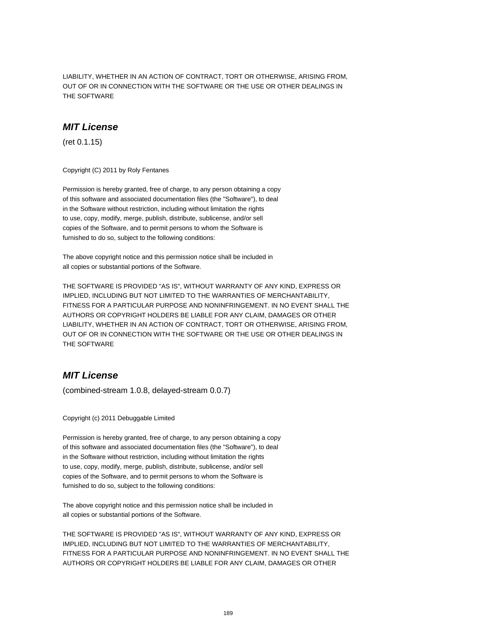LIABILITY, WHETHER IN AN ACTION OF CONTRACT, TORT OR OTHERWISE, ARISING FROM, OUT OF OR IN CONNECTION WITH THE SOFTWARE OR THE USE OR OTHER DEALINGS IN THE SOFTWARE

#### **MIT License**

(ret 0.1.15)

Copyright (C) 2011 by Roly Fentanes

Permission is hereby granted, free of charge, to any person obtaining a copy of this software and associated documentation files (the "Software"), to deal in the Software without restriction, including without limitation the rights to use, copy, modify, merge, publish, distribute, sublicense, and/or sell copies of the Software, and to permit persons to whom the Software is furnished to do so, subject to the following conditions:

The above copyright notice and this permission notice shall be included in all copies or substantial portions of the Software.

THE SOFTWARE IS PROVIDED "AS IS", WITHOUT WARRANTY OF ANY KIND, EXPRESS OR IMPLIED, INCLUDING BUT NOT LIMITED TO THE WARRANTIES OF MERCHANTABILITY, FITNESS FOR A PARTICULAR PURPOSE AND NONINFRINGEMENT. IN NO EVENT SHALL THE AUTHORS OR COPYRIGHT HOLDERS BE LIABLE FOR ANY CLAIM, DAMAGES OR OTHER LIABILITY, WHETHER IN AN ACTION OF CONTRACT, TORT OR OTHERWISE, ARISING FROM, OUT OF OR IN CONNECTION WITH THE SOFTWARE OR THE USE OR OTHER DEALINGS IN THE SOFTWARE

## **MIT License**

(combined-stream 1.0.8, delayed-stream 0.0.7)

Copyright (c) 2011 Debuggable Limited

Permission is hereby granted, free of charge, to any person obtaining a copy of this software and associated documentation files (the "Software"), to deal in the Software without restriction, including without limitation the rights to use, copy, modify, merge, publish, distribute, sublicense, and/or sell copies of the Software, and to permit persons to whom the Software is furnished to do so, subject to the following conditions:

The above copyright notice and this permission notice shall be included in all copies or substantial portions of the Software.

THE SOFTWARE IS PROVIDED "AS IS", WITHOUT WARRANTY OF ANY KIND, EXPRESS OR IMPLIED, INCLUDING BUT NOT LIMITED TO THE WARRANTIES OF MERCHANTABILITY, FITNESS FOR A PARTICULAR PURPOSE AND NONINFRINGEMENT. IN NO EVENT SHALL THE AUTHORS OR COPYRIGHT HOLDERS BE LIABLE FOR ANY CLAIM, DAMAGES OR OTHER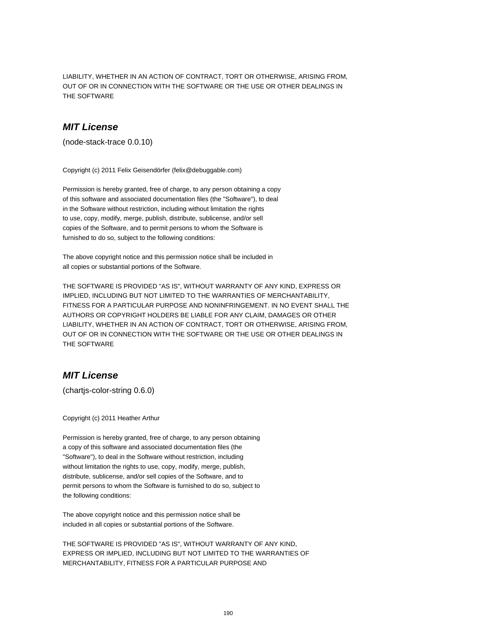LIABILITY, WHETHER IN AN ACTION OF CONTRACT, TORT OR OTHERWISE, ARISING FROM, OUT OF OR IN CONNECTION WITH THE SOFTWARE OR THE USE OR OTHER DEALINGS IN THE SOFTWARE

#### **MIT License**

(node-stack-trace 0.0.10)

Copyright (c) 2011 Felix Geisendörfer (felix@debuggable.com)

Permission is hereby granted, free of charge, to any person obtaining a copy of this software and associated documentation files (the "Software"), to deal in the Software without restriction, including without limitation the rights to use, copy, modify, merge, publish, distribute, sublicense, and/or sell copies of the Software, and to permit persons to whom the Software is furnished to do so, subject to the following conditions:

The above copyright notice and this permission notice shall be included in all copies or substantial portions of the Software.

THE SOFTWARE IS PROVIDED "AS IS", WITHOUT WARRANTY OF ANY KIND, EXPRESS OR IMPLIED, INCLUDING BUT NOT LIMITED TO THE WARRANTIES OF MERCHANTABILITY, FITNESS FOR A PARTICULAR PURPOSE AND NONINFRINGEMENT. IN NO EVENT SHALL THE AUTHORS OR COPYRIGHT HOLDERS BE LIABLE FOR ANY CLAIM, DAMAGES OR OTHER LIABILITY, WHETHER IN AN ACTION OF CONTRACT, TORT OR OTHERWISE, ARISING FROM, OUT OF OR IN CONNECTION WITH THE SOFTWARE OR THE USE OR OTHER DEALINGS IN THE SOFTWARE

## **MIT License**

(chartjs-color-string 0.6.0)

Copyright (c) 2011 Heather Arthur

Permission is hereby granted, free of charge, to any person obtaining a copy of this software and associated documentation files (the "Software"), to deal in the Software without restriction, including without limitation the rights to use, copy, modify, merge, publish, distribute, sublicense, and/or sell copies of the Software, and to permit persons to whom the Software is furnished to do so, subject to the following conditions:

The above copyright notice and this permission notice shall be included in all copies or substantial portions of the Software.

THE SOFTWARE IS PROVIDED "AS IS", WITHOUT WARRANTY OF ANY KIND, EXPRESS OR IMPLIED, INCLUDING BUT NOT LIMITED TO THE WARRANTIES OF MERCHANTABILITY, FITNESS FOR A PARTICULAR PURPOSE AND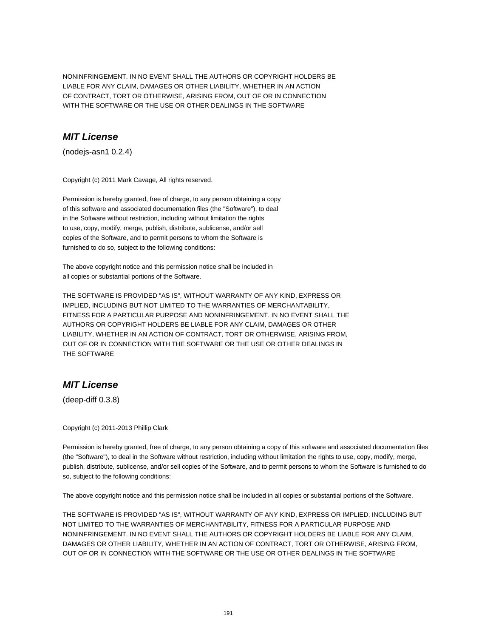NONINFRINGEMENT. IN NO EVENT SHALL THE AUTHORS OR COPYRIGHT HOLDERS BE LIABLE FOR ANY CLAIM, DAMAGES OR OTHER LIABILITY, WHETHER IN AN ACTION OF CONTRACT, TORT OR OTHERWISE, ARISING FROM, OUT OF OR IN CONNECTION WITH THE SOFTWARE OR THE USE OR OTHER DEALINGS IN THE SOFTWARE

# **MIT License**

(nodejs-asn1 0.2.4)

Copyright (c) 2011 Mark Cavage, All rights reserved.

Permission is hereby granted, free of charge, to any person obtaining a copy of this software and associated documentation files (the "Software"), to deal in the Software without restriction, including without limitation the rights to use, copy, modify, merge, publish, distribute, sublicense, and/or sell copies of the Software, and to permit persons to whom the Software is furnished to do so, subject to the following conditions:

The above copyright notice and this permission notice shall be included in all copies or substantial portions of the Software.

THE SOFTWARE IS PROVIDED "AS IS", WITHOUT WARRANTY OF ANY KIND, EXPRESS OR IMPLIED, INCLUDING BUT NOT LIMITED TO THE WARRANTIES OF MERCHANTABILITY, FITNESS FOR A PARTICULAR PURPOSE AND NONINFRINGEMENT. IN NO EVENT SHALL THE AUTHORS OR COPYRIGHT HOLDERS BE LIABLE FOR ANY CLAIM, DAMAGES OR OTHER LIABILITY, WHETHER IN AN ACTION OF CONTRACT, TORT OR OTHERWISE, ARISING FROM, OUT OF OR IN CONNECTION WITH THE SOFTWARE OR THE USE OR OTHER DEALINGS IN THE SOFTWARE

# **MIT License**

(deep-diff 0.3.8)

Copyright (c) 2011-2013 Phillip Clark

Permission is hereby granted, free of charge, to any person obtaining a copy of this software and associated documentation files (the "Software"), to deal in the Software without restriction, including without limitation the rights to use, copy, modify, merge, publish, distribute, sublicense, and/or sell copies of the Software, and to permit persons to whom the Software is furnished to do so, subject to the following conditions:

The above copyright notice and this permission notice shall be included in all copies or substantial portions of the Software.

THE SOFTWARE IS PROVIDED "AS IS", WITHOUT WARRANTY OF ANY KIND, EXPRESS OR IMPLIED, INCLUDING BUT NOT LIMITED TO THE WARRANTIES OF MERCHANTABILITY, FITNESS FOR A PARTICULAR PURPOSE AND NONINFRINGEMENT. IN NO EVENT SHALL THE AUTHORS OR COPYRIGHT HOLDERS BE LIABLE FOR ANY CLAIM, DAMAGES OR OTHER LIABILITY, WHETHER IN AN ACTION OF CONTRACT, TORT OR OTHERWISE, ARISING FROM, OUT OF OR IN CONNECTION WITH THE SOFTWARE OR THE USE OR OTHER DEALINGS IN THE SOFTWARE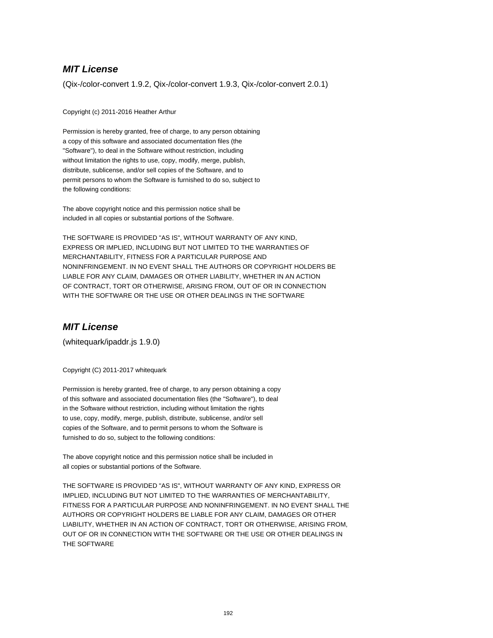# **MIT License**

(Qix-/color-convert 1.9.2, Qix-/color-convert 1.9.3, Qix-/color-convert 2.0.1)

Copyright (c) 2011-2016 Heather Arthur

Permission is hereby granted, free of charge, to any person obtaining a copy of this software and associated documentation files (the "Software"), to deal in the Software without restriction, including without limitation the rights to use, copy, modify, merge, publish, distribute, sublicense, and/or sell copies of the Software, and to permit persons to whom the Software is furnished to do so, subject to the following conditions:

The above copyright notice and this permission notice shall be included in all copies or substantial portions of the Software.

THE SOFTWARE IS PROVIDED "AS IS", WITHOUT WARRANTY OF ANY KIND, EXPRESS OR IMPLIED, INCLUDING BUT NOT LIMITED TO THE WARRANTIES OF MERCHANTABILITY, FITNESS FOR A PARTICULAR PURPOSE AND NONINFRINGEMENT. IN NO EVENT SHALL THE AUTHORS OR COPYRIGHT HOLDERS BE LIABLE FOR ANY CLAIM, DAMAGES OR OTHER LIABILITY, WHETHER IN AN ACTION OF CONTRACT, TORT OR OTHERWISE, ARISING FROM, OUT OF OR IN CONNECTION WITH THE SOFTWARE OR THE USE OR OTHER DEALINGS IN THE SOFTWARE

# **MIT License**

(whitequark/ipaddr.js 1.9.0)

Copyright (C) 2011-2017 whitequark

Permission is hereby granted, free of charge, to any person obtaining a copy of this software and associated documentation files (the "Software"), to deal in the Software without restriction, including without limitation the rights to use, copy, modify, merge, publish, distribute, sublicense, and/or sell copies of the Software, and to permit persons to whom the Software is furnished to do so, subject to the following conditions:

The above copyright notice and this permission notice shall be included in all copies or substantial portions of the Software.

THE SOFTWARE IS PROVIDED "AS IS", WITHOUT WARRANTY OF ANY KIND, EXPRESS OR IMPLIED, INCLUDING BUT NOT LIMITED TO THE WARRANTIES OF MERCHANTABILITY, FITNESS FOR A PARTICULAR PURPOSE AND NONINFRINGEMENT. IN NO EVENT SHALL THE AUTHORS OR COPYRIGHT HOLDERS BE LIABLE FOR ANY CLAIM, DAMAGES OR OTHER LIABILITY, WHETHER IN AN ACTION OF CONTRACT, TORT OR OTHERWISE, ARISING FROM, OUT OF OR IN CONNECTION WITH THE SOFTWARE OR THE USE OR OTHER DEALINGS IN THE SOFTWARE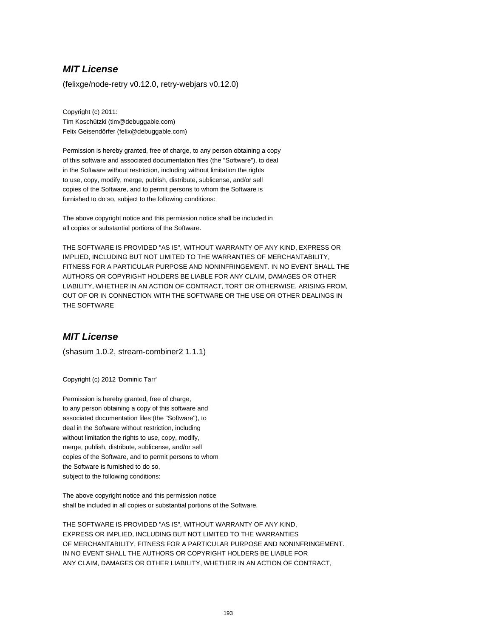# **MIT License**

(felixge/node-retry v0.12.0, retry-webjars v0.12.0)

Copyright (c) 2011: Tim Koschützki (tim@debuggable.com) Felix Geisendörfer (felix@debuggable.com)

Permission is hereby granted, free of charge, to any person obtaining a copy of this software and associated documentation files (the "Software"), to deal in the Software without restriction, including without limitation the rights to use, copy, modify, merge, publish, distribute, sublicense, and/or sell copies of the Software, and to permit persons to whom the Software is furnished to do so, subject to the following conditions:

The above copyright notice and this permission notice shall be included in all copies or substantial portions of the Software.

THE SOFTWARE IS PROVIDED "AS IS", WITHOUT WARRANTY OF ANY KIND, EXPRESS OR IMPLIED, INCLUDING BUT NOT LIMITED TO THE WARRANTIES OF MERCHANTABILITY, FITNESS FOR A PARTICULAR PURPOSE AND NONINFRINGEMENT. IN NO EVENT SHALL THE AUTHORS OR COPYRIGHT HOLDERS BE LIABLE FOR ANY CLAIM, DAMAGES OR OTHER LIABILITY, WHETHER IN AN ACTION OF CONTRACT, TORT OR OTHERWISE, ARISING FROM, OUT OF OR IN CONNECTION WITH THE SOFTWARE OR THE USE OR OTHER DEALINGS IN THE SOFTWARE

# **MIT License**

(shasum 1.0.2, stream-combiner2 1.1.1)

Copyright (c) 2012 'Dominic Tarr'

Permission is hereby granted, free of charge, to any person obtaining a copy of this software and associated documentation files (the "Software"), to deal in the Software without restriction, including without limitation the rights to use, copy, modify, merge, publish, distribute, sublicense, and/or sell copies of the Software, and to permit persons to whom the Software is furnished to do so, subject to the following conditions:

The above copyright notice and this permission notice shall be included in all copies or substantial portions of the Software.

THE SOFTWARE IS PROVIDED "AS IS", WITHOUT WARRANTY OF ANY KIND, EXPRESS OR IMPLIED, INCLUDING BUT NOT LIMITED TO THE WARRANTIES OF MERCHANTABILITY, FITNESS FOR A PARTICULAR PURPOSE AND NONINFRINGEMENT. IN NO EVENT SHALL THE AUTHORS OR COPYRIGHT HOLDERS BE LIABLE FOR ANY CLAIM, DAMAGES OR OTHER LIABILITY, WHETHER IN AN ACTION OF CONTRACT,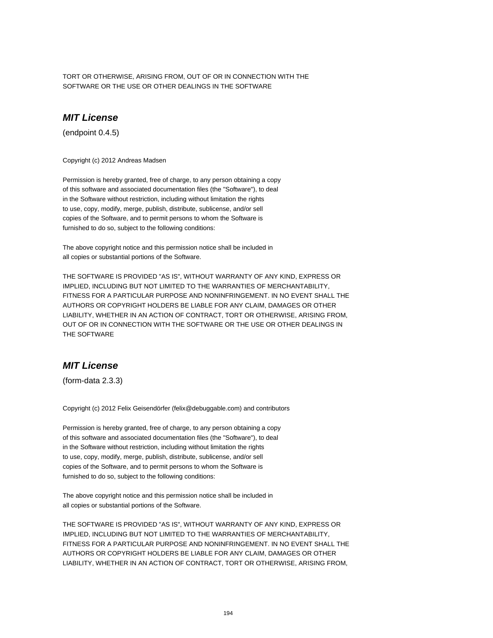TORT OR OTHERWISE, ARISING FROM, OUT OF OR IN CONNECTION WITH THE SOFTWARE OR THE USE OR OTHER DEALINGS IN THE SOFTWARE

# **MIT License**

(endpoint 0.4.5)

Copyright (c) 2012 Andreas Madsen

Permission is hereby granted, free of charge, to any person obtaining a copy of this software and associated documentation files (the "Software"), to deal in the Software without restriction, including without limitation the rights to use, copy, modify, merge, publish, distribute, sublicense, and/or sell copies of the Software, and to permit persons to whom the Software is furnished to do so, subject to the following conditions:

The above copyright notice and this permission notice shall be included in all copies or substantial portions of the Software.

THE SOFTWARE IS PROVIDED "AS IS", WITHOUT WARRANTY OF ANY KIND, EXPRESS OR IMPLIED, INCLUDING BUT NOT LIMITED TO THE WARRANTIES OF MERCHANTABILITY, FITNESS FOR A PARTICULAR PURPOSE AND NONINFRINGEMENT. IN NO EVENT SHALL THE AUTHORS OR COPYRIGHT HOLDERS BE LIABLE FOR ANY CLAIM, DAMAGES OR OTHER LIABILITY, WHETHER IN AN ACTION OF CONTRACT, TORT OR OTHERWISE, ARISING FROM, OUT OF OR IN CONNECTION WITH THE SOFTWARE OR THE USE OR OTHER DEALINGS IN THE SOFTWARE

## **MIT License**

(form-data 2.3.3)

Copyright (c) 2012 Felix Geisendörfer (felix@debuggable.com) and contributors

Permission is hereby granted, free of charge, to any person obtaining a copy of this software and associated documentation files (the "Software"), to deal in the Software without restriction, including without limitation the rights to use, copy, modify, merge, publish, distribute, sublicense, and/or sell copies of the Software, and to permit persons to whom the Software is furnished to do so, subject to the following conditions:

The above copyright notice and this permission notice shall be included in all copies or substantial portions of the Software.

THE SOFTWARE IS PROVIDED "AS IS", WITHOUT WARRANTY OF ANY KIND, EXPRESS OR IMPLIED, INCLUDING BUT NOT LIMITED TO THE WARRANTIES OF MERCHANTABILITY, FITNESS FOR A PARTICULAR PURPOSE AND NONINFRINGEMENT. IN NO EVENT SHALL THE AUTHORS OR COPYRIGHT HOLDERS BE LIABLE FOR ANY CLAIM, DAMAGES OR OTHER LIABILITY, WHETHER IN AN ACTION OF CONTRACT, TORT OR OTHERWISE, ARISING FROM,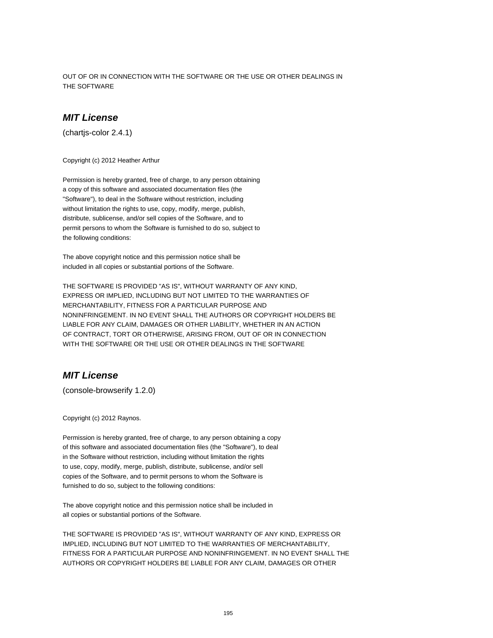OUT OF OR IN CONNECTION WITH THE SOFTWARE OR THE USE OR OTHER DEALINGS IN THE SOFTWARE

#### **MIT License**

(chartjs-color 2.4.1)

Copyright (c) 2012 Heather Arthur

Permission is hereby granted, free of charge, to any person obtaining a copy of this software and associated documentation files (the "Software"), to deal in the Software without restriction, including without limitation the rights to use, copy, modify, merge, publish, distribute, sublicense, and/or sell copies of the Software, and to permit persons to whom the Software is furnished to do so, subject to the following conditions:

The above copyright notice and this permission notice shall be included in all copies or substantial portions of the Software.

THE SOFTWARE IS PROVIDED "AS IS", WITHOUT WARRANTY OF ANY KIND, EXPRESS OR IMPLIED, INCLUDING BUT NOT LIMITED TO THE WARRANTIES OF MERCHANTABILITY, FITNESS FOR A PARTICULAR PURPOSE AND NONINFRINGEMENT. IN NO EVENT SHALL THE AUTHORS OR COPYRIGHT HOLDERS BE LIABLE FOR ANY CLAIM, DAMAGES OR OTHER LIABILITY, WHETHER IN AN ACTION OF CONTRACT, TORT OR OTHERWISE, ARISING FROM, OUT OF OR IN CONNECTION WITH THE SOFTWARE OR THE USE OR OTHER DEALINGS IN THE SOFTWARE

## **MIT License**

(console-browserify 1.2.0)

Copyright (c) 2012 Raynos.

Permission is hereby granted, free of charge, to any person obtaining a copy of this software and associated documentation files (the "Software"), to deal in the Software without restriction, including without limitation the rights to use, copy, modify, merge, publish, distribute, sublicense, and/or sell copies of the Software, and to permit persons to whom the Software is furnished to do so, subject to the following conditions:

The above copyright notice and this permission notice shall be included in all copies or substantial portions of the Software.

THE SOFTWARE IS PROVIDED "AS IS", WITHOUT WARRANTY OF ANY KIND, EXPRESS OR IMPLIED, INCLUDING BUT NOT LIMITED TO THE WARRANTIES OF MERCHANTABILITY, FITNESS FOR A PARTICULAR PURPOSE AND NONINFRINGEMENT. IN NO EVENT SHALL THE AUTHORS OR COPYRIGHT HOLDERS BE LIABLE FOR ANY CLAIM, DAMAGES OR OTHER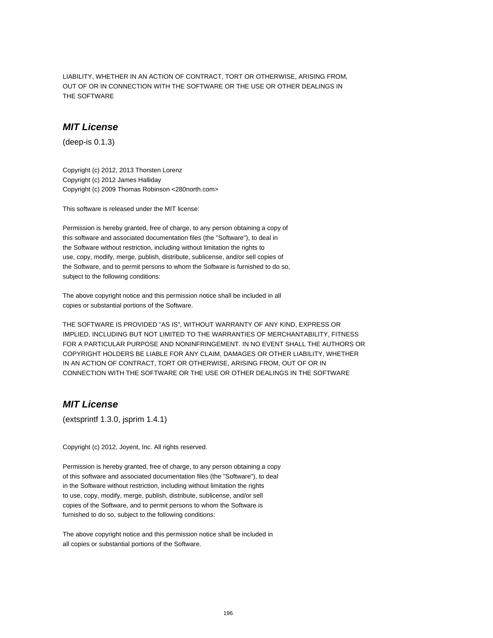LIABILITY, WHETHER IN AN ACTION OF CONTRACT, TORT OR OTHERWISE, ARISING FROM, OUT OF OR IN CONNECTION WITH THE SOFTWARE OR THE USE OR OTHER DEALINGS IN THE SOFTWARE

#### **MIT License**

(deep-is 0.1.3)

Copyright (c) 2012, 2013 Thorsten Lorenz Copyright (c) 2012 James Halliday Copyright (c) 2009 Thomas Robinson <280north.com>

This software is released under the MIT license:

Permission is hereby granted, free of charge, to any person obtaining a copy of this software and associated documentation files (the "Software"), to deal in the Software without restriction, including without limitation the rights to use, copy, modify, merge, publish, distribute, sublicense, and/or sell copies of the Software, and to permit persons to whom the Software is furnished to do so, subject to the following conditions:

The above copyright notice and this permission notice shall be included in all copies or substantial portions of the Software.

THE SOFTWARE IS PROVIDED "AS IS", WITHOUT WARRANTY OF ANY KIND, EXPRESS OR IMPLIED, INCLUDING BUT NOT LIMITED TO THE WARRANTIES OF MERCHANTABILITY, FITNESS FOR A PARTICULAR PURPOSE AND NONINFRINGEMENT. IN NO EVENT SHALL THE AUTHORS OR COPYRIGHT HOLDERS BE LIABLE FOR ANY CLAIM, DAMAGES OR OTHER LIABILITY, WHETHER IN AN ACTION OF CONTRACT, TORT OR OTHERWISE, ARISING FROM, OUT OF OR IN CONNECTION WITH THE SOFTWARE OR THE USE OR OTHER DEALINGS IN THE SOFTWARE

# **MIT License**

(extsprintf 1.3.0, jsprim 1.4.1)

Copyright (c) 2012, Joyent, Inc. All rights reserved.

Permission is hereby granted, free of charge, to any person obtaining a copy of this software and associated documentation files (the "Software"), to deal in the Software without restriction, including without limitation the rights to use, copy, modify, merge, publish, distribute, sublicense, and/or sell copies of the Software, and to permit persons to whom the Software is furnished to do so, subject to the following conditions: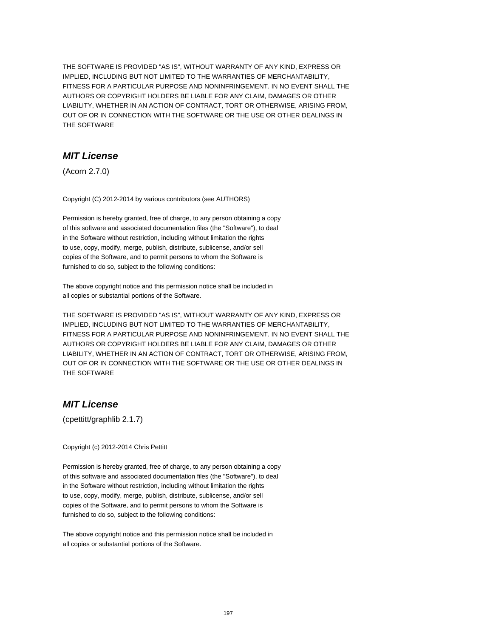# **MIT License**

(Acorn 2.7.0)

Copyright (C) 2012-2014 by various contributors (see AUTHORS)

Permission is hereby granted, free of charge, to any person obtaining a copy of this software and associated documentation files (the "Software"), to deal in the Software without restriction, including without limitation the rights to use, copy, modify, merge, publish, distribute, sublicense, and/or sell copies of the Software, and to permit persons to whom the Software is furnished to do so, subject to the following conditions:

The above copyright notice and this permission notice shall be included in all copies or substantial portions of the Software.

THE SOFTWARE IS PROVIDED "AS IS", WITHOUT WARRANTY OF ANY KIND, EXPRESS OR IMPLIED, INCLUDING BUT NOT LIMITED TO THE WARRANTIES OF MERCHANTABILITY, FITNESS FOR A PARTICULAR PURPOSE AND NONINFRINGEMENT. IN NO EVENT SHALL THE AUTHORS OR COPYRIGHT HOLDERS BE LIABLE FOR ANY CLAIM, DAMAGES OR OTHER LIABILITY, WHETHER IN AN ACTION OF CONTRACT, TORT OR OTHERWISE, ARISING FROM, OUT OF OR IN CONNECTION WITH THE SOFTWARE OR THE USE OR OTHER DEALINGS IN THE SOFTWARE

## **MIT License**

(cpettitt/graphlib 2.1.7)

Copyright (c) 2012-2014 Chris Pettitt

Permission is hereby granted, free of charge, to any person obtaining a copy of this software and associated documentation files (the "Software"), to deal in the Software without restriction, including without limitation the rights to use, copy, modify, merge, publish, distribute, sublicense, and/or sell copies of the Software, and to permit persons to whom the Software is furnished to do so, subject to the following conditions: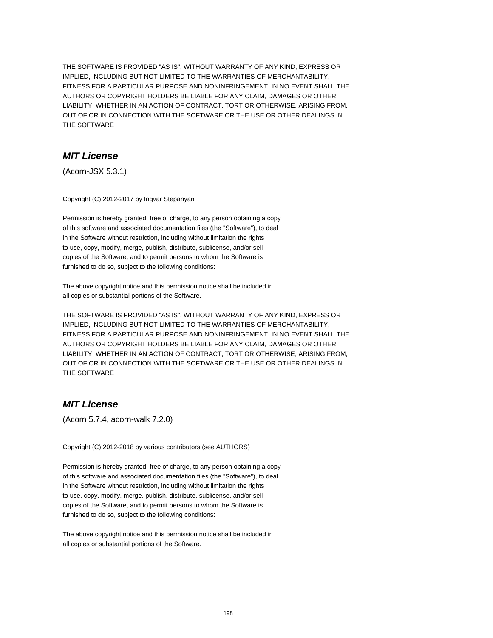# **MIT License**

(Acorn-JSX 5.3.1)

Copyright (C) 2012-2017 by Ingvar Stepanyan

Permission is hereby granted, free of charge, to any person obtaining a copy of this software and associated documentation files (the "Software"), to deal in the Software without restriction, including without limitation the rights to use, copy, modify, merge, publish, distribute, sublicense, and/or sell copies of the Software, and to permit persons to whom the Software is furnished to do so, subject to the following conditions:

The above copyright notice and this permission notice shall be included in all copies or substantial portions of the Software.

THE SOFTWARE IS PROVIDED "AS IS", WITHOUT WARRANTY OF ANY KIND, EXPRESS OR IMPLIED, INCLUDING BUT NOT LIMITED TO THE WARRANTIES OF MERCHANTABILITY, FITNESS FOR A PARTICULAR PURPOSE AND NONINFRINGEMENT. IN NO EVENT SHALL THE AUTHORS OR COPYRIGHT HOLDERS BE LIABLE FOR ANY CLAIM, DAMAGES OR OTHER LIABILITY, WHETHER IN AN ACTION OF CONTRACT, TORT OR OTHERWISE, ARISING FROM, OUT OF OR IN CONNECTION WITH THE SOFTWARE OR THE USE OR OTHER DEALINGS IN THE SOFTWARE

## **MIT License**

(Acorn 5.7.4, acorn-walk 7.2.0)

Copyright (C) 2012-2018 by various contributors (see AUTHORS)

Permission is hereby granted, free of charge, to any person obtaining a copy of this software and associated documentation files (the "Software"), to deal in the Software without restriction, including without limitation the rights to use, copy, modify, merge, publish, distribute, sublicense, and/or sell copies of the Software, and to permit persons to whom the Software is furnished to do so, subject to the following conditions: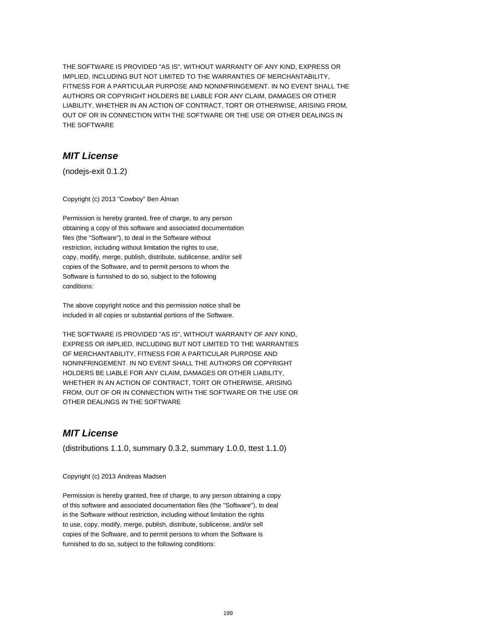# **MIT License**

(nodejs-exit 0.1.2)

Copyright (c) 2013 "Cowboy" Ben Alman

Permission is hereby granted, free of charge, to any person obtaining a copy of this software and associated documentation files (the "Software"), to deal in the Software without restriction, including without limitation the rights to use, copy, modify, merge, publish, distribute, sublicense, and/or sell copies of the Software, and to permit persons to whom the Software is furnished to do so, subject to the following conditions:

The above copyright notice and this permission notice shall be included in all copies or substantial portions of the Software.

THE SOFTWARE IS PROVIDED "AS IS", WITHOUT WARRANTY OF ANY KIND, EXPRESS OR IMPLIED, INCLUDING BUT NOT LIMITED TO THE WARRANTIES OF MERCHANTABILITY, FITNESS FOR A PARTICULAR PURPOSE AND NONINFRINGEMENT. IN NO EVENT SHALL THE AUTHORS OR COPYRIGHT HOLDERS BE LIABLE FOR ANY CLAIM, DAMAGES OR OTHER LIABILITY, WHETHER IN AN ACTION OF CONTRACT, TORT OR OTHERWISE, ARISING FROM, OUT OF OR IN CONNECTION WITH THE SOFTWARE OR THE USE OR OTHER DEALINGS IN THE SOFTWARE

## **MIT License**

(distributions 1.1.0, summary 0.3.2, summary 1.0.0, ttest 1.1.0)

Copyright (c) 2013 Andreas Madsen

Permission is hereby granted, free of charge, to any person obtaining a copy of this software and associated documentation files (the "Software"), to deal in the Software without restriction, including without limitation the rights to use, copy, modify, merge, publish, distribute, sublicense, and/or sell copies of the Software, and to permit persons to whom the Software is furnished to do so, subject to the following conditions: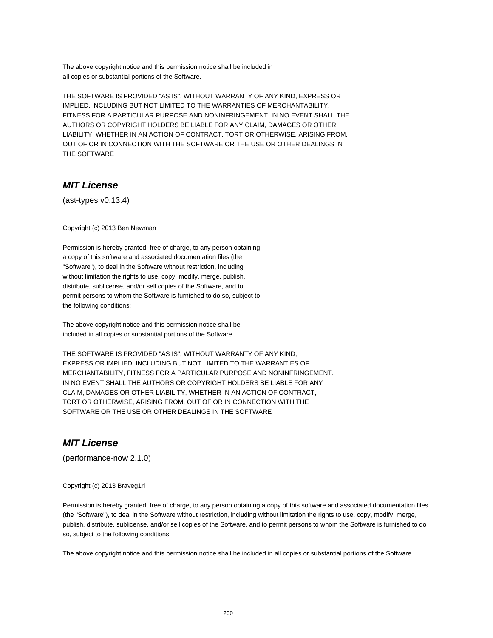The above copyright notice and this permission notice shall be included in all copies or substantial portions of the Software.

THE SOFTWARE IS PROVIDED "AS IS", WITHOUT WARRANTY OF ANY KIND, EXPRESS OR IMPLIED, INCLUDING BUT NOT LIMITED TO THE WARRANTIES OF MERCHANTABILITY, FITNESS FOR A PARTICULAR PURPOSE AND NONINFRINGEMENT. IN NO EVENT SHALL THE AUTHORS OR COPYRIGHT HOLDERS BE LIABLE FOR ANY CLAIM, DAMAGES OR OTHER LIABILITY, WHETHER IN AN ACTION OF CONTRACT, TORT OR OTHERWISE, ARISING FROM, OUT OF OR IN CONNECTION WITH THE SOFTWARE OR THE USE OR OTHER DEALINGS IN THE SOFTWARE

# **MIT License**

(ast-types v0.13.4)

Copyright (c) 2013 Ben Newman

Permission is hereby granted, free of charge, to any person obtaining a copy of this software and associated documentation files (the "Software"), to deal in the Software without restriction, including without limitation the rights to use, copy, modify, merge, publish, distribute, sublicense, and/or sell copies of the Software, and to permit persons to whom the Software is furnished to do so, subject to the following conditions:

The above copyright notice and this permission notice shall be included in all copies or substantial portions of the Software.

THE SOFTWARE IS PROVIDED "AS IS", WITHOUT WARRANTY OF ANY KIND, EXPRESS OR IMPLIED, INCLUDING BUT NOT LIMITED TO THE WARRANTIES OF MERCHANTABILITY, FITNESS FOR A PARTICULAR PURPOSE AND NONINFRINGEMENT. IN NO EVENT SHALL THE AUTHORS OR COPYRIGHT HOLDERS BE LIABLE FOR ANY CLAIM, DAMAGES OR OTHER LIABILITY, WHETHER IN AN ACTION OF CONTRACT, TORT OR OTHERWISE, ARISING FROM, OUT OF OR IN CONNECTION WITH THE SOFTWARE OR THE USE OR OTHER DEALINGS IN THE SOFTWARE

# **MIT License**

(performance-now 2.1.0)

#### Copyright (c) 2013 Braveg1rl

Permission is hereby granted, free of charge, to any person obtaining a copy of this software and associated documentation files (the "Software"), to deal in the Software without restriction, including without limitation the rights to use, copy, modify, merge, publish, distribute, sublicense, and/or sell copies of the Software, and to permit persons to whom the Software is furnished to do so, subject to the following conditions: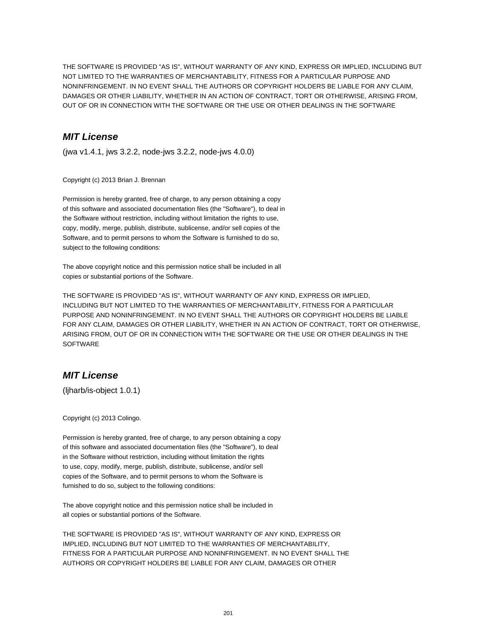# **MIT License**

(jwa v1.4.1, jws 3.2.2, node-jws 3.2.2, node-jws 4.0.0)

Copyright (c) 2013 Brian J. Brennan

Permission is hereby granted, free of charge, to any person obtaining a copy of this software and associated documentation files (the "Software"), to deal in the Software without restriction, including without limitation the rights to use, copy, modify, merge, publish, distribute, sublicense, and/or sell copies of the Software, and to permit persons to whom the Software is furnished to do so, subject to the following conditions:

The above copyright notice and this permission notice shall be included in all copies or substantial portions of the Software.

THE SOFTWARE IS PROVIDED "AS IS", WITHOUT WARRANTY OF ANY KIND, EXPRESS OR IMPLIED, INCLUDING BUT NOT LIMITED TO THE WARRANTIES OF MERCHANTABILITY, FITNESS FOR A PARTICULAR PURPOSE AND NONINFRINGEMENT. IN NO EVENT SHALL THE AUTHORS OR COPYRIGHT HOLDERS BE LIABLE FOR ANY CLAIM, DAMAGES OR OTHER LIABILITY, WHETHER IN AN ACTION OF CONTRACT, TORT OR OTHERWISE, ARISING FROM, OUT OF OR IN CONNECTION WITH THE SOFTWARE OR THE USE OR OTHER DEALINGS IN THE **SOFTWARE** 

## **MIT License**

(ljharb/is-object 1.0.1)

Copyright (c) 2013 Colingo.

Permission is hereby granted, free of charge, to any person obtaining a copy of this software and associated documentation files (the "Software"), to deal in the Software without restriction, including without limitation the rights to use, copy, modify, merge, publish, distribute, sublicense, and/or sell copies of the Software, and to permit persons to whom the Software is furnished to do so, subject to the following conditions:

The above copyright notice and this permission notice shall be included in all copies or substantial portions of the Software.

THE SOFTWARE IS PROVIDED "AS IS", WITHOUT WARRANTY OF ANY KIND, EXPRESS OR IMPLIED, INCLUDING BUT NOT LIMITED TO THE WARRANTIES OF MERCHANTABILITY, FITNESS FOR A PARTICULAR PURPOSE AND NONINFRINGEMENT. IN NO EVENT SHALL THE AUTHORS OR COPYRIGHT HOLDERS BE LIABLE FOR ANY CLAIM, DAMAGES OR OTHER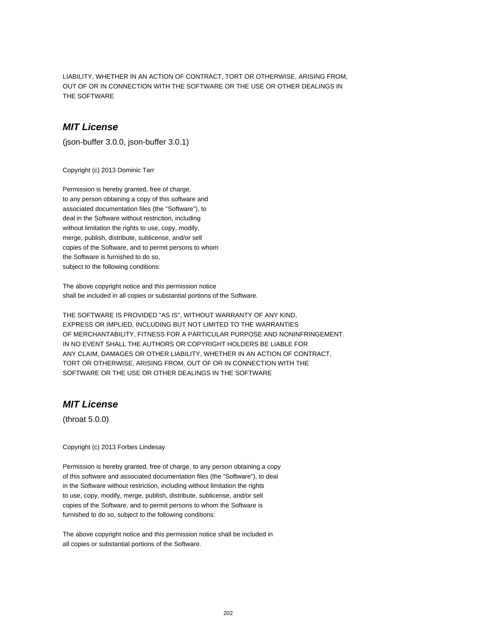LIABILITY, WHETHER IN AN ACTION OF CONTRACT, TORT OR OTHERWISE, ARISING FROM, OUT OF OR IN CONNECTION WITH THE SOFTWARE OR THE USE OR OTHER DEALINGS IN THE SOFTWARE

#### **MIT License**

(json-buffer 3.0.0, json-buffer 3.0.1)

Copyright (c) 2013 Dominic Tarr

Permission is hereby granted, free of charge, to any person obtaining a copy of this software and associated documentation files (the "Software"), to deal in the Software without restriction, including without limitation the rights to use, copy, modify, merge, publish, distribute, sublicense, and/or sell copies of the Software, and to permit persons to whom the Software is furnished to do so, subject to the following conditions:

The above copyright notice and this permission notice shall be included in all copies or substantial portions of the Software.

THE SOFTWARE IS PROVIDED "AS IS", WITHOUT WARRANTY OF ANY KIND, EXPRESS OR IMPLIED, INCLUDING BUT NOT LIMITED TO THE WARRANTIES OF MERCHANTABILITY, FITNESS FOR A PARTICULAR PURPOSE AND NONINFRINGEMENT. IN NO EVENT SHALL THE AUTHORS OR COPYRIGHT HOLDERS BE LIABLE FOR ANY CLAIM, DAMAGES OR OTHER LIABILITY, WHETHER IN AN ACTION OF CONTRACT, TORT OR OTHERWISE, ARISING FROM, OUT OF OR IN CONNECTION WITH THE SOFTWARE OR THE USE OR OTHER DEALINGS IN THE SOFTWARE

# **MIT License**

(throat 5.0.0)

Copyright (c) 2013 Forbes Lindesay

Permission is hereby granted, free of charge, to any person obtaining a copy of this software and associated documentation files (the "Software"), to deal in the Software without restriction, including without limitation the rights to use, copy, modify, merge, publish, distribute, sublicense, and/or sell copies of the Software, and to permit persons to whom the Software is furnished to do so, subject to the following conditions: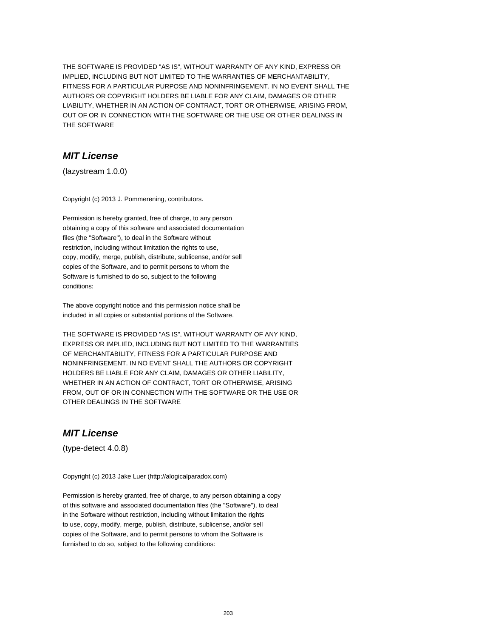# **MIT License**

(lazystream 1.0.0)

Copyright (c) 2013 J. Pommerening, contributors.

Permission is hereby granted, free of charge, to any person obtaining a copy of this software and associated documentation files (the "Software"), to deal in the Software without restriction, including without limitation the rights to use, copy, modify, merge, publish, distribute, sublicense, and/or sell copies of the Software, and to permit persons to whom the Software is furnished to do so, subject to the following conditions:

The above copyright notice and this permission notice shall be included in all copies or substantial portions of the Software.

THE SOFTWARE IS PROVIDED "AS IS", WITHOUT WARRANTY OF ANY KIND, EXPRESS OR IMPLIED, INCLUDING BUT NOT LIMITED TO THE WARRANTIES OF MERCHANTABILITY, FITNESS FOR A PARTICULAR PURPOSE AND NONINFRINGEMENT. IN NO EVENT SHALL THE AUTHORS OR COPYRIGHT HOLDERS BE LIABLE FOR ANY CLAIM, DAMAGES OR OTHER LIABILITY, WHETHER IN AN ACTION OF CONTRACT, TORT OR OTHERWISE, ARISING FROM, OUT OF OR IN CONNECTION WITH THE SOFTWARE OR THE USE OR OTHER DEALINGS IN THE SOFTWARE

## **MIT License**

(type-detect 4.0.8)

Copyright (c) 2013 Jake Luer (http://alogicalparadox.com)

Permission is hereby granted, free of charge, to any person obtaining a copy of this software and associated documentation files (the "Software"), to deal in the Software without restriction, including without limitation the rights to use, copy, modify, merge, publish, distribute, sublicense, and/or sell copies of the Software, and to permit persons to whom the Software is furnished to do so, subject to the following conditions: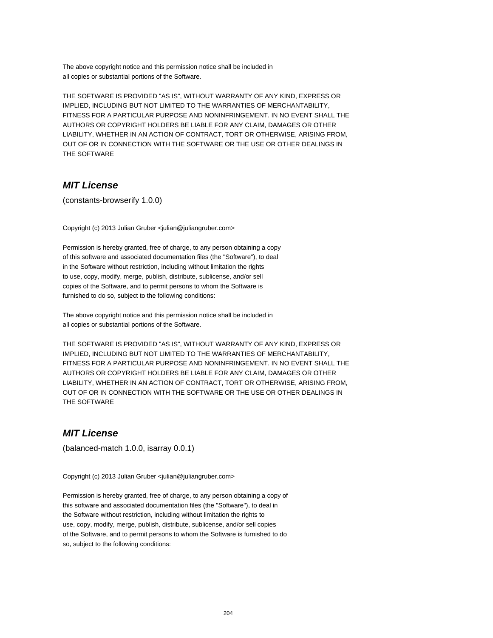The above copyright notice and this permission notice shall be included in all copies or substantial portions of the Software.

THE SOFTWARE IS PROVIDED "AS IS", WITHOUT WARRANTY OF ANY KIND, EXPRESS OR IMPLIED, INCLUDING BUT NOT LIMITED TO THE WARRANTIES OF MERCHANTABILITY, FITNESS FOR A PARTICULAR PURPOSE AND NONINFRINGEMENT. IN NO EVENT SHALL THE AUTHORS OR COPYRIGHT HOLDERS BE LIABLE FOR ANY CLAIM, DAMAGES OR OTHER LIABILITY, WHETHER IN AN ACTION OF CONTRACT, TORT OR OTHERWISE, ARISING FROM, OUT OF OR IN CONNECTION WITH THE SOFTWARE OR THE USE OR OTHER DEALINGS IN THE SOFTWARE

## **MIT License**

(constants-browserify 1.0.0)

Copyright (c) 2013 Julian Gruber <julian@juliangruber.com>

Permission is hereby granted, free of charge, to any person obtaining a copy of this software and associated documentation files (the "Software"), to deal in the Software without restriction, including without limitation the rights to use, copy, modify, merge, publish, distribute, sublicense, and/or sell copies of the Software, and to permit persons to whom the Software is furnished to do so, subject to the following conditions:

The above copyright notice and this permission notice shall be included in all copies or substantial portions of the Software.

THE SOFTWARE IS PROVIDED "AS IS", WITHOUT WARRANTY OF ANY KIND, EXPRESS OR IMPLIED, INCLUDING BUT NOT LIMITED TO THE WARRANTIES OF MERCHANTABILITY, FITNESS FOR A PARTICULAR PURPOSE AND NONINFRINGEMENT. IN NO EVENT SHALL THE AUTHORS OR COPYRIGHT HOLDERS BE LIABLE FOR ANY CLAIM, DAMAGES OR OTHER LIABILITY, WHETHER IN AN ACTION OF CONTRACT, TORT OR OTHERWISE, ARISING FROM, OUT OF OR IN CONNECTION WITH THE SOFTWARE OR THE USE OR OTHER DEALINGS IN THE SOFTWARE

## **MIT License**

(balanced-match 1.0.0, isarray 0.0.1)

Copyright (c) 2013 Julian Gruber <julian@juliangruber.com>

Permission is hereby granted, free of charge, to any person obtaining a copy of this software and associated documentation files (the "Software"), to deal in the Software without restriction, including without limitation the rights to use, copy, modify, merge, publish, distribute, sublicense, and/or sell copies of the Software, and to permit persons to whom the Software is furnished to do so, subject to the following conditions: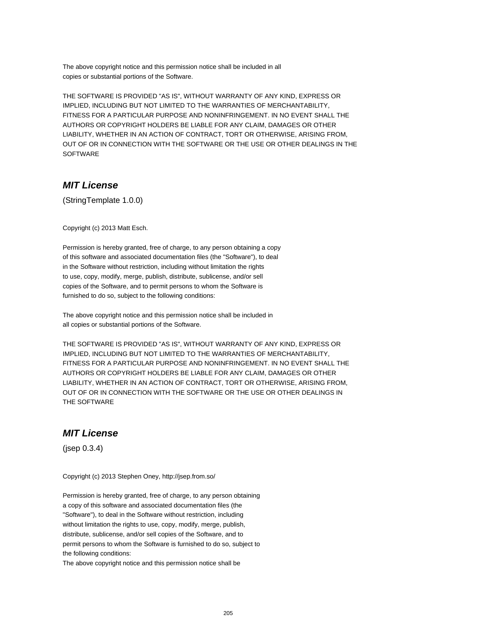The above copyright notice and this permission notice shall be included in all copies or substantial portions of the Software.

THE SOFTWARE IS PROVIDED "AS IS", WITHOUT WARRANTY OF ANY KIND, EXPRESS OR IMPLIED, INCLUDING BUT NOT LIMITED TO THE WARRANTIES OF MERCHANTABILITY, FITNESS FOR A PARTICULAR PURPOSE AND NONINFRINGEMENT. IN NO EVENT SHALL THE AUTHORS OR COPYRIGHT HOLDERS BE LIABLE FOR ANY CLAIM, DAMAGES OR OTHER LIABILITY, WHETHER IN AN ACTION OF CONTRACT, TORT OR OTHERWISE, ARISING FROM, OUT OF OR IN CONNECTION WITH THE SOFTWARE OR THE USE OR OTHER DEALINGS IN THE SOFTWARE

# **MIT License**

(StringTemplate 1.0.0)

Copyright (c) 2013 Matt Esch.

Permission is hereby granted, free of charge, to any person obtaining a copy of this software and associated documentation files (the "Software"), to deal in the Software without restriction, including without limitation the rights to use, copy, modify, merge, publish, distribute, sublicense, and/or sell copies of the Software, and to permit persons to whom the Software is furnished to do so, subject to the following conditions:

The above copyright notice and this permission notice shall be included in all copies or substantial portions of the Software.

THE SOFTWARE IS PROVIDED "AS IS", WITHOUT WARRANTY OF ANY KIND, EXPRESS OR IMPLIED, INCLUDING BUT NOT LIMITED TO THE WARRANTIES OF MERCHANTABILITY, FITNESS FOR A PARTICULAR PURPOSE AND NONINFRINGEMENT. IN NO EVENT SHALL THE AUTHORS OR COPYRIGHT HOLDERS BE LIABLE FOR ANY CLAIM, DAMAGES OR OTHER LIABILITY, WHETHER IN AN ACTION OF CONTRACT, TORT OR OTHERWISE, ARISING FROM, OUT OF OR IN CONNECTION WITH THE SOFTWARE OR THE USE OR OTHER DEALINGS IN THE SOFTWARE

#### **MIT License**

(jsep 0.3.4)

Copyright (c) 2013 Stephen Oney, http://jsep.from.so/

Permission is hereby granted, free of charge, to any person obtaining a copy of this software and associated documentation files (the "Software"), to deal in the Software without restriction, including without limitation the rights to use, copy, modify, merge, publish, distribute, sublicense, and/or sell copies of the Software, and to permit persons to whom the Software is furnished to do so, subject to the following conditions:

The above copyright notice and this permission notice shall be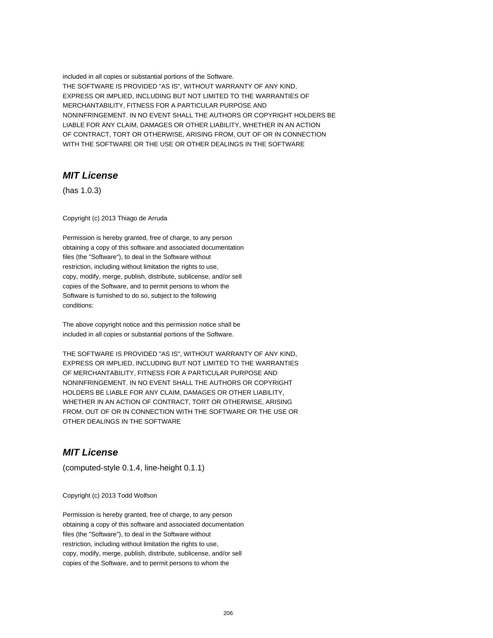## **MIT License**

(has 1.0.3)

Copyright (c) 2013 Thiago de Arruda

Permission is hereby granted, free of charge, to any person obtaining a copy of this software and associated documentation files (the "Software"), to deal in the Software without restriction, including without limitation the rights to use, copy, modify, merge, publish, distribute, sublicense, and/or sell copies of the Software, and to permit persons to whom the Software is furnished to do so, subject to the following conditions:

The above copyright notice and this permission notice shall be included in all copies or substantial portions of the Software.

THE SOFTWARE IS PROVIDED "AS IS", WITHOUT WARRANTY OF ANY KIND, EXPRESS OR IMPLIED, INCLUDING BUT NOT LIMITED TO THE WARRANTIES OF MERCHANTABILITY, FITNESS FOR A PARTICULAR PURPOSE AND NONINFRINGEMENT. IN NO EVENT SHALL THE AUTHORS OR COPYRIGHT HOLDERS BE LIABLE FOR ANY CLAIM, DAMAGES OR OTHER LIABILITY, WHETHER IN AN ACTION OF CONTRACT, TORT OR OTHERWISE, ARISING FROM, OUT OF OR IN CONNECTION WITH THE SOFTWARE OR THE USE OR OTHER DEALINGS IN THE SOFTWARE

# **MIT License**

(computed-style 0.1.4, line-height 0.1.1)

Copyright (c) 2013 Todd Wolfson

Permission is hereby granted, free of charge, to any person obtaining a copy of this software and associated documentation files (the "Software"), to deal in the Software without restriction, including without limitation the rights to use, copy, modify, merge, publish, distribute, sublicense, and/or sell copies of the Software, and to permit persons to whom the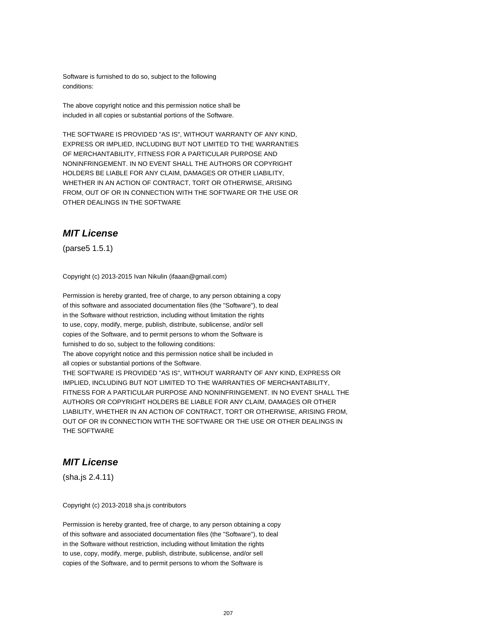Software is furnished to do so, subject to the following conditions:

The above copyright notice and this permission notice shall be included in all copies or substantial portions of the Software.

THE SOFTWARE IS PROVIDED "AS IS", WITHOUT WARRANTY OF ANY KIND, EXPRESS OR IMPLIED, INCLUDING BUT NOT LIMITED TO THE WARRANTIES OF MERCHANTABILITY, FITNESS FOR A PARTICULAR PURPOSE AND NONINFRINGEMENT. IN NO EVENT SHALL THE AUTHORS OR COPYRIGHT HOLDERS BE LIABLE FOR ANY CLAIM, DAMAGES OR OTHER LIABILITY, WHETHER IN AN ACTION OF CONTRACT, TORT OR OTHERWISE, ARISING FROM, OUT OF OR IN CONNECTION WITH THE SOFTWARE OR THE USE OR OTHER DEALINGS IN THE SOFTWARE

#### **MIT License**

(parse5 1.5.1)

Copyright (c) 2013-2015 Ivan Nikulin (ifaaan@gmail.com)

Permission is hereby granted, free of charge, to any person obtaining a copy of this software and associated documentation files (the "Software"), to deal in the Software without restriction, including without limitation the rights to use, copy, modify, merge, publish, distribute, sublicense, and/or sell copies of the Software, and to permit persons to whom the Software is furnished to do so, subject to the following conditions: The above copyright notice and this permission notice shall be included in all copies or substantial portions of the Software. THE SOFTWARE IS PROVIDED "AS IS", WITHOUT WARRANTY OF ANY KIND, EXPRESS OR IMPLIED, INCLUDING BUT NOT LIMITED TO THE WARRANTIES OF MERCHANTABILITY, FITNESS FOR A PARTICULAR PURPOSE AND NONINFRINGEMENT. IN NO EVENT SHALL THE AUTHORS OR COPYRIGHT HOLDERS BE LIABLE FOR ANY CLAIM, DAMAGES OR OTHER LIABILITY, WHETHER IN AN ACTION OF CONTRACT, TORT OR OTHERWISE, ARISING FROM, OUT OF OR IN CONNECTION WITH THE SOFTWARE OR THE USE OR OTHER DEALINGS IN THE SOFTWARE

# **MIT License**

(sha.js 2.4.11)

Copyright (c) 2013-2018 sha.js contributors

Permission is hereby granted, free of charge, to any person obtaining a copy of this software and associated documentation files (the "Software"), to deal in the Software without restriction, including without limitation the rights to use, copy, modify, merge, publish, distribute, sublicense, and/or sell copies of the Software, and to permit persons to whom the Software is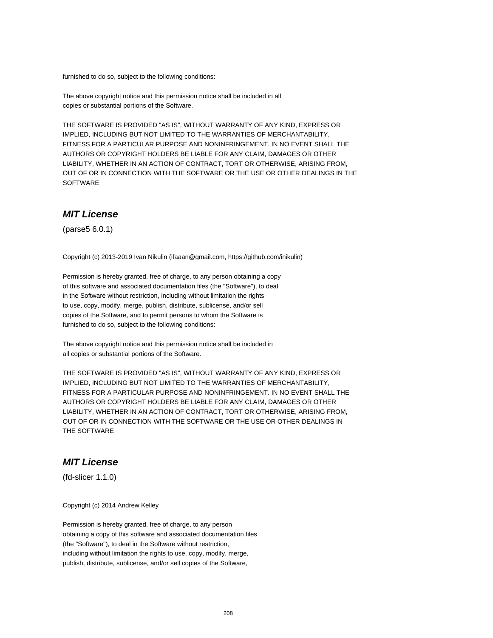furnished to do so, subject to the following conditions:

The above copyright notice and this permission notice shall be included in all copies or substantial portions of the Software.

THE SOFTWARE IS PROVIDED "AS IS", WITHOUT WARRANTY OF ANY KIND, EXPRESS OR IMPLIED, INCLUDING BUT NOT LIMITED TO THE WARRANTIES OF MERCHANTABILITY, FITNESS FOR A PARTICULAR PURPOSE AND NONINFRINGEMENT. IN NO EVENT SHALL THE AUTHORS OR COPYRIGHT HOLDERS BE LIABLE FOR ANY CLAIM, DAMAGES OR OTHER LIABILITY, WHETHER IN AN ACTION OF CONTRACT, TORT OR OTHERWISE, ARISING FROM, OUT OF OR IN CONNECTION WITH THE SOFTWARE OR THE USE OR OTHER DEALINGS IN THE SOFTWARE

# **MIT License**

(parse5 6.0.1)

Copyright (c) 2013-2019 Ivan Nikulin (ifaaan@gmail.com, https://github.com/inikulin)

Permission is hereby granted, free of charge, to any person obtaining a copy of this software and associated documentation files (the "Software"), to deal in the Software without restriction, including without limitation the rights to use, copy, modify, merge, publish, distribute, sublicense, and/or sell copies of the Software, and to permit persons to whom the Software is furnished to do so, subject to the following conditions:

The above copyright notice and this permission notice shall be included in all copies or substantial portions of the Software.

THE SOFTWARE IS PROVIDED "AS IS", WITHOUT WARRANTY OF ANY KIND, EXPRESS OR IMPLIED, INCLUDING BUT NOT LIMITED TO THE WARRANTIES OF MERCHANTABILITY, FITNESS FOR A PARTICULAR PURPOSE AND NONINFRINGEMENT. IN NO EVENT SHALL THE AUTHORS OR COPYRIGHT HOLDERS BE LIABLE FOR ANY CLAIM, DAMAGES OR OTHER LIABILITY, WHETHER IN AN ACTION OF CONTRACT, TORT OR OTHERWISE, ARISING FROM, OUT OF OR IN CONNECTION WITH THE SOFTWARE OR THE USE OR OTHER DEALINGS IN THE SOFTWARE

# **MIT License**

(fd-slicer 1.1.0)

Copyright (c) 2014 Andrew Kelley

Permission is hereby granted, free of charge, to any person obtaining a copy of this software and associated documentation files (the "Software"), to deal in the Software without restriction, including without limitation the rights to use, copy, modify, merge, publish, distribute, sublicense, and/or sell copies of the Software,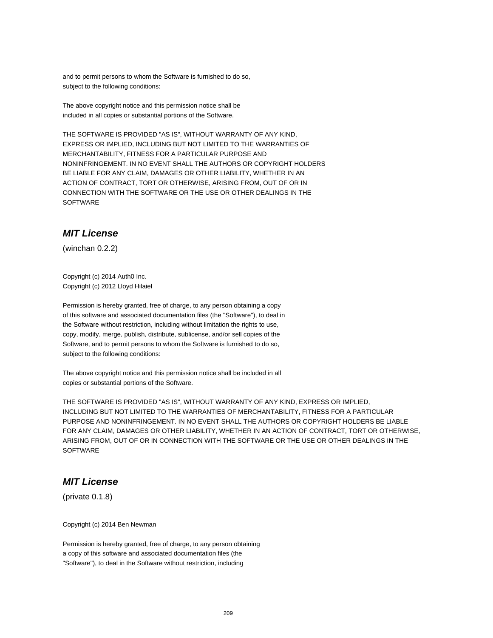and to permit persons to whom the Software is furnished to do so, subject to the following conditions:

The above copyright notice and this permission notice shall be included in all copies or substantial portions of the Software.

THE SOFTWARE IS PROVIDED "AS IS", WITHOUT WARRANTY OF ANY KIND, EXPRESS OR IMPLIED, INCLUDING BUT NOT LIMITED TO THE WARRANTIES OF MERCHANTABILITY, FITNESS FOR A PARTICULAR PURPOSE AND NONINFRINGEMENT. IN NO EVENT SHALL THE AUTHORS OR COPYRIGHT HOLDERS BE LIABLE FOR ANY CLAIM, DAMAGES OR OTHER LIABILITY, WHETHER IN AN ACTION OF CONTRACT, TORT OR OTHERWISE, ARISING FROM, OUT OF OR IN CONNECTION WITH THE SOFTWARE OR THE USE OR OTHER DEALINGS IN THE **SOFTWARE** 

#### **MIT License**

(winchan 0.2.2)

Copyright (c) 2014 Auth0 Inc. Copyright (c) 2012 Lloyd Hilaiel

Permission is hereby granted, free of charge, to any person obtaining a copy of this software and associated documentation files (the "Software"), to deal in the Software without restriction, including without limitation the rights to use, copy, modify, merge, publish, distribute, sublicense, and/or sell copies of the Software, and to permit persons to whom the Software is furnished to do so, subject to the following conditions:

The above copyright notice and this permission notice shall be included in all copies or substantial portions of the Software.

THE SOFTWARE IS PROVIDED "AS IS", WITHOUT WARRANTY OF ANY KIND, EXPRESS OR IMPLIED, INCLUDING BUT NOT LIMITED TO THE WARRANTIES OF MERCHANTABILITY, FITNESS FOR A PARTICULAR PURPOSE AND NONINFRINGEMENT. IN NO EVENT SHALL THE AUTHORS OR COPYRIGHT HOLDERS BE LIABLE FOR ANY CLAIM, DAMAGES OR OTHER LIABILITY, WHETHER IN AN ACTION OF CONTRACT, TORT OR OTHERWISE, ARISING FROM, OUT OF OR IN CONNECTION WITH THE SOFTWARE OR THE USE OR OTHER DEALINGS IN THE **SOFTWARE** 

# **MIT License**

(private 0.1.8)

Copyright (c) 2014 Ben Newman

Permission is hereby granted, free of charge, to any person obtaining a copy of this software and associated documentation files (the "Software"), to deal in the Software without restriction, including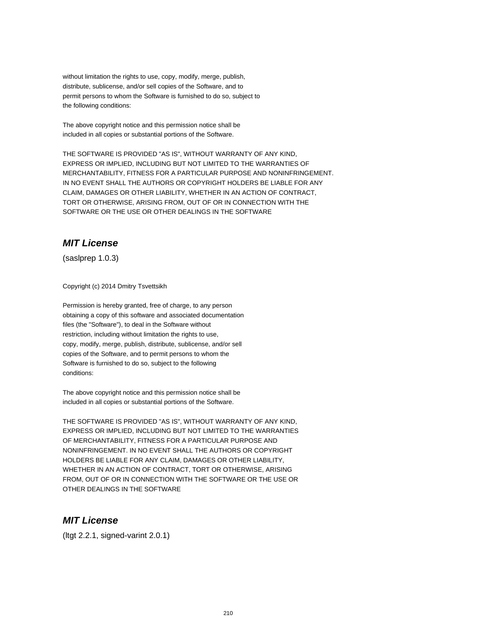without limitation the rights to use, copy, modify, merge, publish, distribute, sublicense, and/or sell copies of the Software, and to permit persons to whom the Software is furnished to do so, subject to the following conditions:

The above copyright notice and this permission notice shall be included in all copies or substantial portions of the Software.

THE SOFTWARE IS PROVIDED "AS IS", WITHOUT WARRANTY OF ANY KIND, EXPRESS OR IMPLIED, INCLUDING BUT NOT LIMITED TO THE WARRANTIES OF MERCHANTABILITY, FITNESS FOR A PARTICULAR PURPOSE AND NONINFRINGEMENT. IN NO EVENT SHALL THE AUTHORS OR COPYRIGHT HOLDERS BE LIABLE FOR ANY CLAIM, DAMAGES OR OTHER LIABILITY, WHETHER IN AN ACTION OF CONTRACT, TORT OR OTHERWISE, ARISING FROM, OUT OF OR IN CONNECTION WITH THE SOFTWARE OR THE USE OR OTHER DEALINGS IN THE SOFTWARE

# **MIT License**

(saslprep 1.0.3)

Copyright (c) 2014 Dmitry Tsvettsikh

Permission is hereby granted, free of charge, to any person obtaining a copy of this software and associated documentation files (the "Software"), to deal in the Software without restriction, including without limitation the rights to use. copy, modify, merge, publish, distribute, sublicense, and/or sell copies of the Software, and to permit persons to whom the Software is furnished to do so, subject to the following conditions:

The above copyright notice and this permission notice shall be included in all copies or substantial portions of the Software.

THE SOFTWARE IS PROVIDED "AS IS", WITHOUT WARRANTY OF ANY KIND, EXPRESS OR IMPLIED, INCLUDING BUT NOT LIMITED TO THE WARRANTIES OF MERCHANTABILITY, FITNESS FOR A PARTICULAR PURPOSE AND NONINFRINGEMENT. IN NO EVENT SHALL THE AUTHORS OR COPYRIGHT HOLDERS BE LIABLE FOR ANY CLAIM, DAMAGES OR OTHER LIABILITY, WHETHER IN AN ACTION OF CONTRACT, TORT OR OTHERWISE, ARISING FROM, OUT OF OR IN CONNECTION WITH THE SOFTWARE OR THE USE OR OTHER DEALINGS IN THE SOFTWARE

#### **MIT License**

(ltgt 2.2.1, signed-varint 2.0.1)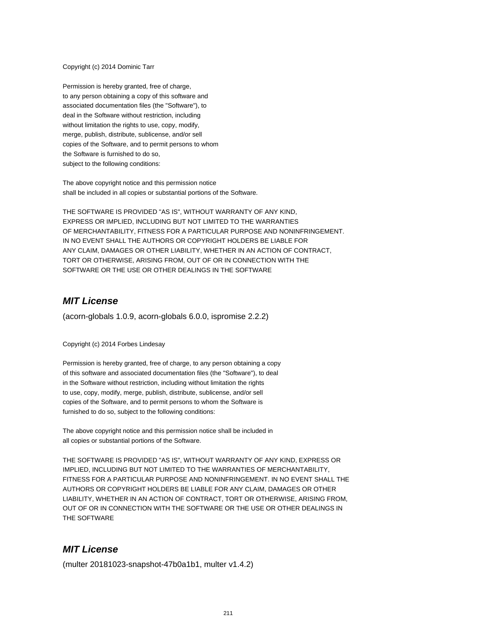#### Copyright (c) 2014 Dominic Tarr

Permission is hereby granted, free of charge, to any person obtaining a copy of this software and associated documentation files (the "Software"), to deal in the Software without restriction, including without limitation the rights to use, copy, modify, merge, publish, distribute, sublicense, and/or sell copies of the Software, and to permit persons to whom the Software is furnished to do so, subject to the following conditions:

The above copyright notice and this permission notice shall be included in all copies or substantial portions of the Software.

THE SOFTWARE IS PROVIDED "AS IS", WITHOUT WARRANTY OF ANY KIND, EXPRESS OR IMPLIED, INCLUDING BUT NOT LIMITED TO THE WARRANTIES OF MERCHANTABILITY, FITNESS FOR A PARTICULAR PURPOSE AND NONINFRINGEMENT. IN NO EVENT SHALL THE AUTHORS OR COPYRIGHT HOLDERS BE LIABLE FOR ANY CLAIM, DAMAGES OR OTHER LIABILITY, WHETHER IN AN ACTION OF CONTRACT, TORT OR OTHERWISE, ARISING FROM, OUT OF OR IN CONNECTION WITH THE SOFTWARE OR THE USE OR OTHER DEALINGS IN THE SOFTWARE

#### **MIT License**

(acorn-globals 1.0.9, acorn-globals 6.0.0, ispromise 2.2.2)

Copyright (c) 2014 Forbes Lindesay

Permission is hereby granted, free of charge, to any person obtaining a copy of this software and associated documentation files (the "Software"), to deal in the Software without restriction, including without limitation the rights to use, copy, modify, merge, publish, distribute, sublicense, and/or sell copies of the Software, and to permit persons to whom the Software is furnished to do so, subject to the following conditions:

The above copyright notice and this permission notice shall be included in all copies or substantial portions of the Software.

THE SOFTWARE IS PROVIDED "AS IS", WITHOUT WARRANTY OF ANY KIND, EXPRESS OR IMPLIED, INCLUDING BUT NOT LIMITED TO THE WARRANTIES OF MERCHANTABILITY, FITNESS FOR A PARTICULAR PURPOSE AND NONINFRINGEMENT. IN NO EVENT SHALL THE AUTHORS OR COPYRIGHT HOLDERS BE LIABLE FOR ANY CLAIM, DAMAGES OR OTHER LIABILITY, WHETHER IN AN ACTION OF CONTRACT, TORT OR OTHERWISE, ARISING FROM, OUT OF OR IN CONNECTION WITH THE SOFTWARE OR THE USE OR OTHER DEALINGS IN THE SOFTWARE

#### **MIT License**

(multer 20181023-snapshot-47b0a1b1, multer v1.4.2)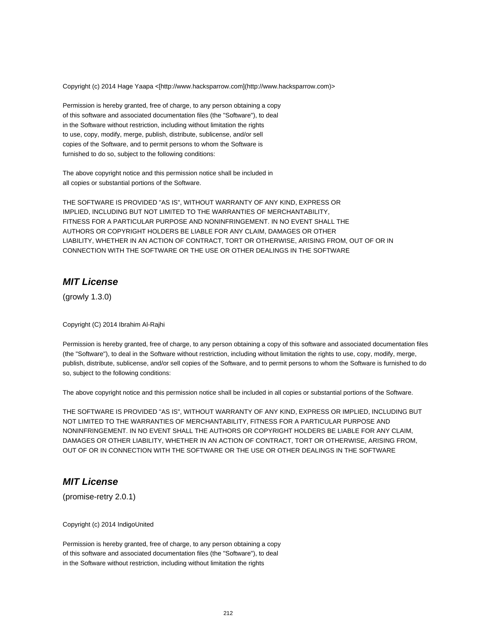Copyright (c) 2014 Hage Yaapa <[http://www.hacksparrow.com](http://www.hacksparrow.com)>

Permission is hereby granted, free of charge, to any person obtaining a copy of this software and associated documentation files (the "Software"), to deal in the Software without restriction, including without limitation the rights to use, copy, modify, merge, publish, distribute, sublicense, and/or sell copies of the Software, and to permit persons to whom the Software is furnished to do so, subject to the following conditions:

The above copyright notice and this permission notice shall be included in all copies or substantial portions of the Software.

THE SOFTWARE IS PROVIDED "AS IS", WITHOUT WARRANTY OF ANY KIND, EXPRESS OR IMPLIED, INCLUDING BUT NOT LIMITED TO THE WARRANTIES OF MERCHANTABILITY, FITNESS FOR A PARTICULAR PURPOSE AND NONINFRINGEMENT. IN NO EVENT SHALL THE AUTHORS OR COPYRIGHT HOLDERS BE LIABLE FOR ANY CLAIM, DAMAGES OR OTHER LIABILITY, WHETHER IN AN ACTION OF CONTRACT, TORT OR OTHERWISE, ARISING FROM, OUT OF OR IN CONNECTION WITH THE SOFTWARE OR THE USE OR OTHER DEALINGS IN THE SOFTWARE

#### **MIT License**

(growly 1.3.0)

Copyright (C) 2014 Ibrahim Al-Rajhi

Permission is hereby granted, free of charge, to any person obtaining a copy of this software and associated documentation files (the "Software"), to deal in the Software without restriction, including without limitation the rights to use, copy, modify, merge, publish, distribute, sublicense, and/or sell copies of the Software, and to permit persons to whom the Software is furnished to do so, subject to the following conditions:

The above copyright notice and this permission notice shall be included in all copies or substantial portions of the Software.

THE SOFTWARE IS PROVIDED "AS IS", WITHOUT WARRANTY OF ANY KIND, EXPRESS OR IMPLIED, INCLUDING BUT NOT LIMITED TO THE WARRANTIES OF MERCHANTABILITY, FITNESS FOR A PARTICULAR PURPOSE AND NONINFRINGEMENT. IN NO EVENT SHALL THE AUTHORS OR COPYRIGHT HOLDERS BE LIABLE FOR ANY CLAIM, DAMAGES OR OTHER LIABILITY, WHETHER IN AN ACTION OF CONTRACT, TORT OR OTHERWISE, ARISING FROM, OUT OF OR IN CONNECTION WITH THE SOFTWARE OR THE USE OR OTHER DEALINGS IN THE SOFTWARE

# **MIT License**

(promise-retry 2.0.1)

Copyright (c) 2014 IndigoUnited

Permission is hereby granted, free of charge, to any person obtaining a copy of this software and associated documentation files (the "Software"), to deal in the Software without restriction, including without limitation the rights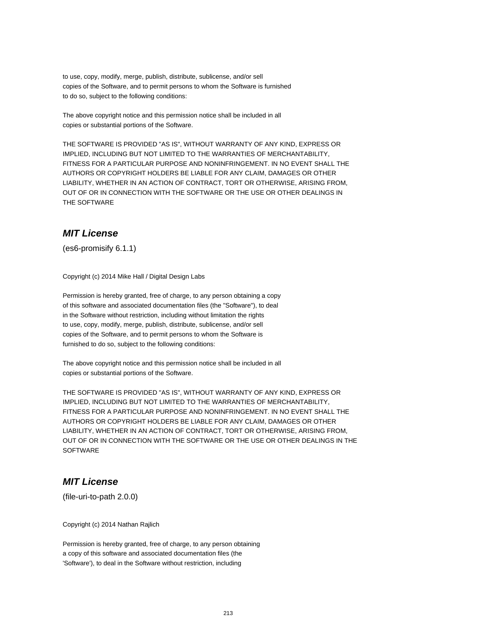to use, copy, modify, merge, publish, distribute, sublicense, and/or sell copies of the Software, and to permit persons to whom the Software is furnished to do so, subject to the following conditions:

The above copyright notice and this permission notice shall be included in all copies or substantial portions of the Software.

THE SOFTWARE IS PROVIDED "AS IS", WITHOUT WARRANTY OF ANY KIND, EXPRESS OR IMPLIED, INCLUDING BUT NOT LIMITED TO THE WARRANTIES OF MERCHANTABILITY, FITNESS FOR A PARTICULAR PURPOSE AND NONINFRINGEMENT. IN NO EVENT SHALL THE AUTHORS OR COPYRIGHT HOLDERS BE LIABLE FOR ANY CLAIM, DAMAGES OR OTHER LIABILITY, WHETHER IN AN ACTION OF CONTRACT, TORT OR OTHERWISE, ARISING FROM, OUT OF OR IN CONNECTION WITH THE SOFTWARE OR THE USE OR OTHER DEALINGS IN THE SOFTWARE

#### **MIT License**

(es6-promisify 6.1.1)

Copyright (c) 2014 Mike Hall / Digital Design Labs

Permission is hereby granted, free of charge, to any person obtaining a copy of this software and associated documentation files (the "Software"), to deal in the Software without restriction, including without limitation the rights to use, copy, modify, merge, publish, distribute, sublicense, and/or sell copies of the Software, and to permit persons to whom the Software is furnished to do so, subject to the following conditions:

The above copyright notice and this permission notice shall be included in all copies or substantial portions of the Software.

THE SOFTWARE IS PROVIDED "AS IS", WITHOUT WARRANTY OF ANY KIND, EXPRESS OR IMPLIED, INCLUDING BUT NOT LIMITED TO THE WARRANTIES OF MERCHANTABILITY, FITNESS FOR A PARTICULAR PURPOSE AND NONINFRINGEMENT. IN NO EVENT SHALL THE AUTHORS OR COPYRIGHT HOLDERS BE LIABLE FOR ANY CLAIM, DAMAGES OR OTHER LIABILITY, WHETHER IN AN ACTION OF CONTRACT, TORT OR OTHERWISE, ARISING FROM, OUT OF OR IN CONNECTION WITH THE SOFTWARE OR THE USE OR OTHER DEALINGS IN THE **SOFTWARE** 

# **MIT License**

(file-uri-to-path 2.0.0)

Copyright (c) 2014 Nathan Rajlich

Permission is hereby granted, free of charge, to any person obtaining a copy of this software and associated documentation files (the 'Software'), to deal in the Software without restriction, including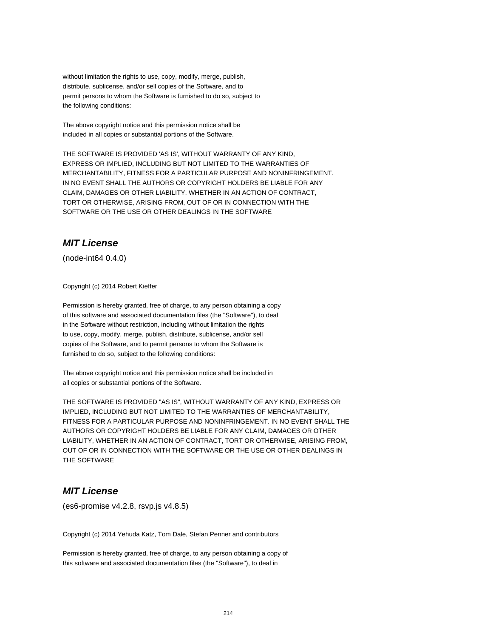without limitation the rights to use, copy, modify, merge, publish, distribute, sublicense, and/or sell copies of the Software, and to permit persons to whom the Software is furnished to do so, subject to the following conditions:

The above copyright notice and this permission notice shall be included in all copies or substantial portions of the Software.

THE SOFTWARE IS PROVIDED 'AS IS', WITHOUT WARRANTY OF ANY KIND, EXPRESS OR IMPLIED, INCLUDING BUT NOT LIMITED TO THE WARRANTIES OF MERCHANTABILITY, FITNESS FOR A PARTICULAR PURPOSE AND NONINFRINGEMENT. IN NO EVENT SHALL THE AUTHORS OR COPYRIGHT HOLDERS BE LIABLE FOR ANY CLAIM, DAMAGES OR OTHER LIABILITY, WHETHER IN AN ACTION OF CONTRACT, TORT OR OTHERWISE, ARISING FROM, OUT OF OR IN CONNECTION WITH THE SOFTWARE OR THE USE OR OTHER DEALINGS IN THE SOFTWARE

# **MIT License**

(node-int64 0.4.0)

Copyright (c) 2014 Robert Kieffer

Permission is hereby granted, free of charge, to any person obtaining a copy of this software and associated documentation files (the "Software"), to deal in the Software without restriction, including without limitation the rights to use, copy, modify, merge, publish, distribute, sublicense, and/or sell copies of the Software, and to permit persons to whom the Software is furnished to do so, subject to the following conditions:

The above copyright notice and this permission notice shall be included in all copies or substantial portions of the Software.

THE SOFTWARE IS PROVIDED "AS IS", WITHOUT WARRANTY OF ANY KIND, EXPRESS OR IMPLIED, INCLUDING BUT NOT LIMITED TO THE WARRANTIES OF MERCHANTABILITY, FITNESS FOR A PARTICULAR PURPOSE AND NONINFRINGEMENT. IN NO EVENT SHALL THE AUTHORS OR COPYRIGHT HOLDERS BE LIABLE FOR ANY CLAIM, DAMAGES OR OTHER LIABILITY, WHETHER IN AN ACTION OF CONTRACT, TORT OR OTHERWISE, ARISING FROM, OUT OF OR IN CONNECTION WITH THE SOFTWARE OR THE USE OR OTHER DEALINGS IN THE SOFTWARE

# **MIT License**

(es6-promise v4.2.8, rsvp.js v4.8.5)

Copyright (c) 2014 Yehuda Katz, Tom Dale, Stefan Penner and contributors

Permission is hereby granted, free of charge, to any person obtaining a copy of this software and associated documentation files (the "Software"), to deal in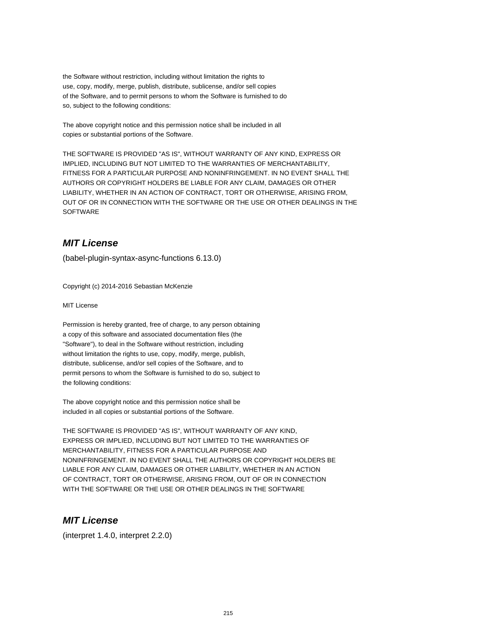the Software without restriction, including without limitation the rights to use, copy, modify, merge, publish, distribute, sublicense, and/or sell copies of the Software, and to permit persons to whom the Software is furnished to do so, subject to the following conditions:

The above copyright notice and this permission notice shall be included in all copies or substantial portions of the Software.

THE SOFTWARE IS PROVIDED "AS IS", WITHOUT WARRANTY OF ANY KIND, EXPRESS OR IMPLIED, INCLUDING BUT NOT LIMITED TO THE WARRANTIES OF MERCHANTABILITY, FITNESS FOR A PARTICULAR PURPOSE AND NONINFRINGEMENT. IN NO EVENT SHALL THE AUTHORS OR COPYRIGHT HOLDERS BE LIABLE FOR ANY CLAIM, DAMAGES OR OTHER LIABILITY, WHETHER IN AN ACTION OF CONTRACT, TORT OR OTHERWISE, ARISING FROM, OUT OF OR IN CONNECTION WITH THE SOFTWARE OR THE USE OR OTHER DEALINGS IN THE SOFTWARE

# **MIT License**

(babel-plugin-syntax-async-functions 6.13.0)

Copyright (c) 2014-2016 Sebastian McKenzie

MIT License

Permission is hereby granted, free of charge, to any person obtaining a copy of this software and associated documentation files (the "Software"), to deal in the Software without restriction, including without limitation the rights to use, copy, modify, merge, publish, distribute, sublicense, and/or sell copies of the Software, and to permit persons to whom the Software is furnished to do so, subject to the following conditions:

The above copyright notice and this permission notice shall be included in all copies or substantial portions of the Software.

THE SOFTWARE IS PROVIDED "AS IS", WITHOUT WARRANTY OF ANY KIND, EXPRESS OR IMPLIED, INCLUDING BUT NOT LIMITED TO THE WARRANTIES OF MERCHANTABILITY, FITNESS FOR A PARTICULAR PURPOSE AND NONINFRINGEMENT. IN NO EVENT SHALL THE AUTHORS OR COPYRIGHT HOLDERS BE LIABLE FOR ANY CLAIM, DAMAGES OR OTHER LIABILITY, WHETHER IN AN ACTION OF CONTRACT, TORT OR OTHERWISE, ARISING FROM, OUT OF OR IN CONNECTION WITH THE SOFTWARE OR THE USE OR OTHER DEALINGS IN THE SOFTWARE

# **MIT License**

(interpret 1.4.0, interpret 2.2.0)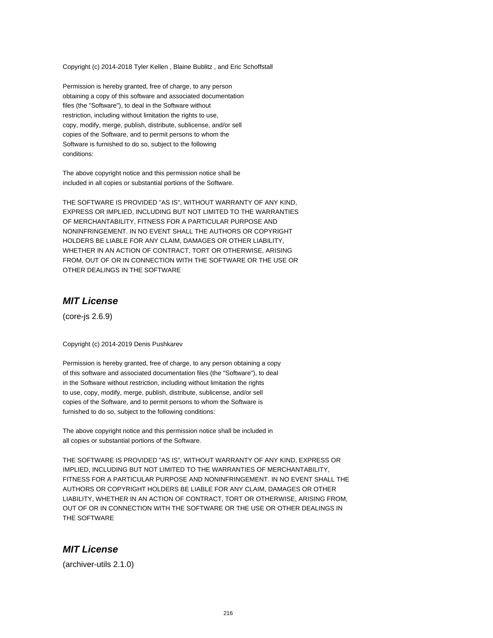Copyright (c) 2014-2018 Tyler Kellen , Blaine Bublitz , and Eric Schoffstall

Permission is hereby granted, free of charge, to any person obtaining a copy of this software and associated documentation files (the "Software"), to deal in the Software without restriction, including without limitation the rights to use, copy, modify, merge, publish, distribute, sublicense, and/or sell copies of the Software, and to permit persons to whom the Software is furnished to do so, subject to the following conditions:

The above copyright notice and this permission notice shall be included in all copies or substantial portions of the Software.

THE SOFTWARE IS PROVIDED "AS IS", WITHOUT WARRANTY OF ANY KIND, EXPRESS OR IMPLIED, INCLUDING BUT NOT LIMITED TO THE WARRANTIES OF MERCHANTABILITY, FITNESS FOR A PARTICULAR PURPOSE AND NONINFRINGEMENT. IN NO EVENT SHALL THE AUTHORS OR COPYRIGHT HOLDERS BE LIABLE FOR ANY CLAIM, DAMAGES OR OTHER LIABILITY, WHETHER IN AN ACTION OF CONTRACT, TORT OR OTHERWISE, ARISING FROM, OUT OF OR IN CONNECTION WITH THE SOFTWARE OR THE USE OR OTHER DEALINGS IN THE SOFTWARE

#### **MIT License**

(core-js 2.6.9)

Copyright (c) 2014-2019 Denis Pushkarev

Permission is hereby granted, free of charge, to any person obtaining a copy of this software and associated documentation files (the "Software"), to deal in the Software without restriction, including without limitation the rights to use, copy, modify, merge, publish, distribute, sublicense, and/or sell copies of the Software, and to permit persons to whom the Software is furnished to do so, subject to the following conditions:

The above copyright notice and this permission notice shall be included in all copies or substantial portions of the Software.

THE SOFTWARE IS PROVIDED "AS IS", WITHOUT WARRANTY OF ANY KIND, EXPRESS OR IMPLIED, INCLUDING BUT NOT LIMITED TO THE WARRANTIES OF MERCHANTABILITY, FITNESS FOR A PARTICULAR PURPOSE AND NONINFRINGEMENT. IN NO EVENT SHALL THE AUTHORS OR COPYRIGHT HOLDERS BE LIABLE FOR ANY CLAIM, DAMAGES OR OTHER LIABILITY, WHETHER IN AN ACTION OF CONTRACT, TORT OR OTHERWISE, ARISING FROM, OUT OF OR IN CONNECTION WITH THE SOFTWARE OR THE USE OR OTHER DEALINGS IN THE SOFTWARE

#### **MIT License**

(archiver-utils 2.1.0)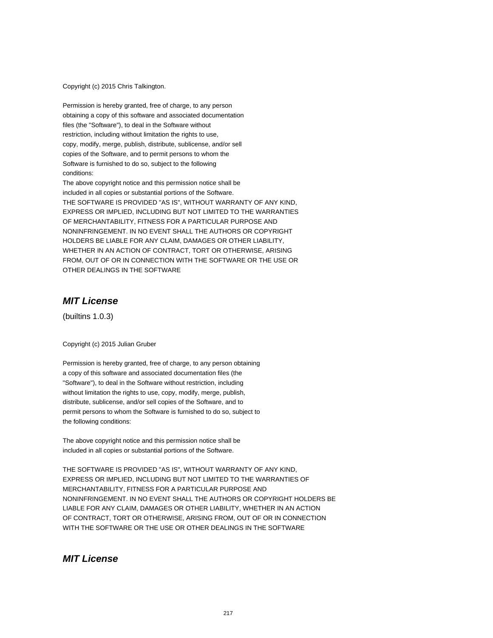Copyright (c) 2015 Chris Talkington.

Permission is hereby granted, free of charge, to any person obtaining a copy of this software and associated documentation files (the "Software"), to deal in the Software without restriction, including without limitation the rights to use, copy, modify, merge, publish, distribute, sublicense, and/or sell copies of the Software, and to permit persons to whom the Software is furnished to do so, subject to the following conditions:

The above copyright notice and this permission notice shall be included in all copies or substantial portions of the Software. THE SOFTWARE IS PROVIDED "AS IS", WITHOUT WARRANTY OF ANY KIND, EXPRESS OR IMPLIED, INCLUDING BUT NOT LIMITED TO THE WARRANTIES OF MERCHANTABILITY, FITNESS FOR A PARTICULAR PURPOSE AND NONINFRINGEMENT. IN NO EVENT SHALL THE AUTHORS OR COPYRIGHT HOLDERS BE LIABLE FOR ANY CLAIM, DAMAGES OR OTHER LIABILITY, WHETHER IN AN ACTION OF CONTRACT, TORT OR OTHERWISE, ARISING FROM, OUT OF OR IN CONNECTION WITH THE SOFTWARE OR THE USE OR OTHER DEALINGS IN THE SOFTWARE

### **MIT License**

(builtins 1.0.3)

Copyright (c) 2015 Julian Gruber

Permission is hereby granted, free of charge, to any person obtaining a copy of this software and associated documentation files (the "Software"), to deal in the Software without restriction, including without limitation the rights to use, copy, modify, merge, publish, distribute, sublicense, and/or sell copies of the Software, and to permit persons to whom the Software is furnished to do so, subject to the following conditions:

The above copyright notice and this permission notice shall be included in all copies or substantial portions of the Software.

THE SOFTWARE IS PROVIDED "AS IS", WITHOUT WARRANTY OF ANY KIND, EXPRESS OR IMPLIED, INCLUDING BUT NOT LIMITED TO THE WARRANTIES OF MERCHANTABILITY, FITNESS FOR A PARTICULAR PURPOSE AND NONINFRINGEMENT. IN NO EVENT SHALL THE AUTHORS OR COPYRIGHT HOLDERS BE LIABLE FOR ANY CLAIM, DAMAGES OR OTHER LIABILITY, WHETHER IN AN ACTION OF CONTRACT, TORT OR OTHERWISE, ARISING FROM, OUT OF OR IN CONNECTION WITH THE SOFTWARE OR THE USE OR OTHER DEALINGS IN THE SOFTWARE

### **MIT License**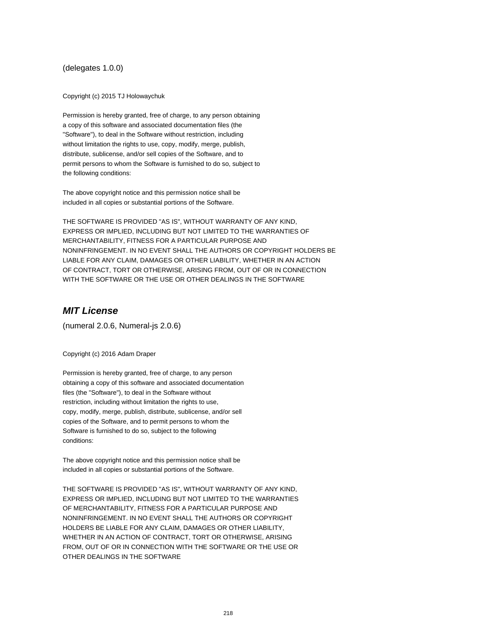#### (delegates 1.0.0)

Copyright (c) 2015 TJ Holowaychuk

Permission is hereby granted, free of charge, to any person obtaining a copy of this software and associated documentation files (the "Software"), to deal in the Software without restriction, including without limitation the rights to use, copy, modify, merge, publish, distribute, sublicense, and/or sell copies of the Software, and to permit persons to whom the Software is furnished to do so, subject to the following conditions:

The above copyright notice and this permission notice shall be included in all copies or substantial portions of the Software.

THE SOFTWARE IS PROVIDED "AS IS", WITHOUT WARRANTY OF ANY KIND, EXPRESS OR IMPLIED, INCLUDING BUT NOT LIMITED TO THE WARRANTIES OF MERCHANTABILITY, FITNESS FOR A PARTICULAR PURPOSE AND NONINFRINGEMENT. IN NO EVENT SHALL THE AUTHORS OR COPYRIGHT HOLDERS BE LIABLE FOR ANY CLAIM, DAMAGES OR OTHER LIABILITY, WHETHER IN AN ACTION OF CONTRACT, TORT OR OTHERWISE, ARISING FROM, OUT OF OR IN CONNECTION WITH THE SOFTWARE OR THE USE OR OTHER DEALINGS IN THE SOFTWARE

## **MIT License**

(numeral 2.0.6, Numeral-js 2.0.6)

Copyright (c) 2016 Adam Draper

Permission is hereby granted, free of charge, to any person obtaining a copy of this software and associated documentation files (the "Software"), to deal in the Software without restriction, including without limitation the rights to use, copy, modify, merge, publish, distribute, sublicense, and/or sell copies of the Software, and to permit persons to whom the Software is furnished to do so, subject to the following conditions:

The above copyright notice and this permission notice shall be included in all copies or substantial portions of the Software.

THE SOFTWARE IS PROVIDED "AS IS", WITHOUT WARRANTY OF ANY KIND, EXPRESS OR IMPLIED, INCLUDING BUT NOT LIMITED TO THE WARRANTIES OF MERCHANTABILITY, FITNESS FOR A PARTICULAR PURPOSE AND NONINFRINGEMENT. IN NO EVENT SHALL THE AUTHORS OR COPYRIGHT HOLDERS BE LIABLE FOR ANY CLAIM, DAMAGES OR OTHER LIABILITY, WHETHER IN AN ACTION OF CONTRACT, TORT OR OTHERWISE, ARISING FROM, OUT OF OR IN CONNECTION WITH THE SOFTWARE OR THE USE OR OTHER DEALINGS IN THE SOFTWARE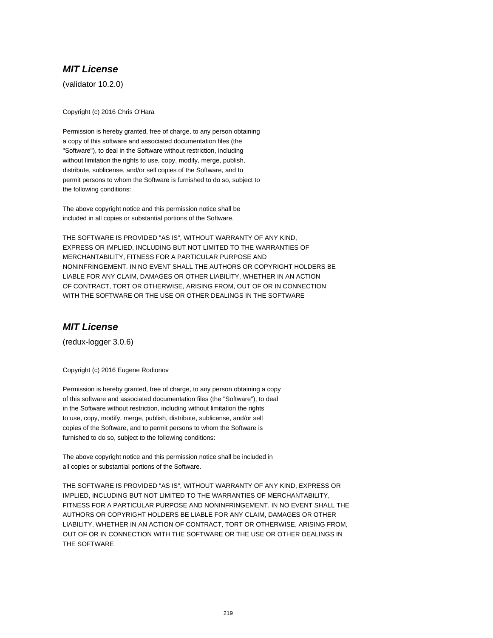(validator 10.2.0)

Copyright (c) 2016 Chris O'Hara

Permission is hereby granted, free of charge, to any person obtaining a copy of this software and associated documentation files (the "Software"), to deal in the Software without restriction, including without limitation the rights to use, copy, modify, merge, publish, distribute, sublicense, and/or sell copies of the Software, and to permit persons to whom the Software is furnished to do so, subject to the following conditions:

The above copyright notice and this permission notice shall be included in all copies or substantial portions of the Software.

THE SOFTWARE IS PROVIDED "AS IS", WITHOUT WARRANTY OF ANY KIND, EXPRESS OR IMPLIED, INCLUDING BUT NOT LIMITED TO THE WARRANTIES OF MERCHANTABILITY, FITNESS FOR A PARTICULAR PURPOSE AND NONINFRINGEMENT. IN NO EVENT SHALL THE AUTHORS OR COPYRIGHT HOLDERS BE LIABLE FOR ANY CLAIM, DAMAGES OR OTHER LIABILITY, WHETHER IN AN ACTION OF CONTRACT, TORT OR OTHERWISE, ARISING FROM, OUT OF OR IN CONNECTION WITH THE SOFTWARE OR THE USE OR OTHER DEALINGS IN THE SOFTWARE

## **MIT License**

(redux-logger 3.0.6)

Copyright (c) 2016 Eugene Rodionov

Permission is hereby granted, free of charge, to any person obtaining a copy of this software and associated documentation files (the "Software"), to deal in the Software without restriction, including without limitation the rights to use, copy, modify, merge, publish, distribute, sublicense, and/or sell copies of the Software, and to permit persons to whom the Software is furnished to do so, subject to the following conditions:

The above copyright notice and this permission notice shall be included in all copies or substantial portions of the Software.

THE SOFTWARE IS PROVIDED "AS IS", WITHOUT WARRANTY OF ANY KIND, EXPRESS OR IMPLIED, INCLUDING BUT NOT LIMITED TO THE WARRANTIES OF MERCHANTABILITY, FITNESS FOR A PARTICULAR PURPOSE AND NONINFRINGEMENT. IN NO EVENT SHALL THE AUTHORS OR COPYRIGHT HOLDERS BE LIABLE FOR ANY CLAIM, DAMAGES OR OTHER LIABILITY, WHETHER IN AN ACTION OF CONTRACT, TORT OR OTHERWISE, ARISING FROM, OUT OF OR IN CONNECTION WITH THE SOFTWARE OR THE USE OR OTHER DEALINGS IN THE SOFTWARE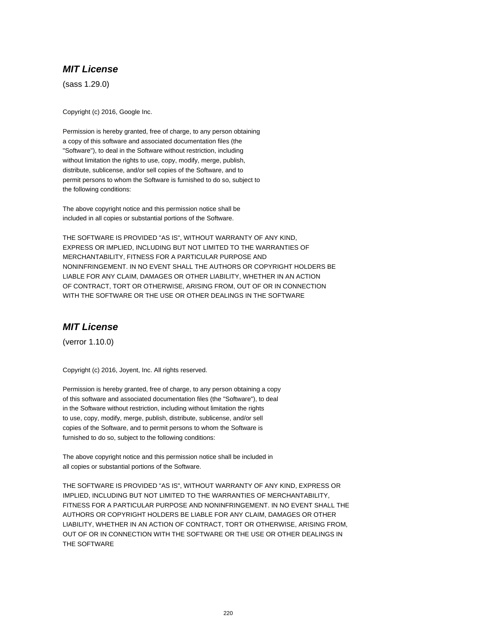(sass 1.29.0)

Copyright (c) 2016, Google Inc.

Permission is hereby granted, free of charge, to any person obtaining a copy of this software and associated documentation files (the "Software"), to deal in the Software without restriction, including without limitation the rights to use, copy, modify, merge, publish, distribute, sublicense, and/or sell copies of the Software, and to permit persons to whom the Software is furnished to do so, subject to the following conditions:

The above copyright notice and this permission notice shall be included in all copies or substantial portions of the Software.

THE SOFTWARE IS PROVIDED "AS IS", WITHOUT WARRANTY OF ANY KIND, EXPRESS OR IMPLIED, INCLUDING BUT NOT LIMITED TO THE WARRANTIES OF MERCHANTABILITY, FITNESS FOR A PARTICULAR PURPOSE AND NONINFRINGEMENT. IN NO EVENT SHALL THE AUTHORS OR COPYRIGHT HOLDERS BE LIABLE FOR ANY CLAIM, DAMAGES OR OTHER LIABILITY, WHETHER IN AN ACTION OF CONTRACT, TORT OR OTHERWISE, ARISING FROM, OUT OF OR IN CONNECTION WITH THE SOFTWARE OR THE USE OR OTHER DEALINGS IN THE SOFTWARE

# **MIT License**

(verror 1.10.0)

Copyright (c) 2016, Joyent, Inc. All rights reserved.

Permission is hereby granted, free of charge, to any person obtaining a copy of this software and associated documentation files (the "Software"), to deal in the Software without restriction, including without limitation the rights to use, copy, modify, merge, publish, distribute, sublicense, and/or sell copies of the Software, and to permit persons to whom the Software is furnished to do so, subject to the following conditions:

The above copyright notice and this permission notice shall be included in all copies or substantial portions of the Software.

THE SOFTWARE IS PROVIDED "AS IS", WITHOUT WARRANTY OF ANY KIND, EXPRESS OR IMPLIED, INCLUDING BUT NOT LIMITED TO THE WARRANTIES OF MERCHANTABILITY, FITNESS FOR A PARTICULAR PURPOSE AND NONINFRINGEMENT. IN NO EVENT SHALL THE AUTHORS OR COPYRIGHT HOLDERS BE LIABLE FOR ANY CLAIM, DAMAGES OR OTHER LIABILITY, WHETHER IN AN ACTION OF CONTRACT, TORT OR OTHERWISE, ARISING FROM, OUT OF OR IN CONNECTION WITH THE SOFTWARE OR THE USE OR OTHER DEALINGS IN THE SOFTWARE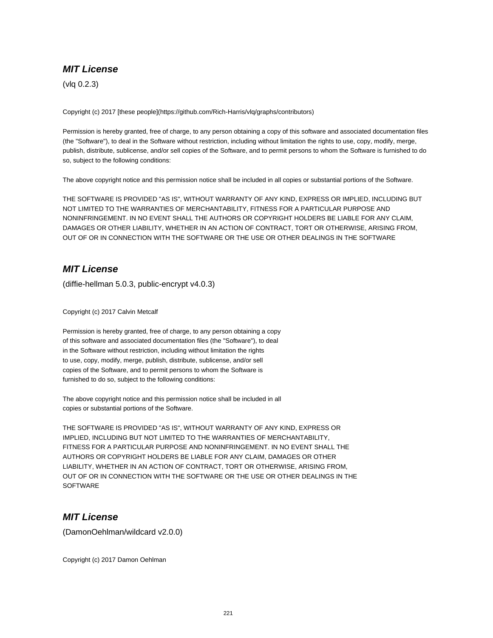(vlq 0.2.3)

Copyright (c) 2017 [these people](https://github.com/Rich-Harris/vlq/graphs/contributors)

Permission is hereby granted, free of charge, to any person obtaining a copy of this software and associated documentation files (the "Software"), to deal in the Software without restriction, including without limitation the rights to use, copy, modify, merge, publish, distribute, sublicense, and/or sell copies of the Software, and to permit persons to whom the Software is furnished to do so, subject to the following conditions:

The above copyright notice and this permission notice shall be included in all copies or substantial portions of the Software.

THE SOFTWARE IS PROVIDED "AS IS", WITHOUT WARRANTY OF ANY KIND, EXPRESS OR IMPLIED, INCLUDING BUT NOT LIMITED TO THE WARRANTIES OF MERCHANTABILITY, FITNESS FOR A PARTICULAR PURPOSE AND NONINFRINGEMENT. IN NO EVENT SHALL THE AUTHORS OR COPYRIGHT HOLDERS BE LIABLE FOR ANY CLAIM, DAMAGES OR OTHER LIABILITY, WHETHER IN AN ACTION OF CONTRACT, TORT OR OTHERWISE, ARISING FROM, OUT OF OR IN CONNECTION WITH THE SOFTWARE OR THE USE OR OTHER DEALINGS IN THE SOFTWARE

## **MIT License**

(diffie-hellman 5.0.3, public-encrypt v4.0.3)

Copyright (c) 2017 Calvin Metcalf

Permission is hereby granted, free of charge, to any person obtaining a copy of this software and associated documentation files (the "Software"), to deal in the Software without restriction, including without limitation the rights to use, copy, modify, merge, publish, distribute, sublicense, and/or sell copies of the Software, and to permit persons to whom the Software is furnished to do so, subject to the following conditions:

The above copyright notice and this permission notice shall be included in all copies or substantial portions of the Software.

THE SOFTWARE IS PROVIDED "AS IS", WITHOUT WARRANTY OF ANY KIND, EXPRESS OR IMPLIED, INCLUDING BUT NOT LIMITED TO THE WARRANTIES OF MERCHANTABILITY, FITNESS FOR A PARTICULAR PURPOSE AND NONINFRINGEMENT. IN NO EVENT SHALL THE AUTHORS OR COPYRIGHT HOLDERS BE LIABLE FOR ANY CLAIM, DAMAGES OR OTHER LIABILITY, WHETHER IN AN ACTION OF CONTRACT, TORT OR OTHERWISE, ARISING FROM, OUT OF OR IN CONNECTION WITH THE SOFTWARE OR THE USE OR OTHER DEALINGS IN THE **SOFTWARE** 

# **MIT License**

(DamonOehlman/wildcard v2.0.0)

Copyright (c) 2017 Damon Oehlman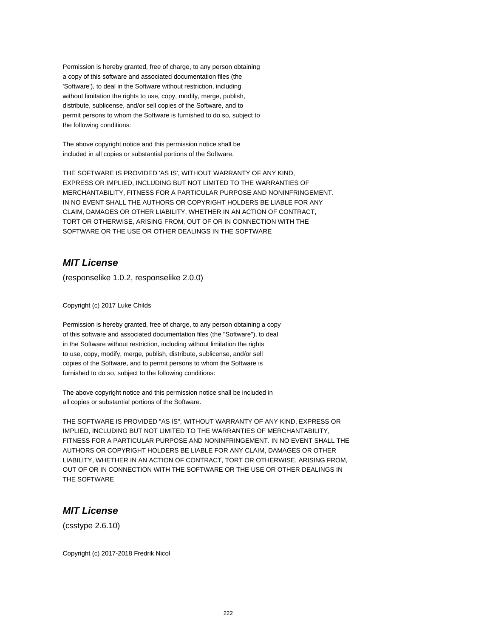Permission is hereby granted, free of charge, to any person obtaining a copy of this software and associated documentation files (the 'Software'), to deal in the Software without restriction, including without limitation the rights to use, copy, modify, merge, publish, distribute, sublicense, and/or sell copies of the Software, and to permit persons to whom the Software is furnished to do so, subject to the following conditions:

The above copyright notice and this permission notice shall be included in all copies or substantial portions of the Software.

THE SOFTWARE IS PROVIDED 'AS IS', WITHOUT WARRANTY OF ANY KIND, EXPRESS OR IMPLIED, INCLUDING BUT NOT LIMITED TO THE WARRANTIES OF MERCHANTABILITY, FITNESS FOR A PARTICULAR PURPOSE AND NONINFRINGEMENT. IN NO EVENT SHALL THE AUTHORS OR COPYRIGHT HOLDERS BE LIABLE FOR ANY CLAIM, DAMAGES OR OTHER LIABILITY, WHETHER IN AN ACTION OF CONTRACT, TORT OR OTHERWISE, ARISING FROM, OUT OF OR IN CONNECTION WITH THE SOFTWARE OR THE USE OR OTHER DEALINGS IN THE SOFTWARE

## **MIT License**

(responselike 1.0.2, responselike 2.0.0)

Copyright (c) 2017 Luke Childs

Permission is hereby granted, free of charge, to any person obtaining a copy of this software and associated documentation files (the "Software"), to deal in the Software without restriction, including without limitation the rights to use, copy, modify, merge, publish, distribute, sublicense, and/or sell copies of the Software, and to permit persons to whom the Software is furnished to do so, subject to the following conditions:

The above copyright notice and this permission notice shall be included in all copies or substantial portions of the Software.

THE SOFTWARE IS PROVIDED "AS IS", WITHOUT WARRANTY OF ANY KIND, EXPRESS OR IMPLIED, INCLUDING BUT NOT LIMITED TO THE WARRANTIES OF MERCHANTABILITY, FITNESS FOR A PARTICULAR PURPOSE AND NONINFRINGEMENT. IN NO EVENT SHALL THE AUTHORS OR COPYRIGHT HOLDERS BE LIABLE FOR ANY CLAIM, DAMAGES OR OTHER LIABILITY, WHETHER IN AN ACTION OF CONTRACT, TORT OR OTHERWISE, ARISING FROM, OUT OF OR IN CONNECTION WITH THE SOFTWARE OR THE USE OR OTHER DEALINGS IN THE SOFTWARE

## **MIT License**

(csstype 2.6.10)

Copyright (c) 2017-2018 Fredrik Nicol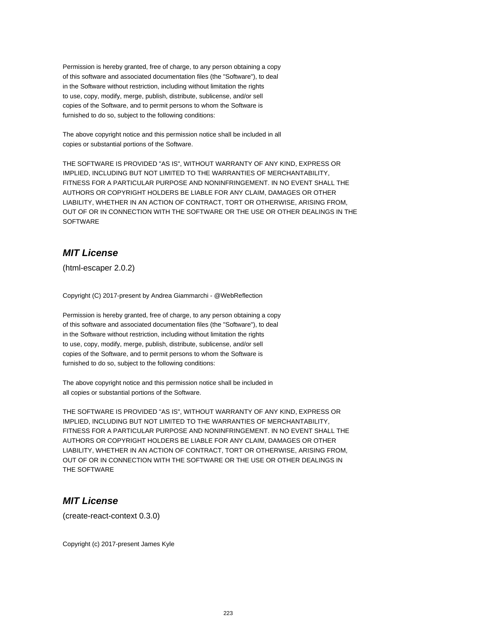Permission is hereby granted, free of charge, to any person obtaining a copy of this software and associated documentation files (the "Software"), to deal in the Software without restriction, including without limitation the rights to use, copy, modify, merge, publish, distribute, sublicense, and/or sell copies of the Software, and to permit persons to whom the Software is furnished to do so, subject to the following conditions:

The above copyright notice and this permission notice shall be included in all copies or substantial portions of the Software.

THE SOFTWARE IS PROVIDED "AS IS", WITHOUT WARRANTY OF ANY KIND, EXPRESS OR IMPLIED, INCLUDING BUT NOT LIMITED TO THE WARRANTIES OF MERCHANTABILITY, FITNESS FOR A PARTICULAR PURPOSE AND NONINFRINGEMENT. IN NO EVENT SHALL THE AUTHORS OR COPYRIGHT HOLDERS BE LIABLE FOR ANY CLAIM, DAMAGES OR OTHER LIABILITY, WHETHER IN AN ACTION OF CONTRACT, TORT OR OTHERWISE, ARISING FROM, OUT OF OR IN CONNECTION WITH THE SOFTWARE OR THE USE OR OTHER DEALINGS IN THE SOFTWARE

## **MIT License**

(html-escaper 2.0.2)

Copyright (C) 2017-present by Andrea Giammarchi - @WebReflection

Permission is hereby granted, free of charge, to any person obtaining a copy of this software and associated documentation files (the "Software"), to deal in the Software without restriction, including without limitation the rights to use, copy, modify, merge, publish, distribute, sublicense, and/or sell copies of the Software, and to permit persons to whom the Software is furnished to do so, subject to the following conditions:

The above copyright notice and this permission notice shall be included in all copies or substantial portions of the Software.

THE SOFTWARE IS PROVIDED "AS IS", WITHOUT WARRANTY OF ANY KIND, EXPRESS OR IMPLIED, INCLUDING BUT NOT LIMITED TO THE WARRANTIES OF MERCHANTABILITY, FITNESS FOR A PARTICULAR PURPOSE AND NONINFRINGEMENT. IN NO EVENT SHALL THE AUTHORS OR COPYRIGHT HOLDERS BE LIABLE FOR ANY CLAIM, DAMAGES OR OTHER LIABILITY, WHETHER IN AN ACTION OF CONTRACT, TORT OR OTHERWISE, ARISING FROM, OUT OF OR IN CONNECTION WITH THE SOFTWARE OR THE USE OR OTHER DEALINGS IN THE SOFTWARE

#### **MIT License**

(create-react-context 0.3.0)

Copyright (c) 2017-present James Kyle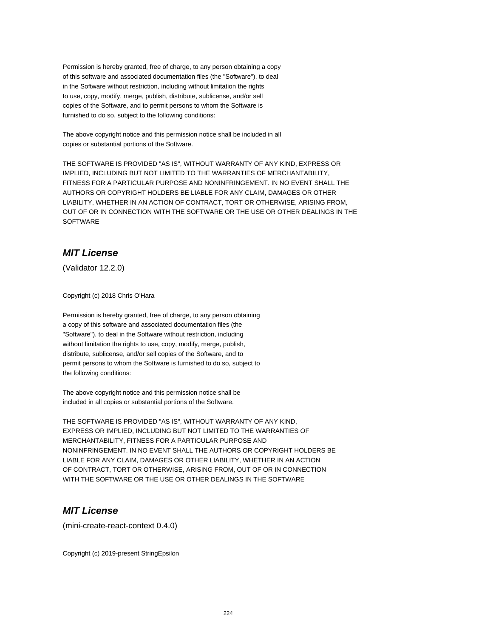Permission is hereby granted, free of charge, to any person obtaining a copy of this software and associated documentation files (the "Software"), to deal in the Software without restriction, including without limitation the rights to use, copy, modify, merge, publish, distribute, sublicense, and/or sell copies of the Software, and to permit persons to whom the Software is furnished to do so, subject to the following conditions:

The above copyright notice and this permission notice shall be included in all copies or substantial portions of the Software.

THE SOFTWARE IS PROVIDED "AS IS", WITHOUT WARRANTY OF ANY KIND, EXPRESS OR IMPLIED, INCLUDING BUT NOT LIMITED TO THE WARRANTIES OF MERCHANTABILITY, FITNESS FOR A PARTICULAR PURPOSE AND NONINFRINGEMENT. IN NO EVENT SHALL THE AUTHORS OR COPYRIGHT HOLDERS BE LIABLE FOR ANY CLAIM, DAMAGES OR OTHER LIABILITY, WHETHER IN AN ACTION OF CONTRACT, TORT OR OTHERWISE, ARISING FROM, OUT OF OR IN CONNECTION WITH THE SOFTWARE OR THE USE OR OTHER DEALINGS IN THE SOFTWARE

## **MIT License**

(Validator 12.2.0)

Copyright (c) 2018 Chris O'Hara

Permission is hereby granted, free of charge, to any person obtaining a copy of this software and associated documentation files (the "Software"), to deal in the Software without restriction, including without limitation the rights to use, copy, modify, merge, publish, distribute, sublicense, and/or sell copies of the Software, and to permit persons to whom the Software is furnished to do so, subject to the following conditions:

The above copyright notice and this permission notice shall be included in all copies or substantial portions of the Software.

THE SOFTWARE IS PROVIDED "AS IS", WITHOUT WARRANTY OF ANY KIND, EXPRESS OR IMPLIED, INCLUDING BUT NOT LIMITED TO THE WARRANTIES OF MERCHANTABILITY, FITNESS FOR A PARTICULAR PURPOSE AND NONINFRINGEMENT. IN NO EVENT SHALL THE AUTHORS OR COPYRIGHT HOLDERS BE LIABLE FOR ANY CLAIM, DAMAGES OR OTHER LIABILITY, WHETHER IN AN ACTION OF CONTRACT, TORT OR OTHERWISE, ARISING FROM, OUT OF OR IN CONNECTION WITH THE SOFTWARE OR THE USE OR OTHER DEALINGS IN THE SOFTWARE

## **MIT License**

(mini-create-react-context 0.4.0)

Copyright (c) 2019-present StringEpsilon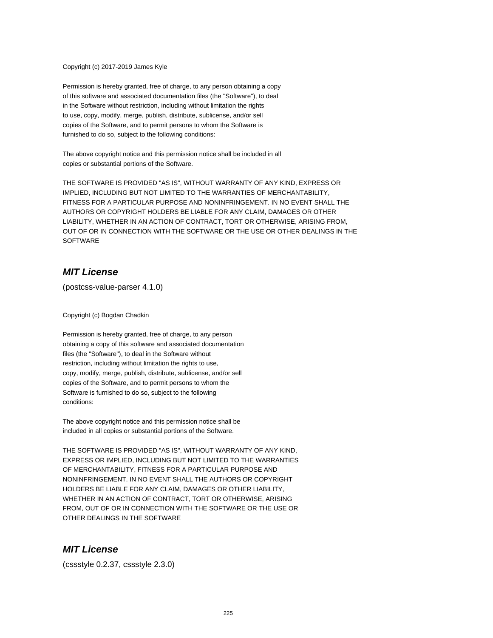#### Copyright (c) 2017-2019 James Kyle

Permission is hereby granted, free of charge, to any person obtaining a copy of this software and associated documentation files (the "Software"), to deal in the Software without restriction, including without limitation the rights to use, copy, modify, merge, publish, distribute, sublicense, and/or sell copies of the Software, and to permit persons to whom the Software is furnished to do so, subject to the following conditions:

The above copyright notice and this permission notice shall be included in all copies or substantial portions of the Software.

THE SOFTWARE IS PROVIDED "AS IS", WITHOUT WARRANTY OF ANY KIND, EXPRESS OR IMPLIED, INCLUDING BUT NOT LIMITED TO THE WARRANTIES OF MERCHANTABILITY, FITNESS FOR A PARTICULAR PURPOSE AND NONINFRINGEMENT. IN NO EVENT SHALL THE AUTHORS OR COPYRIGHT HOLDERS BE LIABLE FOR ANY CLAIM, DAMAGES OR OTHER LIABILITY, WHETHER IN AN ACTION OF CONTRACT, TORT OR OTHERWISE, ARISING FROM, OUT OF OR IN CONNECTION WITH THE SOFTWARE OR THE USE OR OTHER DEALINGS IN THE **SOFTWARE** 

#### **MIT License**

(postcss-value-parser 4.1.0)

Copyright (c) Bogdan Chadkin

Permission is hereby granted, free of charge, to any person obtaining a copy of this software and associated documentation files (the "Software"), to deal in the Software without restriction, including without limitation the rights to use, copy, modify, merge, publish, distribute, sublicense, and/or sell copies of the Software, and to permit persons to whom the Software is furnished to do so, subject to the following conditions:

The above copyright notice and this permission notice shall be included in all copies or substantial portions of the Software.

THE SOFTWARE IS PROVIDED "AS IS", WITHOUT WARRANTY OF ANY KIND, EXPRESS OR IMPLIED, INCLUDING BUT NOT LIMITED TO THE WARRANTIES OF MERCHANTABILITY, FITNESS FOR A PARTICULAR PURPOSE AND NONINFRINGEMENT. IN NO EVENT SHALL THE AUTHORS OR COPYRIGHT HOLDERS BE LIABLE FOR ANY CLAIM, DAMAGES OR OTHER LIABILITY, WHETHER IN AN ACTION OF CONTRACT, TORT OR OTHERWISE, ARISING FROM, OUT OF OR IN CONNECTION WITH THE SOFTWARE OR THE USE OR OTHER DEALINGS IN THE SOFTWARE

## **MIT License**

(cssstyle 0.2.37, cssstyle 2.3.0)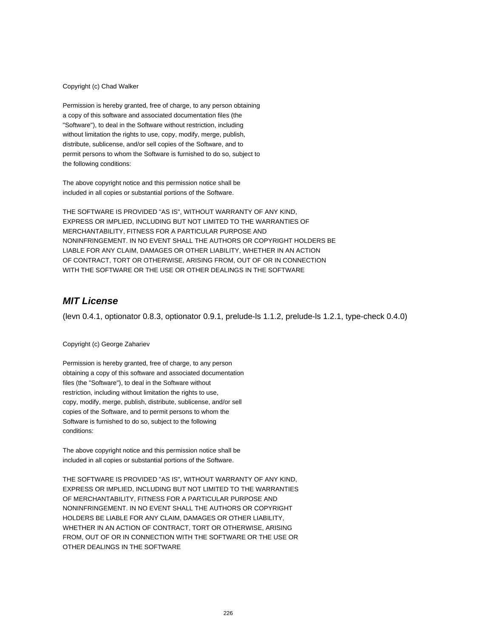#### Copyright (c) Chad Walker

Permission is hereby granted, free of charge, to any person obtaining a copy of this software and associated documentation files (the "Software"), to deal in the Software without restriction, including without limitation the rights to use, copy, modify, merge, publish, distribute, sublicense, and/or sell copies of the Software, and to permit persons to whom the Software is furnished to do so, subject to the following conditions:

The above copyright notice and this permission notice shall be included in all copies or substantial portions of the Software.

THE SOFTWARE IS PROVIDED "AS IS", WITHOUT WARRANTY OF ANY KIND, EXPRESS OR IMPLIED, INCLUDING BUT NOT LIMITED TO THE WARRANTIES OF MERCHANTABILITY, FITNESS FOR A PARTICULAR PURPOSE AND NONINFRINGEMENT. IN NO EVENT SHALL THE AUTHORS OR COPYRIGHT HOLDERS BE LIABLE FOR ANY CLAIM, DAMAGES OR OTHER LIABILITY, WHETHER IN AN ACTION OF CONTRACT, TORT OR OTHERWISE, ARISING FROM, OUT OF OR IN CONNECTION WITH THE SOFTWARE OR THE USE OR OTHER DEALINGS IN THE SOFTWARE

#### **MIT License**

(levn 0.4.1, optionator 0.8.3, optionator 0.9.1, prelude-ls 1.1.2, prelude-ls 1.2.1, type-check 0.4.0)

#### Copyright (c) George Zahariev

Permission is hereby granted, free of charge, to any person obtaining a copy of this software and associated documentation files (the "Software"), to deal in the Software without restriction, including without limitation the rights to use, copy, modify, merge, publish, distribute, sublicense, and/or sell copies of the Software, and to permit persons to whom the Software is furnished to do so, subject to the following conditions:

The above copyright notice and this permission notice shall be included in all copies or substantial portions of the Software.

THE SOFTWARE IS PROVIDED "AS IS", WITHOUT WARRANTY OF ANY KIND, EXPRESS OR IMPLIED, INCLUDING BUT NOT LIMITED TO THE WARRANTIES OF MERCHANTABILITY, FITNESS FOR A PARTICULAR PURPOSE AND NONINFRINGEMENT. IN NO EVENT SHALL THE AUTHORS OR COPYRIGHT HOLDERS BE LIABLE FOR ANY CLAIM, DAMAGES OR OTHER LIABILITY, WHETHER IN AN ACTION OF CONTRACT, TORT OR OTHERWISE, ARISING FROM, OUT OF OR IN CONNECTION WITH THE SOFTWARE OR THE USE OR OTHER DEALINGS IN THE SOFTWARE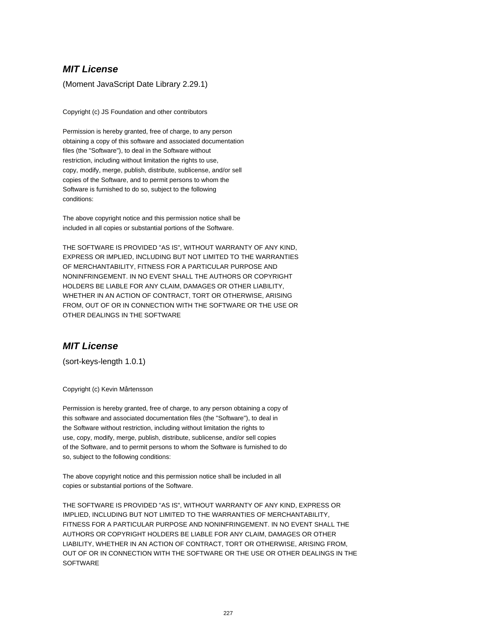(Moment JavaScript Date Library 2.29.1)

Copyright (c) JS Foundation and other contributors

Permission is hereby granted, free of charge, to any person obtaining a copy of this software and associated documentation files (the "Software"), to deal in the Software without restriction, including without limitation the rights to use, copy, modify, merge, publish, distribute, sublicense, and/or sell copies of the Software, and to permit persons to whom the Software is furnished to do so, subject to the following conditions:

The above copyright notice and this permission notice shall be included in all copies or substantial portions of the Software.

THE SOFTWARE IS PROVIDED "AS IS", WITHOUT WARRANTY OF ANY KIND, EXPRESS OR IMPLIED, INCLUDING BUT NOT LIMITED TO THE WARRANTIES OF MERCHANTABILITY, FITNESS FOR A PARTICULAR PURPOSE AND NONINFRINGEMENT. IN NO EVENT SHALL THE AUTHORS OR COPYRIGHT HOLDERS BE LIABLE FOR ANY CLAIM, DAMAGES OR OTHER LIABILITY, WHETHER IN AN ACTION OF CONTRACT, TORT OR OTHERWISE, ARISING FROM, OUT OF OR IN CONNECTION WITH THE SOFTWARE OR THE USE OR OTHER DEALINGS IN THE SOFTWARE

## **MIT License**

(sort-keys-length 1.0.1)

Copyright (c) Kevin Mårtensson

Permission is hereby granted, free of charge, to any person obtaining a copy of this software and associated documentation files (the "Software"), to deal in the Software without restriction, including without limitation the rights to use, copy, modify, merge, publish, distribute, sublicense, and/or sell copies of the Software, and to permit persons to whom the Software is furnished to do so, subject to the following conditions:

The above copyright notice and this permission notice shall be included in all copies or substantial portions of the Software.

THE SOFTWARE IS PROVIDED "AS IS", WITHOUT WARRANTY OF ANY KIND, EXPRESS OR IMPLIED, INCLUDING BUT NOT LIMITED TO THE WARRANTIES OF MERCHANTABILITY, FITNESS FOR A PARTICULAR PURPOSE AND NONINFRINGEMENT. IN NO EVENT SHALL THE AUTHORS OR COPYRIGHT HOLDERS BE LIABLE FOR ANY CLAIM, DAMAGES OR OTHER LIABILITY, WHETHER IN AN ACTION OF CONTRACT, TORT OR OTHERWISE, ARISING FROM, OUT OF OR IN CONNECTION WITH THE SOFTWARE OR THE USE OR OTHER DEALINGS IN THE **SOFTWARE**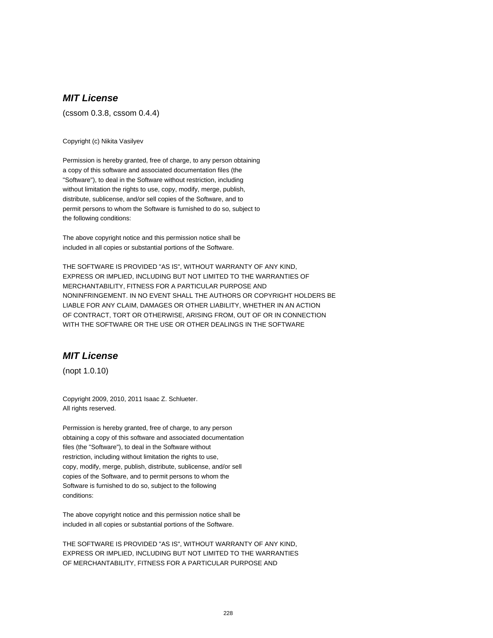(cssom 0.3.8, cssom 0.4.4)

Copyright (c) Nikita Vasilyev

Permission is hereby granted, free of charge, to any person obtaining a copy of this software and associated documentation files (the "Software"), to deal in the Software without restriction, including without limitation the rights to use, copy, modify, merge, publish, distribute, sublicense, and/or sell copies of the Software, and to permit persons to whom the Software is furnished to do so, subject to the following conditions:

The above copyright notice and this permission notice shall be included in all copies or substantial portions of the Software.

THE SOFTWARE IS PROVIDED "AS IS", WITHOUT WARRANTY OF ANY KIND, EXPRESS OR IMPLIED, INCLUDING BUT NOT LIMITED TO THE WARRANTIES OF MERCHANTABILITY, FITNESS FOR A PARTICULAR PURPOSE AND NONINFRINGEMENT. IN NO EVENT SHALL THE AUTHORS OR COPYRIGHT HOLDERS BE LIABLE FOR ANY CLAIM, DAMAGES OR OTHER LIABILITY, WHETHER IN AN ACTION OF CONTRACT, TORT OR OTHERWISE, ARISING FROM, OUT OF OR IN CONNECTION WITH THE SOFTWARE OR THE USE OR OTHER DEALINGS IN THE SOFTWARE

## **MIT License**

(nopt 1.0.10)

Copyright 2009, 2010, 2011 Isaac Z. Schlueter. All rights reserved.

Permission is hereby granted, free of charge, to any person obtaining a copy of this software and associated documentation files (the "Software"), to deal in the Software without restriction, including without limitation the rights to use, copy, modify, merge, publish, distribute, sublicense, and/or sell copies of the Software, and to permit persons to whom the Software is furnished to do so, subject to the following conditions:

The above copyright notice and this permission notice shall be included in all copies or substantial portions of the Software.

THE SOFTWARE IS PROVIDED "AS IS", WITHOUT WARRANTY OF ANY KIND, EXPRESS OR IMPLIED, INCLUDING BUT NOT LIMITED TO THE WARRANTIES OF MERCHANTABILITY, FITNESS FOR A PARTICULAR PURPOSE AND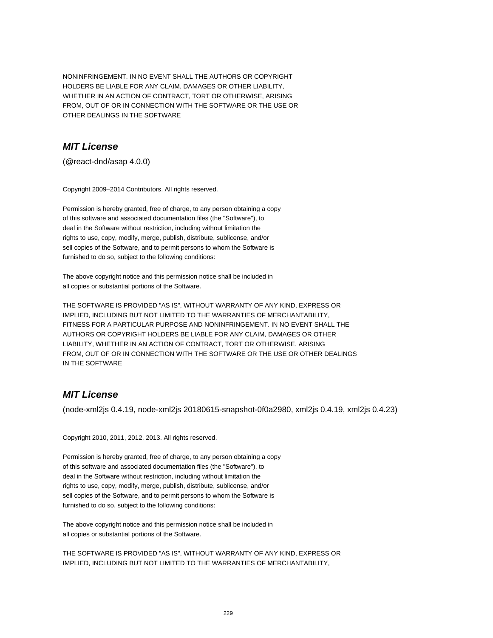NONINFRINGEMENT. IN NO EVENT SHALL THE AUTHORS OR COPYRIGHT HOLDERS BE LIABLE FOR ANY CLAIM, DAMAGES OR OTHER LIABILITY, WHETHER IN AN ACTION OF CONTRACT, TORT OR OTHERWISE, ARISING FROM, OUT OF OR IN CONNECTION WITH THE SOFTWARE OR THE USE OR OTHER DEALINGS IN THE SOFTWARE

## **MIT License**

(@react-dnd/asap 4.0.0)

Copyright 2009–2014 Contributors. All rights reserved.

Permission is hereby granted, free of charge, to any person obtaining a copy of this software and associated documentation files (the "Software"), to deal in the Software without restriction, including without limitation the rights to use, copy, modify, merge, publish, distribute, sublicense, and/or sell copies of the Software, and to permit persons to whom the Software is furnished to do so, subject to the following conditions:

The above copyright notice and this permission notice shall be included in all copies or substantial portions of the Software.

THE SOFTWARE IS PROVIDED "AS IS", WITHOUT WARRANTY OF ANY KIND, EXPRESS OR IMPLIED, INCLUDING BUT NOT LIMITED TO THE WARRANTIES OF MERCHANTABILITY, FITNESS FOR A PARTICULAR PURPOSE AND NONINFRINGEMENT. IN NO EVENT SHALL THE AUTHORS OR COPYRIGHT HOLDERS BE LIABLE FOR ANY CLAIM, DAMAGES OR OTHER LIABILITY, WHETHER IN AN ACTION OF CONTRACT, TORT OR OTHERWISE, ARISING FROM, OUT OF OR IN CONNECTION WITH THE SOFTWARE OR THE USE OR OTHER DEALINGS IN THE SOFTWARE

## **MIT License**

(node-xml2js 0.4.19, node-xml2js 20180615-snapshot-0f0a2980, xml2js 0.4.19, xml2js 0.4.23)

Copyright 2010, 2011, 2012, 2013. All rights reserved.

Permission is hereby granted, free of charge, to any person obtaining a copy of this software and associated documentation files (the "Software"), to deal in the Software without restriction, including without limitation the rights to use, copy, modify, merge, publish, distribute, sublicense, and/or sell copies of the Software, and to permit persons to whom the Software is furnished to do so, subject to the following conditions:

The above copyright notice and this permission notice shall be included in all copies or substantial portions of the Software.

THE SOFTWARE IS PROVIDED "AS IS", WITHOUT WARRANTY OF ANY KIND, EXPRESS OR IMPLIED, INCLUDING BUT NOT LIMITED TO THE WARRANTIES OF MERCHANTABILITY,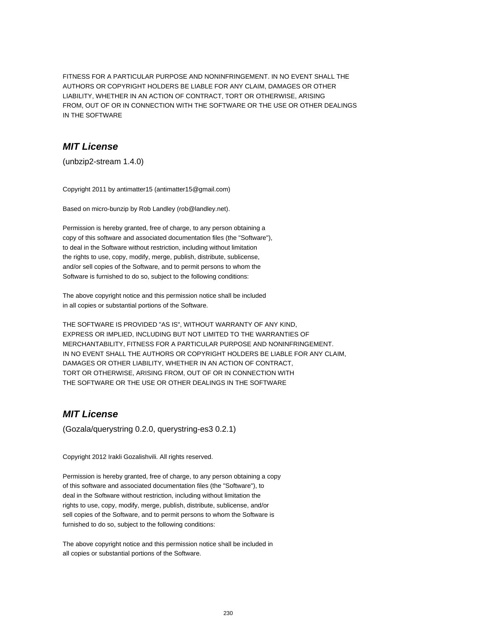FITNESS FOR A PARTICULAR PURPOSE AND NONINFRINGEMENT. IN NO EVENT SHALL THE AUTHORS OR COPYRIGHT HOLDERS BE LIABLE FOR ANY CLAIM, DAMAGES OR OTHER LIABILITY, WHETHER IN AN ACTION OF CONTRACT, TORT OR OTHERWISE, ARISING FROM, OUT OF OR IN CONNECTION WITH THE SOFTWARE OR THE USE OR OTHER DEALINGS IN THE SOFTWARE

## **MIT License**

(unbzip2-stream 1.4.0)

Copyright 2011 by antimatter15 (antimatter15@gmail.com)

Based on micro-bunzip by Rob Landley (rob@landley.net).

Permission is hereby granted, free of charge, to any person obtaining a copy of this software and associated documentation files (the "Software"), to deal in the Software without restriction, including without limitation the rights to use, copy, modify, merge, publish, distribute, sublicense, and/or sell copies of the Software, and to permit persons to whom the Software is furnished to do so, subject to the following conditions:

The above copyright notice and this permission notice shall be included in all copies or substantial portions of the Software.

THE SOFTWARE IS PROVIDED "AS IS", WITHOUT WARRANTY OF ANY KIND, EXPRESS OR IMPLIED, INCLUDING BUT NOT LIMITED TO THE WARRANTIES OF MERCHANTABILITY, FITNESS FOR A PARTICULAR PURPOSE AND NONINFRINGEMENT. IN NO EVENT SHALL THE AUTHORS OR COPYRIGHT HOLDERS BE LIABLE FOR ANY CLAIM, DAMAGES OR OTHER LIABILITY, WHETHER IN AN ACTION OF CONTRACT, TORT OR OTHERWISE, ARISING FROM, OUT OF OR IN CONNECTION WITH THE SOFTWARE OR THE USE OR OTHER DEALINGS IN THE SOFTWARE

## **MIT License**

(Gozala/querystring 0.2.0, querystring-es3 0.2.1)

Copyright 2012 Irakli Gozalishvili. All rights reserved.

Permission is hereby granted, free of charge, to any person obtaining a copy of this software and associated documentation files (the "Software"), to deal in the Software without restriction, including without limitation the rights to use, copy, modify, merge, publish, distribute, sublicense, and/or sell copies of the Software, and to permit persons to whom the Software is furnished to do so, subject to the following conditions:

The above copyright notice and this permission notice shall be included in all copies or substantial portions of the Software.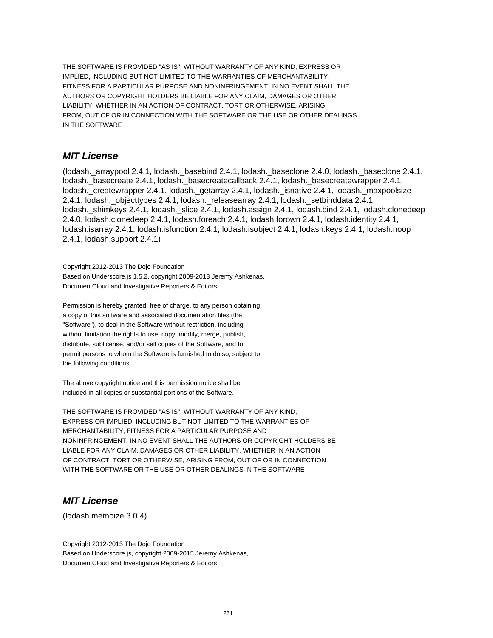THE SOFTWARE IS PROVIDED "AS IS", WITHOUT WARRANTY OF ANY KIND, EXPRESS OR IMPLIED, INCLUDING BUT NOT LIMITED TO THE WARRANTIES OF MERCHANTABILITY, FITNESS FOR A PARTICULAR PURPOSE AND NONINFRINGEMENT. IN NO EVENT SHALL THE AUTHORS OR COPYRIGHT HOLDERS BE LIABLE FOR ANY CLAIM, DAMAGES OR OTHER LIABILITY, WHETHER IN AN ACTION OF CONTRACT, TORT OR OTHERWISE, ARISING FROM, OUT OF OR IN CONNECTION WITH THE SOFTWARE OR THE USE OR OTHER DEALINGS IN THE SOFTWARE

### **MIT License**

(lodash.\_arraypool 2.4.1, lodash.\_basebind 2.4.1, lodash.\_baseclone 2.4.0, lodash.\_baseclone 2.4.1, lodash.\_basecreate 2.4.1, lodash.\_basecreatecallback 2.4.1, lodash.\_basecreatewrapper 2.4.1, lodash.\_createwrapper 2.4.1, lodash.\_getarray 2.4.1, lodash.\_isnative 2.4.1, lodash.\_maxpoolsize 2.4.1, lodash.\_objecttypes 2.4.1, lodash.\_releasearray 2.4.1, lodash.\_setbinddata 2.4.1, lodash.\_shimkeys 2.4.1, lodash.\_slice 2.4.1, lodash.assign 2.4.1, lodash.bind 2.4.1, lodash.clonedeep 2.4.0, lodash.clonedeep 2.4.1, lodash.foreach 2.4.1, lodash.forown 2.4.1, lodash.identity 2.4.1, lodash.isarray 2.4.1, lodash.isfunction 2.4.1, lodash.isobject 2.4.1, lodash.keys 2.4.1, lodash.noop 2.4.1, lodash.support 2.4.1)

Copyright 2012-2013 The Dojo Foundation Based on Underscore.js 1.5.2, copyright 2009-2013 Jeremy Ashkenas, DocumentCloud and Investigative Reporters & Editors

Permission is hereby granted, free of charge, to any person obtaining a copy of this software and associated documentation files (the "Software"), to deal in the Software without restriction, including without limitation the rights to use, copy, modify, merge, publish, distribute, sublicense, and/or sell copies of the Software, and to permit persons to whom the Software is furnished to do so, subject to the following conditions:

The above copyright notice and this permission notice shall be included in all copies or substantial portions of the Software.

THE SOFTWARE IS PROVIDED "AS IS", WITHOUT WARRANTY OF ANY KIND, EXPRESS OR IMPLIED, INCLUDING BUT NOT LIMITED TO THE WARRANTIES OF MERCHANTABILITY, FITNESS FOR A PARTICULAR PURPOSE AND NONINFRINGEMENT. IN NO EVENT SHALL THE AUTHORS OR COPYRIGHT HOLDERS BE LIABLE FOR ANY CLAIM, DAMAGES OR OTHER LIABILITY, WHETHER IN AN ACTION OF CONTRACT, TORT OR OTHERWISE, ARISING FROM, OUT OF OR IN CONNECTION WITH THE SOFTWARE OR THE USE OR OTHER DEALINGS IN THE SOFTWARE

## **MIT License**

(lodash.memoize 3.0.4)

Copyright 2012-2015 The Dojo Foundation Based on Underscore.js, copyright 2009-2015 Jeremy Ashkenas, DocumentCloud and Investigative Reporters & Editors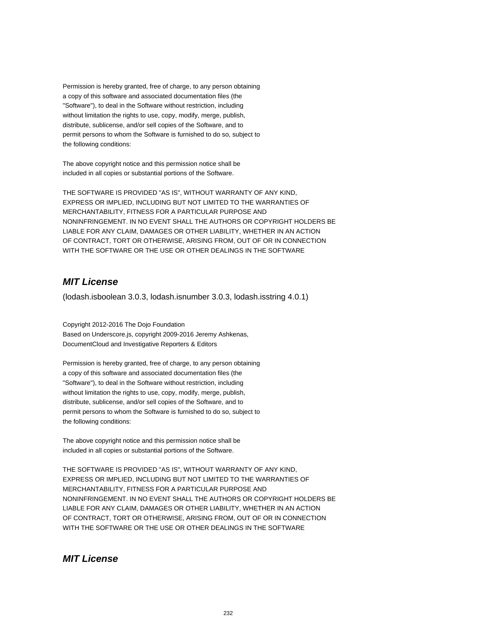Permission is hereby granted, free of charge, to any person obtaining a copy of this software and associated documentation files (the "Software"), to deal in the Software without restriction, including without limitation the rights to use, copy, modify, merge, publish, distribute, sublicense, and/or sell copies of the Software, and to permit persons to whom the Software is furnished to do so, subject to the following conditions:

The above copyright notice and this permission notice shall be included in all copies or substantial portions of the Software.

THE SOFTWARE IS PROVIDED "AS IS", WITHOUT WARRANTY OF ANY KIND, EXPRESS OR IMPLIED, INCLUDING BUT NOT LIMITED TO THE WARRANTIES OF MERCHANTABILITY, FITNESS FOR A PARTICULAR PURPOSE AND NONINFRINGEMENT. IN NO EVENT SHALL THE AUTHORS OR COPYRIGHT HOLDERS BE LIABLE FOR ANY CLAIM, DAMAGES OR OTHER LIABILITY, WHETHER IN AN ACTION OF CONTRACT, TORT OR OTHERWISE, ARISING FROM, OUT OF OR IN CONNECTION WITH THE SOFTWARE OR THE USE OR OTHER DEALINGS IN THE SOFTWARE

#### **MIT License**

(lodash.isboolean 3.0.3, lodash.isnumber 3.0.3, lodash.isstring 4.0.1)

Copyright 2012-2016 The Dojo Foundation Based on Underscore.js, copyright 2009-2016 Jeremy Ashkenas, DocumentCloud and Investigative Reporters & Editors

Permission is hereby granted, free of charge, to any person obtaining a copy of this software and associated documentation files (the "Software"), to deal in the Software without restriction, including without limitation the rights to use, copy, modify, merge, publish, distribute, sublicense, and/or sell copies of the Software, and to permit persons to whom the Software is furnished to do so, subject to the following conditions:

The above copyright notice and this permission notice shall be included in all copies or substantial portions of the Software.

THE SOFTWARE IS PROVIDED "AS IS", WITHOUT WARRANTY OF ANY KIND, EXPRESS OR IMPLIED, INCLUDING BUT NOT LIMITED TO THE WARRANTIES OF MERCHANTABILITY, FITNESS FOR A PARTICULAR PURPOSE AND NONINFRINGEMENT. IN NO EVENT SHALL THE AUTHORS OR COPYRIGHT HOLDERS BE LIABLE FOR ANY CLAIM, DAMAGES OR OTHER LIABILITY, WHETHER IN AN ACTION OF CONTRACT, TORT OR OTHERWISE, ARISING FROM, OUT OF OR IN CONNECTION WITH THE SOFTWARE OR THE USE OR OTHER DEALINGS IN THE SOFTWARE

#### **MIT License**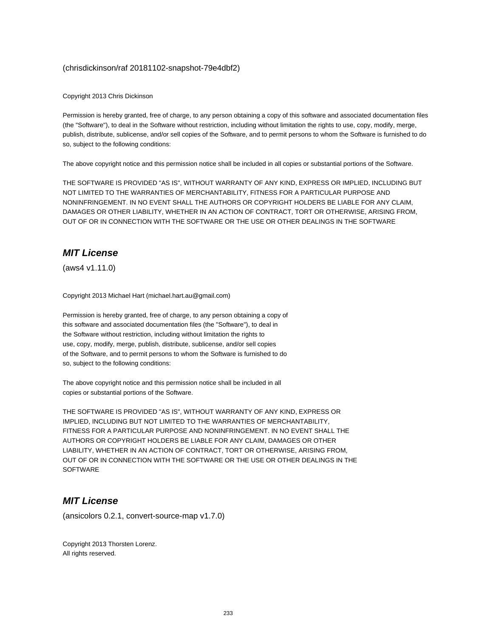#### (chrisdickinson/raf 20181102-snapshot-79e4dbf2)

Copyright 2013 Chris Dickinson

Permission is hereby granted, free of charge, to any person obtaining a copy of this software and associated documentation files (the "Software"), to deal in the Software without restriction, including without limitation the rights to use, copy, modify, merge, publish, distribute, sublicense, and/or sell copies of the Software, and to permit persons to whom the Software is furnished to do so, subject to the following conditions:

The above copyright notice and this permission notice shall be included in all copies or substantial portions of the Software.

THE SOFTWARE IS PROVIDED "AS IS", WITHOUT WARRANTY OF ANY KIND, EXPRESS OR IMPLIED, INCLUDING BUT NOT LIMITED TO THE WARRANTIES OF MERCHANTABILITY, FITNESS FOR A PARTICULAR PURPOSE AND NONINFRINGEMENT. IN NO EVENT SHALL THE AUTHORS OR COPYRIGHT HOLDERS BE LIABLE FOR ANY CLAIM, DAMAGES OR OTHER LIABILITY, WHETHER IN AN ACTION OF CONTRACT, TORT OR OTHERWISE, ARISING FROM, OUT OF OR IN CONNECTION WITH THE SOFTWARE OR THE USE OR OTHER DEALINGS IN THE SOFTWARE

## **MIT License**

(aws4 v1.11.0)

Copyright 2013 Michael Hart (michael.hart.au@gmail.com)

Permission is hereby granted, free of charge, to any person obtaining a copy of this software and associated documentation files (the "Software"), to deal in the Software without restriction, including without limitation the rights to use, copy, modify, merge, publish, distribute, sublicense, and/or sell copies of the Software, and to permit persons to whom the Software is furnished to do so, subject to the following conditions:

The above copyright notice and this permission notice shall be included in all copies or substantial portions of the Software.

THE SOFTWARE IS PROVIDED "AS IS", WITHOUT WARRANTY OF ANY KIND, EXPRESS OR IMPLIED, INCLUDING BUT NOT LIMITED TO THE WARRANTIES OF MERCHANTABILITY, FITNESS FOR A PARTICULAR PURPOSE AND NONINFRINGEMENT. IN NO EVENT SHALL THE AUTHORS OR COPYRIGHT HOLDERS BE LIABLE FOR ANY CLAIM, DAMAGES OR OTHER LIABILITY, WHETHER IN AN ACTION OF CONTRACT, TORT OR OTHERWISE, ARISING FROM, OUT OF OR IN CONNECTION WITH THE SOFTWARE OR THE USE OR OTHER DEALINGS IN THE **SOFTWARE** 

#### **MIT License**

(ansicolors 0.2.1, convert-source-map v1.7.0)

Copyright 2013 Thorsten Lorenz. All rights reserved.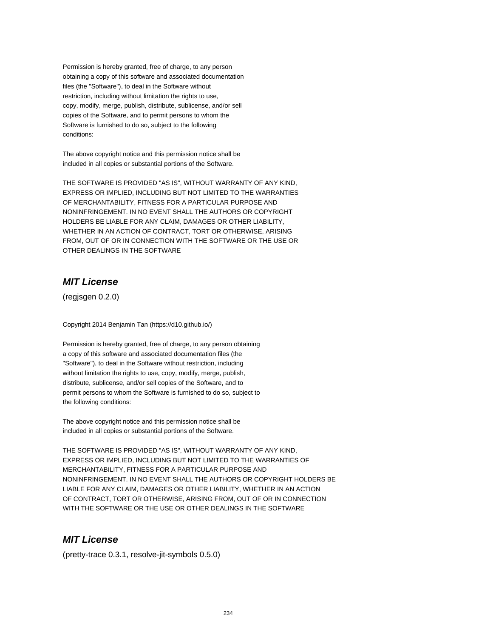Permission is hereby granted, free of charge, to any person obtaining a copy of this software and associated documentation files (the "Software"), to deal in the Software without restriction, including without limitation the rights to use, copy, modify, merge, publish, distribute, sublicense, and/or sell copies of the Software, and to permit persons to whom the Software is furnished to do so, subject to the following conditions:

The above copyright notice and this permission notice shall be included in all copies or substantial portions of the Software.

THE SOFTWARE IS PROVIDED "AS IS", WITHOUT WARRANTY OF ANY KIND, EXPRESS OR IMPLIED, INCLUDING BUT NOT LIMITED TO THE WARRANTIES OF MERCHANTABILITY, FITNESS FOR A PARTICULAR PURPOSE AND NONINFRINGEMENT. IN NO EVENT SHALL THE AUTHORS OR COPYRIGHT HOLDERS BE LIABLE FOR ANY CLAIM, DAMAGES OR OTHER LIABILITY, WHETHER IN AN ACTION OF CONTRACT, TORT OR OTHERWISE, ARISING FROM, OUT OF OR IN CONNECTION WITH THE SOFTWARE OR THE USE OR OTHER DEALINGS IN THE SOFTWARE

#### **MIT License**

(regjsgen 0.2.0)

Copyright 2014 Benjamin Tan (https://d10.github.io/)

Permission is hereby granted, free of charge, to any person obtaining a copy of this software and associated documentation files (the "Software"), to deal in the Software without restriction, including without limitation the rights to use, copy, modify, merge, publish, distribute, sublicense, and/or sell copies of the Software, and to permit persons to whom the Software is furnished to do so, subject to the following conditions:

The above copyright notice and this permission notice shall be included in all copies or substantial portions of the Software.

THE SOFTWARE IS PROVIDED "AS IS", WITHOUT WARRANTY OF ANY KIND, EXPRESS OR IMPLIED, INCLUDING BUT NOT LIMITED TO THE WARRANTIES OF MERCHANTABILITY, FITNESS FOR A PARTICULAR PURPOSE AND NONINFRINGEMENT. IN NO EVENT SHALL THE AUTHORS OR COPYRIGHT HOLDERS BE LIABLE FOR ANY CLAIM, DAMAGES OR OTHER LIABILITY, WHETHER IN AN ACTION OF CONTRACT, TORT OR OTHERWISE, ARISING FROM, OUT OF OR IN CONNECTION WITH THE SOFTWARE OR THE USE OR OTHER DEALINGS IN THE SOFTWARE

## **MIT License**

(pretty-trace 0.3.1, resolve-jit-symbols 0.5.0)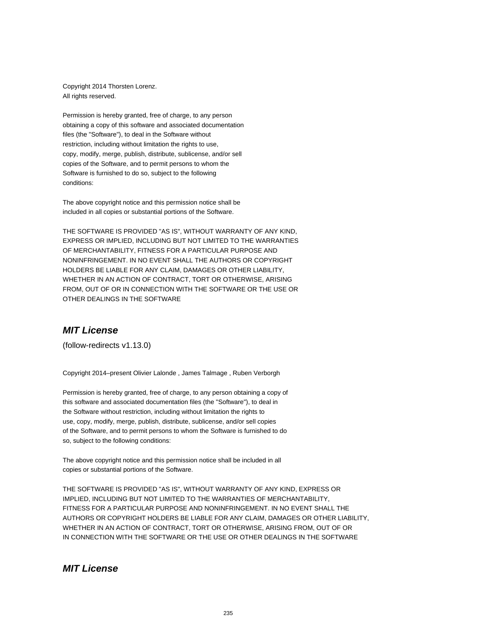Copyright 2014 Thorsten Lorenz. All rights reserved.

Permission is hereby granted, free of charge, to any person obtaining a copy of this software and associated documentation files (the "Software"), to deal in the Software without restriction, including without limitation the rights to use, copy, modify, merge, publish, distribute, sublicense, and/or sell copies of the Software, and to permit persons to whom the Software is furnished to do so, subject to the following conditions:

The above copyright notice and this permission notice shall be included in all copies or substantial portions of the Software.

THE SOFTWARE IS PROVIDED "AS IS", WITHOUT WARRANTY OF ANY KIND, EXPRESS OR IMPLIED, INCLUDING BUT NOT LIMITED TO THE WARRANTIES OF MERCHANTABILITY, FITNESS FOR A PARTICULAR PURPOSE AND NONINFRINGEMENT. IN NO EVENT SHALL THE AUTHORS OR COPYRIGHT HOLDERS BE LIABLE FOR ANY CLAIM, DAMAGES OR OTHER LIABILITY, WHETHER IN AN ACTION OF CONTRACT, TORT OR OTHERWISE, ARISING FROM, OUT OF OR IN CONNECTION WITH THE SOFTWARE OR THE USE OR OTHER DEALINGS IN THE SOFTWARE

#### **MIT License**

(follow-redirects v1.13.0)

Copyright 2014–present Olivier Lalonde , James Talmage , Ruben Verborgh

Permission is hereby granted, free of charge, to any person obtaining a copy of this software and associated documentation files (the "Software"), to deal in the Software without restriction, including without limitation the rights to use, copy, modify, merge, publish, distribute, sublicense, and/or sell copies of the Software, and to permit persons to whom the Software is furnished to do so, subject to the following conditions:

The above copyright notice and this permission notice shall be included in all copies or substantial portions of the Software.

THE SOFTWARE IS PROVIDED "AS IS", WITHOUT WARRANTY OF ANY KIND, EXPRESS OR IMPLIED, INCLUDING BUT NOT LIMITED TO THE WARRANTIES OF MERCHANTABILITY, FITNESS FOR A PARTICULAR PURPOSE AND NONINFRINGEMENT. IN NO EVENT SHALL THE AUTHORS OR COPYRIGHT HOLDERS BE LIABLE FOR ANY CLAIM, DAMAGES OR OTHER LIABILITY, WHETHER IN AN ACTION OF CONTRACT, TORT OR OTHERWISE, ARISING FROM, OUT OF OR IN CONNECTION WITH THE SOFTWARE OR THE USE OR OTHER DEALINGS IN THE SOFTWARE

#### **MIT License**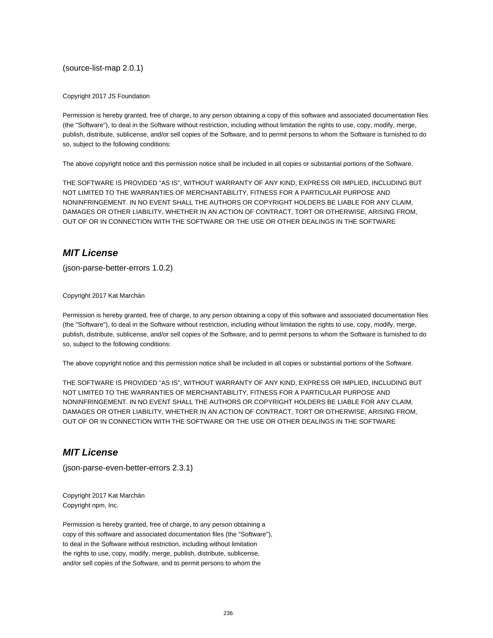(source-list-map 2.0.1)

Copyright 2017 JS Foundation

Permission is hereby granted, free of charge, to any person obtaining a copy of this software and associated documentation files (the "Software"), to deal in the Software without restriction, including without limitation the rights to use, copy, modify, merge, publish, distribute, sublicense, and/or sell copies of the Software, and to permit persons to whom the Software is furnished to do so, subject to the following conditions:

The above copyright notice and this permission notice shall be included in all copies or substantial portions of the Software.

THE SOFTWARE IS PROVIDED "AS IS", WITHOUT WARRANTY OF ANY KIND, EXPRESS OR IMPLIED, INCLUDING BUT NOT LIMITED TO THE WARRANTIES OF MERCHANTABILITY, FITNESS FOR A PARTICULAR PURPOSE AND NONINFRINGEMENT. IN NO EVENT SHALL THE AUTHORS OR COPYRIGHT HOLDERS BE LIABLE FOR ANY CLAIM, DAMAGES OR OTHER LIABILITY, WHETHER IN AN ACTION OF CONTRACT, TORT OR OTHERWISE, ARISING FROM, OUT OF OR IN CONNECTION WITH THE SOFTWARE OR THE USE OR OTHER DEALINGS IN THE SOFTWARE

## **MIT License**

(json-parse-better-errors 1.0.2)

Copyright 2017 Kat Marchán

Permission is hereby granted, free of charge, to any person obtaining a copy of this software and associated documentation files (the "Software"), to deal in the Software without restriction, including without limitation the rights to use, copy, modify, merge, publish, distribute, sublicense, and/or sell copies of the Software, and to permit persons to whom the Software is furnished to do so, subject to the following conditions:

The above copyright notice and this permission notice shall be included in all copies or substantial portions of the Software.

THE SOFTWARE IS PROVIDED "AS IS", WITHOUT WARRANTY OF ANY KIND, EXPRESS OR IMPLIED, INCLUDING BUT NOT LIMITED TO THE WARRANTIES OF MERCHANTABILITY, FITNESS FOR A PARTICULAR PURPOSE AND NONINFRINGEMENT. IN NO EVENT SHALL THE AUTHORS OR COPYRIGHT HOLDERS BE LIABLE FOR ANY CLAIM, DAMAGES OR OTHER LIABILITY, WHETHER IN AN ACTION OF CONTRACT, TORT OR OTHERWISE, ARISING FROM, OUT OF OR IN CONNECTION WITH THE SOFTWARE OR THE USE OR OTHER DEALINGS IN THE SOFTWARE

#### **MIT License**

(json-parse-even-better-errors 2.3.1)

Copyright 2017 Kat Marchán Copyright npm, Inc.

Permission is hereby granted, free of charge, to any person obtaining a copy of this software and associated documentation files (the "Software"), to deal in the Software without restriction, including without limitation the rights to use, copy, modify, merge, publish, distribute, sublicense, and/or sell copies of the Software, and to permit persons to whom the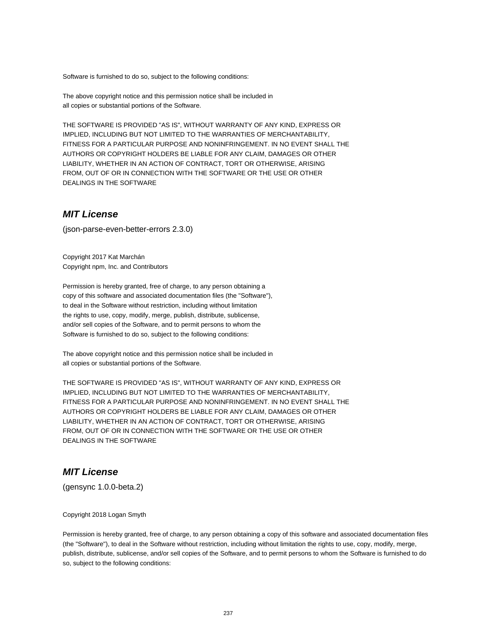Software is furnished to do so, subject to the following conditions:

The above copyright notice and this permission notice shall be included in all copies or substantial portions of the Software.

THE SOFTWARE IS PROVIDED "AS IS", WITHOUT WARRANTY OF ANY KIND, EXPRESS OR IMPLIED, INCLUDING BUT NOT LIMITED TO THE WARRANTIES OF MERCHANTABILITY, FITNESS FOR A PARTICULAR PURPOSE AND NONINFRINGEMENT. IN NO EVENT SHALL THE AUTHORS OR COPYRIGHT HOLDERS BE LIABLE FOR ANY CLAIM, DAMAGES OR OTHER LIABILITY, WHETHER IN AN ACTION OF CONTRACT, TORT OR OTHERWISE, ARISING FROM, OUT OF OR IN CONNECTION WITH THE SOFTWARE OR THE USE OR OTHER DEALINGS IN THE SOFTWARE

#### **MIT License**

(json-parse-even-better-errors 2.3.0)

Copyright 2017 Kat Marchán Copyright npm, Inc. and Contributors

Permission is hereby granted, free of charge, to any person obtaining a copy of this software and associated documentation files (the "Software"), to deal in the Software without restriction, including without limitation the rights to use, copy, modify, merge, publish, distribute, sublicense, and/or sell copies of the Software, and to permit persons to whom the Software is furnished to do so, subject to the following conditions:

The above copyright notice and this permission notice shall be included in all copies or substantial portions of the Software.

THE SOFTWARE IS PROVIDED "AS IS", WITHOUT WARRANTY OF ANY KIND, EXPRESS OR IMPLIED, INCLUDING BUT NOT LIMITED TO THE WARRANTIES OF MERCHANTABILITY, FITNESS FOR A PARTICULAR PURPOSE AND NONINFRINGEMENT. IN NO EVENT SHALL THE AUTHORS OR COPYRIGHT HOLDERS BE LIABLE FOR ANY CLAIM, DAMAGES OR OTHER LIABILITY, WHETHER IN AN ACTION OF CONTRACT, TORT OR OTHERWISE, ARISING FROM, OUT OF OR IN CONNECTION WITH THE SOFTWARE OR THE USE OR OTHER DEALINGS IN THE SOFTWARE

#### **MIT License**

(gensync 1.0.0-beta.2)

#### Copyright 2018 Logan Smyth

Permission is hereby granted, free of charge, to any person obtaining a copy of this software and associated documentation files (the "Software"), to deal in the Software without restriction, including without limitation the rights to use, copy, modify, merge, publish, distribute, sublicense, and/or sell copies of the Software, and to permit persons to whom the Software is furnished to do so, subject to the following conditions: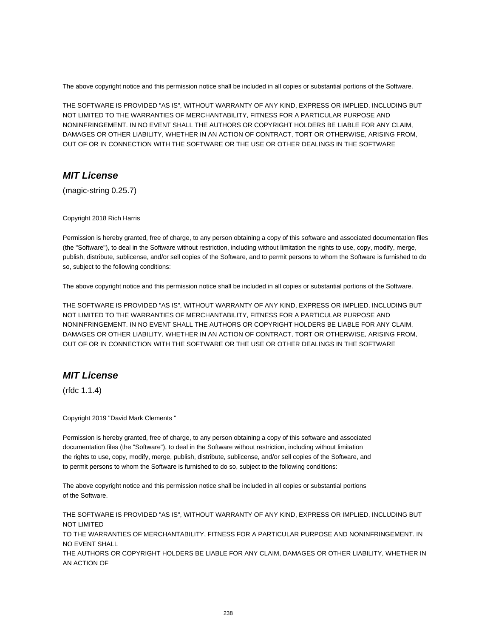The above copyright notice and this permission notice shall be included in all copies or substantial portions of the Software.

THE SOFTWARE IS PROVIDED "AS IS", WITHOUT WARRANTY OF ANY KIND, EXPRESS OR IMPLIED, INCLUDING BUT NOT LIMITED TO THE WARRANTIES OF MERCHANTABILITY, FITNESS FOR A PARTICULAR PURPOSE AND NONINFRINGEMENT. IN NO EVENT SHALL THE AUTHORS OR COPYRIGHT HOLDERS BE LIABLE FOR ANY CLAIM, DAMAGES OR OTHER LIABILITY, WHETHER IN AN ACTION OF CONTRACT, TORT OR OTHERWISE, ARISING FROM, OUT OF OR IN CONNECTION WITH THE SOFTWARE OR THE USE OR OTHER DEALINGS IN THE SOFTWARE

#### **MIT License**

(magic-string 0.25.7)

Copyright 2018 Rich Harris

Permission is hereby granted, free of charge, to any person obtaining a copy of this software and associated documentation files (the "Software"), to deal in the Software without restriction, including without limitation the rights to use, copy, modify, merge, publish, distribute, sublicense, and/or sell copies of the Software, and to permit persons to whom the Software is furnished to do so, subject to the following conditions:

The above copyright notice and this permission notice shall be included in all copies or substantial portions of the Software.

THE SOFTWARE IS PROVIDED "AS IS", WITHOUT WARRANTY OF ANY KIND, EXPRESS OR IMPLIED, INCLUDING BUT NOT LIMITED TO THE WARRANTIES OF MERCHANTABILITY, FITNESS FOR A PARTICULAR PURPOSE AND NONINFRINGEMENT. IN NO EVENT SHALL THE AUTHORS OR COPYRIGHT HOLDERS BE LIABLE FOR ANY CLAIM, DAMAGES OR OTHER LIABILITY, WHETHER IN AN ACTION OF CONTRACT, TORT OR OTHERWISE, ARISING FROM, OUT OF OR IN CONNECTION WITH THE SOFTWARE OR THE USE OR OTHER DEALINGS IN THE SOFTWARE

## **MIT License**

(rfdc 1.1.4)

Copyright 2019 "David Mark Clements "

Permission is hereby granted, free of charge, to any person obtaining a copy of this software and associated documentation files (the "Software"), to deal in the Software without restriction, including without limitation the rights to use, copy, modify, merge, publish, distribute, sublicense, and/or sell copies of the Software, and to permit persons to whom the Software is furnished to do so, subject to the following conditions:

The above copyright notice and this permission notice shall be included in all copies or substantial portions of the Software.

THE SOFTWARE IS PROVIDED "AS IS", WITHOUT WARRANTY OF ANY KIND, EXPRESS OR IMPLIED, INCLUDING BUT NOT LIMITED TO THE WARRANTIES OF MERCHANTABILITY, FITNESS FOR A PARTICULAR PURPOSE AND NONINFRINGEMENT. IN NO EVENT SHALL THE AUTHORS OR COPYRIGHT HOLDERS BE LIABLE FOR ANY CLAIM, DAMAGES OR OTHER LIABILITY, WHETHER IN AN ACTION OF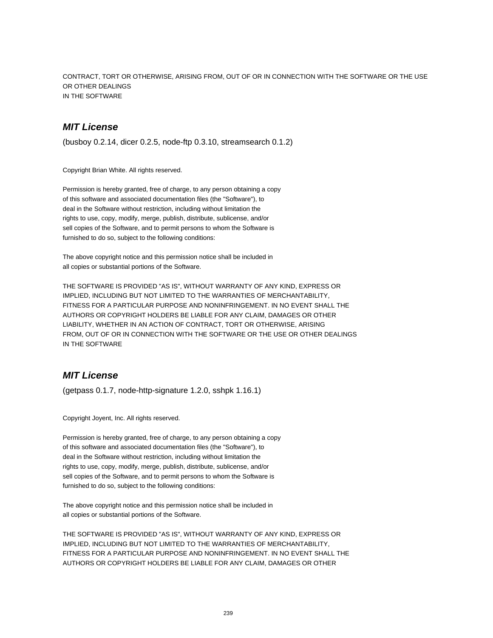CONTRACT, TORT OR OTHERWISE, ARISING FROM, OUT OF OR IN CONNECTION WITH THE SOFTWARE OR THE USE OR OTHER DEALINGS IN THE SOFTWARE

### **MIT License**

(busboy 0.2.14, dicer 0.2.5, node-ftp 0.3.10, streamsearch 0.1.2)

Copyright Brian White. All rights reserved.

Permission is hereby granted, free of charge, to any person obtaining a copy of this software and associated documentation files (the "Software"), to deal in the Software without restriction, including without limitation the rights to use, copy, modify, merge, publish, distribute, sublicense, and/or sell copies of the Software, and to permit persons to whom the Software is furnished to do so, subject to the following conditions:

The above copyright notice and this permission notice shall be included in all copies or substantial portions of the Software.

THE SOFTWARE IS PROVIDED "AS IS", WITHOUT WARRANTY OF ANY KIND, EXPRESS OR IMPLIED, INCLUDING BUT NOT LIMITED TO THE WARRANTIES OF MERCHANTABILITY, FITNESS FOR A PARTICULAR PURPOSE AND NONINFRINGEMENT. IN NO EVENT SHALL THE AUTHORS OR COPYRIGHT HOLDERS BE LIABLE FOR ANY CLAIM, DAMAGES OR OTHER LIABILITY, WHETHER IN AN ACTION OF CONTRACT, TORT OR OTHERWISE, ARISING FROM, OUT OF OR IN CONNECTION WITH THE SOFTWARE OR THE USE OR OTHER DEALINGS IN THE SOFTWARE

### **MIT License**

(getpass 0.1.7, node-http-signature 1.2.0, sshpk 1.16.1)

Copyright Joyent, Inc. All rights reserved.

Permission is hereby granted, free of charge, to any person obtaining a copy of this software and associated documentation files (the "Software"), to deal in the Software without restriction, including without limitation the rights to use, copy, modify, merge, publish, distribute, sublicense, and/or sell copies of the Software, and to permit persons to whom the Software is furnished to do so, subject to the following conditions:

The above copyright notice and this permission notice shall be included in all copies or substantial portions of the Software.

THE SOFTWARE IS PROVIDED "AS IS", WITHOUT WARRANTY OF ANY KIND, EXPRESS OR IMPLIED, INCLUDING BUT NOT LIMITED TO THE WARRANTIES OF MERCHANTABILITY, FITNESS FOR A PARTICULAR PURPOSE AND NONINFRINGEMENT. IN NO EVENT SHALL THE AUTHORS OR COPYRIGHT HOLDERS BE LIABLE FOR ANY CLAIM, DAMAGES OR OTHER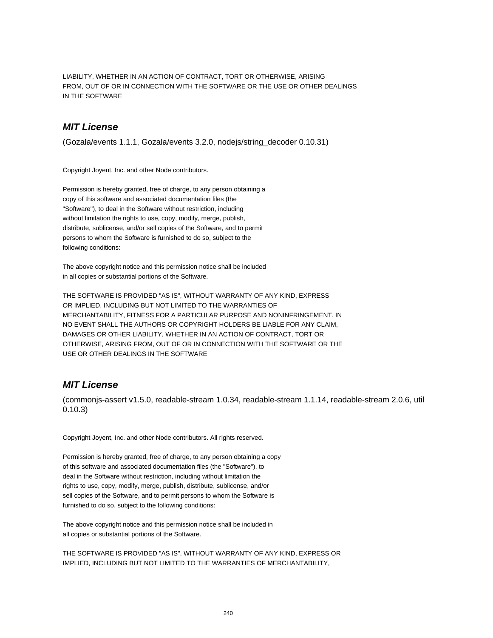LIABILITY, WHETHER IN AN ACTION OF CONTRACT, TORT OR OTHERWISE, ARISING FROM, OUT OF OR IN CONNECTION WITH THE SOFTWARE OR THE USE OR OTHER DEALINGS IN THE SOFTWARE

### **MIT License**

(Gozala/events 1.1.1, Gozala/events 3.2.0, nodejs/string\_decoder 0.10.31)

Copyright Joyent, Inc. and other Node contributors.

Permission is hereby granted, free of charge, to any person obtaining a copy of this software and associated documentation files (the "Software"), to deal in the Software without restriction, including without limitation the rights to use, copy, modify, merge, publish, distribute, sublicense, and/or sell copies of the Software, and to permit persons to whom the Software is furnished to do so, subject to the following conditions:

The above copyright notice and this permission notice shall be included in all copies or substantial portions of the Software.

THE SOFTWARE IS PROVIDED "AS IS", WITHOUT WARRANTY OF ANY KIND, EXPRESS OR IMPLIED, INCLUDING BUT NOT LIMITED TO THE WARRANTIES OF MERCHANTABILITY, FITNESS FOR A PARTICULAR PURPOSE AND NONINFRINGEMENT. IN NO EVENT SHALL THE AUTHORS OR COPYRIGHT HOLDERS BE LIABLE FOR ANY CLAIM, DAMAGES OR OTHER LIABILITY, WHETHER IN AN ACTION OF CONTRACT, TORT OR OTHERWISE, ARISING FROM, OUT OF OR IN CONNECTION WITH THE SOFTWARE OR THE USE OR OTHER DEALINGS IN THE SOFTWARE

## **MIT License**

(commonjs-assert v1.5.0, readable-stream 1.0.34, readable-stream 1.1.14, readable-stream 2.0.6, util 0.10.3)

Copyright Joyent, Inc. and other Node contributors. All rights reserved.

Permission is hereby granted, free of charge, to any person obtaining a copy of this software and associated documentation files (the "Software"), to deal in the Software without restriction, including without limitation the rights to use, copy, modify, merge, publish, distribute, sublicense, and/or sell copies of the Software, and to permit persons to whom the Software is furnished to do so, subject to the following conditions:

The above copyright notice and this permission notice shall be included in all copies or substantial portions of the Software.

THE SOFTWARE IS PROVIDED "AS IS", WITHOUT WARRANTY OF ANY KIND, EXPRESS OR IMPLIED, INCLUDING BUT NOT LIMITED TO THE WARRANTIES OF MERCHANTABILITY,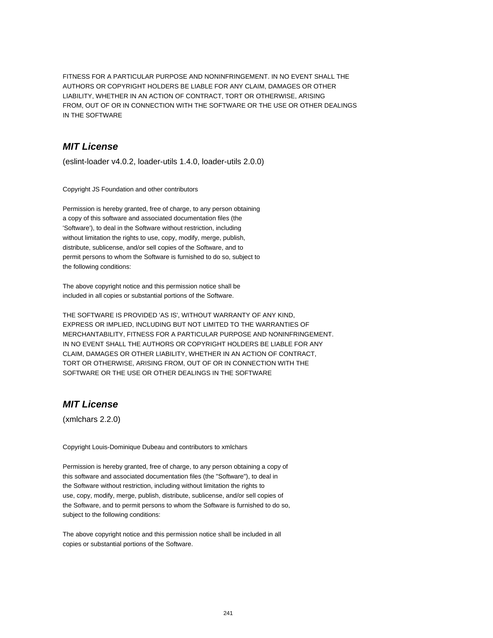FITNESS FOR A PARTICULAR PURPOSE AND NONINFRINGEMENT. IN NO EVENT SHALL THE AUTHORS OR COPYRIGHT HOLDERS BE LIABLE FOR ANY CLAIM, DAMAGES OR OTHER LIABILITY, WHETHER IN AN ACTION OF CONTRACT, TORT OR OTHERWISE, ARISING FROM, OUT OF OR IN CONNECTION WITH THE SOFTWARE OR THE USE OR OTHER DEALINGS IN THE SOFTWARE

## **MIT License**

(eslint-loader v4.0.2, loader-utils 1.4.0, loader-utils 2.0.0)

Copyright JS Foundation and other contributors

Permission is hereby granted, free of charge, to any person obtaining a copy of this software and associated documentation files (the 'Software'), to deal in the Software without restriction, including without limitation the rights to use, copy, modify, merge, publish, distribute, sublicense, and/or sell copies of the Software, and to permit persons to whom the Software is furnished to do so, subject to the following conditions:

The above copyright notice and this permission notice shall be included in all copies or substantial portions of the Software.

THE SOFTWARE IS PROVIDED 'AS IS', WITHOUT WARRANTY OF ANY KIND, EXPRESS OR IMPLIED, INCLUDING BUT NOT LIMITED TO THE WARRANTIES OF MERCHANTABILITY, FITNESS FOR A PARTICULAR PURPOSE AND NONINFRINGEMENT. IN NO EVENT SHALL THE AUTHORS OR COPYRIGHT HOLDERS BE LIABLE FOR ANY CLAIM, DAMAGES OR OTHER LIABILITY, WHETHER IN AN ACTION OF CONTRACT, TORT OR OTHERWISE, ARISING FROM, OUT OF OR IN CONNECTION WITH THE SOFTWARE OR THE USE OR OTHER DEALINGS IN THE SOFTWARE

# **MIT License**

(xmlchars 2.2.0)

Copyright Louis-Dominique Dubeau and contributors to xmlchars

Permission is hereby granted, free of charge, to any person obtaining a copy of this software and associated documentation files (the "Software"), to deal in the Software without restriction, including without limitation the rights to use, copy, modify, merge, publish, distribute, sublicense, and/or sell copies of the Software, and to permit persons to whom the Software is furnished to do so, subject to the following conditions:

The above copyright notice and this permission notice shall be included in all copies or substantial portions of the Software.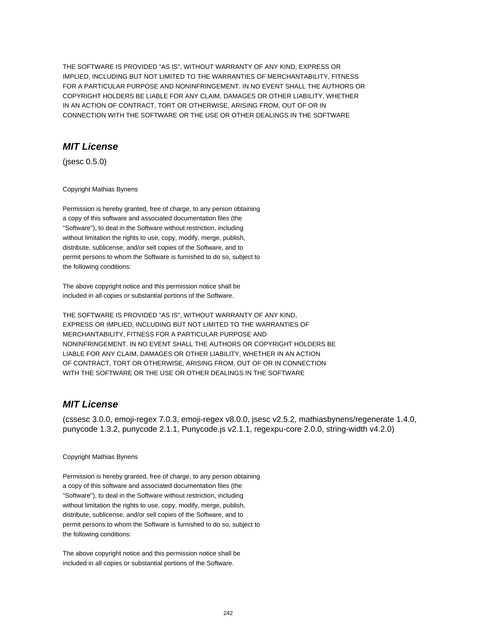THE SOFTWARE IS PROVIDED "AS IS", WITHOUT WARRANTY OF ANY KIND, EXPRESS OR IMPLIED, INCLUDING BUT NOT LIMITED TO THE WARRANTIES OF MERCHANTABILITY, FITNESS FOR A PARTICULAR PURPOSE AND NONINFRINGEMENT. IN NO EVENT SHALL THE AUTHORS OR COPYRIGHT HOLDERS BE LIABLE FOR ANY CLAIM, DAMAGES OR OTHER LIABILITY, WHETHER IN AN ACTION OF CONTRACT, TORT OR OTHERWISE, ARISING FROM, OUT OF OR IN CONNECTION WITH THE SOFTWARE OR THE USE OR OTHER DEALINGS IN THE SOFTWARE

#### **MIT License**

(jsesc 0.5.0)

Copyright Mathias Bynens

Permission is hereby granted, free of charge, to any person obtaining a copy of this software and associated documentation files (the "Software"), to deal in the Software without restriction, including without limitation the rights to use, copy, modify, merge, publish, distribute, sublicense, and/or sell copies of the Software, and to permit persons to whom the Software is furnished to do so, subject to the following conditions:

The above copyright notice and this permission notice shall be included in all copies or substantial portions of the Software.

THE SOFTWARE IS PROVIDED "AS IS", WITHOUT WARRANTY OF ANY KIND, EXPRESS OR IMPLIED, INCLUDING BUT NOT LIMITED TO THE WARRANTIES OF MERCHANTABILITY, FITNESS FOR A PARTICULAR PURPOSE AND NONINFRINGEMENT. IN NO EVENT SHALL THE AUTHORS OR COPYRIGHT HOLDERS BE LIABLE FOR ANY CLAIM, DAMAGES OR OTHER LIABILITY, WHETHER IN AN ACTION OF CONTRACT, TORT OR OTHERWISE, ARISING FROM, OUT OF OR IN CONNECTION WITH THE SOFTWARE OR THE USE OR OTHER DEALINGS IN THE SOFTWARE

#### **MIT License**

(cssesc 3.0.0, emoji-regex 7.0.3, emoji-regex v8.0.0, jsesc v2.5.2, mathiasbynens/regenerate 1.4.0, punycode 1.3.2, punycode 2.1.1, Punycode.js v2.1.1, regexpu-core 2.0.0, string-width v4.2.0)

#### Copyright Mathias Bynens

Permission is hereby granted, free of charge, to any person obtaining a copy of this software and associated documentation files (the "Software"), to deal in the Software without restriction, including without limitation the rights to use, copy, modify, merge, publish, distribute, sublicense, and/or sell copies of the Software, and to permit persons to whom the Software is furnished to do so, subject to the following conditions:

The above copyright notice and this permission notice shall be included in all copies or substantial portions of the Software.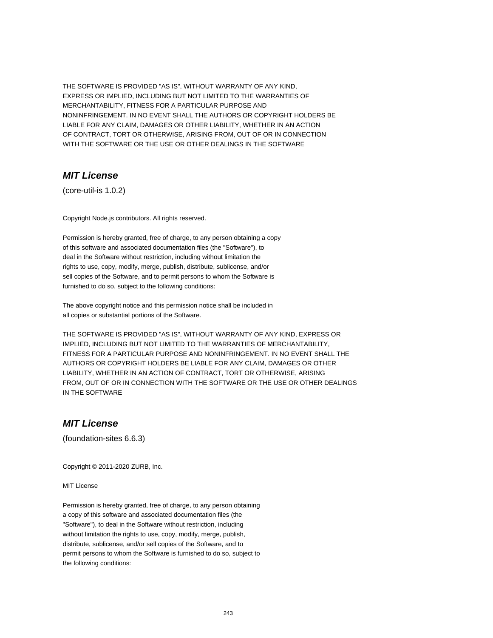THE SOFTWARE IS PROVIDED "AS IS", WITHOUT WARRANTY OF ANY KIND, EXPRESS OR IMPLIED, INCLUDING BUT NOT LIMITED TO THE WARRANTIES OF MERCHANTABILITY, FITNESS FOR A PARTICULAR PURPOSE AND NONINFRINGEMENT. IN NO EVENT SHALL THE AUTHORS OR COPYRIGHT HOLDERS BE LIABLE FOR ANY CLAIM, DAMAGES OR OTHER LIABILITY, WHETHER IN AN ACTION OF CONTRACT, TORT OR OTHERWISE, ARISING FROM, OUT OF OR IN CONNECTION WITH THE SOFTWARE OR THE USE OR OTHER DEALINGS IN THE SOFTWARE

### **MIT License**

(core-util-is 1.0.2)

Copyright Node.js contributors. All rights reserved.

Permission is hereby granted, free of charge, to any person obtaining a copy of this software and associated documentation files (the "Software"), to deal in the Software without restriction, including without limitation the rights to use, copy, modify, merge, publish, distribute, sublicense, and/or sell copies of the Software, and to permit persons to whom the Software is furnished to do so, subject to the following conditions:

The above copyright notice and this permission notice shall be included in all copies or substantial portions of the Software.

THE SOFTWARE IS PROVIDED "AS IS", WITHOUT WARRANTY OF ANY KIND, EXPRESS OR IMPLIED, INCLUDING BUT NOT LIMITED TO THE WARRANTIES OF MERCHANTABILITY, FITNESS FOR A PARTICULAR PURPOSE AND NONINFRINGEMENT. IN NO EVENT SHALL THE AUTHORS OR COPYRIGHT HOLDERS BE LIABLE FOR ANY CLAIM, DAMAGES OR OTHER LIABILITY, WHETHER IN AN ACTION OF CONTRACT, TORT OR OTHERWISE, ARISING FROM, OUT OF OR IN CONNECTION WITH THE SOFTWARE OR THE USE OR OTHER DEALINGS IN THE SOFTWARE

### **MIT License**

(foundation-sites 6.6.3)

Copyright © 2011-2020 ZURB, Inc.

MIT License

Permission is hereby granted, free of charge, to any person obtaining a copy of this software and associated documentation files (the "Software"), to deal in the Software without restriction, including without limitation the rights to use, copy, modify, merge, publish, distribute, sublicense, and/or sell copies of the Software, and to permit persons to whom the Software is furnished to do so, subject to the following conditions: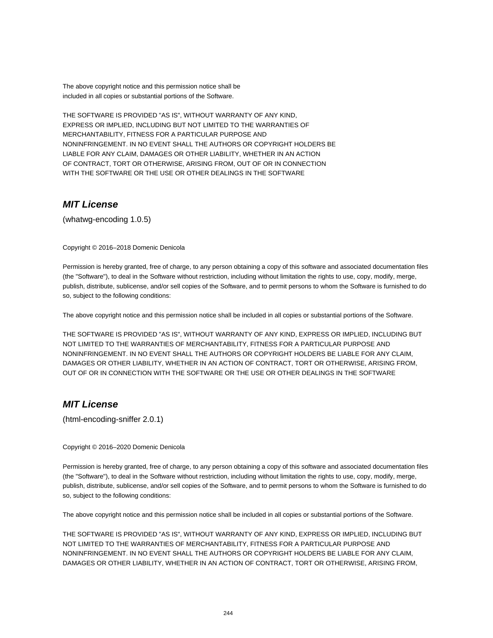The above copyright notice and this permission notice shall be included in all copies or substantial portions of the Software.

THE SOFTWARE IS PROVIDED "AS IS", WITHOUT WARRANTY OF ANY KIND, EXPRESS OR IMPLIED, INCLUDING BUT NOT LIMITED TO THE WARRANTIES OF MERCHANTABILITY, FITNESS FOR A PARTICULAR PURPOSE AND NONINFRINGEMENT. IN NO EVENT SHALL THE AUTHORS OR COPYRIGHT HOLDERS BE LIABLE FOR ANY CLAIM, DAMAGES OR OTHER LIABILITY, WHETHER IN AN ACTION OF CONTRACT, TORT OR OTHERWISE, ARISING FROM, OUT OF OR IN CONNECTION WITH THE SOFTWARE OR THE USE OR OTHER DEALINGS IN THE SOFTWARE

### **MIT License**

(whatwg-encoding 1.0.5)

Copyright © 2016–2018 Domenic Denicola

Permission is hereby granted, free of charge, to any person obtaining a copy of this software and associated documentation files (the "Software"), to deal in the Software without restriction, including without limitation the rights to use, copy, modify, merge, publish, distribute, sublicense, and/or sell copies of the Software, and to permit persons to whom the Software is furnished to do so, subject to the following conditions:

The above copyright notice and this permission notice shall be included in all copies or substantial portions of the Software.

THE SOFTWARE IS PROVIDED "AS IS", WITHOUT WARRANTY OF ANY KIND, EXPRESS OR IMPLIED, INCLUDING BUT NOT LIMITED TO THE WARRANTIES OF MERCHANTABILITY, FITNESS FOR A PARTICULAR PURPOSE AND NONINFRINGEMENT. IN NO EVENT SHALL THE AUTHORS OR COPYRIGHT HOLDERS BE LIABLE FOR ANY CLAIM, DAMAGES OR OTHER LIABILITY, WHETHER IN AN ACTION OF CONTRACT, TORT OR OTHERWISE, ARISING FROM, OUT OF OR IN CONNECTION WITH THE SOFTWARE OR THE USE OR OTHER DEALINGS IN THE SOFTWARE

## **MIT License**

(html-encoding-sniffer 2.0.1)

#### Copyright © 2016–2020 Domenic Denicola

Permission is hereby granted, free of charge, to any person obtaining a copy of this software and associated documentation files (the "Software"), to deal in the Software without restriction, including without limitation the rights to use, copy, modify, merge, publish, distribute, sublicense, and/or sell copies of the Software, and to permit persons to whom the Software is furnished to do so, subject to the following conditions:

The above copyright notice and this permission notice shall be included in all copies or substantial portions of the Software.

THE SOFTWARE IS PROVIDED "AS IS", WITHOUT WARRANTY OF ANY KIND, EXPRESS OR IMPLIED, INCLUDING BUT NOT LIMITED TO THE WARRANTIES OF MERCHANTABILITY, FITNESS FOR A PARTICULAR PURPOSE AND NONINFRINGEMENT. IN NO EVENT SHALL THE AUTHORS OR COPYRIGHT HOLDERS BE LIABLE FOR ANY CLAIM, DAMAGES OR OTHER LIABILITY, WHETHER IN AN ACTION OF CONTRACT, TORT OR OTHERWISE, ARISING FROM,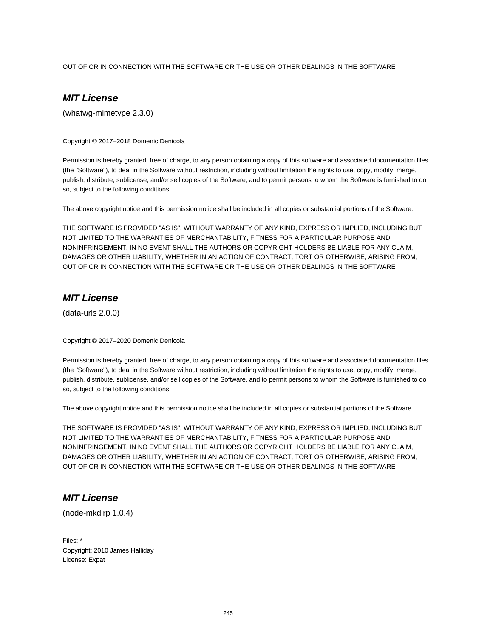OUT OF OR IN CONNECTION WITH THE SOFTWARE OR THE USE OR OTHER DEALINGS IN THE SOFTWARE

# **MIT License**

(whatwg-mimetype 2.3.0)

Copyright © 2017–2018 Domenic Denicola

Permission is hereby granted, free of charge, to any person obtaining a copy of this software and associated documentation files (the "Software"), to deal in the Software without restriction, including without limitation the rights to use, copy, modify, merge, publish, distribute, sublicense, and/or sell copies of the Software, and to permit persons to whom the Software is furnished to do so, subject to the following conditions:

The above copyright notice and this permission notice shall be included in all copies or substantial portions of the Software.

THE SOFTWARE IS PROVIDED "AS IS", WITHOUT WARRANTY OF ANY KIND, EXPRESS OR IMPLIED, INCLUDING BUT NOT LIMITED TO THE WARRANTIES OF MERCHANTABILITY, FITNESS FOR A PARTICULAR PURPOSE AND NONINFRINGEMENT. IN NO EVENT SHALL THE AUTHORS OR COPYRIGHT HOLDERS BE LIABLE FOR ANY CLAIM, DAMAGES OR OTHER LIABILITY, WHETHER IN AN ACTION OF CONTRACT, TORT OR OTHERWISE, ARISING FROM, OUT OF OR IN CONNECTION WITH THE SOFTWARE OR THE USE OR OTHER DEALINGS IN THE SOFTWARE

### **MIT License**

(data-urls 2.0.0)

Copyright © 2017–2020 Domenic Denicola

Permission is hereby granted, free of charge, to any person obtaining a copy of this software and associated documentation files (the "Software"), to deal in the Software without restriction, including without limitation the rights to use, copy, modify, merge, publish, distribute, sublicense, and/or sell copies of the Software, and to permit persons to whom the Software is furnished to do so, subject to the following conditions:

The above copyright notice and this permission notice shall be included in all copies or substantial portions of the Software.

THE SOFTWARE IS PROVIDED "AS IS", WITHOUT WARRANTY OF ANY KIND, EXPRESS OR IMPLIED, INCLUDING BUT NOT LIMITED TO THE WARRANTIES OF MERCHANTABILITY, FITNESS FOR A PARTICULAR PURPOSE AND NONINFRINGEMENT. IN NO EVENT SHALL THE AUTHORS OR COPYRIGHT HOLDERS BE LIABLE FOR ANY CLAIM, DAMAGES OR OTHER LIABILITY, WHETHER IN AN ACTION OF CONTRACT, TORT OR OTHERWISE, ARISING FROM, OUT OF OR IN CONNECTION WITH THE SOFTWARE OR THE USE OR OTHER DEALINGS IN THE SOFTWARE

## **MIT License**

(node-mkdirp 1.0.4)

Files: \* Copyright: 2010 James Halliday License: Expat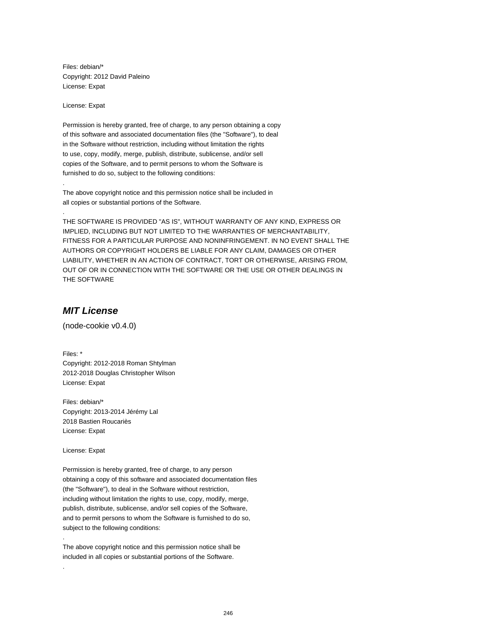Files: debian/\* Copyright: 2012 David Paleino License: Expat

License: Expat

.

.

Permission is hereby granted, free of charge, to any person obtaining a copy of this software and associated documentation files (the "Software"), to deal in the Software without restriction, including without limitation the rights to use, copy, modify, merge, publish, distribute, sublicense, and/or sell copies of the Software, and to permit persons to whom the Software is furnished to do so, subject to the following conditions:

The above copyright notice and this permission notice shall be included in all copies or substantial portions of the Software.

THE SOFTWARE IS PROVIDED "AS IS", WITHOUT WARRANTY OF ANY KIND, EXPRESS OR IMPLIED, INCLUDING BUT NOT LIMITED TO THE WARRANTIES OF MERCHANTABILITY, FITNESS FOR A PARTICULAR PURPOSE AND NONINFRINGEMENT. IN NO EVENT SHALL THE AUTHORS OR COPYRIGHT HOLDERS BE LIABLE FOR ANY CLAIM, DAMAGES OR OTHER LIABILITY, WHETHER IN AN ACTION OF CONTRACT, TORT OR OTHERWISE, ARISING FROM, OUT OF OR IN CONNECTION WITH THE SOFTWARE OR THE USE OR OTHER DEALINGS IN THE SOFTWARE

## **MIT License**

(node-cookie v0.4.0)

Files: \* Copyright: 2012-2018 Roman Shtylman 2012-2018 Douglas Christopher Wilson License: Expat

Files: debian/\* Copyright: 2013-2014 Jérémy Lal 2018 Bastien Roucariès License: Expat

License: Expat

.

.

Permission is hereby granted, free of charge, to any person obtaining a copy of this software and associated documentation files (the "Software"), to deal in the Software without restriction, including without limitation the rights to use, copy, modify, merge, publish, distribute, sublicense, and/or sell copies of the Software, and to permit persons to whom the Software is furnished to do so, subject to the following conditions:

The above copyright notice and this permission notice shall be included in all copies or substantial portions of the Software.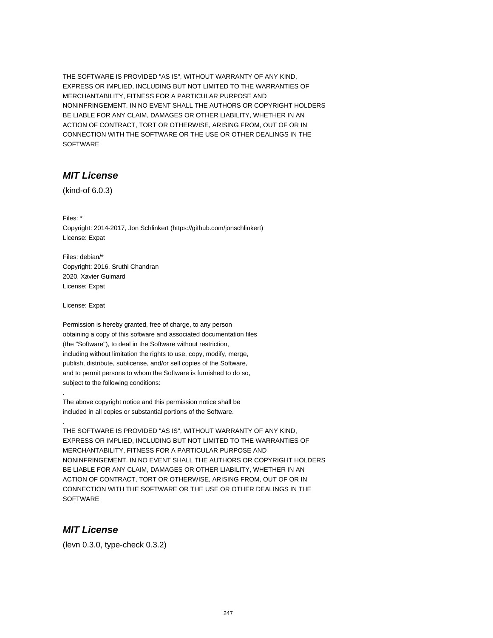THE SOFTWARE IS PROVIDED "AS IS", WITHOUT WARRANTY OF ANY KIND, EXPRESS OR IMPLIED, INCLUDING BUT NOT LIMITED TO THE WARRANTIES OF MERCHANTABILITY, FITNESS FOR A PARTICULAR PURPOSE AND NONINFRINGEMENT. IN NO EVENT SHALL THE AUTHORS OR COPYRIGHT HOLDERS BE LIABLE FOR ANY CLAIM, DAMAGES OR OTHER LIABILITY, WHETHER IN AN ACTION OF CONTRACT, TORT OR OTHERWISE, ARISING FROM, OUT OF OR IN CONNECTION WITH THE SOFTWARE OR THE USE OR OTHER DEALINGS IN THE **SOFTWARE** 

### **MIT License**

(kind-of 6.0.3)

Files: \* Copyright: 2014-2017, Jon Schlinkert (https://github.com/jonschlinkert) License: Expat

Files: debian/\* Copyright: 2016, Sruthi Chandran 2020, Xavier Guimard License: Expat

License: Expat

.

.

Permission is hereby granted, free of charge, to any person obtaining a copy of this software and associated documentation files (the "Software"), to deal in the Software without restriction, including without limitation the rights to use, copy, modify, merge, publish, distribute, sublicense, and/or sell copies of the Software, and to permit persons to whom the Software is furnished to do so, subject to the following conditions:

The above copyright notice and this permission notice shall be included in all copies or substantial portions of the Software.

THE SOFTWARE IS PROVIDED "AS IS", WITHOUT WARRANTY OF ANY KIND, EXPRESS OR IMPLIED, INCLUDING BUT NOT LIMITED TO THE WARRANTIES OF MERCHANTABILITY, FITNESS FOR A PARTICULAR PURPOSE AND NONINFRINGEMENT. IN NO EVENT SHALL THE AUTHORS OR COPYRIGHT HOLDERS BE LIABLE FOR ANY CLAIM, DAMAGES OR OTHER LIABILITY, WHETHER IN AN ACTION OF CONTRACT, TORT OR OTHERWISE, ARISING FROM, OUT OF OR IN CONNECTION WITH THE SOFTWARE OR THE USE OR OTHER DEALINGS IN THE **SOFTWARE** 

#### **MIT License**

(levn 0.3.0, type-check 0.3.2)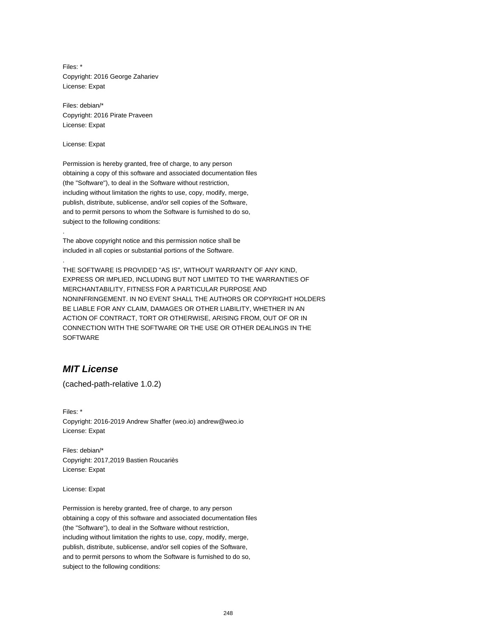Files: \* Copyright: 2016 George Zahariev License: Expat

Files: debian/\* Copyright: 2016 Pirate Praveen License: Expat

License: Expat

.

.

Permission is hereby granted, free of charge, to any person obtaining a copy of this software and associated documentation files (the "Software"), to deal in the Software without restriction, including without limitation the rights to use, copy, modify, merge, publish, distribute, sublicense, and/or sell copies of the Software, and to permit persons to whom the Software is furnished to do so, subject to the following conditions:

The above copyright notice and this permission notice shall be included in all copies or substantial portions of the Software.

THE SOFTWARE IS PROVIDED "AS IS", WITHOUT WARRANTY OF ANY KIND, EXPRESS OR IMPLIED, INCLUDING BUT NOT LIMITED TO THE WARRANTIES OF MERCHANTABILITY, FITNESS FOR A PARTICULAR PURPOSE AND NONINFRINGEMENT. IN NO EVENT SHALL THE AUTHORS OR COPYRIGHT HOLDERS BE LIABLE FOR ANY CLAIM, DAMAGES OR OTHER LIABILITY, WHETHER IN AN ACTION OF CONTRACT, TORT OR OTHERWISE, ARISING FROM, OUT OF OR IN CONNECTION WITH THE SOFTWARE OR THE USE OR OTHER DEALINGS IN THE SOFTWARE

### **MIT License**

(cached-path-relative 1.0.2)

Files: \* Copyright: 2016-2019 Andrew Shaffer (weo.io) andrew@weo.io License: Expat

Files: debian/\* Copyright: 2017,2019 Bastien Roucariès License: Expat

License: Expat

Permission is hereby granted, free of charge, to any person obtaining a copy of this software and associated documentation files (the "Software"), to deal in the Software without restriction, including without limitation the rights to use, copy, modify, merge, publish, distribute, sublicense, and/or sell copies of the Software, and to permit persons to whom the Software is furnished to do so, subject to the following conditions: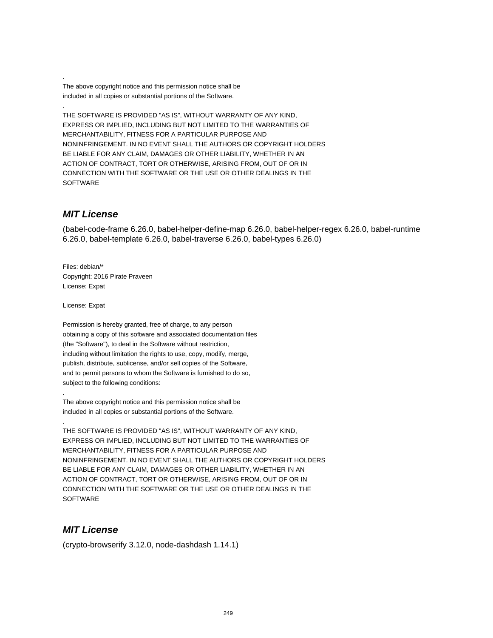The above copyright notice and this permission notice shall be included in all copies or substantial portions of the Software.

THE SOFTWARE IS PROVIDED "AS IS", WITHOUT WARRANTY OF ANY KIND, EXPRESS OR IMPLIED, INCLUDING BUT NOT LIMITED TO THE WARRANTIES OF MERCHANTABILITY, FITNESS FOR A PARTICULAR PURPOSE AND NONINFRINGEMENT. IN NO EVENT SHALL THE AUTHORS OR COPYRIGHT HOLDERS BE LIABLE FOR ANY CLAIM, DAMAGES OR OTHER LIABILITY, WHETHER IN AN ACTION OF CONTRACT, TORT OR OTHERWISE, ARISING FROM, OUT OF OR IN CONNECTION WITH THE SOFTWARE OR THE USE OR OTHER DEALINGS IN THE SOFTWARE

#### **MIT License**

.

.

(babel-code-frame 6.26.0, babel-helper-define-map 6.26.0, babel-helper-regex 6.26.0, babel-runtime 6.26.0, babel-template 6.26.0, babel-traverse 6.26.0, babel-types 6.26.0)

Files: debian/\* Copyright: 2016 Pirate Praveen License: Expat

License: Expat

.

.

Permission is hereby granted, free of charge, to any person obtaining a copy of this software and associated documentation files (the "Software"), to deal in the Software without restriction, including without limitation the rights to use, copy, modify, merge, publish, distribute, sublicense, and/or sell copies of the Software, and to permit persons to whom the Software is furnished to do so, subject to the following conditions:

The above copyright notice and this permission notice shall be included in all copies or substantial portions of the Software.

THE SOFTWARE IS PROVIDED "AS IS", WITHOUT WARRANTY OF ANY KIND, EXPRESS OR IMPLIED, INCLUDING BUT NOT LIMITED TO THE WARRANTIES OF MERCHANTABILITY, FITNESS FOR A PARTICULAR PURPOSE AND NONINFRINGEMENT. IN NO EVENT SHALL THE AUTHORS OR COPYRIGHT HOLDERS BE LIABLE FOR ANY CLAIM, DAMAGES OR OTHER LIABILITY, WHETHER IN AN ACTION OF CONTRACT, TORT OR OTHERWISE, ARISING FROM, OUT OF OR IN CONNECTION WITH THE SOFTWARE OR THE USE OR OTHER DEALINGS IN THE **SOFTWARE** 

## **MIT License**

(crypto-browserify 3.12.0, node-dashdash 1.14.1)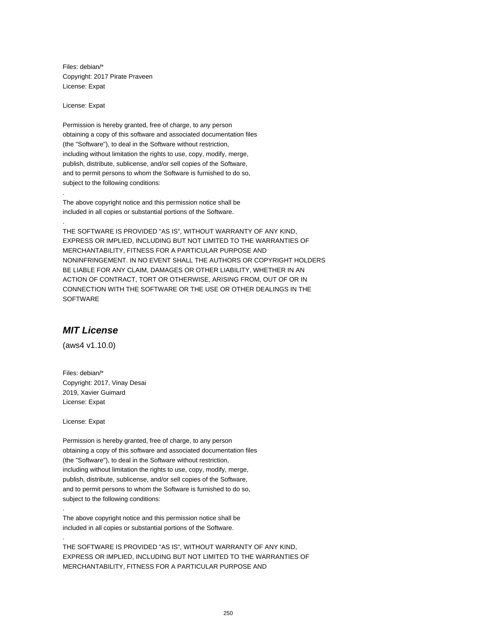Files: debian/\* Copyright: 2017 Pirate Praveen License: Expat

License: Expat

.

.

Permission is hereby granted, free of charge, to any person obtaining a copy of this software and associated documentation files (the "Software"), to deal in the Software without restriction, including without limitation the rights to use, copy, modify, merge, publish, distribute, sublicense, and/or sell copies of the Software, and to permit persons to whom the Software is furnished to do so, subject to the following conditions:

The above copyright notice and this permission notice shall be included in all copies or substantial portions of the Software.

THE SOFTWARE IS PROVIDED "AS IS", WITHOUT WARRANTY OF ANY KIND, EXPRESS OR IMPLIED, INCLUDING BUT NOT LIMITED TO THE WARRANTIES OF MERCHANTABILITY, FITNESS FOR A PARTICULAR PURPOSE AND NONINFRINGEMENT. IN NO EVENT SHALL THE AUTHORS OR COPYRIGHT HOLDERS BE LIABLE FOR ANY CLAIM, DAMAGES OR OTHER LIABILITY, WHETHER IN AN ACTION OF CONTRACT, TORT OR OTHERWISE, ARISING FROM, OUT OF OR IN CONNECTION WITH THE SOFTWARE OR THE USE OR OTHER DEALINGS IN THE SOFTWARE

## **MIT License**

(aws4 v1.10.0)

Files: debian/\* Copyright: 2017, Vinay Desai 2019, Xavier Guimard License: Expat

License: Expat

.

.

Permission is hereby granted, free of charge, to any person obtaining a copy of this software and associated documentation files (the "Software"), to deal in the Software without restriction, including without limitation the rights to use, copy, modify, merge, publish, distribute, sublicense, and/or sell copies of the Software, and to permit persons to whom the Software is furnished to do so, subject to the following conditions:

The above copyright notice and this permission notice shall be included in all copies or substantial portions of the Software.

THE SOFTWARE IS PROVIDED "AS IS", WITHOUT WARRANTY OF ANY KIND, EXPRESS OR IMPLIED, INCLUDING BUT NOT LIMITED TO THE WARRANTIES OF MERCHANTABILITY, FITNESS FOR A PARTICULAR PURPOSE AND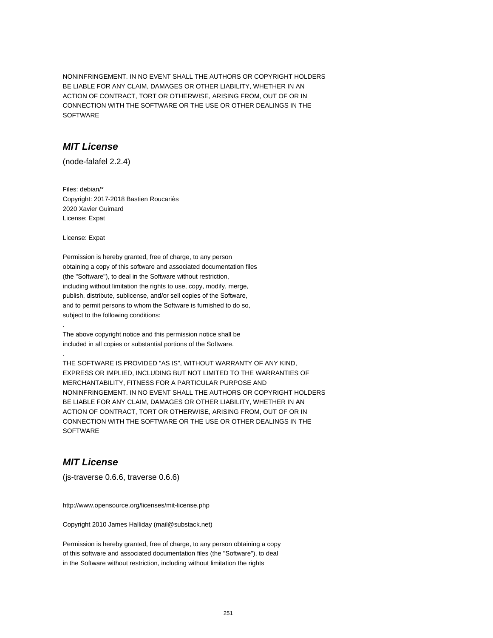NONINFRINGEMENT. IN NO EVENT SHALL THE AUTHORS OR COPYRIGHT HOLDERS BE LIABLE FOR ANY CLAIM, DAMAGES OR OTHER LIABILITY, WHETHER IN AN ACTION OF CONTRACT, TORT OR OTHERWISE, ARISING FROM, OUT OF OR IN CONNECTION WITH THE SOFTWARE OR THE USE OR OTHER DEALINGS IN THE SOFTWARE

#### **MIT License**

(node-falafel 2.2.4)

Files: debian/\* Copyright: 2017-2018 Bastien Roucariès 2020 Xavier Guimard License: Expat

License: Expat

.

.

Permission is hereby granted, free of charge, to any person obtaining a copy of this software and associated documentation files (the "Software"), to deal in the Software without restriction, including without limitation the rights to use, copy, modify, merge, publish, distribute, sublicense, and/or sell copies of the Software, and to permit persons to whom the Software is furnished to do so, subject to the following conditions:

The above copyright notice and this permission notice shall be included in all copies or substantial portions of the Software.

THE SOFTWARE IS PROVIDED "AS IS", WITHOUT WARRANTY OF ANY KIND, EXPRESS OR IMPLIED, INCLUDING BUT NOT LIMITED TO THE WARRANTIES OF MERCHANTABILITY, FITNESS FOR A PARTICULAR PURPOSE AND NONINFRINGEMENT. IN NO EVENT SHALL THE AUTHORS OR COPYRIGHT HOLDERS BE LIABLE FOR ANY CLAIM, DAMAGES OR OTHER LIABILITY, WHETHER IN AN ACTION OF CONTRACT, TORT OR OTHERWISE, ARISING FROM, OUT OF OR IN CONNECTION WITH THE SOFTWARE OR THE USE OR OTHER DEALINGS IN THE **SOFTWARE** 

## **MIT License**

(js-traverse 0.6.6, traverse 0.6.6)

http://www.opensource.org/licenses/mit-license.php

Copyright 2010 James Halliday (mail@substack.net)

Permission is hereby granted, free of charge, to any person obtaining a copy of this software and associated documentation files (the "Software"), to deal in the Software without restriction, including without limitation the rights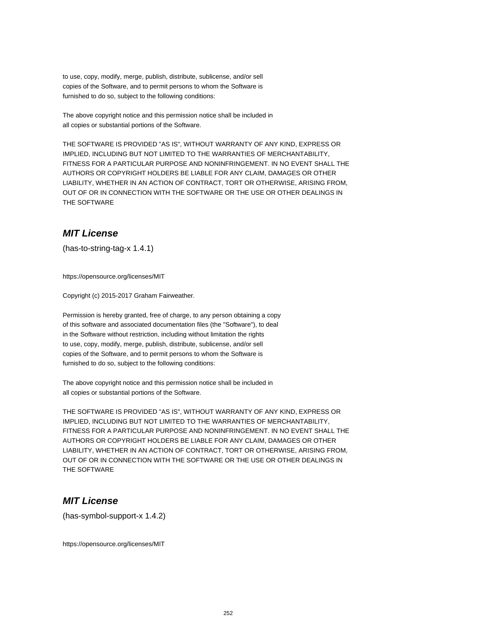to use, copy, modify, merge, publish, distribute, sublicense, and/or sell copies of the Software, and to permit persons to whom the Software is furnished to do so, subject to the following conditions:

The above copyright notice and this permission notice shall be included in all copies or substantial portions of the Software.

THE SOFTWARE IS PROVIDED "AS IS", WITHOUT WARRANTY OF ANY KIND, EXPRESS OR IMPLIED, INCLUDING BUT NOT LIMITED TO THE WARRANTIES OF MERCHANTABILITY, FITNESS FOR A PARTICULAR PURPOSE AND NONINFRINGEMENT. IN NO EVENT SHALL THE AUTHORS OR COPYRIGHT HOLDERS BE LIABLE FOR ANY CLAIM, DAMAGES OR OTHER LIABILITY, WHETHER IN AN ACTION OF CONTRACT, TORT OR OTHERWISE, ARISING FROM, OUT OF OR IN CONNECTION WITH THE SOFTWARE OR THE USE OR OTHER DEALINGS IN THE SOFTWARE

#### **MIT License**

(has-to-string-tag-x 1.4.1)

https://opensource.org/licenses/MIT

Copyright (c) 2015-2017 Graham Fairweather.

Permission is hereby granted, free of charge, to any person obtaining a copy of this software and associated documentation files (the "Software"), to deal in the Software without restriction, including without limitation the rights to use, copy, modify, merge, publish, distribute, sublicense, and/or sell copies of the Software, and to permit persons to whom the Software is furnished to do so, subject to the following conditions:

The above copyright notice and this permission notice shall be included in all copies or substantial portions of the Software.

THE SOFTWARE IS PROVIDED "AS IS", WITHOUT WARRANTY OF ANY KIND, EXPRESS OR IMPLIED, INCLUDING BUT NOT LIMITED TO THE WARRANTIES OF MERCHANTABILITY, FITNESS FOR A PARTICULAR PURPOSE AND NONINFRINGEMENT. IN NO EVENT SHALL THE AUTHORS OR COPYRIGHT HOLDERS BE LIABLE FOR ANY CLAIM, DAMAGES OR OTHER LIABILITY, WHETHER IN AN ACTION OF CONTRACT, TORT OR OTHERWISE, ARISING FROM, OUT OF OR IN CONNECTION WITH THE SOFTWARE OR THE USE OR OTHER DEALINGS IN THE SOFTWARE

#### **MIT License**

(has-symbol-support-x 1.4.2)

https://opensource.org/licenses/MIT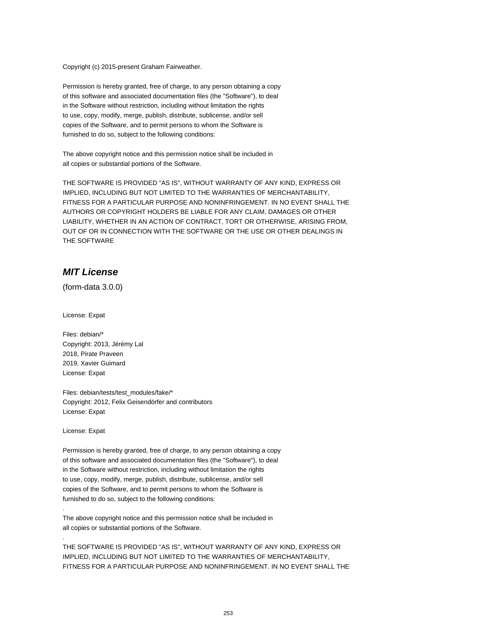Copyright (c) 2015-present Graham Fairweather.

Permission is hereby granted, free of charge, to any person obtaining a copy of this software and associated documentation files (the "Software"), to deal in the Software without restriction, including without limitation the rights to use, copy, modify, merge, publish, distribute, sublicense, and/or sell copies of the Software, and to permit persons to whom the Software is furnished to do so, subject to the following conditions:

The above copyright notice and this permission notice shall be included in all copies or substantial portions of the Software.

THE SOFTWARE IS PROVIDED "AS IS", WITHOUT WARRANTY OF ANY KIND, EXPRESS OR IMPLIED, INCLUDING BUT NOT LIMITED TO THE WARRANTIES OF MERCHANTABILITY, FITNESS FOR A PARTICULAR PURPOSE AND NONINFRINGEMENT. IN NO EVENT SHALL THE AUTHORS OR COPYRIGHT HOLDERS BE LIABLE FOR ANY CLAIM, DAMAGES OR OTHER LIABILITY, WHETHER IN AN ACTION OF CONTRACT, TORT OR OTHERWISE, ARISING FROM, OUT OF OR IN CONNECTION WITH THE SOFTWARE OR THE USE OR OTHER DEALINGS IN THE SOFTWARE

## **MIT License**

(form-data 3.0.0)

License: Expat

Files: debian/\* Copyright: 2013, Jérémy Lal 2018, Pirate Praveen 2019, Xavier Guimard License: Expat

Files: debian/tests/test\_modules/fake/\* Copyright: 2012, Felix Geisendörfer and contributors License: Expat

License: Expat

.

.

Permission is hereby granted, free of charge, to any person obtaining a copy of this software and associated documentation files (the "Software"), to deal in the Software without restriction, including without limitation the rights to use, copy, modify, merge, publish, distribute, sublicense, and/or sell copies of the Software, and to permit persons to whom the Software is furnished to do so, subject to the following conditions:

The above copyright notice and this permission notice shall be included in all copies or substantial portions of the Software.

THE SOFTWARE IS PROVIDED "AS IS", WITHOUT WARRANTY OF ANY KIND, EXPRESS OR IMPLIED, INCLUDING BUT NOT LIMITED TO THE WARRANTIES OF MERCHANTABILITY, FITNESS FOR A PARTICULAR PURPOSE AND NONINFRINGEMENT. IN NO EVENT SHALL THE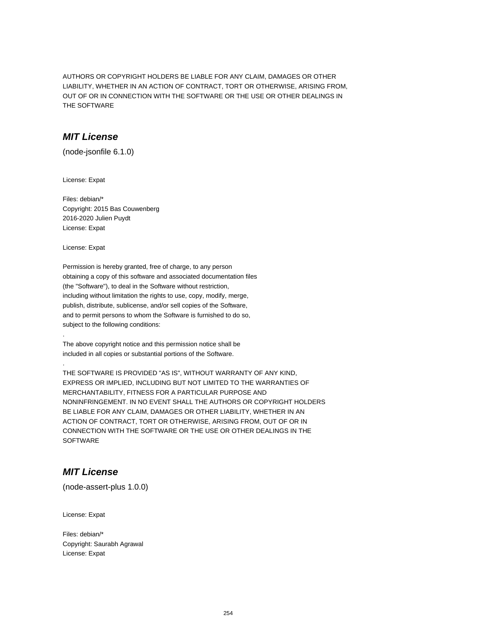AUTHORS OR COPYRIGHT HOLDERS BE LIABLE FOR ANY CLAIM, DAMAGES OR OTHER LIABILITY, WHETHER IN AN ACTION OF CONTRACT, TORT OR OTHERWISE, ARISING FROM, OUT OF OR IN CONNECTION WITH THE SOFTWARE OR THE USE OR OTHER DEALINGS IN THE SOFTWARE

# **MIT License**

(node-jsonfile 6.1.0)

License: Expat

Files: debian/\* Copyright: 2015 Bas Couwenberg 2016-2020 Julien Puydt License: Expat

License: Expat

.

.

Permission is hereby granted, free of charge, to any person obtaining a copy of this software and associated documentation files (the "Software"), to deal in the Software without restriction, including without limitation the rights to use, copy, modify, merge, publish, distribute, sublicense, and/or sell copies of the Software, and to permit persons to whom the Software is furnished to do so, subject to the following conditions:

The above copyright notice and this permission notice shall be included in all copies or substantial portions of the Software.

THE SOFTWARE IS PROVIDED "AS IS", WITHOUT WARRANTY OF ANY KIND, EXPRESS OR IMPLIED, INCLUDING BUT NOT LIMITED TO THE WARRANTIES OF MERCHANTABILITY, FITNESS FOR A PARTICULAR PURPOSE AND NONINFRINGEMENT. IN NO EVENT SHALL THE AUTHORS OR COPYRIGHT HOLDERS BE LIABLE FOR ANY CLAIM, DAMAGES OR OTHER LIABILITY, WHETHER IN AN ACTION OF CONTRACT, TORT OR OTHERWISE, ARISING FROM, OUT OF OR IN CONNECTION WITH THE SOFTWARE OR THE USE OR OTHER DEALINGS IN THE **SOFTWARE** 

# **MIT License**

(node-assert-plus 1.0.0)

License: Expat

Files: debian/\* Copyright: Saurabh Agrawal License: Expat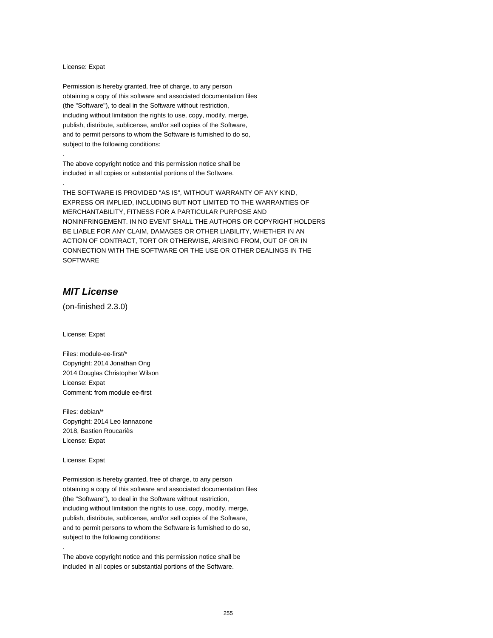#### License: Expat

.

.

Permission is hereby granted, free of charge, to any person obtaining a copy of this software and associated documentation files (the "Software"), to deal in the Software without restriction, including without limitation the rights to use, copy, modify, merge, publish, distribute, sublicense, and/or sell copies of the Software, and to permit persons to whom the Software is furnished to do so, subject to the following conditions:

The above copyright notice and this permission notice shall be included in all copies or substantial portions of the Software.

THE SOFTWARE IS PROVIDED "AS IS", WITHOUT WARRANTY OF ANY KIND, EXPRESS OR IMPLIED, INCLUDING BUT NOT LIMITED TO THE WARRANTIES OF MERCHANTABILITY, FITNESS FOR A PARTICULAR PURPOSE AND NONINFRINGEMENT. IN NO EVENT SHALL THE AUTHORS OR COPYRIGHT HOLDERS BE LIABLE FOR ANY CLAIM, DAMAGES OR OTHER LIABILITY, WHETHER IN AN ACTION OF CONTRACT, TORT OR OTHERWISE, ARISING FROM, OUT OF OR IN CONNECTION WITH THE SOFTWARE OR THE USE OR OTHER DEALINGS IN THE **SOFTWARE** 

# **MIT License**

(on-finished 2.3.0)

License: Expat

Files: module-ee-first/\* Copyright: 2014 Jonathan Ong 2014 Douglas Christopher Wilson License: Expat Comment: from module ee-first

Files: debian/\* Copyright: 2014 Leo Iannacone 2018, Bastien Roucariès License: Expat

License: Expat

.

Permission is hereby granted, free of charge, to any person obtaining a copy of this software and associated documentation files (the "Software"), to deal in the Software without restriction, including without limitation the rights to use, copy, modify, merge, publish, distribute, sublicense, and/or sell copies of the Software, and to permit persons to whom the Software is furnished to do so, subject to the following conditions:

The above copyright notice and this permission notice shall be included in all copies or substantial portions of the Software.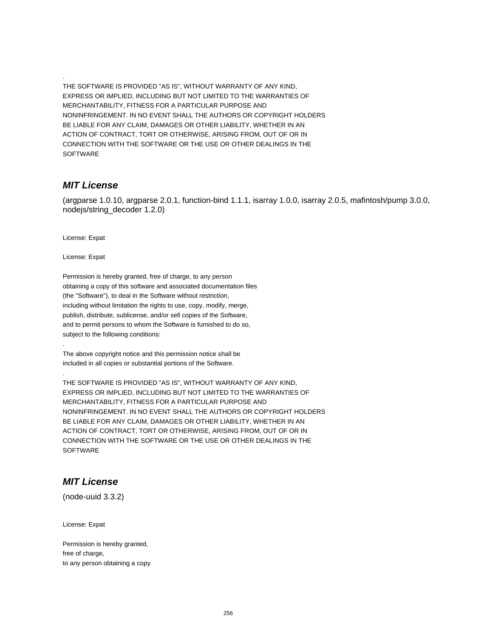THE SOFTWARE IS PROVIDED "AS IS", WITHOUT WARRANTY OF ANY KIND, EXPRESS OR IMPLIED, INCLUDING BUT NOT LIMITED TO THE WARRANTIES OF MERCHANTABILITY, FITNESS FOR A PARTICULAR PURPOSE AND NONINFRINGEMENT. IN NO EVENT SHALL THE AUTHORS OR COPYRIGHT HOLDERS BE LIABLE FOR ANY CLAIM, DAMAGES OR OTHER LIABILITY, WHETHER IN AN ACTION OF CONTRACT, TORT OR OTHERWISE, ARISING FROM, OUT OF OR IN CONNECTION WITH THE SOFTWARE OR THE USE OR OTHER DEALINGS IN THE SOFTWARE

### **MIT License**

.

(argparse 1.0.10, argparse 2.0.1, function-bind 1.1.1, isarray 1.0.0, isarray 2.0.5, mafintosh/pump 3.0.0, nodejs/string\_decoder 1.2.0)

License: Expat

License: Expat

.

.

Permission is hereby granted, free of charge, to any person obtaining a copy of this software and associated documentation files (the "Software"), to deal in the Software without restriction, including without limitation the rights to use, copy, modify, merge, publish, distribute, sublicense, and/or sell copies of the Software, and to permit persons to whom the Software is furnished to do so, subject to the following conditions:

The above copyright notice and this permission notice shall be included in all copies or substantial portions of the Software.

THE SOFTWARE IS PROVIDED "AS IS", WITHOUT WARRANTY OF ANY KIND, EXPRESS OR IMPLIED, INCLUDING BUT NOT LIMITED TO THE WARRANTIES OF MERCHANTABILITY, FITNESS FOR A PARTICULAR PURPOSE AND NONINFRINGEMENT. IN NO EVENT SHALL THE AUTHORS OR COPYRIGHT HOLDERS BE LIABLE FOR ANY CLAIM, DAMAGES OR OTHER LIABILITY, WHETHER IN AN ACTION OF CONTRACT, TORT OR OTHERWISE, ARISING FROM, OUT OF OR IN CONNECTION WITH THE SOFTWARE OR THE USE OR OTHER DEALINGS IN THE **SOFTWARE** 

# **MIT License**

(node-uuid 3.3.2)

License: Expat

Permission is hereby granted, free of charge, to any person obtaining a copy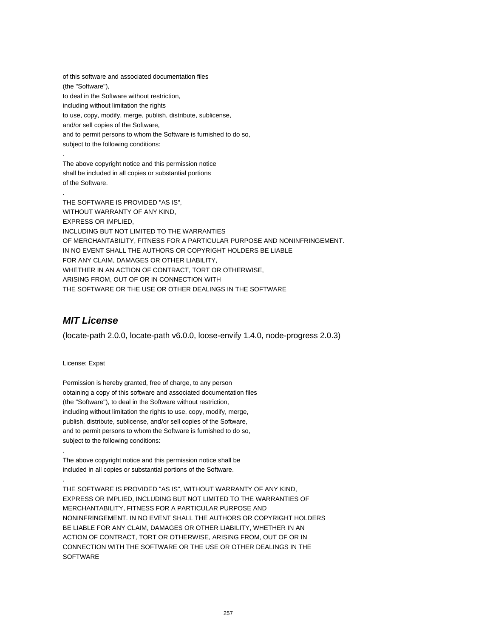of this software and associated documentation files (the "Software"), to deal in the Software without restriction, including without limitation the rights to use, copy, modify, merge, publish, distribute, sublicense, and/or sell copies of the Software, and to permit persons to whom the Software is furnished to do so, subject to the following conditions: . The above copyright notice and this permission notice shall be included in all copies or substantial portions

. THE SOFTWARE IS PROVIDED "AS IS", WITHOUT WARRANTY OF ANY KIND, EXPRESS OR IMPLIED, INCLUDING BUT NOT LIMITED TO THE WARRANTIES OF MERCHANTABILITY, FITNESS FOR A PARTICULAR PURPOSE AND NONINFRINGEMENT. IN NO EVENT SHALL THE AUTHORS OR COPYRIGHT HOLDERS BE LIABLE FOR ANY CLAIM, DAMAGES OR OTHER LIABILITY, WHETHER IN AN ACTION OF CONTRACT, TORT OR OTHERWISE, ARISING FROM, OUT OF OR IN CONNECTION WITH THE SOFTWARE OR THE USE OR OTHER DEALINGS IN THE SOFTWARE

# **MIT License**

of the Software.

(locate-path 2.0.0, locate-path v6.0.0, loose-envify 1.4.0, node-progress 2.0.3)

License: Expat

.

.

Permission is hereby granted, free of charge, to any person obtaining a copy of this software and associated documentation files (the "Software"), to deal in the Software without restriction, including without limitation the rights to use, copy, modify, merge, publish, distribute, sublicense, and/or sell copies of the Software, and to permit persons to whom the Software is furnished to do so, subject to the following conditions:

The above copyright notice and this permission notice shall be included in all copies or substantial portions of the Software.

THE SOFTWARE IS PROVIDED "AS IS", WITHOUT WARRANTY OF ANY KIND, EXPRESS OR IMPLIED, INCLUDING BUT NOT LIMITED TO THE WARRANTIES OF MERCHANTABILITY, FITNESS FOR A PARTICULAR PURPOSE AND NONINFRINGEMENT. IN NO EVENT SHALL THE AUTHORS OR COPYRIGHT HOLDERS BE LIABLE FOR ANY CLAIM, DAMAGES OR OTHER LIABILITY, WHETHER IN AN ACTION OF CONTRACT, TORT OR OTHERWISE, ARISING FROM, OUT OF OR IN CONNECTION WITH THE SOFTWARE OR THE USE OR OTHER DEALINGS IN THE **SOFTWARE**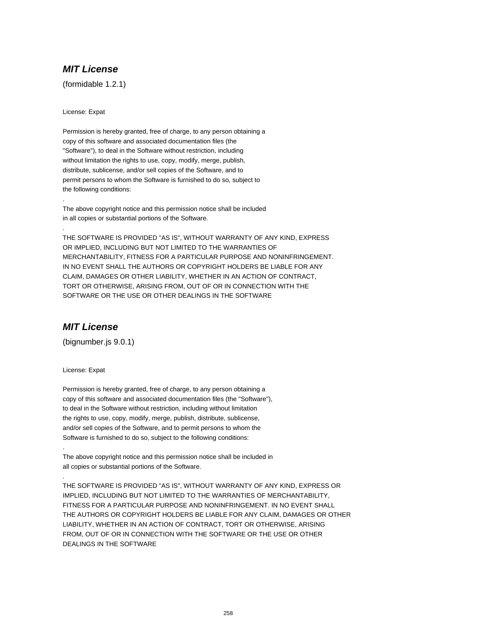(formidable 1.2.1)

License: Expat

.

.

Permission is hereby granted, free of charge, to any person obtaining a copy of this software and associated documentation files (the "Software"), to deal in the Software without restriction, including without limitation the rights to use, copy, modify, merge, publish, distribute, sublicense, and/or sell copies of the Software, and to permit persons to whom the Software is furnished to do so, subject to the following conditions:

The above copyright notice and this permission notice shall be included in all copies or substantial portions of the Software.

THE SOFTWARE IS PROVIDED "AS IS", WITHOUT WARRANTY OF ANY KIND, EXPRESS OR IMPLIED, INCLUDING BUT NOT LIMITED TO THE WARRANTIES OF MERCHANTABILITY, FITNESS FOR A PARTICULAR PURPOSE AND NONINFRINGEMENT. IN NO EVENT SHALL THE AUTHORS OR COPYRIGHT HOLDERS BE LIABLE FOR ANY CLAIM, DAMAGES OR OTHER LIABILITY, WHETHER IN AN ACTION OF CONTRACT, TORT OR OTHERWISE, ARISING FROM, OUT OF OR IN CONNECTION WITH THE SOFTWARE OR THE USE OR OTHER DEALINGS IN THE SOFTWARE

## **MIT License**

(bignumber.js 9.0.1)

License: Expat

.

.

Permission is hereby granted, free of charge, to any person obtaining a copy of this software and associated documentation files (the "Software"), to deal in the Software without restriction, including without limitation the rights to use, copy, modify, merge, publish, distribute, sublicense, and/or sell copies of the Software, and to permit persons to whom the Software is furnished to do so, subject to the following conditions:

The above copyright notice and this permission notice shall be included in all copies or substantial portions of the Software.

THE SOFTWARE IS PROVIDED "AS IS", WITHOUT WARRANTY OF ANY KIND, EXPRESS OR IMPLIED, INCLUDING BUT NOT LIMITED TO THE WARRANTIES OF MERCHANTABILITY, FITNESS FOR A PARTICULAR PURPOSE AND NONINFRINGEMENT. IN NO EVENT SHALL THE AUTHORS OR COPYRIGHT HOLDERS BE LIABLE FOR ANY CLAIM, DAMAGES OR OTHER LIABILITY, WHETHER IN AN ACTION OF CONTRACT, TORT OR OTHERWISE, ARISING FROM, OUT OF OR IN CONNECTION WITH THE SOFTWARE OR THE USE OR OTHER DEALINGS IN THE SOFTWARE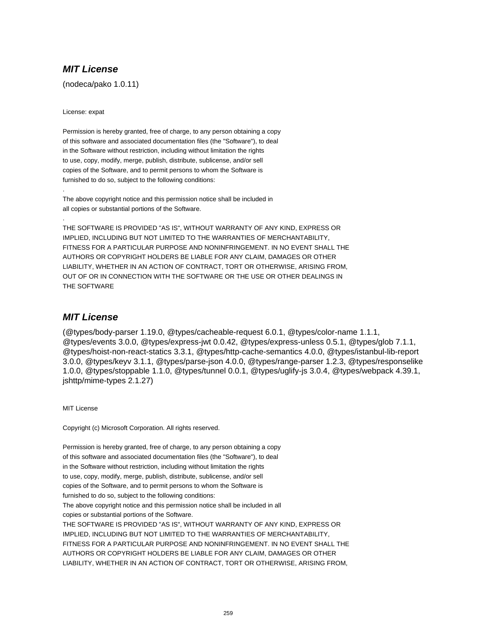(nodeca/pako 1.0.11)

License: expat

.

.

Permission is hereby granted, free of charge, to any person obtaining a copy of this software and associated documentation files (the "Software"), to deal in the Software without restriction, including without limitation the rights to use, copy, modify, merge, publish, distribute, sublicense, and/or sell copies of the Software, and to permit persons to whom the Software is furnished to do so, subject to the following conditions:

The above copyright notice and this permission notice shall be included in all copies or substantial portions of the Software.

THE SOFTWARE IS PROVIDED "AS IS", WITHOUT WARRANTY OF ANY KIND, EXPRESS OR IMPLIED, INCLUDING BUT NOT LIMITED TO THE WARRANTIES OF MERCHANTABILITY, FITNESS FOR A PARTICULAR PURPOSE AND NONINFRINGEMENT. IN NO EVENT SHALL THE AUTHORS OR COPYRIGHT HOLDERS BE LIABLE FOR ANY CLAIM, DAMAGES OR OTHER LIABILITY, WHETHER IN AN ACTION OF CONTRACT, TORT OR OTHERWISE, ARISING FROM, OUT OF OR IN CONNECTION WITH THE SOFTWARE OR THE USE OR OTHER DEALINGS IN THE SOFTWARE

## **MIT License**

(@types/body-parser 1.19.0, @types/cacheable-request 6.0.1, @types/color-name 1.1.1, @types/events 3.0.0, @types/express-jwt 0.0.42, @types/express-unless 0.5.1, @types/glob 7.1.1, @types/hoist-non-react-statics 3.3.1, @types/http-cache-semantics 4.0.0, @types/istanbul-lib-report 3.0.0, @types/keyv 3.1.1, @types/parse-json 4.0.0, @types/range-parser 1.2.3, @types/responselike 1.0.0, @types/stoppable 1.1.0, @types/tunnel 0.0.1, @types/uglify-js 3.0.4, @types/webpack 4.39.1, jshttp/mime-types 2.1.27)

MIT License

Copyright (c) Microsoft Corporation. All rights reserved.

Permission is hereby granted, free of charge, to any person obtaining a copy of this software and associated documentation files (the "Software"), to deal in the Software without restriction, including without limitation the rights to use, copy, modify, merge, publish, distribute, sublicense, and/or sell copies of the Software, and to permit persons to whom the Software is furnished to do so, subject to the following conditions: The above copyright notice and this permission notice shall be included in all copies or substantial portions of the Software. THE SOFTWARE IS PROVIDED "AS IS", WITHOUT WARRANTY OF ANY KIND, EXPRESS OR IMPLIED, INCLUDING BUT NOT LIMITED TO THE WARRANTIES OF MERCHANTABILITY, FITNESS FOR A PARTICULAR PURPOSE AND NONINFRINGEMENT. IN NO EVENT SHALL THE AUTHORS OR COPYRIGHT HOLDERS BE LIABLE FOR ANY CLAIM, DAMAGES OR OTHER LIABILITY, WHETHER IN AN ACTION OF CONTRACT, TORT OR OTHERWISE, ARISING FROM,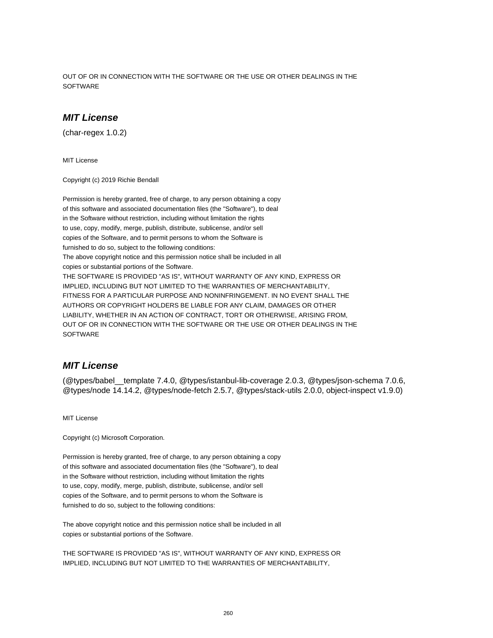OUT OF OR IN CONNECTION WITH THE SOFTWARE OR THE USE OR OTHER DEALINGS IN THE **SOFTWARE** 

## **MIT License**

(char-regex 1.0.2)

MIT License

Copyright (c) 2019 Richie Bendall

Permission is hereby granted, free of charge, to any person obtaining a copy of this software and associated documentation files (the "Software"), to deal in the Software without restriction, including without limitation the rights to use, copy, modify, merge, publish, distribute, sublicense, and/or sell copies of the Software, and to permit persons to whom the Software is furnished to do so, subject to the following conditions: The above copyright notice and this permission notice shall be included in all copies or substantial portions of the Software. THE SOFTWARE IS PROVIDED "AS IS", WITHOUT WARRANTY OF ANY KIND, EXPRESS OR IMPLIED, INCLUDING BUT NOT LIMITED TO THE WARRANTIES OF MERCHANTABILITY, FITNESS FOR A PARTICULAR PURPOSE AND NONINFRINGEMENT. IN NO EVENT SHALL THE AUTHORS OR COPYRIGHT HOLDERS BE LIABLE FOR ANY CLAIM, DAMAGES OR OTHER LIABILITY, WHETHER IN AN ACTION OF CONTRACT, TORT OR OTHERWISE, ARISING FROM, OUT OF OR IN CONNECTION WITH THE SOFTWARE OR THE USE OR OTHER DEALINGS IN THE **SOFTWARE** 

### **MIT License**

(@types/babel\_\_template 7.4.0, @types/istanbul-lib-coverage 2.0.3, @types/json-schema 7.0.6, @types/node 14.14.2, @types/node-fetch 2.5.7, @types/stack-utils 2.0.0, object-inspect v1.9.0)

MIT License

Copyright (c) Microsoft Corporation.

Permission is hereby granted, free of charge, to any person obtaining a copy of this software and associated documentation files (the "Software"), to deal in the Software without restriction, including without limitation the rights to use, copy, modify, merge, publish, distribute, sublicense, and/or sell copies of the Software, and to permit persons to whom the Software is furnished to do so, subject to the following conditions:

The above copyright notice and this permission notice shall be included in all copies or substantial portions of the Software.

THE SOFTWARE IS PROVIDED "AS IS", WITHOUT WARRANTY OF ANY KIND, EXPRESS OR IMPLIED, INCLUDING BUT NOT LIMITED TO THE WARRANTIES OF MERCHANTABILITY,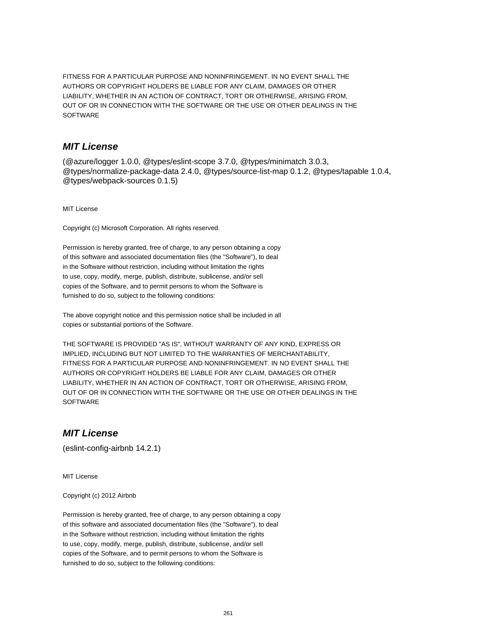FITNESS FOR A PARTICULAR PURPOSE AND NONINFRINGEMENT. IN NO EVENT SHALL THE AUTHORS OR COPYRIGHT HOLDERS BE LIABLE FOR ANY CLAIM, DAMAGES OR OTHER LIABILITY, WHETHER IN AN ACTION OF CONTRACT, TORT OR OTHERWISE, ARISING FROM, OUT OF OR IN CONNECTION WITH THE SOFTWARE OR THE USE OR OTHER DEALINGS IN THE **SOFTWARE** 

## **MIT License**

(@azure/logger 1.0.0, @types/eslint-scope 3.7.0, @types/minimatch 3.0.3, @types/normalize-package-data 2.4.0, @types/source-list-map 0.1.2, @types/tapable 1.0.4, @types/webpack-sources 0.1.5)

MIT License

Copyright (c) Microsoft Corporation. All rights reserved.

Permission is hereby granted, free of charge, to any person obtaining a copy of this software and associated documentation files (the "Software"), to deal in the Software without restriction, including without limitation the rights to use, copy, modify, merge, publish, distribute, sublicense, and/or sell copies of the Software, and to permit persons to whom the Software is furnished to do so, subject to the following conditions:

The above copyright notice and this permission notice shall be included in all copies or substantial portions of the Software.

THE SOFTWARE IS PROVIDED "AS IS", WITHOUT WARRANTY OF ANY KIND, EXPRESS OR IMPLIED, INCLUDING BUT NOT LIMITED TO THE WARRANTIES OF MERCHANTABILITY, FITNESS FOR A PARTICULAR PURPOSE AND NONINFRINGEMENT. IN NO EVENT SHALL THE AUTHORS OR COPYRIGHT HOLDERS BE LIABLE FOR ANY CLAIM, DAMAGES OR OTHER LIABILITY, WHETHER IN AN ACTION OF CONTRACT, TORT OR OTHERWISE, ARISING FROM, OUT OF OR IN CONNECTION WITH THE SOFTWARE OR THE USE OR OTHER DEALINGS IN THE **SOFTWARE** 

## **MIT License**

(eslint-config-airbnb 14.2.1)

MIT License

Copyright (c) 2012 Airbnb

Permission is hereby granted, free of charge, to any person obtaining a copy of this software and associated documentation files (the "Software"), to deal in the Software without restriction, including without limitation the rights to use, copy, modify, merge, publish, distribute, sublicense, and/or sell copies of the Software, and to permit persons to whom the Software is furnished to do so, subject to the following conditions: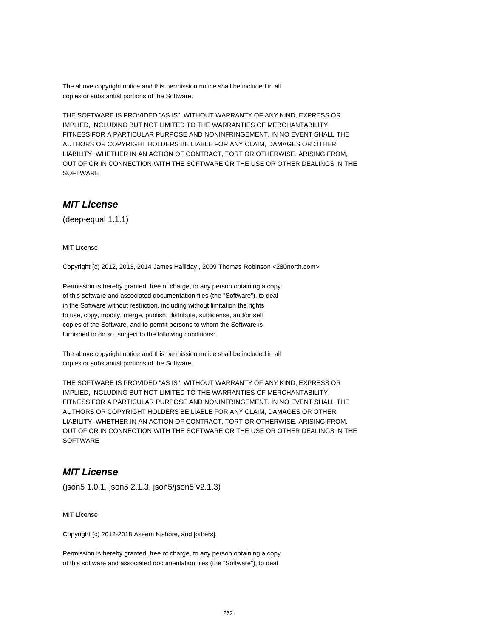The above copyright notice and this permission notice shall be included in all copies or substantial portions of the Software.

THE SOFTWARE IS PROVIDED "AS IS", WITHOUT WARRANTY OF ANY KIND, EXPRESS OR IMPLIED, INCLUDING BUT NOT LIMITED TO THE WARRANTIES OF MERCHANTABILITY, FITNESS FOR A PARTICULAR PURPOSE AND NONINFRINGEMENT. IN NO EVENT SHALL THE AUTHORS OR COPYRIGHT HOLDERS BE LIABLE FOR ANY CLAIM, DAMAGES OR OTHER LIABILITY, WHETHER IN AN ACTION OF CONTRACT, TORT OR OTHERWISE, ARISING FROM, OUT OF OR IN CONNECTION WITH THE SOFTWARE OR THE USE OR OTHER DEALINGS IN THE **SOFTWARE** 

# **MIT License**

(deep-equal 1.1.1)

MIT License

Copyright (c) 2012, 2013, 2014 James Halliday , 2009 Thomas Robinson <280north.com>

Permission is hereby granted, free of charge, to any person obtaining a copy of this software and associated documentation files (the "Software"), to deal in the Software without restriction, including without limitation the rights to use, copy, modify, merge, publish, distribute, sublicense, and/or sell copies of the Software, and to permit persons to whom the Software is furnished to do so, subject to the following conditions:

The above copyright notice and this permission notice shall be included in all copies or substantial portions of the Software.

THE SOFTWARE IS PROVIDED "AS IS", WITHOUT WARRANTY OF ANY KIND, EXPRESS OR IMPLIED, INCLUDING BUT NOT LIMITED TO THE WARRANTIES OF MERCHANTABILITY, FITNESS FOR A PARTICULAR PURPOSE AND NONINFRINGEMENT. IN NO EVENT SHALL THE AUTHORS OR COPYRIGHT HOLDERS BE LIABLE FOR ANY CLAIM, DAMAGES OR OTHER LIABILITY, WHETHER IN AN ACTION OF CONTRACT, TORT OR OTHERWISE, ARISING FROM, OUT OF OR IN CONNECTION WITH THE SOFTWARE OR THE USE OR OTHER DEALINGS IN THE **SOFTWARE** 

#### **MIT License**

(json5 1.0.1, json5 2.1.3, json5/json5 v2.1.3)

MIT License

Copyright (c) 2012-2018 Aseem Kishore, and [others].

Permission is hereby granted, free of charge, to any person obtaining a copy of this software and associated documentation files (the "Software"), to deal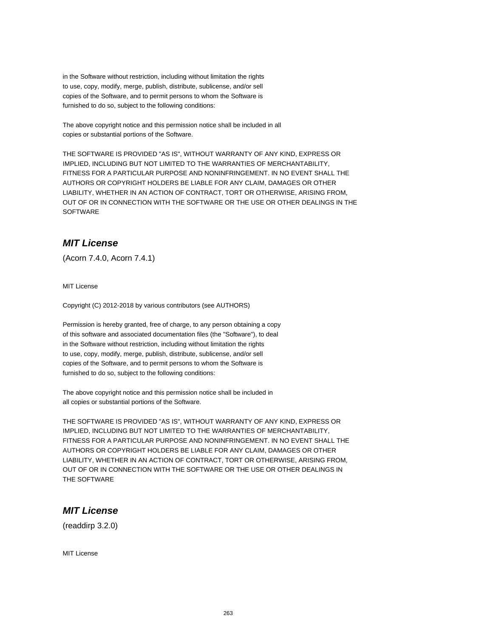in the Software without restriction, including without limitation the rights to use, copy, modify, merge, publish, distribute, sublicense, and/or sell copies of the Software, and to permit persons to whom the Software is furnished to do so, subject to the following conditions:

The above copyright notice and this permission notice shall be included in all copies or substantial portions of the Software.

THE SOFTWARE IS PROVIDED "AS IS", WITHOUT WARRANTY OF ANY KIND, EXPRESS OR IMPLIED, INCLUDING BUT NOT LIMITED TO THE WARRANTIES OF MERCHANTABILITY, FITNESS FOR A PARTICULAR PURPOSE AND NONINFRINGEMENT. IN NO EVENT SHALL THE AUTHORS OR COPYRIGHT HOLDERS BE LIABLE FOR ANY CLAIM, DAMAGES OR OTHER LIABILITY, WHETHER IN AN ACTION OF CONTRACT, TORT OR OTHERWISE, ARISING FROM, OUT OF OR IN CONNECTION WITH THE SOFTWARE OR THE USE OR OTHER DEALINGS IN THE SOFTWARE

# **MIT License**

(Acorn 7.4.0, Acorn 7.4.1)

MIT License

Copyright (C) 2012-2018 by various contributors (see AUTHORS)

Permission is hereby granted, free of charge, to any person obtaining a copy of this software and associated documentation files (the "Software"), to deal in the Software without restriction, including without limitation the rights to use, copy, modify, merge, publish, distribute, sublicense, and/or sell copies of the Software, and to permit persons to whom the Software is furnished to do so, subject to the following conditions:

The above copyright notice and this permission notice shall be included in all copies or substantial portions of the Software.

THE SOFTWARE IS PROVIDED "AS IS", WITHOUT WARRANTY OF ANY KIND, EXPRESS OR IMPLIED, INCLUDING BUT NOT LIMITED TO THE WARRANTIES OF MERCHANTABILITY, FITNESS FOR A PARTICULAR PURPOSE AND NONINFRINGEMENT. IN NO EVENT SHALL THE AUTHORS OR COPYRIGHT HOLDERS BE LIABLE FOR ANY CLAIM, DAMAGES OR OTHER LIABILITY, WHETHER IN AN ACTION OF CONTRACT, TORT OR OTHERWISE, ARISING FROM, OUT OF OR IN CONNECTION WITH THE SOFTWARE OR THE USE OR OTHER DEALINGS IN THE SOFTWARE

## **MIT License**

(readdirp 3.2.0)

MIT License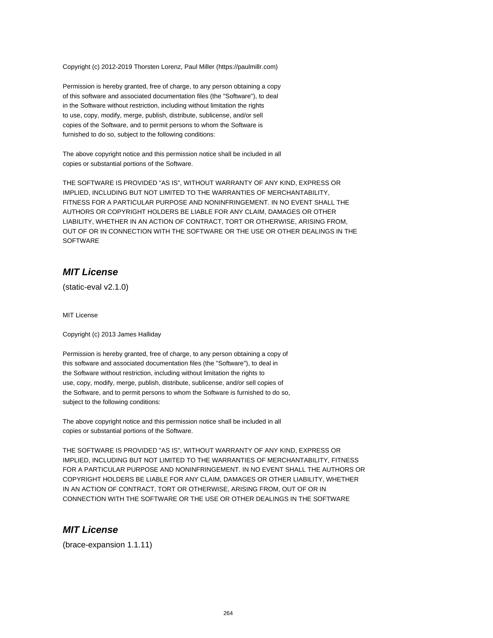Copyright (c) 2012-2019 Thorsten Lorenz, Paul Miller (https://paulmillr.com)

Permission is hereby granted, free of charge, to any person obtaining a copy of this software and associated documentation files (the "Software"), to deal in the Software without restriction, including without limitation the rights to use, copy, modify, merge, publish, distribute, sublicense, and/or sell copies of the Software, and to permit persons to whom the Software is furnished to do so, subject to the following conditions:

The above copyright notice and this permission notice shall be included in all copies or substantial portions of the Software.

THE SOFTWARE IS PROVIDED "AS IS", WITHOUT WARRANTY OF ANY KIND, EXPRESS OR IMPLIED, INCLUDING BUT NOT LIMITED TO THE WARRANTIES OF MERCHANTABILITY, FITNESS FOR A PARTICULAR PURPOSE AND NONINFRINGEMENT. IN NO EVENT SHALL THE AUTHORS OR COPYRIGHT HOLDERS BE LIABLE FOR ANY CLAIM, DAMAGES OR OTHER LIABILITY, WHETHER IN AN ACTION OF CONTRACT, TORT OR OTHERWISE, ARISING FROM, OUT OF OR IN CONNECTION WITH THE SOFTWARE OR THE USE OR OTHER DEALINGS IN THE **SOFTWARE** 

## **MIT License**

(static-eval v2.1.0)

MIT License

Copyright (c) 2013 James Halliday

Permission is hereby granted, free of charge, to any person obtaining a copy of this software and associated documentation files (the "Software"), to deal in the Software without restriction, including without limitation the rights to use, copy, modify, merge, publish, distribute, sublicense, and/or sell copies of the Software, and to permit persons to whom the Software is furnished to do so, subject to the following conditions:

The above copyright notice and this permission notice shall be included in all copies or substantial portions of the Software.

THE SOFTWARE IS PROVIDED "AS IS", WITHOUT WARRANTY OF ANY KIND, EXPRESS OR IMPLIED, INCLUDING BUT NOT LIMITED TO THE WARRANTIES OF MERCHANTABILITY, FITNESS FOR A PARTICULAR PURPOSE AND NONINFRINGEMENT. IN NO EVENT SHALL THE AUTHORS OR COPYRIGHT HOLDERS BE LIABLE FOR ANY CLAIM, DAMAGES OR OTHER LIABILITY, WHETHER IN AN ACTION OF CONTRACT, TORT OR OTHERWISE, ARISING FROM, OUT OF OR IN CONNECTION WITH THE SOFTWARE OR THE USE OR OTHER DEALINGS IN THE SOFTWARE

#### **MIT License**

(brace-expansion 1.1.11)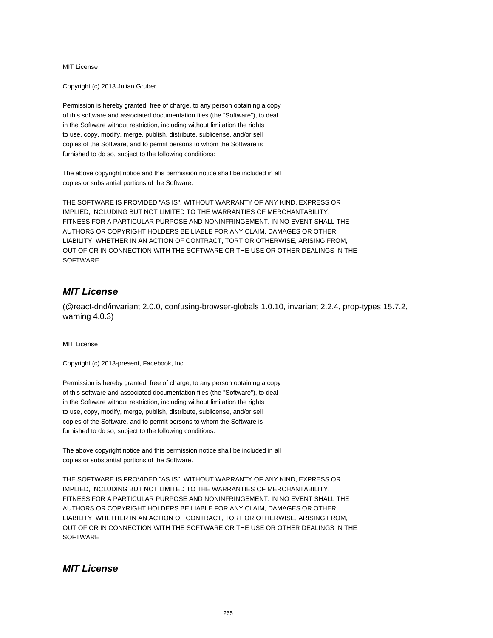Copyright (c) 2013 Julian Gruber

Permission is hereby granted, free of charge, to any person obtaining a copy of this software and associated documentation files (the "Software"), to deal in the Software without restriction, including without limitation the rights to use, copy, modify, merge, publish, distribute, sublicense, and/or sell copies of the Software, and to permit persons to whom the Software is furnished to do so, subject to the following conditions:

The above copyright notice and this permission notice shall be included in all copies or substantial portions of the Software.

THE SOFTWARE IS PROVIDED "AS IS", WITHOUT WARRANTY OF ANY KIND, EXPRESS OR IMPLIED, INCLUDING BUT NOT LIMITED TO THE WARRANTIES OF MERCHANTABILITY, FITNESS FOR A PARTICULAR PURPOSE AND NONINFRINGEMENT. IN NO EVENT SHALL THE AUTHORS OR COPYRIGHT HOLDERS BE LIABLE FOR ANY CLAIM, DAMAGES OR OTHER LIABILITY, WHETHER IN AN ACTION OF CONTRACT, TORT OR OTHERWISE, ARISING FROM, OUT OF OR IN CONNECTION WITH THE SOFTWARE OR THE USE OR OTHER DEALINGS IN THE **SOFTWARE** 

## **MIT License**

(@react-dnd/invariant 2.0.0, confusing-browser-globals 1.0.10, invariant 2.2.4, prop-types 15.7.2, warning 4.0.3)

MIT License

Copyright (c) 2013-present, Facebook, Inc.

Permission is hereby granted, free of charge, to any person obtaining a copy of this software and associated documentation files (the "Software"), to deal in the Software without restriction, including without limitation the rights to use, copy, modify, merge, publish, distribute, sublicense, and/or sell copies of the Software, and to permit persons to whom the Software is furnished to do so, subject to the following conditions:

The above copyright notice and this permission notice shall be included in all copies or substantial portions of the Software.

THE SOFTWARE IS PROVIDED "AS IS", WITHOUT WARRANTY OF ANY KIND, EXPRESS OR IMPLIED, INCLUDING BUT NOT LIMITED TO THE WARRANTIES OF MERCHANTABILITY, FITNESS FOR A PARTICULAR PURPOSE AND NONINFRINGEMENT. IN NO EVENT SHALL THE AUTHORS OR COPYRIGHT HOLDERS BE LIABLE FOR ANY CLAIM, DAMAGES OR OTHER LIABILITY, WHETHER IN AN ACTION OF CONTRACT, TORT OR OTHERWISE, ARISING FROM, OUT OF OR IN CONNECTION WITH THE SOFTWARE OR THE USE OR OTHER DEALINGS IN THE **SOFTWARE** 

#### **MIT License**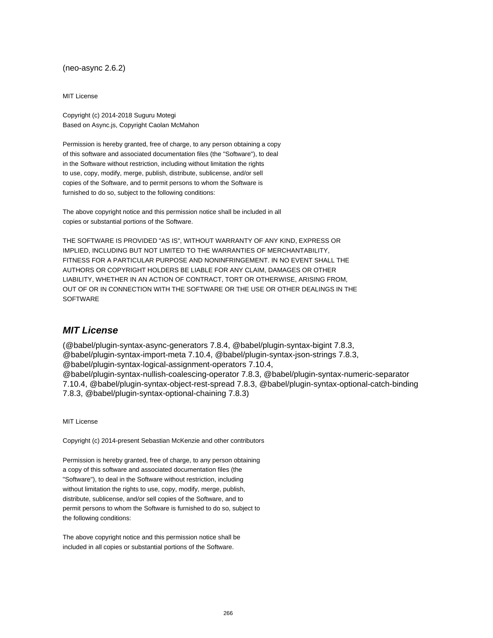(neo-async 2.6.2)

MIT License

Copyright (c) 2014-2018 Suguru Motegi Based on Async.js, Copyright Caolan McMahon

Permission is hereby granted, free of charge, to any person obtaining a copy of this software and associated documentation files (the "Software"), to deal in the Software without restriction, including without limitation the rights to use, copy, modify, merge, publish, distribute, sublicense, and/or sell copies of the Software, and to permit persons to whom the Software is furnished to do so, subject to the following conditions:

The above copyright notice and this permission notice shall be included in all copies or substantial portions of the Software.

THE SOFTWARE IS PROVIDED "AS IS", WITHOUT WARRANTY OF ANY KIND, EXPRESS OR IMPLIED, INCLUDING BUT NOT LIMITED TO THE WARRANTIES OF MERCHANTABILITY, FITNESS FOR A PARTICULAR PURPOSE AND NONINFRINGEMENT. IN NO EVENT SHALL THE AUTHORS OR COPYRIGHT HOLDERS BE LIABLE FOR ANY CLAIM, DAMAGES OR OTHER LIABILITY, WHETHER IN AN ACTION OF CONTRACT, TORT OR OTHERWISE, ARISING FROM, OUT OF OR IN CONNECTION WITH THE SOFTWARE OR THE USE OR OTHER DEALINGS IN THE **SOFTWARE** 

#### **MIT License**

(@babel/plugin-syntax-async-generators 7.8.4, @babel/plugin-syntax-bigint 7.8.3, @babel/plugin-syntax-import-meta 7.10.4, @babel/plugin-syntax-json-strings 7.8.3, @babel/plugin-syntax-logical-assignment-operators 7.10.4, @babel/plugin-syntax-nullish-coalescing-operator 7.8.3, @babel/plugin-syntax-numeric-separator 7.10.4, @babel/plugin-syntax-object-rest-spread 7.8.3, @babel/plugin-syntax-optional-catch-binding 7.8.3, @babel/plugin-syntax-optional-chaining 7.8.3)

MIT License

Copyright (c) 2014-present Sebastian McKenzie and other contributors

Permission is hereby granted, free of charge, to any person obtaining a copy of this software and associated documentation files (the "Software"), to deal in the Software without restriction, including without limitation the rights to use, copy, modify, merge, publish, distribute, sublicense, and/or sell copies of the Software, and to permit persons to whom the Software is furnished to do so, subject to the following conditions:

The above copyright notice and this permission notice shall be included in all copies or substantial portions of the Software.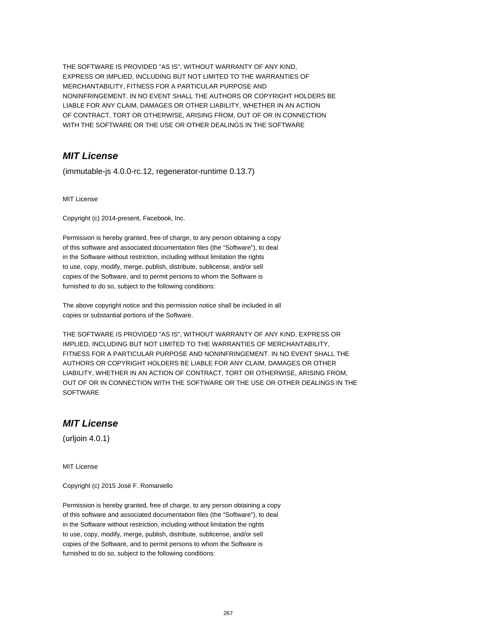THE SOFTWARE IS PROVIDED "AS IS", WITHOUT WARRANTY OF ANY KIND, EXPRESS OR IMPLIED, INCLUDING BUT NOT LIMITED TO THE WARRANTIES OF MERCHANTABILITY, FITNESS FOR A PARTICULAR PURPOSE AND NONINFRINGEMENT. IN NO EVENT SHALL THE AUTHORS OR COPYRIGHT HOLDERS BE LIABLE FOR ANY CLAIM, DAMAGES OR OTHER LIABILITY, WHETHER IN AN ACTION OF CONTRACT, TORT OR OTHERWISE, ARISING FROM, OUT OF OR IN CONNECTION WITH THE SOFTWARE OR THE USE OR OTHER DEALINGS IN THE SOFTWARE

## **MIT License**

(immutable-js 4.0.0-rc.12, regenerator-runtime 0.13.7)

MIT License

Copyright (c) 2014-present, Facebook, Inc.

Permission is hereby granted, free of charge, to any person obtaining a copy of this software and associated documentation files (the "Software"), to deal in the Software without restriction, including without limitation the rights to use, copy, modify, merge, publish, distribute, sublicense, and/or sell copies of the Software, and to permit persons to whom the Software is furnished to do so, subject to the following conditions:

The above copyright notice and this permission notice shall be included in all copies or substantial portions of the Software.

THE SOFTWARE IS PROVIDED "AS IS", WITHOUT WARRANTY OF ANY KIND, EXPRESS OR IMPLIED, INCLUDING BUT NOT LIMITED TO THE WARRANTIES OF MERCHANTABILITY, FITNESS FOR A PARTICULAR PURPOSE AND NONINFRINGEMENT. IN NO EVENT SHALL THE AUTHORS OR COPYRIGHT HOLDERS BE LIABLE FOR ANY CLAIM, DAMAGES OR OTHER LIABILITY, WHETHER IN AN ACTION OF CONTRACT, TORT OR OTHERWISE, ARISING FROM, OUT OF OR IN CONNECTION WITH THE SOFTWARE OR THE USE OR OTHER DEALINGS IN THE **SOFTWARE** 

## **MIT License**

(urljoin 4.0.1)

MIT License

Copyright (c) 2015 José F. Romaniello

Permission is hereby granted, free of charge, to any person obtaining a copy of this software and associated documentation files (the "Software"), to deal in the Software without restriction, including without limitation the rights to use, copy, modify, merge, publish, distribute, sublicense, and/or sell copies of the Software, and to permit persons to whom the Software is furnished to do so, subject to the following conditions: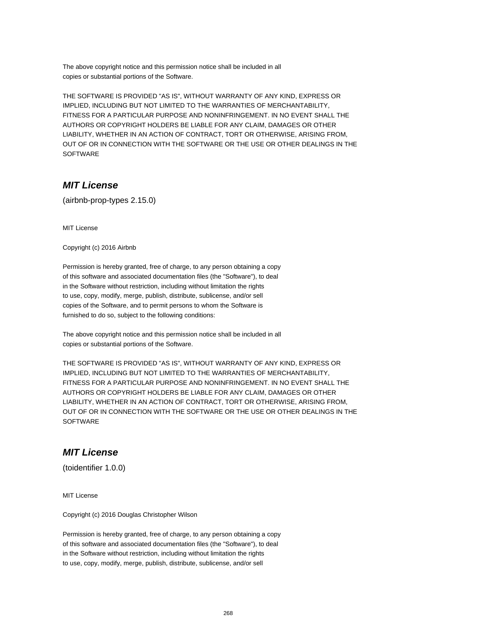The above copyright notice and this permission notice shall be included in all copies or substantial portions of the Software.

THE SOFTWARE IS PROVIDED "AS IS", WITHOUT WARRANTY OF ANY KIND, EXPRESS OR IMPLIED, INCLUDING BUT NOT LIMITED TO THE WARRANTIES OF MERCHANTABILITY, FITNESS FOR A PARTICULAR PURPOSE AND NONINFRINGEMENT. IN NO EVENT SHALL THE AUTHORS OR COPYRIGHT HOLDERS BE LIABLE FOR ANY CLAIM, DAMAGES OR OTHER LIABILITY, WHETHER IN AN ACTION OF CONTRACT, TORT OR OTHERWISE, ARISING FROM, OUT OF OR IN CONNECTION WITH THE SOFTWARE OR THE USE OR OTHER DEALINGS IN THE SOFTWARE

## **MIT License**

(airbnb-prop-types 2.15.0)

MIT License

Copyright (c) 2016 Airbnb

Permission is hereby granted, free of charge, to any person obtaining a copy of this software and associated documentation files (the "Software"), to deal in the Software without restriction, including without limitation the rights to use, copy, modify, merge, publish, distribute, sublicense, and/or sell copies of the Software, and to permit persons to whom the Software is furnished to do so, subject to the following conditions:

The above copyright notice and this permission notice shall be included in all copies or substantial portions of the Software.

THE SOFTWARE IS PROVIDED "AS IS", WITHOUT WARRANTY OF ANY KIND, EXPRESS OR IMPLIED, INCLUDING BUT NOT LIMITED TO THE WARRANTIES OF MERCHANTABILITY, FITNESS FOR A PARTICULAR PURPOSE AND NONINFRINGEMENT. IN NO EVENT SHALL THE AUTHORS OR COPYRIGHT HOLDERS BE LIABLE FOR ANY CLAIM, DAMAGES OR OTHER LIABILITY, WHETHER IN AN ACTION OF CONTRACT, TORT OR OTHERWISE, ARISING FROM, OUT OF OR IN CONNECTION WITH THE SOFTWARE OR THE USE OR OTHER DEALINGS IN THE **SOFTWARE** 

## **MIT License**

(toidentifier 1.0.0)

MIT License

Copyright (c) 2016 Douglas Christopher Wilson

Permission is hereby granted, free of charge, to any person obtaining a copy of this software and associated documentation files (the "Software"), to deal in the Software without restriction, including without limitation the rights to use, copy, modify, merge, publish, distribute, sublicense, and/or sell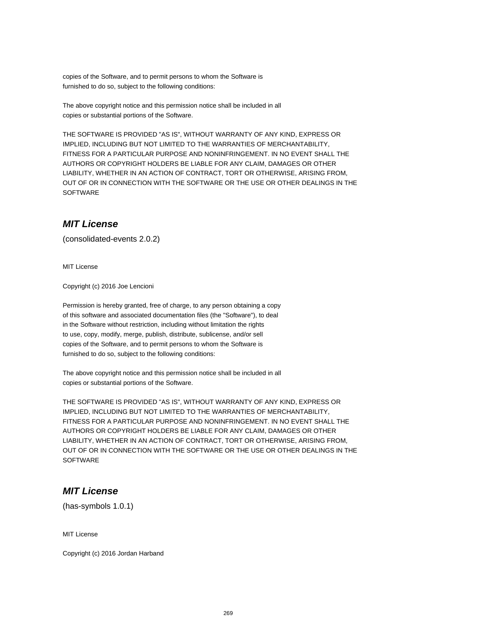copies of the Software, and to permit persons to whom the Software is furnished to do so, subject to the following conditions:

The above copyright notice and this permission notice shall be included in all copies or substantial portions of the Software.

THE SOFTWARE IS PROVIDED "AS IS", WITHOUT WARRANTY OF ANY KIND, EXPRESS OR IMPLIED, INCLUDING BUT NOT LIMITED TO THE WARRANTIES OF MERCHANTABILITY, FITNESS FOR A PARTICULAR PURPOSE AND NONINFRINGEMENT. IN NO EVENT SHALL THE AUTHORS OR COPYRIGHT HOLDERS BE LIABLE FOR ANY CLAIM, DAMAGES OR OTHER LIABILITY, WHETHER IN AN ACTION OF CONTRACT, TORT OR OTHERWISE, ARISING FROM, OUT OF OR IN CONNECTION WITH THE SOFTWARE OR THE USE OR OTHER DEALINGS IN THE **SOFTWARE** 

## **MIT License**

(consolidated-events 2.0.2)

MIT License

Copyright (c) 2016 Joe Lencioni

Permission is hereby granted, free of charge, to any person obtaining a copy of this software and associated documentation files (the "Software"), to deal in the Software without restriction, including without limitation the rights to use, copy, modify, merge, publish, distribute, sublicense, and/or sell copies of the Software, and to permit persons to whom the Software is furnished to do so, subject to the following conditions:

The above copyright notice and this permission notice shall be included in all copies or substantial portions of the Software.

THE SOFTWARE IS PROVIDED "AS IS", WITHOUT WARRANTY OF ANY KIND, EXPRESS OR IMPLIED, INCLUDING BUT NOT LIMITED TO THE WARRANTIES OF MERCHANTABILITY, FITNESS FOR A PARTICULAR PURPOSE AND NONINFRINGEMENT. IN NO EVENT SHALL THE AUTHORS OR COPYRIGHT HOLDERS BE LIABLE FOR ANY CLAIM, DAMAGES OR OTHER LIABILITY, WHETHER IN AN ACTION OF CONTRACT, TORT OR OTHERWISE, ARISING FROM, OUT OF OR IN CONNECTION WITH THE SOFTWARE OR THE USE OR OTHER DEALINGS IN THE **SOFTWARE** 

#### **MIT License**

(has-symbols 1.0.1)

MIT License

Copyright (c) 2016 Jordan Harband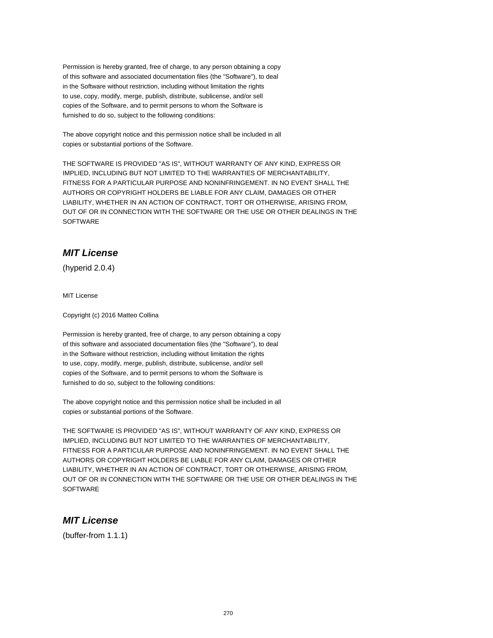Permission is hereby granted, free of charge, to any person obtaining a copy of this software and associated documentation files (the "Software"), to deal in the Software without restriction, including without limitation the rights to use, copy, modify, merge, publish, distribute, sublicense, and/or sell copies of the Software, and to permit persons to whom the Software is furnished to do so, subject to the following conditions:

The above copyright notice and this permission notice shall be included in all copies or substantial portions of the Software.

THE SOFTWARE IS PROVIDED "AS IS", WITHOUT WARRANTY OF ANY KIND, EXPRESS OR IMPLIED, INCLUDING BUT NOT LIMITED TO THE WARRANTIES OF MERCHANTABILITY, FITNESS FOR A PARTICULAR PURPOSE AND NONINFRINGEMENT. IN NO EVENT SHALL THE AUTHORS OR COPYRIGHT HOLDERS BE LIABLE FOR ANY CLAIM, DAMAGES OR OTHER LIABILITY, WHETHER IN AN ACTION OF CONTRACT, TORT OR OTHERWISE, ARISING FROM, OUT OF OR IN CONNECTION WITH THE SOFTWARE OR THE USE OR OTHER DEALINGS IN THE SOFTWARE

# **MIT License**

(hyperid 2.0.4)

MIT License

Copyright (c) 2016 Matteo Collina

Permission is hereby granted, free of charge, to any person obtaining a copy of this software and associated documentation files (the "Software"), to deal in the Software without restriction, including without limitation the rights to use, copy, modify, merge, publish, distribute, sublicense, and/or sell copies of the Software, and to permit persons to whom the Software is furnished to do so, subject to the following conditions:

The above copyright notice and this permission notice shall be included in all copies or substantial portions of the Software.

THE SOFTWARE IS PROVIDED "AS IS", WITHOUT WARRANTY OF ANY KIND, EXPRESS OR IMPLIED, INCLUDING BUT NOT LIMITED TO THE WARRANTIES OF MERCHANTABILITY, FITNESS FOR A PARTICULAR PURPOSE AND NONINFRINGEMENT. IN NO EVENT SHALL THE AUTHORS OR COPYRIGHT HOLDERS BE LIABLE FOR ANY CLAIM, DAMAGES OR OTHER LIABILITY, WHETHER IN AN ACTION OF CONTRACT, TORT OR OTHERWISE, ARISING FROM, OUT OF OR IN CONNECTION WITH THE SOFTWARE OR THE USE OR OTHER DEALINGS IN THE **SOFTWARE** 

#### **MIT License**

(buffer-from 1.1.1)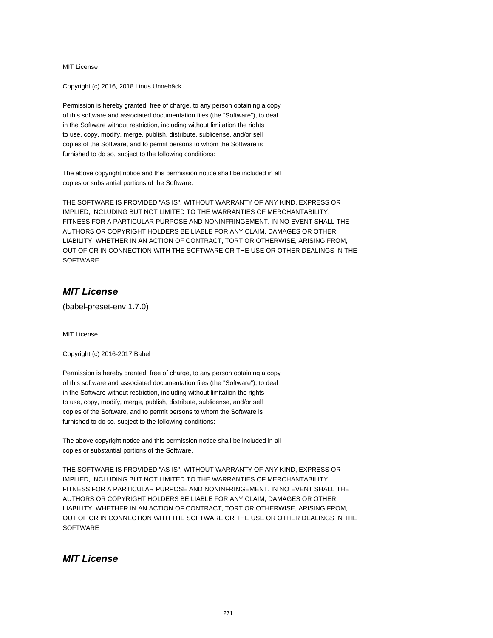Copyright (c) 2016, 2018 Linus Unnebäck

Permission is hereby granted, free of charge, to any person obtaining a copy of this software and associated documentation files (the "Software"), to deal in the Software without restriction, including without limitation the rights to use, copy, modify, merge, publish, distribute, sublicense, and/or sell copies of the Software, and to permit persons to whom the Software is furnished to do so, subject to the following conditions:

The above copyright notice and this permission notice shall be included in all copies or substantial portions of the Software.

THE SOFTWARE IS PROVIDED "AS IS", WITHOUT WARRANTY OF ANY KIND, EXPRESS OR IMPLIED, INCLUDING BUT NOT LIMITED TO THE WARRANTIES OF MERCHANTABILITY, FITNESS FOR A PARTICULAR PURPOSE AND NONINFRINGEMENT. IN NO EVENT SHALL THE AUTHORS OR COPYRIGHT HOLDERS BE LIABLE FOR ANY CLAIM, DAMAGES OR OTHER LIABILITY, WHETHER IN AN ACTION OF CONTRACT, TORT OR OTHERWISE, ARISING FROM, OUT OF OR IN CONNECTION WITH THE SOFTWARE OR THE USE OR OTHER DEALINGS IN THE **SOFTWARE** 

# **MIT License**

(babel-preset-env 1.7.0)

MIT License

Copyright (c) 2016-2017 Babel

Permission is hereby granted, free of charge, to any person obtaining a copy of this software and associated documentation files (the "Software"), to deal in the Software without restriction, including without limitation the rights to use, copy, modify, merge, publish, distribute, sublicense, and/or sell copies of the Software, and to permit persons to whom the Software is furnished to do so, subject to the following conditions:

The above copyright notice and this permission notice shall be included in all copies or substantial portions of the Software.

THE SOFTWARE IS PROVIDED "AS IS", WITHOUT WARRANTY OF ANY KIND, EXPRESS OR IMPLIED, INCLUDING BUT NOT LIMITED TO THE WARRANTIES OF MERCHANTABILITY, FITNESS FOR A PARTICULAR PURPOSE AND NONINFRINGEMENT. IN NO EVENT SHALL THE AUTHORS OR COPYRIGHT HOLDERS BE LIABLE FOR ANY CLAIM, DAMAGES OR OTHER LIABILITY, WHETHER IN AN ACTION OF CONTRACT, TORT OR OTHERWISE, ARISING FROM, OUT OF OR IN CONNECTION WITH THE SOFTWARE OR THE USE OR OTHER DEALINGS IN THE **SOFTWARE** 

## **MIT License**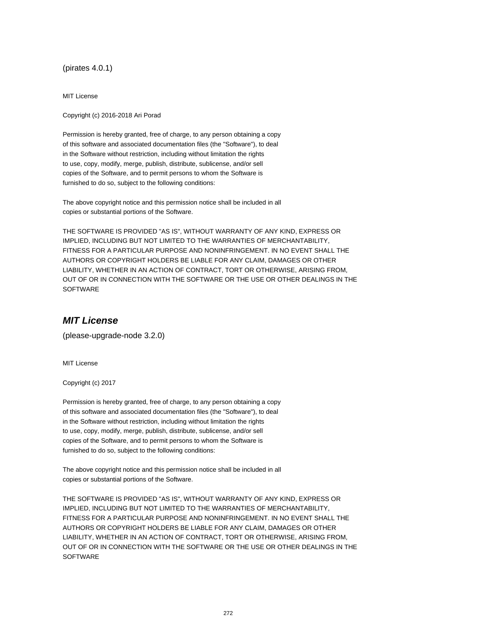(pirates 4.0.1)

MIT License

Copyright (c) 2016-2018 Ari Porad

Permission is hereby granted, free of charge, to any person obtaining a copy of this software and associated documentation files (the "Software"), to deal in the Software without restriction, including without limitation the rights to use, copy, modify, merge, publish, distribute, sublicense, and/or sell copies of the Software, and to permit persons to whom the Software is furnished to do so, subject to the following conditions:

The above copyright notice and this permission notice shall be included in all copies or substantial portions of the Software.

THE SOFTWARE IS PROVIDED "AS IS", WITHOUT WARRANTY OF ANY KIND, EXPRESS OR IMPLIED, INCLUDING BUT NOT LIMITED TO THE WARRANTIES OF MERCHANTABILITY, FITNESS FOR A PARTICULAR PURPOSE AND NONINFRINGEMENT. IN NO EVENT SHALL THE AUTHORS OR COPYRIGHT HOLDERS BE LIABLE FOR ANY CLAIM, DAMAGES OR OTHER LIABILITY, WHETHER IN AN ACTION OF CONTRACT, TORT OR OTHERWISE, ARISING FROM, OUT OF OR IN CONNECTION WITH THE SOFTWARE OR THE USE OR OTHER DEALINGS IN THE SOFTWARE

#### **MIT License**

(please-upgrade-node 3.2.0)

MIT License

Copyright (c) 2017

Permission is hereby granted, free of charge, to any person obtaining a copy of this software and associated documentation files (the "Software"), to deal in the Software without restriction, including without limitation the rights to use, copy, modify, merge, publish, distribute, sublicense, and/or sell copies of the Software, and to permit persons to whom the Software is furnished to do so, subject to the following conditions:

The above copyright notice and this permission notice shall be included in all copies or substantial portions of the Software.

THE SOFTWARE IS PROVIDED "AS IS", WITHOUT WARRANTY OF ANY KIND, EXPRESS OR IMPLIED, INCLUDING BUT NOT LIMITED TO THE WARRANTIES OF MERCHANTABILITY, FITNESS FOR A PARTICULAR PURPOSE AND NONINFRINGEMENT. IN NO EVENT SHALL THE AUTHORS OR COPYRIGHT HOLDERS BE LIABLE FOR ANY CLAIM, DAMAGES OR OTHER LIABILITY, WHETHER IN AN ACTION OF CONTRACT, TORT OR OTHERWISE, ARISING FROM, OUT OF OR IN CONNECTION WITH THE SOFTWARE OR THE USE OR OTHER DEALINGS IN THE **SOFTWARE**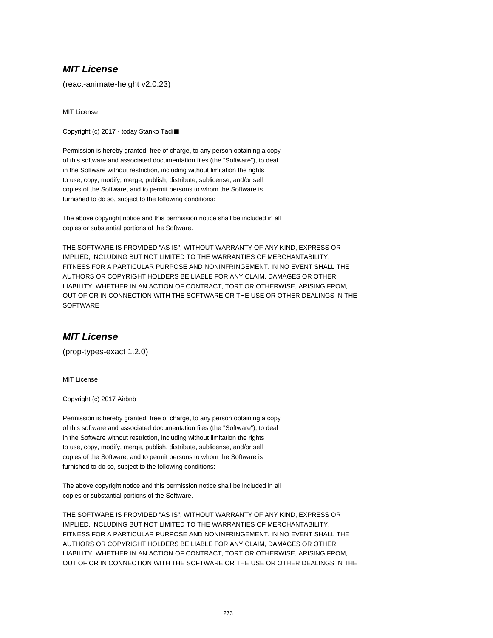(react-animate-height v2.0.23)

MIT License

Copyright (c) 2017 - today Stanko Tadi■

Permission is hereby granted, free of charge, to any person obtaining a copy of this software and associated documentation files (the "Software"), to deal in the Software without restriction, including without limitation the rights to use, copy, modify, merge, publish, distribute, sublicense, and/or sell copies of the Software, and to permit persons to whom the Software is furnished to do so, subject to the following conditions:

The above copyright notice and this permission notice shall be included in all copies or substantial portions of the Software.

THE SOFTWARE IS PROVIDED "AS IS", WITHOUT WARRANTY OF ANY KIND, EXPRESS OR IMPLIED, INCLUDING BUT NOT LIMITED TO THE WARRANTIES OF MERCHANTABILITY, FITNESS FOR A PARTICULAR PURPOSE AND NONINFRINGEMENT. IN NO EVENT SHALL THE AUTHORS OR COPYRIGHT HOLDERS BE LIABLE FOR ANY CLAIM, DAMAGES OR OTHER LIABILITY, WHETHER IN AN ACTION OF CONTRACT, TORT OR OTHERWISE, ARISING FROM, OUT OF OR IN CONNECTION WITH THE SOFTWARE OR THE USE OR OTHER DEALINGS IN THE **SOFTWARE** 

## **MIT License**

(prop-types-exact 1.2.0)

MIT License

Copyright (c) 2017 Airbnb

Permission is hereby granted, free of charge, to any person obtaining a copy of this software and associated documentation files (the "Software"), to deal in the Software without restriction, including without limitation the rights to use, copy, modify, merge, publish, distribute, sublicense, and/or sell copies of the Software, and to permit persons to whom the Software is furnished to do so, subject to the following conditions:

The above copyright notice and this permission notice shall be included in all copies or substantial portions of the Software.

THE SOFTWARE IS PROVIDED "AS IS", WITHOUT WARRANTY OF ANY KIND, EXPRESS OR IMPLIED, INCLUDING BUT NOT LIMITED TO THE WARRANTIES OF MERCHANTABILITY, FITNESS FOR A PARTICULAR PURPOSE AND NONINFRINGEMENT. IN NO EVENT SHALL THE AUTHORS OR COPYRIGHT HOLDERS BE LIABLE FOR ANY CLAIM, DAMAGES OR OTHER LIABILITY, WHETHER IN AN ACTION OF CONTRACT, TORT OR OTHERWISE, ARISING FROM, OUT OF OR IN CONNECTION WITH THE SOFTWARE OR THE USE OR OTHER DEALINGS IN THE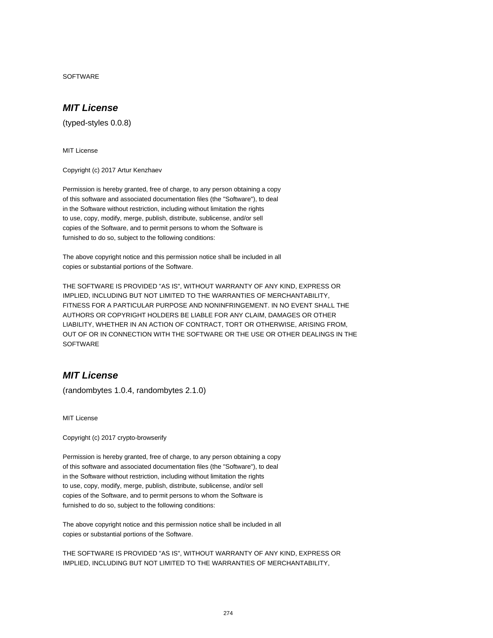**SOFTWARE** 

#### **MIT License**

(typed-styles 0.0.8)

MIT License

Copyright (c) 2017 Artur Kenzhaev

Permission is hereby granted, free of charge, to any person obtaining a copy of this software and associated documentation files (the "Software"), to deal in the Software without restriction, including without limitation the rights to use, copy, modify, merge, publish, distribute, sublicense, and/or sell copies of the Software, and to permit persons to whom the Software is furnished to do so, subject to the following conditions:

The above copyright notice and this permission notice shall be included in all copies or substantial portions of the Software.

THE SOFTWARE IS PROVIDED "AS IS", WITHOUT WARRANTY OF ANY KIND, EXPRESS OR IMPLIED, INCLUDING BUT NOT LIMITED TO THE WARRANTIES OF MERCHANTABILITY, FITNESS FOR A PARTICULAR PURPOSE AND NONINFRINGEMENT. IN NO EVENT SHALL THE AUTHORS OR COPYRIGHT HOLDERS BE LIABLE FOR ANY CLAIM, DAMAGES OR OTHER LIABILITY, WHETHER IN AN ACTION OF CONTRACT, TORT OR OTHERWISE, ARISING FROM, OUT OF OR IN CONNECTION WITH THE SOFTWARE OR THE USE OR OTHER DEALINGS IN THE **SOFTWARE** 

# **MIT License**

(randombytes 1.0.4, randombytes 2.1.0)

MIT License

Copyright (c) 2017 crypto-browserify

Permission is hereby granted, free of charge, to any person obtaining a copy of this software and associated documentation files (the "Software"), to deal in the Software without restriction, including without limitation the rights to use, copy, modify, merge, publish, distribute, sublicense, and/or sell copies of the Software, and to permit persons to whom the Software is furnished to do so, subject to the following conditions:

The above copyright notice and this permission notice shall be included in all copies or substantial portions of the Software.

THE SOFTWARE IS PROVIDED "AS IS", WITHOUT WARRANTY OF ANY KIND, EXPRESS OR IMPLIED, INCLUDING BUT NOT LIMITED TO THE WARRANTIES OF MERCHANTABILITY,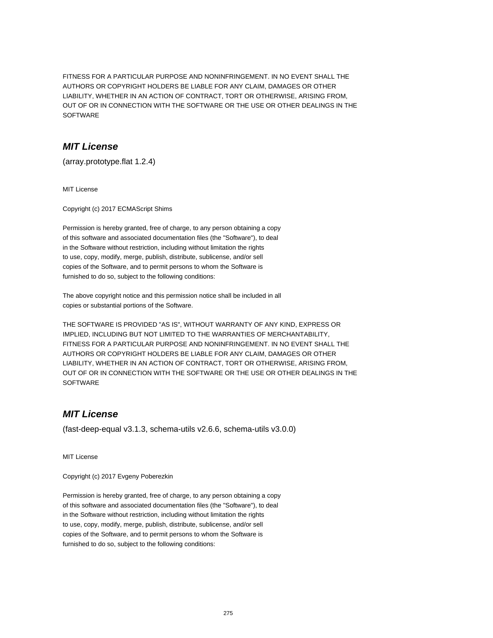FITNESS FOR A PARTICULAR PURPOSE AND NONINFRINGEMENT. IN NO EVENT SHALL THE AUTHORS OR COPYRIGHT HOLDERS BE LIABLE FOR ANY CLAIM, DAMAGES OR OTHER LIABILITY, WHETHER IN AN ACTION OF CONTRACT, TORT OR OTHERWISE, ARISING FROM, OUT OF OR IN CONNECTION WITH THE SOFTWARE OR THE USE OR OTHER DEALINGS IN THE SOFTWARE

## **MIT License**

(array.prototype.flat 1.2.4)

MIT License

Copyright (c) 2017 ECMAScript Shims

Permission is hereby granted, free of charge, to any person obtaining a copy of this software and associated documentation files (the "Software"), to deal in the Software without restriction, including without limitation the rights to use, copy, modify, merge, publish, distribute, sublicense, and/or sell copies of the Software, and to permit persons to whom the Software is furnished to do so, subject to the following conditions:

The above copyright notice and this permission notice shall be included in all copies or substantial portions of the Software.

THE SOFTWARE IS PROVIDED "AS IS", WITHOUT WARRANTY OF ANY KIND, EXPRESS OR IMPLIED, INCLUDING BUT NOT LIMITED TO THE WARRANTIES OF MERCHANTABILITY, FITNESS FOR A PARTICULAR PURPOSE AND NONINFRINGEMENT. IN NO EVENT SHALL THE AUTHORS OR COPYRIGHT HOLDERS BE LIABLE FOR ANY CLAIM, DAMAGES OR OTHER LIABILITY, WHETHER IN AN ACTION OF CONTRACT, TORT OR OTHERWISE, ARISING FROM, OUT OF OR IN CONNECTION WITH THE SOFTWARE OR THE USE OR OTHER DEALINGS IN THE **SOFTWARE** 

# **MIT License**

(fast-deep-equal v3.1.3, schema-utils v2.6.6, schema-utils v3.0.0)

MIT License

Copyright (c) 2017 Evgeny Poberezkin

Permission is hereby granted, free of charge, to any person obtaining a copy of this software and associated documentation files (the "Software"), to deal in the Software without restriction, including without limitation the rights to use, copy, modify, merge, publish, distribute, sublicense, and/or sell copies of the Software, and to permit persons to whom the Software is furnished to do so, subject to the following conditions: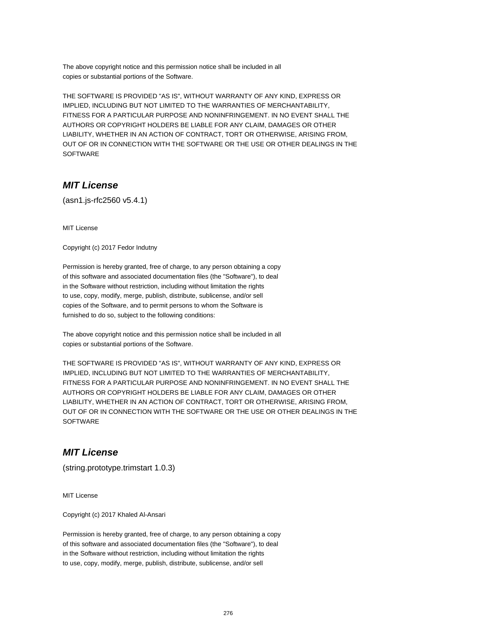The above copyright notice and this permission notice shall be included in all copies or substantial portions of the Software.

THE SOFTWARE IS PROVIDED "AS IS", WITHOUT WARRANTY OF ANY KIND, EXPRESS OR IMPLIED, INCLUDING BUT NOT LIMITED TO THE WARRANTIES OF MERCHANTABILITY, FITNESS FOR A PARTICULAR PURPOSE AND NONINFRINGEMENT. IN NO EVENT SHALL THE AUTHORS OR COPYRIGHT HOLDERS BE LIABLE FOR ANY CLAIM, DAMAGES OR OTHER LIABILITY, WHETHER IN AN ACTION OF CONTRACT, TORT OR OTHERWISE, ARISING FROM, OUT OF OR IN CONNECTION WITH THE SOFTWARE OR THE USE OR OTHER DEALINGS IN THE SOFTWARE

## **MIT License**

(asn1.js-rfc2560 v5.4.1)

MIT License

Copyright (c) 2017 Fedor Indutny

Permission is hereby granted, free of charge, to any person obtaining a copy of this software and associated documentation files (the "Software"), to deal in the Software without restriction, including without limitation the rights to use, copy, modify, merge, publish, distribute, sublicense, and/or sell copies of the Software, and to permit persons to whom the Software is furnished to do so, subject to the following conditions:

The above copyright notice and this permission notice shall be included in all copies or substantial portions of the Software.

THE SOFTWARE IS PROVIDED "AS IS", WITHOUT WARRANTY OF ANY KIND, EXPRESS OR IMPLIED, INCLUDING BUT NOT LIMITED TO THE WARRANTIES OF MERCHANTABILITY, FITNESS FOR A PARTICULAR PURPOSE AND NONINFRINGEMENT. IN NO EVENT SHALL THE AUTHORS OR COPYRIGHT HOLDERS BE LIABLE FOR ANY CLAIM, DAMAGES OR OTHER LIABILITY, WHETHER IN AN ACTION OF CONTRACT, TORT OR OTHERWISE, ARISING FROM, OUT OF OR IN CONNECTION WITH THE SOFTWARE OR THE USE OR OTHER DEALINGS IN THE **SOFTWARE** 

#### **MIT License**

(string.prototype.trimstart 1.0.3)

MIT License

Copyright (c) 2017 Khaled Al-Ansari

Permission is hereby granted, free of charge, to any person obtaining a copy of this software and associated documentation files (the "Software"), to deal in the Software without restriction, including without limitation the rights to use, copy, modify, merge, publish, distribute, sublicense, and/or sell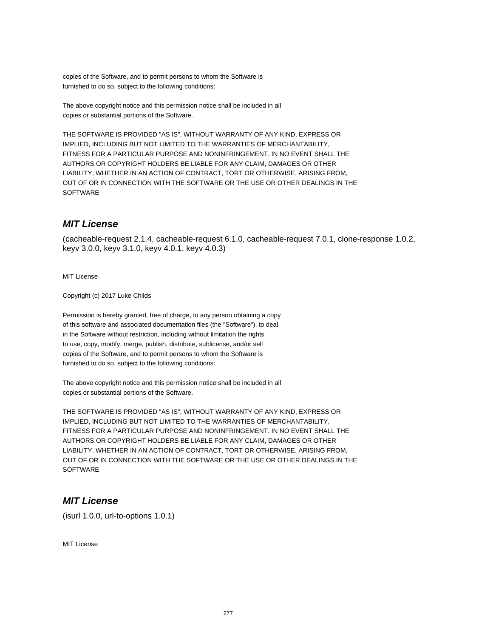copies of the Software, and to permit persons to whom the Software is furnished to do so, subject to the following conditions:

The above copyright notice and this permission notice shall be included in all copies or substantial portions of the Software.

THE SOFTWARE IS PROVIDED "AS IS", WITHOUT WARRANTY OF ANY KIND, EXPRESS OR IMPLIED, INCLUDING BUT NOT LIMITED TO THE WARRANTIES OF MERCHANTABILITY, FITNESS FOR A PARTICULAR PURPOSE AND NONINFRINGEMENT. IN NO EVENT SHALL THE AUTHORS OR COPYRIGHT HOLDERS BE LIABLE FOR ANY CLAIM, DAMAGES OR OTHER LIABILITY, WHETHER IN AN ACTION OF CONTRACT, TORT OR OTHERWISE, ARISING FROM, OUT OF OR IN CONNECTION WITH THE SOFTWARE OR THE USE OR OTHER DEALINGS IN THE **SOFTWARE** 

## **MIT License**

(cacheable-request 2.1.4, cacheable-request 6.1.0, cacheable-request 7.0.1, clone-response 1.0.2, keyv 3.0.0, keyv 3.1.0, keyv 4.0.1, keyv 4.0.3)

MIT License

Copyright (c) 2017 Luke Childs

Permission is hereby granted, free of charge, to any person obtaining a copy of this software and associated documentation files (the "Software"), to deal in the Software without restriction, including without limitation the rights to use, copy, modify, merge, publish, distribute, sublicense, and/or sell copies of the Software, and to permit persons to whom the Software is furnished to do so, subject to the following conditions:

The above copyright notice and this permission notice shall be included in all copies or substantial portions of the Software.

THE SOFTWARE IS PROVIDED "AS IS", WITHOUT WARRANTY OF ANY KIND, EXPRESS OR IMPLIED, INCLUDING BUT NOT LIMITED TO THE WARRANTIES OF MERCHANTABILITY, FITNESS FOR A PARTICULAR PURPOSE AND NONINFRINGEMENT. IN NO EVENT SHALL THE AUTHORS OR COPYRIGHT HOLDERS BE LIABLE FOR ANY CLAIM, DAMAGES OR OTHER LIABILITY, WHETHER IN AN ACTION OF CONTRACT, TORT OR OTHERWISE, ARISING FROM, OUT OF OR IN CONNECTION WITH THE SOFTWARE OR THE USE OR OTHER DEALINGS IN THE **SOFTWARE** 

#### **MIT License**

(isurl 1.0.0, url-to-options 1.0.1)

MIT License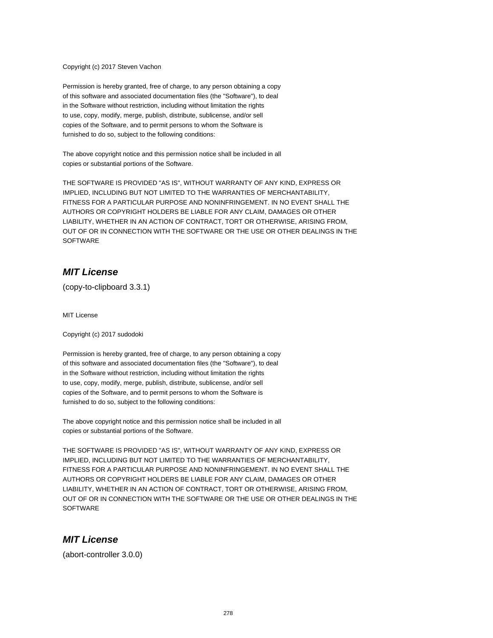#### Copyright (c) 2017 Steven Vachon

Permission is hereby granted, free of charge, to any person obtaining a copy of this software and associated documentation files (the "Software"), to deal in the Software without restriction, including without limitation the rights to use, copy, modify, merge, publish, distribute, sublicense, and/or sell copies of the Software, and to permit persons to whom the Software is furnished to do so, subject to the following conditions:

The above copyright notice and this permission notice shall be included in all copies or substantial portions of the Software.

THE SOFTWARE IS PROVIDED "AS IS", WITHOUT WARRANTY OF ANY KIND, EXPRESS OR IMPLIED, INCLUDING BUT NOT LIMITED TO THE WARRANTIES OF MERCHANTABILITY, FITNESS FOR A PARTICULAR PURPOSE AND NONINFRINGEMENT. IN NO EVENT SHALL THE AUTHORS OR COPYRIGHT HOLDERS BE LIABLE FOR ANY CLAIM, DAMAGES OR OTHER LIABILITY, WHETHER IN AN ACTION OF CONTRACT, TORT OR OTHERWISE, ARISING FROM, OUT OF OR IN CONNECTION WITH THE SOFTWARE OR THE USE OR OTHER DEALINGS IN THE **SOFTWARE** 

#### **MIT License**

(copy-to-clipboard 3.3.1)

MIT License

Copyright (c) 2017 sudodoki

Permission is hereby granted, free of charge, to any person obtaining a copy of this software and associated documentation files (the "Software"), to deal in the Software without restriction, including without limitation the rights to use, copy, modify, merge, publish, distribute, sublicense, and/or sell copies of the Software, and to permit persons to whom the Software is furnished to do so, subject to the following conditions:

The above copyright notice and this permission notice shall be included in all copies or substantial portions of the Software.

THE SOFTWARE IS PROVIDED "AS IS", WITHOUT WARRANTY OF ANY KIND, EXPRESS OR IMPLIED, INCLUDING BUT NOT LIMITED TO THE WARRANTIES OF MERCHANTABILITY, FITNESS FOR A PARTICULAR PURPOSE AND NONINFRINGEMENT. IN NO EVENT SHALL THE AUTHORS OR COPYRIGHT HOLDERS BE LIABLE FOR ANY CLAIM, DAMAGES OR OTHER LIABILITY, WHETHER IN AN ACTION OF CONTRACT, TORT OR OTHERWISE, ARISING FROM, OUT OF OR IN CONNECTION WITH THE SOFTWARE OR THE USE OR OTHER DEALINGS IN THE **SOFTWARE** 

#### **MIT License**

(abort-controller 3.0.0)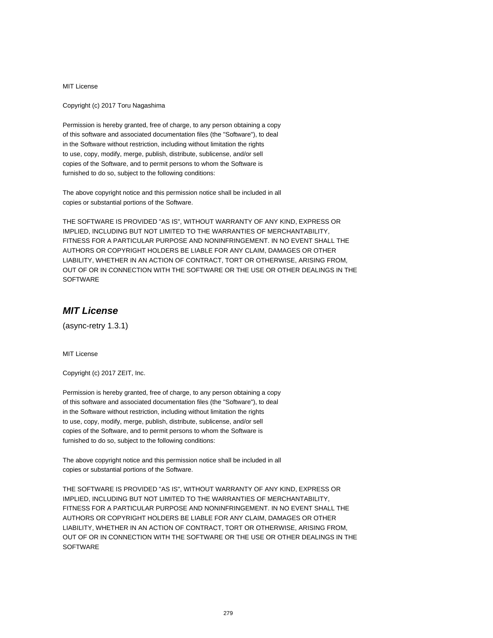Copyright (c) 2017 Toru Nagashima

Permission is hereby granted, free of charge, to any person obtaining a copy of this software and associated documentation files (the "Software"), to deal in the Software without restriction, including without limitation the rights to use, copy, modify, merge, publish, distribute, sublicense, and/or sell copies of the Software, and to permit persons to whom the Software is furnished to do so, subject to the following conditions:

The above copyright notice and this permission notice shall be included in all copies or substantial portions of the Software.

THE SOFTWARE IS PROVIDED "AS IS", WITHOUT WARRANTY OF ANY KIND, EXPRESS OR IMPLIED, INCLUDING BUT NOT LIMITED TO THE WARRANTIES OF MERCHANTABILITY, FITNESS FOR A PARTICULAR PURPOSE AND NONINFRINGEMENT. IN NO EVENT SHALL THE AUTHORS OR COPYRIGHT HOLDERS BE LIABLE FOR ANY CLAIM, DAMAGES OR OTHER LIABILITY, WHETHER IN AN ACTION OF CONTRACT, TORT OR OTHERWISE, ARISING FROM, OUT OF OR IN CONNECTION WITH THE SOFTWARE OR THE USE OR OTHER DEALINGS IN THE **SOFTWARE** 

# **MIT License**

(async-retry 1.3.1)

MIT License

Copyright (c) 2017 ZEIT, Inc.

Permission is hereby granted, free of charge, to any person obtaining a copy of this software and associated documentation files (the "Software"), to deal in the Software without restriction, including without limitation the rights to use, copy, modify, merge, publish, distribute, sublicense, and/or sell copies of the Software, and to permit persons to whom the Software is furnished to do so, subject to the following conditions:

The above copyright notice and this permission notice shall be included in all copies or substantial portions of the Software.

THE SOFTWARE IS PROVIDED "AS IS", WITHOUT WARRANTY OF ANY KIND, EXPRESS OR IMPLIED, INCLUDING BUT NOT LIMITED TO THE WARRANTIES OF MERCHANTABILITY, FITNESS FOR A PARTICULAR PURPOSE AND NONINFRINGEMENT. IN NO EVENT SHALL THE AUTHORS OR COPYRIGHT HOLDERS BE LIABLE FOR ANY CLAIM, DAMAGES OR OTHER LIABILITY, WHETHER IN AN ACTION OF CONTRACT, TORT OR OTHERWISE, ARISING FROM, OUT OF OR IN CONNECTION WITH THE SOFTWARE OR THE USE OR OTHER DEALINGS IN THE **SOFTWARE**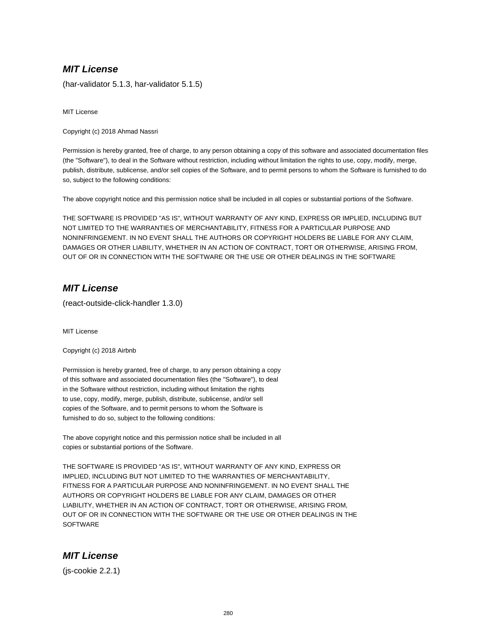(har-validator 5.1.3, har-validator 5.1.5)

MIT License

Copyright (c) 2018 Ahmad Nassri

Permission is hereby granted, free of charge, to any person obtaining a copy of this software and associated documentation files (the "Software"), to deal in the Software without restriction, including without limitation the rights to use, copy, modify, merge, publish, distribute, sublicense, and/or sell copies of the Software, and to permit persons to whom the Software is furnished to do so, subject to the following conditions:

The above copyright notice and this permission notice shall be included in all copies or substantial portions of the Software.

THE SOFTWARE IS PROVIDED "AS IS", WITHOUT WARRANTY OF ANY KIND, EXPRESS OR IMPLIED, INCLUDING BUT NOT LIMITED TO THE WARRANTIES OF MERCHANTABILITY, FITNESS FOR A PARTICULAR PURPOSE AND NONINFRINGEMENT. IN NO EVENT SHALL THE AUTHORS OR COPYRIGHT HOLDERS BE LIABLE FOR ANY CLAIM, DAMAGES OR OTHER LIABILITY, WHETHER IN AN ACTION OF CONTRACT, TORT OR OTHERWISE, ARISING FROM, OUT OF OR IN CONNECTION WITH THE SOFTWARE OR THE USE OR OTHER DEALINGS IN THE SOFTWARE

### **MIT License**

(react-outside-click-handler 1.3.0)

MIT License

Copyright (c) 2018 Airbnb

Permission is hereby granted, free of charge, to any person obtaining a copy of this software and associated documentation files (the "Software"), to deal in the Software without restriction, including without limitation the rights to use, copy, modify, merge, publish, distribute, sublicense, and/or sell copies of the Software, and to permit persons to whom the Software is furnished to do so, subject to the following conditions:

The above copyright notice and this permission notice shall be included in all copies or substantial portions of the Software.

THE SOFTWARE IS PROVIDED "AS IS", WITHOUT WARRANTY OF ANY KIND, EXPRESS OR IMPLIED, INCLUDING BUT NOT LIMITED TO THE WARRANTIES OF MERCHANTABILITY, FITNESS FOR A PARTICULAR PURPOSE AND NONINFRINGEMENT. IN NO EVENT SHALL THE AUTHORS OR COPYRIGHT HOLDERS BE LIABLE FOR ANY CLAIM, DAMAGES OR OTHER LIABILITY, WHETHER IN AN ACTION OF CONTRACT, TORT OR OTHERWISE, ARISING FROM, OUT OF OR IN CONNECTION WITH THE SOFTWARE OR THE USE OR OTHER DEALINGS IN THE **SOFTWARE** 

#### **MIT License**

(js-cookie 2.2.1)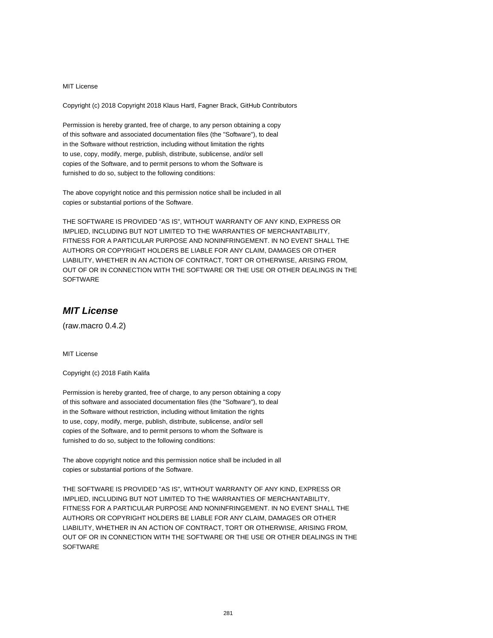Copyright (c) 2018 Copyright 2018 Klaus Hartl, Fagner Brack, GitHub Contributors

Permission is hereby granted, free of charge, to any person obtaining a copy of this software and associated documentation files (the "Software"), to deal in the Software without restriction, including without limitation the rights to use, copy, modify, merge, publish, distribute, sublicense, and/or sell copies of the Software, and to permit persons to whom the Software is furnished to do so, subject to the following conditions:

The above copyright notice and this permission notice shall be included in all copies or substantial portions of the Software.

THE SOFTWARE IS PROVIDED "AS IS", WITHOUT WARRANTY OF ANY KIND, EXPRESS OR IMPLIED, INCLUDING BUT NOT LIMITED TO THE WARRANTIES OF MERCHANTABILITY, FITNESS FOR A PARTICULAR PURPOSE AND NONINFRINGEMENT. IN NO EVENT SHALL THE AUTHORS OR COPYRIGHT HOLDERS BE LIABLE FOR ANY CLAIM, DAMAGES OR OTHER LIABILITY, WHETHER IN AN ACTION OF CONTRACT, TORT OR OTHERWISE, ARISING FROM, OUT OF OR IN CONNECTION WITH THE SOFTWARE OR THE USE OR OTHER DEALINGS IN THE SOFTWARE

# **MIT License**

(raw.macro 0.4.2)

MIT License

Copyright (c) 2018 Fatih Kalifa

Permission is hereby granted, free of charge, to any person obtaining a copy of this software and associated documentation files (the "Software"), to deal in the Software without restriction, including without limitation the rights to use, copy, modify, merge, publish, distribute, sublicense, and/or sell copies of the Software, and to permit persons to whom the Software is furnished to do so, subject to the following conditions:

The above copyright notice and this permission notice shall be included in all copies or substantial portions of the Software.

THE SOFTWARE IS PROVIDED "AS IS", WITHOUT WARRANTY OF ANY KIND, EXPRESS OR IMPLIED, INCLUDING BUT NOT LIMITED TO THE WARRANTIES OF MERCHANTABILITY, FITNESS FOR A PARTICULAR PURPOSE AND NONINFRINGEMENT. IN NO EVENT SHALL THE AUTHORS OR COPYRIGHT HOLDERS BE LIABLE FOR ANY CLAIM, DAMAGES OR OTHER LIABILITY, WHETHER IN AN ACTION OF CONTRACT, TORT OR OTHERWISE, ARISING FROM, OUT OF OR IN CONNECTION WITH THE SOFTWARE OR THE USE OR OTHER DEALINGS IN THE **SOFTWARE**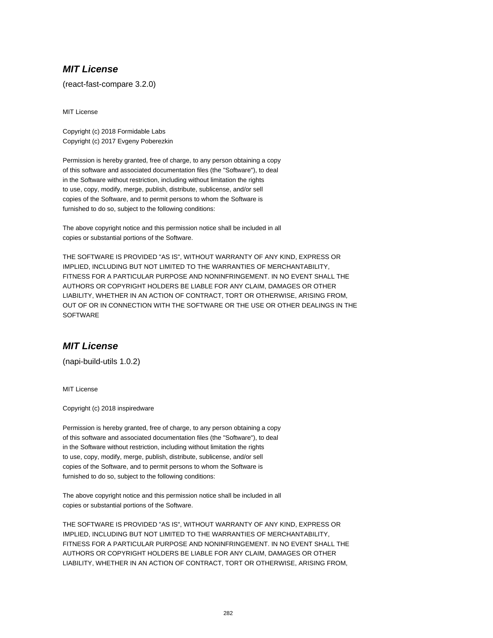(react-fast-compare 3.2.0)

MIT License

Copyright (c) 2018 Formidable Labs Copyright (c) 2017 Evgeny Poberezkin

Permission is hereby granted, free of charge, to any person obtaining a copy of this software and associated documentation files (the "Software"), to deal in the Software without restriction, including without limitation the rights to use, copy, modify, merge, publish, distribute, sublicense, and/or sell copies of the Software, and to permit persons to whom the Software is furnished to do so, subject to the following conditions:

The above copyright notice and this permission notice shall be included in all copies or substantial portions of the Software.

THE SOFTWARE IS PROVIDED "AS IS", WITHOUT WARRANTY OF ANY KIND, EXPRESS OR IMPLIED, INCLUDING BUT NOT LIMITED TO THE WARRANTIES OF MERCHANTABILITY, FITNESS FOR A PARTICULAR PURPOSE AND NONINFRINGEMENT. IN NO EVENT SHALL THE AUTHORS OR COPYRIGHT HOLDERS BE LIABLE FOR ANY CLAIM, DAMAGES OR OTHER LIABILITY, WHETHER IN AN ACTION OF CONTRACT, TORT OR OTHERWISE, ARISING FROM, OUT OF OR IN CONNECTION WITH THE SOFTWARE OR THE USE OR OTHER DEALINGS IN THE **SOFTWARE** 

# **MIT License**

(napi-build-utils 1.0.2)

MIT License

Copyright (c) 2018 inspiredware

Permission is hereby granted, free of charge, to any person obtaining a copy of this software and associated documentation files (the "Software"), to deal in the Software without restriction, including without limitation the rights to use, copy, modify, merge, publish, distribute, sublicense, and/or sell copies of the Software, and to permit persons to whom the Software is furnished to do so, subject to the following conditions:

The above copyright notice and this permission notice shall be included in all copies or substantial portions of the Software.

THE SOFTWARE IS PROVIDED "AS IS", WITHOUT WARRANTY OF ANY KIND, EXPRESS OR IMPLIED, INCLUDING BUT NOT LIMITED TO THE WARRANTIES OF MERCHANTABILITY, FITNESS FOR A PARTICULAR PURPOSE AND NONINFRINGEMENT. IN NO EVENT SHALL THE AUTHORS OR COPYRIGHT HOLDERS BE LIABLE FOR ANY CLAIM, DAMAGES OR OTHER LIABILITY, WHETHER IN AN ACTION OF CONTRACT, TORT OR OTHERWISE, ARISING FROM,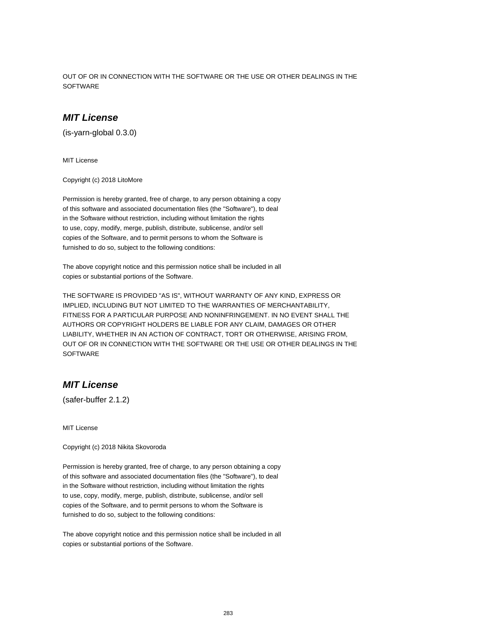OUT OF OR IN CONNECTION WITH THE SOFTWARE OR THE USE OR OTHER DEALINGS IN THE **SOFTWARE** 

## **MIT License**

(is-yarn-global 0.3.0)

MIT License

Copyright (c) 2018 LitoMore

Permission is hereby granted, free of charge, to any person obtaining a copy of this software and associated documentation files (the "Software"), to deal in the Software without restriction, including without limitation the rights to use, copy, modify, merge, publish, distribute, sublicense, and/or sell copies of the Software, and to permit persons to whom the Software is furnished to do so, subject to the following conditions:

The above copyright notice and this permission notice shall be included in all copies or substantial portions of the Software.

THE SOFTWARE IS PROVIDED "AS IS", WITHOUT WARRANTY OF ANY KIND, EXPRESS OR IMPLIED, INCLUDING BUT NOT LIMITED TO THE WARRANTIES OF MERCHANTABILITY, FITNESS FOR A PARTICULAR PURPOSE AND NONINFRINGEMENT. IN NO EVENT SHALL THE AUTHORS OR COPYRIGHT HOLDERS BE LIABLE FOR ANY CLAIM, DAMAGES OR OTHER LIABILITY, WHETHER IN AN ACTION OF CONTRACT, TORT OR OTHERWISE, ARISING FROM, OUT OF OR IN CONNECTION WITH THE SOFTWARE OR THE USE OR OTHER DEALINGS IN THE **SOFTWARE** 

### **MIT License**

(safer-buffer 2.1.2)

MIT License

Copyright (c) 2018 Nikita Skovoroda

Permission is hereby granted, free of charge, to any person obtaining a copy of this software and associated documentation files (the "Software"), to deal in the Software without restriction, including without limitation the rights to use, copy, modify, merge, publish, distribute, sublicense, and/or sell copies of the Software, and to permit persons to whom the Software is furnished to do so, subject to the following conditions:

The above copyright notice and this permission notice shall be included in all copies or substantial portions of the Software.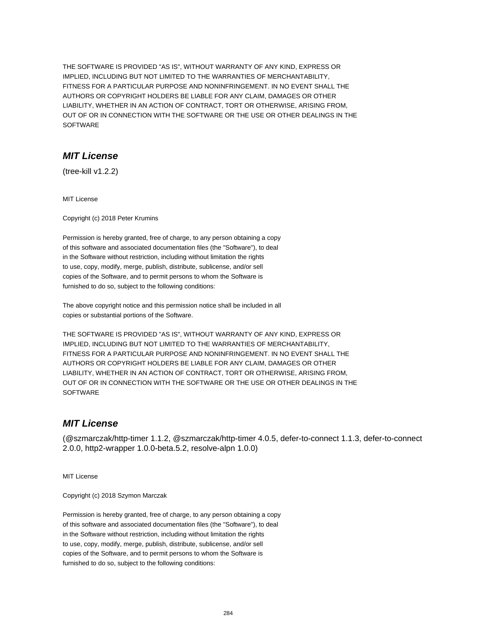THE SOFTWARE IS PROVIDED "AS IS", WITHOUT WARRANTY OF ANY KIND, EXPRESS OR IMPLIED, INCLUDING BUT NOT LIMITED TO THE WARRANTIES OF MERCHANTABILITY, FITNESS FOR A PARTICULAR PURPOSE AND NONINFRINGEMENT. IN NO EVENT SHALL THE AUTHORS OR COPYRIGHT HOLDERS BE LIABLE FOR ANY CLAIM, DAMAGES OR OTHER LIABILITY, WHETHER IN AN ACTION OF CONTRACT, TORT OR OTHERWISE, ARISING FROM, OUT OF OR IN CONNECTION WITH THE SOFTWARE OR THE USE OR OTHER DEALINGS IN THE SOFTWARE

## **MIT License**

(tree-kill v1.2.2)

MIT License

Copyright (c) 2018 Peter Krumins

Permission is hereby granted, free of charge, to any person obtaining a copy of this software and associated documentation files (the "Software"), to deal in the Software without restriction, including without limitation the rights to use, copy, modify, merge, publish, distribute, sublicense, and/or sell copies of the Software, and to permit persons to whom the Software is furnished to do so, subject to the following conditions:

The above copyright notice and this permission notice shall be included in all copies or substantial portions of the Software.

THE SOFTWARE IS PROVIDED "AS IS", WITHOUT WARRANTY OF ANY KIND, EXPRESS OR IMPLIED, INCLUDING BUT NOT LIMITED TO THE WARRANTIES OF MERCHANTABILITY, FITNESS FOR A PARTICULAR PURPOSE AND NONINFRINGEMENT. IN NO EVENT SHALL THE AUTHORS OR COPYRIGHT HOLDERS BE LIABLE FOR ANY CLAIM, DAMAGES OR OTHER LIABILITY, WHETHER IN AN ACTION OF CONTRACT, TORT OR OTHERWISE, ARISING FROM, OUT OF OR IN CONNECTION WITH THE SOFTWARE OR THE USE OR OTHER DEALINGS IN THE **SOFTWARE** 

#### **MIT License**

(@szmarczak/http-timer 1.1.2, @szmarczak/http-timer 4.0.5, defer-to-connect 1.1.3, defer-to-connect 2.0.0, http2-wrapper 1.0.0-beta.5.2, resolve-alpn 1.0.0)

MIT License

Copyright (c) 2018 Szymon Marczak

Permission is hereby granted, free of charge, to any person obtaining a copy of this software and associated documentation files (the "Software"), to deal in the Software without restriction, including without limitation the rights to use, copy, modify, merge, publish, distribute, sublicense, and/or sell copies of the Software, and to permit persons to whom the Software is furnished to do so, subject to the following conditions: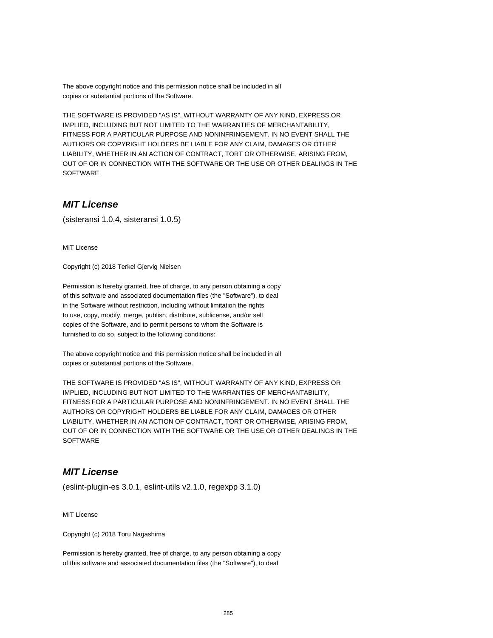The above copyright notice and this permission notice shall be included in all copies or substantial portions of the Software.

THE SOFTWARE IS PROVIDED "AS IS", WITHOUT WARRANTY OF ANY KIND, EXPRESS OR IMPLIED, INCLUDING BUT NOT LIMITED TO THE WARRANTIES OF MERCHANTABILITY, FITNESS FOR A PARTICULAR PURPOSE AND NONINFRINGEMENT. IN NO EVENT SHALL THE AUTHORS OR COPYRIGHT HOLDERS BE LIABLE FOR ANY CLAIM, DAMAGES OR OTHER LIABILITY, WHETHER IN AN ACTION OF CONTRACT, TORT OR OTHERWISE, ARISING FROM, OUT OF OR IN CONNECTION WITH THE SOFTWARE OR THE USE OR OTHER DEALINGS IN THE SOFTWARE

### **MIT License**

(sisteransi 1.0.4, sisteransi 1.0.5)

MIT License

Copyright (c) 2018 Terkel Gjervig Nielsen

Permission is hereby granted, free of charge, to any person obtaining a copy of this software and associated documentation files (the "Software"), to deal in the Software without restriction, including without limitation the rights to use, copy, modify, merge, publish, distribute, sublicense, and/or sell copies of the Software, and to permit persons to whom the Software is furnished to do so, subject to the following conditions:

The above copyright notice and this permission notice shall be included in all copies or substantial portions of the Software.

THE SOFTWARE IS PROVIDED "AS IS", WITHOUT WARRANTY OF ANY KIND, EXPRESS OR IMPLIED, INCLUDING BUT NOT LIMITED TO THE WARRANTIES OF MERCHANTABILITY, FITNESS FOR A PARTICULAR PURPOSE AND NONINFRINGEMENT. IN NO EVENT SHALL THE AUTHORS OR COPYRIGHT HOLDERS BE LIABLE FOR ANY CLAIM, DAMAGES OR OTHER LIABILITY, WHETHER IN AN ACTION OF CONTRACT, TORT OR OTHERWISE, ARISING FROM, OUT OF OR IN CONNECTION WITH THE SOFTWARE OR THE USE OR OTHER DEALINGS IN THE **SOFTWARE** 

#### **MIT License**

(eslint-plugin-es 3.0.1, eslint-utils v2.1.0, regexpp 3.1.0)

MIT License

Copyright (c) 2018 Toru Nagashima

Permission is hereby granted, free of charge, to any person obtaining a copy of this software and associated documentation files (the "Software"), to deal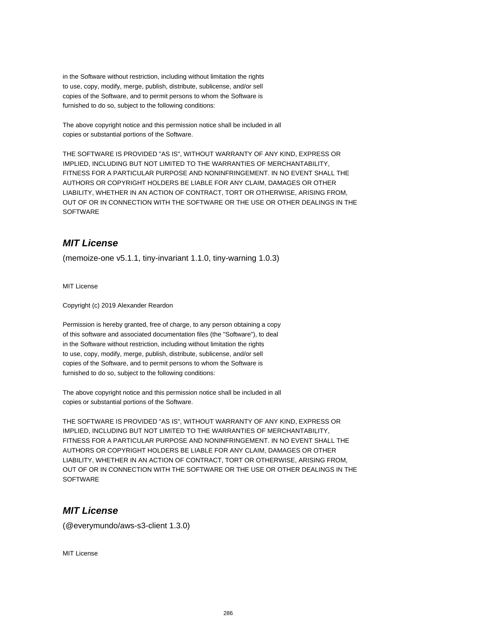in the Software without restriction, including without limitation the rights to use, copy, modify, merge, publish, distribute, sublicense, and/or sell copies of the Software, and to permit persons to whom the Software is furnished to do so, subject to the following conditions:

The above copyright notice and this permission notice shall be included in all copies or substantial portions of the Software.

THE SOFTWARE IS PROVIDED "AS IS", WITHOUT WARRANTY OF ANY KIND, EXPRESS OR IMPLIED, INCLUDING BUT NOT LIMITED TO THE WARRANTIES OF MERCHANTABILITY, FITNESS FOR A PARTICULAR PURPOSE AND NONINFRINGEMENT. IN NO EVENT SHALL THE AUTHORS OR COPYRIGHT HOLDERS BE LIABLE FOR ANY CLAIM, DAMAGES OR OTHER LIABILITY, WHETHER IN AN ACTION OF CONTRACT, TORT OR OTHERWISE, ARISING FROM, OUT OF OR IN CONNECTION WITH THE SOFTWARE OR THE USE OR OTHER DEALINGS IN THE SOFTWARE

# **MIT License**

(memoize-one v5.1.1, tiny-invariant 1.1.0, tiny-warning 1.0.3)

MIT License

Copyright (c) 2019 Alexander Reardon

Permission is hereby granted, free of charge, to any person obtaining a copy of this software and associated documentation files (the "Software"), to deal in the Software without restriction, including without limitation the rights to use, copy, modify, merge, publish, distribute, sublicense, and/or sell copies of the Software, and to permit persons to whom the Software is furnished to do so, subject to the following conditions:

The above copyright notice and this permission notice shall be included in all copies or substantial portions of the Software.

THE SOFTWARE IS PROVIDED "AS IS", WITHOUT WARRANTY OF ANY KIND, EXPRESS OR IMPLIED, INCLUDING BUT NOT LIMITED TO THE WARRANTIES OF MERCHANTABILITY, FITNESS FOR A PARTICULAR PURPOSE AND NONINFRINGEMENT. IN NO EVENT SHALL THE AUTHORS OR COPYRIGHT HOLDERS BE LIABLE FOR ANY CLAIM, DAMAGES OR OTHER LIABILITY, WHETHER IN AN ACTION OF CONTRACT, TORT OR OTHERWISE, ARISING FROM, OUT OF OR IN CONNECTION WITH THE SOFTWARE OR THE USE OR OTHER DEALINGS IN THE **SOFTWARE** 

## **MIT License**

(@everymundo/aws-s3-client 1.3.0)

MIT License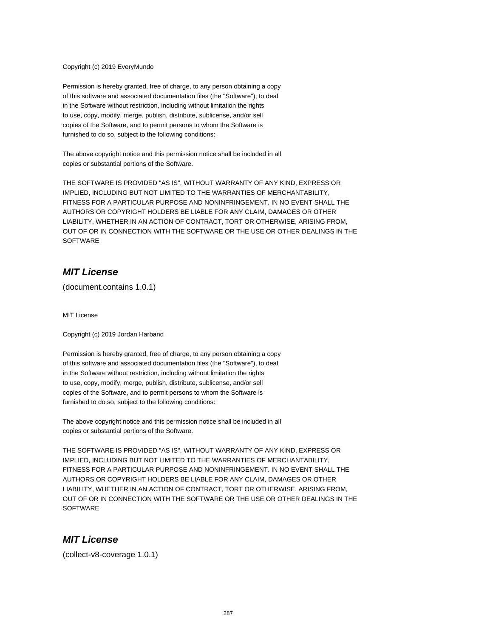#### Copyright (c) 2019 EveryMundo

Permission is hereby granted, free of charge, to any person obtaining a copy of this software and associated documentation files (the "Software"), to deal in the Software without restriction, including without limitation the rights to use, copy, modify, merge, publish, distribute, sublicense, and/or sell copies of the Software, and to permit persons to whom the Software is furnished to do so, subject to the following conditions:

The above copyright notice and this permission notice shall be included in all copies or substantial portions of the Software.

THE SOFTWARE IS PROVIDED "AS IS", WITHOUT WARRANTY OF ANY KIND, EXPRESS OR IMPLIED, INCLUDING BUT NOT LIMITED TO THE WARRANTIES OF MERCHANTABILITY, FITNESS FOR A PARTICULAR PURPOSE AND NONINFRINGEMENT. IN NO EVENT SHALL THE AUTHORS OR COPYRIGHT HOLDERS BE LIABLE FOR ANY CLAIM, DAMAGES OR OTHER LIABILITY, WHETHER IN AN ACTION OF CONTRACT, TORT OR OTHERWISE, ARISING FROM, OUT OF OR IN CONNECTION WITH THE SOFTWARE OR THE USE OR OTHER DEALINGS IN THE **SOFTWARE** 

#### **MIT License**

(document.contains 1.0.1)

MIT License

Copyright (c) 2019 Jordan Harband

Permission is hereby granted, free of charge, to any person obtaining a copy of this software and associated documentation files (the "Software"), to deal in the Software without restriction, including without limitation the rights to use, copy, modify, merge, publish, distribute, sublicense, and/or sell copies of the Software, and to permit persons to whom the Software is furnished to do so, subject to the following conditions:

The above copyright notice and this permission notice shall be included in all copies or substantial portions of the Software.

THE SOFTWARE IS PROVIDED "AS IS", WITHOUT WARRANTY OF ANY KIND, EXPRESS OR IMPLIED, INCLUDING BUT NOT LIMITED TO THE WARRANTIES OF MERCHANTABILITY, FITNESS FOR A PARTICULAR PURPOSE AND NONINFRINGEMENT. IN NO EVENT SHALL THE AUTHORS OR COPYRIGHT HOLDERS BE LIABLE FOR ANY CLAIM, DAMAGES OR OTHER LIABILITY, WHETHER IN AN ACTION OF CONTRACT, TORT OR OTHERWISE, ARISING FROM, OUT OF OR IN CONNECTION WITH THE SOFTWARE OR THE USE OR OTHER DEALINGS IN THE **SOFTWARE** 

#### **MIT License**

(collect-v8-coverage 1.0.1)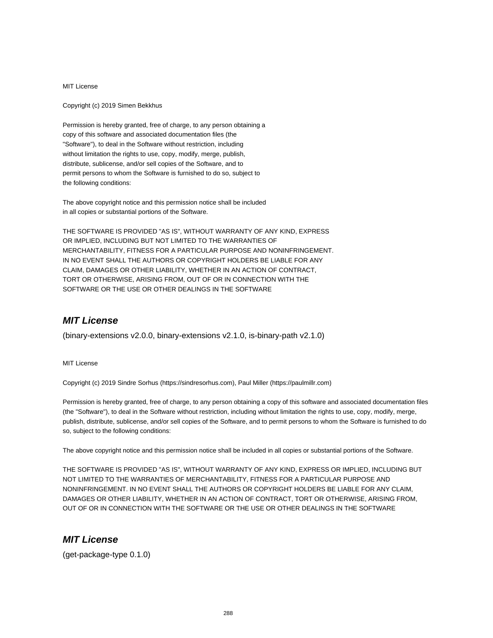Copyright (c) 2019 Simen Bekkhus

Permission is hereby granted, free of charge, to any person obtaining a copy of this software and associated documentation files (the "Software"), to deal in the Software without restriction, including without limitation the rights to use, copy, modify, merge, publish, distribute, sublicense, and/or sell copies of the Software, and to permit persons to whom the Software is furnished to do so, subject to the following conditions:

The above copyright notice and this permission notice shall be included in all copies or substantial portions of the Software.

THE SOFTWARE IS PROVIDED "AS IS", WITHOUT WARRANTY OF ANY KIND, EXPRESS OR IMPLIED, INCLUDING BUT NOT LIMITED TO THE WARRANTIES OF MERCHANTABILITY, FITNESS FOR A PARTICULAR PURPOSE AND NONINFRINGEMENT. IN NO EVENT SHALL THE AUTHORS OR COPYRIGHT HOLDERS BE LIABLE FOR ANY CLAIM, DAMAGES OR OTHER LIABILITY, WHETHER IN AN ACTION OF CONTRACT, TORT OR OTHERWISE, ARISING FROM, OUT OF OR IN CONNECTION WITH THE SOFTWARE OR THE USE OR OTHER DEALINGS IN THE SOFTWARE

## **MIT License**

(binary-extensions v2.0.0, binary-extensions v2.1.0, is-binary-path v2.1.0)

MIT License

Copyright (c) 2019 Sindre Sorhus (https://sindresorhus.com), Paul Miller (https://paulmillr.com)

Permission is hereby granted, free of charge, to any person obtaining a copy of this software and associated documentation files (the "Software"), to deal in the Software without restriction, including without limitation the rights to use, copy, modify, merge, publish, distribute, sublicense, and/or sell copies of the Software, and to permit persons to whom the Software is furnished to do so, subject to the following conditions:

The above copyright notice and this permission notice shall be included in all copies or substantial portions of the Software.

THE SOFTWARE IS PROVIDED "AS IS", WITHOUT WARRANTY OF ANY KIND, EXPRESS OR IMPLIED, INCLUDING BUT NOT LIMITED TO THE WARRANTIES OF MERCHANTABILITY, FITNESS FOR A PARTICULAR PURPOSE AND NONINFRINGEMENT. IN NO EVENT SHALL THE AUTHORS OR COPYRIGHT HOLDERS BE LIABLE FOR ANY CLAIM, DAMAGES OR OTHER LIABILITY, WHETHER IN AN ACTION OF CONTRACT, TORT OR OTHERWISE, ARISING FROM, OUT OF OR IN CONNECTION WITH THE SOFTWARE OR THE USE OR OTHER DEALINGS IN THE SOFTWARE

#### **MIT License**

(get-package-type 0.1.0)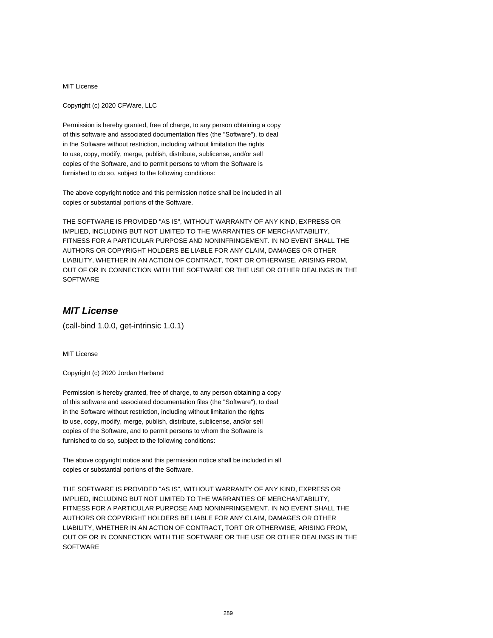Copyright (c) 2020 CFWare, LLC

Permission is hereby granted, free of charge, to any person obtaining a copy of this software and associated documentation files (the "Software"), to deal in the Software without restriction, including without limitation the rights to use, copy, modify, merge, publish, distribute, sublicense, and/or sell copies of the Software, and to permit persons to whom the Software is furnished to do so, subject to the following conditions:

The above copyright notice and this permission notice shall be included in all copies or substantial portions of the Software.

THE SOFTWARE IS PROVIDED "AS IS", WITHOUT WARRANTY OF ANY KIND, EXPRESS OR IMPLIED, INCLUDING BUT NOT LIMITED TO THE WARRANTIES OF MERCHANTABILITY, FITNESS FOR A PARTICULAR PURPOSE AND NONINFRINGEMENT. IN NO EVENT SHALL THE AUTHORS OR COPYRIGHT HOLDERS BE LIABLE FOR ANY CLAIM, DAMAGES OR OTHER LIABILITY, WHETHER IN AN ACTION OF CONTRACT, TORT OR OTHERWISE, ARISING FROM, OUT OF OR IN CONNECTION WITH THE SOFTWARE OR THE USE OR OTHER DEALINGS IN THE SOFTWARE

# **MIT License**

(call-bind 1.0.0, get-intrinsic 1.0.1)

MIT License

Copyright (c) 2020 Jordan Harband

Permission is hereby granted, free of charge, to any person obtaining a copy of this software and associated documentation files (the "Software"), to deal in the Software without restriction, including without limitation the rights to use, copy, modify, merge, publish, distribute, sublicense, and/or sell copies of the Software, and to permit persons to whom the Software is furnished to do so, subject to the following conditions:

The above copyright notice and this permission notice shall be included in all copies or substantial portions of the Software.

THE SOFTWARE IS PROVIDED "AS IS", WITHOUT WARRANTY OF ANY KIND, EXPRESS OR IMPLIED, INCLUDING BUT NOT LIMITED TO THE WARRANTIES OF MERCHANTABILITY, FITNESS FOR A PARTICULAR PURPOSE AND NONINFRINGEMENT. IN NO EVENT SHALL THE AUTHORS OR COPYRIGHT HOLDERS BE LIABLE FOR ANY CLAIM, DAMAGES OR OTHER LIABILITY, WHETHER IN AN ACTION OF CONTRACT, TORT OR OTHERWISE, ARISING FROM, OUT OF OR IN CONNECTION WITH THE SOFTWARE OR THE USE OR OTHER DEALINGS IN THE **SOFTWARE**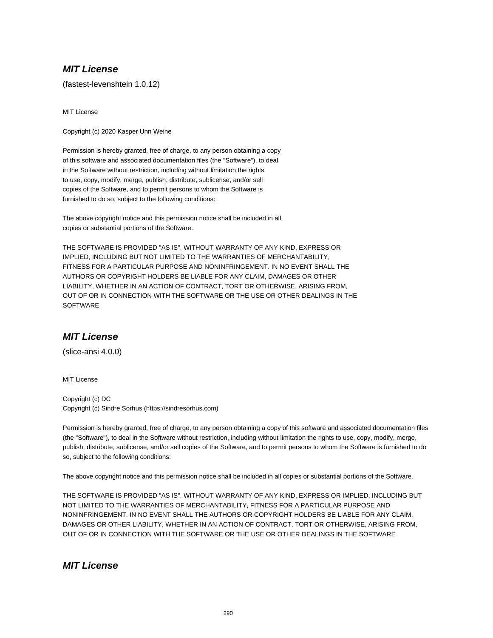(fastest-levenshtein 1.0.12)

MIT License

Copyright (c) 2020 Kasper Unn Weihe

Permission is hereby granted, free of charge, to any person obtaining a copy of this software and associated documentation files (the "Software"), to deal in the Software without restriction, including without limitation the rights to use, copy, modify, merge, publish, distribute, sublicense, and/or sell copies of the Software, and to permit persons to whom the Software is furnished to do so, subject to the following conditions:

The above copyright notice and this permission notice shall be included in all copies or substantial portions of the Software.

THE SOFTWARE IS PROVIDED "AS IS", WITHOUT WARRANTY OF ANY KIND, EXPRESS OR IMPLIED, INCLUDING BUT NOT LIMITED TO THE WARRANTIES OF MERCHANTABILITY, FITNESS FOR A PARTICULAR PURPOSE AND NONINFRINGEMENT. IN NO EVENT SHALL THE AUTHORS OR COPYRIGHT HOLDERS BE LIABLE FOR ANY CLAIM, DAMAGES OR OTHER LIABILITY, WHETHER IN AN ACTION OF CONTRACT, TORT OR OTHERWISE, ARISING FROM, OUT OF OR IN CONNECTION WITH THE SOFTWARE OR THE USE OR OTHER DEALINGS IN THE **SOFTWARE** 

### **MIT License**

(slice-ansi 4.0.0)

MIT License

Copyright (c) DC Copyright (c) Sindre Sorhus (https://sindresorhus.com)

Permission is hereby granted, free of charge, to any person obtaining a copy of this software and associated documentation files (the "Software"), to deal in the Software without restriction, including without limitation the rights to use, copy, modify, merge, publish, distribute, sublicense, and/or sell copies of the Software, and to permit persons to whom the Software is furnished to do so, subject to the following conditions:

The above copyright notice and this permission notice shall be included in all copies or substantial portions of the Software.

THE SOFTWARE IS PROVIDED "AS IS", WITHOUT WARRANTY OF ANY KIND, EXPRESS OR IMPLIED, INCLUDING BUT NOT LIMITED TO THE WARRANTIES OF MERCHANTABILITY, FITNESS FOR A PARTICULAR PURPOSE AND NONINFRINGEMENT. IN NO EVENT SHALL THE AUTHORS OR COPYRIGHT HOLDERS BE LIABLE FOR ANY CLAIM, DAMAGES OR OTHER LIABILITY, WHETHER IN AN ACTION OF CONTRACT, TORT OR OTHERWISE, ARISING FROM, OUT OF OR IN CONNECTION WITH THE SOFTWARE OR THE USE OR OTHER DEALINGS IN THE SOFTWARE

**MIT License**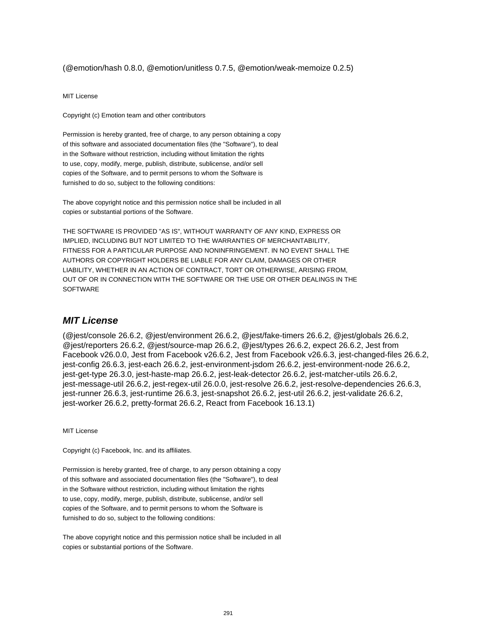(@emotion/hash 0.8.0, @emotion/unitless 0.7.5, @emotion/weak-memoize 0.2.5)

MIT License

Copyright (c) Emotion team and other contributors

Permission is hereby granted, free of charge, to any person obtaining a copy of this software and associated documentation files (the "Software"), to deal in the Software without restriction, including without limitation the rights to use, copy, modify, merge, publish, distribute, sublicense, and/or sell copies of the Software, and to permit persons to whom the Software is furnished to do so, subject to the following conditions:

The above copyright notice and this permission notice shall be included in all copies or substantial portions of the Software.

THE SOFTWARE IS PROVIDED "AS IS", WITHOUT WARRANTY OF ANY KIND, EXPRESS OR IMPLIED, INCLUDING BUT NOT LIMITED TO THE WARRANTIES OF MERCHANTABILITY, FITNESS FOR A PARTICULAR PURPOSE AND NONINFRINGEMENT. IN NO EVENT SHALL THE AUTHORS OR COPYRIGHT HOLDERS BE LIABLE FOR ANY CLAIM, DAMAGES OR OTHER LIABILITY, WHETHER IN AN ACTION OF CONTRACT, TORT OR OTHERWISE, ARISING FROM, OUT OF OR IN CONNECTION WITH THE SOFTWARE OR THE USE OR OTHER DEALINGS IN THE SOFTWARE

#### **MIT License**

(@jest/console 26.6.2, @jest/environment 26.6.2, @jest/fake-timers 26.6.2, @jest/globals 26.6.2, @jest/reporters 26.6.2, @jest/source-map 26.6.2, @jest/types 26.6.2, expect 26.6.2, Jest from Facebook v26.0.0, Jest from Facebook v26.6.2, Jest from Facebook v26.6.3, jest-changed-files 26.6.2, jest-config 26.6.3, jest-each 26.6.2, jest-environment-jsdom 26.6.2, jest-environment-node 26.6.2, jest-get-type 26.3.0, jest-haste-map 26.6.2, jest-leak-detector 26.6.2, jest-matcher-utils 26.6.2, jest-message-util 26.6.2, jest-regex-util 26.0.0, jest-resolve 26.6.2, jest-resolve-dependencies 26.6.3, jest-runner 26.6.3, jest-runtime 26.6.3, jest-snapshot 26.6.2, jest-util 26.6.2, jest-validate 26.6.2, jest-worker 26.6.2, pretty-format 26.6.2, React from Facebook 16.13.1)

MIT License

Copyright (c) Facebook, Inc. and its affiliates.

Permission is hereby granted, free of charge, to any person obtaining a copy of this software and associated documentation files (the "Software"), to deal in the Software without restriction, including without limitation the rights to use, copy, modify, merge, publish, distribute, sublicense, and/or sell copies of the Software, and to permit persons to whom the Software is furnished to do so, subject to the following conditions:

The above copyright notice and this permission notice shall be included in all copies or substantial portions of the Software.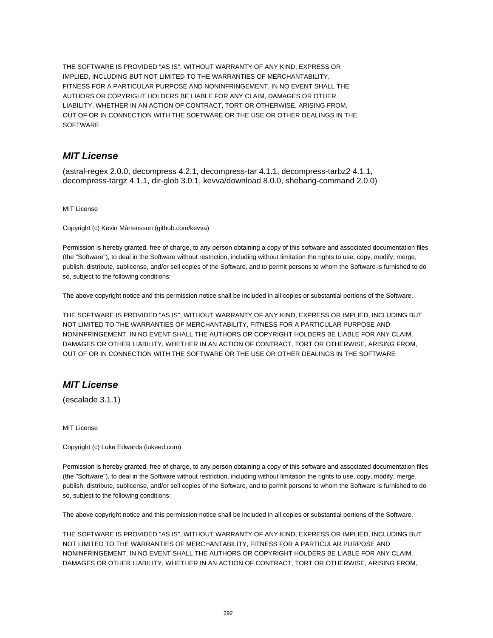THE SOFTWARE IS PROVIDED "AS IS", WITHOUT WARRANTY OF ANY KIND, EXPRESS OR IMPLIED, INCLUDING BUT NOT LIMITED TO THE WARRANTIES OF MERCHANTABILITY, FITNESS FOR A PARTICULAR PURPOSE AND NONINFRINGEMENT. IN NO EVENT SHALL THE AUTHORS OR COPYRIGHT HOLDERS BE LIABLE FOR ANY CLAIM, DAMAGES OR OTHER LIABILITY, WHETHER IN AN ACTION OF CONTRACT, TORT OR OTHERWISE, ARISING FROM, OUT OF OR IN CONNECTION WITH THE SOFTWARE OR THE USE OR OTHER DEALINGS IN THE SOFTWARE

# **MIT License**

(astral-regex 2.0.0, decompress 4.2.1, decompress-tar 4.1.1, decompress-tarbz2 4.1.1, decompress-targz 4.1.1, dir-glob 3.0.1, kevva/download 8.0.0, shebang-command 2.0.0)

MIT License

Copyright (c) Kevin Mårtensson (github.com/kevva)

Permission is hereby granted, free of charge, to any person obtaining a copy of this software and associated documentation files (the "Software"), to deal in the Software without restriction, including without limitation the rights to use, copy, modify, merge, publish, distribute, sublicense, and/or sell copies of the Software, and to permit persons to whom the Software is furnished to do so, subject to the following conditions:

The above copyright notice and this permission notice shall be included in all copies or substantial portions of the Software.

THE SOFTWARE IS PROVIDED "AS IS", WITHOUT WARRANTY OF ANY KIND, EXPRESS OR IMPLIED, INCLUDING BUT NOT LIMITED TO THE WARRANTIES OF MERCHANTABILITY, FITNESS FOR A PARTICULAR PURPOSE AND NONINFRINGEMENT. IN NO EVENT SHALL THE AUTHORS OR COPYRIGHT HOLDERS BE LIABLE FOR ANY CLAIM, DAMAGES OR OTHER LIABILITY, WHETHER IN AN ACTION OF CONTRACT, TORT OR OTHERWISE, ARISING FROM, OUT OF OR IN CONNECTION WITH THE SOFTWARE OR THE USE OR OTHER DEALINGS IN THE SOFTWARE

## **MIT License**

(escalade 3.1.1)

MIT License

Copyright (c) Luke Edwards (lukeed.com)

Permission is hereby granted, free of charge, to any person obtaining a copy of this software and associated documentation files (the "Software"), to deal in the Software without restriction, including without limitation the rights to use, copy, modify, merge, publish, distribute, sublicense, and/or sell copies of the Software, and to permit persons to whom the Software is furnished to do so, subject to the following conditions:

The above copyright notice and this permission notice shall be included in all copies or substantial portions of the Software.

THE SOFTWARE IS PROVIDED "AS IS", WITHOUT WARRANTY OF ANY KIND, EXPRESS OR IMPLIED, INCLUDING BUT NOT LIMITED TO THE WARRANTIES OF MERCHANTABILITY, FITNESS FOR A PARTICULAR PURPOSE AND NONINFRINGEMENT. IN NO EVENT SHALL THE AUTHORS OR COPYRIGHT HOLDERS BE LIABLE FOR ANY CLAIM, DAMAGES OR OTHER LIABILITY, WHETHER IN AN ACTION OF CONTRACT, TORT OR OTHERWISE, ARISING FROM,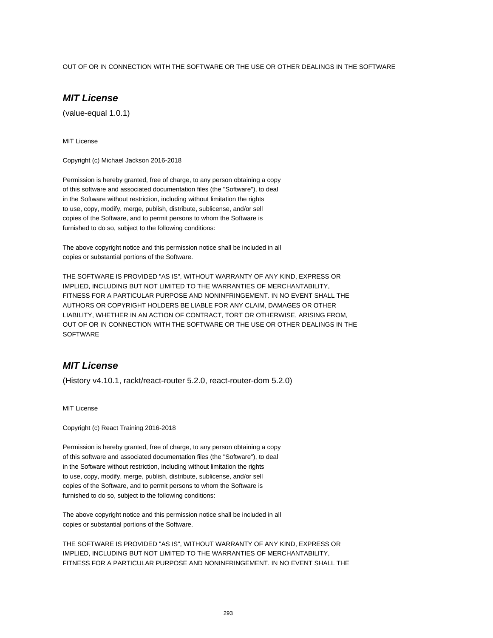#### OUT OF OR IN CONNECTION WITH THE SOFTWARE OR THE USE OR OTHER DEALINGS IN THE SOFTWARE

# **MIT License**

(value-equal 1.0.1)

MIT License

Copyright (c) Michael Jackson 2016-2018

Permission is hereby granted, free of charge, to any person obtaining a copy of this software and associated documentation files (the "Software"), to deal in the Software without restriction, including without limitation the rights to use, copy, modify, merge, publish, distribute, sublicense, and/or sell copies of the Software, and to permit persons to whom the Software is furnished to do so, subject to the following conditions:

The above copyright notice and this permission notice shall be included in all copies or substantial portions of the Software.

THE SOFTWARE IS PROVIDED "AS IS", WITHOUT WARRANTY OF ANY KIND, EXPRESS OR IMPLIED, INCLUDING BUT NOT LIMITED TO THE WARRANTIES OF MERCHANTABILITY, FITNESS FOR A PARTICULAR PURPOSE AND NONINFRINGEMENT. IN NO EVENT SHALL THE AUTHORS OR COPYRIGHT HOLDERS BE LIABLE FOR ANY CLAIM, DAMAGES OR OTHER LIABILITY, WHETHER IN AN ACTION OF CONTRACT, TORT OR OTHERWISE, ARISING FROM, OUT OF OR IN CONNECTION WITH THE SOFTWARE OR THE USE OR OTHER DEALINGS IN THE **SOFTWARE** 

#### **MIT License**

(History v4.10.1, rackt/react-router 5.2.0, react-router-dom 5.2.0)

MIT License

Copyright (c) React Training 2016-2018

Permission is hereby granted, free of charge, to any person obtaining a copy of this software and associated documentation files (the "Software"), to deal in the Software without restriction, including without limitation the rights to use, copy, modify, merge, publish, distribute, sublicense, and/or sell copies of the Software, and to permit persons to whom the Software is furnished to do so, subject to the following conditions:

The above copyright notice and this permission notice shall be included in all copies or substantial portions of the Software.

THE SOFTWARE IS PROVIDED "AS IS", WITHOUT WARRANTY OF ANY KIND, EXPRESS OR IMPLIED, INCLUDING BUT NOT LIMITED TO THE WARRANTIES OF MERCHANTABILITY, FITNESS FOR A PARTICULAR PURPOSE AND NONINFRINGEMENT. IN NO EVENT SHALL THE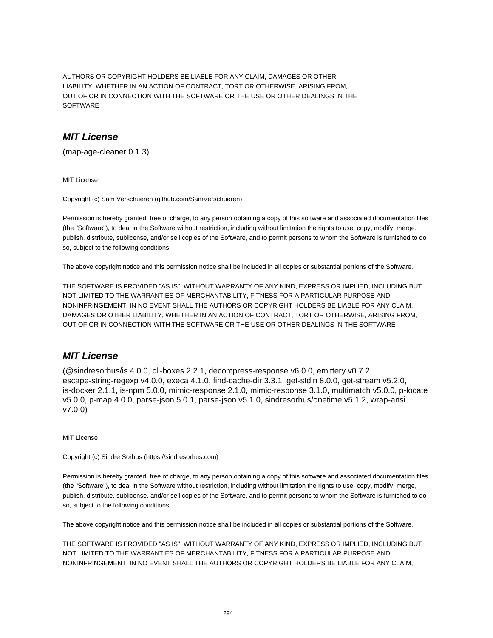AUTHORS OR COPYRIGHT HOLDERS BE LIABLE FOR ANY CLAIM, DAMAGES OR OTHER LIABILITY, WHETHER IN AN ACTION OF CONTRACT, TORT OR OTHERWISE, ARISING FROM, OUT OF OR IN CONNECTION WITH THE SOFTWARE OR THE USE OR OTHER DEALINGS IN THE SOFTWARE

# **MIT License**

(map-age-cleaner 0.1.3)

MIT License

Copyright (c) Sam Verschueren (github.com/SamVerschueren)

Permission is hereby granted, free of charge, to any person obtaining a copy of this software and associated documentation files (the "Software"), to deal in the Software without restriction, including without limitation the rights to use, copy, modify, merge, publish, distribute, sublicense, and/or sell copies of the Software, and to permit persons to whom the Software is furnished to do so, subject to the following conditions:

The above copyright notice and this permission notice shall be included in all copies or substantial portions of the Software.

THE SOFTWARE IS PROVIDED "AS IS", WITHOUT WARRANTY OF ANY KIND, EXPRESS OR IMPLIED, INCLUDING BUT NOT LIMITED TO THE WARRANTIES OF MERCHANTABILITY, FITNESS FOR A PARTICULAR PURPOSE AND NONINFRINGEMENT. IN NO EVENT SHALL THE AUTHORS OR COPYRIGHT HOLDERS BE LIABLE FOR ANY CLAIM, DAMAGES OR OTHER LIABILITY, WHETHER IN AN ACTION OF CONTRACT, TORT OR OTHERWISE, ARISING FROM, OUT OF OR IN CONNECTION WITH THE SOFTWARE OR THE USE OR OTHER DEALINGS IN THE SOFTWARE

## **MIT License**

(@sindresorhus/is 4.0.0, cli-boxes 2.2.1, decompress-response v6.0.0, emittery v0.7.2, escape-string-regexp v4.0.0, execa 4.1.0, find-cache-dir 3.3.1, get-stdin 8.0.0, get-stream v5.2.0, is-docker 2.1.1, is-npm 5.0.0, mimic-response 2.1.0, mimic-response 3.1.0, multimatch v5.0.0, p-locate v5.0.0, p-map 4.0.0, parse-json 5.0.1, parse-json v5.1.0, sindresorhus/onetime v5.1.2, wrap-ansi v7.0.0)

MIT License

Copyright (c) Sindre Sorhus (https://sindresorhus.com)

Permission is hereby granted, free of charge, to any person obtaining a copy of this software and associated documentation files (the "Software"), to deal in the Software without restriction, including without limitation the rights to use, copy, modify, merge, publish, distribute, sublicense, and/or sell copies of the Software, and to permit persons to whom the Software is furnished to do so, subject to the following conditions:

The above copyright notice and this permission notice shall be included in all copies or substantial portions of the Software.

THE SOFTWARE IS PROVIDED "AS IS", WITHOUT WARRANTY OF ANY KIND, EXPRESS OR IMPLIED, INCLUDING BUT NOT LIMITED TO THE WARRANTIES OF MERCHANTABILITY, FITNESS FOR A PARTICULAR PURPOSE AND NONINFRINGEMENT. IN NO EVENT SHALL THE AUTHORS OR COPYRIGHT HOLDERS BE LIABLE FOR ANY CLAIM,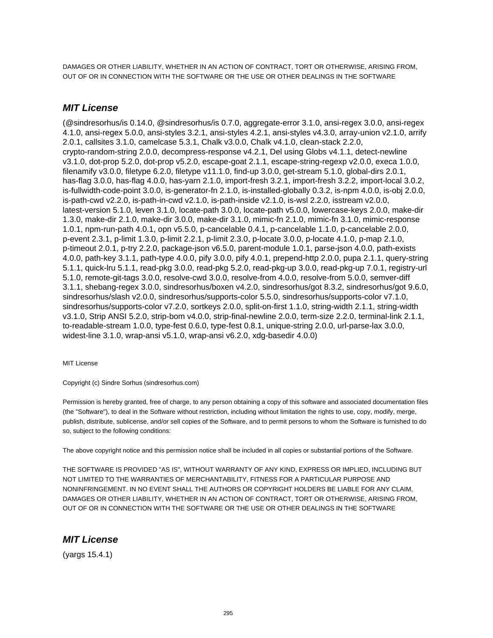DAMAGES OR OTHER LIABILITY, WHETHER IN AN ACTION OF CONTRACT, TORT OR OTHERWISE, ARISING FROM, OUT OF OR IN CONNECTION WITH THE SOFTWARE OR THE USE OR OTHER DEALINGS IN THE SOFTWARE

## **MIT License**

(@sindresorhus/is 0.14.0, @sindresorhus/is 0.7.0, aggregate-error 3.1.0, ansi-regex 3.0.0, ansi-regex 4.1.0, ansi-regex 5.0.0, ansi-styles 3.2.1, ansi-styles 4.2.1, ansi-styles v4.3.0, array-union v2.1.0, arrify 2.0.1, callsites 3.1.0, camelcase 5.3.1, Chalk v3.0.0, Chalk v4.1.0, clean-stack 2.2.0, crypto-random-string 2.0.0, decompress-response v4.2.1, Del using Globs v4.1.1, detect-newline v3.1.0, dot-prop 5.2.0, dot-prop v5.2.0, escape-goat 2.1.1, escape-string-regexp v2.0.0, execa 1.0.0, filenamify v3.0.0, filetype 6.2.0, filetype v11.1.0, find-up 3.0.0, get-stream 5.1.0, global-dirs 2.0.1, has-flag 3.0.0, has-flag 4.0.0, has-yarn 2.1.0, import-fresh 3.2.1, import-fresh 3.2.2, import-local 3.0.2, is-fullwidth-code-point 3.0.0, is-generator-fn 2.1.0, is-installed-globally 0.3.2, is-npm 4.0.0, is-obj 2.0.0, is-path-cwd v2.2.0, is-path-in-cwd v2.1.0, is-path-inside v2.1.0, is-wsl 2.2.0, isstream v2.0.0, latest-version 5.1.0, leven 3.1.0, locate-path 3.0.0, locate-path v5.0.0, lowercase-keys 2.0.0, make-dir 1.3.0, make-dir 2.1.0, make-dir 3.0.0, make-dir 3.1.0, mimic-fn 2.1.0, mimic-fn 3.1.0, mimic-response 1.0.1, npm-run-path 4.0.1, opn v5.5.0, p-cancelable 0.4.1, p-cancelable 1.1.0, p-cancelable 2.0.0, p-event 2.3.1, p-limit 1.3.0, p-limit 2.2.1, p-limit 2.3.0, p-locate 3.0.0, p-locate 4.1.0, p-map 2.1.0, p-timeout 2.0.1, p-try 2.2.0, package-json v6.5.0, parent-module 1.0.1, parse-json 4.0.0, path-exists 4.0.0, path-key 3.1.1, path-type 4.0.0, pify 3.0.0, pify 4.0.1, prepend-http 2.0.0, pupa 2.1.1, query-string 5.1.1, quick-lru 5.1.1, read-pkg 3.0.0, read-pkg 5.2.0, read-pkg-up 3.0.0, read-pkg-up 7.0.1, registry-url 5.1.0, remote-git-tags 3.0.0, resolve-cwd 3.0.0, resolve-from 4.0.0, resolve-from 5.0.0, semver-diff 3.1.1, shebang-regex 3.0.0, sindresorhus/boxen v4.2.0, sindresorhus/got 8.3.2, sindresorhus/got 9.6.0, sindresorhus/slash v2.0.0, sindresorhus/supports-color 5.5.0, sindresorhus/supports-color v7.1.0, sindresorhus/supports-color v7.2.0, sortkeys 2.0.0, split-on-first 1.1.0, string-width 2.1.1, string-width v3.1.0, Strip ANSI 5.2.0, strip-bom v4.0.0, strip-final-newline 2.0.0, term-size 2.2.0, terminal-link 2.1.1, to-readable-stream 1.0.0, type-fest 0.6.0, type-fest 0.8.1, unique-string 2.0.0, url-parse-lax 3.0.0, widest-line 3.1.0, wrap-ansi v5.1.0, wrap-ansi v6.2.0, xdg-basedir 4.0.0)

MIT License

Copyright (c) Sindre Sorhus (sindresorhus.com)

Permission is hereby granted, free of charge, to any person obtaining a copy of this software and associated documentation files (the "Software"), to deal in the Software without restriction, including without limitation the rights to use, copy, modify, merge, publish, distribute, sublicense, and/or sell copies of the Software, and to permit persons to whom the Software is furnished to do so, subject to the following conditions:

The above copyright notice and this permission notice shall be included in all copies or substantial portions of the Software.

THE SOFTWARE IS PROVIDED "AS IS", WITHOUT WARRANTY OF ANY KIND, EXPRESS OR IMPLIED, INCLUDING BUT NOT LIMITED TO THE WARRANTIES OF MERCHANTABILITY, FITNESS FOR A PARTICULAR PURPOSE AND NONINFRINGEMENT. IN NO EVENT SHALL THE AUTHORS OR COPYRIGHT HOLDERS BE LIABLE FOR ANY CLAIM, DAMAGES OR OTHER LIABILITY, WHETHER IN AN ACTION OF CONTRACT, TORT OR OTHERWISE, ARISING FROM, OUT OF OR IN CONNECTION WITH THE SOFTWARE OR THE USE OR OTHER DEALINGS IN THE SOFTWARE

## **MIT License**

(yargs 15.4.1)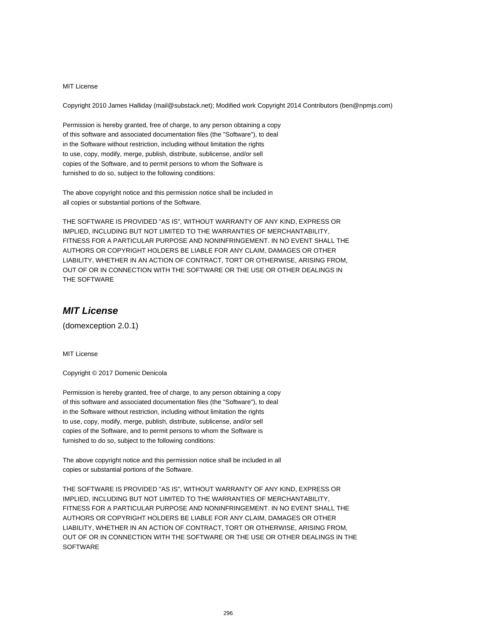Copyright 2010 James Halliday (mail@substack.net); Modified work Copyright 2014 Contributors (ben@npmjs.com)

Permission is hereby granted, free of charge, to any person obtaining a copy of this software and associated documentation files (the "Software"), to deal in the Software without restriction, including without limitation the rights to use, copy, modify, merge, publish, distribute, sublicense, and/or sell copies of the Software, and to permit persons to whom the Software is furnished to do so, subject to the following conditions:

The above copyright notice and this permission notice shall be included in all copies or substantial portions of the Software.

THE SOFTWARE IS PROVIDED "AS IS", WITHOUT WARRANTY OF ANY KIND, EXPRESS OR IMPLIED, INCLUDING BUT NOT LIMITED TO THE WARRANTIES OF MERCHANTABILITY, FITNESS FOR A PARTICULAR PURPOSE AND NONINFRINGEMENT. IN NO EVENT SHALL THE AUTHORS OR COPYRIGHT HOLDERS BE LIABLE FOR ANY CLAIM, DAMAGES OR OTHER LIABILITY, WHETHER IN AN ACTION OF CONTRACT, TORT OR OTHERWISE, ARISING FROM, OUT OF OR IN CONNECTION WITH THE SOFTWARE OR THE USE OR OTHER DEALINGS IN THE SOFTWARE

# **MIT License**

(domexception 2.0.1)

MIT License

Copyright © 2017 Domenic Denicola

Permission is hereby granted, free of charge, to any person obtaining a copy of this software and associated documentation files (the "Software"), to deal in the Software without restriction, including without limitation the rights to use, copy, modify, merge, publish, distribute, sublicense, and/or sell copies of the Software, and to permit persons to whom the Software is furnished to do so, subject to the following conditions:

The above copyright notice and this permission notice shall be included in all copies or substantial portions of the Software.

THE SOFTWARE IS PROVIDED "AS IS", WITHOUT WARRANTY OF ANY KIND, EXPRESS OR IMPLIED, INCLUDING BUT NOT LIMITED TO THE WARRANTIES OF MERCHANTABILITY, FITNESS FOR A PARTICULAR PURPOSE AND NONINFRINGEMENT. IN NO EVENT SHALL THE AUTHORS OR COPYRIGHT HOLDERS BE LIABLE FOR ANY CLAIM, DAMAGES OR OTHER LIABILITY, WHETHER IN AN ACTION OF CONTRACT, TORT OR OTHERWISE, ARISING FROM, OUT OF OR IN CONNECTION WITH THE SOFTWARE OR THE USE OR OTHER DEALINGS IN THE **SOFTWARE**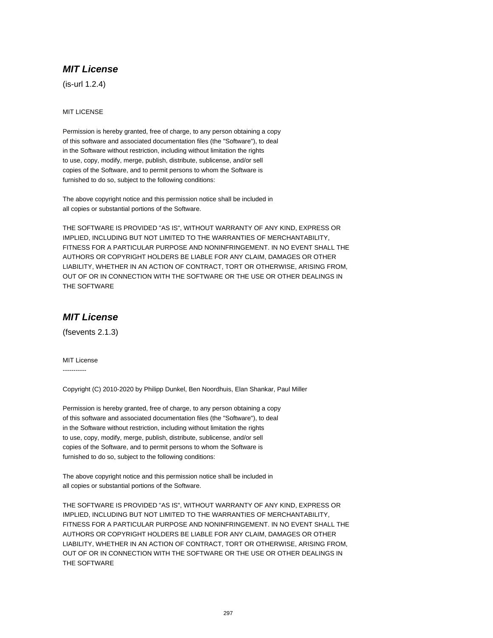(is-url 1.2.4)

#### MIT LICENSE

Permission is hereby granted, free of charge, to any person obtaining a copy of this software and associated documentation files (the "Software"), to deal in the Software without restriction, including without limitation the rights to use, copy, modify, merge, publish, distribute, sublicense, and/or sell copies of the Software, and to permit persons to whom the Software is furnished to do so, subject to the following conditions:

The above copyright notice and this permission notice shall be included in all copies or substantial portions of the Software.

THE SOFTWARE IS PROVIDED "AS IS", WITHOUT WARRANTY OF ANY KIND, EXPRESS OR IMPLIED, INCLUDING BUT NOT LIMITED TO THE WARRANTIES OF MERCHANTABILITY, FITNESS FOR A PARTICULAR PURPOSE AND NONINFRINGEMENT. IN NO EVENT SHALL THE AUTHORS OR COPYRIGHT HOLDERS BE LIABLE FOR ANY CLAIM, DAMAGES OR OTHER LIABILITY, WHETHER IN AN ACTION OF CONTRACT, TORT OR OTHERWISE, ARISING FROM, OUT OF OR IN CONNECTION WITH THE SOFTWARE OR THE USE OR OTHER DEALINGS IN THE SOFTWARE

### **MIT License**

(fsevents 2.1.3)

MIT License -----------

Copyright (C) 2010-2020 by Philipp Dunkel, Ben Noordhuis, Elan Shankar, Paul Miller

Permission is hereby granted, free of charge, to any person obtaining a copy of this software and associated documentation files (the "Software"), to deal in the Software without restriction, including without limitation the rights to use, copy, modify, merge, publish, distribute, sublicense, and/or sell copies of the Software, and to permit persons to whom the Software is furnished to do so, subject to the following conditions:

The above copyright notice and this permission notice shall be included in all copies or substantial portions of the Software.

THE SOFTWARE IS PROVIDED "AS IS", WITHOUT WARRANTY OF ANY KIND, EXPRESS OR IMPLIED, INCLUDING BUT NOT LIMITED TO THE WARRANTIES OF MERCHANTABILITY, FITNESS FOR A PARTICULAR PURPOSE AND NONINFRINGEMENT. IN NO EVENT SHALL THE AUTHORS OR COPYRIGHT HOLDERS BE LIABLE FOR ANY CLAIM, DAMAGES OR OTHER LIABILITY, WHETHER IN AN ACTION OF CONTRACT, TORT OR OTHERWISE, ARISING FROM, OUT OF OR IN CONNECTION WITH THE SOFTWARE OR THE USE OR OTHER DEALINGS IN THE SOFTWARE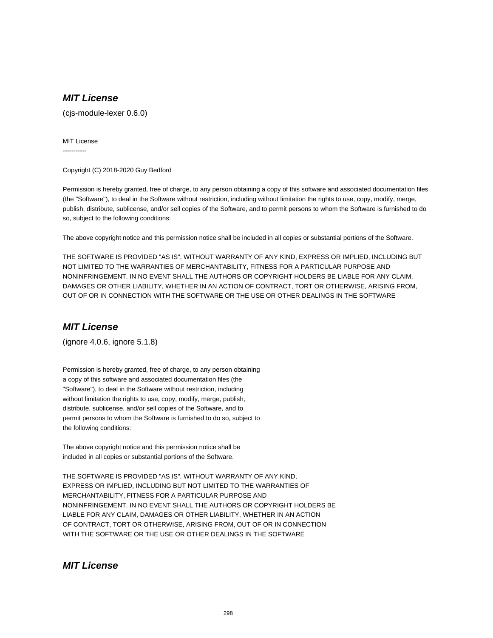(cjs-module-lexer 0.6.0)

#### MIT License

-----------

Copyright (C) 2018-2020 Guy Bedford

Permission is hereby granted, free of charge, to any person obtaining a copy of this software and associated documentation files (the "Software"), to deal in the Software without restriction, including without limitation the rights to use, copy, modify, merge, publish, distribute, sublicense, and/or sell copies of the Software, and to permit persons to whom the Software is furnished to do so, subject to the following conditions:

The above copyright notice and this permission notice shall be included in all copies or substantial portions of the Software.

THE SOFTWARE IS PROVIDED "AS IS", WITHOUT WARRANTY OF ANY KIND, EXPRESS OR IMPLIED, INCLUDING BUT NOT LIMITED TO THE WARRANTIES OF MERCHANTABILITY, FITNESS FOR A PARTICULAR PURPOSE AND NONINFRINGEMENT. IN NO EVENT SHALL THE AUTHORS OR COPYRIGHT HOLDERS BE LIABLE FOR ANY CLAIM, DAMAGES OR OTHER LIABILITY, WHETHER IN AN ACTION OF CONTRACT, TORT OR OTHERWISE, ARISING FROM, OUT OF OR IN CONNECTION WITH THE SOFTWARE OR THE USE OR OTHER DEALINGS IN THE SOFTWARE

## **MIT License**

(ignore 4.0.6, ignore 5.1.8)

Permission is hereby granted, free of charge, to any person obtaining a copy of this software and associated documentation files (the "Software"), to deal in the Software without restriction, including without limitation the rights to use, copy, modify, merge, publish, distribute, sublicense, and/or sell copies of the Software, and to permit persons to whom the Software is furnished to do so, subject to the following conditions:

The above copyright notice and this permission notice shall be included in all copies or substantial portions of the Software.

THE SOFTWARE IS PROVIDED "AS IS", WITHOUT WARRANTY OF ANY KIND, EXPRESS OR IMPLIED, INCLUDING BUT NOT LIMITED TO THE WARRANTIES OF MERCHANTABILITY, FITNESS FOR A PARTICULAR PURPOSE AND NONINFRINGEMENT. IN NO EVENT SHALL THE AUTHORS OR COPYRIGHT HOLDERS BE LIABLE FOR ANY CLAIM, DAMAGES OR OTHER LIABILITY, WHETHER IN AN ACTION OF CONTRACT, TORT OR OTHERWISE, ARISING FROM, OUT OF OR IN CONNECTION WITH THE SOFTWARE OR THE USE OR OTHER DEALINGS IN THE SOFTWARE

#### **MIT License**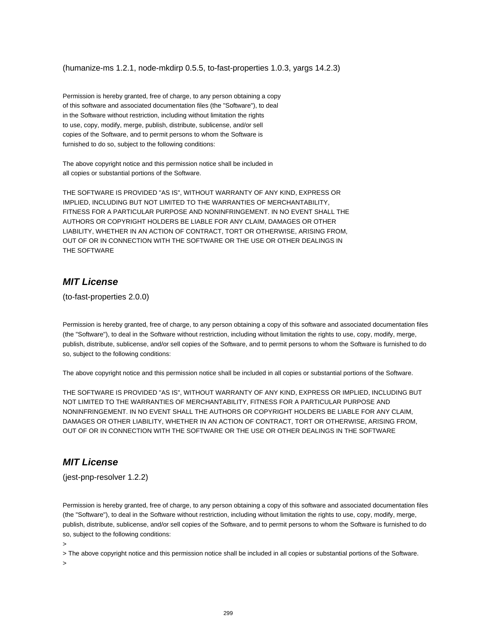(humanize-ms 1.2.1, node-mkdirp 0.5.5, to-fast-properties 1.0.3, yargs 14.2.3)

Permission is hereby granted, free of charge, to any person obtaining a copy of this software and associated documentation files (the "Software"), to deal in the Software without restriction, including without limitation the rights to use, copy, modify, merge, publish, distribute, sublicense, and/or sell copies of the Software, and to permit persons to whom the Software is furnished to do so, subject to the following conditions:

The above copyright notice and this permission notice shall be included in all copies or substantial portions of the Software.

THE SOFTWARE IS PROVIDED "AS IS", WITHOUT WARRANTY OF ANY KIND, EXPRESS OR IMPLIED, INCLUDING BUT NOT LIMITED TO THE WARRANTIES OF MERCHANTABILITY, FITNESS FOR A PARTICULAR PURPOSE AND NONINFRINGEMENT. IN NO EVENT SHALL THE AUTHORS OR COPYRIGHT HOLDERS BE LIABLE FOR ANY CLAIM, DAMAGES OR OTHER LIABILITY, WHETHER IN AN ACTION OF CONTRACT, TORT OR OTHERWISE, ARISING FROM, OUT OF OR IN CONNECTION WITH THE SOFTWARE OR THE USE OR OTHER DEALINGS IN THE SOFTWARE

#### **MIT License**

(to-fast-properties 2.0.0)

Permission is hereby granted, free of charge, to any person obtaining a copy of this software and associated documentation files (the "Software"), to deal in the Software without restriction, including without limitation the rights to use, copy, modify, merge, publish, distribute, sublicense, and/or sell copies of the Software, and to permit persons to whom the Software is furnished to do so, subject to the following conditions:

The above copyright notice and this permission notice shall be included in all copies or substantial portions of the Software.

THE SOFTWARE IS PROVIDED "AS IS", WITHOUT WARRANTY OF ANY KIND, EXPRESS OR IMPLIED, INCLUDING BUT NOT LIMITED TO THE WARRANTIES OF MERCHANTABILITY, FITNESS FOR A PARTICULAR PURPOSE AND NONINFRINGEMENT. IN NO EVENT SHALL THE AUTHORS OR COPYRIGHT HOLDERS BE LIABLE FOR ANY CLAIM, DAMAGES OR OTHER LIABILITY, WHETHER IN AN ACTION OF CONTRACT, TORT OR OTHERWISE, ARISING FROM, OUT OF OR IN CONNECTION WITH THE SOFTWARE OR THE USE OR OTHER DEALINGS IN THE SOFTWARE

## **MIT License**

(jest-pnp-resolver 1.2.2)

Permission is hereby granted, free of charge, to any person obtaining a copy of this software and associated documentation files (the "Software"), to deal in the Software without restriction, including without limitation the rights to use, copy, modify, merge, publish, distribute, sublicense, and/or sell copies of the Software, and to permit persons to whom the Software is furnished to do so, subject to the following conditions:

>

> The above copyright notice and this permission notice shall be included in all copies or substantial portions of the Software.

>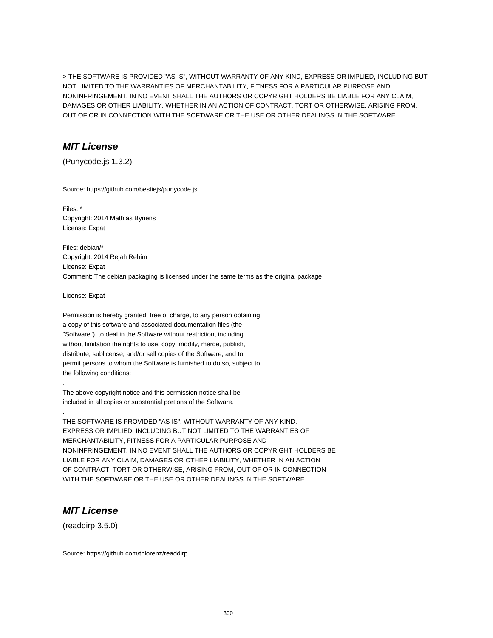> THE SOFTWARE IS PROVIDED "AS IS", WITHOUT WARRANTY OF ANY KIND, EXPRESS OR IMPLIED, INCLUDING BUT NOT LIMITED TO THE WARRANTIES OF MERCHANTABILITY, FITNESS FOR A PARTICULAR PURPOSE AND NONINFRINGEMENT. IN NO EVENT SHALL THE AUTHORS OR COPYRIGHT HOLDERS BE LIABLE FOR ANY CLAIM, DAMAGES OR OTHER LIABILITY, WHETHER IN AN ACTION OF CONTRACT, TORT OR OTHERWISE, ARISING FROM, OUT OF OR IN CONNECTION WITH THE SOFTWARE OR THE USE OR OTHER DEALINGS IN THE SOFTWARE

# **MIT License**

(Punycode.js 1.3.2)

Source: https://github.com/bestiejs/punycode.js

Files: \* Copyright: 2014 Mathias Bynens License: Expat

Files: debian/\* Copyright: 2014 Rejah Rehim License: Expat Comment: The debian packaging is licensed under the same terms as the original package

License: Expat

.

.

Permission is hereby granted, free of charge, to any person obtaining a copy of this software and associated documentation files (the "Software"), to deal in the Software without restriction, including without limitation the rights to use, copy, modify, merge, publish, distribute, sublicense, and/or sell copies of the Software, and to permit persons to whom the Software is furnished to do so, subject to the following conditions:

The above copyright notice and this permission notice shall be included in all copies or substantial portions of the Software.

THE SOFTWARE IS PROVIDED "AS IS", WITHOUT WARRANTY OF ANY KIND, EXPRESS OR IMPLIED, INCLUDING BUT NOT LIMITED TO THE WARRANTIES OF MERCHANTABILITY, FITNESS FOR A PARTICULAR PURPOSE AND NONINFRINGEMENT. IN NO EVENT SHALL THE AUTHORS OR COPYRIGHT HOLDERS BE LIABLE FOR ANY CLAIM, DAMAGES OR OTHER LIABILITY, WHETHER IN AN ACTION OF CONTRACT, TORT OR OTHERWISE, ARISING FROM, OUT OF OR IN CONNECTION WITH THE SOFTWARE OR THE USE OR OTHER DEALINGS IN THE SOFTWARE

# **MIT License**

(readdirp 3.5.0)

Source: https://github.com/thlorenz/readdirp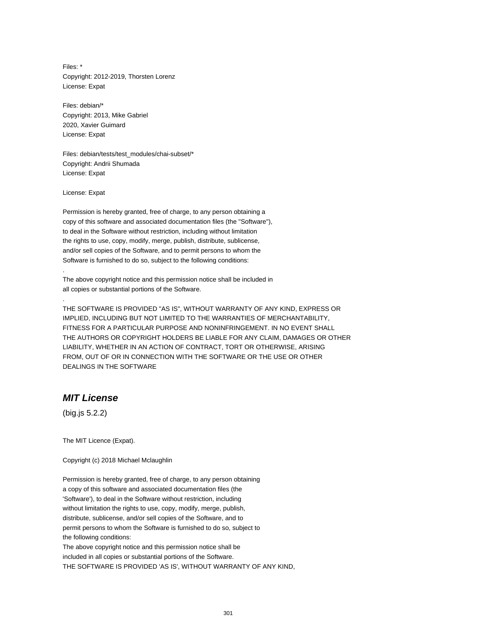Files: \* Copyright: 2012-2019, Thorsten Lorenz License: Expat

Files: debian/\* Copyright: 2013, Mike Gabriel 2020, Xavier Guimard License: Expat

Files: debian/tests/test\_modules/chai-subset/\* Copyright: Andrii Shumada License: Expat

License: Expat

.

.

Permission is hereby granted, free of charge, to any person obtaining a copy of this software and associated documentation files (the "Software"), to deal in the Software without restriction, including without limitation the rights to use, copy, modify, merge, publish, distribute, sublicense, and/or sell copies of the Software, and to permit persons to whom the Software is furnished to do so, subject to the following conditions:

The above copyright notice and this permission notice shall be included in all copies or substantial portions of the Software.

THE SOFTWARE IS PROVIDED "AS IS", WITHOUT WARRANTY OF ANY KIND, EXPRESS OR IMPLIED, INCLUDING BUT NOT LIMITED TO THE WARRANTIES OF MERCHANTABILITY, FITNESS FOR A PARTICULAR PURPOSE AND NONINFRINGEMENT. IN NO EVENT SHALL THE AUTHORS OR COPYRIGHT HOLDERS BE LIABLE FOR ANY CLAIM, DAMAGES OR OTHER LIABILITY, WHETHER IN AN ACTION OF CONTRACT, TORT OR OTHERWISE, ARISING FROM, OUT OF OR IN CONNECTION WITH THE SOFTWARE OR THE USE OR OTHER DEALINGS IN THE SOFTWARE

# **MIT License**

(big.js 5.2.2)

The MIT Licence (Expat).

Copyright (c) 2018 Michael Mclaughlin

Permission is hereby granted, free of charge, to any person obtaining a copy of this software and associated documentation files (the 'Software'), to deal in the Software without restriction, including without limitation the rights to use, copy, modify, merge, publish, distribute, sublicense, and/or sell copies of the Software, and to permit persons to whom the Software is furnished to do so, subject to the following conditions: The above copyright notice and this permission notice shall be

included in all copies or substantial portions of the Software. THE SOFTWARE IS PROVIDED 'AS IS', WITHOUT WARRANTY OF ANY KIND,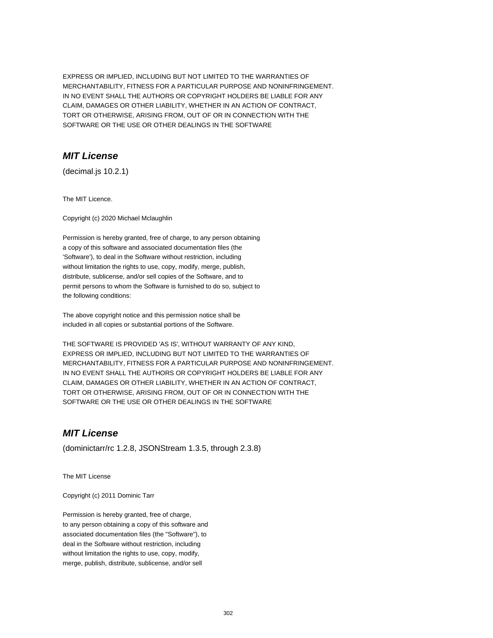EXPRESS OR IMPLIED, INCLUDING BUT NOT LIMITED TO THE WARRANTIES OF MERCHANTABILITY, FITNESS FOR A PARTICULAR PURPOSE AND NONINFRINGEMENT. IN NO EVENT SHALL THE AUTHORS OR COPYRIGHT HOLDERS BE LIABLE FOR ANY CLAIM, DAMAGES OR OTHER LIABILITY, WHETHER IN AN ACTION OF CONTRACT, TORT OR OTHERWISE, ARISING FROM, OUT OF OR IN CONNECTION WITH THE SOFTWARE OR THE USE OR OTHER DEALINGS IN THE SOFTWARE

# **MIT License**

(decimal.js 10.2.1)

The MIT Licence.

Copyright (c) 2020 Michael Mclaughlin

Permission is hereby granted, free of charge, to any person obtaining a copy of this software and associated documentation files (the 'Software'), to deal in the Software without restriction, including without limitation the rights to use, copy, modify, merge, publish, distribute, sublicense, and/or sell copies of the Software, and to permit persons to whom the Software is furnished to do so, subject to the following conditions:

The above copyright notice and this permission notice shall be included in all copies or substantial portions of the Software.

THE SOFTWARE IS PROVIDED 'AS IS', WITHOUT WARRANTY OF ANY KIND, EXPRESS OR IMPLIED, INCLUDING BUT NOT LIMITED TO THE WARRANTIES OF MERCHANTABILITY, FITNESS FOR A PARTICULAR PURPOSE AND NONINFRINGEMENT. IN NO EVENT SHALL THE AUTHORS OR COPYRIGHT HOLDERS BE LIABLE FOR ANY CLAIM, DAMAGES OR OTHER LIABILITY, WHETHER IN AN ACTION OF CONTRACT, TORT OR OTHERWISE, ARISING FROM, OUT OF OR IN CONNECTION WITH THE SOFTWARE OR THE USE OR OTHER DEALINGS IN THE SOFTWARE

## **MIT License**

(dominictarr/rc 1.2.8, JSONStream 1.3.5, through 2.3.8)

The MIT License

Copyright (c) 2011 Dominic Tarr

Permission is hereby granted, free of charge, to any person obtaining a copy of this software and associated documentation files (the "Software"), to deal in the Software without restriction, including without limitation the rights to use, copy, modify, merge, publish, distribute, sublicense, and/or sell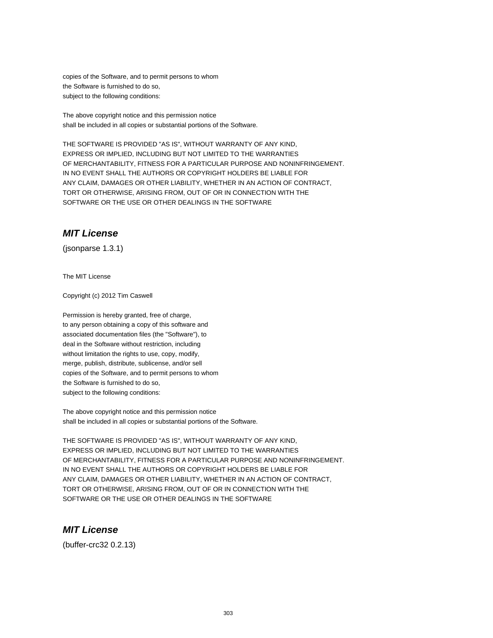copies of the Software, and to permit persons to whom the Software is furnished to do so, subject to the following conditions:

The above copyright notice and this permission notice shall be included in all copies or substantial portions of the Software.

THE SOFTWARE IS PROVIDED "AS IS", WITHOUT WARRANTY OF ANY KIND, EXPRESS OR IMPLIED, INCLUDING BUT NOT LIMITED TO THE WARRANTIES OF MERCHANTABILITY, FITNESS FOR A PARTICULAR PURPOSE AND NONINFRINGEMENT. IN NO EVENT SHALL THE AUTHORS OR COPYRIGHT HOLDERS BE LIABLE FOR ANY CLAIM, DAMAGES OR OTHER LIABILITY, WHETHER IN AN ACTION OF CONTRACT, TORT OR OTHERWISE, ARISING FROM, OUT OF OR IN CONNECTION WITH THE SOFTWARE OR THE USE OR OTHER DEALINGS IN THE SOFTWARE

#### **MIT License**

(jsonparse 1.3.1)

The MIT License

Copyright (c) 2012 Tim Caswell

Permission is hereby granted, free of charge, to any person obtaining a copy of this software and associated documentation files (the "Software"), to deal in the Software without restriction, including without limitation the rights to use, copy, modify, merge, publish, distribute, sublicense, and/or sell copies of the Software, and to permit persons to whom the Software is furnished to do so, subject to the following conditions:

The above copyright notice and this permission notice shall be included in all copies or substantial portions of the Software.

THE SOFTWARE IS PROVIDED "AS IS", WITHOUT WARRANTY OF ANY KIND, EXPRESS OR IMPLIED, INCLUDING BUT NOT LIMITED TO THE WARRANTIES OF MERCHANTABILITY, FITNESS FOR A PARTICULAR PURPOSE AND NONINFRINGEMENT. IN NO EVENT SHALL THE AUTHORS OR COPYRIGHT HOLDERS BE LIABLE FOR ANY CLAIM, DAMAGES OR OTHER LIABILITY, WHETHER IN AN ACTION OF CONTRACT, TORT OR OTHERWISE, ARISING FROM, OUT OF OR IN CONNECTION WITH THE SOFTWARE OR THE USE OR OTHER DEALINGS IN THE SOFTWARE

## **MIT License**

(buffer-crc32 0.2.13)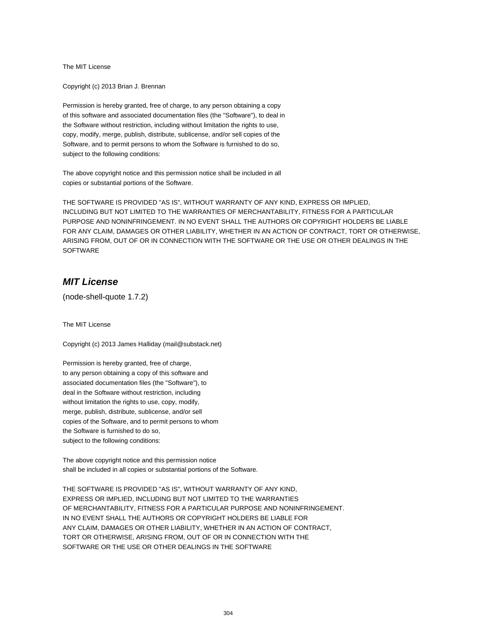The MIT License

Copyright (c) 2013 Brian J. Brennan

Permission is hereby granted, free of charge, to any person obtaining a copy of this software and associated documentation files (the "Software"), to deal in the Software without restriction, including without limitation the rights to use, copy, modify, merge, publish, distribute, sublicense, and/or sell copies of the Software, and to permit persons to whom the Software is furnished to do so, subject to the following conditions:

The above copyright notice and this permission notice shall be included in all copies or substantial portions of the Software.

THE SOFTWARE IS PROVIDED "AS IS", WITHOUT WARRANTY OF ANY KIND, EXPRESS OR IMPLIED, INCLUDING BUT NOT LIMITED TO THE WARRANTIES OF MERCHANTABILITY, FITNESS FOR A PARTICULAR PURPOSE AND NONINFRINGEMENT. IN NO EVENT SHALL THE AUTHORS OR COPYRIGHT HOLDERS BE LIABLE FOR ANY CLAIM, DAMAGES OR OTHER LIABILITY, WHETHER IN AN ACTION OF CONTRACT, TORT OR OTHERWISE, ARISING FROM, OUT OF OR IN CONNECTION WITH THE SOFTWARE OR THE USE OR OTHER DEALINGS IN THE **SOFTWARE** 

#### **MIT License**

(node-shell-quote 1.7.2)

The MIT License

Copyright (c) 2013 James Halliday (mail@substack.net)

Permission is hereby granted, free of charge, to any person obtaining a copy of this software and associated documentation files (the "Software"), to deal in the Software without restriction, including without limitation the rights to use, copy, modify, merge, publish, distribute, sublicense, and/or sell copies of the Software, and to permit persons to whom the Software is furnished to do so, subject to the following conditions:

The above copyright notice and this permission notice shall be included in all copies or substantial portions of the Software.

THE SOFTWARE IS PROVIDED "AS IS", WITHOUT WARRANTY OF ANY KIND, EXPRESS OR IMPLIED, INCLUDING BUT NOT LIMITED TO THE WARRANTIES OF MERCHANTABILITY, FITNESS FOR A PARTICULAR PURPOSE AND NONINFRINGEMENT. IN NO EVENT SHALL THE AUTHORS OR COPYRIGHT HOLDERS BE LIABLE FOR ANY CLAIM, DAMAGES OR OTHER LIABILITY, WHETHER IN AN ACTION OF CONTRACT, TORT OR OTHERWISE, ARISING FROM, OUT OF OR IN CONNECTION WITH THE SOFTWARE OR THE USE OR OTHER DEALINGS IN THE SOFTWARE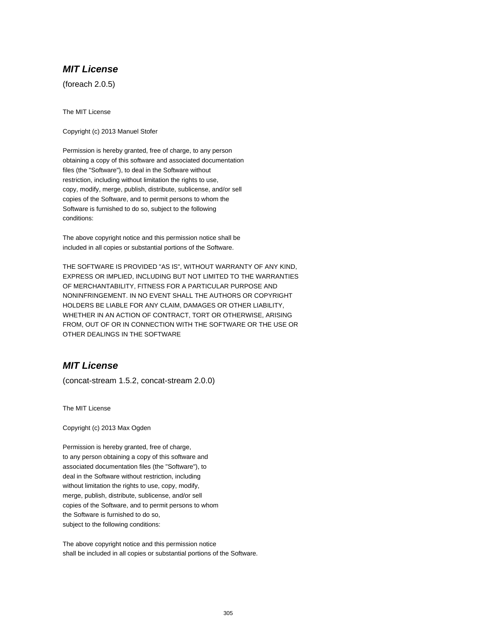(foreach 2.0.5)

The MIT License

Copyright (c) 2013 Manuel Stofer

Permission is hereby granted, free of charge, to any person obtaining a copy of this software and associated documentation files (the "Software"), to deal in the Software without restriction, including without limitation the rights to use, copy, modify, merge, publish, distribute, sublicense, and/or sell copies of the Software, and to permit persons to whom the Software is furnished to do so, subject to the following conditions:

The above copyright notice and this permission notice shall be included in all copies or substantial portions of the Software.

THE SOFTWARE IS PROVIDED "AS IS", WITHOUT WARRANTY OF ANY KIND, EXPRESS OR IMPLIED, INCLUDING BUT NOT LIMITED TO THE WARRANTIES OF MERCHANTABILITY, FITNESS FOR A PARTICULAR PURPOSE AND NONINFRINGEMENT. IN NO EVENT SHALL THE AUTHORS OR COPYRIGHT HOLDERS BE LIABLE FOR ANY CLAIM, DAMAGES OR OTHER LIABILITY, WHETHER IN AN ACTION OF CONTRACT, TORT OR OTHERWISE, ARISING FROM, OUT OF OR IN CONNECTION WITH THE SOFTWARE OR THE USE OR OTHER DEALINGS IN THE SOFTWARE

# **MIT License**

(concat-stream 1.5.2, concat-stream 2.0.0)

The MIT License

Copyright (c) 2013 Max Ogden

Permission is hereby granted, free of charge, to any person obtaining a copy of this software and associated documentation files (the "Software"), to deal in the Software without restriction, including without limitation the rights to use, copy, modify, merge, publish, distribute, sublicense, and/or sell copies of the Software, and to permit persons to whom the Software is furnished to do so, subject to the following conditions:

The above copyright notice and this permission notice shall be included in all copies or substantial portions of the Software.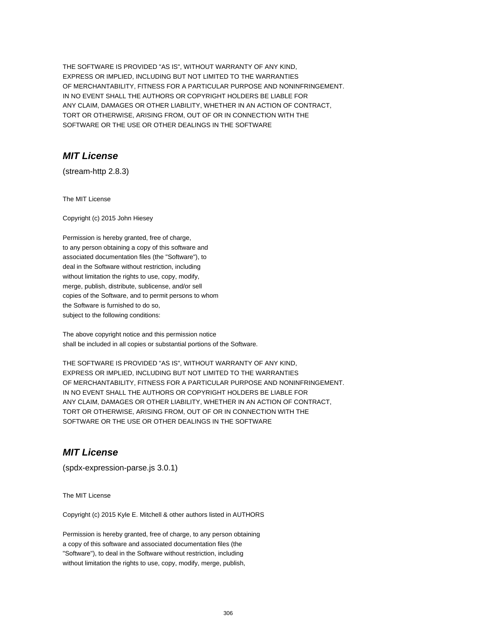THE SOFTWARE IS PROVIDED "AS IS", WITHOUT WARRANTY OF ANY KIND, EXPRESS OR IMPLIED, INCLUDING BUT NOT LIMITED TO THE WARRANTIES OF MERCHANTABILITY, FITNESS FOR A PARTICULAR PURPOSE AND NONINFRINGEMENT. IN NO EVENT SHALL THE AUTHORS OR COPYRIGHT HOLDERS BE LIABLE FOR ANY CLAIM, DAMAGES OR OTHER LIABILITY, WHETHER IN AN ACTION OF CONTRACT, TORT OR OTHERWISE, ARISING FROM, OUT OF OR IN CONNECTION WITH THE SOFTWARE OR THE USE OR OTHER DEALINGS IN THE SOFTWARE

# **MIT License**

(stream-http 2.8.3)

The MIT License

Copyright (c) 2015 John Hiesey

Permission is hereby granted, free of charge, to any person obtaining a copy of this software and associated documentation files (the "Software"), to deal in the Software without restriction, including without limitation the rights to use, copy, modify, merge, publish, distribute, sublicense, and/or sell copies of the Software, and to permit persons to whom the Software is furnished to do so, subject to the following conditions:

The above copyright notice and this permission notice shall be included in all copies or substantial portions of the Software.

THE SOFTWARE IS PROVIDED "AS IS", WITHOUT WARRANTY OF ANY KIND, EXPRESS OR IMPLIED, INCLUDING BUT NOT LIMITED TO THE WARRANTIES OF MERCHANTABILITY, FITNESS FOR A PARTICULAR PURPOSE AND NONINFRINGEMENT. IN NO EVENT SHALL THE AUTHORS OR COPYRIGHT HOLDERS BE LIABLE FOR ANY CLAIM, DAMAGES OR OTHER LIABILITY, WHETHER IN AN ACTION OF CONTRACT, TORT OR OTHERWISE, ARISING FROM, OUT OF OR IN CONNECTION WITH THE SOFTWARE OR THE USE OR OTHER DEALINGS IN THE SOFTWARE

## **MIT License**

(spdx-expression-parse.js 3.0.1)

The MIT License

Copyright (c) 2015 Kyle E. Mitchell & other authors listed in AUTHORS

Permission is hereby granted, free of charge, to any person obtaining a copy of this software and associated documentation files (the "Software"), to deal in the Software without restriction, including without limitation the rights to use, copy, modify, merge, publish,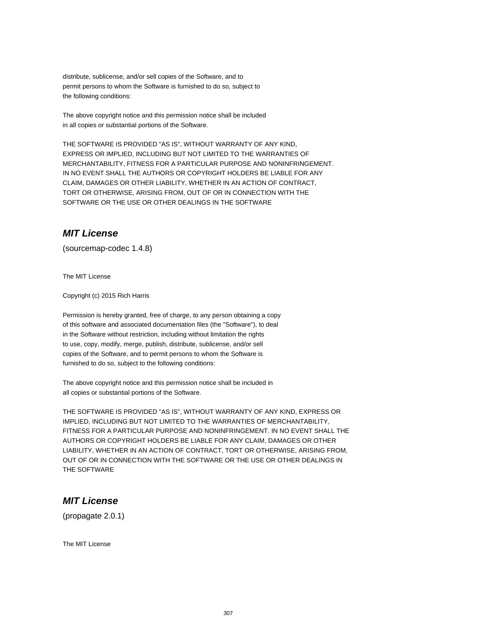distribute, sublicense, and/or sell copies of the Software, and to permit persons to whom the Software is furnished to do so, subject to the following conditions:

The above copyright notice and this permission notice shall be included in all copies or substantial portions of the Software.

THE SOFTWARE IS PROVIDED "AS IS", WITHOUT WARRANTY OF ANY KIND, EXPRESS OR IMPLIED, INCLUDING BUT NOT LIMITED TO THE WARRANTIES OF MERCHANTABILITY, FITNESS FOR A PARTICULAR PURPOSE AND NONINFRINGEMENT. IN NO EVENT SHALL THE AUTHORS OR COPYRIGHT HOLDERS BE LIABLE FOR ANY CLAIM, DAMAGES OR OTHER LIABILITY, WHETHER IN AN ACTION OF CONTRACT, TORT OR OTHERWISE, ARISING FROM, OUT OF OR IN CONNECTION WITH THE SOFTWARE OR THE USE OR OTHER DEALINGS IN THE SOFTWARE

#### **MIT License**

(sourcemap-codec 1.4.8)

The MIT License

Copyright (c) 2015 Rich Harris

Permission is hereby granted, free of charge, to any person obtaining a copy of this software and associated documentation files (the "Software"), to deal in the Software without restriction, including without limitation the rights to use, copy, modify, merge, publish, distribute, sublicense, and/or sell copies of the Software, and to permit persons to whom the Software is furnished to do so, subject to the following conditions:

The above copyright notice and this permission notice shall be included in all copies or substantial portions of the Software.

THE SOFTWARE IS PROVIDED "AS IS", WITHOUT WARRANTY OF ANY KIND, EXPRESS OR IMPLIED, INCLUDING BUT NOT LIMITED TO THE WARRANTIES OF MERCHANTABILITY, FITNESS FOR A PARTICULAR PURPOSE AND NONINFRINGEMENT. IN NO EVENT SHALL THE AUTHORS OR COPYRIGHT HOLDERS BE LIABLE FOR ANY CLAIM, DAMAGES OR OTHER LIABILITY, WHETHER IN AN ACTION OF CONTRACT, TORT OR OTHERWISE, ARISING FROM, OUT OF OR IN CONNECTION WITH THE SOFTWARE OR THE USE OR OTHER DEALINGS IN THE SOFTWARE

#### **MIT License**

(propagate 2.0.1)

The MIT License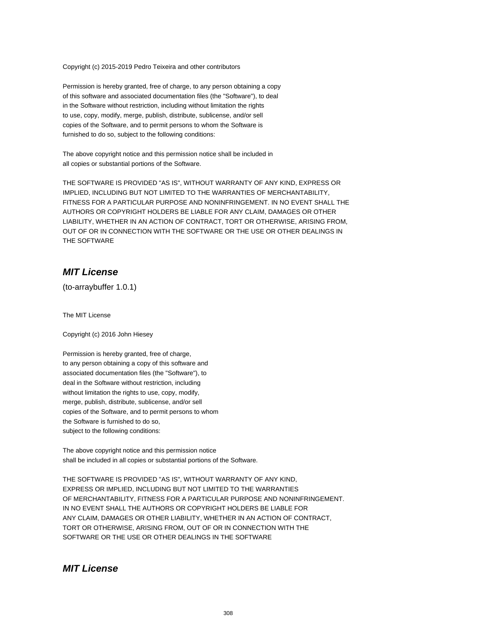Copyright (c) 2015-2019 Pedro Teixeira and other contributors

Permission is hereby granted, free of charge, to any person obtaining a copy of this software and associated documentation files (the "Software"), to deal in the Software without restriction, including without limitation the rights to use, copy, modify, merge, publish, distribute, sublicense, and/or sell copies of the Software, and to permit persons to whom the Software is furnished to do so, subject to the following conditions:

The above copyright notice and this permission notice shall be included in all copies or substantial portions of the Software.

THE SOFTWARE IS PROVIDED "AS IS", WITHOUT WARRANTY OF ANY KIND, EXPRESS OR IMPLIED, INCLUDING BUT NOT LIMITED TO THE WARRANTIES OF MERCHANTABILITY, FITNESS FOR A PARTICULAR PURPOSE AND NONINFRINGEMENT. IN NO EVENT SHALL THE AUTHORS OR COPYRIGHT HOLDERS BE LIABLE FOR ANY CLAIM, DAMAGES OR OTHER LIABILITY, WHETHER IN AN ACTION OF CONTRACT, TORT OR OTHERWISE, ARISING FROM, OUT OF OR IN CONNECTION WITH THE SOFTWARE OR THE USE OR OTHER DEALINGS IN THE SOFTWARE

## **MIT License**

(to-arraybuffer 1.0.1)

The MIT License

Copyright (c) 2016 John Hiesey

Permission is hereby granted, free of charge, to any person obtaining a copy of this software and associated documentation files (the "Software"), to deal in the Software without restriction, including without limitation the rights to use, copy, modify, merge, publish, distribute, sublicense, and/or sell copies of the Software, and to permit persons to whom the Software is furnished to do so, subject to the following conditions:

The above copyright notice and this permission notice shall be included in all copies or substantial portions of the Software.

THE SOFTWARE IS PROVIDED "AS IS", WITHOUT WARRANTY OF ANY KIND, EXPRESS OR IMPLIED, INCLUDING BUT NOT LIMITED TO THE WARRANTIES OF MERCHANTABILITY, FITNESS FOR A PARTICULAR PURPOSE AND NONINFRINGEMENT. IN NO EVENT SHALL THE AUTHORS OR COPYRIGHT HOLDERS BE LIABLE FOR ANY CLAIM, DAMAGES OR OTHER LIABILITY, WHETHER IN AN ACTION OF CONTRACT, TORT OR OTHERWISE, ARISING FROM, OUT OF OR IN CONNECTION WITH THE SOFTWARE OR THE USE OR OTHER DEALINGS IN THE SOFTWARE

### **MIT License**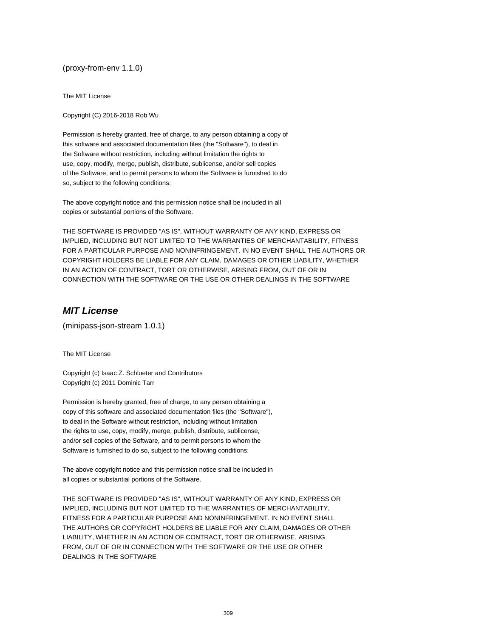(proxy-from-env 1.1.0)

The MIT License

Copyright (C) 2016-2018 Rob Wu

Permission is hereby granted, free of charge, to any person obtaining a copy of this software and associated documentation files (the "Software"), to deal in the Software without restriction, including without limitation the rights to use, copy, modify, merge, publish, distribute, sublicense, and/or sell copies of the Software, and to permit persons to whom the Software is furnished to do so, subject to the following conditions:

The above copyright notice and this permission notice shall be included in all copies or substantial portions of the Software.

THE SOFTWARE IS PROVIDED "AS IS", WITHOUT WARRANTY OF ANY KIND, EXPRESS OR IMPLIED, INCLUDING BUT NOT LIMITED TO THE WARRANTIES OF MERCHANTABILITY, FITNESS FOR A PARTICULAR PURPOSE AND NONINFRINGEMENT. IN NO EVENT SHALL THE AUTHORS OR COPYRIGHT HOLDERS BE LIABLE FOR ANY CLAIM, DAMAGES OR OTHER LIABILITY, WHETHER IN AN ACTION OF CONTRACT, TORT OR OTHERWISE, ARISING FROM, OUT OF OR IN CONNECTION WITH THE SOFTWARE OR THE USE OR OTHER DEALINGS IN THE SOFTWARE

## **MIT License**

(minipass-json-stream 1.0.1)

The MIT License

Copyright (c) Isaac Z. Schlueter and Contributors Copyright (c) 2011 Dominic Tarr

Permission is hereby granted, free of charge, to any person obtaining a copy of this software and associated documentation files (the "Software"), to deal in the Software without restriction, including without limitation the rights to use, copy, modify, merge, publish, distribute, sublicense, and/or sell copies of the Software, and to permit persons to whom the Software is furnished to do so, subject to the following conditions:

The above copyright notice and this permission notice shall be included in all copies or substantial portions of the Software.

THE SOFTWARE IS PROVIDED "AS IS", WITHOUT WARRANTY OF ANY KIND, EXPRESS OR IMPLIED, INCLUDING BUT NOT LIMITED TO THE WARRANTIES OF MERCHANTABILITY, FITNESS FOR A PARTICULAR PURPOSE AND NONINFRINGEMENT. IN NO EVENT SHALL THE AUTHORS OR COPYRIGHT HOLDERS BE LIABLE FOR ANY CLAIM, DAMAGES OR OTHER LIABILITY, WHETHER IN AN ACTION OF CONTRACT, TORT OR OTHERWISE, ARISING FROM, OUT OF OR IN CONNECTION WITH THE SOFTWARE OR THE USE OR OTHER DEALINGS IN THE SOFTWARE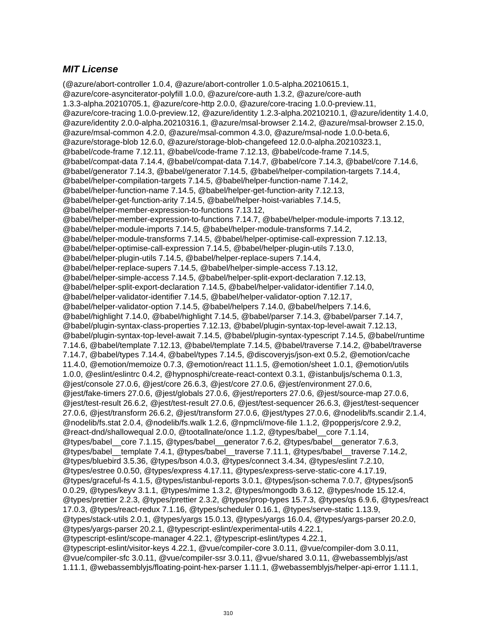(@azure/abort-controller 1.0.4, @azure/abort-controller 1.0.5-alpha.20210615.1, @azure/core-asynciterator-polyfill 1.0.0, @azure/core-auth 1.3.2, @azure/core-auth 1.3.3-alpha.20210705.1, @azure/core-http 2.0.0, @azure/core-tracing 1.0.0-preview.11, @azure/core-tracing 1.0.0-preview.12, @azure/identity 1.2.3-alpha.20210210.1, @azure/identity 1.4.0, @azure/identity 2.0.0-alpha.20210316.1, @azure/msal-browser 2.14.2, @azure/msal-browser 2.15.0, @azure/msal-common 4.2.0, @azure/msal-common 4.3.0, @azure/msal-node 1.0.0-beta.6, @azure/storage-blob 12.6.0, @azure/storage-blob-changefeed 12.0.0-alpha.20210323.1, @babel/code-frame 7.12.11, @babel/code-frame 7.12.13, @babel/code-frame 7.14.5, @babel/compat-data 7.14.4, @babel/compat-data 7.14.7, @babel/core 7.14.3, @babel/core 7.14.6, @babel/generator 7.14.3, @babel/generator 7.14.5, @babel/helper-compilation-targets 7.14.4, @babel/helper-compilation-targets 7.14.5, @babel/helper-function-name 7.14.2, @babel/helper-function-name 7.14.5, @babel/helper-get-function-arity 7.12.13, @babel/helper-get-function-arity 7.14.5, @babel/helper-hoist-variables 7.14.5, @babel/helper-member-expression-to-functions 7.13.12, @babel/helper-member-expression-to-functions 7.14.7, @babel/helper-module-imports 7.13.12, @babel/helper-module-imports 7.14.5, @babel/helper-module-transforms 7.14.2, @babel/helper-module-transforms 7.14.5, @babel/helper-optimise-call-expression 7.12.13, @babel/helper-optimise-call-expression 7.14.5, @babel/helper-plugin-utils 7.13.0, @babel/helper-plugin-utils 7.14.5, @babel/helper-replace-supers 7.14.4, @babel/helper-replace-supers 7.14.5, @babel/helper-simple-access 7.13.12, @babel/helper-simple-access 7.14.5, @babel/helper-split-export-declaration 7.12.13, @babel/helper-split-export-declaration 7.14.5, @babel/helper-validator-identifier 7.14.0, @babel/helper-validator-identifier 7.14.5, @babel/helper-validator-option 7.12.17, @babel/helper-validator-option 7.14.5, @babel/helpers 7.14.0, @babel/helpers 7.14.6, @babel/highlight 7.14.0, @babel/highlight 7.14.5, @babel/parser 7.14.3, @babel/parser 7.14.7, @babel/plugin-syntax-class-properties 7.12.13, @babel/plugin-syntax-top-level-await 7.12.13, @babel/plugin-syntax-top-level-await 7.14.5, @babel/plugin-syntax-typescript 7.14.5, @babel/runtime 7.14.6, @babel/template 7.12.13, @babel/template 7.14.5, @babel/traverse 7.14.2, @babel/traverse 7.14.7, @babel/types 7.14.4, @babel/types 7.14.5, @discoveryjs/json-ext 0.5.2, @emotion/cache 11.4.0, @emotion/memoize 0.7.3, @emotion/react 11.1.5, @emotion/sheet 1.0.1, @emotion/utils 1.0.0, @eslint/eslintrc 0.4.2, @hypnosphi/create-react-context 0.3.1, @istanbuljs/schema 0.1.3, @jest/console 27.0.6, @jest/core 26.6.3, @jest/core 27.0.6, @jest/environment 27.0.6, @jest/fake-timers 27.0.6, @jest/globals 27.0.6, @jest/reporters 27.0.6, @jest/source-map 27.0.6, @jest/test-result 26.6.2, @jest/test-result 27.0.6, @jest/test-sequencer 26.6.3, @jest/test-sequencer 27.0.6, @jest/transform 26.6.2, @jest/transform 27.0.6, @jest/types 27.0.6, @nodelib/fs.scandir 2.1.4, @nodelib/fs.stat 2.0.4, @nodelib/fs.walk 1.2.6, @npmcli/move-file 1.1.2, @popperjs/core 2.9.2, @react-dnd/shallowequal 2.0.0, @tootallnate/once 1.1.2, @types/babel\_\_core 7.1.14, @types/babel\_\_core 7.1.15, @types/babel\_\_generator 7.6.2, @types/babel\_\_generator 7.6.3, @types/babel\_\_template 7.4.1, @types/babel\_\_traverse 7.11.1, @types/babel\_\_traverse 7.14.2, @types/bluebird 3.5.36, @types/bson 4.0.3, @types/connect 3.4.34, @types/eslint 7.2.10, @types/estree 0.0.50, @types/express 4.17.11, @types/express-serve-static-core 4.17.19, @types/graceful-fs 4.1.5, @types/istanbul-reports 3.0.1, @types/json-schema 7.0.7, @types/json5 0.0.29, @types/keyv 3.1.1, @types/mime 1.3.2, @types/mongodb 3.6.12, @types/node 15.12.4, @types/prettier 2.2.3, @types/prettier 2.3.2, @types/prop-types 15.7.3, @types/qs 6.9.6, @types/react 17.0.3, @types/react-redux 7.1.16, @types/scheduler 0.16.1, @types/serve-static 1.13.9, @types/stack-utils 2.0.1, @types/yargs 15.0.13, @types/yargs 16.0.4, @types/yargs-parser 20.2.0, @types/yargs-parser 20.2.1, @typescript-eslint/experimental-utils 4.22.1, @typescript-eslint/scope-manager 4.22.1, @typescript-eslint/types 4.22.1, @typescript-eslint/visitor-keys 4.22.1, @vue/compiler-core 3.0.11, @vue/compiler-dom 3.0.11, @vue/compiler-sfc 3.0.11, @vue/compiler-ssr 3.0.11, @vue/shared 3.0.11, @webassemblyjs/ast 1.11.1, @webassemblyjs/floating-point-hex-parser 1.11.1, @webassemblyjs/helper-api-error 1.11.1,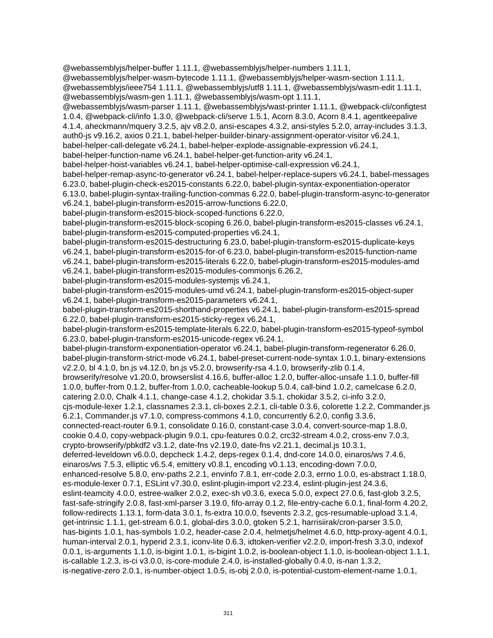@webassemblyjs/helper-buffer 1.11.1, @webassemblyjs/helper-numbers 1.11.1, @webassemblyjs/helper-wasm-bytecode 1.11.1, @webassemblyjs/helper-wasm-section 1.11.1, @webassemblyjs/ieee754 1.11.1, @webassemblyjs/utf8 1.11.1, @webassemblyjs/wasm-edit 1.11.1, @webassemblyjs/wasm-gen 1.11.1, @webassemblyjs/wasm-opt 1.11.1, @webassemblyjs/wasm-parser 1.11.1, @webassemblyjs/wast-printer 1.11.1, @webpack-cli/configtest 1.0.4, @webpack-cli/info 1.3.0, @webpack-cli/serve 1.5.1, Acorn 8.3.0, Acorn 8.4.1, agentkeepalive 4.1.4, aheckmann/mquery 3.2.5, ajv v8.2.0, ansi-escapes 4.3.2, ansi-styles 5.2.0, array-includes 3.1.3, auth0-js v9.16.2, axios 0.21.1, babel-helper-builder-binary-assignment-operator-visitor v6.24.1, babel-helper-call-delegate v6.24.1, babel-helper-explode-assignable-expression v6.24.1, babel-helper-function-name v6.24.1, babel-helper-get-function-arity v6.24.1, babel-helper-hoist-variables v6.24.1, babel-helper-optimise-call-expression v6.24.1, babel-helper-remap-async-to-generator v6.24.1, babel-helper-replace-supers v6.24.1, babel-messages 6.23.0, babel-plugin-check-es2015-constants 6.22.0, babel-plugin-syntax-exponentiation-operator 6.13.0, babel-plugin-syntax-trailing-function-commas 6.22.0, babel-plugin-transform-async-to-generator v6.24.1, babel-plugin-transform-es2015-arrow-functions 6.22.0, babel-plugin-transform-es2015-block-scoped-functions 6.22.0, babel-plugin-transform-es2015-block-scoping 6.26.0, babel-plugin-transform-es2015-classes v6.24.1, babel-plugin-transform-es2015-computed-properties v6.24.1, babel-plugin-transform-es2015-destructuring 6.23.0, babel-plugin-transform-es2015-duplicate-keys v6.24.1, babel-plugin-transform-es2015-for-of 6.23.0, babel-plugin-transform-es2015-function-name v6.24.1, babel-plugin-transform-es2015-literals 6.22.0, babel-plugin-transform-es2015-modules-amd v6.24.1, babel-plugin-transform-es2015-modules-commonjs 6.26.2, babel-plugin-transform-es2015-modules-systemjs v6.24.1, babel-plugin-transform-es2015-modules-umd v6.24.1, babel-plugin-transform-es2015-object-super v6.24.1, babel-plugin-transform-es2015-parameters v6.24.1, babel-plugin-transform-es2015-shorthand-properties v6.24.1, babel-plugin-transform-es2015-spread 6.22.0, babel-plugin-transform-es2015-sticky-regex v6.24.1, babel-plugin-transform-es2015-template-literals 6.22.0, babel-plugin-transform-es2015-typeof-symbol 6.23.0, babel-plugin-transform-es2015-unicode-regex v6.24.1, babel-plugin-transform-exponentiation-operator v6.24.1, babel-plugin-transform-regenerator 6.26.0, babel-plugin-transform-strict-mode v6.24.1, babel-preset-current-node-syntax 1.0.1, binary-extensions v2.2.0, bl 4.1.0, bn.js v4.12.0, bn.js v5.2.0, browserify-rsa 4.1.0, browserify-zlib 0.1.4, browserify/resolve v1.20.0, browserslist 4.16.6, buffer-alloc 1.2.0, buffer-alloc-unsafe 1.1.0, buffer-fill 1.0.0, buffer-from 0.1.2, buffer-from 1.0.0, cacheable-lookup 5.0.4, call-bind 1.0.2, camelcase 6.2.0, catering 2.0.0, Chalk 4.1.1, change-case 4.1.2, chokidar 3.5.1, chokidar 3.5.2, ci-info 3.2.0, cjs-module-lexer 1.2.1, classnames 2.3.1, cli-boxes 2.2.1, cli-table 0.3.6, colorette 1.2.2, Commander.js 6.2.1, Commander.js v7.1.0, compress-commons 4.1.0, concurrently 6.2.0, config 3.3.6, connected-react-router 6.9.1, consolidate 0.16.0, constant-case 3.0.4, convert-source-map 1.8.0, cookie 0.4.0, copy-webpack-plugin 9.0.1, cpu-features 0.0.2, crc32-stream 4.0.2, cross-env 7.0.3, crypto-browserify/pbkdf2 v3.1.2, date-fns v2.19.0, date-fns v2.21.1, decimal.js 10.3.1, deferred-leveldown v6.0.0, depcheck 1.4.2, deps-regex 0.1.4, dnd-core 14.0.0, einaros/ws 7.4.6, einaros/ws 7.5.3, elliptic v6.5.4, emittery v0.8.1, encoding v0.1.13, encoding-down 7.0.0, enhanced-resolve 5.8.0, env-paths 2.2.1, envinfo 7.8.1, err-code 2.0.3, errno 1.0.0, es-abstract 1.18.0, es-module-lexer 0.7.1, ESLint v7.30.0, eslint-plugin-import v2.23.4, eslint-plugin-jest 24.3.6, eslint-teamcity 4.0.0, estree-walker 2.0.2, exec-sh v0.3.6, execa 5.0.0, expect 27.0.6, fast-glob 3.2.5, fast-safe-stringify 2.0.8, fast-xml-parser 3.19.0, fifo-array 0.1.2, file-entry-cache 6.0.1, final-form 4.20.2, follow-redirects 1.13.1, form-data 3.0.1, fs-extra 10.0.0, fsevents 2.3.2, gcs-resumable-upload 3.1.4, get-intrinsic 1.1.1, get-stream 6.0.1, global-dirs 3.0.0, gtoken 5.2.1, harrisiirak/cron-parser 3.5.0, has-bigints 1.0.1, has-symbols 1.0.2, header-case 2.0.4, helmetjs/helmet 4.6.0, http-proxy-agent 4.0.1, human-interval 2.0.1, hyperid 2.3.1, iconv-lite 0.6.3, idtoken-verifier v2.2.0, import-fresh 3.3.0, indexof 0.0.1, is-arguments 1.1.0, is-bigint 1.0.1, is-bigint 1.0.2, is-boolean-object 1.1.0, is-boolean-object 1.1.1, is-callable 1.2.3, is-ci v3.0.0, is-core-module 2.4.0, is-installed-globally 0.4.0, is-nan 1.3.2, is-negative-zero 2.0.1, is-number-object 1.0.5, is-obj 2.0.0, is-potential-custom-element-name 1.0.1,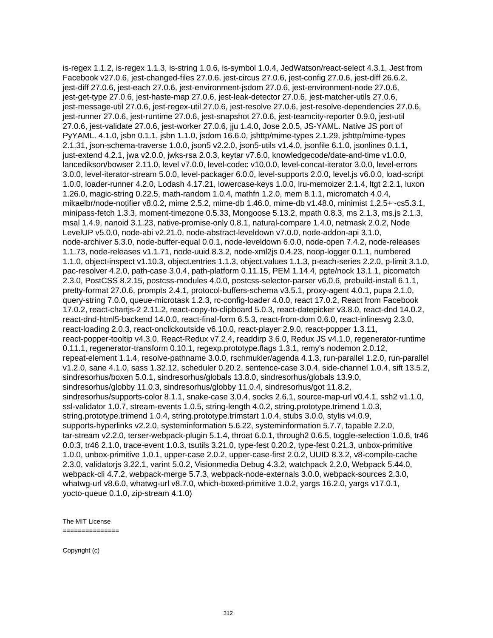is-regex 1.1.2, is-regex 1.1.3, is-string 1.0.6, is-symbol 1.0.4, JedWatson/react-select 4.3.1, Jest from Facebook v27.0.6, jest-changed-files 27.0.6, jest-circus 27.0.6, jest-config 27.0.6, jest-diff 26.6.2, jest-diff 27.0.6, jest-each 27.0.6, jest-environment-jsdom 27.0.6, jest-environment-node 27.0.6, jest-get-type 27.0.6, jest-haste-map 27.0.6, jest-leak-detector 27.0.6, jest-matcher-utils 27.0.6, jest-message-util 27.0.6, jest-regex-util 27.0.6, jest-resolve 27.0.6, jest-resolve-dependencies 27.0.6, jest-runner 27.0.6, jest-runtime 27.0.6, jest-snapshot 27.0.6, jest-teamcity-reporter 0.9.0, jest-util 27.0.6, jest-validate 27.0.6, jest-worker 27.0.6, jju 1.4.0, Jose 2.0.5, JS-YAML. Native JS port of PyYAML. 4.1.0, jsbn 0.1.1, jsbn 1.1.0, jsdom 16.6.0, jshttp/mime-types 2.1.29, jshttp/mime-types 2.1.31, json-schema-traverse 1.0.0, json5 v2.2.0, json5-utils v1.4.0, jsonfile 6.1.0, jsonlines 0.1.1, just-extend 4.2.1, jwa v2.0.0, jwks-rsa 2.0.3, keytar v7.6.0, knowledgecode/date-and-time v1.0.0, lancedikson/bowser 2.11.0, level v7.0.0, level-codec v10.0.0, level-concat-iterator 3.0.0, level-errors 3.0.0, level-iterator-stream 5.0.0, level-packager 6.0.0, level-supports 2.0.0, level.js v6.0.0, load-script 1.0.0, loader-runner 4.2.0, Lodash 4.17.21, lowercase-keys 1.0.0, lru-memoizer 2.1.4, ltgt 2.2.1, luxon 1.26.0, magic-string 0.22.5, math-random 1.0.4, mathfn 1.2.0, mem 8.1.1, micromatch 4.0.4, mikaelbr/node-notifier v8.0.2, mime 2.5.2, mime-db 1.46.0, mime-db v1.48.0, minimist 1.2.5+~cs5.3.1, minipass-fetch 1.3.3, moment-timezone 0.5.33, Mongoose 5.13.2, mpath 0.8.3, ms 2.1.3, ms.js 2.1.3, msal 1.4.9, nanoid 3.1.23, native-promise-only 0.8.1, natural-compare 1.4.0, netmask 2.0.2, Node LevelUP v5.0.0, node-abi v2.21.0, node-abstract-leveldown v7.0.0, node-addon-api 3.1.0, node-archiver 5.3.0, node-buffer-equal 0.0.1, node-leveldown 6.0.0, node-open 7.4.2, node-releases 1.1.73, node-releases v1.1.71, node-uuid 8.3.2, node-xml2js 0.4.23, noop-logger 0.1.1, numbered 1.1.0, object-inspect v1.10.3, object.entries 1.1.3, object.values 1.1.3, p-each-series 2.2.0, p-limit 3.1.0, pac-resolver 4.2.0, path-case 3.0.4, path-platform 0.11.15, PEM 1.14.4, pgte/nock 13.1.1, picomatch 2.3.0, PostCSS 8.2.15, postcss-modules 4.0.0, postcss-selector-parser v6.0.6, prebuild-install 6.1.1, pretty-format 27.0.6, prompts 2.4.1, protocol-buffers-schema v3.5.1, proxy-agent 4.0.1, pupa 2.1.0, query-string 7.0.0, queue-microtask 1.2.3, rc-config-loader 4.0.0, react 17.0.2, React from Facebook 17.0.2, react-chartjs-2 2.11.2, react-copy-to-clipboard 5.0.3, react-datepicker v3.8.0, react-dnd 14.0.2, react-dnd-html5-backend 14.0.0, react-final-form 6.5.3, react-from-dom 0.6.0, react-inlinesvg 2.3.0, react-loading 2.0.3, react-onclickoutside v6.10.0, react-player 2.9.0, react-popper 1.3.11, react-popper-tooltip v4.3.0, React-Redux v7.2.4, readdirp 3.6.0, Redux JS v4.1.0, regenerator-runtime 0.11.1, regenerator-transform 0.10.1, regexp.prototype.flags 1.3.1, remy's nodemon 2.0.12, repeat-element 1.1.4, resolve-pathname 3.0.0, rschmukler/agenda 4.1.3, run-parallel 1.2.0, run-parallel v1.2.0, sane 4.1.0, sass 1.32.12, scheduler 0.20.2, sentence-case 3.0.4, side-channel 1.0.4, sift 13.5.2, sindresorhus/boxen 5.0.1, sindresorhus/globals 13.8.0, sindresorhus/globals 13.9.0, sindresorhus/globby 11.0.3, sindresorhus/globby 11.0.4, sindresorhus/got 11.8.2, sindresorhus/supports-color 8.1.1, snake-case 3.0.4, socks 2.6.1, source-map-url v0.4.1, ssh2 v1.1.0, ssl-validator 1.0.7, stream-events 1.0.5, string-length 4.0.2, string.prototype.trimend 1.0.3, string.prototype.trimend 1.0.4, string.prototype.trimstart 1.0.4, stubs 3.0.0, stylis v4.0.9, supports-hyperlinks v2.2.0, systeminformation 5.6.22, systeminformation 5.7.7, tapable 2.2.0, tar-stream v2.2.0, terser-webpack-plugin 5.1.4, throat 6.0.1, through2 0.6.5, toggle-selection 1.0.6, tr46 0.0.3, tr46 2.1.0, trace-event 1.0.3, tsutils 3.21.0, type-fest 0.20.2, type-fest 0.21.3, unbox-primitive 1.0.0, unbox-primitive 1.0.1, upper-case 2.0.2, upper-case-first 2.0.2, UUID 8.3.2, v8-compile-cache 2.3.0, validatorjs 3.22.1, varint 5.0.2, Visionmedia Debug 4.3.2, watchpack 2.2.0, Webpack 5.44.0, webpack-cli 4.7.2, webpack-merge 5.7.3, webpack-node-externals 3.0.0, webpack-sources 2.3.0, whatwg-url v8.6.0, whatwg-url v8.7.0, which-boxed-primitive 1.0.2, yargs 16.2.0, yargs v17.0.1, yocto-queue 0.1.0, zip-stream 4.1.0)

The MIT License ===============

Copyright (c)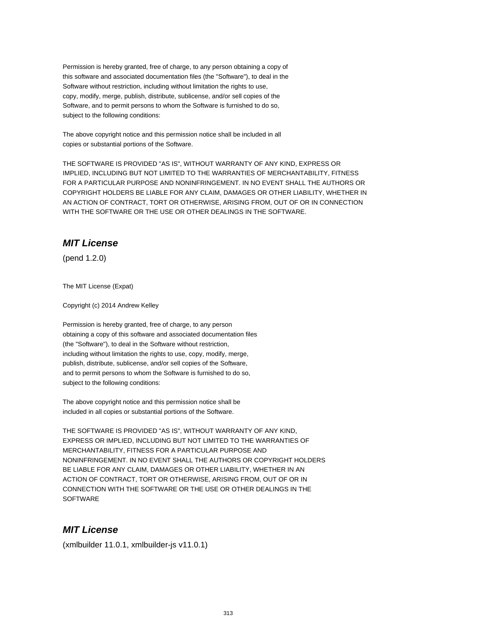Permission is hereby granted, free of charge, to any person obtaining a copy of this software and associated documentation files (the "Software"), to deal in the Software without restriction, including without limitation the rights to use, copy, modify, merge, publish, distribute, sublicense, and/or sell copies of the Software, and to permit persons to whom the Software is furnished to do so, subject to the following conditions:

The above copyright notice and this permission notice shall be included in all copies or substantial portions of the Software.

THE SOFTWARE IS PROVIDED "AS IS", WITHOUT WARRANTY OF ANY KIND, EXPRESS OR IMPLIED, INCLUDING BUT NOT LIMITED TO THE WARRANTIES OF MERCHANTABILITY, FITNESS FOR A PARTICULAR PURPOSE AND NONINFRINGEMENT. IN NO EVENT SHALL THE AUTHORS OR COPYRIGHT HOLDERS BE LIABLE FOR ANY CLAIM, DAMAGES OR OTHER LIABILITY, WHETHER IN AN ACTION OF CONTRACT, TORT OR OTHERWISE, ARISING FROM, OUT OF OR IN CONNECTION WITH THE SOFTWARE OR THE USE OR OTHER DEALINGS IN THE SOFTWARE.

# **MIT License**

(pend 1.2.0)

The MIT License (Expat)

Copyright (c) 2014 Andrew Kelley

Permission is hereby granted, free of charge, to any person obtaining a copy of this software and associated documentation files (the "Software"), to deal in the Software without restriction, including without limitation the rights to use, copy, modify, merge, publish, distribute, sublicense, and/or sell copies of the Software, and to permit persons to whom the Software is furnished to do so, subject to the following conditions:

The above copyright notice and this permission notice shall be included in all copies or substantial portions of the Software.

THE SOFTWARE IS PROVIDED "AS IS", WITHOUT WARRANTY OF ANY KIND, EXPRESS OR IMPLIED, INCLUDING BUT NOT LIMITED TO THE WARRANTIES OF MERCHANTABILITY, FITNESS FOR A PARTICULAR PURPOSE AND NONINFRINGEMENT. IN NO EVENT SHALL THE AUTHORS OR COPYRIGHT HOLDERS BE LIABLE FOR ANY CLAIM, DAMAGES OR OTHER LIABILITY, WHETHER IN AN ACTION OF CONTRACT, TORT OR OTHERWISE, ARISING FROM, OUT OF OR IN CONNECTION WITH THE SOFTWARE OR THE USE OR OTHER DEALINGS IN THE **SOFTWARE** 

## **MIT License**

(xmlbuilder 11.0.1, xmlbuilder-js v11.0.1)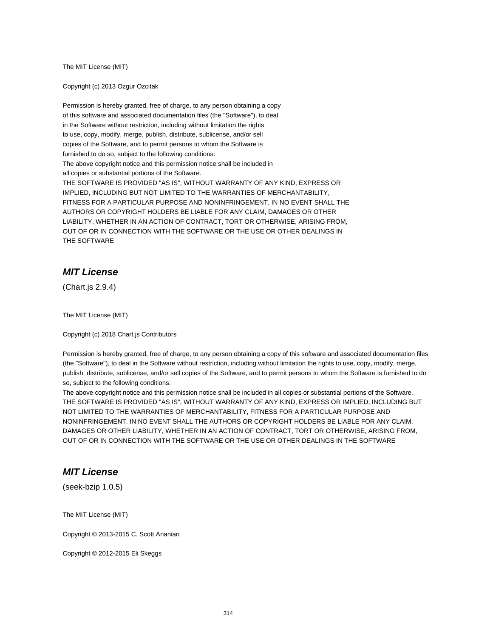The MIT License (MIT)

Copyright (c) 2013 Ozgur Ozcitak

Permission is hereby granted, free of charge, to any person obtaining a copy of this software and associated documentation files (the "Software"), to deal in the Software without restriction, including without limitation the rights to use, copy, modify, merge, publish, distribute, sublicense, and/or sell copies of the Software, and to permit persons to whom the Software is furnished to do so, subject to the following conditions: The above copyright notice and this permission notice shall be included in all copies or substantial portions of the Software. THE SOFTWARE IS PROVIDED "AS IS", WITHOUT WARRANTY OF ANY KIND, EXPRESS OR IMPLIED, INCLUDING BUT NOT LIMITED TO THE WARRANTIES OF MERCHANTABILITY, FITNESS FOR A PARTICULAR PURPOSE AND NONINFRINGEMENT. IN NO EVENT SHALL THE AUTHORS OR COPYRIGHT HOLDERS BE LIABLE FOR ANY CLAIM, DAMAGES OR OTHER LIABILITY, WHETHER IN AN ACTION OF CONTRACT, TORT OR OTHERWISE, ARISING FROM, OUT OF OR IN CONNECTION WITH THE SOFTWARE OR THE USE OR OTHER DEALINGS IN THE SOFTWARE

## **MIT License**

(Chart.js 2.9.4)

The MIT License (MIT)

Copyright (c) 2018 Chart.js Contributors

Permission is hereby granted, free of charge, to any person obtaining a copy of this software and associated documentation files (the "Software"), to deal in the Software without restriction, including without limitation the rights to use, copy, modify, merge, publish, distribute, sublicense, and/or sell copies of the Software, and to permit persons to whom the Software is furnished to do so, subject to the following conditions:

The above copyright notice and this permission notice shall be included in all copies or substantial portions of the Software. THE SOFTWARE IS PROVIDED "AS IS", WITHOUT WARRANTY OF ANY KIND, EXPRESS OR IMPLIED, INCLUDING BUT NOT LIMITED TO THE WARRANTIES OF MERCHANTABILITY, FITNESS FOR A PARTICULAR PURPOSE AND NONINFRINGEMENT. IN NO EVENT SHALL THE AUTHORS OR COPYRIGHT HOLDERS BE LIABLE FOR ANY CLAIM, DAMAGES OR OTHER LIABILITY, WHETHER IN AN ACTION OF CONTRACT, TORT OR OTHERWISE, ARISING FROM, OUT OF OR IN CONNECTION WITH THE SOFTWARE OR THE USE OR OTHER DEALINGS IN THE SOFTWARE

# **MIT License**

(seek-bzip 1.0.5)

The MIT License (MIT)

Copyright © 2013-2015 C. Scott Ananian

Copyright © 2012-2015 Eli Skeggs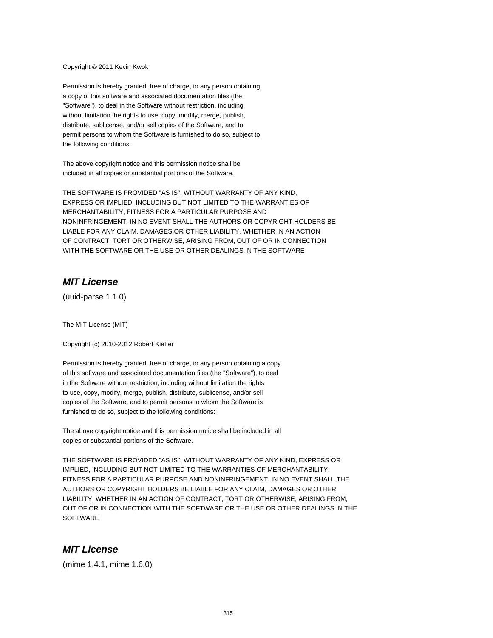Copyright © 2011 Kevin Kwok

Permission is hereby granted, free of charge, to any person obtaining a copy of this software and associated documentation files (the "Software"), to deal in the Software without restriction, including without limitation the rights to use, copy, modify, merge, publish, distribute, sublicense, and/or sell copies of the Software, and to permit persons to whom the Software is furnished to do so, subject to the following conditions:

The above copyright notice and this permission notice shall be included in all copies or substantial portions of the Software.

THE SOFTWARE IS PROVIDED "AS IS", WITHOUT WARRANTY OF ANY KIND, EXPRESS OR IMPLIED, INCLUDING BUT NOT LIMITED TO THE WARRANTIES OF MERCHANTABILITY, FITNESS FOR A PARTICULAR PURPOSE AND NONINFRINGEMENT. IN NO EVENT SHALL THE AUTHORS OR COPYRIGHT HOLDERS BE LIABLE FOR ANY CLAIM, DAMAGES OR OTHER LIABILITY, WHETHER IN AN ACTION OF CONTRACT, TORT OR OTHERWISE, ARISING FROM, OUT OF OR IN CONNECTION WITH THE SOFTWARE OR THE USE OR OTHER DEALINGS IN THE SOFTWARE

### **MIT License**

(uuid-parse 1.1.0)

The MIT License (MIT)

Copyright (c) 2010-2012 Robert Kieffer

Permission is hereby granted, free of charge, to any person obtaining a copy of this software and associated documentation files (the "Software"), to deal in the Software without restriction, including without limitation the rights to use, copy, modify, merge, publish, distribute, sublicense, and/or sell copies of the Software, and to permit persons to whom the Software is furnished to do so, subject to the following conditions:

The above copyright notice and this permission notice shall be included in all copies or substantial portions of the Software.

THE SOFTWARE IS PROVIDED "AS IS", WITHOUT WARRANTY OF ANY KIND, EXPRESS OR IMPLIED, INCLUDING BUT NOT LIMITED TO THE WARRANTIES OF MERCHANTABILITY, FITNESS FOR A PARTICULAR PURPOSE AND NONINFRINGEMENT. IN NO EVENT SHALL THE AUTHORS OR COPYRIGHT HOLDERS BE LIABLE FOR ANY CLAIM, DAMAGES OR OTHER LIABILITY, WHETHER IN AN ACTION OF CONTRACT, TORT OR OTHERWISE, ARISING FROM, OUT OF OR IN CONNECTION WITH THE SOFTWARE OR THE USE OR OTHER DEALINGS IN THE **SOFTWARE** 

#### **MIT License**

(mime 1.4.1, mime 1.6.0)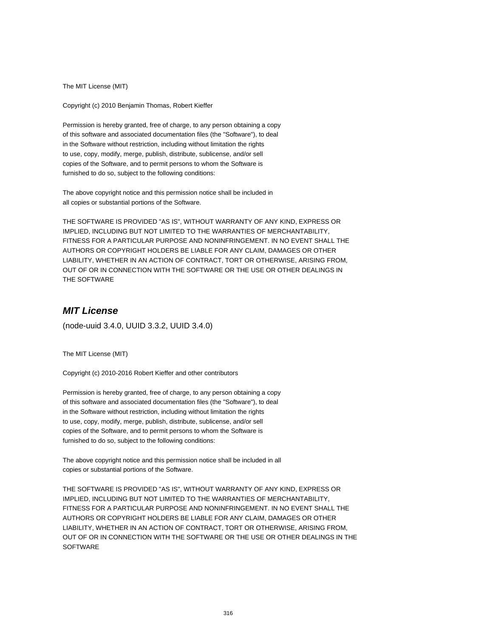The MIT License (MIT)

Copyright (c) 2010 Benjamin Thomas, Robert Kieffer

Permission is hereby granted, free of charge, to any person obtaining a copy of this software and associated documentation files (the "Software"), to deal in the Software without restriction, including without limitation the rights to use, copy, modify, merge, publish, distribute, sublicense, and/or sell copies of the Software, and to permit persons to whom the Software is furnished to do so, subject to the following conditions:

The above copyright notice and this permission notice shall be included in all copies or substantial portions of the Software.

THE SOFTWARE IS PROVIDED "AS IS", WITHOUT WARRANTY OF ANY KIND, EXPRESS OR IMPLIED, INCLUDING BUT NOT LIMITED TO THE WARRANTIES OF MERCHANTABILITY, FITNESS FOR A PARTICULAR PURPOSE AND NONINFRINGEMENT. IN NO EVENT SHALL THE AUTHORS OR COPYRIGHT HOLDERS BE LIABLE FOR ANY CLAIM, DAMAGES OR OTHER LIABILITY, WHETHER IN AN ACTION OF CONTRACT, TORT OR OTHERWISE, ARISING FROM, OUT OF OR IN CONNECTION WITH THE SOFTWARE OR THE USE OR OTHER DEALINGS IN THE SOFTWARE

# **MIT License**

(node-uuid 3.4.0, UUID 3.3.2, UUID 3.4.0)

The MIT License (MIT)

Copyright (c) 2010-2016 Robert Kieffer and other contributors

Permission is hereby granted, free of charge, to any person obtaining a copy of this software and associated documentation files (the "Software"), to deal in the Software without restriction, including without limitation the rights to use, copy, modify, merge, publish, distribute, sublicense, and/or sell copies of the Software, and to permit persons to whom the Software is furnished to do so, subject to the following conditions:

The above copyright notice and this permission notice shall be included in all copies or substantial portions of the Software.

THE SOFTWARE IS PROVIDED "AS IS", WITHOUT WARRANTY OF ANY KIND, EXPRESS OR IMPLIED, INCLUDING BUT NOT LIMITED TO THE WARRANTIES OF MERCHANTABILITY, FITNESS FOR A PARTICULAR PURPOSE AND NONINFRINGEMENT. IN NO EVENT SHALL THE AUTHORS OR COPYRIGHT HOLDERS BE LIABLE FOR ANY CLAIM, DAMAGES OR OTHER LIABILITY, WHETHER IN AN ACTION OF CONTRACT, TORT OR OTHERWISE, ARISING FROM, OUT OF OR IN CONNECTION WITH THE SOFTWARE OR THE USE OR OTHER DEALINGS IN THE **SOFTWARE**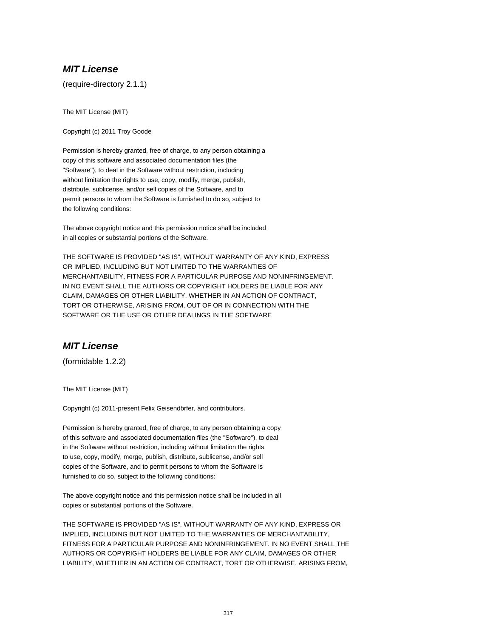(require-directory 2.1.1)

The MIT License (MIT)

Copyright (c) 2011 Troy Goode

Permission is hereby granted, free of charge, to any person obtaining a copy of this software and associated documentation files (the "Software"), to deal in the Software without restriction, including without limitation the rights to use, copy, modify, merge, publish, distribute, sublicense, and/or sell copies of the Software, and to permit persons to whom the Software is furnished to do so, subject to the following conditions:

The above copyright notice and this permission notice shall be included in all copies or substantial portions of the Software.

THE SOFTWARE IS PROVIDED "AS IS", WITHOUT WARRANTY OF ANY KIND, EXPRESS OR IMPLIED, INCLUDING BUT NOT LIMITED TO THE WARRANTIES OF MERCHANTABILITY, FITNESS FOR A PARTICULAR PURPOSE AND NONINFRINGEMENT. IN NO EVENT SHALL THE AUTHORS OR COPYRIGHT HOLDERS BE LIABLE FOR ANY CLAIM, DAMAGES OR OTHER LIABILITY, WHETHER IN AN ACTION OF CONTRACT, TORT OR OTHERWISE, ARISING FROM, OUT OF OR IN CONNECTION WITH THE SOFTWARE OR THE USE OR OTHER DEALINGS IN THE SOFTWARE

# **MIT License**

(formidable 1.2.2)

The MIT License (MIT)

Copyright (c) 2011-present Felix Geisendörfer, and contributors.

Permission is hereby granted, free of charge, to any person obtaining a copy of this software and associated documentation files (the "Software"), to deal in the Software without restriction, including without limitation the rights to use, copy, modify, merge, publish, distribute, sublicense, and/or sell copies of the Software, and to permit persons to whom the Software is furnished to do so, subject to the following conditions:

The above copyright notice and this permission notice shall be included in all copies or substantial portions of the Software.

THE SOFTWARE IS PROVIDED "AS IS", WITHOUT WARRANTY OF ANY KIND, EXPRESS OR IMPLIED, INCLUDING BUT NOT LIMITED TO THE WARRANTIES OF MERCHANTABILITY, FITNESS FOR A PARTICULAR PURPOSE AND NONINFRINGEMENT. IN NO EVENT SHALL THE AUTHORS OR COPYRIGHT HOLDERS BE LIABLE FOR ANY CLAIM, DAMAGES OR OTHER LIABILITY, WHETHER IN AN ACTION OF CONTRACT, TORT OR OTHERWISE, ARISING FROM,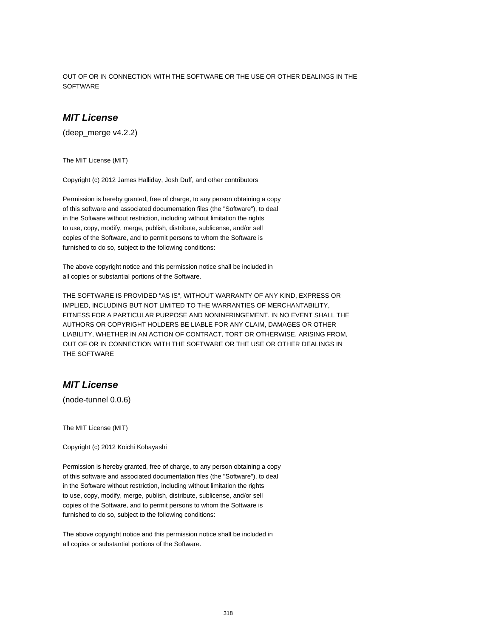OUT OF OR IN CONNECTION WITH THE SOFTWARE OR THE USE OR OTHER DEALINGS IN THE **SOFTWARE** 

## **MIT License**

(deep\_merge v4.2.2)

The MIT License (MIT)

Copyright (c) 2012 James Halliday, Josh Duff, and other contributors

Permission is hereby granted, free of charge, to any person obtaining a copy of this software and associated documentation files (the "Software"), to deal in the Software without restriction, including without limitation the rights to use, copy, modify, merge, publish, distribute, sublicense, and/or sell copies of the Software, and to permit persons to whom the Software is furnished to do so, subject to the following conditions:

The above copyright notice and this permission notice shall be included in all copies or substantial portions of the Software.

THE SOFTWARE IS PROVIDED "AS IS", WITHOUT WARRANTY OF ANY KIND, EXPRESS OR IMPLIED, INCLUDING BUT NOT LIMITED TO THE WARRANTIES OF MERCHANTABILITY, FITNESS FOR A PARTICULAR PURPOSE AND NONINFRINGEMENT. IN NO EVENT SHALL THE AUTHORS OR COPYRIGHT HOLDERS BE LIABLE FOR ANY CLAIM, DAMAGES OR OTHER LIABILITY, WHETHER IN AN ACTION OF CONTRACT, TORT OR OTHERWISE, ARISING FROM, OUT OF OR IN CONNECTION WITH THE SOFTWARE OR THE USE OR OTHER DEALINGS IN THE SOFTWARE

## **MIT License**

(node-tunnel 0.0.6)

The MIT License (MIT)

Copyright (c) 2012 Koichi Kobayashi

Permission is hereby granted, free of charge, to any person obtaining a copy of this software and associated documentation files (the "Software"), to deal in the Software without restriction, including without limitation the rights to use, copy, modify, merge, publish, distribute, sublicense, and/or sell copies of the Software, and to permit persons to whom the Software is furnished to do so, subject to the following conditions:

The above copyright notice and this permission notice shall be included in all copies or substantial portions of the Software.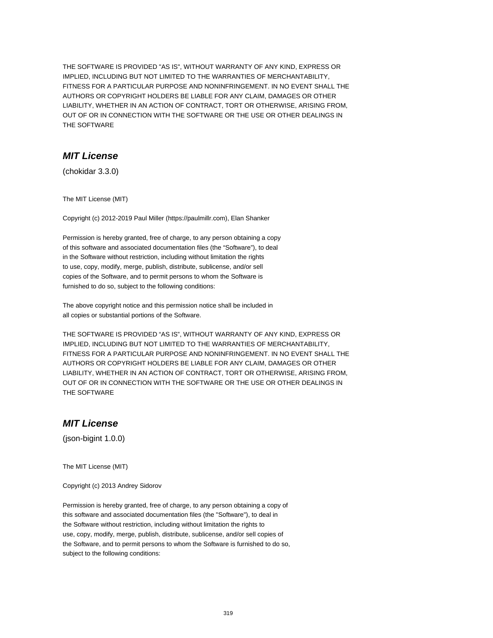THE SOFTWARE IS PROVIDED "AS IS", WITHOUT WARRANTY OF ANY KIND, EXPRESS OR IMPLIED, INCLUDING BUT NOT LIMITED TO THE WARRANTIES OF MERCHANTABILITY, FITNESS FOR A PARTICULAR PURPOSE AND NONINFRINGEMENT. IN NO EVENT SHALL THE AUTHORS OR COPYRIGHT HOLDERS BE LIABLE FOR ANY CLAIM, DAMAGES OR OTHER LIABILITY, WHETHER IN AN ACTION OF CONTRACT, TORT OR OTHERWISE, ARISING FROM, OUT OF OR IN CONNECTION WITH THE SOFTWARE OR THE USE OR OTHER DEALINGS IN THE SOFTWARE

# **MIT License**

(chokidar 3.3.0)

The MIT License (MIT)

Copyright (c) 2012-2019 Paul Miller (https://paulmillr.com), Elan Shanker

Permission is hereby granted, free of charge, to any person obtaining a copy of this software and associated documentation files (the "Software"), to deal in the Software without restriction, including without limitation the rights to use, copy, modify, merge, publish, distribute, sublicense, and/or sell copies of the Software, and to permit persons to whom the Software is furnished to do so, subject to the following conditions:

The above copyright notice and this permission notice shall be included in all copies or substantial portions of the Software.

THE SOFTWARE IS PROVIDED "AS IS", WITHOUT WARRANTY OF ANY KIND, EXPRESS OR IMPLIED, INCLUDING BUT NOT LIMITED TO THE WARRANTIES OF MERCHANTABILITY, FITNESS FOR A PARTICULAR PURPOSE AND NONINFRINGEMENT. IN NO EVENT SHALL THE AUTHORS OR COPYRIGHT HOLDERS BE LIABLE FOR ANY CLAIM, DAMAGES OR OTHER LIABILITY, WHETHER IN AN ACTION OF CONTRACT, TORT OR OTHERWISE, ARISING FROM, OUT OF OR IN CONNECTION WITH THE SOFTWARE OR THE USE OR OTHER DEALINGS IN THE SOFTWARE

## **MIT License**

(json-bigint 1.0.0)

The MIT License (MIT)

Copyright (c) 2013 Andrey Sidorov

Permission is hereby granted, free of charge, to any person obtaining a copy of this software and associated documentation files (the "Software"), to deal in the Software without restriction, including without limitation the rights to use, copy, modify, merge, publish, distribute, sublicense, and/or sell copies of the Software, and to permit persons to whom the Software is furnished to do so, subject to the following conditions: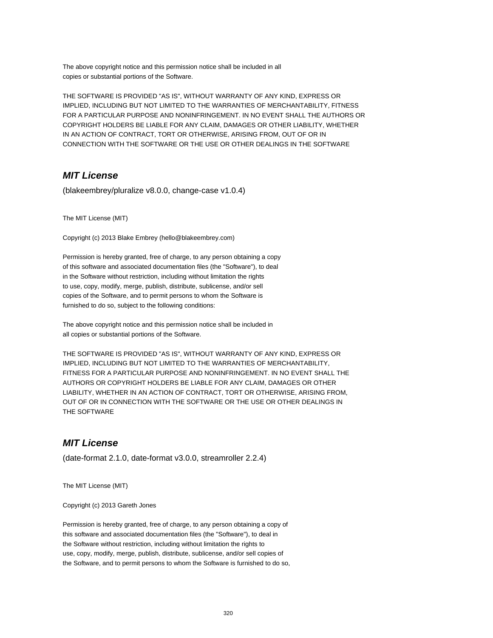The above copyright notice and this permission notice shall be included in all copies or substantial portions of the Software.

THE SOFTWARE IS PROVIDED "AS IS", WITHOUT WARRANTY OF ANY KIND, EXPRESS OR IMPLIED, INCLUDING BUT NOT LIMITED TO THE WARRANTIES OF MERCHANTABILITY, FITNESS FOR A PARTICULAR PURPOSE AND NONINFRINGEMENT. IN NO EVENT SHALL THE AUTHORS OR COPYRIGHT HOLDERS BE LIABLE FOR ANY CLAIM, DAMAGES OR OTHER LIABILITY, WHETHER IN AN ACTION OF CONTRACT, TORT OR OTHERWISE, ARISING FROM, OUT OF OR IN CONNECTION WITH THE SOFTWARE OR THE USE OR OTHER DEALINGS IN THE SOFTWARE

#### **MIT License**

(blakeembrey/pluralize v8.0.0, change-case v1.0.4)

The MIT License (MIT)

Copyright (c) 2013 Blake Embrey (hello@blakeembrey.com)

Permission is hereby granted, free of charge, to any person obtaining a copy of this software and associated documentation files (the "Software"), to deal in the Software without restriction, including without limitation the rights to use, copy, modify, merge, publish, distribute, sublicense, and/or sell copies of the Software, and to permit persons to whom the Software is furnished to do so, subject to the following conditions:

The above copyright notice and this permission notice shall be included in all copies or substantial portions of the Software.

THE SOFTWARE IS PROVIDED "AS IS", WITHOUT WARRANTY OF ANY KIND, EXPRESS OR IMPLIED, INCLUDING BUT NOT LIMITED TO THE WARRANTIES OF MERCHANTABILITY, FITNESS FOR A PARTICULAR PURPOSE AND NONINFRINGEMENT. IN NO EVENT SHALL THE AUTHORS OR COPYRIGHT HOLDERS BE LIABLE FOR ANY CLAIM, DAMAGES OR OTHER LIABILITY, WHETHER IN AN ACTION OF CONTRACT, TORT OR OTHERWISE, ARISING FROM, OUT OF OR IN CONNECTION WITH THE SOFTWARE OR THE USE OR OTHER DEALINGS IN THE SOFTWARE

## **MIT License**

(date-format 2.1.0, date-format v3.0.0, streamroller 2.2.4)

The MIT License (MIT)

Copyright (c) 2013 Gareth Jones

Permission is hereby granted, free of charge, to any person obtaining a copy of this software and associated documentation files (the "Software"), to deal in the Software without restriction, including without limitation the rights to use, copy, modify, merge, publish, distribute, sublicense, and/or sell copies of the Software, and to permit persons to whom the Software is furnished to do so,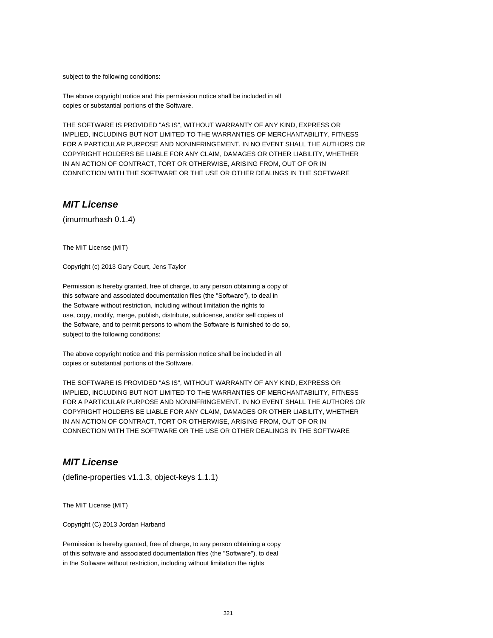subject to the following conditions:

The above copyright notice and this permission notice shall be included in all copies or substantial portions of the Software.

THE SOFTWARE IS PROVIDED "AS IS", WITHOUT WARRANTY OF ANY KIND, EXPRESS OR IMPLIED, INCLUDING BUT NOT LIMITED TO THE WARRANTIES OF MERCHANTABILITY, FITNESS FOR A PARTICULAR PURPOSE AND NONINFRINGEMENT. IN NO EVENT SHALL THE AUTHORS OR COPYRIGHT HOLDERS BE LIABLE FOR ANY CLAIM, DAMAGES OR OTHER LIABILITY, WHETHER IN AN ACTION OF CONTRACT, TORT OR OTHERWISE, ARISING FROM, OUT OF OR IN CONNECTION WITH THE SOFTWARE OR THE USE OR OTHER DEALINGS IN THE SOFTWARE

### **MIT License**

(imurmurhash 0.1.4)

The MIT License (MIT)

Copyright (c) 2013 Gary Court, Jens Taylor

Permission is hereby granted, free of charge, to any person obtaining a copy of this software and associated documentation files (the "Software"), to deal in the Software without restriction, including without limitation the rights to use, copy, modify, merge, publish, distribute, sublicense, and/or sell copies of the Software, and to permit persons to whom the Software is furnished to do so, subject to the following conditions:

The above copyright notice and this permission notice shall be included in all copies or substantial portions of the Software.

THE SOFTWARE IS PROVIDED "AS IS", WITHOUT WARRANTY OF ANY KIND, EXPRESS OR IMPLIED, INCLUDING BUT NOT LIMITED TO THE WARRANTIES OF MERCHANTABILITY, FITNESS FOR A PARTICULAR PURPOSE AND NONINFRINGEMENT. IN NO EVENT SHALL THE AUTHORS OR COPYRIGHT HOLDERS BE LIABLE FOR ANY CLAIM, DAMAGES OR OTHER LIABILITY, WHETHER IN AN ACTION OF CONTRACT, TORT OR OTHERWISE, ARISING FROM, OUT OF OR IN CONNECTION WITH THE SOFTWARE OR THE USE OR OTHER DEALINGS IN THE SOFTWARE

## **MIT License**

(define-properties v1.1.3, object-keys 1.1.1)

The MIT License (MIT)

Copyright (C) 2013 Jordan Harband

Permission is hereby granted, free of charge, to any person obtaining a copy of this software and associated documentation files (the "Software"), to deal in the Software without restriction, including without limitation the rights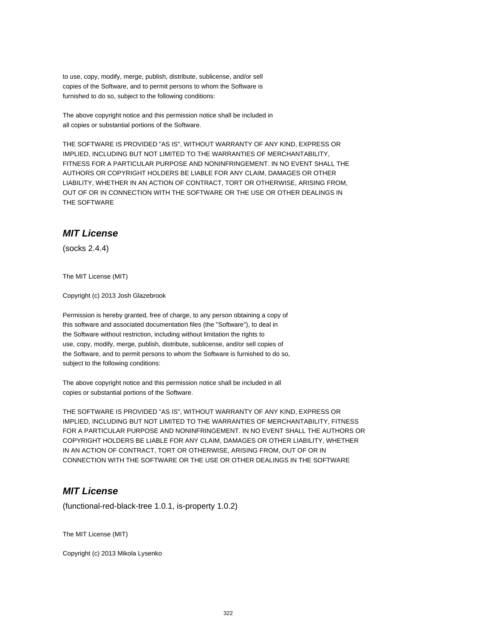to use, copy, modify, merge, publish, distribute, sublicense, and/or sell copies of the Software, and to permit persons to whom the Software is furnished to do so, subject to the following conditions:

The above copyright notice and this permission notice shall be included in all copies or substantial portions of the Software.

THE SOFTWARE IS PROVIDED "AS IS", WITHOUT WARRANTY OF ANY KIND, EXPRESS OR IMPLIED, INCLUDING BUT NOT LIMITED TO THE WARRANTIES OF MERCHANTABILITY, FITNESS FOR A PARTICULAR PURPOSE AND NONINFRINGEMENT. IN NO EVENT SHALL THE AUTHORS OR COPYRIGHT HOLDERS BE LIABLE FOR ANY CLAIM, DAMAGES OR OTHER LIABILITY, WHETHER IN AN ACTION OF CONTRACT, TORT OR OTHERWISE, ARISING FROM, OUT OF OR IN CONNECTION WITH THE SOFTWARE OR THE USE OR OTHER DEALINGS IN THE SOFTWARE

#### **MIT License**

(socks 2.4.4)

The MIT License (MIT)

Copyright (c) 2013 Josh Glazebrook

Permission is hereby granted, free of charge, to any person obtaining a copy of this software and associated documentation files (the "Software"), to deal in the Software without restriction, including without limitation the rights to use, copy, modify, merge, publish, distribute, sublicense, and/or sell copies of the Software, and to permit persons to whom the Software is furnished to do so, subject to the following conditions:

The above copyright notice and this permission notice shall be included in all copies or substantial portions of the Software.

THE SOFTWARE IS PROVIDED "AS IS", WITHOUT WARRANTY OF ANY KIND, EXPRESS OR IMPLIED, INCLUDING BUT NOT LIMITED TO THE WARRANTIES OF MERCHANTABILITY, FITNESS FOR A PARTICULAR PURPOSE AND NONINFRINGEMENT. IN NO EVENT SHALL THE AUTHORS OR COPYRIGHT HOLDERS BE LIABLE FOR ANY CLAIM, DAMAGES OR OTHER LIABILITY, WHETHER IN AN ACTION OF CONTRACT, TORT OR OTHERWISE, ARISING FROM, OUT OF OR IN CONNECTION WITH THE SOFTWARE OR THE USE OR OTHER DEALINGS IN THE SOFTWARE

## **MIT License**

(functional-red-black-tree 1.0.1, is-property 1.0.2)

The MIT License (MIT)

Copyright (c) 2013 Mikola Lysenko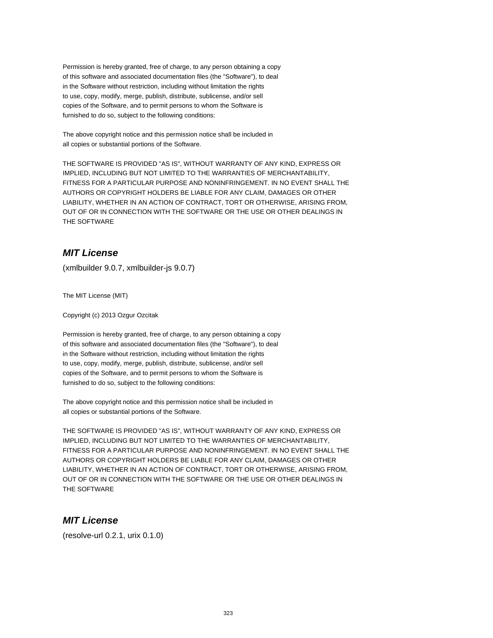Permission is hereby granted, free of charge, to any person obtaining a copy of this software and associated documentation files (the "Software"), to deal in the Software without restriction, including without limitation the rights to use, copy, modify, merge, publish, distribute, sublicense, and/or sell copies of the Software, and to permit persons to whom the Software is furnished to do so, subject to the following conditions:

The above copyright notice and this permission notice shall be included in all copies or substantial portions of the Software.

THE SOFTWARE IS PROVIDED "AS IS", WITHOUT WARRANTY OF ANY KIND, EXPRESS OR IMPLIED, INCLUDING BUT NOT LIMITED TO THE WARRANTIES OF MERCHANTABILITY, FITNESS FOR A PARTICULAR PURPOSE AND NONINFRINGEMENT. IN NO EVENT SHALL THE AUTHORS OR COPYRIGHT HOLDERS BE LIABLE FOR ANY CLAIM, DAMAGES OR OTHER LIABILITY, WHETHER IN AN ACTION OF CONTRACT, TORT OR OTHERWISE, ARISING FROM, OUT OF OR IN CONNECTION WITH THE SOFTWARE OR THE USE OR OTHER DEALINGS IN THE SOFTWARE

# **MIT License**

(xmlbuilder 9.0.7, xmlbuilder-js 9.0.7)

The MIT License (MIT)

Copyright (c) 2013 Ozgur Ozcitak

Permission is hereby granted, free of charge, to any person obtaining a copy of this software and associated documentation files (the "Software"), to deal in the Software without restriction, including without limitation the rights to use, copy, modify, merge, publish, distribute, sublicense, and/or sell copies of the Software, and to permit persons to whom the Software is furnished to do so, subject to the following conditions:

The above copyright notice and this permission notice shall be included in all copies or substantial portions of the Software.

THE SOFTWARE IS PROVIDED "AS IS", WITHOUT WARRANTY OF ANY KIND, EXPRESS OR IMPLIED, INCLUDING BUT NOT LIMITED TO THE WARRANTIES OF MERCHANTABILITY, FITNESS FOR A PARTICULAR PURPOSE AND NONINFRINGEMENT. IN NO EVENT SHALL THE AUTHORS OR COPYRIGHT HOLDERS BE LIABLE FOR ANY CLAIM, DAMAGES OR OTHER LIABILITY, WHETHER IN AN ACTION OF CONTRACT, TORT OR OTHERWISE, ARISING FROM, OUT OF OR IN CONNECTION WITH THE SOFTWARE OR THE USE OR OTHER DEALINGS IN THE SOFTWARE

## **MIT License**

(resolve-url 0.2.1, urix 0.1.0)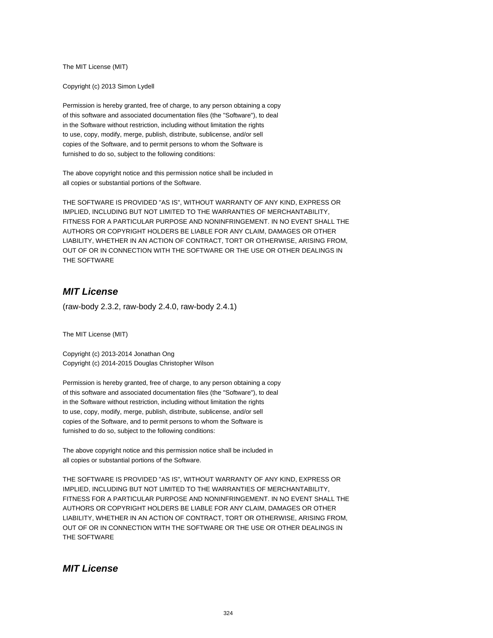The MIT License (MIT)

Copyright (c) 2013 Simon Lydell

Permission is hereby granted, free of charge, to any person obtaining a copy of this software and associated documentation files (the "Software"), to deal in the Software without restriction, including without limitation the rights to use, copy, modify, merge, publish, distribute, sublicense, and/or sell copies of the Software, and to permit persons to whom the Software is furnished to do so, subject to the following conditions:

The above copyright notice and this permission notice shall be included in all copies or substantial portions of the Software.

THE SOFTWARE IS PROVIDED "AS IS", WITHOUT WARRANTY OF ANY KIND, EXPRESS OR IMPLIED, INCLUDING BUT NOT LIMITED TO THE WARRANTIES OF MERCHANTABILITY, FITNESS FOR A PARTICULAR PURPOSE AND NONINFRINGEMENT. IN NO EVENT SHALL THE AUTHORS OR COPYRIGHT HOLDERS BE LIABLE FOR ANY CLAIM, DAMAGES OR OTHER LIABILITY, WHETHER IN AN ACTION OF CONTRACT, TORT OR OTHERWISE, ARISING FROM, OUT OF OR IN CONNECTION WITH THE SOFTWARE OR THE USE OR OTHER DEALINGS IN THE SOFTWARE

## **MIT License**

(raw-body 2.3.2, raw-body 2.4.0, raw-body 2.4.1)

The MIT License (MIT)

Copyright (c) 2013-2014 Jonathan Ong Copyright (c) 2014-2015 Douglas Christopher Wilson

Permission is hereby granted, free of charge, to any person obtaining a copy of this software and associated documentation files (the "Software"), to deal in the Software without restriction, including without limitation the rights to use, copy, modify, merge, publish, distribute, sublicense, and/or sell copies of the Software, and to permit persons to whom the Software is furnished to do so, subject to the following conditions:

The above copyright notice and this permission notice shall be included in all copies or substantial portions of the Software.

THE SOFTWARE IS PROVIDED "AS IS", WITHOUT WARRANTY OF ANY KIND, EXPRESS OR IMPLIED, INCLUDING BUT NOT LIMITED TO THE WARRANTIES OF MERCHANTABILITY, FITNESS FOR A PARTICULAR PURPOSE AND NONINFRINGEMENT. IN NO EVENT SHALL THE AUTHORS OR COPYRIGHT HOLDERS BE LIABLE FOR ANY CLAIM, DAMAGES OR OTHER LIABILITY, WHETHER IN AN ACTION OF CONTRACT, TORT OR OTHERWISE, ARISING FROM, OUT OF OR IN CONNECTION WITH THE SOFTWARE OR THE USE OR OTHER DEALINGS IN THE SOFTWARE

### **MIT License**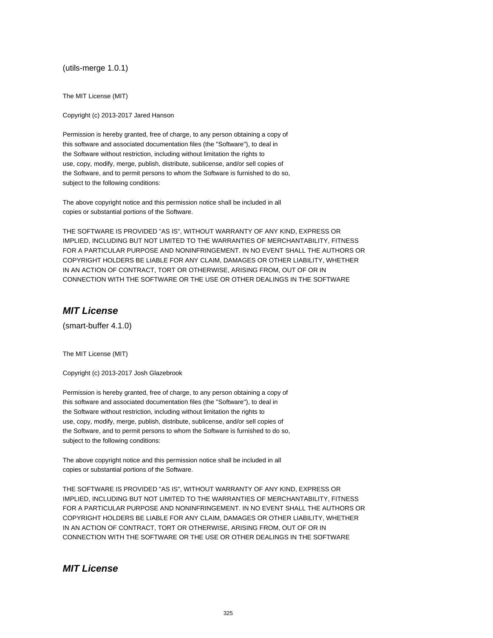(utils-merge 1.0.1)

The MIT License (MIT)

Copyright (c) 2013-2017 Jared Hanson

Permission is hereby granted, free of charge, to any person obtaining a copy of this software and associated documentation files (the "Software"), to deal in the Software without restriction, including without limitation the rights to use, copy, modify, merge, publish, distribute, sublicense, and/or sell copies of the Software, and to permit persons to whom the Software is furnished to do so, subject to the following conditions:

The above copyright notice and this permission notice shall be included in all copies or substantial portions of the Software.

THE SOFTWARE IS PROVIDED "AS IS", WITHOUT WARRANTY OF ANY KIND, EXPRESS OR IMPLIED, INCLUDING BUT NOT LIMITED TO THE WARRANTIES OF MERCHANTABILITY, FITNESS FOR A PARTICULAR PURPOSE AND NONINFRINGEMENT. IN NO EVENT SHALL THE AUTHORS OR COPYRIGHT HOLDERS BE LIABLE FOR ANY CLAIM, DAMAGES OR OTHER LIABILITY, WHETHER IN AN ACTION OF CONTRACT, TORT OR OTHERWISE, ARISING FROM, OUT OF OR IN CONNECTION WITH THE SOFTWARE OR THE USE OR OTHER DEALINGS IN THE SOFTWARE

## **MIT License**

(smart-buffer 4.1.0)

The MIT License (MIT)

Copyright (c) 2013-2017 Josh Glazebrook

Permission is hereby granted, free of charge, to any person obtaining a copy of this software and associated documentation files (the "Software"), to deal in the Software without restriction, including without limitation the rights to use, copy, modify, merge, publish, distribute, sublicense, and/or sell copies of the Software, and to permit persons to whom the Software is furnished to do so, subject to the following conditions:

The above copyright notice and this permission notice shall be included in all copies or substantial portions of the Software.

THE SOFTWARE IS PROVIDED "AS IS", WITHOUT WARRANTY OF ANY KIND, EXPRESS OR IMPLIED, INCLUDING BUT NOT LIMITED TO THE WARRANTIES OF MERCHANTABILITY, FITNESS FOR A PARTICULAR PURPOSE AND NONINFRINGEMENT. IN NO EVENT SHALL THE AUTHORS OR COPYRIGHT HOLDERS BE LIABLE FOR ANY CLAIM, DAMAGES OR OTHER LIABILITY, WHETHER IN AN ACTION OF CONTRACT, TORT OR OTHERWISE, ARISING FROM, OUT OF OR IN CONNECTION WITH THE SOFTWARE OR THE USE OR OTHER DEALINGS IN THE SOFTWARE

### **MIT License**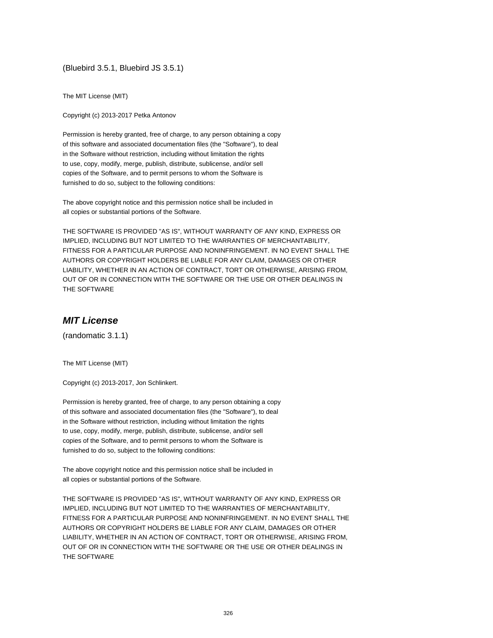(Bluebird 3.5.1, Bluebird JS 3.5.1)

The MIT License (MIT)

Copyright (c) 2013-2017 Petka Antonov

Permission is hereby granted, free of charge, to any person obtaining a copy of this software and associated documentation files (the "Software"), to deal in the Software without restriction, including without limitation the rights to use, copy, modify, merge, publish, distribute, sublicense, and/or sell copies of the Software, and to permit persons to whom the Software is furnished to do so, subject to the following conditions:

The above copyright notice and this permission notice shall be included in all copies or substantial portions of the Software.

THE SOFTWARE IS PROVIDED "AS IS", WITHOUT WARRANTY OF ANY KIND, EXPRESS OR IMPLIED, INCLUDING BUT NOT LIMITED TO THE WARRANTIES OF MERCHANTABILITY, FITNESS FOR A PARTICULAR PURPOSE AND NONINFRINGEMENT. IN NO EVENT SHALL THE AUTHORS OR COPYRIGHT HOLDERS BE LIABLE FOR ANY CLAIM, DAMAGES OR OTHER LIABILITY, WHETHER IN AN ACTION OF CONTRACT, TORT OR OTHERWISE, ARISING FROM, OUT OF OR IN CONNECTION WITH THE SOFTWARE OR THE USE OR OTHER DEALINGS IN THE SOFTWARE

## **MIT License**

(randomatic 3.1.1)

The MIT License (MIT)

Copyright (c) 2013-2017, Jon Schlinkert.

Permission is hereby granted, free of charge, to any person obtaining a copy of this software and associated documentation files (the "Software"), to deal in the Software without restriction, including without limitation the rights to use, copy, modify, merge, publish, distribute, sublicense, and/or sell copies of the Software, and to permit persons to whom the Software is furnished to do so, subject to the following conditions:

The above copyright notice and this permission notice shall be included in all copies or substantial portions of the Software.

THE SOFTWARE IS PROVIDED "AS IS", WITHOUT WARRANTY OF ANY KIND, EXPRESS OR IMPLIED, INCLUDING BUT NOT LIMITED TO THE WARRANTIES OF MERCHANTABILITY, FITNESS FOR A PARTICULAR PURPOSE AND NONINFRINGEMENT. IN NO EVENT SHALL THE AUTHORS OR COPYRIGHT HOLDERS BE LIABLE FOR ANY CLAIM, DAMAGES OR OTHER LIABILITY, WHETHER IN AN ACTION OF CONTRACT, TORT OR OTHERWISE, ARISING FROM, OUT OF OR IN CONNECTION WITH THE SOFTWARE OR THE USE OR OTHER DEALINGS IN THE SOFTWARE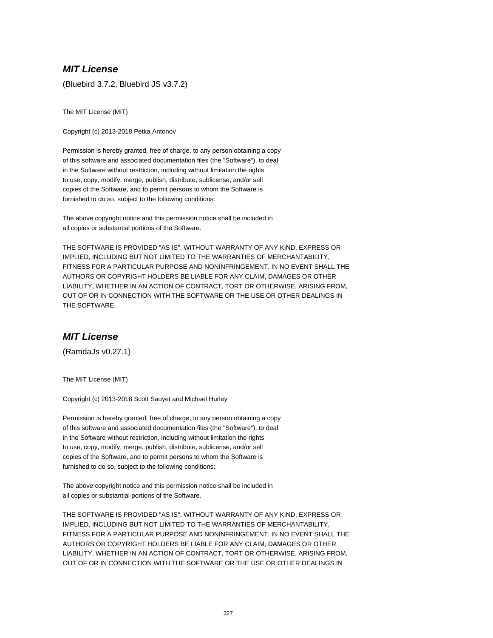## **MIT License**

(Bluebird 3.7.2, Bluebird JS v3.7.2)

The MIT License (MIT)

Copyright (c) 2013-2018 Petka Antonov

Permission is hereby granted, free of charge, to any person obtaining a copy of this software and associated documentation files (the "Software"), to deal in the Software without restriction, including without limitation the rights to use, copy, modify, merge, publish, distribute, sublicense, and/or sell copies of the Software, and to permit persons to whom the Software is furnished to do so, subject to the following conditions:

The above copyright notice and this permission notice shall be included in all copies or substantial portions of the Software.

THE SOFTWARE IS PROVIDED "AS IS", WITHOUT WARRANTY OF ANY KIND, EXPRESS OR IMPLIED, INCLUDING BUT NOT LIMITED TO THE WARRANTIES OF MERCHANTABILITY, FITNESS FOR A PARTICULAR PURPOSE AND NONINFRINGEMENT. IN NO EVENT SHALL THE AUTHORS OR COPYRIGHT HOLDERS BE LIABLE FOR ANY CLAIM, DAMAGES OR OTHER LIABILITY, WHETHER IN AN ACTION OF CONTRACT, TORT OR OTHERWISE, ARISING FROM, OUT OF OR IN CONNECTION WITH THE SOFTWARE OR THE USE OR OTHER DEALINGS IN THE SOFTWARE

#### **MIT License**

(RamdaJs v0.27.1)

The MIT License (MIT)

Copyright (c) 2013-2018 Scott Sauyet and Michael Hurley

Permission is hereby granted, free of charge, to any person obtaining a copy of this software and associated documentation files (the "Software"), to deal in the Software without restriction, including without limitation the rights to use, copy, modify, merge, publish, distribute, sublicense, and/or sell copies of the Software, and to permit persons to whom the Software is furnished to do so, subject to the following conditions:

The above copyright notice and this permission notice shall be included in all copies or substantial portions of the Software.

THE SOFTWARE IS PROVIDED "AS IS", WITHOUT WARRANTY OF ANY KIND, EXPRESS OR IMPLIED, INCLUDING BUT NOT LIMITED TO THE WARRANTIES OF MERCHANTABILITY, FITNESS FOR A PARTICULAR PURPOSE AND NONINFRINGEMENT. IN NO EVENT SHALL THE AUTHORS OR COPYRIGHT HOLDERS BE LIABLE FOR ANY CLAIM, DAMAGES OR OTHER LIABILITY, WHETHER IN AN ACTION OF CONTRACT, TORT OR OTHERWISE, ARISING FROM, OUT OF OR IN CONNECTION WITH THE SOFTWARE OR THE USE OR OTHER DEALINGS IN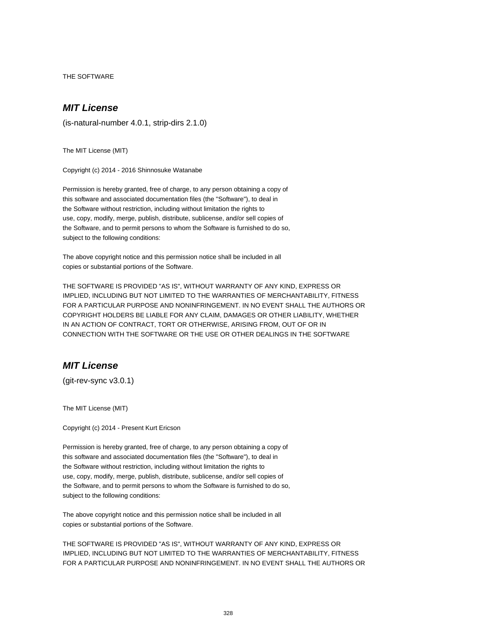THE SOFTWARE

### **MIT License**

(is-natural-number 4.0.1, strip-dirs 2.1.0)

The MIT License (MIT)

Copyright (c) 2014 - 2016 Shinnosuke Watanabe

Permission is hereby granted, free of charge, to any person obtaining a copy of this software and associated documentation files (the "Software"), to deal in the Software without restriction, including without limitation the rights to use, copy, modify, merge, publish, distribute, sublicense, and/or sell copies of the Software, and to permit persons to whom the Software is furnished to do so, subject to the following conditions:

The above copyright notice and this permission notice shall be included in all copies or substantial portions of the Software.

THE SOFTWARE IS PROVIDED "AS IS", WITHOUT WARRANTY OF ANY KIND, EXPRESS OR IMPLIED, INCLUDING BUT NOT LIMITED TO THE WARRANTIES OF MERCHANTABILITY, FITNESS FOR A PARTICULAR PURPOSE AND NONINFRINGEMENT. IN NO EVENT SHALL THE AUTHORS OR COPYRIGHT HOLDERS BE LIABLE FOR ANY CLAIM, DAMAGES OR OTHER LIABILITY, WHETHER IN AN ACTION OF CONTRACT, TORT OR OTHERWISE, ARISING FROM, OUT OF OR IN CONNECTION WITH THE SOFTWARE OR THE USE OR OTHER DEALINGS IN THE SOFTWARE

## **MIT License**

(git-rev-sync v3.0.1)

The MIT License (MIT)

Copyright (c) 2014 - Present Kurt Ericson

Permission is hereby granted, free of charge, to any person obtaining a copy of this software and associated documentation files (the "Software"), to deal in the Software without restriction, including without limitation the rights to use, copy, modify, merge, publish, distribute, sublicense, and/or sell copies of the Software, and to permit persons to whom the Software is furnished to do so, subject to the following conditions:

The above copyright notice and this permission notice shall be included in all copies or substantial portions of the Software.

THE SOFTWARE IS PROVIDED "AS IS", WITHOUT WARRANTY OF ANY KIND, EXPRESS OR IMPLIED, INCLUDING BUT NOT LIMITED TO THE WARRANTIES OF MERCHANTABILITY, FITNESS FOR A PARTICULAR PURPOSE AND NONINFRINGEMENT. IN NO EVENT SHALL THE AUTHORS OR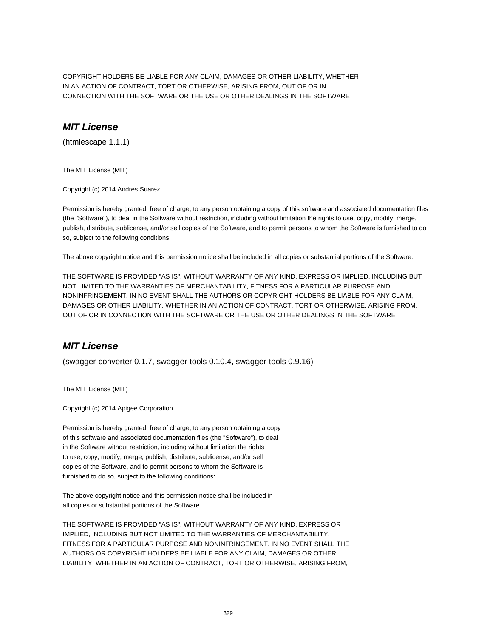COPYRIGHT HOLDERS BE LIABLE FOR ANY CLAIM, DAMAGES OR OTHER LIABILITY, WHETHER IN AN ACTION OF CONTRACT, TORT OR OTHERWISE, ARISING FROM, OUT OF OR IN CONNECTION WITH THE SOFTWARE OR THE USE OR OTHER DEALINGS IN THE SOFTWARE

#### **MIT License**

(htmlescape 1.1.1)

The MIT License (MIT)

Copyright (c) 2014 Andres Suarez

Permission is hereby granted, free of charge, to any person obtaining a copy of this software and associated documentation files (the "Software"), to deal in the Software without restriction, including without limitation the rights to use, copy, modify, merge, publish, distribute, sublicense, and/or sell copies of the Software, and to permit persons to whom the Software is furnished to do so, subject to the following conditions:

The above copyright notice and this permission notice shall be included in all copies or substantial portions of the Software.

THE SOFTWARE IS PROVIDED "AS IS", WITHOUT WARRANTY OF ANY KIND, EXPRESS OR IMPLIED, INCLUDING BUT NOT LIMITED TO THE WARRANTIES OF MERCHANTABILITY, FITNESS FOR A PARTICULAR PURPOSE AND NONINFRINGEMENT. IN NO EVENT SHALL THE AUTHORS OR COPYRIGHT HOLDERS BE LIABLE FOR ANY CLAIM, DAMAGES OR OTHER LIABILITY, WHETHER IN AN ACTION OF CONTRACT, TORT OR OTHERWISE, ARISING FROM, OUT OF OR IN CONNECTION WITH THE SOFTWARE OR THE USE OR OTHER DEALINGS IN THE SOFTWARE

## **MIT License**

(swagger-converter 0.1.7, swagger-tools 0.10.4, swagger-tools 0.9.16)

The MIT License (MIT)

Copyright (c) 2014 Apigee Corporation

Permission is hereby granted, free of charge, to any person obtaining a copy of this software and associated documentation files (the "Software"), to deal in the Software without restriction, including without limitation the rights to use, copy, modify, merge, publish, distribute, sublicense, and/or sell copies of the Software, and to permit persons to whom the Software is furnished to do so, subject to the following conditions:

The above copyright notice and this permission notice shall be included in all copies or substantial portions of the Software.

THE SOFTWARE IS PROVIDED "AS IS", WITHOUT WARRANTY OF ANY KIND, EXPRESS OR IMPLIED, INCLUDING BUT NOT LIMITED TO THE WARRANTIES OF MERCHANTABILITY, FITNESS FOR A PARTICULAR PURPOSE AND NONINFRINGEMENT. IN NO EVENT SHALL THE AUTHORS OR COPYRIGHT HOLDERS BE LIABLE FOR ANY CLAIM, DAMAGES OR OTHER LIABILITY, WHETHER IN AN ACTION OF CONTRACT, TORT OR OTHERWISE, ARISING FROM,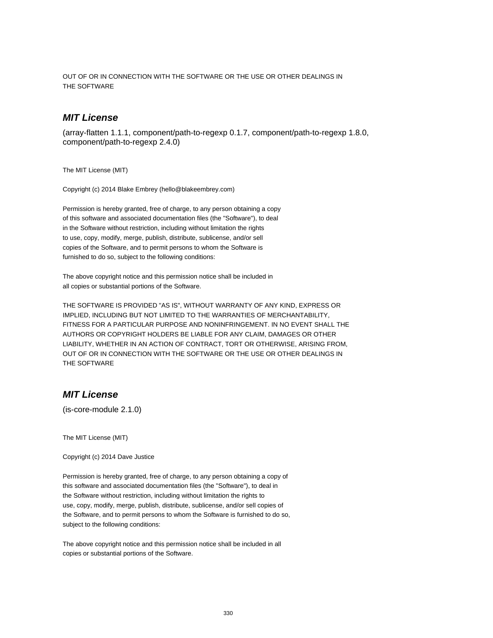OUT OF OR IN CONNECTION WITH THE SOFTWARE OR THE USE OR OTHER DEALINGS IN THE SOFTWARE

### **MIT License**

(array-flatten 1.1.1, component/path-to-regexp 0.1.7, component/path-to-regexp 1.8.0, component/path-to-regexp 2.4.0)

The MIT License (MIT)

Copyright (c) 2014 Blake Embrey (hello@blakeembrey.com)

Permission is hereby granted, free of charge, to any person obtaining a copy of this software and associated documentation files (the "Software"), to deal in the Software without restriction, including without limitation the rights to use, copy, modify, merge, publish, distribute, sublicense, and/or sell copies of the Software, and to permit persons to whom the Software is furnished to do so, subject to the following conditions:

The above copyright notice and this permission notice shall be included in all copies or substantial portions of the Software.

THE SOFTWARE IS PROVIDED "AS IS", WITHOUT WARRANTY OF ANY KIND, EXPRESS OR IMPLIED, INCLUDING BUT NOT LIMITED TO THE WARRANTIES OF MERCHANTABILITY, FITNESS FOR A PARTICULAR PURPOSE AND NONINFRINGEMENT. IN NO EVENT SHALL THE AUTHORS OR COPYRIGHT HOLDERS BE LIABLE FOR ANY CLAIM, DAMAGES OR OTHER LIABILITY, WHETHER IN AN ACTION OF CONTRACT, TORT OR OTHERWISE, ARISING FROM, OUT OF OR IN CONNECTION WITH THE SOFTWARE OR THE USE OR OTHER DEALINGS IN THE SOFTWARE

## **MIT License**

(is-core-module 2.1.0)

The MIT License (MIT)

Copyright (c) 2014 Dave Justice

Permission is hereby granted, free of charge, to any person obtaining a copy of this software and associated documentation files (the "Software"), to deal in the Software without restriction, including without limitation the rights to use, copy, modify, merge, publish, distribute, sublicense, and/or sell copies of the Software, and to permit persons to whom the Software is furnished to do so, subject to the following conditions:

The above copyright notice and this permission notice shall be included in all copies or substantial portions of the Software.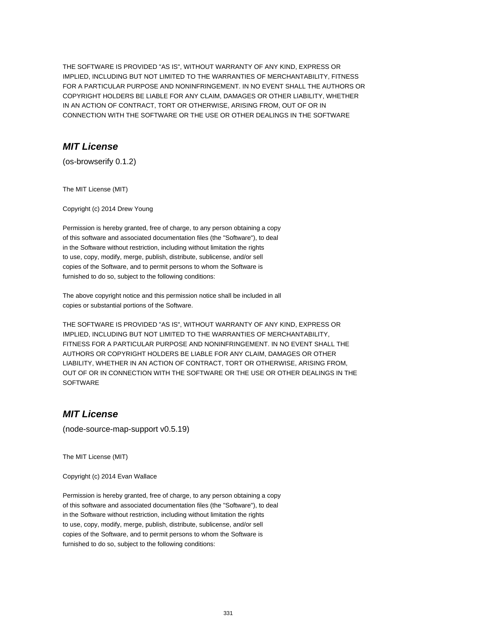THE SOFTWARE IS PROVIDED "AS IS", WITHOUT WARRANTY OF ANY KIND, EXPRESS OR IMPLIED, INCLUDING BUT NOT LIMITED TO THE WARRANTIES OF MERCHANTABILITY, FITNESS FOR A PARTICULAR PURPOSE AND NONINFRINGEMENT. IN NO EVENT SHALL THE AUTHORS OR COPYRIGHT HOLDERS BE LIABLE FOR ANY CLAIM, DAMAGES OR OTHER LIABILITY, WHETHER IN AN ACTION OF CONTRACT, TORT OR OTHERWISE, ARISING FROM, OUT OF OR IN CONNECTION WITH THE SOFTWARE OR THE USE OR OTHER DEALINGS IN THE SOFTWARE

## **MIT License**

(os-browserify 0.1.2)

The MIT License (MIT)

Copyright (c) 2014 Drew Young

Permission is hereby granted, free of charge, to any person obtaining a copy of this software and associated documentation files (the "Software"), to deal in the Software without restriction, including without limitation the rights to use, copy, modify, merge, publish, distribute, sublicense, and/or sell copies of the Software, and to permit persons to whom the Software is furnished to do so, subject to the following conditions:

The above copyright notice and this permission notice shall be included in all copies or substantial portions of the Software.

THE SOFTWARE IS PROVIDED "AS IS", WITHOUT WARRANTY OF ANY KIND, EXPRESS OR IMPLIED, INCLUDING BUT NOT LIMITED TO THE WARRANTIES OF MERCHANTABILITY, FITNESS FOR A PARTICULAR PURPOSE AND NONINFRINGEMENT. IN NO EVENT SHALL THE AUTHORS OR COPYRIGHT HOLDERS BE LIABLE FOR ANY CLAIM, DAMAGES OR OTHER LIABILITY, WHETHER IN AN ACTION OF CONTRACT, TORT OR OTHERWISE, ARISING FROM, OUT OF OR IN CONNECTION WITH THE SOFTWARE OR THE USE OR OTHER DEALINGS IN THE **SOFTWARE** 

# **MIT License**

(node-source-map-support v0.5.19)

The MIT License (MIT)

Copyright (c) 2014 Evan Wallace

Permission is hereby granted, free of charge, to any person obtaining a copy of this software and associated documentation files (the "Software"), to deal in the Software without restriction, including without limitation the rights to use, copy, modify, merge, publish, distribute, sublicense, and/or sell copies of the Software, and to permit persons to whom the Software is furnished to do so, subject to the following conditions: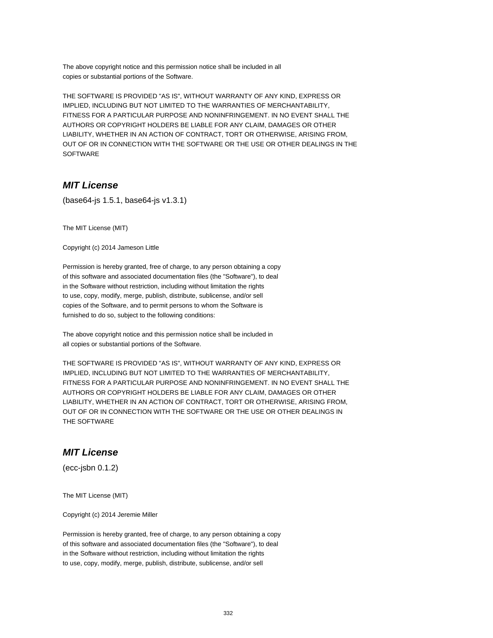The above copyright notice and this permission notice shall be included in all copies or substantial portions of the Software.

THE SOFTWARE IS PROVIDED "AS IS", WITHOUT WARRANTY OF ANY KIND, EXPRESS OR IMPLIED, INCLUDING BUT NOT LIMITED TO THE WARRANTIES OF MERCHANTABILITY, FITNESS FOR A PARTICULAR PURPOSE AND NONINFRINGEMENT. IN NO EVENT SHALL THE AUTHORS OR COPYRIGHT HOLDERS BE LIABLE FOR ANY CLAIM, DAMAGES OR OTHER LIABILITY, WHETHER IN AN ACTION OF CONTRACT, TORT OR OTHERWISE, ARISING FROM, OUT OF OR IN CONNECTION WITH THE SOFTWARE OR THE USE OR OTHER DEALINGS IN THE SOFTWARE

## **MIT License**

(base64-js 1.5.1, base64-js v1.3.1)

The MIT License (MIT)

Copyright (c) 2014 Jameson Little

Permission is hereby granted, free of charge, to any person obtaining a copy of this software and associated documentation files (the "Software"), to deal in the Software without restriction, including without limitation the rights to use, copy, modify, merge, publish, distribute, sublicense, and/or sell copies of the Software, and to permit persons to whom the Software is furnished to do so, subject to the following conditions:

The above copyright notice and this permission notice shall be included in all copies or substantial portions of the Software.

THE SOFTWARE IS PROVIDED "AS IS", WITHOUT WARRANTY OF ANY KIND, EXPRESS OR IMPLIED, INCLUDING BUT NOT LIMITED TO THE WARRANTIES OF MERCHANTABILITY, FITNESS FOR A PARTICULAR PURPOSE AND NONINFRINGEMENT. IN NO EVENT SHALL THE AUTHORS OR COPYRIGHT HOLDERS BE LIABLE FOR ANY CLAIM, DAMAGES OR OTHER LIABILITY, WHETHER IN AN ACTION OF CONTRACT, TORT OR OTHERWISE, ARISING FROM, OUT OF OR IN CONNECTION WITH THE SOFTWARE OR THE USE OR OTHER DEALINGS IN THE SOFTWARE

## **MIT License**

(ecc-jsbn 0.1.2)

The MIT License (MIT)

Copyright (c) 2014 Jeremie Miller

Permission is hereby granted, free of charge, to any person obtaining a copy of this software and associated documentation files (the "Software"), to deal in the Software without restriction, including without limitation the rights to use, copy, modify, merge, publish, distribute, sublicense, and/or sell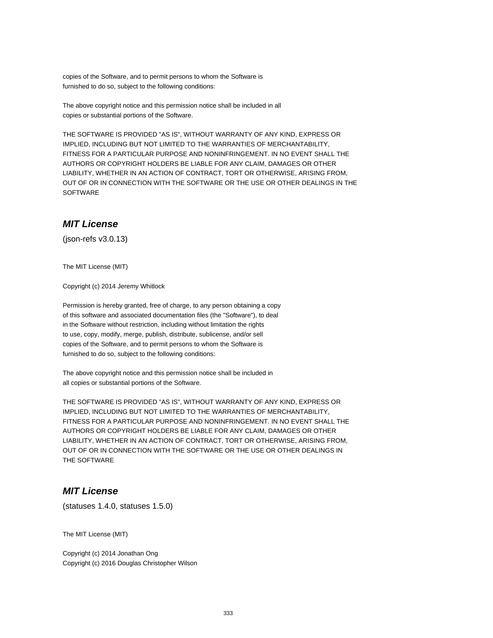copies of the Software, and to permit persons to whom the Software is furnished to do so, subject to the following conditions:

The above copyright notice and this permission notice shall be included in all copies or substantial portions of the Software.

THE SOFTWARE IS PROVIDED "AS IS", WITHOUT WARRANTY OF ANY KIND, EXPRESS OR IMPLIED, INCLUDING BUT NOT LIMITED TO THE WARRANTIES OF MERCHANTABILITY, FITNESS FOR A PARTICULAR PURPOSE AND NONINFRINGEMENT. IN NO EVENT SHALL THE AUTHORS OR COPYRIGHT HOLDERS BE LIABLE FOR ANY CLAIM, DAMAGES OR OTHER LIABILITY, WHETHER IN AN ACTION OF CONTRACT, TORT OR OTHERWISE, ARISING FROM, OUT OF OR IN CONNECTION WITH THE SOFTWARE OR THE USE OR OTHER DEALINGS IN THE **SOFTWARE** 

## **MIT License**

(json-refs v3.0.13)

The MIT License (MIT)

Copyright (c) 2014 Jeremy Whitlock

Permission is hereby granted, free of charge, to any person obtaining a copy of this software and associated documentation files (the "Software"), to deal in the Software without restriction, including without limitation the rights to use, copy, modify, merge, publish, distribute, sublicense, and/or sell copies of the Software, and to permit persons to whom the Software is furnished to do so, subject to the following conditions:

The above copyright notice and this permission notice shall be included in all copies or substantial portions of the Software.

THE SOFTWARE IS PROVIDED "AS IS", WITHOUT WARRANTY OF ANY KIND, EXPRESS OR IMPLIED, INCLUDING BUT NOT LIMITED TO THE WARRANTIES OF MERCHANTABILITY, FITNESS FOR A PARTICULAR PURPOSE AND NONINFRINGEMENT. IN NO EVENT SHALL THE AUTHORS OR COPYRIGHT HOLDERS BE LIABLE FOR ANY CLAIM, DAMAGES OR OTHER LIABILITY, WHETHER IN AN ACTION OF CONTRACT, TORT OR OTHERWISE, ARISING FROM, OUT OF OR IN CONNECTION WITH THE SOFTWARE OR THE USE OR OTHER DEALINGS IN THE SOFTWARE

## **MIT License**

(statuses 1.4.0, statuses 1.5.0)

The MIT License (MIT)

Copyright (c) 2014 Jonathan Ong Copyright (c) 2016 Douglas Christopher Wilson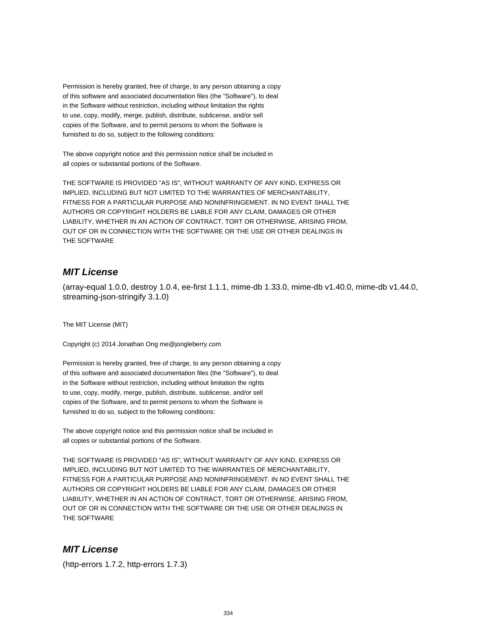Permission is hereby granted, free of charge, to any person obtaining a copy of this software and associated documentation files (the "Software"), to deal in the Software without restriction, including without limitation the rights to use, copy, modify, merge, publish, distribute, sublicense, and/or sell copies of the Software, and to permit persons to whom the Software is furnished to do so, subject to the following conditions:

The above copyright notice and this permission notice shall be included in all copies or substantial portions of the Software.

THE SOFTWARE IS PROVIDED "AS IS", WITHOUT WARRANTY OF ANY KIND, EXPRESS OR IMPLIED, INCLUDING BUT NOT LIMITED TO THE WARRANTIES OF MERCHANTABILITY, FITNESS FOR A PARTICULAR PURPOSE AND NONINFRINGEMENT. IN NO EVENT SHALL THE AUTHORS OR COPYRIGHT HOLDERS BE LIABLE FOR ANY CLAIM, DAMAGES OR OTHER LIABILITY, WHETHER IN AN ACTION OF CONTRACT, TORT OR OTHERWISE, ARISING FROM, OUT OF OR IN CONNECTION WITH THE SOFTWARE OR THE USE OR OTHER DEALINGS IN THE SOFTWARE

## **MIT License**

(array-equal 1.0.0, destroy 1.0.4, ee-first 1.1.1, mime-db 1.33.0, mime-db v1.40.0, mime-db v1.44.0, streaming-json-stringify 3.1.0)

The MIT License (MIT)

Copyright (c) 2014 Jonathan Ong me@jongleberry.com

Permission is hereby granted, free of charge, to any person obtaining a copy of this software and associated documentation files (the "Software"), to deal in the Software without restriction, including without limitation the rights to use, copy, modify, merge, publish, distribute, sublicense, and/or sell copies of the Software, and to permit persons to whom the Software is furnished to do so, subject to the following conditions:

The above copyright notice and this permission notice shall be included in all copies or substantial portions of the Software.

THE SOFTWARE IS PROVIDED "AS IS", WITHOUT WARRANTY OF ANY KIND, EXPRESS OR IMPLIED, INCLUDING BUT NOT LIMITED TO THE WARRANTIES OF MERCHANTABILITY, FITNESS FOR A PARTICULAR PURPOSE AND NONINFRINGEMENT. IN NO EVENT SHALL THE AUTHORS OR COPYRIGHT HOLDERS BE LIABLE FOR ANY CLAIM, DAMAGES OR OTHER LIABILITY, WHETHER IN AN ACTION OF CONTRACT, TORT OR OTHERWISE, ARISING FROM, OUT OF OR IN CONNECTION WITH THE SOFTWARE OR THE USE OR OTHER DEALINGS IN THE SOFTWARE

## **MIT License**

(http-errors 1.7.2, http-errors 1.7.3)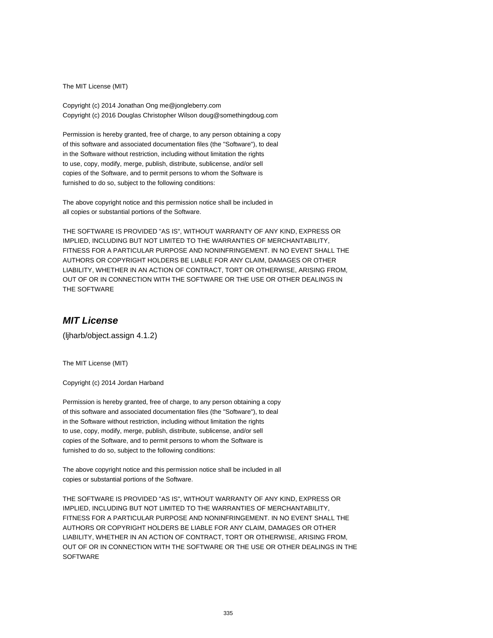The MIT License (MIT)

Copyright (c) 2014 Jonathan Ong me@jongleberry.com Copyright (c) 2016 Douglas Christopher Wilson doug@somethingdoug.com

Permission is hereby granted, free of charge, to any person obtaining a copy of this software and associated documentation files (the "Software"), to deal in the Software without restriction, including without limitation the rights to use, copy, modify, merge, publish, distribute, sublicense, and/or sell copies of the Software, and to permit persons to whom the Software is furnished to do so, subject to the following conditions:

The above copyright notice and this permission notice shall be included in all copies or substantial portions of the Software.

THE SOFTWARE IS PROVIDED "AS IS", WITHOUT WARRANTY OF ANY KIND, EXPRESS OR IMPLIED, INCLUDING BUT NOT LIMITED TO THE WARRANTIES OF MERCHANTABILITY, FITNESS FOR A PARTICULAR PURPOSE AND NONINFRINGEMENT. IN NO EVENT SHALL THE AUTHORS OR COPYRIGHT HOLDERS BE LIABLE FOR ANY CLAIM, DAMAGES OR OTHER LIABILITY, WHETHER IN AN ACTION OF CONTRACT, TORT OR OTHERWISE, ARISING FROM, OUT OF OR IN CONNECTION WITH THE SOFTWARE OR THE USE OR OTHER DEALINGS IN THE SOFTWARE

#### **MIT License**

(ljharb/object.assign 4.1.2)

The MIT License (MIT)

Copyright (c) 2014 Jordan Harband

Permission is hereby granted, free of charge, to any person obtaining a copy of this software and associated documentation files (the "Software"), to deal in the Software without restriction, including without limitation the rights to use, copy, modify, merge, publish, distribute, sublicense, and/or sell copies of the Software, and to permit persons to whom the Software is furnished to do so, subject to the following conditions:

The above copyright notice and this permission notice shall be included in all copies or substantial portions of the Software.

THE SOFTWARE IS PROVIDED "AS IS", WITHOUT WARRANTY OF ANY KIND, EXPRESS OR IMPLIED, INCLUDING BUT NOT LIMITED TO THE WARRANTIES OF MERCHANTABILITY, FITNESS FOR A PARTICULAR PURPOSE AND NONINFRINGEMENT. IN NO EVENT SHALL THE AUTHORS OR COPYRIGHT HOLDERS BE LIABLE FOR ANY CLAIM, DAMAGES OR OTHER LIABILITY, WHETHER IN AN ACTION OF CONTRACT, TORT OR OTHERWISE, ARISING FROM, OUT OF OR IN CONNECTION WITH THE SOFTWARE OR THE USE OR OTHER DEALINGS IN THE **SOFTWARE**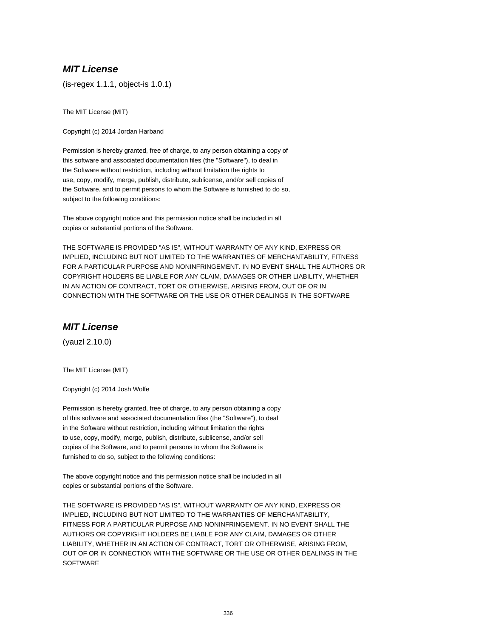## **MIT License**

(is-regex 1.1.1, object-is 1.0.1)

The MIT License (MIT)

Copyright (c) 2014 Jordan Harband

Permission is hereby granted, free of charge, to any person obtaining a copy of this software and associated documentation files (the "Software"), to deal in the Software without restriction, including without limitation the rights to use, copy, modify, merge, publish, distribute, sublicense, and/or sell copies of the Software, and to permit persons to whom the Software is furnished to do so, subject to the following conditions:

The above copyright notice and this permission notice shall be included in all copies or substantial portions of the Software.

THE SOFTWARE IS PROVIDED "AS IS", WITHOUT WARRANTY OF ANY KIND, EXPRESS OR IMPLIED, INCLUDING BUT NOT LIMITED TO THE WARRANTIES OF MERCHANTABILITY, FITNESS FOR A PARTICULAR PURPOSE AND NONINFRINGEMENT. IN NO EVENT SHALL THE AUTHORS OR COPYRIGHT HOLDERS BE LIABLE FOR ANY CLAIM, DAMAGES OR OTHER LIABILITY, WHETHER IN AN ACTION OF CONTRACT, TORT OR OTHERWISE, ARISING FROM, OUT OF OR IN CONNECTION WITH THE SOFTWARE OR THE USE OR OTHER DEALINGS IN THE SOFTWARE

## **MIT License**

(yauzl 2.10.0)

The MIT License (MIT)

Copyright (c) 2014 Josh Wolfe

Permission is hereby granted, free of charge, to any person obtaining a copy of this software and associated documentation files (the "Software"), to deal in the Software without restriction, including without limitation the rights to use, copy, modify, merge, publish, distribute, sublicense, and/or sell copies of the Software, and to permit persons to whom the Software is furnished to do so, subject to the following conditions:

The above copyright notice and this permission notice shall be included in all copies or substantial portions of the Software.

THE SOFTWARE IS PROVIDED "AS IS", WITHOUT WARRANTY OF ANY KIND, EXPRESS OR IMPLIED, INCLUDING BUT NOT LIMITED TO THE WARRANTIES OF MERCHANTABILITY, FITNESS FOR A PARTICULAR PURPOSE AND NONINFRINGEMENT. IN NO EVENT SHALL THE AUTHORS OR COPYRIGHT HOLDERS BE LIABLE FOR ANY CLAIM, DAMAGES OR OTHER LIABILITY, WHETHER IN AN ACTION OF CONTRACT, TORT OR OTHERWISE, ARISING FROM, OUT OF OR IN CONNECTION WITH THE SOFTWARE OR THE USE OR OTHER DEALINGS IN THE **SOFTWARE**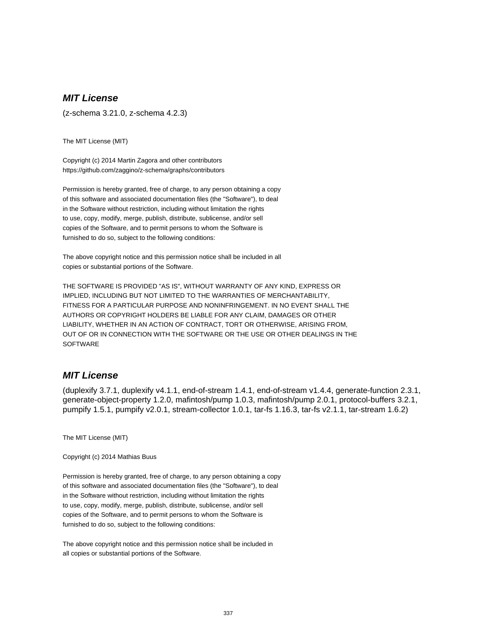# **MIT License**

(z-schema 3.21.0, z-schema 4.2.3)

The MIT License (MIT)

Copyright (c) 2014 Martin Zagora and other contributors https://github.com/zaggino/z-schema/graphs/contributors

Permission is hereby granted, free of charge, to any person obtaining a copy of this software and associated documentation files (the "Software"), to deal in the Software without restriction, including without limitation the rights to use, copy, modify, merge, publish, distribute, sublicense, and/or sell copies of the Software, and to permit persons to whom the Software is furnished to do so, subject to the following conditions:

The above copyright notice and this permission notice shall be included in all copies or substantial portions of the Software.

THE SOFTWARE IS PROVIDED "AS IS", WITHOUT WARRANTY OF ANY KIND, EXPRESS OR IMPLIED, INCLUDING BUT NOT LIMITED TO THE WARRANTIES OF MERCHANTABILITY, FITNESS FOR A PARTICULAR PURPOSE AND NONINFRINGEMENT. IN NO EVENT SHALL THE AUTHORS OR COPYRIGHT HOLDERS BE LIABLE FOR ANY CLAIM, DAMAGES OR OTHER LIABILITY, WHETHER IN AN ACTION OF CONTRACT, TORT OR OTHERWISE, ARISING FROM, OUT OF OR IN CONNECTION WITH THE SOFTWARE OR THE USE OR OTHER DEALINGS IN THE **SOFTWARE** 

## **MIT License**

(duplexify 3.7.1, duplexify v4.1.1, end-of-stream 1.4.1, end-of-stream v1.4.4, generate-function 2.3.1, generate-object-property 1.2.0, mafintosh/pump 1.0.3, mafintosh/pump 2.0.1, protocol-buffers 3.2.1, pumpify 1.5.1, pumpify v2.0.1, stream-collector 1.0.1, tar-fs 1.16.3, tar-fs v2.1.1, tar-stream 1.6.2)

The MIT License (MIT)

Copyright (c) 2014 Mathias Buus

Permission is hereby granted, free of charge, to any person obtaining a copy of this software and associated documentation files (the "Software"), to deal in the Software without restriction, including without limitation the rights to use, copy, modify, merge, publish, distribute, sublicense, and/or sell copies of the Software, and to permit persons to whom the Software is furnished to do so, subject to the following conditions:

The above copyright notice and this permission notice shall be included in all copies or substantial portions of the Software.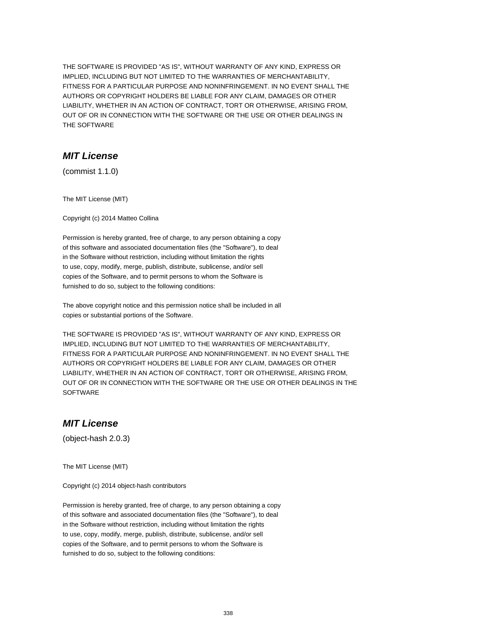THE SOFTWARE IS PROVIDED "AS IS", WITHOUT WARRANTY OF ANY KIND, EXPRESS OR IMPLIED, INCLUDING BUT NOT LIMITED TO THE WARRANTIES OF MERCHANTABILITY, FITNESS FOR A PARTICULAR PURPOSE AND NONINFRINGEMENT. IN NO EVENT SHALL THE AUTHORS OR COPYRIGHT HOLDERS BE LIABLE FOR ANY CLAIM, DAMAGES OR OTHER LIABILITY, WHETHER IN AN ACTION OF CONTRACT, TORT OR OTHERWISE, ARISING FROM, OUT OF OR IN CONNECTION WITH THE SOFTWARE OR THE USE OR OTHER DEALINGS IN THE SOFTWARE

## **MIT License**

(commist 1.1.0)

The MIT License (MIT)

Copyright (c) 2014 Matteo Collina

Permission is hereby granted, free of charge, to any person obtaining a copy of this software and associated documentation files (the "Software"), to deal in the Software without restriction, including without limitation the rights to use, copy, modify, merge, publish, distribute, sublicense, and/or sell copies of the Software, and to permit persons to whom the Software is furnished to do so, subject to the following conditions:

The above copyright notice and this permission notice shall be included in all copies or substantial portions of the Software.

THE SOFTWARE IS PROVIDED "AS IS", WITHOUT WARRANTY OF ANY KIND, EXPRESS OR IMPLIED, INCLUDING BUT NOT LIMITED TO THE WARRANTIES OF MERCHANTABILITY, FITNESS FOR A PARTICULAR PURPOSE AND NONINFRINGEMENT. IN NO EVENT SHALL THE AUTHORS OR COPYRIGHT HOLDERS BE LIABLE FOR ANY CLAIM, DAMAGES OR OTHER LIABILITY, WHETHER IN AN ACTION OF CONTRACT, TORT OR OTHERWISE, ARISING FROM, OUT OF OR IN CONNECTION WITH THE SOFTWARE OR THE USE OR OTHER DEALINGS IN THE **SOFTWARE** 

## **MIT License**

(object-hash 2.0.3)

The MIT License (MIT)

Copyright (c) 2014 object-hash contributors

Permission is hereby granted, free of charge, to any person obtaining a copy of this software and associated documentation files (the "Software"), to deal in the Software without restriction, including without limitation the rights to use, copy, modify, merge, publish, distribute, sublicense, and/or sell copies of the Software, and to permit persons to whom the Software is furnished to do so, subject to the following conditions: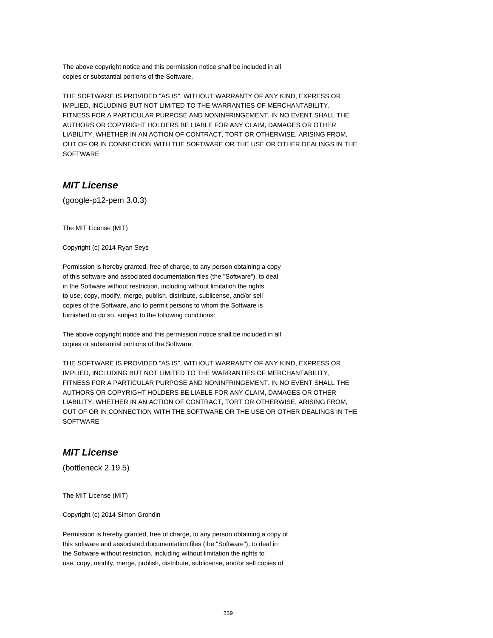The above copyright notice and this permission notice shall be included in all copies or substantial portions of the Software.

THE SOFTWARE IS PROVIDED "AS IS", WITHOUT WARRANTY OF ANY KIND, EXPRESS OR IMPLIED, INCLUDING BUT NOT LIMITED TO THE WARRANTIES OF MERCHANTABILITY, FITNESS FOR A PARTICULAR PURPOSE AND NONINFRINGEMENT. IN NO EVENT SHALL THE AUTHORS OR COPYRIGHT HOLDERS BE LIABLE FOR ANY CLAIM, DAMAGES OR OTHER LIABILITY, WHETHER IN AN ACTION OF CONTRACT, TORT OR OTHERWISE, ARISING FROM, OUT OF OR IN CONNECTION WITH THE SOFTWARE OR THE USE OR OTHER DEALINGS IN THE SOFTWARE

# **MIT License**

(google-p12-pem 3.0.3)

The MIT License (MIT)

Copyright (c) 2014 Ryan Seys

Permission is hereby granted, free of charge, to any person obtaining a copy of this software and associated documentation files (the "Software"), to deal in the Software without restriction, including without limitation the rights to use, copy, modify, merge, publish, distribute, sublicense, and/or sell copies of the Software, and to permit persons to whom the Software is furnished to do so, subject to the following conditions:

The above copyright notice and this permission notice shall be included in all copies or substantial portions of the Software.

THE SOFTWARE IS PROVIDED "AS IS", WITHOUT WARRANTY OF ANY KIND, EXPRESS OR IMPLIED, INCLUDING BUT NOT LIMITED TO THE WARRANTIES OF MERCHANTABILITY, FITNESS FOR A PARTICULAR PURPOSE AND NONINFRINGEMENT. IN NO EVENT SHALL THE AUTHORS OR COPYRIGHT HOLDERS BE LIABLE FOR ANY CLAIM, DAMAGES OR OTHER LIABILITY, WHETHER IN AN ACTION OF CONTRACT, TORT OR OTHERWISE, ARISING FROM, OUT OF OR IN CONNECTION WITH THE SOFTWARE OR THE USE OR OTHER DEALINGS IN THE **SOFTWARE** 

### **MIT License**

(bottleneck 2.19.5)

The MIT License (MIT)

Copyright (c) 2014 Simon Grondin

Permission is hereby granted, free of charge, to any person obtaining a copy of this software and associated documentation files (the "Software"), to deal in the Software without restriction, including without limitation the rights to use, copy, modify, merge, publish, distribute, sublicense, and/or sell copies of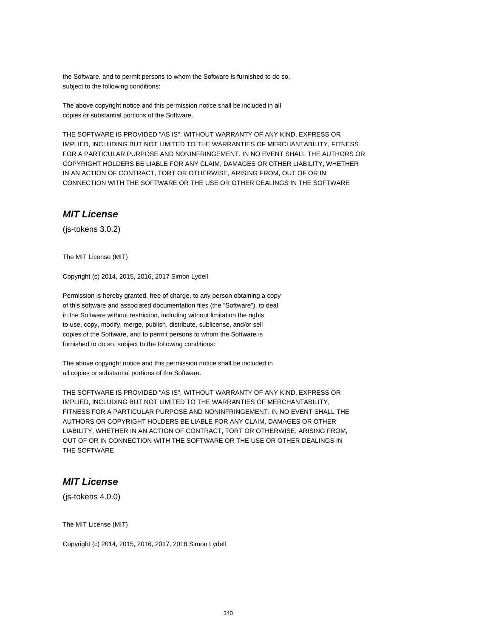the Software, and to permit persons to whom the Software is furnished to do so, subject to the following conditions:

The above copyright notice and this permission notice shall be included in all copies or substantial portions of the Software.

THE SOFTWARE IS PROVIDED "AS IS", WITHOUT WARRANTY OF ANY KIND, EXPRESS OR IMPLIED, INCLUDING BUT NOT LIMITED TO THE WARRANTIES OF MERCHANTABILITY, FITNESS FOR A PARTICULAR PURPOSE AND NONINFRINGEMENT. IN NO EVENT SHALL THE AUTHORS OR COPYRIGHT HOLDERS BE LIABLE FOR ANY CLAIM, DAMAGES OR OTHER LIABILITY, WHETHER IN AN ACTION OF CONTRACT, TORT OR OTHERWISE, ARISING FROM, OUT OF OR IN CONNECTION WITH THE SOFTWARE OR THE USE OR OTHER DEALINGS IN THE SOFTWARE

#### **MIT License**

(js-tokens 3.0.2)

The MIT License (MIT)

Copyright (c) 2014, 2015, 2016, 2017 Simon Lydell

Permission is hereby granted, free of charge, to any person obtaining a copy of this software and associated documentation files (the "Software"), to deal in the Software without restriction, including without limitation the rights to use, copy, modify, merge, publish, distribute, sublicense, and/or sell copies of the Software, and to permit persons to whom the Software is furnished to do so, subject to the following conditions:

The above copyright notice and this permission notice shall be included in all copies or substantial portions of the Software.

THE SOFTWARE IS PROVIDED "AS IS", WITHOUT WARRANTY OF ANY KIND, EXPRESS OR IMPLIED, INCLUDING BUT NOT LIMITED TO THE WARRANTIES OF MERCHANTABILITY, FITNESS FOR A PARTICULAR PURPOSE AND NONINFRINGEMENT. IN NO EVENT SHALL THE AUTHORS OR COPYRIGHT HOLDERS BE LIABLE FOR ANY CLAIM, DAMAGES OR OTHER LIABILITY, WHETHER IN AN ACTION OF CONTRACT, TORT OR OTHERWISE, ARISING FROM, OUT OF OR IN CONNECTION WITH THE SOFTWARE OR THE USE OR OTHER DEALINGS IN THE SOFTWARE

### **MIT License**

(js-tokens 4.0.0)

The MIT License (MIT)

Copyright (c) 2014, 2015, 2016, 2017, 2018 Simon Lydell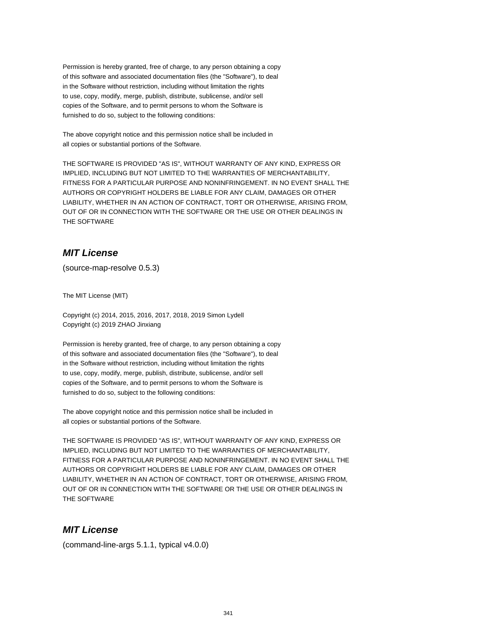Permission is hereby granted, free of charge, to any person obtaining a copy of this software and associated documentation files (the "Software"), to deal in the Software without restriction, including without limitation the rights to use, copy, modify, merge, publish, distribute, sublicense, and/or sell copies of the Software, and to permit persons to whom the Software is furnished to do so, subject to the following conditions:

The above copyright notice and this permission notice shall be included in all copies or substantial portions of the Software.

THE SOFTWARE IS PROVIDED "AS IS", WITHOUT WARRANTY OF ANY KIND, EXPRESS OR IMPLIED, INCLUDING BUT NOT LIMITED TO THE WARRANTIES OF MERCHANTABILITY, FITNESS FOR A PARTICULAR PURPOSE AND NONINFRINGEMENT. IN NO EVENT SHALL THE AUTHORS OR COPYRIGHT HOLDERS BE LIABLE FOR ANY CLAIM, DAMAGES OR OTHER LIABILITY, WHETHER IN AN ACTION OF CONTRACT, TORT OR OTHERWISE, ARISING FROM, OUT OF OR IN CONNECTION WITH THE SOFTWARE OR THE USE OR OTHER DEALINGS IN THE SOFTWARE

## **MIT License**

(source-map-resolve 0.5.3)

The MIT License (MIT)

Copyright (c) 2014, 2015, 2016, 2017, 2018, 2019 Simon Lydell Copyright (c) 2019 ZHAO Jinxiang

Permission is hereby granted, free of charge, to any person obtaining a copy of this software and associated documentation files (the "Software"), to deal in the Software without restriction, including without limitation the rights to use, copy, modify, merge, publish, distribute, sublicense, and/or sell copies of the Software, and to permit persons to whom the Software is furnished to do so, subject to the following conditions:

The above copyright notice and this permission notice shall be included in all copies or substantial portions of the Software.

THE SOFTWARE IS PROVIDED "AS IS", WITHOUT WARRANTY OF ANY KIND, EXPRESS OR IMPLIED, INCLUDING BUT NOT LIMITED TO THE WARRANTIES OF MERCHANTABILITY, FITNESS FOR A PARTICULAR PURPOSE AND NONINFRINGEMENT. IN NO EVENT SHALL THE AUTHORS OR COPYRIGHT HOLDERS BE LIABLE FOR ANY CLAIM, DAMAGES OR OTHER LIABILITY, WHETHER IN AN ACTION OF CONTRACT, TORT OR OTHERWISE, ARISING FROM, OUT OF OR IN CONNECTION WITH THE SOFTWARE OR THE USE OR OTHER DEALINGS IN THE SOFTWARE

## **MIT License**

(command-line-args 5.1.1, typical v4.0.0)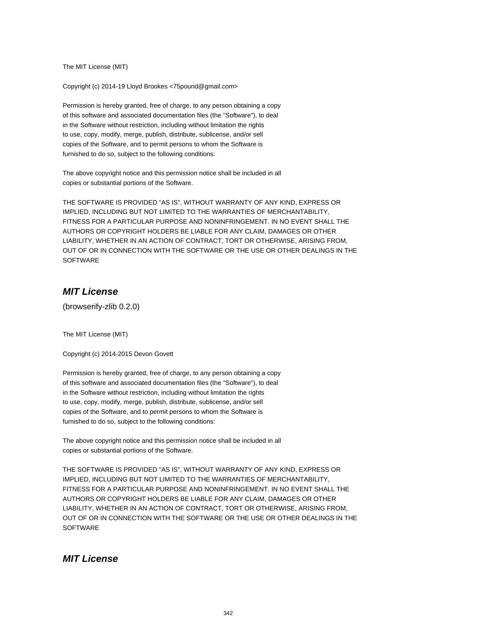The MIT License (MIT)

Copyright (c) 2014-19 Lloyd Brookes <75pound@gmail.com>

Permission is hereby granted, free of charge, to any person obtaining a copy of this software and associated documentation files (the "Software"), to deal in the Software without restriction, including without limitation the rights to use, copy, modify, merge, publish, distribute, sublicense, and/or sell copies of the Software, and to permit persons to whom the Software is furnished to do so, subject to the following conditions:

The above copyright notice and this permission notice shall be included in all copies or substantial portions of the Software.

THE SOFTWARE IS PROVIDED "AS IS", WITHOUT WARRANTY OF ANY KIND, EXPRESS OR IMPLIED, INCLUDING BUT NOT LIMITED TO THE WARRANTIES OF MERCHANTABILITY, FITNESS FOR A PARTICULAR PURPOSE AND NONINFRINGEMENT. IN NO EVENT SHALL THE AUTHORS OR COPYRIGHT HOLDERS BE LIABLE FOR ANY CLAIM, DAMAGES OR OTHER LIABILITY, WHETHER IN AN ACTION OF CONTRACT, TORT OR OTHERWISE, ARISING FROM, OUT OF OR IN CONNECTION WITH THE SOFTWARE OR THE USE OR OTHER DEALINGS IN THE **SOFTWARE** 

## **MIT License**

(browserify-zlib 0.2.0)

The MIT License (MIT)

Copyright (c) 2014-2015 Devon Govett

Permission is hereby granted, free of charge, to any person obtaining a copy of this software and associated documentation files (the "Software"), to deal in the Software without restriction, including without limitation the rights to use, copy, modify, merge, publish, distribute, sublicense, and/or sell copies of the Software, and to permit persons to whom the Software is furnished to do so, subject to the following conditions:

The above copyright notice and this permission notice shall be included in all copies or substantial portions of the Software.

THE SOFTWARE IS PROVIDED "AS IS", WITHOUT WARRANTY OF ANY KIND, EXPRESS OR IMPLIED, INCLUDING BUT NOT LIMITED TO THE WARRANTIES OF MERCHANTABILITY, FITNESS FOR A PARTICULAR PURPOSE AND NONINFRINGEMENT. IN NO EVENT SHALL THE AUTHORS OR COPYRIGHT HOLDERS BE LIABLE FOR ANY CLAIM, DAMAGES OR OTHER LIABILITY, WHETHER IN AN ACTION OF CONTRACT, TORT OR OTHERWISE, ARISING FROM, OUT OF OR IN CONNECTION WITH THE SOFTWARE OR THE USE OR OTHER DEALINGS IN THE **SOFTWARE** 

## **MIT License**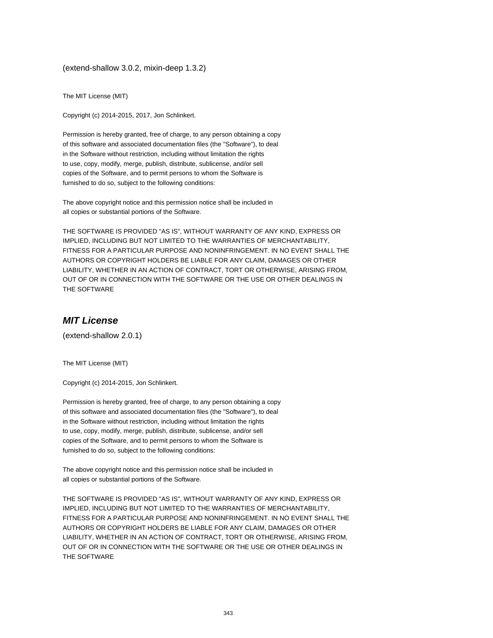(extend-shallow 3.0.2, mixin-deep 1.3.2)

The MIT License (MIT)

Copyright (c) 2014-2015, 2017, Jon Schlinkert.

Permission is hereby granted, free of charge, to any person obtaining a copy of this software and associated documentation files (the "Software"), to deal in the Software without restriction, including without limitation the rights to use, copy, modify, merge, publish, distribute, sublicense, and/or sell copies of the Software, and to permit persons to whom the Software is furnished to do so, subject to the following conditions:

The above copyright notice and this permission notice shall be included in all copies or substantial portions of the Software.

THE SOFTWARE IS PROVIDED "AS IS", WITHOUT WARRANTY OF ANY KIND, EXPRESS OR IMPLIED, INCLUDING BUT NOT LIMITED TO THE WARRANTIES OF MERCHANTABILITY, FITNESS FOR A PARTICULAR PURPOSE AND NONINFRINGEMENT. IN NO EVENT SHALL THE AUTHORS OR COPYRIGHT HOLDERS BE LIABLE FOR ANY CLAIM, DAMAGES OR OTHER LIABILITY, WHETHER IN AN ACTION OF CONTRACT, TORT OR OTHERWISE, ARISING FROM, OUT OF OR IN CONNECTION WITH THE SOFTWARE OR THE USE OR OTHER DEALINGS IN THE SOFTWARE

#### **MIT License**

(extend-shallow 2.0.1)

The MIT License (MIT)

Copyright (c) 2014-2015, Jon Schlinkert.

Permission is hereby granted, free of charge, to any person obtaining a copy of this software and associated documentation files (the "Software"), to deal in the Software without restriction, including without limitation the rights to use, copy, modify, merge, publish, distribute, sublicense, and/or sell copies of the Software, and to permit persons to whom the Software is furnished to do so, subject to the following conditions:

The above copyright notice and this permission notice shall be included in all copies or substantial portions of the Software.

THE SOFTWARE IS PROVIDED "AS IS", WITHOUT WARRANTY OF ANY KIND, EXPRESS OR IMPLIED, INCLUDING BUT NOT LIMITED TO THE WARRANTIES OF MERCHANTABILITY, FITNESS FOR A PARTICULAR PURPOSE AND NONINFRINGEMENT. IN NO EVENT SHALL THE AUTHORS OR COPYRIGHT HOLDERS BE LIABLE FOR ANY CLAIM, DAMAGES OR OTHER LIABILITY, WHETHER IN AN ACTION OF CONTRACT, TORT OR OTHERWISE, ARISING FROM, OUT OF OR IN CONNECTION WITH THE SOFTWARE OR THE USE OR OTHER DEALINGS IN THE SOFTWARE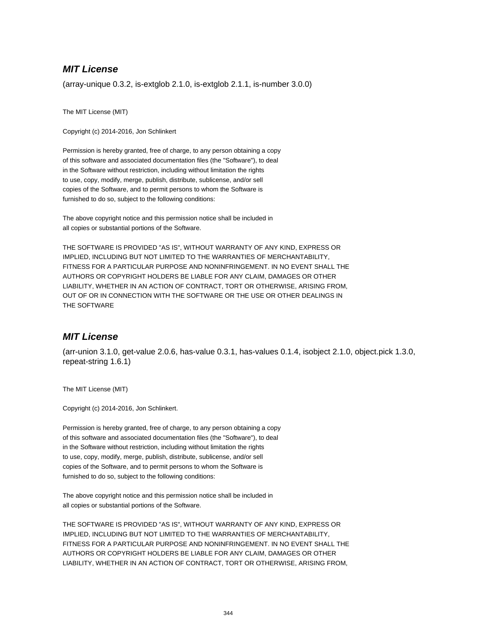## **MIT License**

(array-unique 0.3.2, is-extglob 2.1.0, is-extglob 2.1.1, is-number 3.0.0)

The MIT License (MIT)

Copyright (c) 2014-2016, Jon Schlinkert

Permission is hereby granted, free of charge, to any person obtaining a copy of this software and associated documentation files (the "Software"), to deal in the Software without restriction, including without limitation the rights to use, copy, modify, merge, publish, distribute, sublicense, and/or sell copies of the Software, and to permit persons to whom the Software is furnished to do so, subject to the following conditions:

The above copyright notice and this permission notice shall be included in all copies or substantial portions of the Software.

THE SOFTWARE IS PROVIDED "AS IS", WITHOUT WARRANTY OF ANY KIND, EXPRESS OR IMPLIED, INCLUDING BUT NOT LIMITED TO THE WARRANTIES OF MERCHANTABILITY, FITNESS FOR A PARTICULAR PURPOSE AND NONINFRINGEMENT. IN NO EVENT SHALL THE AUTHORS OR COPYRIGHT HOLDERS BE LIABLE FOR ANY CLAIM, DAMAGES OR OTHER LIABILITY, WHETHER IN AN ACTION OF CONTRACT, TORT OR OTHERWISE, ARISING FROM, OUT OF OR IN CONNECTION WITH THE SOFTWARE OR THE USE OR OTHER DEALINGS IN THE SOFTWARE

#### **MIT License**

(arr-union 3.1.0, get-value 2.0.6, has-value 0.3.1, has-values 0.1.4, isobject 2.1.0, object.pick 1.3.0, repeat-string 1.6.1)

The MIT License (MIT)

Copyright (c) 2014-2016, Jon Schlinkert.

Permission is hereby granted, free of charge, to any person obtaining a copy of this software and associated documentation files (the "Software"), to deal in the Software without restriction, including without limitation the rights to use, copy, modify, merge, publish, distribute, sublicense, and/or sell copies of the Software, and to permit persons to whom the Software is furnished to do so, subject to the following conditions:

The above copyright notice and this permission notice shall be included in all copies or substantial portions of the Software.

THE SOFTWARE IS PROVIDED "AS IS", WITHOUT WARRANTY OF ANY KIND, EXPRESS OR IMPLIED, INCLUDING BUT NOT LIMITED TO THE WARRANTIES OF MERCHANTABILITY, FITNESS FOR A PARTICULAR PURPOSE AND NONINFRINGEMENT. IN NO EVENT SHALL THE AUTHORS OR COPYRIGHT HOLDERS BE LIABLE FOR ANY CLAIM, DAMAGES OR OTHER LIABILITY, WHETHER IN AN ACTION OF CONTRACT, TORT OR OTHERWISE, ARISING FROM,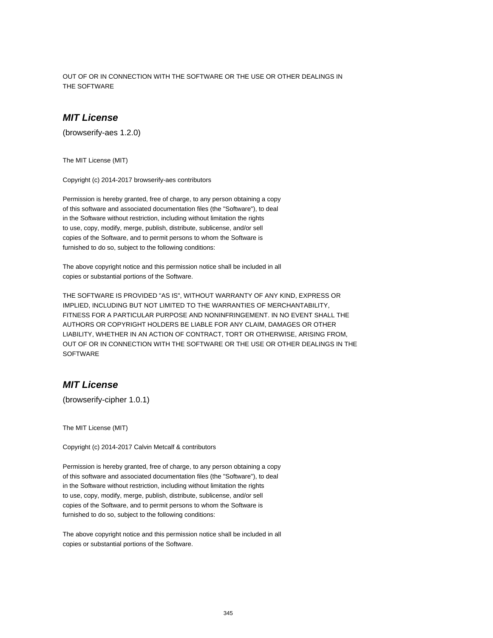OUT OF OR IN CONNECTION WITH THE SOFTWARE OR THE USE OR OTHER DEALINGS IN THE SOFTWARE

### **MIT License**

(browserify-aes 1.2.0)

The MIT License (MIT)

Copyright (c) 2014-2017 browserify-aes contributors

Permission is hereby granted, free of charge, to any person obtaining a copy of this software and associated documentation files (the "Software"), to deal in the Software without restriction, including without limitation the rights to use, copy, modify, merge, publish, distribute, sublicense, and/or sell copies of the Software, and to permit persons to whom the Software is furnished to do so, subject to the following conditions:

The above copyright notice and this permission notice shall be included in all copies or substantial portions of the Software.

THE SOFTWARE IS PROVIDED "AS IS", WITHOUT WARRANTY OF ANY KIND, EXPRESS OR IMPLIED, INCLUDING BUT NOT LIMITED TO THE WARRANTIES OF MERCHANTABILITY, FITNESS FOR A PARTICULAR PURPOSE AND NONINFRINGEMENT. IN NO EVENT SHALL THE AUTHORS OR COPYRIGHT HOLDERS BE LIABLE FOR ANY CLAIM, DAMAGES OR OTHER LIABILITY, WHETHER IN AN ACTION OF CONTRACT, TORT OR OTHERWISE, ARISING FROM, OUT OF OR IN CONNECTION WITH THE SOFTWARE OR THE USE OR OTHER DEALINGS IN THE **SOFTWARE** 

#### **MIT License**

(browserify-cipher 1.0.1)

The MIT License (MIT)

Copyright (c) 2014-2017 Calvin Metcalf & contributors

Permission is hereby granted, free of charge, to any person obtaining a copy of this software and associated documentation files (the "Software"), to deal in the Software without restriction, including without limitation the rights to use, copy, modify, merge, publish, distribute, sublicense, and/or sell copies of the Software, and to permit persons to whom the Software is furnished to do so, subject to the following conditions:

The above copyright notice and this permission notice shall be included in all copies or substantial portions of the Software.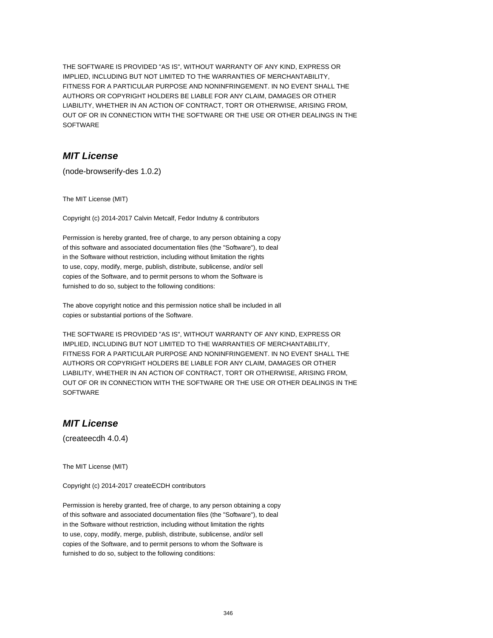THE SOFTWARE IS PROVIDED "AS IS", WITHOUT WARRANTY OF ANY KIND, EXPRESS OR IMPLIED, INCLUDING BUT NOT LIMITED TO THE WARRANTIES OF MERCHANTABILITY, FITNESS FOR A PARTICULAR PURPOSE AND NONINFRINGEMENT. IN NO EVENT SHALL THE AUTHORS OR COPYRIGHT HOLDERS BE LIABLE FOR ANY CLAIM, DAMAGES OR OTHER LIABILITY, WHETHER IN AN ACTION OF CONTRACT, TORT OR OTHERWISE, ARISING FROM, OUT OF OR IN CONNECTION WITH THE SOFTWARE OR THE USE OR OTHER DEALINGS IN THE SOFTWARE

## **MIT License**

(node-browserify-des 1.0.2)

The MIT License (MIT)

Copyright (c) 2014-2017 Calvin Metcalf, Fedor Indutny & contributors

Permission is hereby granted, free of charge, to any person obtaining a copy of this software and associated documentation files (the "Software"), to deal in the Software without restriction, including without limitation the rights to use, copy, modify, merge, publish, distribute, sublicense, and/or sell copies of the Software, and to permit persons to whom the Software is furnished to do so, subject to the following conditions:

The above copyright notice and this permission notice shall be included in all copies or substantial portions of the Software.

THE SOFTWARE IS PROVIDED "AS IS", WITHOUT WARRANTY OF ANY KIND, EXPRESS OR IMPLIED, INCLUDING BUT NOT LIMITED TO THE WARRANTIES OF MERCHANTABILITY, FITNESS FOR A PARTICULAR PURPOSE AND NONINFRINGEMENT. IN NO EVENT SHALL THE AUTHORS OR COPYRIGHT HOLDERS BE LIABLE FOR ANY CLAIM, DAMAGES OR OTHER LIABILITY, WHETHER IN AN ACTION OF CONTRACT, TORT OR OTHERWISE, ARISING FROM, OUT OF OR IN CONNECTION WITH THE SOFTWARE OR THE USE OR OTHER DEALINGS IN THE **SOFTWARE** 

## **MIT License**

(createecdh 4.0.4)

The MIT License (MIT)

Copyright (c) 2014-2017 createECDH contributors

Permission is hereby granted, free of charge, to any person obtaining a copy of this software and associated documentation files (the "Software"), to deal in the Software without restriction, including without limitation the rights to use, copy, modify, merge, publish, distribute, sublicense, and/or sell copies of the Software, and to permit persons to whom the Software is furnished to do so, subject to the following conditions: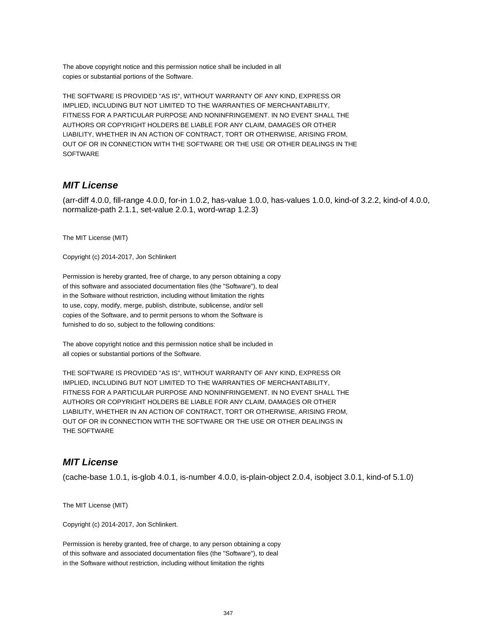The above copyright notice and this permission notice shall be included in all copies or substantial portions of the Software.

THE SOFTWARE IS PROVIDED "AS IS", WITHOUT WARRANTY OF ANY KIND, EXPRESS OR IMPLIED, INCLUDING BUT NOT LIMITED TO THE WARRANTIES OF MERCHANTABILITY, FITNESS FOR A PARTICULAR PURPOSE AND NONINFRINGEMENT. IN NO EVENT SHALL THE AUTHORS OR COPYRIGHT HOLDERS BE LIABLE FOR ANY CLAIM, DAMAGES OR OTHER LIABILITY, WHETHER IN AN ACTION OF CONTRACT, TORT OR OTHERWISE, ARISING FROM, OUT OF OR IN CONNECTION WITH THE SOFTWARE OR THE USE OR OTHER DEALINGS IN THE **SOFTWARE** 

## **MIT License**

(arr-diff 4.0.0, fill-range 4.0.0, for-in 1.0.2, has-value 1.0.0, has-values 1.0.0, kind-of 3.2.2, kind-of 4.0.0, normalize-path 2.1.1, set-value 2.0.1, word-wrap 1.2.3)

The MIT License (MIT)

Copyright (c) 2014-2017, Jon Schlinkert

Permission is hereby granted, free of charge, to any person obtaining a copy of this software and associated documentation files (the "Software"), to deal in the Software without restriction, including without limitation the rights to use, copy, modify, merge, publish, distribute, sublicense, and/or sell copies of the Software, and to permit persons to whom the Software is furnished to do so, subject to the following conditions:

The above copyright notice and this permission notice shall be included in all copies or substantial portions of the Software.

THE SOFTWARE IS PROVIDED "AS IS", WITHOUT WARRANTY OF ANY KIND, EXPRESS OR IMPLIED, INCLUDING BUT NOT LIMITED TO THE WARRANTIES OF MERCHANTABILITY, FITNESS FOR A PARTICULAR PURPOSE AND NONINFRINGEMENT. IN NO EVENT SHALL THE AUTHORS OR COPYRIGHT HOLDERS BE LIABLE FOR ANY CLAIM, DAMAGES OR OTHER LIABILITY, WHETHER IN AN ACTION OF CONTRACT, TORT OR OTHERWISE, ARISING FROM, OUT OF OR IN CONNECTION WITH THE SOFTWARE OR THE USE OR OTHER DEALINGS IN THE SOFTWARE

### **MIT License**

(cache-base 1.0.1, is-glob 4.0.1, is-number 4.0.0, is-plain-object 2.0.4, isobject 3.0.1, kind-of 5.1.0)

The MIT License (MIT)

Copyright (c) 2014-2017, Jon Schlinkert.

Permission is hereby granted, free of charge, to any person obtaining a copy of this software and associated documentation files (the "Software"), to deal in the Software without restriction, including without limitation the rights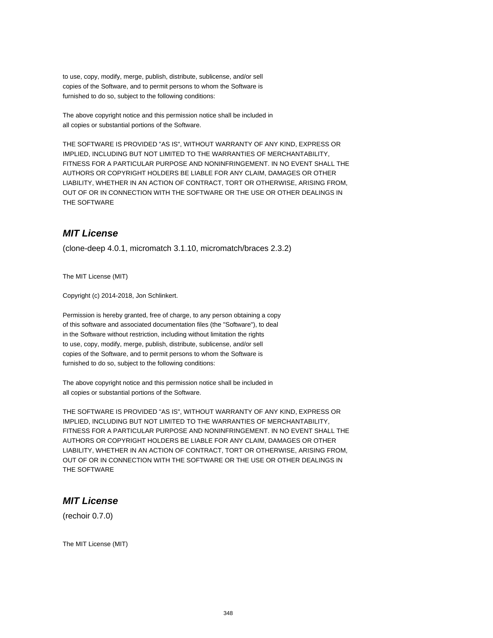to use, copy, modify, merge, publish, distribute, sublicense, and/or sell copies of the Software, and to permit persons to whom the Software is furnished to do so, subject to the following conditions:

The above copyright notice and this permission notice shall be included in all copies or substantial portions of the Software.

THE SOFTWARE IS PROVIDED "AS IS", WITHOUT WARRANTY OF ANY KIND, EXPRESS OR IMPLIED, INCLUDING BUT NOT LIMITED TO THE WARRANTIES OF MERCHANTABILITY, FITNESS FOR A PARTICULAR PURPOSE AND NONINFRINGEMENT. IN NO EVENT SHALL THE AUTHORS OR COPYRIGHT HOLDERS BE LIABLE FOR ANY CLAIM, DAMAGES OR OTHER LIABILITY, WHETHER IN AN ACTION OF CONTRACT, TORT OR OTHERWISE, ARISING FROM, OUT OF OR IN CONNECTION WITH THE SOFTWARE OR THE USE OR OTHER DEALINGS IN THE SOFTWARE

### **MIT License**

(clone-deep 4.0.1, micromatch 3.1.10, micromatch/braces 2.3.2)

The MIT License (MIT)

Copyright (c) 2014-2018, Jon Schlinkert.

Permission is hereby granted, free of charge, to any person obtaining a copy of this software and associated documentation files (the "Software"), to deal in the Software without restriction, including without limitation the rights to use, copy, modify, merge, publish, distribute, sublicense, and/or sell copies of the Software, and to permit persons to whom the Software is furnished to do so, subject to the following conditions:

The above copyright notice and this permission notice shall be included in all copies or substantial portions of the Software.

THE SOFTWARE IS PROVIDED "AS IS", WITHOUT WARRANTY OF ANY KIND, EXPRESS OR IMPLIED, INCLUDING BUT NOT LIMITED TO THE WARRANTIES OF MERCHANTABILITY, FITNESS FOR A PARTICULAR PURPOSE AND NONINFRINGEMENT. IN NO EVENT SHALL THE AUTHORS OR COPYRIGHT HOLDERS BE LIABLE FOR ANY CLAIM, DAMAGES OR OTHER LIABILITY, WHETHER IN AN ACTION OF CONTRACT, TORT OR OTHERWISE, ARISING FROM, OUT OF OR IN CONNECTION WITH THE SOFTWARE OR THE USE OR OTHER DEALINGS IN THE SOFTWARE

### **MIT License**

(rechoir 0.7.0)

The MIT License (MIT)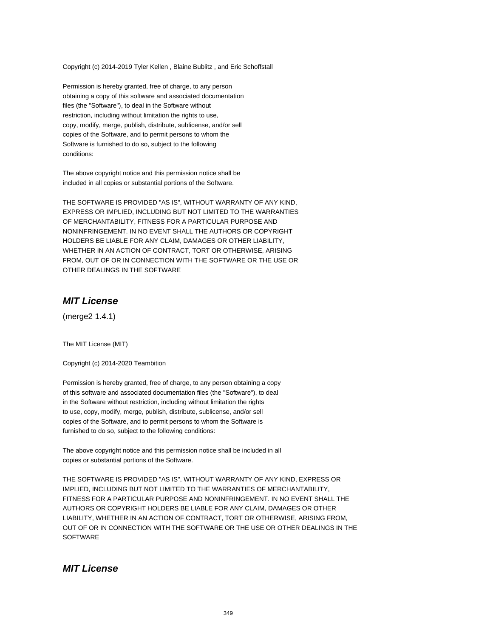Copyright (c) 2014-2019 Tyler Kellen , Blaine Bublitz , and Eric Schoffstall

Permission is hereby granted, free of charge, to any person obtaining a copy of this software and associated documentation files (the "Software"), to deal in the Software without restriction, including without limitation the rights to use, copy, modify, merge, publish, distribute, sublicense, and/or sell copies of the Software, and to permit persons to whom the Software is furnished to do so, subject to the following conditions:

The above copyright notice and this permission notice shall be included in all copies or substantial portions of the Software.

THE SOFTWARE IS PROVIDED "AS IS", WITHOUT WARRANTY OF ANY KIND, EXPRESS OR IMPLIED, INCLUDING BUT NOT LIMITED TO THE WARRANTIES OF MERCHANTABILITY, FITNESS FOR A PARTICULAR PURPOSE AND NONINFRINGEMENT. IN NO EVENT SHALL THE AUTHORS OR COPYRIGHT HOLDERS BE LIABLE FOR ANY CLAIM, DAMAGES OR OTHER LIABILITY, WHETHER IN AN ACTION OF CONTRACT, TORT OR OTHERWISE, ARISING FROM, OUT OF OR IN CONNECTION WITH THE SOFTWARE OR THE USE OR OTHER DEALINGS IN THE SOFTWARE

### **MIT License**

(merge2 1.4.1)

The MIT License (MIT)

Copyright (c) 2014-2020 Teambition

Permission is hereby granted, free of charge, to any person obtaining a copy of this software and associated documentation files (the "Software"), to deal in the Software without restriction, including without limitation the rights to use, copy, modify, merge, publish, distribute, sublicense, and/or sell copies of the Software, and to permit persons to whom the Software is furnished to do so, subject to the following conditions:

The above copyright notice and this permission notice shall be included in all copies or substantial portions of the Software.

THE SOFTWARE IS PROVIDED "AS IS", WITHOUT WARRANTY OF ANY KIND, EXPRESS OR IMPLIED, INCLUDING BUT NOT LIMITED TO THE WARRANTIES OF MERCHANTABILITY, FITNESS FOR A PARTICULAR PURPOSE AND NONINFRINGEMENT. IN NO EVENT SHALL THE AUTHORS OR COPYRIGHT HOLDERS BE LIABLE FOR ANY CLAIM, DAMAGES OR OTHER LIABILITY, WHETHER IN AN ACTION OF CONTRACT, TORT OR OTHERWISE, ARISING FROM, OUT OF OR IN CONNECTION WITH THE SOFTWARE OR THE USE OR OTHER DEALINGS IN THE **SOFTWARE** 

### **MIT License**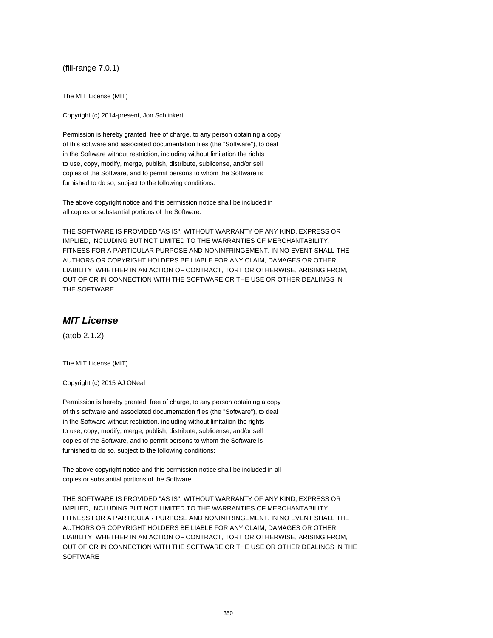(fill-range 7.0.1)

The MIT License (MIT)

Copyright (c) 2014-present, Jon Schlinkert.

Permission is hereby granted, free of charge, to any person obtaining a copy of this software and associated documentation files (the "Software"), to deal in the Software without restriction, including without limitation the rights to use, copy, modify, merge, publish, distribute, sublicense, and/or sell copies of the Software, and to permit persons to whom the Software is furnished to do so, subject to the following conditions:

The above copyright notice and this permission notice shall be included in all copies or substantial portions of the Software.

THE SOFTWARE IS PROVIDED "AS IS", WITHOUT WARRANTY OF ANY KIND, EXPRESS OR IMPLIED, INCLUDING BUT NOT LIMITED TO THE WARRANTIES OF MERCHANTABILITY, FITNESS FOR A PARTICULAR PURPOSE AND NONINFRINGEMENT. IN NO EVENT SHALL THE AUTHORS OR COPYRIGHT HOLDERS BE LIABLE FOR ANY CLAIM, DAMAGES OR OTHER LIABILITY, WHETHER IN AN ACTION OF CONTRACT, TORT OR OTHERWISE, ARISING FROM, OUT OF OR IN CONNECTION WITH THE SOFTWARE OR THE USE OR OTHER DEALINGS IN THE SOFTWARE

### **MIT License**

(atob 2.1.2)

The MIT License (MIT)

Copyright (c) 2015 AJ ONeal

Permission is hereby granted, free of charge, to any person obtaining a copy of this software and associated documentation files (the "Software"), to deal in the Software without restriction, including without limitation the rights to use, copy, modify, merge, publish, distribute, sublicense, and/or sell copies of the Software, and to permit persons to whom the Software is furnished to do so, subject to the following conditions:

The above copyright notice and this permission notice shall be included in all copies or substantial portions of the Software.

THE SOFTWARE IS PROVIDED "AS IS", WITHOUT WARRANTY OF ANY KIND, EXPRESS OR IMPLIED, INCLUDING BUT NOT LIMITED TO THE WARRANTIES OF MERCHANTABILITY, FITNESS FOR A PARTICULAR PURPOSE AND NONINFRINGEMENT. IN NO EVENT SHALL THE AUTHORS OR COPYRIGHT HOLDERS BE LIABLE FOR ANY CLAIM, DAMAGES OR OTHER LIABILITY, WHETHER IN AN ACTION OF CONTRACT, TORT OR OTHERWISE, ARISING FROM, OUT OF OR IN CONNECTION WITH THE SOFTWARE OR THE USE OR OTHER DEALINGS IN THE **SOFTWARE**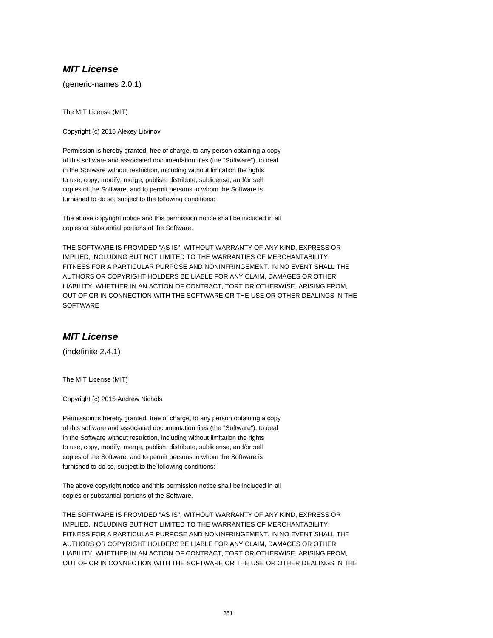## **MIT License**

(generic-names 2.0.1)

The MIT License (MIT)

Copyright (c) 2015 Alexey Litvinov

Permission is hereby granted, free of charge, to any person obtaining a copy of this software and associated documentation files (the "Software"), to deal in the Software without restriction, including without limitation the rights to use, copy, modify, merge, publish, distribute, sublicense, and/or sell copies of the Software, and to permit persons to whom the Software is furnished to do so, subject to the following conditions:

The above copyright notice and this permission notice shall be included in all copies or substantial portions of the Software.

THE SOFTWARE IS PROVIDED "AS IS", WITHOUT WARRANTY OF ANY KIND, EXPRESS OR IMPLIED, INCLUDING BUT NOT LIMITED TO THE WARRANTIES OF MERCHANTABILITY, FITNESS FOR A PARTICULAR PURPOSE AND NONINFRINGEMENT. IN NO EVENT SHALL THE AUTHORS OR COPYRIGHT HOLDERS BE LIABLE FOR ANY CLAIM, DAMAGES OR OTHER LIABILITY, WHETHER IN AN ACTION OF CONTRACT, TORT OR OTHERWISE, ARISING FROM, OUT OF OR IN CONNECTION WITH THE SOFTWARE OR THE USE OR OTHER DEALINGS IN THE **SOFTWARE** 

## **MIT License**

(indefinite 2.4.1)

The MIT License (MIT)

Copyright (c) 2015 Andrew Nichols

Permission is hereby granted, free of charge, to any person obtaining a copy of this software and associated documentation files (the "Software"), to deal in the Software without restriction, including without limitation the rights to use, copy, modify, merge, publish, distribute, sublicense, and/or sell copies of the Software, and to permit persons to whom the Software is furnished to do so, subject to the following conditions:

The above copyright notice and this permission notice shall be included in all copies or substantial portions of the Software.

THE SOFTWARE IS PROVIDED "AS IS", WITHOUT WARRANTY OF ANY KIND, EXPRESS OR IMPLIED, INCLUDING BUT NOT LIMITED TO THE WARRANTIES OF MERCHANTABILITY, FITNESS FOR A PARTICULAR PURPOSE AND NONINFRINGEMENT. IN NO EVENT SHALL THE AUTHORS OR COPYRIGHT HOLDERS BE LIABLE FOR ANY CLAIM, DAMAGES OR OTHER LIABILITY, WHETHER IN AN ACTION OF CONTRACT, TORT OR OTHERWISE, ARISING FROM, OUT OF OR IN CONNECTION WITH THE SOFTWARE OR THE USE OR OTHER DEALINGS IN THE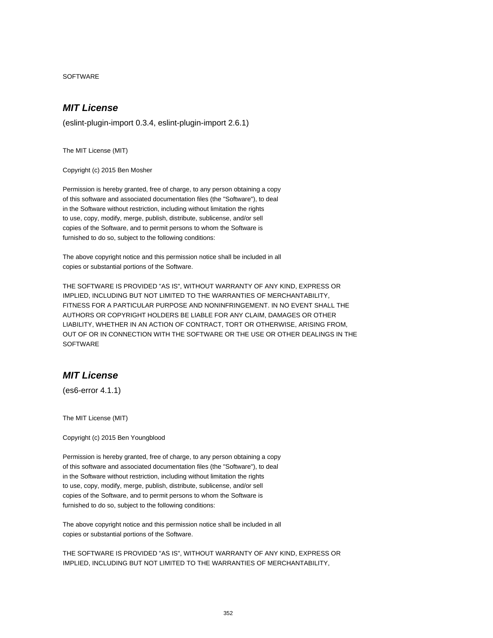SOFTWARE

# **MIT License**

(eslint-plugin-import 0.3.4, eslint-plugin-import 2.6.1)

The MIT License (MIT)

Copyright (c) 2015 Ben Mosher

Permission is hereby granted, free of charge, to any person obtaining a copy of this software and associated documentation files (the "Software"), to deal in the Software without restriction, including without limitation the rights to use, copy, modify, merge, publish, distribute, sublicense, and/or sell copies of the Software, and to permit persons to whom the Software is furnished to do so, subject to the following conditions:

The above copyright notice and this permission notice shall be included in all copies or substantial portions of the Software.

THE SOFTWARE IS PROVIDED "AS IS", WITHOUT WARRANTY OF ANY KIND, EXPRESS OR IMPLIED, INCLUDING BUT NOT LIMITED TO THE WARRANTIES OF MERCHANTABILITY, FITNESS FOR A PARTICULAR PURPOSE AND NONINFRINGEMENT. IN NO EVENT SHALL THE AUTHORS OR COPYRIGHT HOLDERS BE LIABLE FOR ANY CLAIM, DAMAGES OR OTHER LIABILITY, WHETHER IN AN ACTION OF CONTRACT, TORT OR OTHERWISE, ARISING FROM, OUT OF OR IN CONNECTION WITH THE SOFTWARE OR THE USE OR OTHER DEALINGS IN THE **SOFTWARE** 

## **MIT License**

(es6-error 4.1.1)

The MIT License (MIT)

Copyright (c) 2015 Ben Youngblood

Permission is hereby granted, free of charge, to any person obtaining a copy of this software and associated documentation files (the "Software"), to deal in the Software without restriction, including without limitation the rights to use, copy, modify, merge, publish, distribute, sublicense, and/or sell copies of the Software, and to permit persons to whom the Software is furnished to do so, subject to the following conditions:

The above copyright notice and this permission notice shall be included in all copies or substantial portions of the Software.

THE SOFTWARE IS PROVIDED "AS IS", WITHOUT WARRANTY OF ANY KIND, EXPRESS OR IMPLIED, INCLUDING BUT NOT LIMITED TO THE WARRANTIES OF MERCHANTABILITY,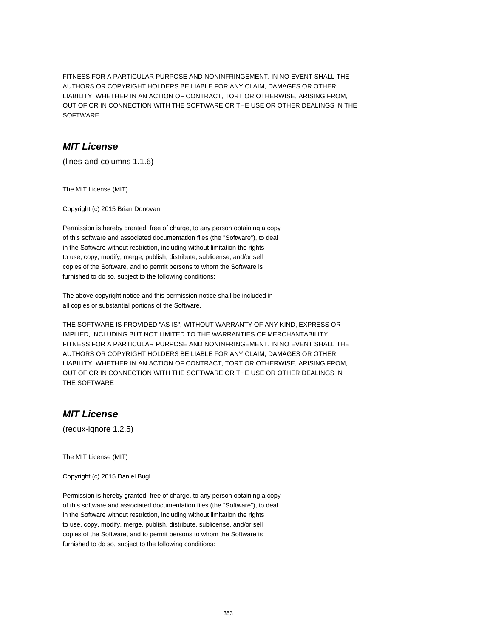FITNESS FOR A PARTICULAR PURPOSE AND NONINFRINGEMENT. IN NO EVENT SHALL THE AUTHORS OR COPYRIGHT HOLDERS BE LIABLE FOR ANY CLAIM, DAMAGES OR OTHER LIABILITY, WHETHER IN AN ACTION OF CONTRACT, TORT OR OTHERWISE, ARISING FROM, OUT OF OR IN CONNECTION WITH THE SOFTWARE OR THE USE OR OTHER DEALINGS IN THE SOFTWARE

# **MIT License**

(lines-and-columns 1.1.6)

The MIT License (MIT)

Copyright (c) 2015 Brian Donovan

Permission is hereby granted, free of charge, to any person obtaining a copy of this software and associated documentation files (the "Software"), to deal in the Software without restriction, including without limitation the rights to use, copy, modify, merge, publish, distribute, sublicense, and/or sell copies of the Software, and to permit persons to whom the Software is furnished to do so, subject to the following conditions:

The above copyright notice and this permission notice shall be included in all copies or substantial portions of the Software.

THE SOFTWARE IS PROVIDED "AS IS", WITHOUT WARRANTY OF ANY KIND, EXPRESS OR IMPLIED, INCLUDING BUT NOT LIMITED TO THE WARRANTIES OF MERCHANTABILITY, FITNESS FOR A PARTICULAR PURPOSE AND NONINFRINGEMENT. IN NO EVENT SHALL THE AUTHORS OR COPYRIGHT HOLDERS BE LIABLE FOR ANY CLAIM, DAMAGES OR OTHER LIABILITY, WHETHER IN AN ACTION OF CONTRACT, TORT OR OTHERWISE, ARISING FROM, OUT OF OR IN CONNECTION WITH THE SOFTWARE OR THE USE OR OTHER DEALINGS IN THE SOFTWARE

# **MIT License**

(redux-ignore 1.2.5)

The MIT License (MIT)

Copyright (c) 2015 Daniel Bugl

Permission is hereby granted, free of charge, to any person obtaining a copy of this software and associated documentation files (the "Software"), to deal in the Software without restriction, including without limitation the rights to use, copy, modify, merge, publish, distribute, sublicense, and/or sell copies of the Software, and to permit persons to whom the Software is furnished to do so, subject to the following conditions: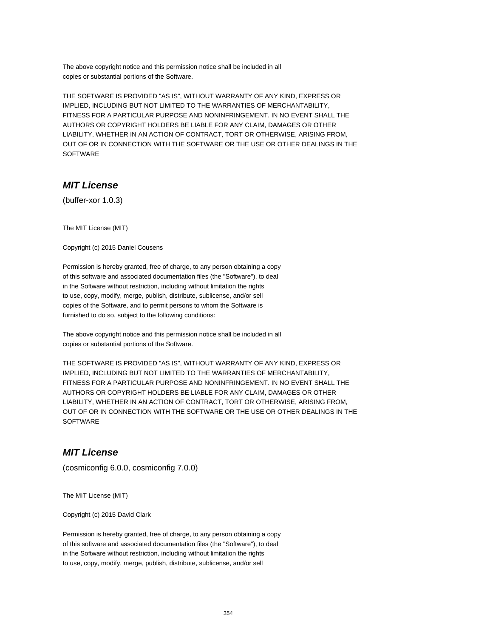The above copyright notice and this permission notice shall be included in all copies or substantial portions of the Software.

THE SOFTWARE IS PROVIDED "AS IS", WITHOUT WARRANTY OF ANY KIND, EXPRESS OR IMPLIED, INCLUDING BUT NOT LIMITED TO THE WARRANTIES OF MERCHANTABILITY, FITNESS FOR A PARTICULAR PURPOSE AND NONINFRINGEMENT. IN NO EVENT SHALL THE AUTHORS OR COPYRIGHT HOLDERS BE LIABLE FOR ANY CLAIM, DAMAGES OR OTHER LIABILITY, WHETHER IN AN ACTION OF CONTRACT, TORT OR OTHERWISE, ARISING FROM, OUT OF OR IN CONNECTION WITH THE SOFTWARE OR THE USE OR OTHER DEALINGS IN THE SOFTWARE

# **MIT License**

(buffer-xor 1.0.3)

The MIT License (MIT)

Copyright (c) 2015 Daniel Cousens

Permission is hereby granted, free of charge, to any person obtaining a copy of this software and associated documentation files (the "Software"), to deal in the Software without restriction, including without limitation the rights to use, copy, modify, merge, publish, distribute, sublicense, and/or sell copies of the Software, and to permit persons to whom the Software is furnished to do so, subject to the following conditions:

The above copyright notice and this permission notice shall be included in all copies or substantial portions of the Software.

THE SOFTWARE IS PROVIDED "AS IS", WITHOUT WARRANTY OF ANY KIND, EXPRESS OR IMPLIED, INCLUDING BUT NOT LIMITED TO THE WARRANTIES OF MERCHANTABILITY, FITNESS FOR A PARTICULAR PURPOSE AND NONINFRINGEMENT. IN NO EVENT SHALL THE AUTHORS OR COPYRIGHT HOLDERS BE LIABLE FOR ANY CLAIM, DAMAGES OR OTHER LIABILITY, WHETHER IN AN ACTION OF CONTRACT, TORT OR OTHERWISE, ARISING FROM, OUT OF OR IN CONNECTION WITH THE SOFTWARE OR THE USE OR OTHER DEALINGS IN THE **SOFTWARE** 

### **MIT License**

(cosmiconfig 6.0.0, cosmiconfig 7.0.0)

The MIT License (MIT)

Copyright (c) 2015 David Clark

Permission is hereby granted, free of charge, to any person obtaining a copy of this software and associated documentation files (the "Software"), to deal in the Software without restriction, including without limitation the rights to use, copy, modify, merge, publish, distribute, sublicense, and/or sell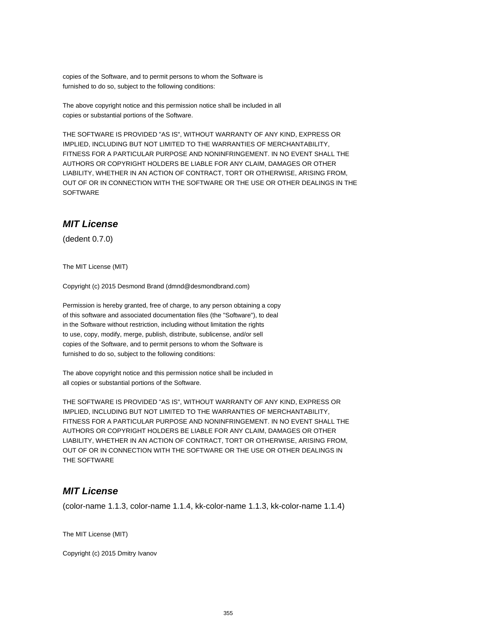copies of the Software, and to permit persons to whom the Software is furnished to do so, subject to the following conditions:

The above copyright notice and this permission notice shall be included in all copies or substantial portions of the Software.

THE SOFTWARE IS PROVIDED "AS IS", WITHOUT WARRANTY OF ANY KIND, EXPRESS OR IMPLIED, INCLUDING BUT NOT LIMITED TO THE WARRANTIES OF MERCHANTABILITY, FITNESS FOR A PARTICULAR PURPOSE AND NONINFRINGEMENT. IN NO EVENT SHALL THE AUTHORS OR COPYRIGHT HOLDERS BE LIABLE FOR ANY CLAIM, DAMAGES OR OTHER LIABILITY, WHETHER IN AN ACTION OF CONTRACT, TORT OR OTHERWISE, ARISING FROM, OUT OF OR IN CONNECTION WITH THE SOFTWARE OR THE USE OR OTHER DEALINGS IN THE **SOFTWARE** 

## **MIT License**

(dedent 0.7.0)

The MIT License (MIT)

Copyright (c) 2015 Desmond Brand (dmnd@desmondbrand.com)

Permission is hereby granted, free of charge, to any person obtaining a copy of this software and associated documentation files (the "Software"), to deal in the Software without restriction, including without limitation the rights to use, copy, modify, merge, publish, distribute, sublicense, and/or sell copies of the Software, and to permit persons to whom the Software is furnished to do so, subject to the following conditions:

The above copyright notice and this permission notice shall be included in all copies or substantial portions of the Software.

THE SOFTWARE IS PROVIDED "AS IS", WITHOUT WARRANTY OF ANY KIND, EXPRESS OR IMPLIED, INCLUDING BUT NOT LIMITED TO THE WARRANTIES OF MERCHANTABILITY, FITNESS FOR A PARTICULAR PURPOSE AND NONINFRINGEMENT. IN NO EVENT SHALL THE AUTHORS OR COPYRIGHT HOLDERS BE LIABLE FOR ANY CLAIM, DAMAGES OR OTHER LIABILITY, WHETHER IN AN ACTION OF CONTRACT, TORT OR OTHERWISE, ARISING FROM, OUT OF OR IN CONNECTION WITH THE SOFTWARE OR THE USE OR OTHER DEALINGS IN THE SOFTWARE

### **MIT License**

(color-name 1.1.3, color-name 1.1.4, kk-color-name 1.1.3, kk-color-name 1.1.4)

The MIT License (MIT)

Copyright (c) 2015 Dmitry Ivanov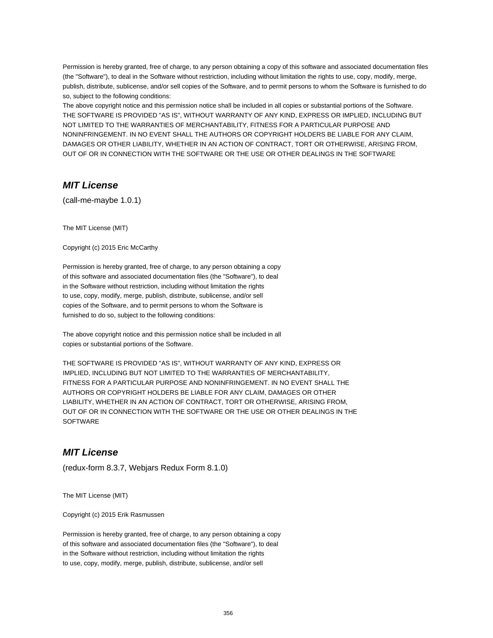Permission is hereby granted, free of charge, to any person obtaining a copy of this software and associated documentation files (the "Software"), to deal in the Software without restriction, including without limitation the rights to use, copy, modify, merge, publish, distribute, sublicense, and/or sell copies of the Software, and to permit persons to whom the Software is furnished to do so, subject to the following conditions:

The above copyright notice and this permission notice shall be included in all copies or substantial portions of the Software. THE SOFTWARE IS PROVIDED "AS IS", WITHOUT WARRANTY OF ANY KIND, EXPRESS OR IMPLIED, INCLUDING BUT NOT LIMITED TO THE WARRANTIES OF MERCHANTABILITY, FITNESS FOR A PARTICULAR PURPOSE AND NONINFRINGEMENT. IN NO EVENT SHALL THE AUTHORS OR COPYRIGHT HOLDERS BE LIABLE FOR ANY CLAIM, DAMAGES OR OTHER LIABILITY, WHETHER IN AN ACTION OF CONTRACT, TORT OR OTHERWISE, ARISING FROM, OUT OF OR IN CONNECTION WITH THE SOFTWARE OR THE USE OR OTHER DEALINGS IN THE SOFTWARE

## **MIT License**

(call-me-maybe 1.0.1)

The MIT License (MIT)

Copyright (c) 2015 Eric McCarthy

Permission is hereby granted, free of charge, to any person obtaining a copy of this software and associated documentation files (the "Software"), to deal in the Software without restriction, including without limitation the rights to use, copy, modify, merge, publish, distribute, sublicense, and/or sell copies of the Software, and to permit persons to whom the Software is furnished to do so, subject to the following conditions:

The above copyright notice and this permission notice shall be included in all copies or substantial portions of the Software.

THE SOFTWARE IS PROVIDED "AS IS", WITHOUT WARRANTY OF ANY KIND, EXPRESS OR IMPLIED, INCLUDING BUT NOT LIMITED TO THE WARRANTIES OF MERCHANTABILITY, FITNESS FOR A PARTICULAR PURPOSE AND NONINFRINGEMENT. IN NO EVENT SHALL THE AUTHORS OR COPYRIGHT HOLDERS BE LIABLE FOR ANY CLAIM, DAMAGES OR OTHER LIABILITY, WHETHER IN AN ACTION OF CONTRACT, TORT OR OTHERWISE, ARISING FROM, OUT OF OR IN CONNECTION WITH THE SOFTWARE OR THE USE OR OTHER DEALINGS IN THE **SOFTWARE** 

#### **MIT License**

(redux-form 8.3.7, Webjars Redux Form 8.1.0)

The MIT License (MIT)

Copyright (c) 2015 Erik Rasmussen

Permission is hereby granted, free of charge, to any person obtaining a copy of this software and associated documentation files (the "Software"), to deal in the Software without restriction, including without limitation the rights to use, copy, modify, merge, publish, distribute, sublicense, and/or sell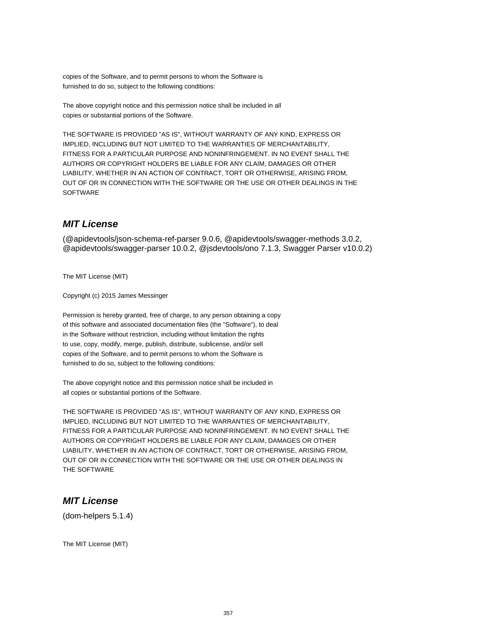copies of the Software, and to permit persons to whom the Software is furnished to do so, subject to the following conditions:

The above copyright notice and this permission notice shall be included in all copies or substantial portions of the Software.

THE SOFTWARE IS PROVIDED "AS IS", WITHOUT WARRANTY OF ANY KIND, EXPRESS OR IMPLIED, INCLUDING BUT NOT LIMITED TO THE WARRANTIES OF MERCHANTABILITY, FITNESS FOR A PARTICULAR PURPOSE AND NONINFRINGEMENT. IN NO EVENT SHALL THE AUTHORS OR COPYRIGHT HOLDERS BE LIABLE FOR ANY CLAIM, DAMAGES OR OTHER LIABILITY, WHETHER IN AN ACTION OF CONTRACT, TORT OR OTHERWISE, ARISING FROM, OUT OF OR IN CONNECTION WITH THE SOFTWARE OR THE USE OR OTHER DEALINGS IN THE **SOFTWARE** 

## **MIT License**

(@apidevtools/json-schema-ref-parser 9.0.6, @apidevtools/swagger-methods 3.0.2, @apidevtools/swagger-parser 10.0.2, @jsdevtools/ono 7.1.3, Swagger Parser v10.0.2)

The MIT License (MIT)

Copyright (c) 2015 James Messinger

Permission is hereby granted, free of charge, to any person obtaining a copy of this software and associated documentation files (the "Software"), to deal in the Software without restriction, including without limitation the rights to use, copy, modify, merge, publish, distribute, sublicense, and/or sell copies of the Software, and to permit persons to whom the Software is furnished to do so, subject to the following conditions:

The above copyright notice and this permission notice shall be included in all copies or substantial portions of the Software.

THE SOFTWARE IS PROVIDED "AS IS", WITHOUT WARRANTY OF ANY KIND, EXPRESS OR IMPLIED, INCLUDING BUT NOT LIMITED TO THE WARRANTIES OF MERCHANTABILITY, FITNESS FOR A PARTICULAR PURPOSE AND NONINFRINGEMENT. IN NO EVENT SHALL THE AUTHORS OR COPYRIGHT HOLDERS BE LIABLE FOR ANY CLAIM, DAMAGES OR OTHER LIABILITY, WHETHER IN AN ACTION OF CONTRACT, TORT OR OTHERWISE, ARISING FROM, OUT OF OR IN CONNECTION WITH THE SOFTWARE OR THE USE OR OTHER DEALINGS IN THE SOFTWARE

### **MIT License**

(dom-helpers 5.1.4)

The MIT License (MIT)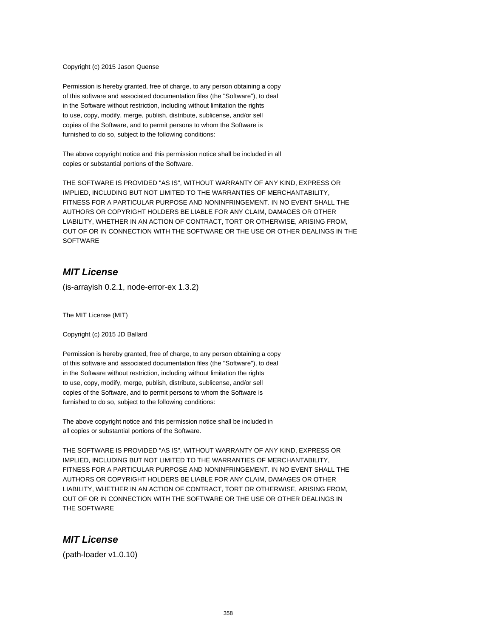Copyright (c) 2015 Jason Quense

Permission is hereby granted, free of charge, to any person obtaining a copy of this software and associated documentation files (the "Software"), to deal in the Software without restriction, including without limitation the rights to use, copy, modify, merge, publish, distribute, sublicense, and/or sell copies of the Software, and to permit persons to whom the Software is furnished to do so, subject to the following conditions:

The above copyright notice and this permission notice shall be included in all copies or substantial portions of the Software.

THE SOFTWARE IS PROVIDED "AS IS", WITHOUT WARRANTY OF ANY KIND, EXPRESS OR IMPLIED, INCLUDING BUT NOT LIMITED TO THE WARRANTIES OF MERCHANTABILITY, FITNESS FOR A PARTICULAR PURPOSE AND NONINFRINGEMENT. IN NO EVENT SHALL THE AUTHORS OR COPYRIGHT HOLDERS BE LIABLE FOR ANY CLAIM, DAMAGES OR OTHER LIABILITY, WHETHER IN AN ACTION OF CONTRACT, TORT OR OTHERWISE, ARISING FROM, OUT OF OR IN CONNECTION WITH THE SOFTWARE OR THE USE OR OTHER DEALINGS IN THE **SOFTWARE** 

## **MIT License**

(is-arrayish 0.2.1, node-error-ex 1.3.2)

The MIT License (MIT)

Copyright (c) 2015 JD Ballard

Permission is hereby granted, free of charge, to any person obtaining a copy of this software and associated documentation files (the "Software"), to deal in the Software without restriction, including without limitation the rights to use, copy, modify, merge, publish, distribute, sublicense, and/or sell copies of the Software, and to permit persons to whom the Software is furnished to do so, subject to the following conditions:

The above copyright notice and this permission notice shall be included in all copies or substantial portions of the Software.

THE SOFTWARE IS PROVIDED "AS IS", WITHOUT WARRANTY OF ANY KIND, EXPRESS OR IMPLIED, INCLUDING BUT NOT LIMITED TO THE WARRANTIES OF MERCHANTABILITY, FITNESS FOR A PARTICULAR PURPOSE AND NONINFRINGEMENT. IN NO EVENT SHALL THE AUTHORS OR COPYRIGHT HOLDERS BE LIABLE FOR ANY CLAIM, DAMAGES OR OTHER LIABILITY, WHETHER IN AN ACTION OF CONTRACT, TORT OR OTHERWISE, ARISING FROM, OUT OF OR IN CONNECTION WITH THE SOFTWARE OR THE USE OR OTHER DEALINGS IN THE SOFTWARE

### **MIT License**

(path-loader v1.0.10)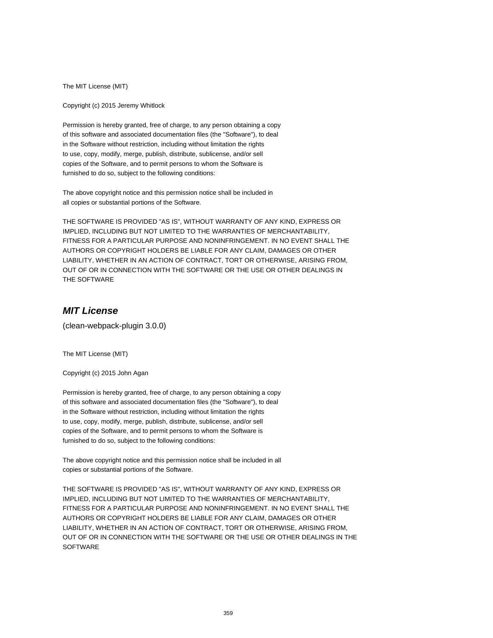The MIT License (MIT)

Copyright (c) 2015 Jeremy Whitlock

Permission is hereby granted, free of charge, to any person obtaining a copy of this software and associated documentation files (the "Software"), to deal in the Software without restriction, including without limitation the rights to use, copy, modify, merge, publish, distribute, sublicense, and/or sell copies of the Software, and to permit persons to whom the Software is furnished to do so, subject to the following conditions:

The above copyright notice and this permission notice shall be included in all copies or substantial portions of the Software.

THE SOFTWARE IS PROVIDED "AS IS", WITHOUT WARRANTY OF ANY KIND, EXPRESS OR IMPLIED, INCLUDING BUT NOT LIMITED TO THE WARRANTIES OF MERCHANTABILITY, FITNESS FOR A PARTICULAR PURPOSE AND NONINFRINGEMENT. IN NO EVENT SHALL THE AUTHORS OR COPYRIGHT HOLDERS BE LIABLE FOR ANY CLAIM, DAMAGES OR OTHER LIABILITY, WHETHER IN AN ACTION OF CONTRACT, TORT OR OTHERWISE, ARISING FROM, OUT OF OR IN CONNECTION WITH THE SOFTWARE OR THE USE OR OTHER DEALINGS IN THE SOFTWARE

## **MIT License**

(clean-webpack-plugin 3.0.0)

The MIT License (MIT)

Copyright (c) 2015 John Agan

Permission is hereby granted, free of charge, to any person obtaining a copy of this software and associated documentation files (the "Software"), to deal in the Software without restriction, including without limitation the rights to use, copy, modify, merge, publish, distribute, sublicense, and/or sell copies of the Software, and to permit persons to whom the Software is furnished to do so, subject to the following conditions:

The above copyright notice and this permission notice shall be included in all copies or substantial portions of the Software.

THE SOFTWARE IS PROVIDED "AS IS", WITHOUT WARRANTY OF ANY KIND, EXPRESS OR IMPLIED, INCLUDING BUT NOT LIMITED TO THE WARRANTIES OF MERCHANTABILITY, FITNESS FOR A PARTICULAR PURPOSE AND NONINFRINGEMENT. IN NO EVENT SHALL THE AUTHORS OR COPYRIGHT HOLDERS BE LIABLE FOR ANY CLAIM, DAMAGES OR OTHER LIABILITY, WHETHER IN AN ACTION OF CONTRACT, TORT OR OTHERWISE, ARISING FROM, OUT OF OR IN CONNECTION WITH THE SOFTWARE OR THE USE OR OTHER DEALINGS IN THE **SOFTWARE**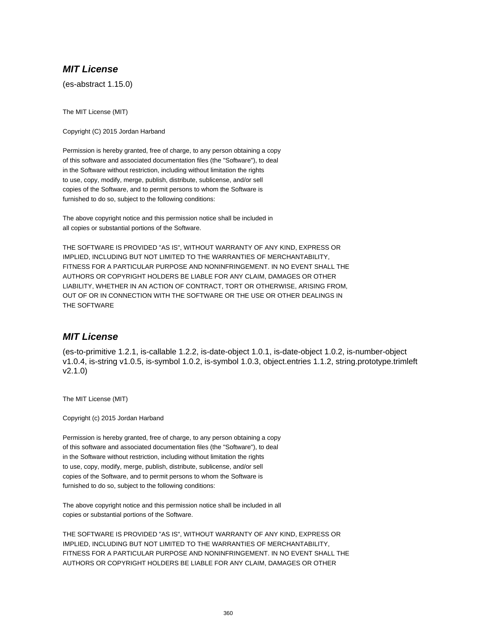## **MIT License**

(es-abstract 1.15.0)

The MIT License (MIT)

Copyright (C) 2015 Jordan Harband

Permission is hereby granted, free of charge, to any person obtaining a copy of this software and associated documentation files (the "Software"), to deal in the Software without restriction, including without limitation the rights to use, copy, modify, merge, publish, distribute, sublicense, and/or sell copies of the Software, and to permit persons to whom the Software is furnished to do so, subject to the following conditions:

The above copyright notice and this permission notice shall be included in all copies or substantial portions of the Software.

THE SOFTWARE IS PROVIDED "AS IS", WITHOUT WARRANTY OF ANY KIND, EXPRESS OR IMPLIED, INCLUDING BUT NOT LIMITED TO THE WARRANTIES OF MERCHANTABILITY, FITNESS FOR A PARTICULAR PURPOSE AND NONINFRINGEMENT. IN NO EVENT SHALL THE AUTHORS OR COPYRIGHT HOLDERS BE LIABLE FOR ANY CLAIM, DAMAGES OR OTHER LIABILITY, WHETHER IN AN ACTION OF CONTRACT, TORT OR OTHERWISE, ARISING FROM, OUT OF OR IN CONNECTION WITH THE SOFTWARE OR THE USE OR OTHER DEALINGS IN THE SOFTWARE

#### **MIT License**

(es-to-primitive 1.2.1, is-callable 1.2.2, is-date-object 1.0.1, is-date-object 1.0.2, is-number-object v1.0.4, is-string v1.0.5, is-symbol 1.0.2, is-symbol 1.0.3, object.entries 1.1.2, string.prototype.trimleft v2.1.0)

The MIT License (MIT)

Copyright (c) 2015 Jordan Harband

Permission is hereby granted, free of charge, to any person obtaining a copy of this software and associated documentation files (the "Software"), to deal in the Software without restriction, including without limitation the rights to use, copy, modify, merge, publish, distribute, sublicense, and/or sell copies of the Software, and to permit persons to whom the Software is furnished to do so, subject to the following conditions:

The above copyright notice and this permission notice shall be included in all copies or substantial portions of the Software.

THE SOFTWARE IS PROVIDED "AS IS", WITHOUT WARRANTY OF ANY KIND, EXPRESS OR IMPLIED, INCLUDING BUT NOT LIMITED TO THE WARRANTIES OF MERCHANTABILITY, FITNESS FOR A PARTICULAR PURPOSE AND NONINFRINGEMENT. IN NO EVENT SHALL THE AUTHORS OR COPYRIGHT HOLDERS BE LIABLE FOR ANY CLAIM, DAMAGES OR OTHER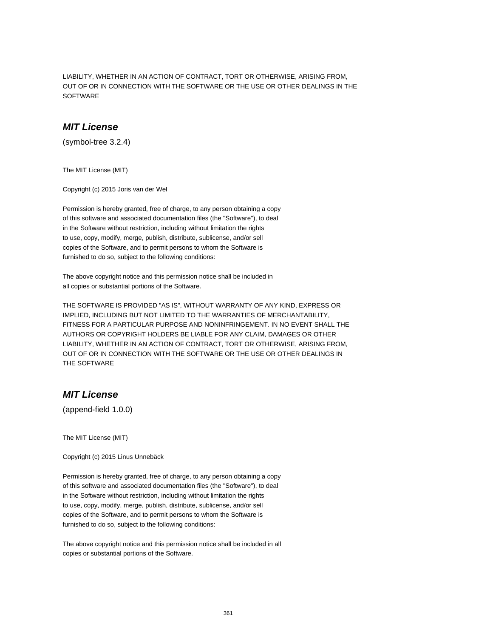LIABILITY, WHETHER IN AN ACTION OF CONTRACT, TORT OR OTHERWISE, ARISING FROM, OUT OF OR IN CONNECTION WITH THE SOFTWARE OR THE USE OR OTHER DEALINGS IN THE SOFTWARE

#### **MIT License**

(symbol-tree 3.2.4)

The MIT License (MIT)

Copyright (c) 2015 Joris van der Wel

Permission is hereby granted, free of charge, to any person obtaining a copy of this software and associated documentation files (the "Software"), to deal in the Software without restriction, including without limitation the rights to use, copy, modify, merge, publish, distribute, sublicense, and/or sell copies of the Software, and to permit persons to whom the Software is furnished to do so, subject to the following conditions:

The above copyright notice and this permission notice shall be included in all copies or substantial portions of the Software.

THE SOFTWARE IS PROVIDED "AS IS", WITHOUT WARRANTY OF ANY KIND, EXPRESS OR IMPLIED, INCLUDING BUT NOT LIMITED TO THE WARRANTIES OF MERCHANTABILITY, FITNESS FOR A PARTICULAR PURPOSE AND NONINFRINGEMENT. IN NO EVENT SHALL THE AUTHORS OR COPYRIGHT HOLDERS BE LIABLE FOR ANY CLAIM, DAMAGES OR OTHER LIABILITY, WHETHER IN AN ACTION OF CONTRACT, TORT OR OTHERWISE, ARISING FROM, OUT OF OR IN CONNECTION WITH THE SOFTWARE OR THE USE OR OTHER DEALINGS IN THE SOFTWARE

## **MIT License**

(append-field 1.0.0)

The MIT License (MIT)

Copyright (c) 2015 Linus Unnebäck

Permission is hereby granted, free of charge, to any person obtaining a copy of this software and associated documentation files (the "Software"), to deal in the Software without restriction, including without limitation the rights to use, copy, modify, merge, publish, distribute, sublicense, and/or sell copies of the Software, and to permit persons to whom the Software is furnished to do so, subject to the following conditions:

The above copyright notice and this permission notice shall be included in all copies or substantial portions of the Software.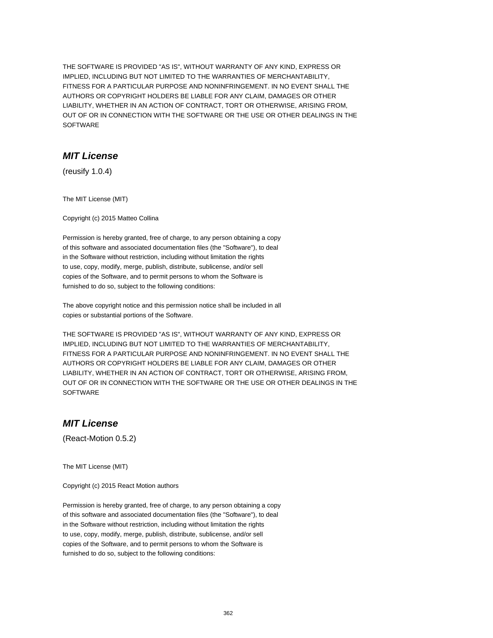THE SOFTWARE IS PROVIDED "AS IS", WITHOUT WARRANTY OF ANY KIND, EXPRESS OR IMPLIED, INCLUDING BUT NOT LIMITED TO THE WARRANTIES OF MERCHANTABILITY, FITNESS FOR A PARTICULAR PURPOSE AND NONINFRINGEMENT. IN NO EVENT SHALL THE AUTHORS OR COPYRIGHT HOLDERS BE LIABLE FOR ANY CLAIM, DAMAGES OR OTHER LIABILITY, WHETHER IN AN ACTION OF CONTRACT, TORT OR OTHERWISE, ARISING FROM, OUT OF OR IN CONNECTION WITH THE SOFTWARE OR THE USE OR OTHER DEALINGS IN THE SOFTWARE

## **MIT License**

(reusify 1.0.4)

The MIT License (MIT)

Copyright (c) 2015 Matteo Collina

Permission is hereby granted, free of charge, to any person obtaining a copy of this software and associated documentation files (the "Software"), to deal in the Software without restriction, including without limitation the rights to use, copy, modify, merge, publish, distribute, sublicense, and/or sell copies of the Software, and to permit persons to whom the Software is furnished to do so, subject to the following conditions:

The above copyright notice and this permission notice shall be included in all copies or substantial portions of the Software.

THE SOFTWARE IS PROVIDED "AS IS", WITHOUT WARRANTY OF ANY KIND, EXPRESS OR IMPLIED, INCLUDING BUT NOT LIMITED TO THE WARRANTIES OF MERCHANTABILITY, FITNESS FOR A PARTICULAR PURPOSE AND NONINFRINGEMENT. IN NO EVENT SHALL THE AUTHORS OR COPYRIGHT HOLDERS BE LIABLE FOR ANY CLAIM, DAMAGES OR OTHER LIABILITY, WHETHER IN AN ACTION OF CONTRACT, TORT OR OTHERWISE, ARISING FROM, OUT OF OR IN CONNECTION WITH THE SOFTWARE OR THE USE OR OTHER DEALINGS IN THE **SOFTWARE** 

## **MIT License**

(React-Motion 0.5.2)

The MIT License (MIT)

Copyright (c) 2015 React Motion authors

Permission is hereby granted, free of charge, to any person obtaining a copy of this software and associated documentation files (the "Software"), to deal in the Software without restriction, including without limitation the rights to use, copy, modify, merge, publish, distribute, sublicense, and/or sell copies of the Software, and to permit persons to whom the Software is furnished to do so, subject to the following conditions: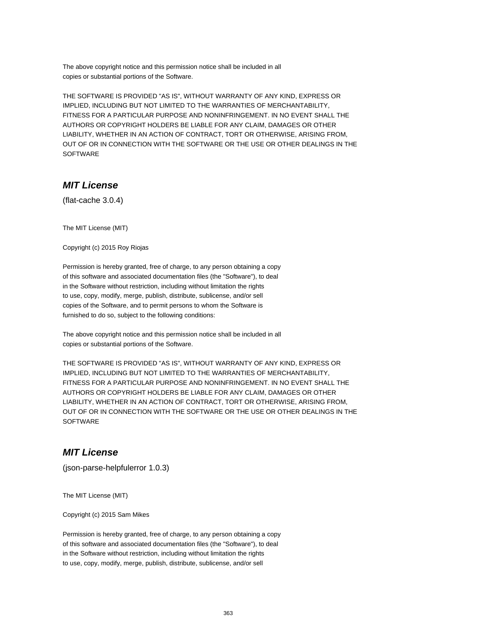The above copyright notice and this permission notice shall be included in all copies or substantial portions of the Software.

THE SOFTWARE IS PROVIDED "AS IS", WITHOUT WARRANTY OF ANY KIND, EXPRESS OR IMPLIED, INCLUDING BUT NOT LIMITED TO THE WARRANTIES OF MERCHANTABILITY, FITNESS FOR A PARTICULAR PURPOSE AND NONINFRINGEMENT. IN NO EVENT SHALL THE AUTHORS OR COPYRIGHT HOLDERS BE LIABLE FOR ANY CLAIM, DAMAGES OR OTHER LIABILITY, WHETHER IN AN ACTION OF CONTRACT, TORT OR OTHERWISE, ARISING FROM, OUT OF OR IN CONNECTION WITH THE SOFTWARE OR THE USE OR OTHER DEALINGS IN THE SOFTWARE

# **MIT License**

(flat-cache 3.0.4)

The MIT License (MIT)

Copyright (c) 2015 Roy Riojas

Permission is hereby granted, free of charge, to any person obtaining a copy of this software and associated documentation files (the "Software"), to deal in the Software without restriction, including without limitation the rights to use, copy, modify, merge, publish, distribute, sublicense, and/or sell copies of the Software, and to permit persons to whom the Software is furnished to do so, subject to the following conditions:

The above copyright notice and this permission notice shall be included in all copies or substantial portions of the Software.

THE SOFTWARE IS PROVIDED "AS IS", WITHOUT WARRANTY OF ANY KIND, EXPRESS OR IMPLIED, INCLUDING BUT NOT LIMITED TO THE WARRANTIES OF MERCHANTABILITY, FITNESS FOR A PARTICULAR PURPOSE AND NONINFRINGEMENT. IN NO EVENT SHALL THE AUTHORS OR COPYRIGHT HOLDERS BE LIABLE FOR ANY CLAIM, DAMAGES OR OTHER LIABILITY, WHETHER IN AN ACTION OF CONTRACT, TORT OR OTHERWISE, ARISING FROM, OUT OF OR IN CONNECTION WITH THE SOFTWARE OR THE USE OR OTHER DEALINGS IN THE **SOFTWARE** 

## **MIT License**

(json-parse-helpfulerror 1.0.3)

The MIT License (MIT)

Copyright (c) 2015 Sam Mikes

Permission is hereby granted, free of charge, to any person obtaining a copy of this software and associated documentation files (the "Software"), to deal in the Software without restriction, including without limitation the rights to use, copy, modify, merge, publish, distribute, sublicense, and/or sell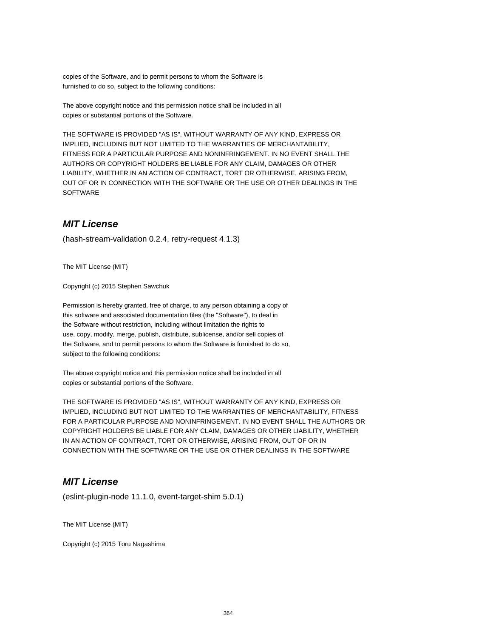copies of the Software, and to permit persons to whom the Software is furnished to do so, subject to the following conditions:

The above copyright notice and this permission notice shall be included in all copies or substantial portions of the Software.

THE SOFTWARE IS PROVIDED "AS IS", WITHOUT WARRANTY OF ANY KIND, EXPRESS OR IMPLIED, INCLUDING BUT NOT LIMITED TO THE WARRANTIES OF MERCHANTABILITY, FITNESS FOR A PARTICULAR PURPOSE AND NONINFRINGEMENT. IN NO EVENT SHALL THE AUTHORS OR COPYRIGHT HOLDERS BE LIABLE FOR ANY CLAIM, DAMAGES OR OTHER LIABILITY, WHETHER IN AN ACTION OF CONTRACT, TORT OR OTHERWISE, ARISING FROM, OUT OF OR IN CONNECTION WITH THE SOFTWARE OR THE USE OR OTHER DEALINGS IN THE **SOFTWARE** 

## **MIT License**

(hash-stream-validation 0.2.4, retry-request 4.1.3)

The MIT License (MIT)

Copyright (c) 2015 Stephen Sawchuk

Permission is hereby granted, free of charge, to any person obtaining a copy of this software and associated documentation files (the "Software"), to deal in the Software without restriction, including without limitation the rights to use, copy, modify, merge, publish, distribute, sublicense, and/or sell copies of the Software, and to permit persons to whom the Software is furnished to do so, subject to the following conditions:

The above copyright notice and this permission notice shall be included in all copies or substantial portions of the Software.

THE SOFTWARE IS PROVIDED "AS IS", WITHOUT WARRANTY OF ANY KIND, EXPRESS OR IMPLIED, INCLUDING BUT NOT LIMITED TO THE WARRANTIES OF MERCHANTABILITY, FITNESS FOR A PARTICULAR PURPOSE AND NONINFRINGEMENT. IN NO EVENT SHALL THE AUTHORS OR COPYRIGHT HOLDERS BE LIABLE FOR ANY CLAIM, DAMAGES OR OTHER LIABILITY, WHETHER IN AN ACTION OF CONTRACT, TORT OR OTHERWISE, ARISING FROM, OUT OF OR IN CONNECTION WITH THE SOFTWARE OR THE USE OR OTHER DEALINGS IN THE SOFTWARE

## **MIT License**

(eslint-plugin-node 11.1.0, event-target-shim 5.0.1)

The MIT License (MIT)

Copyright (c) 2015 Toru Nagashima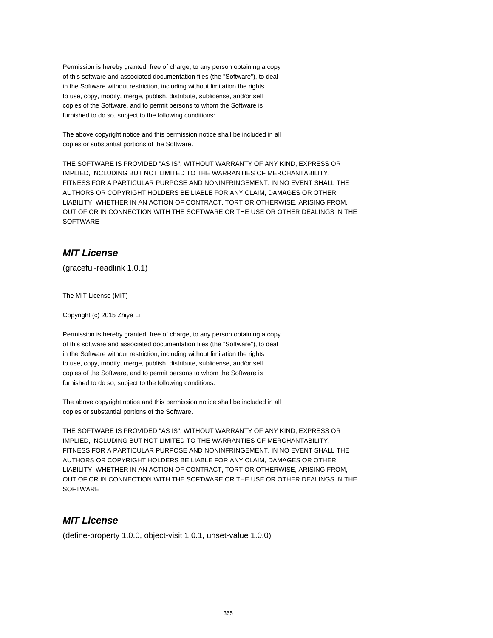Permission is hereby granted, free of charge, to any person obtaining a copy of this software and associated documentation files (the "Software"), to deal in the Software without restriction, including without limitation the rights to use, copy, modify, merge, publish, distribute, sublicense, and/or sell copies of the Software, and to permit persons to whom the Software is furnished to do so, subject to the following conditions:

The above copyright notice and this permission notice shall be included in all copies or substantial portions of the Software.

THE SOFTWARE IS PROVIDED "AS IS", WITHOUT WARRANTY OF ANY KIND, EXPRESS OR IMPLIED, INCLUDING BUT NOT LIMITED TO THE WARRANTIES OF MERCHANTABILITY, FITNESS FOR A PARTICULAR PURPOSE AND NONINFRINGEMENT. IN NO EVENT SHALL THE AUTHORS OR COPYRIGHT HOLDERS BE LIABLE FOR ANY CLAIM, DAMAGES OR OTHER LIABILITY, WHETHER IN AN ACTION OF CONTRACT, TORT OR OTHERWISE, ARISING FROM, OUT OF OR IN CONNECTION WITH THE SOFTWARE OR THE USE OR OTHER DEALINGS IN THE SOFTWARE

## **MIT License**

(graceful-readlink 1.0.1)

The MIT License (MIT)

Copyright (c) 2015 Zhiye Li

Permission is hereby granted, free of charge, to any person obtaining a copy of this software and associated documentation files (the "Software"), to deal in the Software without restriction, including without limitation the rights to use, copy, modify, merge, publish, distribute, sublicense, and/or sell copies of the Software, and to permit persons to whom the Software is furnished to do so, subject to the following conditions:

The above copyright notice and this permission notice shall be included in all copies or substantial portions of the Software.

THE SOFTWARE IS PROVIDED "AS IS", WITHOUT WARRANTY OF ANY KIND, EXPRESS OR IMPLIED, INCLUDING BUT NOT LIMITED TO THE WARRANTIES OF MERCHANTABILITY, FITNESS FOR A PARTICULAR PURPOSE AND NONINFRINGEMENT. IN NO EVENT SHALL THE AUTHORS OR COPYRIGHT HOLDERS BE LIABLE FOR ANY CLAIM, DAMAGES OR OTHER LIABILITY, WHETHER IN AN ACTION OF CONTRACT, TORT OR OTHERWISE, ARISING FROM, OUT OF OR IN CONNECTION WITH THE SOFTWARE OR THE USE OR OTHER DEALINGS IN THE **SOFTWARE** 

## **MIT License**

(define-property 1.0.0, object-visit 1.0.1, unset-value 1.0.0)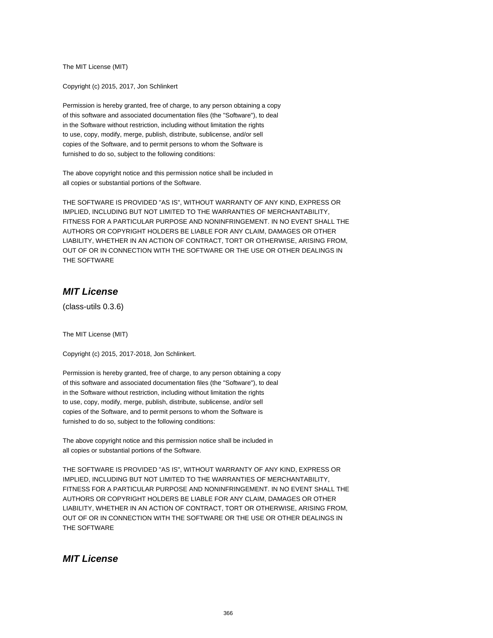The MIT License (MIT)

Copyright (c) 2015, 2017, Jon Schlinkert

Permission is hereby granted, free of charge, to any person obtaining a copy of this software and associated documentation files (the "Software"), to deal in the Software without restriction, including without limitation the rights to use, copy, modify, merge, publish, distribute, sublicense, and/or sell copies of the Software, and to permit persons to whom the Software is furnished to do so, subject to the following conditions:

The above copyright notice and this permission notice shall be included in all copies or substantial portions of the Software.

THE SOFTWARE IS PROVIDED "AS IS", WITHOUT WARRANTY OF ANY KIND, EXPRESS OR IMPLIED, INCLUDING BUT NOT LIMITED TO THE WARRANTIES OF MERCHANTABILITY, FITNESS FOR A PARTICULAR PURPOSE AND NONINFRINGEMENT. IN NO EVENT SHALL THE AUTHORS OR COPYRIGHT HOLDERS BE LIABLE FOR ANY CLAIM, DAMAGES OR OTHER LIABILITY, WHETHER IN AN ACTION OF CONTRACT, TORT OR OTHERWISE, ARISING FROM, OUT OF OR IN CONNECTION WITH THE SOFTWARE OR THE USE OR OTHER DEALINGS IN THE SOFTWARE

## **MIT License**

(class-utils 0.3.6)

The MIT License (MIT)

Copyright (c) 2015, 2017-2018, Jon Schlinkert.

Permission is hereby granted, free of charge, to any person obtaining a copy of this software and associated documentation files (the "Software"), to deal in the Software without restriction, including without limitation the rights to use, copy, modify, merge, publish, distribute, sublicense, and/or sell copies of the Software, and to permit persons to whom the Software is furnished to do so, subject to the following conditions:

The above copyright notice and this permission notice shall be included in all copies or substantial portions of the Software.

THE SOFTWARE IS PROVIDED "AS IS", WITHOUT WARRANTY OF ANY KIND, EXPRESS OR IMPLIED, INCLUDING BUT NOT LIMITED TO THE WARRANTIES OF MERCHANTABILITY, FITNESS FOR A PARTICULAR PURPOSE AND NONINFRINGEMENT. IN NO EVENT SHALL THE AUTHORS OR COPYRIGHT HOLDERS BE LIABLE FOR ANY CLAIM, DAMAGES OR OTHER LIABILITY, WHETHER IN AN ACTION OF CONTRACT, TORT OR OTHERWISE, ARISING FROM, OUT OF OR IN CONNECTION WITH THE SOFTWARE OR THE USE OR OTHER DEALINGS IN THE SOFTWARE

#### **MIT License**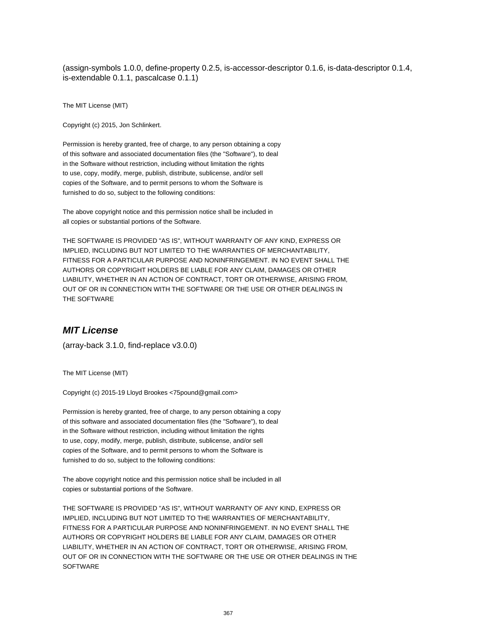(assign-symbols 1.0.0, define-property 0.2.5, is-accessor-descriptor 0.1.6, is-data-descriptor 0.1.4, is-extendable 0.1.1, pascalcase 0.1.1)

The MIT License (MIT)

Copyright (c) 2015, Jon Schlinkert.

Permission is hereby granted, free of charge, to any person obtaining a copy of this software and associated documentation files (the "Software"), to deal in the Software without restriction, including without limitation the rights to use, copy, modify, merge, publish, distribute, sublicense, and/or sell copies of the Software, and to permit persons to whom the Software is furnished to do so, subject to the following conditions:

The above copyright notice and this permission notice shall be included in all copies or substantial portions of the Software.

THE SOFTWARE IS PROVIDED "AS IS", WITHOUT WARRANTY OF ANY KIND, EXPRESS OR IMPLIED, INCLUDING BUT NOT LIMITED TO THE WARRANTIES OF MERCHANTABILITY, FITNESS FOR A PARTICULAR PURPOSE AND NONINFRINGEMENT. IN NO EVENT SHALL THE AUTHORS OR COPYRIGHT HOLDERS BE LIABLE FOR ANY CLAIM, DAMAGES OR OTHER LIABILITY, WHETHER IN AN ACTION OF CONTRACT, TORT OR OTHERWISE, ARISING FROM, OUT OF OR IN CONNECTION WITH THE SOFTWARE OR THE USE OR OTHER DEALINGS IN THE SOFTWARE

## **MIT License**

(array-back 3.1.0, find-replace v3.0.0)

The MIT License (MIT)

Copyright (c) 2015-19 Lloyd Brookes <75pound@gmail.com>

Permission is hereby granted, free of charge, to any person obtaining a copy of this software and associated documentation files (the "Software"), to deal in the Software without restriction, including without limitation the rights to use, copy, modify, merge, publish, distribute, sublicense, and/or sell copies of the Software, and to permit persons to whom the Software is furnished to do so, subject to the following conditions:

The above copyright notice and this permission notice shall be included in all copies or substantial portions of the Software.

THE SOFTWARE IS PROVIDED "AS IS", WITHOUT WARRANTY OF ANY KIND, EXPRESS OR IMPLIED, INCLUDING BUT NOT LIMITED TO THE WARRANTIES OF MERCHANTABILITY, FITNESS FOR A PARTICULAR PURPOSE AND NONINFRINGEMENT. IN NO EVENT SHALL THE AUTHORS OR COPYRIGHT HOLDERS BE LIABLE FOR ANY CLAIM, DAMAGES OR OTHER LIABILITY, WHETHER IN AN ACTION OF CONTRACT, TORT OR OTHERWISE, ARISING FROM, OUT OF OR IN CONNECTION WITH THE SOFTWARE OR THE USE OR OTHER DEALINGS IN THE **SOFTWARE**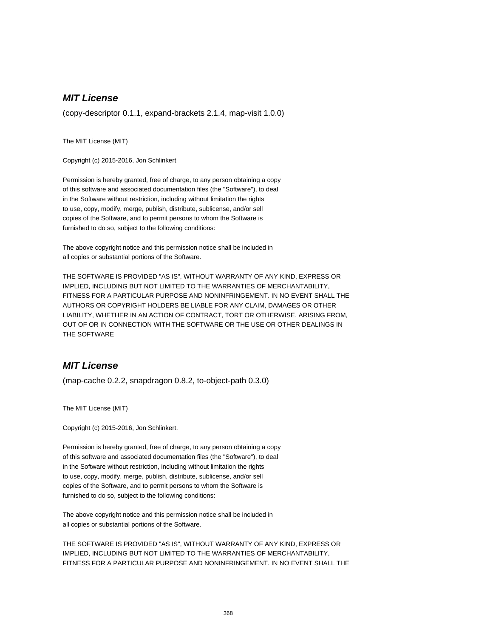# **MIT License**

(copy-descriptor 0.1.1, expand-brackets 2.1.4, map-visit 1.0.0)

The MIT License (MIT)

Copyright (c) 2015-2016, Jon Schlinkert

Permission is hereby granted, free of charge, to any person obtaining a copy of this software and associated documentation files (the "Software"), to deal in the Software without restriction, including without limitation the rights to use, copy, modify, merge, publish, distribute, sublicense, and/or sell copies of the Software, and to permit persons to whom the Software is furnished to do so, subject to the following conditions:

The above copyright notice and this permission notice shall be included in all copies or substantial portions of the Software.

THE SOFTWARE IS PROVIDED "AS IS", WITHOUT WARRANTY OF ANY KIND, EXPRESS OR IMPLIED, INCLUDING BUT NOT LIMITED TO THE WARRANTIES OF MERCHANTABILITY, FITNESS FOR A PARTICULAR PURPOSE AND NONINFRINGEMENT. IN NO EVENT SHALL THE AUTHORS OR COPYRIGHT HOLDERS BE LIABLE FOR ANY CLAIM, DAMAGES OR OTHER LIABILITY, WHETHER IN AN ACTION OF CONTRACT, TORT OR OTHERWISE, ARISING FROM, OUT OF OR IN CONNECTION WITH THE SOFTWARE OR THE USE OR OTHER DEALINGS IN THE SOFTWARE

#### **MIT License**

(map-cache 0.2.2, snapdragon 0.8.2, to-object-path 0.3.0)

The MIT License (MIT)

Copyright (c) 2015-2016, Jon Schlinkert.

Permission is hereby granted, free of charge, to any person obtaining a copy of this software and associated documentation files (the "Software"), to deal in the Software without restriction, including without limitation the rights to use, copy, modify, merge, publish, distribute, sublicense, and/or sell copies of the Software, and to permit persons to whom the Software is furnished to do so, subject to the following conditions:

The above copyright notice and this permission notice shall be included in all copies or substantial portions of the Software.

THE SOFTWARE IS PROVIDED "AS IS", WITHOUT WARRANTY OF ANY KIND, EXPRESS OR IMPLIED, INCLUDING BUT NOT LIMITED TO THE WARRANTIES OF MERCHANTABILITY, FITNESS FOR A PARTICULAR PURPOSE AND NONINFRINGEMENT. IN NO EVENT SHALL THE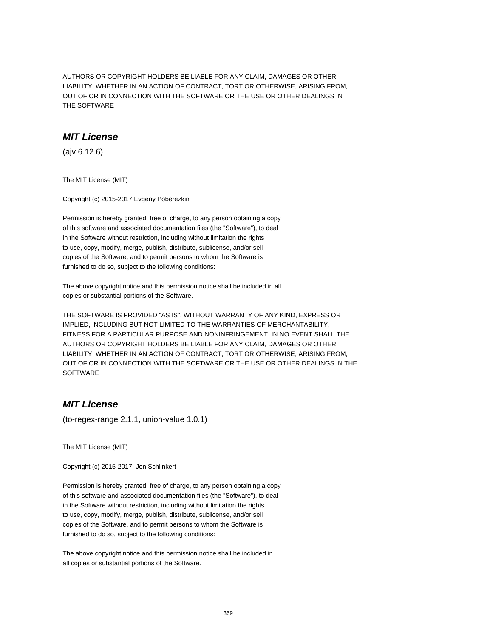AUTHORS OR COPYRIGHT HOLDERS BE LIABLE FOR ANY CLAIM, DAMAGES OR OTHER LIABILITY, WHETHER IN AN ACTION OF CONTRACT, TORT OR OTHERWISE, ARISING FROM, OUT OF OR IN CONNECTION WITH THE SOFTWARE OR THE USE OR OTHER DEALINGS IN THE SOFTWARE

## **MIT License**

(ajv 6.12.6)

The MIT License (MIT)

Copyright (c) 2015-2017 Evgeny Poberezkin

Permission is hereby granted, free of charge, to any person obtaining a copy of this software and associated documentation files (the "Software"), to deal in the Software without restriction, including without limitation the rights to use, copy, modify, merge, publish, distribute, sublicense, and/or sell copies of the Software, and to permit persons to whom the Software is furnished to do so, subject to the following conditions:

The above copyright notice and this permission notice shall be included in all copies or substantial portions of the Software.

THE SOFTWARE IS PROVIDED "AS IS", WITHOUT WARRANTY OF ANY KIND, EXPRESS OR IMPLIED, INCLUDING BUT NOT LIMITED TO THE WARRANTIES OF MERCHANTABILITY, FITNESS FOR A PARTICULAR PURPOSE AND NONINFRINGEMENT. IN NO EVENT SHALL THE AUTHORS OR COPYRIGHT HOLDERS BE LIABLE FOR ANY CLAIM, DAMAGES OR OTHER LIABILITY, WHETHER IN AN ACTION OF CONTRACT, TORT OR OTHERWISE, ARISING FROM, OUT OF OR IN CONNECTION WITH THE SOFTWARE OR THE USE OR OTHER DEALINGS IN THE **SOFTWARE** 

## **MIT License**

(to-regex-range 2.1.1, union-value 1.0.1)

The MIT License (MIT)

Copyright (c) 2015-2017, Jon Schlinkert

Permission is hereby granted, free of charge, to any person obtaining a copy of this software and associated documentation files (the "Software"), to deal in the Software without restriction, including without limitation the rights to use, copy, modify, merge, publish, distribute, sublicense, and/or sell copies of the Software, and to permit persons to whom the Software is furnished to do so, subject to the following conditions:

The above copyright notice and this permission notice shall be included in all copies or substantial portions of the Software.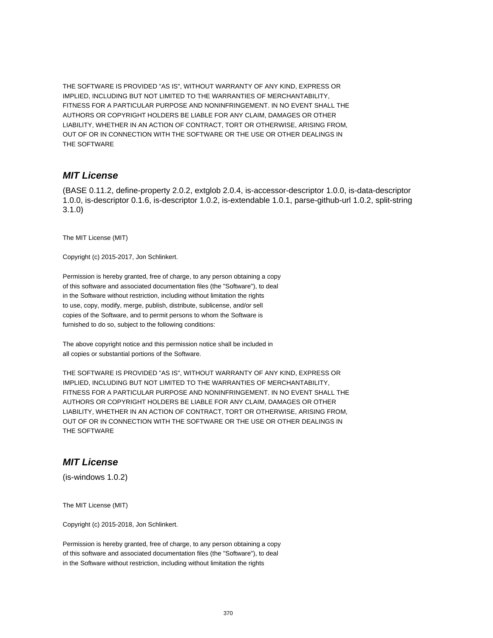THE SOFTWARE IS PROVIDED "AS IS", WITHOUT WARRANTY OF ANY KIND, EXPRESS OR IMPLIED, INCLUDING BUT NOT LIMITED TO THE WARRANTIES OF MERCHANTABILITY, FITNESS FOR A PARTICULAR PURPOSE AND NONINFRINGEMENT. IN NO EVENT SHALL THE AUTHORS OR COPYRIGHT HOLDERS BE LIABLE FOR ANY CLAIM, DAMAGES OR OTHER LIABILITY, WHETHER IN AN ACTION OF CONTRACT, TORT OR OTHERWISE, ARISING FROM, OUT OF OR IN CONNECTION WITH THE SOFTWARE OR THE USE OR OTHER DEALINGS IN THE SOFTWARE

#### **MIT License**

(BASE 0.11.2, define-property 2.0.2, extglob 2.0.4, is-accessor-descriptor 1.0.0, is-data-descriptor 1.0.0, is-descriptor 0.1.6, is-descriptor 1.0.2, is-extendable 1.0.1, parse-github-url 1.0.2, split-string 3.1.0)

The MIT License (MIT)

Copyright (c) 2015-2017, Jon Schlinkert.

Permission is hereby granted, free of charge, to any person obtaining a copy of this software and associated documentation files (the "Software"), to deal in the Software without restriction, including without limitation the rights to use, copy, modify, merge, publish, distribute, sublicense, and/or sell copies of the Software, and to permit persons to whom the Software is furnished to do so, subject to the following conditions:

The above copyright notice and this permission notice shall be included in all copies or substantial portions of the Software.

THE SOFTWARE IS PROVIDED "AS IS", WITHOUT WARRANTY OF ANY KIND, EXPRESS OR IMPLIED, INCLUDING BUT NOT LIMITED TO THE WARRANTIES OF MERCHANTABILITY, FITNESS FOR A PARTICULAR PURPOSE AND NONINFRINGEMENT. IN NO EVENT SHALL THE AUTHORS OR COPYRIGHT HOLDERS BE LIABLE FOR ANY CLAIM, DAMAGES OR OTHER LIABILITY, WHETHER IN AN ACTION OF CONTRACT, TORT OR OTHERWISE, ARISING FROM, OUT OF OR IN CONNECTION WITH THE SOFTWARE OR THE USE OR OTHER DEALINGS IN THE SOFTWARE

## **MIT License**

(is-windows 1.0.2)

The MIT License (MIT)

Copyright (c) 2015-2018, Jon Schlinkert.

Permission is hereby granted, free of charge, to any person obtaining a copy of this software and associated documentation files (the "Software"), to deal in the Software without restriction, including without limitation the rights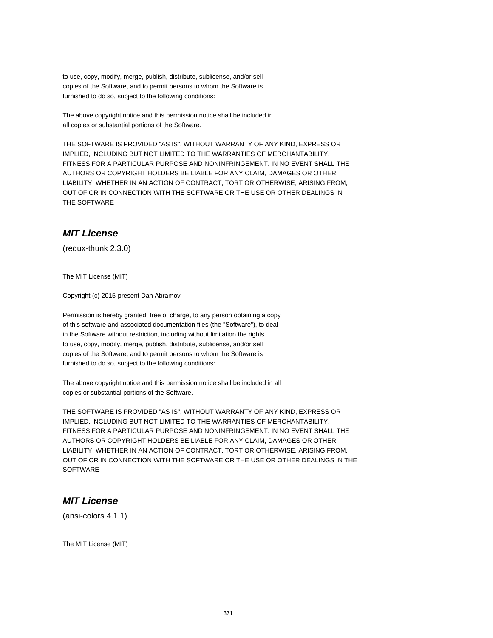to use, copy, modify, merge, publish, distribute, sublicense, and/or sell copies of the Software, and to permit persons to whom the Software is furnished to do so, subject to the following conditions:

The above copyright notice and this permission notice shall be included in all copies or substantial portions of the Software.

THE SOFTWARE IS PROVIDED "AS IS", WITHOUT WARRANTY OF ANY KIND, EXPRESS OR IMPLIED, INCLUDING BUT NOT LIMITED TO THE WARRANTIES OF MERCHANTABILITY, FITNESS FOR A PARTICULAR PURPOSE AND NONINFRINGEMENT. IN NO EVENT SHALL THE AUTHORS OR COPYRIGHT HOLDERS BE LIABLE FOR ANY CLAIM, DAMAGES OR OTHER LIABILITY, WHETHER IN AN ACTION OF CONTRACT, TORT OR OTHERWISE, ARISING FROM, OUT OF OR IN CONNECTION WITH THE SOFTWARE OR THE USE OR OTHER DEALINGS IN THE SOFTWARE

#### **MIT License**

(redux-thunk 2.3.0)

The MIT License (MIT)

Copyright (c) 2015-present Dan Abramov

Permission is hereby granted, free of charge, to any person obtaining a copy of this software and associated documentation files (the "Software"), to deal in the Software without restriction, including without limitation the rights to use, copy, modify, merge, publish, distribute, sublicense, and/or sell copies of the Software, and to permit persons to whom the Software is furnished to do so, subject to the following conditions:

The above copyright notice and this permission notice shall be included in all copies or substantial portions of the Software.

THE SOFTWARE IS PROVIDED "AS IS", WITHOUT WARRANTY OF ANY KIND, EXPRESS OR IMPLIED, INCLUDING BUT NOT LIMITED TO THE WARRANTIES OF MERCHANTABILITY, FITNESS FOR A PARTICULAR PURPOSE AND NONINFRINGEMENT. IN NO EVENT SHALL THE AUTHORS OR COPYRIGHT HOLDERS BE LIABLE FOR ANY CLAIM, DAMAGES OR OTHER LIABILITY, WHETHER IN AN ACTION OF CONTRACT, TORT OR OTHERWISE, ARISING FROM, OUT OF OR IN CONNECTION WITH THE SOFTWARE OR THE USE OR OTHER DEALINGS IN THE **SOFTWARE** 

#### **MIT License**

(ansi-colors 4.1.1)

The MIT License (MIT)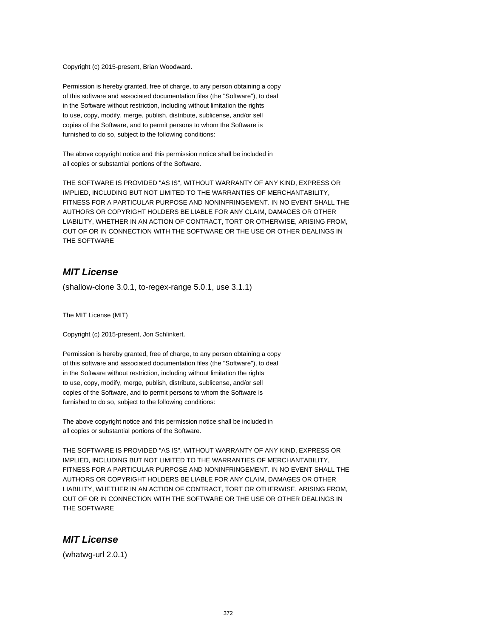Copyright (c) 2015-present, Brian Woodward.

Permission is hereby granted, free of charge, to any person obtaining a copy of this software and associated documentation files (the "Software"), to deal in the Software without restriction, including without limitation the rights to use, copy, modify, merge, publish, distribute, sublicense, and/or sell copies of the Software, and to permit persons to whom the Software is furnished to do so, subject to the following conditions:

The above copyright notice and this permission notice shall be included in all copies or substantial portions of the Software.

THE SOFTWARE IS PROVIDED "AS IS", WITHOUT WARRANTY OF ANY KIND, EXPRESS OR IMPLIED, INCLUDING BUT NOT LIMITED TO THE WARRANTIES OF MERCHANTABILITY, FITNESS FOR A PARTICULAR PURPOSE AND NONINFRINGEMENT. IN NO EVENT SHALL THE AUTHORS OR COPYRIGHT HOLDERS BE LIABLE FOR ANY CLAIM, DAMAGES OR OTHER LIABILITY, WHETHER IN AN ACTION OF CONTRACT, TORT OR OTHERWISE, ARISING FROM, OUT OF OR IN CONNECTION WITH THE SOFTWARE OR THE USE OR OTHER DEALINGS IN THE SOFTWARE

## **MIT License**

(shallow-clone 3.0.1, to-regex-range 5.0.1, use 3.1.1)

The MIT License (MIT)

Copyright (c) 2015-present, Jon Schlinkert.

Permission is hereby granted, free of charge, to any person obtaining a copy of this software and associated documentation files (the "Software"), to deal in the Software without restriction, including without limitation the rights to use, copy, modify, merge, publish, distribute, sublicense, and/or sell copies of the Software, and to permit persons to whom the Software is furnished to do so, subject to the following conditions:

The above copyright notice and this permission notice shall be included in all copies or substantial portions of the Software.

THE SOFTWARE IS PROVIDED "AS IS", WITHOUT WARRANTY OF ANY KIND, EXPRESS OR IMPLIED, INCLUDING BUT NOT LIMITED TO THE WARRANTIES OF MERCHANTABILITY, FITNESS FOR A PARTICULAR PURPOSE AND NONINFRINGEMENT. IN NO EVENT SHALL THE AUTHORS OR COPYRIGHT HOLDERS BE LIABLE FOR ANY CLAIM, DAMAGES OR OTHER LIABILITY, WHETHER IN AN ACTION OF CONTRACT, TORT OR OTHERWISE, ARISING FROM, OUT OF OR IN CONNECTION WITH THE SOFTWARE OR THE USE OR OTHER DEALINGS IN THE SOFTWARE

#### **MIT License**

(whatwg-url 2.0.1)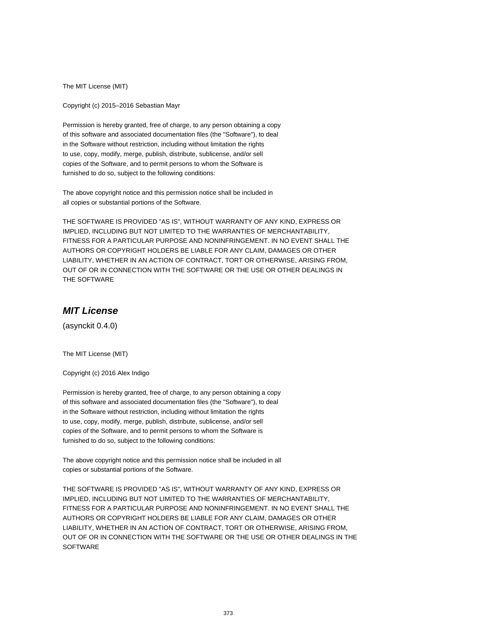The MIT License (MIT)

Copyright (c) 2015–2016 Sebastian Mayr

Permission is hereby granted, free of charge, to any person obtaining a copy of this software and associated documentation files (the "Software"), to deal in the Software without restriction, including without limitation the rights to use, copy, modify, merge, publish, distribute, sublicense, and/or sell copies of the Software, and to permit persons to whom the Software is furnished to do so, subject to the following conditions:

The above copyright notice and this permission notice shall be included in all copies or substantial portions of the Software.

THE SOFTWARE IS PROVIDED "AS IS", WITHOUT WARRANTY OF ANY KIND, EXPRESS OR IMPLIED, INCLUDING BUT NOT LIMITED TO THE WARRANTIES OF MERCHANTABILITY, FITNESS FOR A PARTICULAR PURPOSE AND NONINFRINGEMENT. IN NO EVENT SHALL THE AUTHORS OR COPYRIGHT HOLDERS BE LIABLE FOR ANY CLAIM, DAMAGES OR OTHER LIABILITY, WHETHER IN AN ACTION OF CONTRACT, TORT OR OTHERWISE, ARISING FROM, OUT OF OR IN CONNECTION WITH THE SOFTWARE OR THE USE OR OTHER DEALINGS IN THE SOFTWARE

# **MIT License**

(asynckit 0.4.0)

The MIT License (MIT)

Copyright (c) 2016 Alex Indigo

Permission is hereby granted, free of charge, to any person obtaining a copy of this software and associated documentation files (the "Software"), to deal in the Software without restriction, including without limitation the rights to use, copy, modify, merge, publish, distribute, sublicense, and/or sell copies of the Software, and to permit persons to whom the Software is furnished to do so, subject to the following conditions:

The above copyright notice and this permission notice shall be included in all copies or substantial portions of the Software.

THE SOFTWARE IS PROVIDED "AS IS", WITHOUT WARRANTY OF ANY KIND, EXPRESS OR IMPLIED, INCLUDING BUT NOT LIMITED TO THE WARRANTIES OF MERCHANTABILITY, FITNESS FOR A PARTICULAR PURPOSE AND NONINFRINGEMENT. IN NO EVENT SHALL THE AUTHORS OR COPYRIGHT HOLDERS BE LIABLE FOR ANY CLAIM, DAMAGES OR OTHER LIABILITY, WHETHER IN AN ACTION OF CONTRACT, TORT OR OTHERWISE, ARISING FROM, OUT OF OR IN CONNECTION WITH THE SOFTWARE OR THE USE OR OTHER DEALINGS IN THE **SOFTWARE**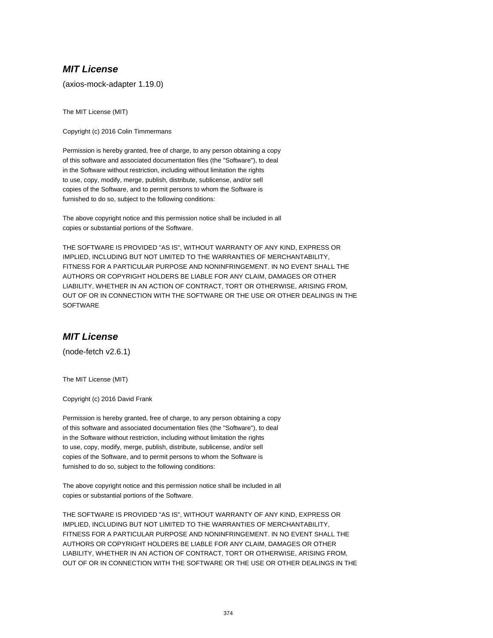## **MIT License**

(axios-mock-adapter 1.19.0)

The MIT License (MIT)

Copyright (c) 2016 Colin Timmermans

Permission is hereby granted, free of charge, to any person obtaining a copy of this software and associated documentation files (the "Software"), to deal in the Software without restriction, including without limitation the rights to use, copy, modify, merge, publish, distribute, sublicense, and/or sell copies of the Software, and to permit persons to whom the Software is furnished to do so, subject to the following conditions:

The above copyright notice and this permission notice shall be included in all copies or substantial portions of the Software.

THE SOFTWARE IS PROVIDED "AS IS", WITHOUT WARRANTY OF ANY KIND, EXPRESS OR IMPLIED, INCLUDING BUT NOT LIMITED TO THE WARRANTIES OF MERCHANTABILITY, FITNESS FOR A PARTICULAR PURPOSE AND NONINFRINGEMENT. IN NO EVENT SHALL THE AUTHORS OR COPYRIGHT HOLDERS BE LIABLE FOR ANY CLAIM, DAMAGES OR OTHER LIABILITY, WHETHER IN AN ACTION OF CONTRACT, TORT OR OTHERWISE, ARISING FROM, OUT OF OR IN CONNECTION WITH THE SOFTWARE OR THE USE OR OTHER DEALINGS IN THE **SOFTWARE** 

#### **MIT License**

(node-fetch v2.6.1)

The MIT License (MIT)

Copyright (c) 2016 David Frank

Permission is hereby granted, free of charge, to any person obtaining a copy of this software and associated documentation files (the "Software"), to deal in the Software without restriction, including without limitation the rights to use, copy, modify, merge, publish, distribute, sublicense, and/or sell copies of the Software, and to permit persons to whom the Software is furnished to do so, subject to the following conditions:

The above copyright notice and this permission notice shall be included in all copies or substantial portions of the Software.

THE SOFTWARE IS PROVIDED "AS IS", WITHOUT WARRANTY OF ANY KIND, EXPRESS OR IMPLIED, INCLUDING BUT NOT LIMITED TO THE WARRANTIES OF MERCHANTABILITY, FITNESS FOR A PARTICULAR PURPOSE AND NONINFRINGEMENT. IN NO EVENT SHALL THE AUTHORS OR COPYRIGHT HOLDERS BE LIABLE FOR ANY CLAIM, DAMAGES OR OTHER LIABILITY, WHETHER IN AN ACTION OF CONTRACT, TORT OR OTHERWISE, ARISING FROM, OUT OF OR IN CONNECTION WITH THE SOFTWARE OR THE USE OR OTHER DEALINGS IN THE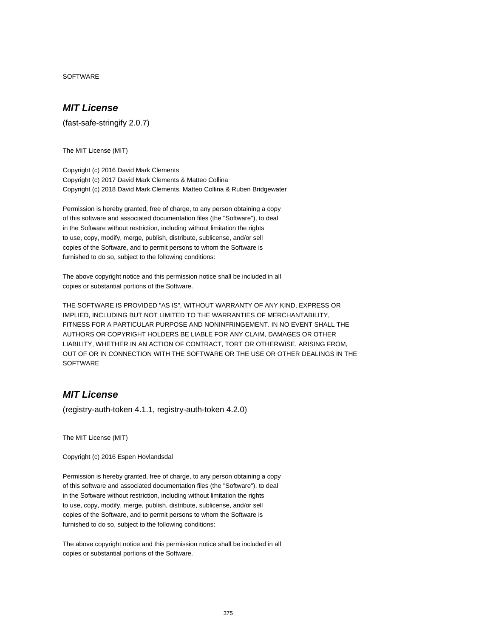**SOFTWARE** 

#### **MIT License**

(fast-safe-stringify 2.0.7)

The MIT License (MIT)

Copyright (c) 2016 David Mark Clements Copyright (c) 2017 David Mark Clements & Matteo Collina Copyright (c) 2018 David Mark Clements, Matteo Collina & Ruben Bridgewater

Permission is hereby granted, free of charge, to any person obtaining a copy of this software and associated documentation files (the "Software"), to deal in the Software without restriction, including without limitation the rights to use, copy, modify, merge, publish, distribute, sublicense, and/or sell copies of the Software, and to permit persons to whom the Software is furnished to do so, subject to the following conditions:

The above copyright notice and this permission notice shall be included in all copies or substantial portions of the Software.

THE SOFTWARE IS PROVIDED "AS IS", WITHOUT WARRANTY OF ANY KIND, EXPRESS OR IMPLIED, INCLUDING BUT NOT LIMITED TO THE WARRANTIES OF MERCHANTABILITY, FITNESS FOR A PARTICULAR PURPOSE AND NONINFRINGEMENT. IN NO EVENT SHALL THE AUTHORS OR COPYRIGHT HOLDERS BE LIABLE FOR ANY CLAIM, DAMAGES OR OTHER LIABILITY, WHETHER IN AN ACTION OF CONTRACT, TORT OR OTHERWISE, ARISING FROM, OUT OF OR IN CONNECTION WITH THE SOFTWARE OR THE USE OR OTHER DEALINGS IN THE **SOFTWARE** 

# **MIT License**

(registry-auth-token 4.1.1, registry-auth-token 4.2.0)

The MIT License (MIT)

Copyright (c) 2016 Espen Hovlandsdal

Permission is hereby granted, free of charge, to any person obtaining a copy of this software and associated documentation files (the "Software"), to deal in the Software without restriction, including without limitation the rights to use, copy, modify, merge, publish, distribute, sublicense, and/or sell copies of the Software, and to permit persons to whom the Software is furnished to do so, subject to the following conditions:

The above copyright notice and this permission notice shall be included in all copies or substantial portions of the Software.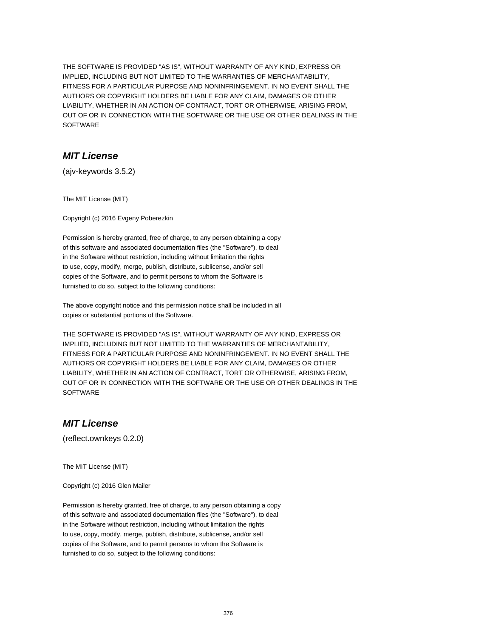THE SOFTWARE IS PROVIDED "AS IS", WITHOUT WARRANTY OF ANY KIND, EXPRESS OR IMPLIED, INCLUDING BUT NOT LIMITED TO THE WARRANTIES OF MERCHANTABILITY, FITNESS FOR A PARTICULAR PURPOSE AND NONINFRINGEMENT. IN NO EVENT SHALL THE AUTHORS OR COPYRIGHT HOLDERS BE LIABLE FOR ANY CLAIM, DAMAGES OR OTHER LIABILITY, WHETHER IN AN ACTION OF CONTRACT, TORT OR OTHERWISE, ARISING FROM, OUT OF OR IN CONNECTION WITH THE SOFTWARE OR THE USE OR OTHER DEALINGS IN THE SOFTWARE

## **MIT License**

(ajv-keywords 3.5.2)

The MIT License (MIT)

Copyright (c) 2016 Evgeny Poberezkin

Permission is hereby granted, free of charge, to any person obtaining a copy of this software and associated documentation files (the "Software"), to deal in the Software without restriction, including without limitation the rights to use, copy, modify, merge, publish, distribute, sublicense, and/or sell copies of the Software, and to permit persons to whom the Software is furnished to do so, subject to the following conditions:

The above copyright notice and this permission notice shall be included in all copies or substantial portions of the Software.

THE SOFTWARE IS PROVIDED "AS IS", WITHOUT WARRANTY OF ANY KIND, EXPRESS OR IMPLIED, INCLUDING BUT NOT LIMITED TO THE WARRANTIES OF MERCHANTABILITY, FITNESS FOR A PARTICULAR PURPOSE AND NONINFRINGEMENT. IN NO EVENT SHALL THE AUTHORS OR COPYRIGHT HOLDERS BE LIABLE FOR ANY CLAIM, DAMAGES OR OTHER LIABILITY, WHETHER IN AN ACTION OF CONTRACT, TORT OR OTHERWISE, ARISING FROM, OUT OF OR IN CONNECTION WITH THE SOFTWARE OR THE USE OR OTHER DEALINGS IN THE **SOFTWARE** 

## **MIT License**

(reflect.ownkeys 0.2.0)

The MIT License (MIT)

Copyright (c) 2016 Glen Mailer

Permission is hereby granted, free of charge, to any person obtaining a copy of this software and associated documentation files (the "Software"), to deal in the Software without restriction, including without limitation the rights to use, copy, modify, merge, publish, distribute, sublicense, and/or sell copies of the Software, and to permit persons to whom the Software is furnished to do so, subject to the following conditions: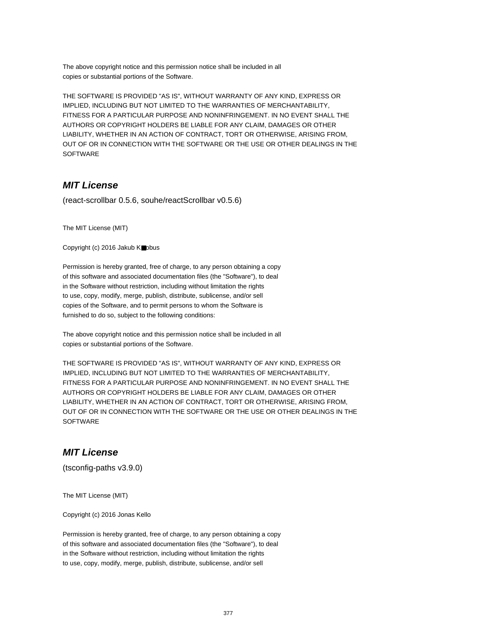The above copyright notice and this permission notice shall be included in all copies or substantial portions of the Software.

THE SOFTWARE IS PROVIDED "AS IS", WITHOUT WARRANTY OF ANY KIND, EXPRESS OR IMPLIED, INCLUDING BUT NOT LIMITED TO THE WARRANTIES OF MERCHANTABILITY, FITNESS FOR A PARTICULAR PURPOSE AND NONINFRINGEMENT. IN NO EVENT SHALL THE AUTHORS OR COPYRIGHT HOLDERS BE LIABLE FOR ANY CLAIM, DAMAGES OR OTHER LIABILITY, WHETHER IN AN ACTION OF CONTRACT, TORT OR OTHERWISE, ARISING FROM, OUT OF OR IN CONNECTION WITH THE SOFTWARE OR THE USE OR OTHER DEALINGS IN THE SOFTWARE

## **MIT License**

(react-scrollbar 0.5.6, souhe/reactScrollbar v0.5.6)

The MIT License (MIT)

Copyright (c) 2016 Jakub K■obus

Permission is hereby granted, free of charge, to any person obtaining a copy of this software and associated documentation files (the "Software"), to deal in the Software without restriction, including without limitation the rights to use, copy, modify, merge, publish, distribute, sublicense, and/or sell copies of the Software, and to permit persons to whom the Software is furnished to do so, subject to the following conditions:

The above copyright notice and this permission notice shall be included in all copies or substantial portions of the Software.

THE SOFTWARE IS PROVIDED "AS IS", WITHOUT WARRANTY OF ANY KIND, EXPRESS OR IMPLIED, INCLUDING BUT NOT LIMITED TO THE WARRANTIES OF MERCHANTABILITY, FITNESS FOR A PARTICULAR PURPOSE AND NONINFRINGEMENT. IN NO EVENT SHALL THE AUTHORS OR COPYRIGHT HOLDERS BE LIABLE FOR ANY CLAIM, DAMAGES OR OTHER LIABILITY, WHETHER IN AN ACTION OF CONTRACT, TORT OR OTHERWISE, ARISING FROM, OUT OF OR IN CONNECTION WITH THE SOFTWARE OR THE USE OR OTHER DEALINGS IN THE **SOFTWARE** 

## **MIT License**

(tsconfig-paths v3.9.0)

The MIT License (MIT)

Copyright (c) 2016 Jonas Kello

Permission is hereby granted, free of charge, to any person obtaining a copy of this software and associated documentation files (the "Software"), to deal in the Software without restriction, including without limitation the rights to use, copy, modify, merge, publish, distribute, sublicense, and/or sell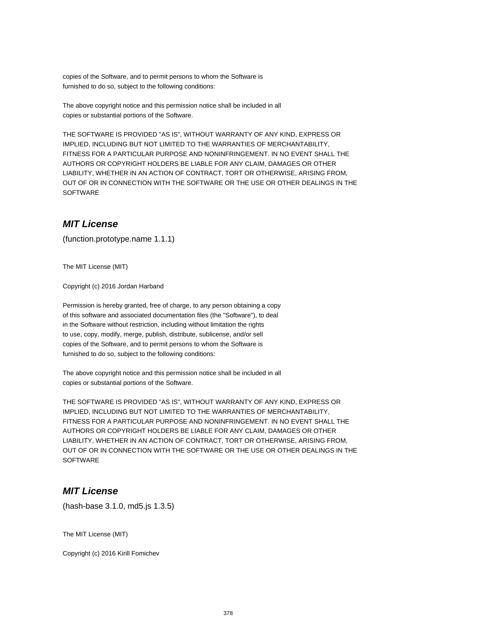copies of the Software, and to permit persons to whom the Software is furnished to do so, subject to the following conditions:

The above copyright notice and this permission notice shall be included in all copies or substantial portions of the Software.

THE SOFTWARE IS PROVIDED "AS IS", WITHOUT WARRANTY OF ANY KIND, EXPRESS OR IMPLIED, INCLUDING BUT NOT LIMITED TO THE WARRANTIES OF MERCHANTABILITY, FITNESS FOR A PARTICULAR PURPOSE AND NONINFRINGEMENT. IN NO EVENT SHALL THE AUTHORS OR COPYRIGHT HOLDERS BE LIABLE FOR ANY CLAIM, DAMAGES OR OTHER LIABILITY, WHETHER IN AN ACTION OF CONTRACT, TORT OR OTHERWISE, ARISING FROM, OUT OF OR IN CONNECTION WITH THE SOFTWARE OR THE USE OR OTHER DEALINGS IN THE **SOFTWARE** 

## **MIT License**

(function.prototype.name 1.1.1)

The MIT License (MIT)

Copyright (c) 2016 Jordan Harband

Permission is hereby granted, free of charge, to any person obtaining a copy of this software and associated documentation files (the "Software"), to deal in the Software without restriction, including without limitation the rights to use, copy, modify, merge, publish, distribute, sublicense, and/or sell copies of the Software, and to permit persons to whom the Software is furnished to do so, subject to the following conditions:

The above copyright notice and this permission notice shall be included in all copies or substantial portions of the Software.

THE SOFTWARE IS PROVIDED "AS IS", WITHOUT WARRANTY OF ANY KIND, EXPRESS OR IMPLIED, INCLUDING BUT NOT LIMITED TO THE WARRANTIES OF MERCHANTABILITY, FITNESS FOR A PARTICULAR PURPOSE AND NONINFRINGEMENT. IN NO EVENT SHALL THE AUTHORS OR COPYRIGHT HOLDERS BE LIABLE FOR ANY CLAIM, DAMAGES OR OTHER LIABILITY, WHETHER IN AN ACTION OF CONTRACT, TORT OR OTHERWISE, ARISING FROM, OUT OF OR IN CONNECTION WITH THE SOFTWARE OR THE USE OR OTHER DEALINGS IN THE **SOFTWARE** 

## **MIT License**

(hash-base 3.1.0, md5.js 1.3.5)

The MIT License (MIT)

Copyright (c) 2016 Kirill Fomichev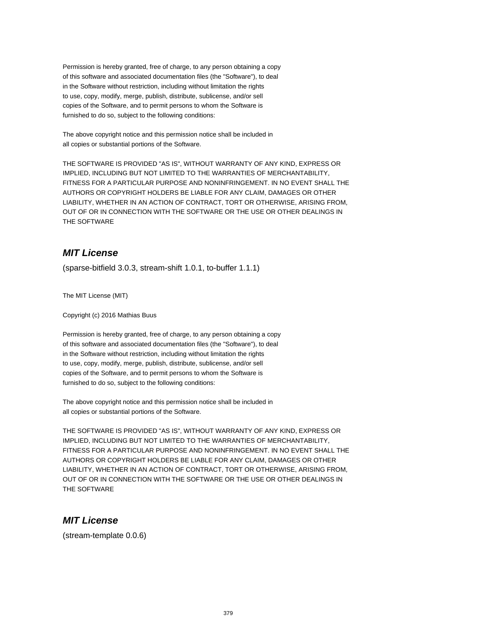Permission is hereby granted, free of charge, to any person obtaining a copy of this software and associated documentation files (the "Software"), to deal in the Software without restriction, including without limitation the rights to use, copy, modify, merge, publish, distribute, sublicense, and/or sell copies of the Software, and to permit persons to whom the Software is furnished to do so, subject to the following conditions:

The above copyright notice and this permission notice shall be included in all copies or substantial portions of the Software.

THE SOFTWARE IS PROVIDED "AS IS", WITHOUT WARRANTY OF ANY KIND, EXPRESS OR IMPLIED, INCLUDING BUT NOT LIMITED TO THE WARRANTIES OF MERCHANTABILITY, FITNESS FOR A PARTICULAR PURPOSE AND NONINFRINGEMENT. IN NO EVENT SHALL THE AUTHORS OR COPYRIGHT HOLDERS BE LIABLE FOR ANY CLAIM, DAMAGES OR OTHER LIABILITY, WHETHER IN AN ACTION OF CONTRACT, TORT OR OTHERWISE, ARISING FROM, OUT OF OR IN CONNECTION WITH THE SOFTWARE OR THE USE OR OTHER DEALINGS IN THE SOFTWARE

# **MIT License**

(sparse-bitfield 3.0.3, stream-shift 1.0.1, to-buffer 1.1.1)

The MIT License (MIT)

Copyright (c) 2016 Mathias Buus

Permission is hereby granted, free of charge, to any person obtaining a copy of this software and associated documentation files (the "Software"), to deal in the Software without restriction, including without limitation the rights to use, copy, modify, merge, publish, distribute, sublicense, and/or sell copies of the Software, and to permit persons to whom the Software is furnished to do so, subject to the following conditions:

The above copyright notice and this permission notice shall be included in all copies or substantial portions of the Software.

THE SOFTWARE IS PROVIDED "AS IS", WITHOUT WARRANTY OF ANY KIND, EXPRESS OR IMPLIED, INCLUDING BUT NOT LIMITED TO THE WARRANTIES OF MERCHANTABILITY, FITNESS FOR A PARTICULAR PURPOSE AND NONINFRINGEMENT. IN NO EVENT SHALL THE AUTHORS OR COPYRIGHT HOLDERS BE LIABLE FOR ANY CLAIM, DAMAGES OR OTHER LIABILITY, WHETHER IN AN ACTION OF CONTRACT, TORT OR OTHERWISE, ARISING FROM, OUT OF OR IN CONNECTION WITH THE SOFTWARE OR THE USE OR OTHER DEALINGS IN THE SOFTWARE

## **MIT License**

(stream-template 0.0.6)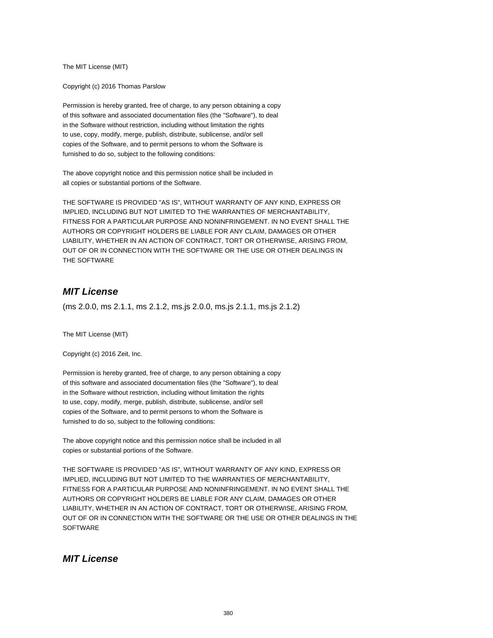The MIT License (MIT)

Copyright (c) 2016 Thomas Parslow

Permission is hereby granted, free of charge, to any person obtaining a copy of this software and associated documentation files (the "Software"), to deal in the Software without restriction, including without limitation the rights to use, copy, modify, merge, publish, distribute, sublicense, and/or sell copies of the Software, and to permit persons to whom the Software is furnished to do so, subject to the following conditions:

The above copyright notice and this permission notice shall be included in all copies or substantial portions of the Software.

THE SOFTWARE IS PROVIDED "AS IS", WITHOUT WARRANTY OF ANY KIND, EXPRESS OR IMPLIED, INCLUDING BUT NOT LIMITED TO THE WARRANTIES OF MERCHANTABILITY, FITNESS FOR A PARTICULAR PURPOSE AND NONINFRINGEMENT. IN NO EVENT SHALL THE AUTHORS OR COPYRIGHT HOLDERS BE LIABLE FOR ANY CLAIM, DAMAGES OR OTHER LIABILITY, WHETHER IN AN ACTION OF CONTRACT, TORT OR OTHERWISE, ARISING FROM, OUT OF OR IN CONNECTION WITH THE SOFTWARE OR THE USE OR OTHER DEALINGS IN THE SOFTWARE

## **MIT License**

(ms 2.0.0, ms 2.1.1, ms 2.1.2, ms.js 2.0.0, ms.js 2.1.1, ms.js 2.1.2)

The MIT License (MIT)

Copyright (c) 2016 Zeit, Inc.

Permission is hereby granted, free of charge, to any person obtaining a copy of this software and associated documentation files (the "Software"), to deal in the Software without restriction, including without limitation the rights to use, copy, modify, merge, publish, distribute, sublicense, and/or sell copies of the Software, and to permit persons to whom the Software is furnished to do so, subject to the following conditions:

The above copyright notice and this permission notice shall be included in all copies or substantial portions of the Software.

THE SOFTWARE IS PROVIDED "AS IS", WITHOUT WARRANTY OF ANY KIND, EXPRESS OR IMPLIED, INCLUDING BUT NOT LIMITED TO THE WARRANTIES OF MERCHANTABILITY, FITNESS FOR A PARTICULAR PURPOSE AND NONINFRINGEMENT. IN NO EVENT SHALL THE AUTHORS OR COPYRIGHT HOLDERS BE LIABLE FOR ANY CLAIM, DAMAGES OR OTHER LIABILITY, WHETHER IN AN ACTION OF CONTRACT, TORT OR OTHERWISE, ARISING FROM, OUT OF OR IN CONNECTION WITH THE SOFTWARE OR THE USE OR OTHER DEALINGS IN THE **SOFTWARE** 

## **MIT License**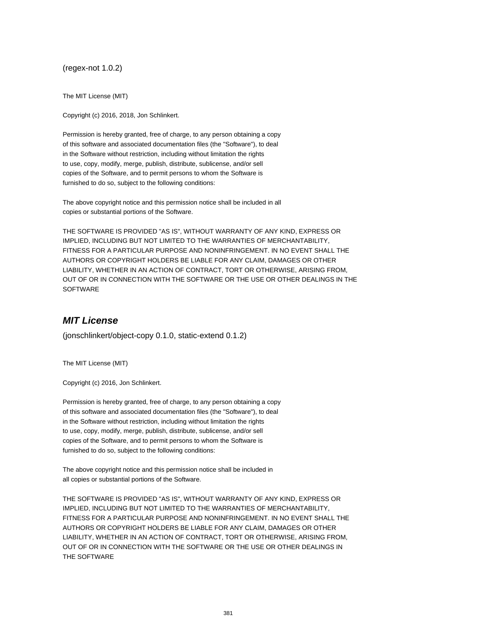(regex-not 1.0.2)

The MIT License (MIT)

Copyright (c) 2016, 2018, Jon Schlinkert.

Permission is hereby granted, free of charge, to any person obtaining a copy of this software and associated documentation files (the "Software"), to deal in the Software without restriction, including without limitation the rights to use, copy, modify, merge, publish, distribute, sublicense, and/or sell copies of the Software, and to permit persons to whom the Software is furnished to do so, subject to the following conditions:

The above copyright notice and this permission notice shall be included in all copies or substantial portions of the Software.

THE SOFTWARE IS PROVIDED "AS IS", WITHOUT WARRANTY OF ANY KIND, EXPRESS OR IMPLIED, INCLUDING BUT NOT LIMITED TO THE WARRANTIES OF MERCHANTABILITY, FITNESS FOR A PARTICULAR PURPOSE AND NONINFRINGEMENT. IN NO EVENT SHALL THE AUTHORS OR COPYRIGHT HOLDERS BE LIABLE FOR ANY CLAIM, DAMAGES OR OTHER LIABILITY, WHETHER IN AN ACTION OF CONTRACT, TORT OR OTHERWISE, ARISING FROM, OUT OF OR IN CONNECTION WITH THE SOFTWARE OR THE USE OR OTHER DEALINGS IN THE SOFTWARE

## **MIT License**

(jonschlinkert/object-copy 0.1.0, static-extend 0.1.2)

The MIT License (MIT)

Copyright (c) 2016, Jon Schlinkert.

Permission is hereby granted, free of charge, to any person obtaining a copy of this software and associated documentation files (the "Software"), to deal in the Software without restriction, including without limitation the rights to use, copy, modify, merge, publish, distribute, sublicense, and/or sell copies of the Software, and to permit persons to whom the Software is furnished to do so, subject to the following conditions:

The above copyright notice and this permission notice shall be included in all copies or substantial portions of the Software.

THE SOFTWARE IS PROVIDED "AS IS", WITHOUT WARRANTY OF ANY KIND, EXPRESS OR IMPLIED, INCLUDING BUT NOT LIMITED TO THE WARRANTIES OF MERCHANTABILITY, FITNESS FOR A PARTICULAR PURPOSE AND NONINFRINGEMENT. IN NO EVENT SHALL THE AUTHORS OR COPYRIGHT HOLDERS BE LIABLE FOR ANY CLAIM, DAMAGES OR OTHER LIABILITY, WHETHER IN AN ACTION OF CONTRACT, TORT OR OTHERWISE, ARISING FROM, OUT OF OR IN CONNECTION WITH THE SOFTWARE OR THE USE OR OTHER DEALINGS IN THE SOFTWARE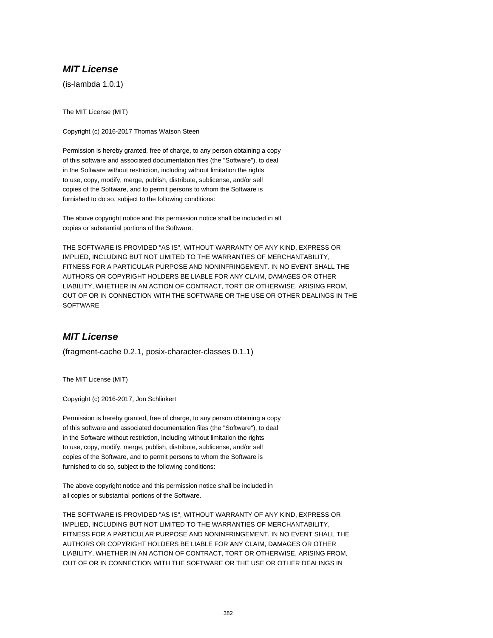# **MIT License**

(is-lambda 1.0.1)

The MIT License (MIT)

Copyright (c) 2016-2017 Thomas Watson Steen

Permission is hereby granted, free of charge, to any person obtaining a copy of this software and associated documentation files (the "Software"), to deal in the Software without restriction, including without limitation the rights to use, copy, modify, merge, publish, distribute, sublicense, and/or sell copies of the Software, and to permit persons to whom the Software is furnished to do so, subject to the following conditions:

The above copyright notice and this permission notice shall be included in all copies or substantial portions of the Software.

THE SOFTWARE IS PROVIDED "AS IS", WITHOUT WARRANTY OF ANY KIND, EXPRESS OR IMPLIED, INCLUDING BUT NOT LIMITED TO THE WARRANTIES OF MERCHANTABILITY, FITNESS FOR A PARTICULAR PURPOSE AND NONINFRINGEMENT. IN NO EVENT SHALL THE AUTHORS OR COPYRIGHT HOLDERS BE LIABLE FOR ANY CLAIM, DAMAGES OR OTHER LIABILITY, WHETHER IN AN ACTION OF CONTRACT, TORT OR OTHERWISE, ARISING FROM, OUT OF OR IN CONNECTION WITH THE SOFTWARE OR THE USE OR OTHER DEALINGS IN THE **SOFTWARE** 

## **MIT License**

(fragment-cache 0.2.1, posix-character-classes 0.1.1)

The MIT License (MIT)

Copyright (c) 2016-2017, Jon Schlinkert

Permission is hereby granted, free of charge, to any person obtaining a copy of this software and associated documentation files (the "Software"), to deal in the Software without restriction, including without limitation the rights to use, copy, modify, merge, publish, distribute, sublicense, and/or sell copies of the Software, and to permit persons to whom the Software is furnished to do so, subject to the following conditions:

The above copyright notice and this permission notice shall be included in all copies or substantial portions of the Software.

THE SOFTWARE IS PROVIDED "AS IS", WITHOUT WARRANTY OF ANY KIND, EXPRESS OR IMPLIED, INCLUDING BUT NOT LIMITED TO THE WARRANTIES OF MERCHANTABILITY, FITNESS FOR A PARTICULAR PURPOSE AND NONINFRINGEMENT. IN NO EVENT SHALL THE AUTHORS OR COPYRIGHT HOLDERS BE LIABLE FOR ANY CLAIM, DAMAGES OR OTHER LIABILITY, WHETHER IN AN ACTION OF CONTRACT, TORT OR OTHERWISE, ARISING FROM, OUT OF OR IN CONNECTION WITH THE SOFTWARE OR THE USE OR OTHER DEALINGS IN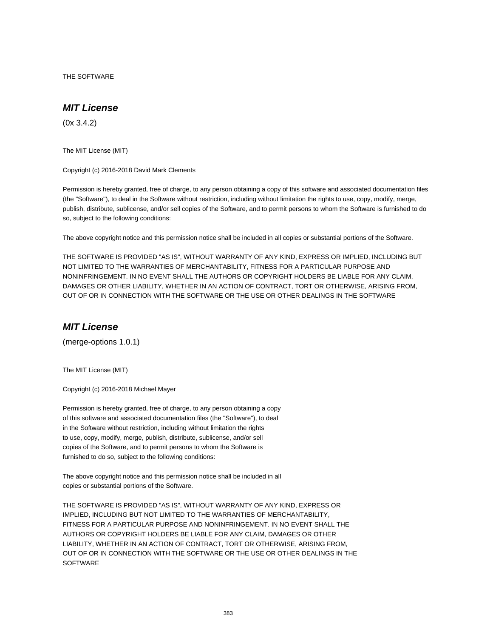THE SOFTWARE

#### **MIT License**

(0x 3.4.2)

The MIT License (MIT)

Copyright (c) 2016-2018 David Mark Clements

Permission is hereby granted, free of charge, to any person obtaining a copy of this software and associated documentation files (the "Software"), to deal in the Software without restriction, including without limitation the rights to use, copy, modify, merge, publish, distribute, sublicense, and/or sell copies of the Software, and to permit persons to whom the Software is furnished to do so, subject to the following conditions:

The above copyright notice and this permission notice shall be included in all copies or substantial portions of the Software.

THE SOFTWARE IS PROVIDED "AS IS", WITHOUT WARRANTY OF ANY KIND, EXPRESS OR IMPLIED, INCLUDING BUT NOT LIMITED TO THE WARRANTIES OF MERCHANTABILITY, FITNESS FOR A PARTICULAR PURPOSE AND NONINFRINGEMENT. IN NO EVENT SHALL THE AUTHORS OR COPYRIGHT HOLDERS BE LIABLE FOR ANY CLAIM, DAMAGES OR OTHER LIABILITY, WHETHER IN AN ACTION OF CONTRACT, TORT OR OTHERWISE, ARISING FROM, OUT OF OR IN CONNECTION WITH THE SOFTWARE OR THE USE OR OTHER DEALINGS IN THE SOFTWARE

#### **MIT License**

(merge-options 1.0.1)

The MIT License (MIT)

Copyright (c) 2016-2018 Michael Mayer

Permission is hereby granted, free of charge, to any person obtaining a copy of this software and associated documentation files (the "Software"), to deal in the Software without restriction, including without limitation the rights to use, copy, modify, merge, publish, distribute, sublicense, and/or sell copies of the Software, and to permit persons to whom the Software is furnished to do so, subject to the following conditions:

The above copyright notice and this permission notice shall be included in all copies or substantial portions of the Software.

THE SOFTWARE IS PROVIDED "AS IS", WITHOUT WARRANTY OF ANY KIND, EXPRESS OR IMPLIED, INCLUDING BUT NOT LIMITED TO THE WARRANTIES OF MERCHANTABILITY, FITNESS FOR A PARTICULAR PURPOSE AND NONINFRINGEMENT. IN NO EVENT SHALL THE AUTHORS OR COPYRIGHT HOLDERS BE LIABLE FOR ANY CLAIM, DAMAGES OR OTHER LIABILITY, WHETHER IN AN ACTION OF CONTRACT, TORT OR OTHERWISE, ARISING FROM, OUT OF OR IN CONNECTION WITH THE SOFTWARE OR THE USE OR OTHER DEALINGS IN THE **SOFTWARE**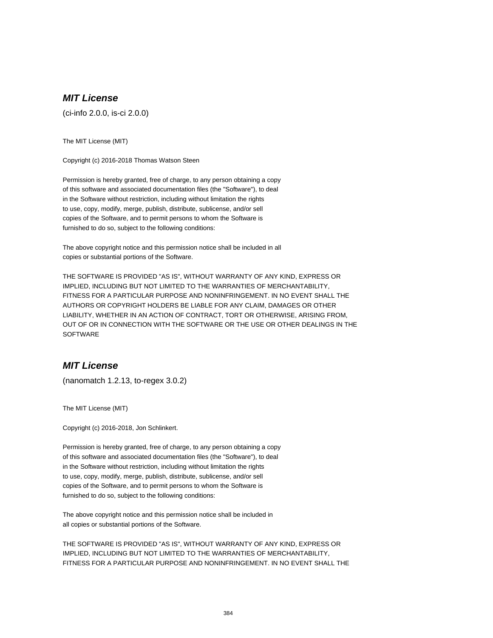# **MIT License**

(ci-info 2.0.0, is-ci 2.0.0)

The MIT License (MIT)

Copyright (c) 2016-2018 Thomas Watson Steen

Permission is hereby granted, free of charge, to any person obtaining a copy of this software and associated documentation files (the "Software"), to deal in the Software without restriction, including without limitation the rights to use, copy, modify, merge, publish, distribute, sublicense, and/or sell copies of the Software, and to permit persons to whom the Software is furnished to do so, subject to the following conditions:

The above copyright notice and this permission notice shall be included in all copies or substantial portions of the Software.

THE SOFTWARE IS PROVIDED "AS IS", WITHOUT WARRANTY OF ANY KIND, EXPRESS OR IMPLIED, INCLUDING BUT NOT LIMITED TO THE WARRANTIES OF MERCHANTABILITY, FITNESS FOR A PARTICULAR PURPOSE AND NONINFRINGEMENT. IN NO EVENT SHALL THE AUTHORS OR COPYRIGHT HOLDERS BE LIABLE FOR ANY CLAIM, DAMAGES OR OTHER LIABILITY, WHETHER IN AN ACTION OF CONTRACT, TORT OR OTHERWISE, ARISING FROM, OUT OF OR IN CONNECTION WITH THE SOFTWARE OR THE USE OR OTHER DEALINGS IN THE **SOFTWARE** 

#### **MIT License**

(nanomatch 1.2.13, to-regex 3.0.2)

The MIT License (MIT)

Copyright (c) 2016-2018, Jon Schlinkert.

Permission is hereby granted, free of charge, to any person obtaining a copy of this software and associated documentation files (the "Software"), to deal in the Software without restriction, including without limitation the rights to use, copy, modify, merge, publish, distribute, sublicense, and/or sell copies of the Software, and to permit persons to whom the Software is furnished to do so, subject to the following conditions:

The above copyright notice and this permission notice shall be included in all copies or substantial portions of the Software.

THE SOFTWARE IS PROVIDED "AS IS", WITHOUT WARRANTY OF ANY KIND, EXPRESS OR IMPLIED, INCLUDING BUT NOT LIMITED TO THE WARRANTIES OF MERCHANTABILITY, FITNESS FOR A PARTICULAR PURPOSE AND NONINFRINGEMENT. IN NO EVENT SHALL THE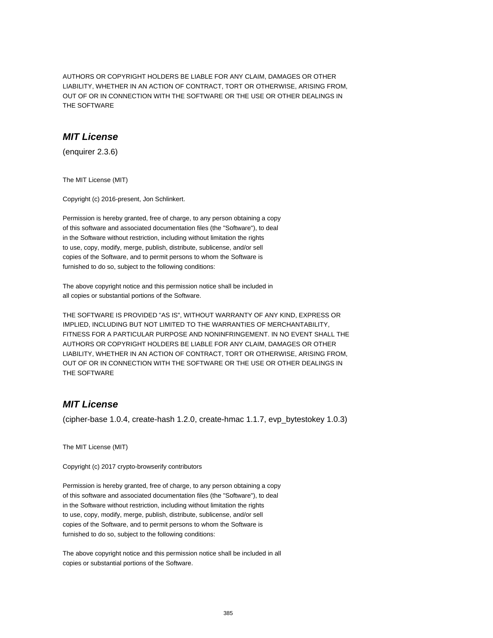AUTHORS OR COPYRIGHT HOLDERS BE LIABLE FOR ANY CLAIM, DAMAGES OR OTHER LIABILITY, WHETHER IN AN ACTION OF CONTRACT, TORT OR OTHERWISE, ARISING FROM, OUT OF OR IN CONNECTION WITH THE SOFTWARE OR THE USE OR OTHER DEALINGS IN THE SOFTWARE

## **MIT License**

(enquirer 2.3.6)

The MIT License (MIT)

Copyright (c) 2016-present, Jon Schlinkert.

Permission is hereby granted, free of charge, to any person obtaining a copy of this software and associated documentation files (the "Software"), to deal in the Software without restriction, including without limitation the rights to use, copy, modify, merge, publish, distribute, sublicense, and/or sell copies of the Software, and to permit persons to whom the Software is furnished to do so, subject to the following conditions:

The above copyright notice and this permission notice shall be included in all copies or substantial portions of the Software.

THE SOFTWARE IS PROVIDED "AS IS", WITHOUT WARRANTY OF ANY KIND, EXPRESS OR IMPLIED, INCLUDING BUT NOT LIMITED TO THE WARRANTIES OF MERCHANTABILITY, FITNESS FOR A PARTICULAR PURPOSE AND NONINFRINGEMENT. IN NO EVENT SHALL THE AUTHORS OR COPYRIGHT HOLDERS BE LIABLE FOR ANY CLAIM, DAMAGES OR OTHER LIABILITY, WHETHER IN AN ACTION OF CONTRACT, TORT OR OTHERWISE, ARISING FROM, OUT OF OR IN CONNECTION WITH THE SOFTWARE OR THE USE OR OTHER DEALINGS IN THE SOFTWARE

#### **MIT License**

(cipher-base 1.0.4, create-hash 1.2.0, create-hmac 1.1.7, evp\_bytestokey 1.0.3)

The MIT License (MIT)

Copyright (c) 2017 crypto-browserify contributors

Permission is hereby granted, free of charge, to any person obtaining a copy of this software and associated documentation files (the "Software"), to deal in the Software without restriction, including without limitation the rights to use, copy, modify, merge, publish, distribute, sublicense, and/or sell copies of the Software, and to permit persons to whom the Software is furnished to do so, subject to the following conditions:

The above copyright notice and this permission notice shall be included in all copies or substantial portions of the Software.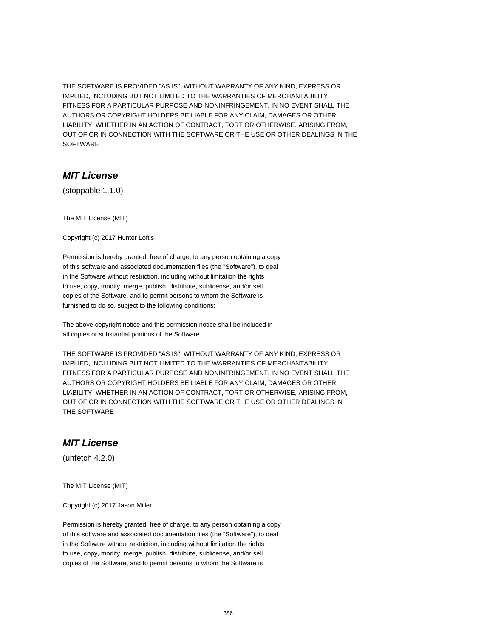THE SOFTWARE IS PROVIDED "AS IS", WITHOUT WARRANTY OF ANY KIND, EXPRESS OR IMPLIED, INCLUDING BUT NOT LIMITED TO THE WARRANTIES OF MERCHANTABILITY, FITNESS FOR A PARTICULAR PURPOSE AND NONINFRINGEMENT. IN NO EVENT SHALL THE AUTHORS OR COPYRIGHT HOLDERS BE LIABLE FOR ANY CLAIM, DAMAGES OR OTHER LIABILITY, WHETHER IN AN ACTION OF CONTRACT, TORT OR OTHERWISE, ARISING FROM, OUT OF OR IN CONNECTION WITH THE SOFTWARE OR THE USE OR OTHER DEALINGS IN THE **SOFTWARE** 

#### **MIT License**

(stoppable 1.1.0)

The MIT License (MIT)

Copyright (c) 2017 Hunter Loftis

Permission is hereby granted, free of charge, to any person obtaining a copy of this software and associated documentation files (the "Software"), to deal in the Software without restriction, including without limitation the rights to use, copy, modify, merge, publish, distribute, sublicense, and/or sell copies of the Software, and to permit persons to whom the Software is furnished to do so, subject to the following conditions:

The above copyright notice and this permission notice shall be included in all copies or substantial portions of the Software.

THE SOFTWARE IS PROVIDED "AS IS", WITHOUT WARRANTY OF ANY KIND, EXPRESS OR IMPLIED, INCLUDING BUT NOT LIMITED TO THE WARRANTIES OF MERCHANTABILITY, FITNESS FOR A PARTICULAR PURPOSE AND NONINFRINGEMENT. IN NO EVENT SHALL THE AUTHORS OR COPYRIGHT HOLDERS BE LIABLE FOR ANY CLAIM, DAMAGES OR OTHER LIABILITY, WHETHER IN AN ACTION OF CONTRACT, TORT OR OTHERWISE, ARISING FROM, OUT OF OR IN CONNECTION WITH THE SOFTWARE OR THE USE OR OTHER DEALINGS IN THE SOFTWARE

## **MIT License**

(unfetch 4.2.0)

The MIT License (MIT)

Copyright (c) 2017 Jason Miller

Permission is hereby granted, free of charge, to any person obtaining a copy of this software and associated documentation files (the "Software"), to deal in the Software without restriction, including without limitation the rights to use, copy, modify, merge, publish, distribute, sublicense, and/or sell copies of the Software, and to permit persons to whom the Software is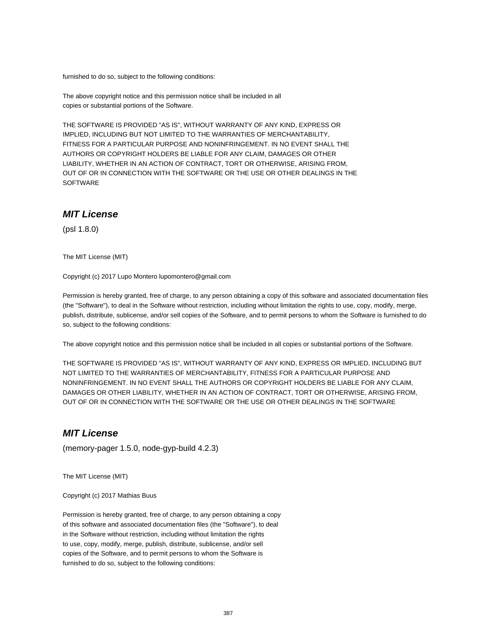furnished to do so, subject to the following conditions:

The above copyright notice and this permission notice shall be included in all copies or substantial portions of the Software.

THE SOFTWARE IS PROVIDED "AS IS", WITHOUT WARRANTY OF ANY KIND, EXPRESS OR IMPLIED, INCLUDING BUT NOT LIMITED TO THE WARRANTIES OF MERCHANTABILITY, FITNESS FOR A PARTICULAR PURPOSE AND NONINFRINGEMENT. IN NO EVENT SHALL THE AUTHORS OR COPYRIGHT HOLDERS BE LIABLE FOR ANY CLAIM, DAMAGES OR OTHER LIABILITY, WHETHER IN AN ACTION OF CONTRACT, TORT OR OTHERWISE, ARISING FROM, OUT OF OR IN CONNECTION WITH THE SOFTWARE OR THE USE OR OTHER DEALINGS IN THE SOFTWARE

#### **MIT License**

(psl 1.8.0)

The MIT License (MIT)

Copyright (c) 2017 Lupo Montero lupomontero@gmail.com

Permission is hereby granted, free of charge, to any person obtaining a copy of this software and associated documentation files (the "Software"), to deal in the Software without restriction, including without limitation the rights to use, copy, modify, merge, publish, distribute, sublicense, and/or sell copies of the Software, and to permit persons to whom the Software is furnished to do so, subject to the following conditions:

The above copyright notice and this permission notice shall be included in all copies or substantial portions of the Software.

THE SOFTWARE IS PROVIDED "AS IS", WITHOUT WARRANTY OF ANY KIND, EXPRESS OR IMPLIED, INCLUDING BUT NOT LIMITED TO THE WARRANTIES OF MERCHANTABILITY, FITNESS FOR A PARTICULAR PURPOSE AND NONINFRINGEMENT. IN NO EVENT SHALL THE AUTHORS OR COPYRIGHT HOLDERS BE LIABLE FOR ANY CLAIM, DAMAGES OR OTHER LIABILITY, WHETHER IN AN ACTION OF CONTRACT, TORT OR OTHERWISE, ARISING FROM, OUT OF OR IN CONNECTION WITH THE SOFTWARE OR THE USE OR OTHER DEALINGS IN THE SOFTWARE

## **MIT License**

(memory-pager 1.5.0, node-gyp-build 4.2.3)

The MIT License (MIT)

Copyright (c) 2017 Mathias Buus

Permission is hereby granted, free of charge, to any person obtaining a copy of this software and associated documentation files (the "Software"), to deal in the Software without restriction, including without limitation the rights to use, copy, modify, merge, publish, distribute, sublicense, and/or sell copies of the Software, and to permit persons to whom the Software is furnished to do so, subject to the following conditions: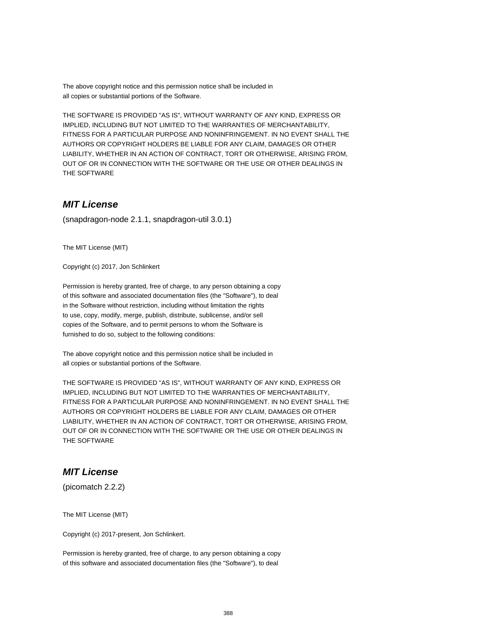The above copyright notice and this permission notice shall be included in all copies or substantial portions of the Software.

THE SOFTWARE IS PROVIDED "AS IS", WITHOUT WARRANTY OF ANY KIND, EXPRESS OR IMPLIED, INCLUDING BUT NOT LIMITED TO THE WARRANTIES OF MERCHANTABILITY, FITNESS FOR A PARTICULAR PURPOSE AND NONINFRINGEMENT. IN NO EVENT SHALL THE AUTHORS OR COPYRIGHT HOLDERS BE LIABLE FOR ANY CLAIM, DAMAGES OR OTHER LIABILITY, WHETHER IN AN ACTION OF CONTRACT, TORT OR OTHERWISE, ARISING FROM, OUT OF OR IN CONNECTION WITH THE SOFTWARE OR THE USE OR OTHER DEALINGS IN THE SOFTWARE

## **MIT License**

(snapdragon-node 2.1.1, snapdragon-util 3.0.1)

The MIT License (MIT)

Copyright (c) 2017, Jon Schlinkert

Permission is hereby granted, free of charge, to any person obtaining a copy of this software and associated documentation files (the "Software"), to deal in the Software without restriction, including without limitation the rights to use, copy, modify, merge, publish, distribute, sublicense, and/or sell copies of the Software, and to permit persons to whom the Software is furnished to do so, subject to the following conditions:

The above copyright notice and this permission notice shall be included in all copies or substantial portions of the Software.

THE SOFTWARE IS PROVIDED "AS IS", WITHOUT WARRANTY OF ANY KIND, EXPRESS OR IMPLIED, INCLUDING BUT NOT LIMITED TO THE WARRANTIES OF MERCHANTABILITY, FITNESS FOR A PARTICULAR PURPOSE AND NONINFRINGEMENT. IN NO EVENT SHALL THE AUTHORS OR COPYRIGHT HOLDERS BE LIABLE FOR ANY CLAIM, DAMAGES OR OTHER LIABILITY, WHETHER IN AN ACTION OF CONTRACT, TORT OR OTHERWISE, ARISING FROM, OUT OF OR IN CONNECTION WITH THE SOFTWARE OR THE USE OR OTHER DEALINGS IN THE SOFTWARE

# **MIT License**

(picomatch 2.2.2)

The MIT License (MIT)

Copyright (c) 2017-present, Jon Schlinkert.

Permission is hereby granted, free of charge, to any person obtaining a copy of this software and associated documentation files (the "Software"), to deal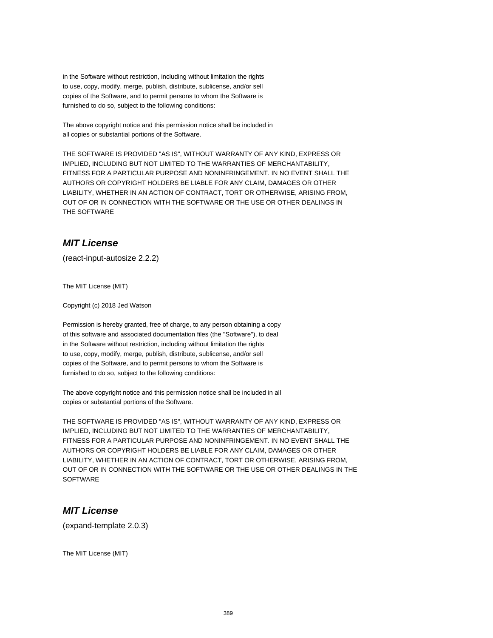in the Software without restriction, including without limitation the rights to use, copy, modify, merge, publish, distribute, sublicense, and/or sell copies of the Software, and to permit persons to whom the Software is furnished to do so, subject to the following conditions:

The above copyright notice and this permission notice shall be included in all copies or substantial portions of the Software.

THE SOFTWARE IS PROVIDED "AS IS", WITHOUT WARRANTY OF ANY KIND, EXPRESS OR IMPLIED, INCLUDING BUT NOT LIMITED TO THE WARRANTIES OF MERCHANTABILITY, FITNESS FOR A PARTICULAR PURPOSE AND NONINFRINGEMENT. IN NO EVENT SHALL THE AUTHORS OR COPYRIGHT HOLDERS BE LIABLE FOR ANY CLAIM, DAMAGES OR OTHER LIABILITY, WHETHER IN AN ACTION OF CONTRACT, TORT OR OTHERWISE, ARISING FROM, OUT OF OR IN CONNECTION WITH THE SOFTWARE OR THE USE OR OTHER DEALINGS IN THE SOFTWARE

# **MIT License**

(react-input-autosize 2.2.2)

The MIT License (MIT)

Copyright (c) 2018 Jed Watson

Permission is hereby granted, free of charge, to any person obtaining a copy of this software and associated documentation files (the "Software"), to deal in the Software without restriction, including without limitation the rights to use, copy, modify, merge, publish, distribute, sublicense, and/or sell copies of the Software, and to permit persons to whom the Software is furnished to do so, subject to the following conditions:

The above copyright notice and this permission notice shall be included in all copies or substantial portions of the Software.

THE SOFTWARE IS PROVIDED "AS IS", WITHOUT WARRANTY OF ANY KIND, EXPRESS OR IMPLIED, INCLUDING BUT NOT LIMITED TO THE WARRANTIES OF MERCHANTABILITY, FITNESS FOR A PARTICULAR PURPOSE AND NONINFRINGEMENT. IN NO EVENT SHALL THE AUTHORS OR COPYRIGHT HOLDERS BE LIABLE FOR ANY CLAIM, DAMAGES OR OTHER LIABILITY, WHETHER IN AN ACTION OF CONTRACT, TORT OR OTHERWISE, ARISING FROM, OUT OF OR IN CONNECTION WITH THE SOFTWARE OR THE USE OR OTHER DEALINGS IN THE **SOFTWARE** 

## **MIT License**

(expand-template 2.0.3)

The MIT License (MIT)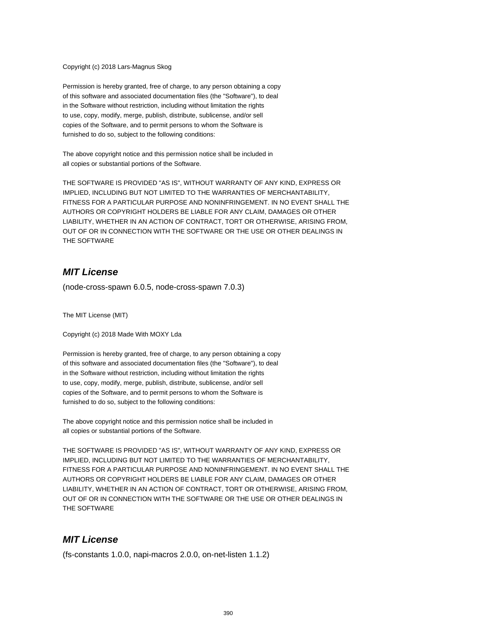#### Copyright (c) 2018 Lars-Magnus Skog

Permission is hereby granted, free of charge, to any person obtaining a copy of this software and associated documentation files (the "Software"), to deal in the Software without restriction, including without limitation the rights to use, copy, modify, merge, publish, distribute, sublicense, and/or sell copies of the Software, and to permit persons to whom the Software is furnished to do so, subject to the following conditions:

The above copyright notice and this permission notice shall be included in all copies or substantial portions of the Software.

THE SOFTWARE IS PROVIDED "AS IS", WITHOUT WARRANTY OF ANY KIND, EXPRESS OR IMPLIED, INCLUDING BUT NOT LIMITED TO THE WARRANTIES OF MERCHANTABILITY, FITNESS FOR A PARTICULAR PURPOSE AND NONINFRINGEMENT. IN NO EVENT SHALL THE AUTHORS OR COPYRIGHT HOLDERS BE LIABLE FOR ANY CLAIM, DAMAGES OR OTHER LIABILITY, WHETHER IN AN ACTION OF CONTRACT, TORT OR OTHERWISE, ARISING FROM, OUT OF OR IN CONNECTION WITH THE SOFTWARE OR THE USE OR OTHER DEALINGS IN THE SOFTWARE

## **MIT License**

(node-cross-spawn 6.0.5, node-cross-spawn 7.0.3)

The MIT License (MIT)

Copyright (c) 2018 Made With MOXY Lda

Permission is hereby granted, free of charge, to any person obtaining a copy of this software and associated documentation files (the "Software"), to deal in the Software without restriction, including without limitation the rights to use, copy, modify, merge, publish, distribute, sublicense, and/or sell copies of the Software, and to permit persons to whom the Software is furnished to do so, subject to the following conditions:

The above copyright notice and this permission notice shall be included in all copies or substantial portions of the Software.

THE SOFTWARE IS PROVIDED "AS IS", WITHOUT WARRANTY OF ANY KIND, EXPRESS OR IMPLIED, INCLUDING BUT NOT LIMITED TO THE WARRANTIES OF MERCHANTABILITY, FITNESS FOR A PARTICULAR PURPOSE AND NONINFRINGEMENT. IN NO EVENT SHALL THE AUTHORS OR COPYRIGHT HOLDERS BE LIABLE FOR ANY CLAIM, DAMAGES OR OTHER LIABILITY, WHETHER IN AN ACTION OF CONTRACT, TORT OR OTHERWISE, ARISING FROM, OUT OF OR IN CONNECTION WITH THE SOFTWARE OR THE USE OR OTHER DEALINGS IN THE SOFTWARE

#### **MIT License**

(fs-constants 1.0.0, napi-macros 2.0.0, on-net-listen 1.1.2)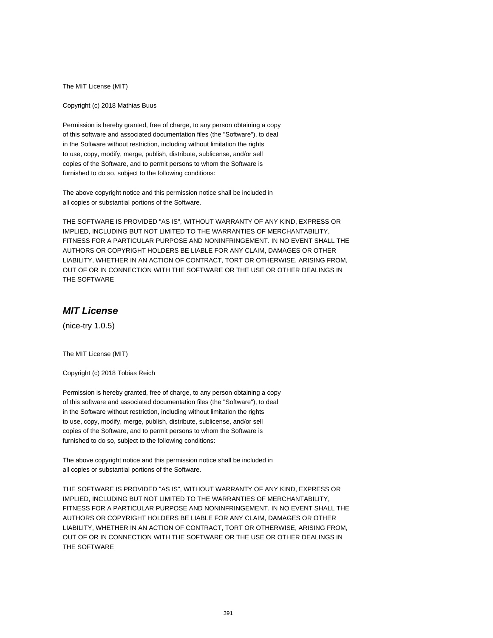The MIT License (MIT)

Copyright (c) 2018 Mathias Buus

Permission is hereby granted, free of charge, to any person obtaining a copy of this software and associated documentation files (the "Software"), to deal in the Software without restriction, including without limitation the rights to use, copy, modify, merge, publish, distribute, sublicense, and/or sell copies of the Software, and to permit persons to whom the Software is furnished to do so, subject to the following conditions:

The above copyright notice and this permission notice shall be included in all copies or substantial portions of the Software.

THE SOFTWARE IS PROVIDED "AS IS", WITHOUT WARRANTY OF ANY KIND, EXPRESS OR IMPLIED, INCLUDING BUT NOT LIMITED TO THE WARRANTIES OF MERCHANTABILITY, FITNESS FOR A PARTICULAR PURPOSE AND NONINFRINGEMENT. IN NO EVENT SHALL THE AUTHORS OR COPYRIGHT HOLDERS BE LIABLE FOR ANY CLAIM, DAMAGES OR OTHER LIABILITY, WHETHER IN AN ACTION OF CONTRACT, TORT OR OTHERWISE, ARISING FROM, OUT OF OR IN CONNECTION WITH THE SOFTWARE OR THE USE OR OTHER DEALINGS IN THE SOFTWARE

## **MIT License**

(nice-try 1.0.5)

The MIT License (MIT)

Copyright (c) 2018 Tobias Reich

Permission is hereby granted, free of charge, to any person obtaining a copy of this software and associated documentation files (the "Software"), to deal in the Software without restriction, including without limitation the rights to use, copy, modify, merge, publish, distribute, sublicense, and/or sell copies of the Software, and to permit persons to whom the Software is furnished to do so, subject to the following conditions:

The above copyright notice and this permission notice shall be included in all copies or substantial portions of the Software.

THE SOFTWARE IS PROVIDED "AS IS", WITHOUT WARRANTY OF ANY KIND, EXPRESS OR IMPLIED, INCLUDING BUT NOT LIMITED TO THE WARRANTIES OF MERCHANTABILITY, FITNESS FOR A PARTICULAR PURPOSE AND NONINFRINGEMENT. IN NO EVENT SHALL THE AUTHORS OR COPYRIGHT HOLDERS BE LIABLE FOR ANY CLAIM, DAMAGES OR OTHER LIABILITY, WHETHER IN AN ACTION OF CONTRACT, TORT OR OTHERWISE, ARISING FROM, OUT OF OR IN CONNECTION WITH THE SOFTWARE OR THE USE OR OTHER DEALINGS IN THE SOFTWARE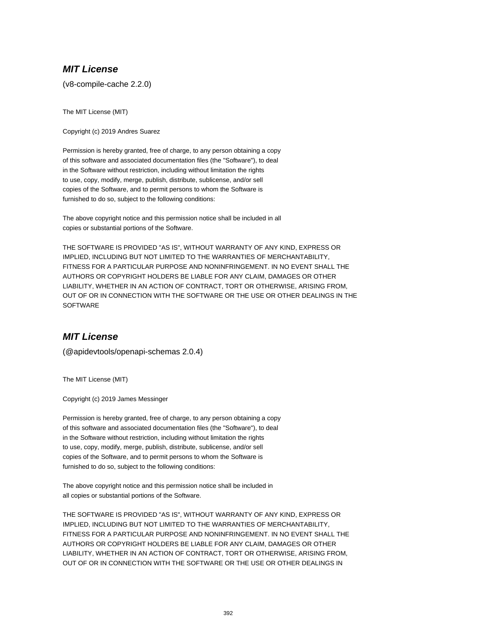## **MIT License**

(v8-compile-cache 2.2.0)

The MIT License (MIT)

Copyright (c) 2019 Andres Suarez

Permission is hereby granted, free of charge, to any person obtaining a copy of this software and associated documentation files (the "Software"), to deal in the Software without restriction, including without limitation the rights to use, copy, modify, merge, publish, distribute, sublicense, and/or sell copies of the Software, and to permit persons to whom the Software is furnished to do so, subject to the following conditions:

The above copyright notice and this permission notice shall be included in all copies or substantial portions of the Software.

THE SOFTWARE IS PROVIDED "AS IS", WITHOUT WARRANTY OF ANY KIND, EXPRESS OR IMPLIED, INCLUDING BUT NOT LIMITED TO THE WARRANTIES OF MERCHANTABILITY, FITNESS FOR A PARTICULAR PURPOSE AND NONINFRINGEMENT. IN NO EVENT SHALL THE AUTHORS OR COPYRIGHT HOLDERS BE LIABLE FOR ANY CLAIM, DAMAGES OR OTHER LIABILITY, WHETHER IN AN ACTION OF CONTRACT, TORT OR OTHERWISE, ARISING FROM, OUT OF OR IN CONNECTION WITH THE SOFTWARE OR THE USE OR OTHER DEALINGS IN THE **SOFTWARE** 

## **MIT License**

(@apidevtools/openapi-schemas 2.0.4)

The MIT License (MIT)

Copyright (c) 2019 James Messinger

Permission is hereby granted, free of charge, to any person obtaining a copy of this software and associated documentation files (the "Software"), to deal in the Software without restriction, including without limitation the rights to use, copy, modify, merge, publish, distribute, sublicense, and/or sell copies of the Software, and to permit persons to whom the Software is furnished to do so, subject to the following conditions:

The above copyright notice and this permission notice shall be included in all copies or substantial portions of the Software.

THE SOFTWARE IS PROVIDED "AS IS", WITHOUT WARRANTY OF ANY KIND, EXPRESS OR IMPLIED, INCLUDING BUT NOT LIMITED TO THE WARRANTIES OF MERCHANTABILITY, FITNESS FOR A PARTICULAR PURPOSE AND NONINFRINGEMENT. IN NO EVENT SHALL THE AUTHORS OR COPYRIGHT HOLDERS BE LIABLE FOR ANY CLAIM, DAMAGES OR OTHER LIABILITY, WHETHER IN AN ACTION OF CONTRACT, TORT OR OTHERWISE, ARISING FROM, OUT OF OR IN CONNECTION WITH THE SOFTWARE OR THE USE OR OTHER DEALINGS IN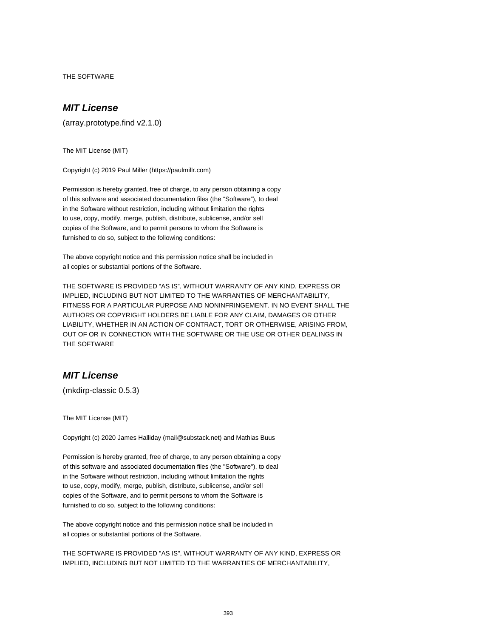THE SOFTWARE

# **MIT License**

(array.prototype.find v2.1.0)

The MIT License (MIT)

Copyright (c) 2019 Paul Miller (https://paulmillr.com)

Permission is hereby granted, free of charge, to any person obtaining a copy of this software and associated documentation files (the "Software"), to deal in the Software without restriction, including without limitation the rights to use, copy, modify, merge, publish, distribute, sublicense, and/or sell copies of the Software, and to permit persons to whom the Software is furnished to do so, subject to the following conditions:

The above copyright notice and this permission notice shall be included in all copies or substantial portions of the Software.

THE SOFTWARE IS PROVIDED "AS IS", WITHOUT WARRANTY OF ANY KIND, EXPRESS OR IMPLIED, INCLUDING BUT NOT LIMITED TO THE WARRANTIES OF MERCHANTABILITY, FITNESS FOR A PARTICULAR PURPOSE AND NONINFRINGEMENT. IN NO EVENT SHALL THE AUTHORS OR COPYRIGHT HOLDERS BE LIABLE FOR ANY CLAIM, DAMAGES OR OTHER LIABILITY, WHETHER IN AN ACTION OF CONTRACT, TORT OR OTHERWISE, ARISING FROM, OUT OF OR IN CONNECTION WITH THE SOFTWARE OR THE USE OR OTHER DEALINGS IN THE SOFTWARE

## **MIT License**

(mkdirp-classic 0.5.3)

The MIT License (MIT)

Copyright (c) 2020 James Halliday (mail@substack.net) and Mathias Buus

Permission is hereby granted, free of charge, to any person obtaining a copy of this software and associated documentation files (the "Software"), to deal in the Software without restriction, including without limitation the rights to use, copy, modify, merge, publish, distribute, sublicense, and/or sell copies of the Software, and to permit persons to whom the Software is furnished to do so, subject to the following conditions:

The above copyright notice and this permission notice shall be included in all copies or substantial portions of the Software.

THE SOFTWARE IS PROVIDED "AS IS", WITHOUT WARRANTY OF ANY KIND, EXPRESS OR IMPLIED, INCLUDING BUT NOT LIMITED TO THE WARRANTIES OF MERCHANTABILITY,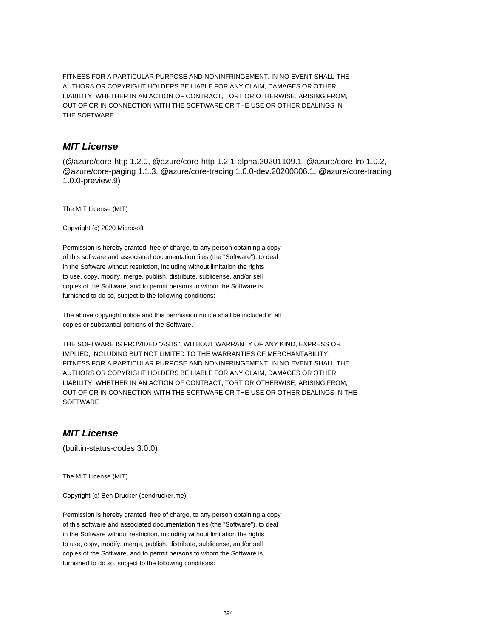FITNESS FOR A PARTICULAR PURPOSE AND NONINFRINGEMENT. IN NO EVENT SHALL THE AUTHORS OR COPYRIGHT HOLDERS BE LIABLE FOR ANY CLAIM, DAMAGES OR OTHER LIABILITY, WHETHER IN AN ACTION OF CONTRACT, TORT OR OTHERWISE, ARISING FROM, OUT OF OR IN CONNECTION WITH THE SOFTWARE OR THE USE OR OTHER DEALINGS IN THE SOFTWARE

# **MIT License**

(@azure/core-http 1.2.0, @azure/core-http 1.2.1-alpha.20201109.1, @azure/core-lro 1.0.2, @azure/core-paging 1.1.3, @azure/core-tracing 1.0.0-dev.20200806.1, @azure/core-tracing 1.0.0-preview.9)

The MIT License (MIT)

Copyright (c) 2020 Microsoft

Permission is hereby granted, free of charge, to any person obtaining a copy of this software and associated documentation files (the "Software"), to deal in the Software without restriction, including without limitation the rights to use, copy, modify, merge, publish, distribute, sublicense, and/or sell copies of the Software, and to permit persons to whom the Software is furnished to do so, subject to the following conditions:

The above copyright notice and this permission notice shall be included in all copies or substantial portions of the Software.

THE SOFTWARE IS PROVIDED "AS IS", WITHOUT WARRANTY OF ANY KIND, EXPRESS OR IMPLIED, INCLUDING BUT NOT LIMITED TO THE WARRANTIES OF MERCHANTABILITY, FITNESS FOR A PARTICULAR PURPOSE AND NONINFRINGEMENT. IN NO EVENT SHALL THE AUTHORS OR COPYRIGHT HOLDERS BE LIABLE FOR ANY CLAIM, DAMAGES OR OTHER LIABILITY, WHETHER IN AN ACTION OF CONTRACT, TORT OR OTHERWISE, ARISING FROM, OUT OF OR IN CONNECTION WITH THE SOFTWARE OR THE USE OR OTHER DEALINGS IN THE **SOFTWARE** 

## **MIT License**

(builtin-status-codes 3.0.0)

The MIT License (MIT)

Copyright (c) Ben Drucker (bendrucker.me)

Permission is hereby granted, free of charge, to any person obtaining a copy of this software and associated documentation files (the "Software"), to deal in the Software without restriction, including without limitation the rights to use, copy, modify, merge, publish, distribute, sublicense, and/or sell copies of the Software, and to permit persons to whom the Software is furnished to do so, subject to the following conditions: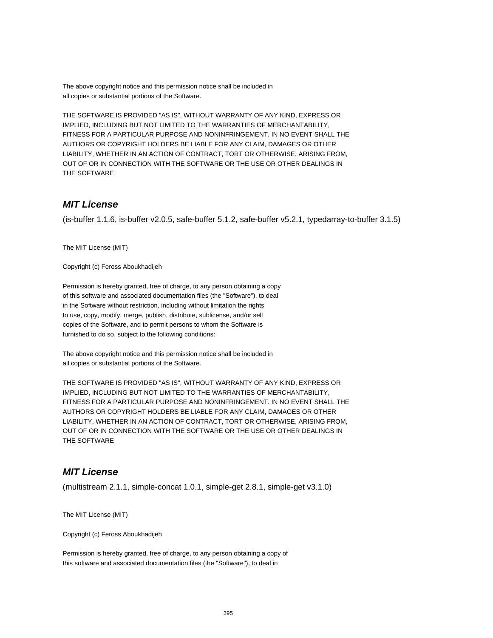The above copyright notice and this permission notice shall be included in all copies or substantial portions of the Software.

THE SOFTWARE IS PROVIDED "AS IS", WITHOUT WARRANTY OF ANY KIND, EXPRESS OR IMPLIED, INCLUDING BUT NOT LIMITED TO THE WARRANTIES OF MERCHANTABILITY, FITNESS FOR A PARTICULAR PURPOSE AND NONINFRINGEMENT. IN NO EVENT SHALL THE AUTHORS OR COPYRIGHT HOLDERS BE LIABLE FOR ANY CLAIM, DAMAGES OR OTHER LIABILITY, WHETHER IN AN ACTION OF CONTRACT, TORT OR OTHERWISE, ARISING FROM, OUT OF OR IN CONNECTION WITH THE SOFTWARE OR THE USE OR OTHER DEALINGS IN THE SOFTWARE

## **MIT License**

(is-buffer 1.1.6, is-buffer v2.0.5, safe-buffer 5.1.2, safe-buffer v5.2.1, typedarray-to-buffer 3.1.5)

The MIT License (MIT)

Copyright (c) Feross Aboukhadijeh

Permission is hereby granted, free of charge, to any person obtaining a copy of this software and associated documentation files (the "Software"), to deal in the Software without restriction, including without limitation the rights to use, copy, modify, merge, publish, distribute, sublicense, and/or sell copies of the Software, and to permit persons to whom the Software is furnished to do so, subject to the following conditions:

The above copyright notice and this permission notice shall be included in all copies or substantial portions of the Software.

THE SOFTWARE IS PROVIDED "AS IS", WITHOUT WARRANTY OF ANY KIND, EXPRESS OR IMPLIED, INCLUDING BUT NOT LIMITED TO THE WARRANTIES OF MERCHANTABILITY, FITNESS FOR A PARTICULAR PURPOSE AND NONINFRINGEMENT. IN NO EVENT SHALL THE AUTHORS OR COPYRIGHT HOLDERS BE LIABLE FOR ANY CLAIM, DAMAGES OR OTHER LIABILITY, WHETHER IN AN ACTION OF CONTRACT, TORT OR OTHERWISE, ARISING FROM, OUT OF OR IN CONNECTION WITH THE SOFTWARE OR THE USE OR OTHER DEALINGS IN THE SOFTWARE

## **MIT License**

(multistream 2.1.1, simple-concat 1.0.1, simple-get 2.8.1, simple-get v3.1.0)

The MIT License (MIT)

Copyright (c) Feross Aboukhadijeh

Permission is hereby granted, free of charge, to any person obtaining a copy of this software and associated documentation files (the "Software"), to deal in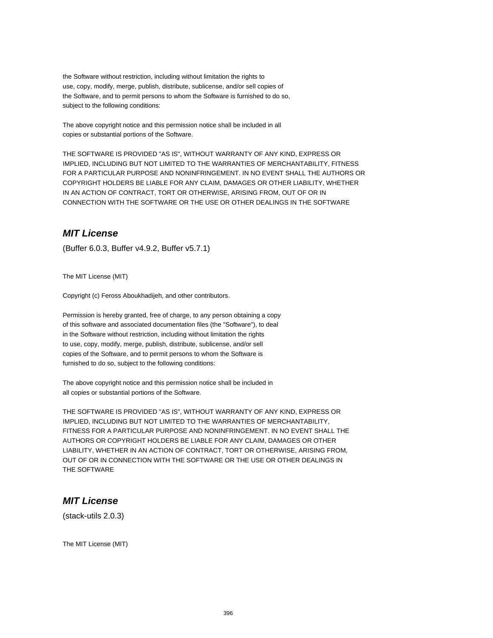the Software without restriction, including without limitation the rights to use, copy, modify, merge, publish, distribute, sublicense, and/or sell copies of the Software, and to permit persons to whom the Software is furnished to do so, subject to the following conditions:

The above copyright notice and this permission notice shall be included in all copies or substantial portions of the Software.

THE SOFTWARE IS PROVIDED "AS IS", WITHOUT WARRANTY OF ANY KIND, EXPRESS OR IMPLIED, INCLUDING BUT NOT LIMITED TO THE WARRANTIES OF MERCHANTABILITY, FITNESS FOR A PARTICULAR PURPOSE AND NONINFRINGEMENT. IN NO EVENT SHALL THE AUTHORS OR COPYRIGHT HOLDERS BE LIABLE FOR ANY CLAIM, DAMAGES OR OTHER LIABILITY, WHETHER IN AN ACTION OF CONTRACT, TORT OR OTHERWISE, ARISING FROM, OUT OF OR IN CONNECTION WITH THE SOFTWARE OR THE USE OR OTHER DEALINGS IN THE SOFTWARE

#### **MIT License**

(Buffer 6.0.3, Buffer v4.9.2, Buffer v5.7.1)

The MIT License (MIT)

Copyright (c) Feross Aboukhadijeh, and other contributors.

Permission is hereby granted, free of charge, to any person obtaining a copy of this software and associated documentation files (the "Software"), to deal in the Software without restriction, including without limitation the rights to use, copy, modify, merge, publish, distribute, sublicense, and/or sell copies of the Software, and to permit persons to whom the Software is furnished to do so, subject to the following conditions:

The above copyright notice and this permission notice shall be included in all copies or substantial portions of the Software.

THE SOFTWARE IS PROVIDED "AS IS", WITHOUT WARRANTY OF ANY KIND, EXPRESS OR IMPLIED, INCLUDING BUT NOT LIMITED TO THE WARRANTIES OF MERCHANTABILITY, FITNESS FOR A PARTICULAR PURPOSE AND NONINFRINGEMENT. IN NO EVENT SHALL THE AUTHORS OR COPYRIGHT HOLDERS BE LIABLE FOR ANY CLAIM, DAMAGES OR OTHER LIABILITY, WHETHER IN AN ACTION OF CONTRACT, TORT OR OTHERWISE, ARISING FROM, OUT OF OR IN CONNECTION WITH THE SOFTWARE OR THE USE OR OTHER DEALINGS IN THE SOFTWARE

## **MIT License**

(stack-utils 2.0.3)

The MIT License (MIT)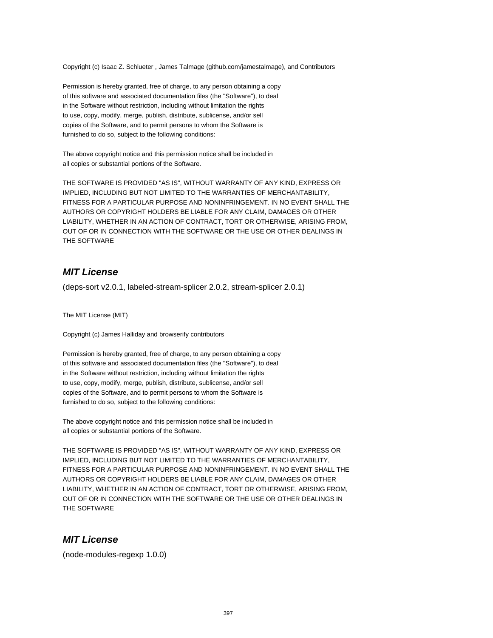Copyright (c) Isaac Z. Schlueter , James Talmage (github.com/jamestalmage), and Contributors

Permission is hereby granted, free of charge, to any person obtaining a copy of this software and associated documentation files (the "Software"), to deal in the Software without restriction, including without limitation the rights to use, copy, modify, merge, publish, distribute, sublicense, and/or sell copies of the Software, and to permit persons to whom the Software is furnished to do so, subject to the following conditions:

The above copyright notice and this permission notice shall be included in all copies or substantial portions of the Software.

THE SOFTWARE IS PROVIDED "AS IS", WITHOUT WARRANTY OF ANY KIND, EXPRESS OR IMPLIED, INCLUDING BUT NOT LIMITED TO THE WARRANTIES OF MERCHANTABILITY, FITNESS FOR A PARTICULAR PURPOSE AND NONINFRINGEMENT. IN NO EVENT SHALL THE AUTHORS OR COPYRIGHT HOLDERS BE LIABLE FOR ANY CLAIM, DAMAGES OR OTHER LIABILITY, WHETHER IN AN ACTION OF CONTRACT, TORT OR OTHERWISE, ARISING FROM, OUT OF OR IN CONNECTION WITH THE SOFTWARE OR THE USE OR OTHER DEALINGS IN THE SOFTWARE

### **MIT License**

(deps-sort v2.0.1, labeled-stream-splicer 2.0.2, stream-splicer 2.0.1)

The MIT License (MIT)

Copyright (c) James Halliday and browserify contributors

Permission is hereby granted, free of charge, to any person obtaining a copy of this software and associated documentation files (the "Software"), to deal in the Software without restriction, including without limitation the rights to use, copy, modify, merge, publish, distribute, sublicense, and/or sell copies of the Software, and to permit persons to whom the Software is furnished to do so, subject to the following conditions:

The above copyright notice and this permission notice shall be included in all copies or substantial portions of the Software.

THE SOFTWARE IS PROVIDED "AS IS", WITHOUT WARRANTY OF ANY KIND, EXPRESS OR IMPLIED, INCLUDING BUT NOT LIMITED TO THE WARRANTIES OF MERCHANTABILITY, FITNESS FOR A PARTICULAR PURPOSE AND NONINFRINGEMENT. IN NO EVENT SHALL THE AUTHORS OR COPYRIGHT HOLDERS BE LIABLE FOR ANY CLAIM, DAMAGES OR OTHER LIABILITY, WHETHER IN AN ACTION OF CONTRACT, TORT OR OTHERWISE, ARISING FROM, OUT OF OR IN CONNECTION WITH THE SOFTWARE OR THE USE OR OTHER DEALINGS IN THE SOFTWARE

#### **MIT License**

(node-modules-regexp 1.0.0)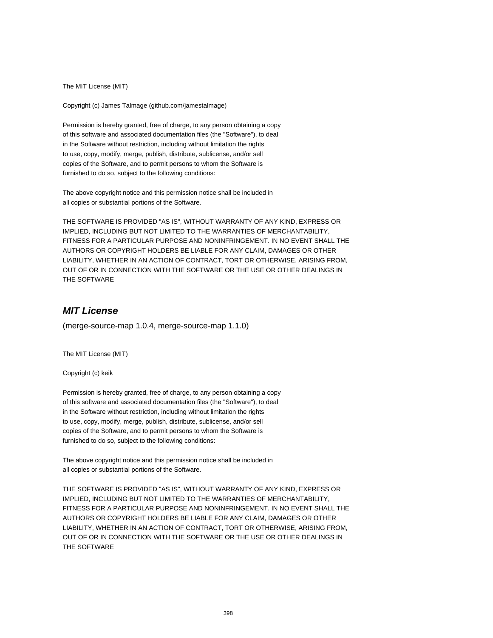The MIT License (MIT)

Copyright (c) James Talmage (github.com/jamestalmage)

Permission is hereby granted, free of charge, to any person obtaining a copy of this software and associated documentation files (the "Software"), to deal in the Software without restriction, including without limitation the rights to use, copy, modify, merge, publish, distribute, sublicense, and/or sell copies of the Software, and to permit persons to whom the Software is furnished to do so, subject to the following conditions:

The above copyright notice and this permission notice shall be included in all copies or substantial portions of the Software.

THE SOFTWARE IS PROVIDED "AS IS", WITHOUT WARRANTY OF ANY KIND, EXPRESS OR IMPLIED, INCLUDING BUT NOT LIMITED TO THE WARRANTIES OF MERCHANTABILITY, FITNESS FOR A PARTICULAR PURPOSE AND NONINFRINGEMENT. IN NO EVENT SHALL THE AUTHORS OR COPYRIGHT HOLDERS BE LIABLE FOR ANY CLAIM, DAMAGES OR OTHER LIABILITY, WHETHER IN AN ACTION OF CONTRACT, TORT OR OTHERWISE, ARISING FROM, OUT OF OR IN CONNECTION WITH THE SOFTWARE OR THE USE OR OTHER DEALINGS IN THE SOFTWARE

# **MIT License**

(merge-source-map 1.0.4, merge-source-map 1.1.0)

The MIT License (MIT)

Copyright (c) keik

Permission is hereby granted, free of charge, to any person obtaining a copy of this software and associated documentation files (the "Software"), to deal in the Software without restriction, including without limitation the rights to use, copy, modify, merge, publish, distribute, sublicense, and/or sell copies of the Software, and to permit persons to whom the Software is furnished to do so, subject to the following conditions:

The above copyright notice and this permission notice shall be included in all copies or substantial portions of the Software.

THE SOFTWARE IS PROVIDED "AS IS", WITHOUT WARRANTY OF ANY KIND, EXPRESS OR IMPLIED, INCLUDING BUT NOT LIMITED TO THE WARRANTIES OF MERCHANTABILITY, FITNESS FOR A PARTICULAR PURPOSE AND NONINFRINGEMENT. IN NO EVENT SHALL THE AUTHORS OR COPYRIGHT HOLDERS BE LIABLE FOR ANY CLAIM, DAMAGES OR OTHER LIABILITY, WHETHER IN AN ACTION OF CONTRACT, TORT OR OTHERWISE, ARISING FROM, OUT OF OR IN CONNECTION WITH THE SOFTWARE OR THE USE OR OTHER DEALINGS IN THE SOFTWARE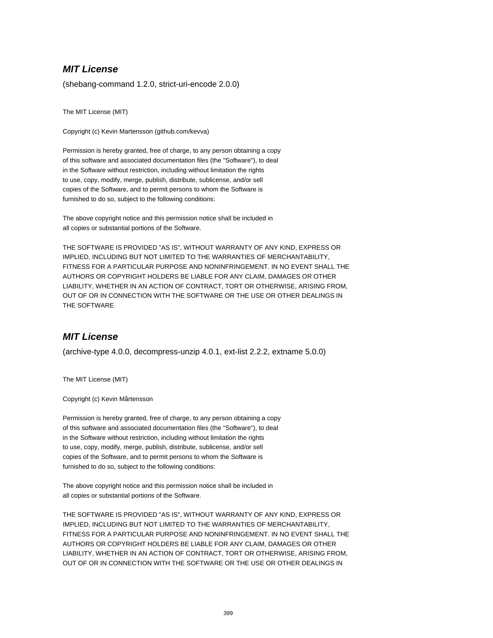(shebang-command 1.2.0, strict-uri-encode 2.0.0)

The MIT License (MIT)

Copyright (c) Kevin Martensson (github.com/kevva)

Permission is hereby granted, free of charge, to any person obtaining a copy of this software and associated documentation files (the "Software"), to deal in the Software without restriction, including without limitation the rights to use, copy, modify, merge, publish, distribute, sublicense, and/or sell copies of the Software, and to permit persons to whom the Software is furnished to do so, subject to the following conditions:

The above copyright notice and this permission notice shall be included in all copies or substantial portions of the Software.

THE SOFTWARE IS PROVIDED "AS IS", WITHOUT WARRANTY OF ANY KIND, EXPRESS OR IMPLIED, INCLUDING BUT NOT LIMITED TO THE WARRANTIES OF MERCHANTABILITY, FITNESS FOR A PARTICULAR PURPOSE AND NONINFRINGEMENT. IN NO EVENT SHALL THE AUTHORS OR COPYRIGHT HOLDERS BE LIABLE FOR ANY CLAIM, DAMAGES OR OTHER LIABILITY, WHETHER IN AN ACTION OF CONTRACT, TORT OR OTHERWISE, ARISING FROM, OUT OF OR IN CONNECTION WITH THE SOFTWARE OR THE USE OR OTHER DEALINGS IN THE SOFTWARE

## **MIT License**

(archive-type 4.0.0, decompress-unzip 4.0.1, ext-list 2.2.2, extname 5.0.0)

The MIT License (MIT)

Copyright (c) Kevin Mårtensson

Permission is hereby granted, free of charge, to any person obtaining a copy of this software and associated documentation files (the "Software"), to deal in the Software without restriction, including without limitation the rights to use, copy, modify, merge, publish, distribute, sublicense, and/or sell copies of the Software, and to permit persons to whom the Software is furnished to do so, subject to the following conditions:

The above copyright notice and this permission notice shall be included in all copies or substantial portions of the Software.

THE SOFTWARE IS PROVIDED "AS IS", WITHOUT WARRANTY OF ANY KIND, EXPRESS OR IMPLIED, INCLUDING BUT NOT LIMITED TO THE WARRANTIES OF MERCHANTABILITY, FITNESS FOR A PARTICULAR PURPOSE AND NONINFRINGEMENT. IN NO EVENT SHALL THE AUTHORS OR COPYRIGHT HOLDERS BE LIABLE FOR ANY CLAIM, DAMAGES OR OTHER LIABILITY, WHETHER IN AN ACTION OF CONTRACT, TORT OR OTHERWISE, ARISING FROM, OUT OF OR IN CONNECTION WITH THE SOFTWARE OR THE USE OR OTHER DEALINGS IN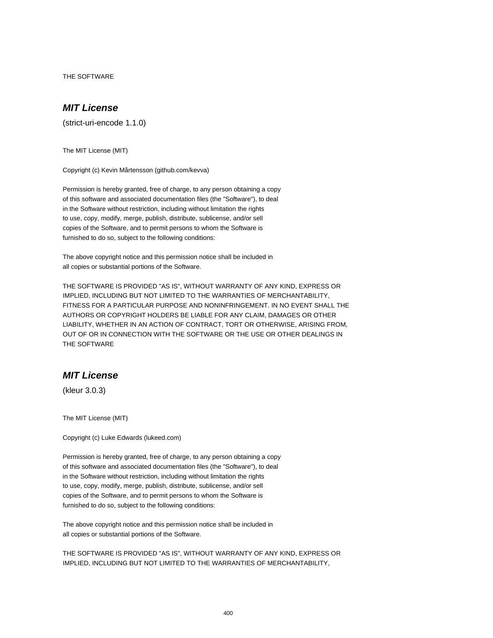THE SOFTWARE

# **MIT License**

(strict-uri-encode 1.1.0)

The MIT License (MIT)

Copyright (c) Kevin Mårtensson (github.com/kevva)

Permission is hereby granted, free of charge, to any person obtaining a copy of this software and associated documentation files (the "Software"), to deal in the Software without restriction, including without limitation the rights to use, copy, modify, merge, publish, distribute, sublicense, and/or sell copies of the Software, and to permit persons to whom the Software is furnished to do so, subject to the following conditions:

The above copyright notice and this permission notice shall be included in all copies or substantial portions of the Software.

THE SOFTWARE IS PROVIDED "AS IS", WITHOUT WARRANTY OF ANY KIND, EXPRESS OR IMPLIED, INCLUDING BUT NOT LIMITED TO THE WARRANTIES OF MERCHANTABILITY, FITNESS FOR A PARTICULAR PURPOSE AND NONINFRINGEMENT. IN NO EVENT SHALL THE AUTHORS OR COPYRIGHT HOLDERS BE LIABLE FOR ANY CLAIM, DAMAGES OR OTHER LIABILITY, WHETHER IN AN ACTION OF CONTRACT, TORT OR OTHERWISE, ARISING FROM, OUT OF OR IN CONNECTION WITH THE SOFTWARE OR THE USE OR OTHER DEALINGS IN THE SOFTWARE

### **MIT License**

(kleur 3.0.3)

The MIT License (MIT)

Copyright (c) Luke Edwards (lukeed.com)

Permission is hereby granted, free of charge, to any person obtaining a copy of this software and associated documentation files (the "Software"), to deal in the Software without restriction, including without limitation the rights to use, copy, modify, merge, publish, distribute, sublicense, and/or sell copies of the Software, and to permit persons to whom the Software is furnished to do so, subject to the following conditions:

The above copyright notice and this permission notice shall be included in all copies or substantial portions of the Software.

THE SOFTWARE IS PROVIDED "AS IS", WITHOUT WARRANTY OF ANY KIND, EXPRESS OR IMPLIED, INCLUDING BUT NOT LIMITED TO THE WARRANTIES OF MERCHANTABILITY,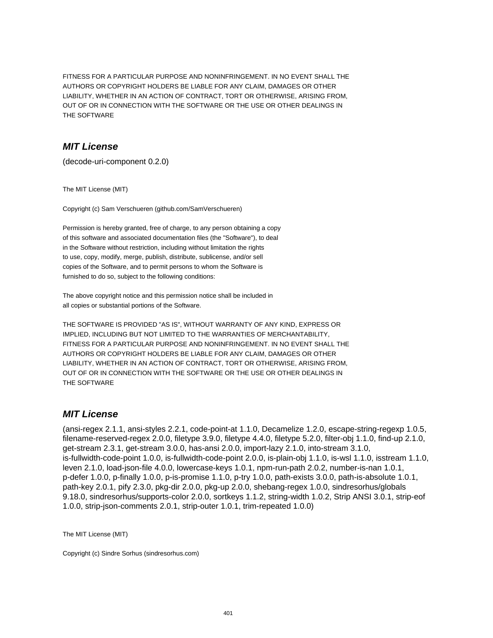FITNESS FOR A PARTICULAR PURPOSE AND NONINFRINGEMENT. IN NO EVENT SHALL THE AUTHORS OR COPYRIGHT HOLDERS BE LIABLE FOR ANY CLAIM, DAMAGES OR OTHER LIABILITY, WHETHER IN AN ACTION OF CONTRACT, TORT OR OTHERWISE, ARISING FROM, OUT OF OR IN CONNECTION WITH THE SOFTWARE OR THE USE OR OTHER DEALINGS IN THE SOFTWARE

## **MIT License**

(decode-uri-component 0.2.0)

The MIT License (MIT)

Copyright (c) Sam Verschueren (github.com/SamVerschueren)

Permission is hereby granted, free of charge, to any person obtaining a copy of this software and associated documentation files (the "Software"), to deal in the Software without restriction, including without limitation the rights to use, copy, modify, merge, publish, distribute, sublicense, and/or sell copies of the Software, and to permit persons to whom the Software is furnished to do so, subject to the following conditions:

The above copyright notice and this permission notice shall be included in all copies or substantial portions of the Software.

THE SOFTWARE IS PROVIDED "AS IS", WITHOUT WARRANTY OF ANY KIND, EXPRESS OR IMPLIED, INCLUDING BUT NOT LIMITED TO THE WARRANTIES OF MERCHANTABILITY, FITNESS FOR A PARTICULAR PURPOSE AND NONINFRINGEMENT. IN NO EVENT SHALL THE AUTHORS OR COPYRIGHT HOLDERS BE LIABLE FOR ANY CLAIM, DAMAGES OR OTHER LIABILITY, WHETHER IN AN ACTION OF CONTRACT, TORT OR OTHERWISE, ARISING FROM, OUT OF OR IN CONNECTION WITH THE SOFTWARE OR THE USE OR OTHER DEALINGS IN THE SOFTWARE

# **MIT License**

(ansi-regex 2.1.1, ansi-styles 2.2.1, code-point-at 1.1.0, Decamelize 1.2.0, escape-string-regexp 1.0.5, filename-reserved-regex 2.0.0, filetype 3.9.0, filetype 4.4.0, filetype 5.2.0, filter-obj 1.1.0, find-up 2.1.0, get-stream 2.3.1, get-stream 3.0.0, has-ansi 2.0.0, import-lazy 2.1.0, into-stream 3.1.0, is-fullwidth-code-point 1.0.0, is-fullwidth-code-point 2.0.0, is-plain-obj 1.1.0, is-wsl 1.1.0, isstream 1.1.0, leven 2.1.0, load-json-file 4.0.0, lowercase-keys 1.0.1, npm-run-path 2.0.2, number-is-nan 1.0.1, p-defer 1.0.0, p-finally 1.0.0, p-is-promise 1.1.0, p-try 1.0.0, path-exists 3.0.0, path-is-absolute 1.0.1, path-key 2.0.1, pify 2.3.0, pkg-dir 2.0.0, pkg-up 2.0.0, shebang-regex 1.0.0, sindresorhus/globals 9.18.0, sindresorhus/supports-color 2.0.0, sortkeys 1.1.2, string-width 1.0.2, Strip ANSI 3.0.1, strip-eof 1.0.0, strip-json-comments 2.0.1, strip-outer 1.0.1, trim-repeated 1.0.0)

The MIT License (MIT)

Copyright (c) Sindre Sorhus (sindresorhus.com)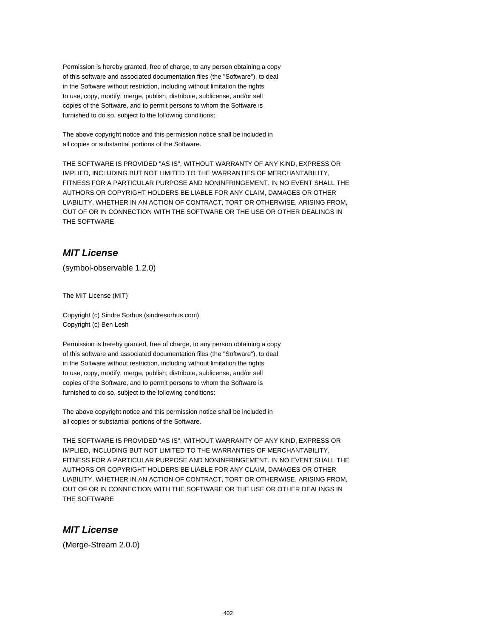Permission is hereby granted, free of charge, to any person obtaining a copy of this software and associated documentation files (the "Software"), to deal in the Software without restriction, including without limitation the rights to use, copy, modify, merge, publish, distribute, sublicense, and/or sell copies of the Software, and to permit persons to whom the Software is furnished to do so, subject to the following conditions:

The above copyright notice and this permission notice shall be included in all copies or substantial portions of the Software.

THE SOFTWARE IS PROVIDED "AS IS", WITHOUT WARRANTY OF ANY KIND, EXPRESS OR IMPLIED, INCLUDING BUT NOT LIMITED TO THE WARRANTIES OF MERCHANTABILITY, FITNESS FOR A PARTICULAR PURPOSE AND NONINFRINGEMENT. IN NO EVENT SHALL THE AUTHORS OR COPYRIGHT HOLDERS BE LIABLE FOR ANY CLAIM, DAMAGES OR OTHER LIABILITY, WHETHER IN AN ACTION OF CONTRACT, TORT OR OTHERWISE, ARISING FROM, OUT OF OR IN CONNECTION WITH THE SOFTWARE OR THE USE OR OTHER DEALINGS IN THE SOFTWARE

## **MIT License**

(symbol-observable 1.2.0)

The MIT License (MIT)

Copyright (c) Sindre Sorhus (sindresorhus.com) Copyright (c) Ben Lesh

Permission is hereby granted, free of charge, to any person obtaining a copy of this software and associated documentation files (the "Software"), to deal in the Software without restriction, including without limitation the rights to use, copy, modify, merge, publish, distribute, sublicense, and/or sell copies of the Software, and to permit persons to whom the Software is furnished to do so, subject to the following conditions:

The above copyright notice and this permission notice shall be included in all copies or substantial portions of the Software.

THE SOFTWARE IS PROVIDED "AS IS", WITHOUT WARRANTY OF ANY KIND, EXPRESS OR IMPLIED, INCLUDING BUT NOT LIMITED TO THE WARRANTIES OF MERCHANTABILITY, FITNESS FOR A PARTICULAR PURPOSE AND NONINFRINGEMENT. IN NO EVENT SHALL THE AUTHORS OR COPYRIGHT HOLDERS BE LIABLE FOR ANY CLAIM, DAMAGES OR OTHER LIABILITY, WHETHER IN AN ACTION OF CONTRACT, TORT OR OTHERWISE, ARISING FROM, OUT OF OR IN CONNECTION WITH THE SOFTWARE OR THE USE OR OTHER DEALINGS IN THE SOFTWARE

## **MIT License**

(Merge-Stream 2.0.0)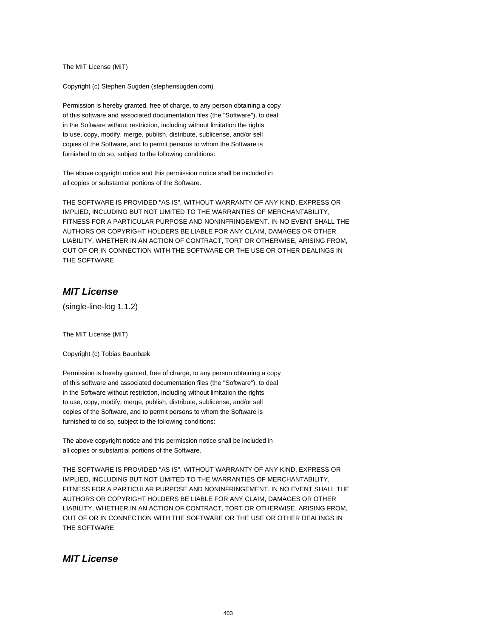The MIT License (MIT)

Copyright (c) Stephen Sugden (stephensugden.com)

Permission is hereby granted, free of charge, to any person obtaining a copy of this software and associated documentation files (the "Software"), to deal in the Software without restriction, including without limitation the rights to use, copy, modify, merge, publish, distribute, sublicense, and/or sell copies of the Software, and to permit persons to whom the Software is furnished to do so, subject to the following conditions:

The above copyright notice and this permission notice shall be included in all copies or substantial portions of the Software.

THE SOFTWARE IS PROVIDED "AS IS", WITHOUT WARRANTY OF ANY KIND, EXPRESS OR IMPLIED, INCLUDING BUT NOT LIMITED TO THE WARRANTIES OF MERCHANTABILITY, FITNESS FOR A PARTICULAR PURPOSE AND NONINFRINGEMENT. IN NO EVENT SHALL THE AUTHORS OR COPYRIGHT HOLDERS BE LIABLE FOR ANY CLAIM, DAMAGES OR OTHER LIABILITY, WHETHER IN AN ACTION OF CONTRACT, TORT OR OTHERWISE, ARISING FROM, OUT OF OR IN CONNECTION WITH THE SOFTWARE OR THE USE OR OTHER DEALINGS IN THE SOFTWARE

## **MIT License**

(single-line-log 1.1.2)

The MIT License (MIT)

Copyright (c) Tobias Baunbæk

Permission is hereby granted, free of charge, to any person obtaining a copy of this software and associated documentation files (the "Software"), to deal in the Software without restriction, including without limitation the rights to use, copy, modify, merge, publish, distribute, sublicense, and/or sell copies of the Software, and to permit persons to whom the Software is furnished to do so, subject to the following conditions:

The above copyright notice and this permission notice shall be included in all copies or substantial portions of the Software.

THE SOFTWARE IS PROVIDED "AS IS", WITHOUT WARRANTY OF ANY KIND, EXPRESS OR IMPLIED, INCLUDING BUT NOT LIMITED TO THE WARRANTIES OF MERCHANTABILITY, FITNESS FOR A PARTICULAR PURPOSE AND NONINFRINGEMENT. IN NO EVENT SHALL THE AUTHORS OR COPYRIGHT HOLDERS BE LIABLE FOR ANY CLAIM, DAMAGES OR OTHER LIABILITY, WHETHER IN AN ACTION OF CONTRACT, TORT OR OTHERWISE, ARISING FROM, OUT OF OR IN CONNECTION WITH THE SOFTWARE OR THE USE OR OTHER DEALINGS IN THE SOFTWARE

## **MIT License**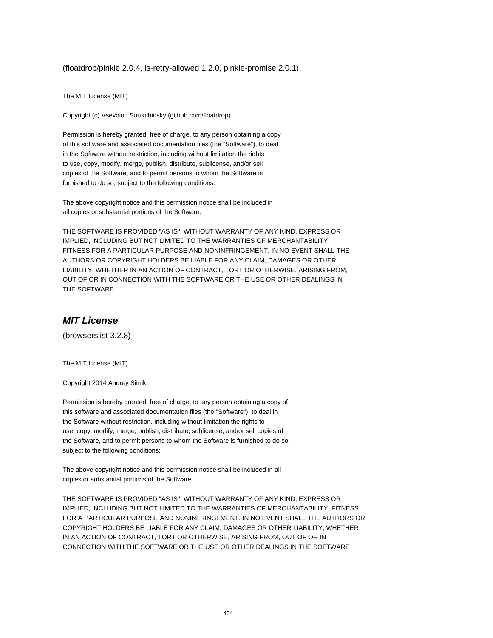(floatdrop/pinkie 2.0.4, is-retry-allowed 1.2.0, pinkie-promise 2.0.1)

The MIT License (MIT)

Copyright (c) Vsevolod Strukchinsky (github.com/floatdrop)

Permission is hereby granted, free of charge, to any person obtaining a copy of this software and associated documentation files (the "Software"), to deal in the Software without restriction, including without limitation the rights to use, copy, modify, merge, publish, distribute, sublicense, and/or sell copies of the Software, and to permit persons to whom the Software is furnished to do so, subject to the following conditions:

The above copyright notice and this permission notice shall be included in all copies or substantial portions of the Software.

THE SOFTWARE IS PROVIDED "AS IS", WITHOUT WARRANTY OF ANY KIND, EXPRESS OR IMPLIED, INCLUDING BUT NOT LIMITED TO THE WARRANTIES OF MERCHANTABILITY, FITNESS FOR A PARTICULAR PURPOSE AND NONINFRINGEMENT. IN NO EVENT SHALL THE AUTHORS OR COPYRIGHT HOLDERS BE LIABLE FOR ANY CLAIM, DAMAGES OR OTHER LIABILITY, WHETHER IN AN ACTION OF CONTRACT, TORT OR OTHERWISE, ARISING FROM, OUT OF OR IN CONNECTION WITH THE SOFTWARE OR THE USE OR OTHER DEALINGS IN THE SOFTWARE

#### **MIT License**

(browserslist 3.2.8)

The MIT License (MIT)

Copyright 2014 Andrey Sitnik

Permission is hereby granted, free of charge, to any person obtaining a copy of this software and associated documentation files (the "Software"), to deal in the Software without restriction, including without limitation the rights to use, copy, modify, merge, publish, distribute, sublicense, and/or sell copies of the Software, and to permit persons to whom the Software is furnished to do so, subject to the following conditions:

The above copyright notice and this permission notice shall be included in all copies or substantial portions of the Software.

THE SOFTWARE IS PROVIDED "AS IS", WITHOUT WARRANTY OF ANY KIND, EXPRESS OR IMPLIED, INCLUDING BUT NOT LIMITED TO THE WARRANTIES OF MERCHANTABILITY, FITNESS FOR A PARTICULAR PURPOSE AND NONINFRINGEMENT. IN NO EVENT SHALL THE AUTHORS OR COPYRIGHT HOLDERS BE LIABLE FOR ANY CLAIM, DAMAGES OR OTHER LIABILITY, WHETHER IN AN ACTION OF CONTRACT, TORT OR OTHERWISE, ARISING FROM, OUT OF OR IN CONNECTION WITH THE SOFTWARE OR THE USE OR OTHER DEALINGS IN THE SOFTWARE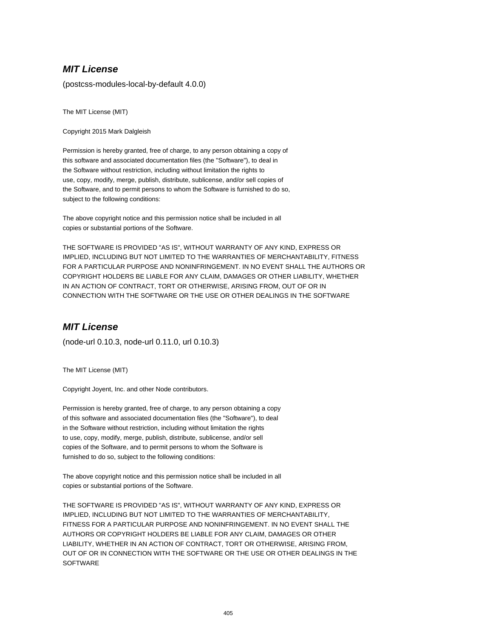(postcss-modules-local-by-default 4.0.0)

The MIT License (MIT)

Copyright 2015 Mark Dalgleish

Permission is hereby granted, free of charge, to any person obtaining a copy of this software and associated documentation files (the "Software"), to deal in the Software without restriction, including without limitation the rights to use, copy, modify, merge, publish, distribute, sublicense, and/or sell copies of the Software, and to permit persons to whom the Software is furnished to do so, subject to the following conditions:

The above copyright notice and this permission notice shall be included in all copies or substantial portions of the Software.

THE SOFTWARE IS PROVIDED "AS IS", WITHOUT WARRANTY OF ANY KIND, EXPRESS OR IMPLIED, INCLUDING BUT NOT LIMITED TO THE WARRANTIES OF MERCHANTABILITY, FITNESS FOR A PARTICULAR PURPOSE AND NONINFRINGEMENT. IN NO EVENT SHALL THE AUTHORS OR COPYRIGHT HOLDERS BE LIABLE FOR ANY CLAIM, DAMAGES OR OTHER LIABILITY, WHETHER IN AN ACTION OF CONTRACT, TORT OR OTHERWISE, ARISING FROM, OUT OF OR IN CONNECTION WITH THE SOFTWARE OR THE USE OR OTHER DEALINGS IN THE SOFTWARE

## **MIT License**

(node-url 0.10.3, node-url 0.11.0, url 0.10.3)

The MIT License (MIT)

Copyright Joyent, Inc. and other Node contributors.

Permission is hereby granted, free of charge, to any person obtaining a copy of this software and associated documentation files (the "Software"), to deal in the Software without restriction, including without limitation the rights to use, copy, modify, merge, publish, distribute, sublicense, and/or sell copies of the Software, and to permit persons to whom the Software is furnished to do so, subject to the following conditions:

The above copyright notice and this permission notice shall be included in all copies or substantial portions of the Software.

THE SOFTWARE IS PROVIDED "AS IS", WITHOUT WARRANTY OF ANY KIND, EXPRESS OR IMPLIED, INCLUDING BUT NOT LIMITED TO THE WARRANTIES OF MERCHANTABILITY, FITNESS FOR A PARTICULAR PURPOSE AND NONINFRINGEMENT. IN NO EVENT SHALL THE AUTHORS OR COPYRIGHT HOLDERS BE LIABLE FOR ANY CLAIM, DAMAGES OR OTHER LIABILITY, WHETHER IN AN ACTION OF CONTRACT, TORT OR OTHERWISE, ARISING FROM, OUT OF OR IN CONNECTION WITH THE SOFTWARE OR THE USE OR OTHER DEALINGS IN THE **SOFTWARE**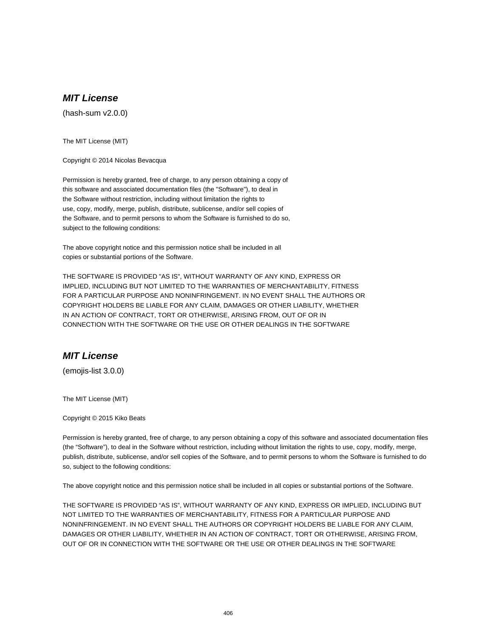(hash-sum v2.0.0)

The MIT License (MIT)

Copyright © 2014 Nicolas Bevacqua

Permission is hereby granted, free of charge, to any person obtaining a copy of this software and associated documentation files (the "Software"), to deal in the Software without restriction, including without limitation the rights to use, copy, modify, merge, publish, distribute, sublicense, and/or sell copies of the Software, and to permit persons to whom the Software is furnished to do so, subject to the following conditions:

The above copyright notice and this permission notice shall be included in all copies or substantial portions of the Software.

THE SOFTWARE IS PROVIDED "AS IS", WITHOUT WARRANTY OF ANY KIND, EXPRESS OR IMPLIED, INCLUDING BUT NOT LIMITED TO THE WARRANTIES OF MERCHANTABILITY, FITNESS FOR A PARTICULAR PURPOSE AND NONINFRINGEMENT. IN NO EVENT SHALL THE AUTHORS OR COPYRIGHT HOLDERS BE LIABLE FOR ANY CLAIM, DAMAGES OR OTHER LIABILITY, WHETHER IN AN ACTION OF CONTRACT, TORT OR OTHERWISE, ARISING FROM, OUT OF OR IN CONNECTION WITH THE SOFTWARE OR THE USE OR OTHER DEALINGS IN THE SOFTWARE

#### **MIT License**

(emojis-list 3.0.0)

The MIT License (MIT)

Copyright © 2015 Kiko Beats

Permission is hereby granted, free of charge, to any person obtaining a copy of this software and associated documentation files (the "Software"), to deal in the Software without restriction, including without limitation the rights to use, copy, modify, merge, publish, distribute, sublicense, and/or sell copies of the Software, and to permit persons to whom the Software is furnished to do so, subject to the following conditions:

The above copyright notice and this permission notice shall be included in all copies or substantial portions of the Software.

THE SOFTWARE IS PROVIDED "AS IS", WITHOUT WARRANTY OF ANY KIND, EXPRESS OR IMPLIED, INCLUDING BUT NOT LIMITED TO THE WARRANTIES OF MERCHANTABILITY, FITNESS FOR A PARTICULAR PURPOSE AND NONINFRINGEMENT. IN NO EVENT SHALL THE AUTHORS OR COPYRIGHT HOLDERS BE LIABLE FOR ANY CLAIM, DAMAGES OR OTHER LIABILITY, WHETHER IN AN ACTION OF CONTRACT, TORT OR OTHERWISE, ARISING FROM, OUT OF OR IN CONNECTION WITH THE SOFTWARE OR THE USE OR OTHER DEALINGS IN THE SOFTWARE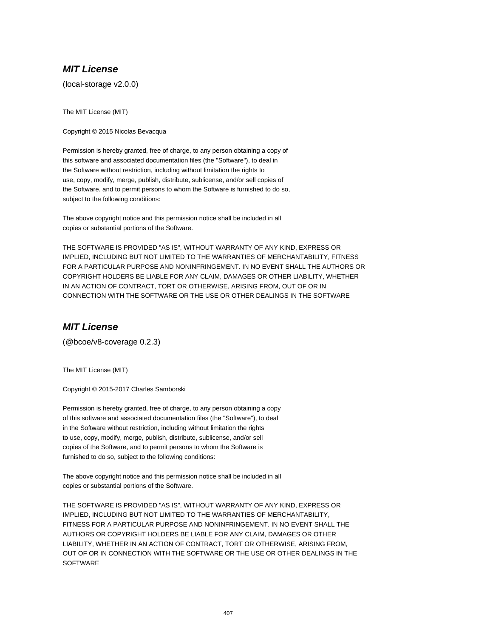(local-storage v2.0.0)

The MIT License (MIT)

Copyright © 2015 Nicolas Bevacqua

Permission is hereby granted, free of charge, to any person obtaining a copy of this software and associated documentation files (the "Software"), to deal in the Software without restriction, including without limitation the rights to use, copy, modify, merge, publish, distribute, sublicense, and/or sell copies of the Software, and to permit persons to whom the Software is furnished to do so, subject to the following conditions:

The above copyright notice and this permission notice shall be included in all copies or substantial portions of the Software.

THE SOFTWARE IS PROVIDED "AS IS", WITHOUT WARRANTY OF ANY KIND, EXPRESS OR IMPLIED, INCLUDING BUT NOT LIMITED TO THE WARRANTIES OF MERCHANTABILITY, FITNESS FOR A PARTICULAR PURPOSE AND NONINFRINGEMENT. IN NO EVENT SHALL THE AUTHORS OR COPYRIGHT HOLDERS BE LIABLE FOR ANY CLAIM, DAMAGES OR OTHER LIABILITY, WHETHER IN AN ACTION OF CONTRACT, TORT OR OTHERWISE, ARISING FROM, OUT OF OR IN CONNECTION WITH THE SOFTWARE OR THE USE OR OTHER DEALINGS IN THE SOFTWARE

## **MIT License**

(@bcoe/v8-coverage 0.2.3)

The MIT License (MIT)

Copyright © 2015-2017 Charles Samborski

Permission is hereby granted, free of charge, to any person obtaining a copy of this software and associated documentation files (the "Software"), to deal in the Software without restriction, including without limitation the rights to use, copy, modify, merge, publish, distribute, sublicense, and/or sell copies of the Software, and to permit persons to whom the Software is furnished to do so, subject to the following conditions:

The above copyright notice and this permission notice shall be included in all copies or substantial portions of the Software.

THE SOFTWARE IS PROVIDED "AS IS", WITHOUT WARRANTY OF ANY KIND, EXPRESS OR IMPLIED, INCLUDING BUT NOT LIMITED TO THE WARRANTIES OF MERCHANTABILITY, FITNESS FOR A PARTICULAR PURPOSE AND NONINFRINGEMENT. IN NO EVENT SHALL THE AUTHORS OR COPYRIGHT HOLDERS BE LIABLE FOR ANY CLAIM, DAMAGES OR OTHER LIABILITY, WHETHER IN AN ACTION OF CONTRACT, TORT OR OTHERWISE, ARISING FROM, OUT OF OR IN CONNECTION WITH THE SOFTWARE OR THE USE OR OTHER DEALINGS IN THE **SOFTWARE**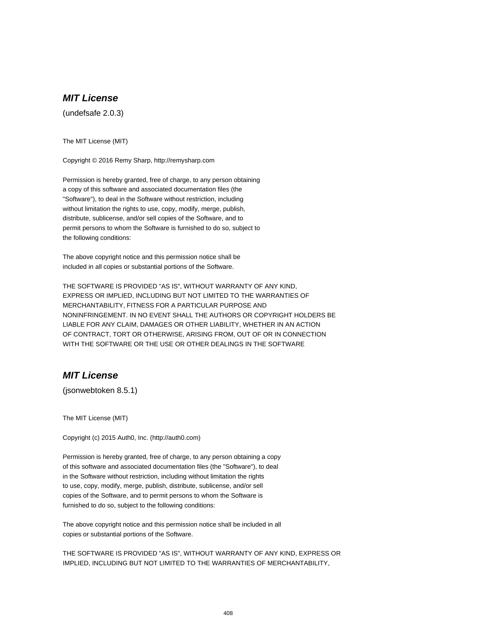(undefsafe 2.0.3)

The MIT License (MIT)

Copyright © 2016 Remy Sharp, http://remysharp.com

Permission is hereby granted, free of charge, to any person obtaining a copy of this software and associated documentation files (the "Software"), to deal in the Software without restriction, including without limitation the rights to use, copy, modify, merge, publish, distribute, sublicense, and/or sell copies of the Software, and to permit persons to whom the Software is furnished to do so, subject to the following conditions:

The above copyright notice and this permission notice shall be included in all copies or substantial portions of the Software.

THE SOFTWARE IS PROVIDED "AS IS", WITHOUT WARRANTY OF ANY KIND, EXPRESS OR IMPLIED, INCLUDING BUT NOT LIMITED TO THE WARRANTIES OF MERCHANTABILITY, FITNESS FOR A PARTICULAR PURPOSE AND NONINFRINGEMENT. IN NO EVENT SHALL THE AUTHORS OR COPYRIGHT HOLDERS BE LIABLE FOR ANY CLAIM, DAMAGES OR OTHER LIABILITY, WHETHER IN AN ACTION OF CONTRACT, TORT OR OTHERWISE, ARISING FROM, OUT OF OR IN CONNECTION WITH THE SOFTWARE OR THE USE OR OTHER DEALINGS IN THE SOFTWARE

## **MIT License**

(jsonwebtoken 8.5.1)

The MIT License (MIT)

Copyright (c) 2015 Auth0, Inc. (http://auth0.com)

Permission is hereby granted, free of charge, to any person obtaining a copy of this software and associated documentation files (the "Software"), to deal in the Software without restriction, including without limitation the rights to use, copy, modify, merge, publish, distribute, sublicense, and/or sell copies of the Software, and to permit persons to whom the Software is furnished to do so, subject to the following conditions:

The above copyright notice and this permission notice shall be included in all copies or substantial portions of the Software.

THE SOFTWARE IS PROVIDED "AS IS", WITHOUT WARRANTY OF ANY KIND, EXPRESS OR IMPLIED, INCLUDING BUT NOT LIMITED TO THE WARRANTIES OF MERCHANTABILITY,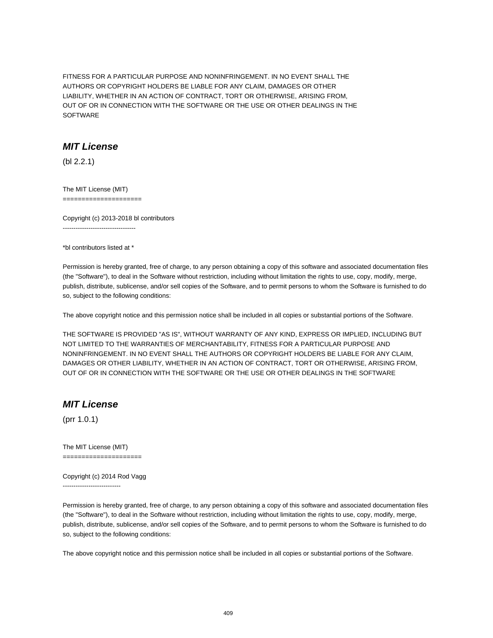FITNESS FOR A PARTICULAR PURPOSE AND NONINFRINGEMENT. IN NO EVENT SHALL THE AUTHORS OR COPYRIGHT HOLDERS BE LIABLE FOR ANY CLAIM, DAMAGES OR OTHER LIABILITY, WHETHER IN AN ACTION OF CONTRACT, TORT OR OTHERWISE, ARISING FROM, OUT OF OR IN CONNECTION WITH THE SOFTWARE OR THE USE OR OTHER DEALINGS IN THE **SOFTWARE** 

#### **MIT License**

(bl 2.2.1)

The MIT License (MIT) =====================

Copyright (c) 2013-2018 bl contributors ----------------------------------

\*bl contributors listed at \*

Permission is hereby granted, free of charge, to any person obtaining a copy of this software and associated documentation files (the "Software"), to deal in the Software without restriction, including without limitation the rights to use, copy, modify, merge, publish, distribute, sublicense, and/or sell copies of the Software, and to permit persons to whom the Software is furnished to do so, subject to the following conditions:

The above copyright notice and this permission notice shall be included in all copies or substantial portions of the Software.

THE SOFTWARE IS PROVIDED "AS IS", WITHOUT WARRANTY OF ANY KIND, EXPRESS OR IMPLIED, INCLUDING BUT NOT LIMITED TO THE WARRANTIES OF MERCHANTABILITY, FITNESS FOR A PARTICULAR PURPOSE AND NONINFRINGEMENT. IN NO EVENT SHALL THE AUTHORS OR COPYRIGHT HOLDERS BE LIABLE FOR ANY CLAIM, DAMAGES OR OTHER LIABILITY, WHETHER IN AN ACTION OF CONTRACT, TORT OR OTHERWISE, ARISING FROM, OUT OF OR IN CONNECTION WITH THE SOFTWARE OR THE USE OR OTHER DEALINGS IN THE SOFTWARE

### **MIT License**

(prr 1.0.1)

The MIT License (MIT) =====================

Copyright (c) 2014 Rod Vagg

---------------------------

Permission is hereby granted, free of charge, to any person obtaining a copy of this software and associated documentation files (the "Software"), to deal in the Software without restriction, including without limitation the rights to use, copy, modify, merge, publish, distribute, sublicense, and/or sell copies of the Software, and to permit persons to whom the Software is furnished to do so, subject to the following conditions:

The above copyright notice and this permission notice shall be included in all copies or substantial portions of the Software.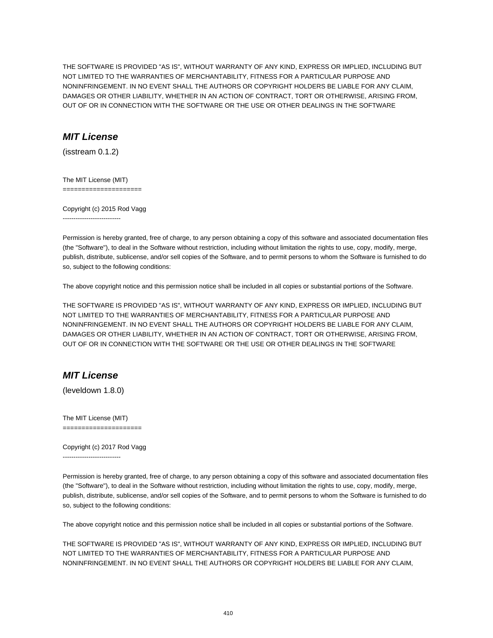THE SOFTWARE IS PROVIDED "AS IS", WITHOUT WARRANTY OF ANY KIND, EXPRESS OR IMPLIED, INCLUDING BUT NOT LIMITED TO THE WARRANTIES OF MERCHANTABILITY, FITNESS FOR A PARTICULAR PURPOSE AND NONINFRINGEMENT. IN NO EVENT SHALL THE AUTHORS OR COPYRIGHT HOLDERS BE LIABLE FOR ANY CLAIM, DAMAGES OR OTHER LIABILITY, WHETHER IN AN ACTION OF CONTRACT, TORT OR OTHERWISE, ARISING FROM, OUT OF OR IN CONNECTION WITH THE SOFTWARE OR THE USE OR OTHER DEALINGS IN THE SOFTWARE

## **MIT License**

(isstream 0.1.2)

The MIT License (MIT) =====================

Copyright (c) 2015 Rod Vagg ---------------------------

Permission is hereby granted, free of charge, to any person obtaining a copy of this software and associated documentation files (the "Software"), to deal in the Software without restriction, including without limitation the rights to use, copy, modify, merge, publish, distribute, sublicense, and/or sell copies of the Software, and to permit persons to whom the Software is furnished to do so, subject to the following conditions:

The above copyright notice and this permission notice shall be included in all copies or substantial portions of the Software.

THE SOFTWARE IS PROVIDED "AS IS", WITHOUT WARRANTY OF ANY KIND, EXPRESS OR IMPLIED, INCLUDING BUT NOT LIMITED TO THE WARRANTIES OF MERCHANTABILITY, FITNESS FOR A PARTICULAR PURPOSE AND NONINFRINGEMENT. IN NO EVENT SHALL THE AUTHORS OR COPYRIGHT HOLDERS BE LIABLE FOR ANY CLAIM, DAMAGES OR OTHER LIABILITY, WHETHER IN AN ACTION OF CONTRACT, TORT OR OTHERWISE, ARISING FROM, OUT OF OR IN CONNECTION WITH THE SOFTWARE OR THE USE OR OTHER DEALINGS IN THE SOFTWARE

## **MIT License**

(leveldown 1.8.0)

The MIT License (MIT) =====================

Copyright (c) 2017 Rod Vagg ---------------------------

Permission is hereby granted, free of charge, to any person obtaining a copy of this software and associated documentation files (the "Software"), to deal in the Software without restriction, including without limitation the rights to use, copy, modify, merge, publish, distribute, sublicense, and/or sell copies of the Software, and to permit persons to whom the Software is furnished to do so, subject to the following conditions:

The above copyright notice and this permission notice shall be included in all copies or substantial portions of the Software.

THE SOFTWARE IS PROVIDED "AS IS", WITHOUT WARRANTY OF ANY KIND, EXPRESS OR IMPLIED, INCLUDING BUT NOT LIMITED TO THE WARRANTIES OF MERCHANTABILITY, FITNESS FOR A PARTICULAR PURPOSE AND NONINFRINGEMENT. IN NO EVENT SHALL THE AUTHORS OR COPYRIGHT HOLDERS BE LIABLE FOR ANY CLAIM,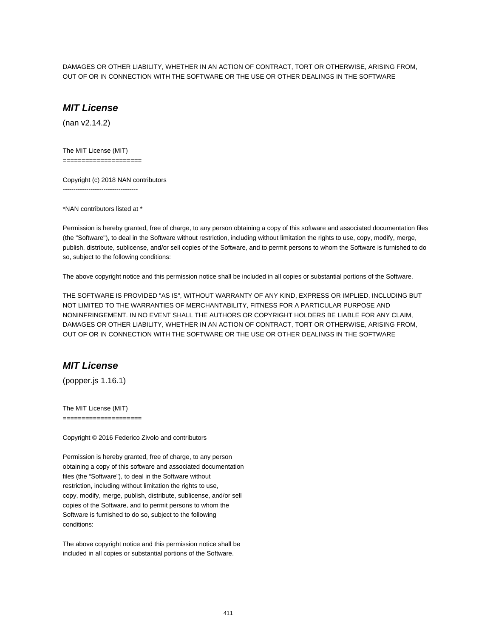DAMAGES OR OTHER LIABILITY, WHETHER IN AN ACTION OF CONTRACT, TORT OR OTHERWISE, ARISING FROM, OUT OF OR IN CONNECTION WITH THE SOFTWARE OR THE USE OR OTHER DEALINGS IN THE SOFTWARE

#### **MIT License**

(nan v2.14.2)

The MIT License (MIT)

=====================

Copyright (c) 2018 NAN contributors -----------------------------------

\*NAN contributors listed at \*

Permission is hereby granted, free of charge, to any person obtaining a copy of this software and associated documentation files (the "Software"), to deal in the Software without restriction, including without limitation the rights to use, copy, modify, merge, publish, distribute, sublicense, and/or sell copies of the Software, and to permit persons to whom the Software is furnished to do so, subject to the following conditions:

The above copyright notice and this permission notice shall be included in all copies or substantial portions of the Software.

THE SOFTWARE IS PROVIDED "AS IS", WITHOUT WARRANTY OF ANY KIND, EXPRESS OR IMPLIED, INCLUDING BUT NOT LIMITED TO THE WARRANTIES OF MERCHANTABILITY, FITNESS FOR A PARTICULAR PURPOSE AND NONINFRINGEMENT. IN NO EVENT SHALL THE AUTHORS OR COPYRIGHT HOLDERS BE LIABLE FOR ANY CLAIM, DAMAGES OR OTHER LIABILITY, WHETHER IN AN ACTION OF CONTRACT, TORT OR OTHERWISE, ARISING FROM, OUT OF OR IN CONNECTION WITH THE SOFTWARE OR THE USE OR OTHER DEALINGS IN THE SOFTWARE

## **MIT License**

(popper.js 1.16.1)

The MIT License (MIT)

=====================

Copyright © 2016 Federico Zivolo and contributors

Permission is hereby granted, free of charge, to any person obtaining a copy of this software and associated documentation files (the "Software"), to deal in the Software without restriction, including without limitation the rights to use, copy, modify, merge, publish, distribute, sublicense, and/or sell copies of the Software, and to permit persons to whom the Software is furnished to do so, subject to the following conditions:

The above copyright notice and this permission notice shall be included in all copies or substantial portions of the Software.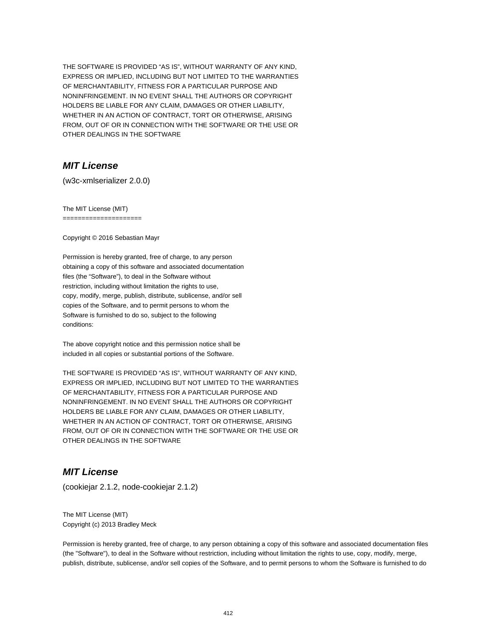THE SOFTWARE IS PROVIDED "AS IS", WITHOUT WARRANTY OF ANY KIND, EXPRESS OR IMPLIED, INCLUDING BUT NOT LIMITED TO THE WARRANTIES OF MERCHANTABILITY, FITNESS FOR A PARTICULAR PURPOSE AND NONINFRINGEMENT. IN NO EVENT SHALL THE AUTHORS OR COPYRIGHT HOLDERS BE LIABLE FOR ANY CLAIM, DAMAGES OR OTHER LIABILITY, WHETHER IN AN ACTION OF CONTRACT, TORT OR OTHERWISE, ARISING FROM, OUT OF OR IN CONNECTION WITH THE SOFTWARE OR THE USE OR OTHER DEALINGS IN THE SOFTWARE

# **MIT License**

(w3c-xmlserializer 2.0.0)

The MIT License (MIT) =====================

Copyright © 2016 Sebastian Mayr

Permission is hereby granted, free of charge, to any person obtaining a copy of this software and associated documentation files (the "Software"), to deal in the Software without restriction, including without limitation the rights to use, copy, modify, merge, publish, distribute, sublicense, and/or sell copies of the Software, and to permit persons to whom the Software is furnished to do so, subject to the following conditions:

The above copyright notice and this permission notice shall be included in all copies or substantial portions of the Software.

THE SOFTWARE IS PROVIDED "AS IS", WITHOUT WARRANTY OF ANY KIND, EXPRESS OR IMPLIED, INCLUDING BUT NOT LIMITED TO THE WARRANTIES OF MERCHANTABILITY, FITNESS FOR A PARTICULAR PURPOSE AND NONINFRINGEMENT. IN NO EVENT SHALL THE AUTHORS OR COPYRIGHT HOLDERS BE LIABLE FOR ANY CLAIM, DAMAGES OR OTHER LIABILITY, WHETHER IN AN ACTION OF CONTRACT, TORT OR OTHERWISE, ARISING FROM, OUT OF OR IN CONNECTION WITH THE SOFTWARE OR THE USE OR OTHER DEALINGS IN THE SOFTWARE

### **MIT License**

(cookiejar 2.1.2, node-cookiejar 2.1.2)

The MIT License (MIT) Copyright (c) 2013 Bradley Meck

Permission is hereby granted, free of charge, to any person obtaining a copy of this software and associated documentation files (the "Software"), to deal in the Software without restriction, including without limitation the rights to use, copy, modify, merge, publish, distribute, sublicense, and/or sell copies of the Software, and to permit persons to whom the Software is furnished to do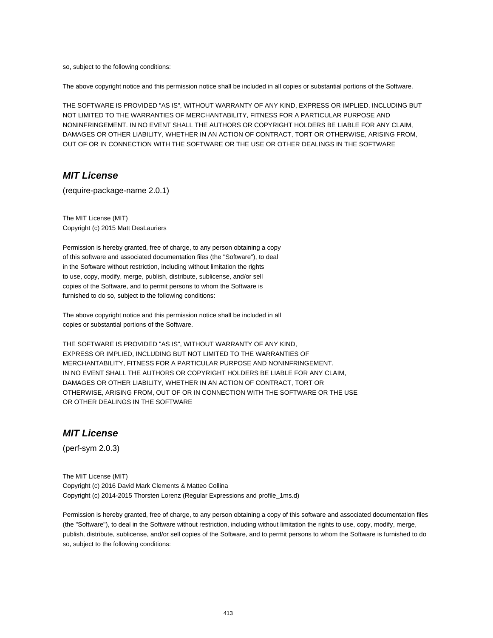so, subject to the following conditions:

The above copyright notice and this permission notice shall be included in all copies or substantial portions of the Software.

THE SOFTWARE IS PROVIDED "AS IS", WITHOUT WARRANTY OF ANY KIND, EXPRESS OR IMPLIED, INCLUDING BUT NOT LIMITED TO THE WARRANTIES OF MERCHANTABILITY, FITNESS FOR A PARTICULAR PURPOSE AND NONINFRINGEMENT. IN NO EVENT SHALL THE AUTHORS OR COPYRIGHT HOLDERS BE LIABLE FOR ANY CLAIM, DAMAGES OR OTHER LIABILITY, WHETHER IN AN ACTION OF CONTRACT, TORT OR OTHERWISE, ARISING FROM, OUT OF OR IN CONNECTION WITH THE SOFTWARE OR THE USE OR OTHER DEALINGS IN THE SOFTWARE

#### **MIT License**

(require-package-name 2.0.1)

The MIT License (MIT) Copyright (c) 2015 Matt DesLauriers

Permission is hereby granted, free of charge, to any person obtaining a copy of this software and associated documentation files (the "Software"), to deal in the Software without restriction, including without limitation the rights to use, copy, modify, merge, publish, distribute, sublicense, and/or sell copies of the Software, and to permit persons to whom the Software is furnished to do so, subject to the following conditions:

The above copyright notice and this permission notice shall be included in all copies or substantial portions of the Software.

THE SOFTWARE IS PROVIDED "AS IS", WITHOUT WARRANTY OF ANY KIND, EXPRESS OR IMPLIED, INCLUDING BUT NOT LIMITED TO THE WARRANTIES OF MERCHANTABILITY, FITNESS FOR A PARTICULAR PURPOSE AND NONINFRINGEMENT. IN NO EVENT SHALL THE AUTHORS OR COPYRIGHT HOLDERS BE LIABLE FOR ANY CLAIM, DAMAGES OR OTHER LIABILITY, WHETHER IN AN ACTION OF CONTRACT, TORT OR OTHERWISE, ARISING FROM, OUT OF OR IN CONNECTION WITH THE SOFTWARE OR THE USE OR OTHER DEALINGS IN THE SOFTWARE

#### **MIT License**

(perf-sym 2.0.3)

The MIT License (MIT) Copyright (c) 2016 David Mark Clements & Matteo Collina Copyright (c) 2014-2015 Thorsten Lorenz (Regular Expressions and profile\_1ms.d)

Permission is hereby granted, free of charge, to any person obtaining a copy of this software and associated documentation files (the "Software"), to deal in the Software without restriction, including without limitation the rights to use, copy, modify, merge, publish, distribute, sublicense, and/or sell copies of the Software, and to permit persons to whom the Software is furnished to do so, subject to the following conditions: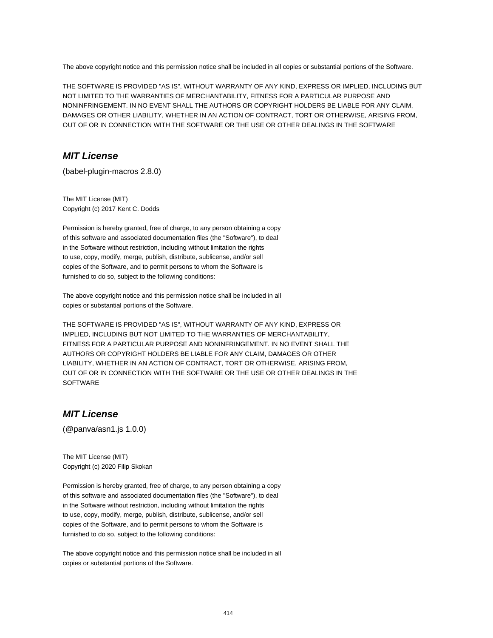The above copyright notice and this permission notice shall be included in all copies or substantial portions of the Software.

THE SOFTWARE IS PROVIDED "AS IS", WITHOUT WARRANTY OF ANY KIND, EXPRESS OR IMPLIED, INCLUDING BUT NOT LIMITED TO THE WARRANTIES OF MERCHANTABILITY, FITNESS FOR A PARTICULAR PURPOSE AND NONINFRINGEMENT. IN NO EVENT SHALL THE AUTHORS OR COPYRIGHT HOLDERS BE LIABLE FOR ANY CLAIM, DAMAGES OR OTHER LIABILITY, WHETHER IN AN ACTION OF CONTRACT, TORT OR OTHERWISE, ARISING FROM, OUT OF OR IN CONNECTION WITH THE SOFTWARE OR THE USE OR OTHER DEALINGS IN THE SOFTWARE

## **MIT License**

(babel-plugin-macros 2.8.0)

The MIT License (MIT) Copyright (c) 2017 Kent C. Dodds

Permission is hereby granted, free of charge, to any person obtaining a copy of this software and associated documentation files (the "Software"), to deal in the Software without restriction, including without limitation the rights to use, copy, modify, merge, publish, distribute, sublicense, and/or sell copies of the Software, and to permit persons to whom the Software is furnished to do so, subject to the following conditions:

The above copyright notice and this permission notice shall be included in all copies or substantial portions of the Software.

THE SOFTWARE IS PROVIDED "AS IS", WITHOUT WARRANTY OF ANY KIND, EXPRESS OR IMPLIED, INCLUDING BUT NOT LIMITED TO THE WARRANTIES OF MERCHANTABILITY, FITNESS FOR A PARTICULAR PURPOSE AND NONINFRINGEMENT. IN NO EVENT SHALL THE AUTHORS OR COPYRIGHT HOLDERS BE LIABLE FOR ANY CLAIM, DAMAGES OR OTHER LIABILITY, WHETHER IN AN ACTION OF CONTRACT, TORT OR OTHERWISE, ARISING FROM, OUT OF OR IN CONNECTION WITH THE SOFTWARE OR THE USE OR OTHER DEALINGS IN THE **SOFTWARE** 

# **MIT License**

(@panva/asn1.js 1.0.0)

The MIT License (MIT) Copyright (c) 2020 Filip Skokan

Permission is hereby granted, free of charge, to any person obtaining a copy of this software and associated documentation files (the "Software"), to deal in the Software without restriction, including without limitation the rights to use, copy, modify, merge, publish, distribute, sublicense, and/or sell copies of the Software, and to permit persons to whom the Software is furnished to do so, subject to the following conditions:

The above copyright notice and this permission notice shall be included in all copies or substantial portions of the Software.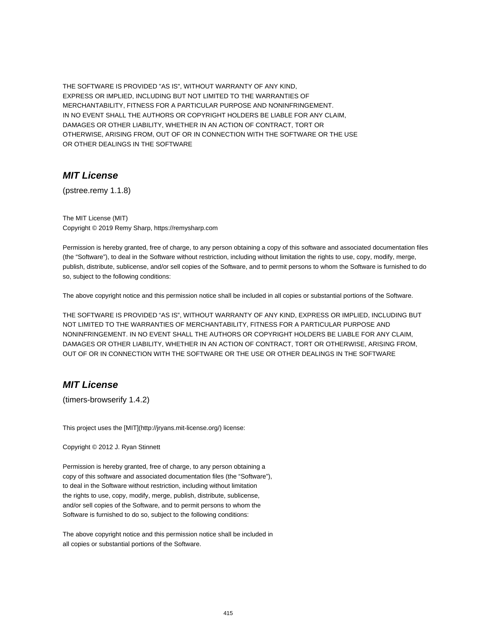THE SOFTWARE IS PROVIDED "AS IS", WITHOUT WARRANTY OF ANY KIND, EXPRESS OR IMPLIED, INCLUDING BUT NOT LIMITED TO THE WARRANTIES OF MERCHANTABILITY, FITNESS FOR A PARTICULAR PURPOSE AND NONINFRINGEMENT. IN NO EVENT SHALL THE AUTHORS OR COPYRIGHT HOLDERS BE LIABLE FOR ANY CLAIM, DAMAGES OR OTHER LIABILITY, WHETHER IN AN ACTION OF CONTRACT, TORT OR OTHERWISE, ARISING FROM, OUT OF OR IN CONNECTION WITH THE SOFTWARE OR THE USE OR OTHER DEALINGS IN THE SOFTWARE

#### **MIT License**

(pstree.remy 1.1.8)

The MIT License (MIT) Copyright © 2019 Remy Sharp, https://remysharp.com

Permission is hereby granted, free of charge, to any person obtaining a copy of this software and associated documentation files (the "Software"), to deal in the Software without restriction, including without limitation the rights to use, copy, modify, merge, publish, distribute, sublicense, and/or sell copies of the Software, and to permit persons to whom the Software is furnished to do so, subject to the following conditions:

The above copyright notice and this permission notice shall be included in all copies or substantial portions of the Software.

THE SOFTWARE IS PROVIDED "AS IS", WITHOUT WARRANTY OF ANY KIND, EXPRESS OR IMPLIED, INCLUDING BUT NOT LIMITED TO THE WARRANTIES OF MERCHANTABILITY, FITNESS FOR A PARTICULAR PURPOSE AND NONINFRINGEMENT. IN NO EVENT SHALL THE AUTHORS OR COPYRIGHT HOLDERS BE LIABLE FOR ANY CLAIM, DAMAGES OR OTHER LIABILITY, WHETHER IN AN ACTION OF CONTRACT, TORT OR OTHERWISE, ARISING FROM, OUT OF OR IN CONNECTION WITH THE SOFTWARE OR THE USE OR OTHER DEALINGS IN THE SOFTWARE

#### **MIT License**

(timers-browserify 1.4.2)

This project uses the [MIT](http://jryans.mit-license.org/) license:

Copyright © 2012 J. Ryan Stinnett

Permission is hereby granted, free of charge, to any person obtaining a copy of this software and associated documentation files (the "Software"), to deal in the Software without restriction, including without limitation the rights to use, copy, modify, merge, publish, distribute, sublicense, and/or sell copies of the Software, and to permit persons to whom the Software is furnished to do so, subject to the following conditions:

The above copyright notice and this permission notice shall be included in all copies or substantial portions of the Software.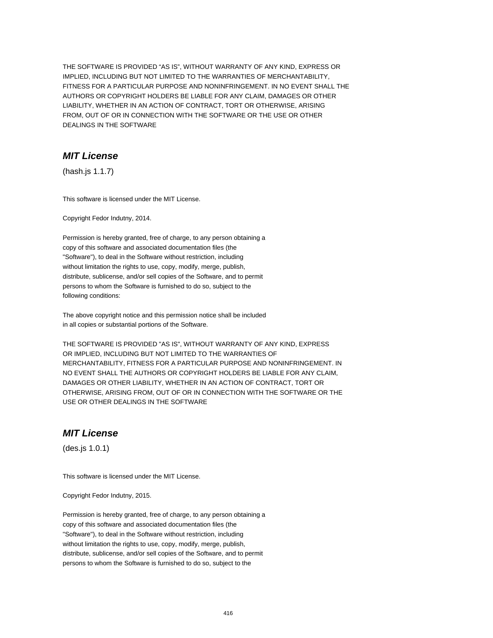THE SOFTWARE IS PROVIDED "AS IS", WITHOUT WARRANTY OF ANY KIND, EXPRESS OR IMPLIED, INCLUDING BUT NOT LIMITED TO THE WARRANTIES OF MERCHANTABILITY, FITNESS FOR A PARTICULAR PURPOSE AND NONINFRINGEMENT. IN NO EVENT SHALL THE AUTHORS OR COPYRIGHT HOLDERS BE LIABLE FOR ANY CLAIM, DAMAGES OR OTHER LIABILITY, WHETHER IN AN ACTION OF CONTRACT, TORT OR OTHERWISE, ARISING FROM, OUT OF OR IN CONNECTION WITH THE SOFTWARE OR THE USE OR OTHER DEALINGS IN THE SOFTWARE

#### **MIT License**

(hash.js 1.1.7)

This software is licensed under the MIT License.

Copyright Fedor Indutny, 2014.

Permission is hereby granted, free of charge, to any person obtaining a copy of this software and associated documentation files (the "Software"), to deal in the Software without restriction, including without limitation the rights to use, copy, modify, merge, publish, distribute, sublicense, and/or sell copies of the Software, and to permit persons to whom the Software is furnished to do so, subject to the following conditions:

The above copyright notice and this permission notice shall be included in all copies or substantial portions of the Software.

THE SOFTWARE IS PROVIDED "AS IS", WITHOUT WARRANTY OF ANY KIND, EXPRESS OR IMPLIED, INCLUDING BUT NOT LIMITED TO THE WARRANTIES OF MERCHANTABILITY, FITNESS FOR A PARTICULAR PURPOSE AND NONINFRINGEMENT. IN NO EVENT SHALL THE AUTHORS OR COPYRIGHT HOLDERS BE LIABLE FOR ANY CLAIM, DAMAGES OR OTHER LIABILITY, WHETHER IN AN ACTION OF CONTRACT, TORT OR OTHERWISE, ARISING FROM, OUT OF OR IN CONNECTION WITH THE SOFTWARE OR THE USE OR OTHER DEALINGS IN THE SOFTWARE

### **MIT License**

(des.js 1.0.1)

This software is licensed under the MIT License.

Copyright Fedor Indutny, 2015.

Permission is hereby granted, free of charge, to any person obtaining a copy of this software and associated documentation files (the "Software"), to deal in the Software without restriction, including without limitation the rights to use, copy, modify, merge, publish, distribute, sublicense, and/or sell copies of the Software, and to permit persons to whom the Software is furnished to do so, subject to the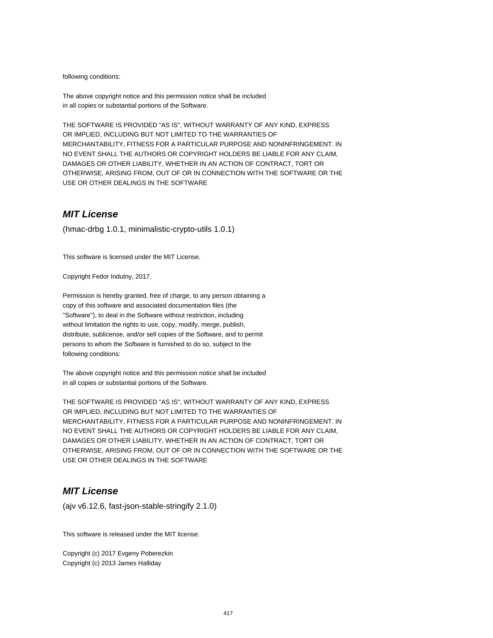following conditions:

The above copyright notice and this permission notice shall be included in all copies or substantial portions of the Software.

THE SOFTWARE IS PROVIDED "AS IS", WITHOUT WARRANTY OF ANY KIND, EXPRESS OR IMPLIED, INCLUDING BUT NOT LIMITED TO THE WARRANTIES OF MERCHANTABILITY, FITNESS FOR A PARTICULAR PURPOSE AND NONINFRINGEMENT. IN NO EVENT SHALL THE AUTHORS OR COPYRIGHT HOLDERS BE LIABLE FOR ANY CLAIM, DAMAGES OR OTHER LIABILITY, WHETHER IN AN ACTION OF CONTRACT, TORT OR OTHERWISE, ARISING FROM, OUT OF OR IN CONNECTION WITH THE SOFTWARE OR THE USE OR OTHER DEALINGS IN THE SOFTWARE

#### **MIT License**

(hmac-drbg 1.0.1, minimalistic-crypto-utils 1.0.1)

This software is licensed under the MIT License.

Copyright Fedor Indutny, 2017.

Permission is hereby granted, free of charge, to any person obtaining a copy of this software and associated documentation files (the "Software"), to deal in the Software without restriction, including without limitation the rights to use, copy, modify, merge, publish, distribute, sublicense, and/or sell copies of the Software, and to permit persons to whom the Software is furnished to do so, subject to the following conditions:

The above copyright notice and this permission notice shall be included in all copies or substantial portions of the Software.

THE SOFTWARE IS PROVIDED "AS IS", WITHOUT WARRANTY OF ANY KIND, EXPRESS OR IMPLIED, INCLUDING BUT NOT LIMITED TO THE WARRANTIES OF MERCHANTABILITY, FITNESS FOR A PARTICULAR PURPOSE AND NONINFRINGEMENT. IN NO EVENT SHALL THE AUTHORS OR COPYRIGHT HOLDERS BE LIABLE FOR ANY CLAIM, DAMAGES OR OTHER LIABILITY, WHETHER IN AN ACTION OF CONTRACT, TORT OR OTHERWISE, ARISING FROM, OUT OF OR IN CONNECTION WITH THE SOFTWARE OR THE USE OR OTHER DEALINGS IN THE SOFTWARE

## **MIT License**

(ajv v6.12.6, fast-json-stable-stringify 2.1.0)

This software is released under the MIT license:

Copyright (c) 2017 Evgeny Poberezkin Copyright (c) 2013 James Halliday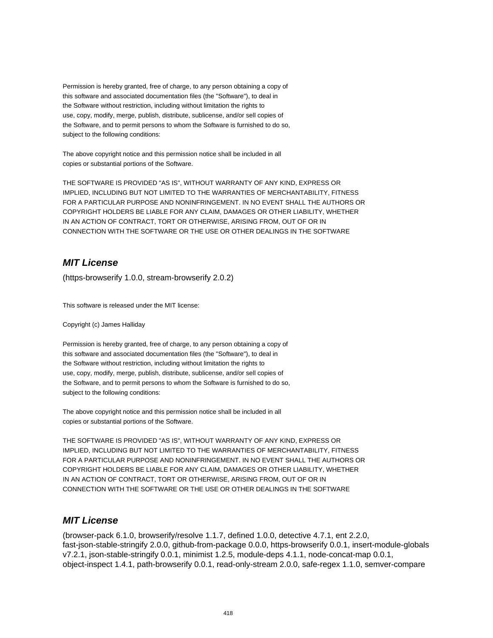Permission is hereby granted, free of charge, to any person obtaining a copy of this software and associated documentation files (the "Software"), to deal in the Software without restriction, including without limitation the rights to use, copy, modify, merge, publish, distribute, sublicense, and/or sell copies of the Software, and to permit persons to whom the Software is furnished to do so, subject to the following conditions:

The above copyright notice and this permission notice shall be included in all copies or substantial portions of the Software.

THE SOFTWARE IS PROVIDED "AS IS", WITHOUT WARRANTY OF ANY KIND, EXPRESS OR IMPLIED, INCLUDING BUT NOT LIMITED TO THE WARRANTIES OF MERCHANTABILITY, FITNESS FOR A PARTICULAR PURPOSE AND NONINFRINGEMENT. IN NO EVENT SHALL THE AUTHORS OR COPYRIGHT HOLDERS BE LIABLE FOR ANY CLAIM, DAMAGES OR OTHER LIABILITY, WHETHER IN AN ACTION OF CONTRACT, TORT OR OTHERWISE, ARISING FROM, OUT OF OR IN CONNECTION WITH THE SOFTWARE OR THE USE OR OTHER DEALINGS IN THE SOFTWARE

# **MIT License**

(https-browserify 1.0.0, stream-browserify 2.0.2)

This software is released under the MIT license:

Copyright (c) James Halliday

Permission is hereby granted, free of charge, to any person obtaining a copy of this software and associated documentation files (the "Software"), to deal in the Software without restriction, including without limitation the rights to use, copy, modify, merge, publish, distribute, sublicense, and/or sell copies of the Software, and to permit persons to whom the Software is furnished to do so, subject to the following conditions:

The above copyright notice and this permission notice shall be included in all copies or substantial portions of the Software.

THE SOFTWARE IS PROVIDED "AS IS", WITHOUT WARRANTY OF ANY KIND, EXPRESS OR IMPLIED, INCLUDING BUT NOT LIMITED TO THE WARRANTIES OF MERCHANTABILITY, FITNESS FOR A PARTICULAR PURPOSE AND NONINFRINGEMENT. IN NO EVENT SHALL THE AUTHORS OR COPYRIGHT HOLDERS BE LIABLE FOR ANY CLAIM, DAMAGES OR OTHER LIABILITY, WHETHER IN AN ACTION OF CONTRACT, TORT OR OTHERWISE, ARISING FROM, OUT OF OR IN CONNECTION WITH THE SOFTWARE OR THE USE OR OTHER DEALINGS IN THE SOFTWARE

## **MIT License**

(browser-pack 6.1.0, browserify/resolve 1.1.7, defined 1.0.0, detective 4.7.1, ent 2.2.0, fast-json-stable-stringify 2.0.0, github-from-package 0.0.0, https-browserify 0.0.1, insert-module-globals v7.2.1, json-stable-stringify 0.0.1, minimist 1.2.5, module-deps 4.1.1, node-concat-map 0.0.1, object-inspect 1.4.1, path-browserify 0.0.1, read-only-stream 2.0.0, safe-regex 1.1.0, semver-compare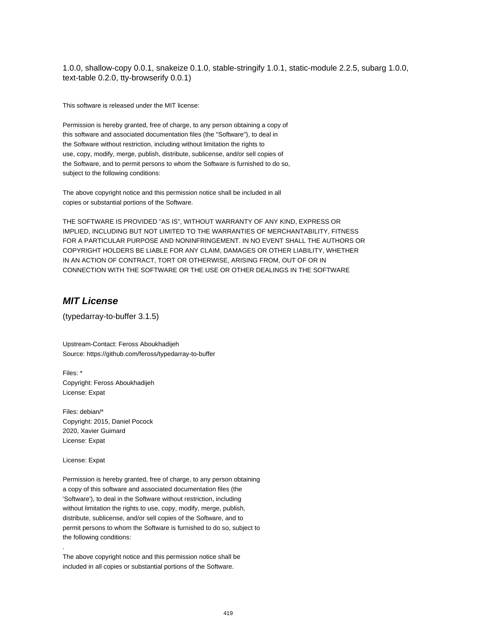1.0.0, shallow-copy 0.0.1, snakeize 0.1.0, stable-stringify 1.0.1, static-module 2.2.5, subarg 1.0.0, text-table 0.2.0, tty-browserify 0.0.1)

This software is released under the MIT license:

Permission is hereby granted, free of charge, to any person obtaining a copy of this software and associated documentation files (the "Software"), to deal in the Software without restriction, including without limitation the rights to use, copy, modify, merge, publish, distribute, sublicense, and/or sell copies of the Software, and to permit persons to whom the Software is furnished to do so, subject to the following conditions:

The above copyright notice and this permission notice shall be included in all copies or substantial portions of the Software.

THE SOFTWARE IS PROVIDED "AS IS", WITHOUT WARRANTY OF ANY KIND, EXPRESS OR IMPLIED, INCLUDING BUT NOT LIMITED TO THE WARRANTIES OF MERCHANTABILITY, FITNESS FOR A PARTICULAR PURPOSE AND NONINFRINGEMENT. IN NO EVENT SHALL THE AUTHORS OR COPYRIGHT HOLDERS BE LIABLE FOR ANY CLAIM, DAMAGES OR OTHER LIABILITY, WHETHER IN AN ACTION OF CONTRACT, TORT OR OTHERWISE, ARISING FROM, OUT OF OR IN CONNECTION WITH THE SOFTWARE OR THE USE OR OTHER DEALINGS IN THE SOFTWARE

### **MIT License**

(typedarray-to-buffer 3.1.5)

Upstream-Contact: Feross Aboukhadijeh Source: https://github.com/feross/typedarray-to-buffer

Files: \* Copyright: Feross Aboukhadijeh License: Expat

Files: debian/\* Copyright: 2015, Daniel Pocock 2020, Xavier Guimard License: Expat

License: Expat

.

Permission is hereby granted, free of charge, to any person obtaining a copy of this software and associated documentation files (the 'Software'), to deal in the Software without restriction, including without limitation the rights to use, copy, modify, merge, publish, distribute, sublicense, and/or sell copies of the Software, and to permit persons to whom the Software is furnished to do so, subject to the following conditions:

The above copyright notice and this permission notice shall be included in all copies or substantial portions of the Software.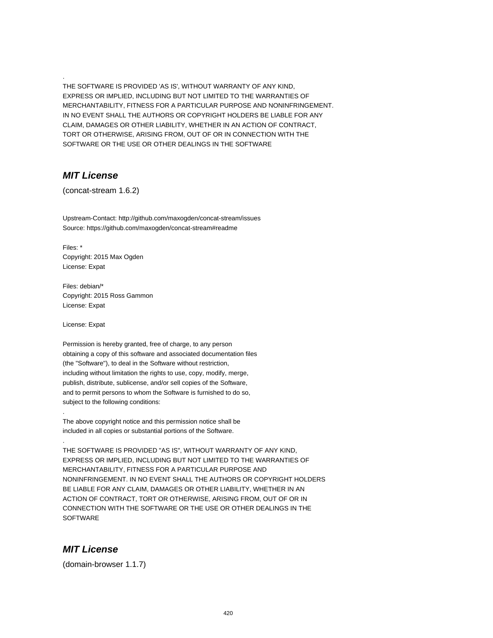THE SOFTWARE IS PROVIDED 'AS IS', WITHOUT WARRANTY OF ANY KIND, EXPRESS OR IMPLIED, INCLUDING BUT NOT LIMITED TO THE WARRANTIES OF MERCHANTABILITY, FITNESS FOR A PARTICULAR PURPOSE AND NONINFRINGEMENT. IN NO EVENT SHALL THE AUTHORS OR COPYRIGHT HOLDERS BE LIABLE FOR ANY CLAIM, DAMAGES OR OTHER LIABILITY, WHETHER IN AN ACTION OF CONTRACT, TORT OR OTHERWISE, ARISING FROM, OUT OF OR IN CONNECTION WITH THE SOFTWARE OR THE USE OR OTHER DEALINGS IN THE SOFTWARE

### **MIT License**

.

(concat-stream 1.6.2)

Upstream-Contact: http://github.com/maxogden/concat-stream/issues Source: https://github.com/maxogden/concat-stream#readme

Files: \* Copyright: 2015 Max Ogden License: Expat

Files: debian/\* Copyright: 2015 Ross Gammon License: Expat

License: Expat

.

.

Permission is hereby granted, free of charge, to any person obtaining a copy of this software and associated documentation files (the "Software"), to deal in the Software without restriction, including without limitation the rights to use, copy, modify, merge, publish, distribute, sublicense, and/or sell copies of the Software, and to permit persons to whom the Software is furnished to do so, subject to the following conditions:

The above copyright notice and this permission notice shall be included in all copies or substantial portions of the Software.

THE SOFTWARE IS PROVIDED "AS IS", WITHOUT WARRANTY OF ANY KIND, EXPRESS OR IMPLIED, INCLUDING BUT NOT LIMITED TO THE WARRANTIES OF MERCHANTABILITY, FITNESS FOR A PARTICULAR PURPOSE AND NONINFRINGEMENT. IN NO EVENT SHALL THE AUTHORS OR COPYRIGHT HOLDERS BE LIABLE FOR ANY CLAIM, DAMAGES OR OTHER LIABILITY, WHETHER IN AN ACTION OF CONTRACT, TORT OR OTHERWISE, ARISING FROM, OUT OF OR IN CONNECTION WITH THE SOFTWARE OR THE USE OR OTHER DEALINGS IN THE **SOFTWARE** 

#### **MIT License**

(domain-browser 1.1.7)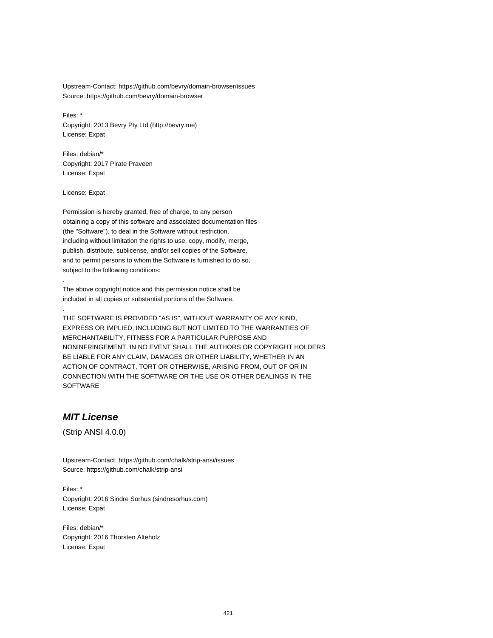Upstream-Contact: https://github.com/bevry/domain-browser/issues Source: https://github.com/bevry/domain-browser

Files: \* Copyright: 2013 Bevry Pty Ltd (http://bevry.me) License: Expat

Files: debian/\* Copyright: 2017 Pirate Praveen License: Expat

License: Expat

.

.

Permission is hereby granted, free of charge, to any person obtaining a copy of this software and associated documentation files (the "Software"), to deal in the Software without restriction, including without limitation the rights to use, copy, modify, merge, publish, distribute, sublicense, and/or sell copies of the Software, and to permit persons to whom the Software is furnished to do so, subject to the following conditions:

The above copyright notice and this permission notice shall be included in all copies or substantial portions of the Software.

THE SOFTWARE IS PROVIDED "AS IS", WITHOUT WARRANTY OF ANY KIND, EXPRESS OR IMPLIED, INCLUDING BUT NOT LIMITED TO THE WARRANTIES OF MERCHANTABILITY, FITNESS FOR A PARTICULAR PURPOSE AND NONINFRINGEMENT. IN NO EVENT SHALL THE AUTHORS OR COPYRIGHT HOLDERS BE LIABLE FOR ANY CLAIM, DAMAGES OR OTHER LIABILITY, WHETHER IN AN ACTION OF CONTRACT, TORT OR OTHERWISE, ARISING FROM, OUT OF OR IN CONNECTION WITH THE SOFTWARE OR THE USE OR OTHER DEALINGS IN THE **SOFTWARE** 

## **MIT License**

(Strip ANSI 4.0.0)

Upstream-Contact: https://github.com/chalk/strip-ansi/issues Source: https://github.com/chalk/strip-ansi

Files: \* Copyright: 2016 Sindre Sorhus (sindresorhus.com) License: Expat

Files: debian/\* Copyright: 2016 Thorsten Alteholz License: Expat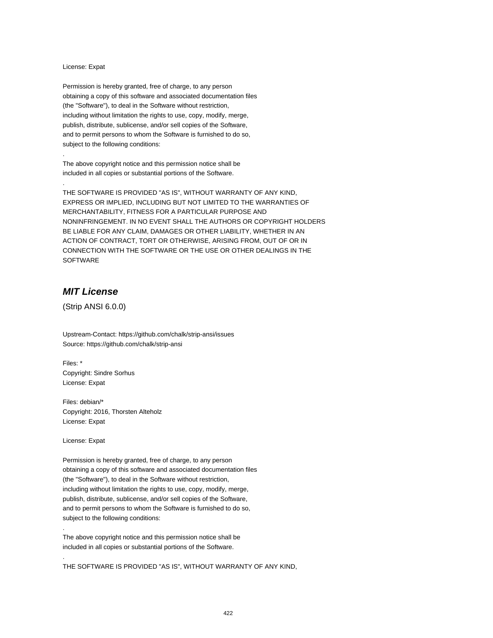#### License: Expat

.

.

Permission is hereby granted, free of charge, to any person obtaining a copy of this software and associated documentation files (the "Software"), to deal in the Software without restriction, including without limitation the rights to use, copy, modify, merge, publish, distribute, sublicense, and/or sell copies of the Software, and to permit persons to whom the Software is furnished to do so, subject to the following conditions:

The above copyright notice and this permission notice shall be included in all copies or substantial portions of the Software.

THE SOFTWARE IS PROVIDED "AS IS", WITHOUT WARRANTY OF ANY KIND, EXPRESS OR IMPLIED, INCLUDING BUT NOT LIMITED TO THE WARRANTIES OF MERCHANTABILITY, FITNESS FOR A PARTICULAR PURPOSE AND NONINFRINGEMENT. IN NO EVENT SHALL THE AUTHORS OR COPYRIGHT HOLDERS BE LIABLE FOR ANY CLAIM, DAMAGES OR OTHER LIABILITY, WHETHER IN AN ACTION OF CONTRACT, TORT OR OTHERWISE, ARISING FROM, OUT OF OR IN CONNECTION WITH THE SOFTWARE OR THE USE OR OTHER DEALINGS IN THE SOFTWARE

## **MIT License**

(Strip ANSI 6.0.0)

Upstream-Contact: https://github.com/chalk/strip-ansi/issues Source: https://github.com/chalk/strip-ansi

Files: \* Copyright: Sindre Sorhus License: Expat

Files: debian/\* Copyright: 2016, Thorsten Alteholz License: Expat

License: Expat

.

.

Permission is hereby granted, free of charge, to any person obtaining a copy of this software and associated documentation files (the "Software"), to deal in the Software without restriction, including without limitation the rights to use, copy, modify, merge, publish, distribute, sublicense, and/or sell copies of the Software, and to permit persons to whom the Software is furnished to do so, subject to the following conditions:

The above copyright notice and this permission notice shall be included in all copies or substantial portions of the Software.

THE SOFTWARE IS PROVIDED "AS IS", WITHOUT WARRANTY OF ANY KIND,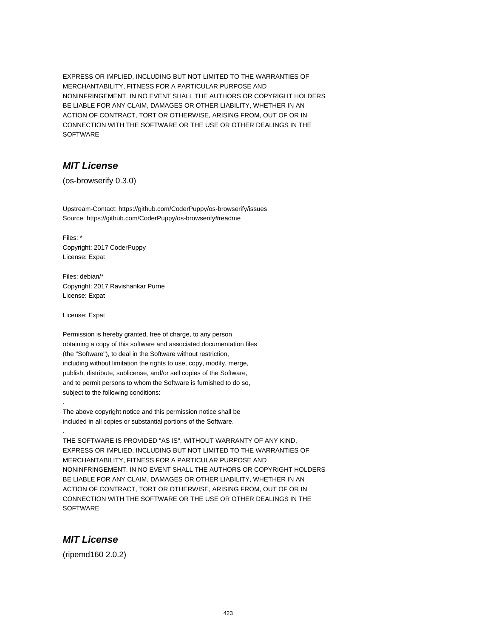EXPRESS OR IMPLIED, INCLUDING BUT NOT LIMITED TO THE WARRANTIES OF MERCHANTABILITY, FITNESS FOR A PARTICULAR PURPOSE AND NONINFRINGEMENT. IN NO EVENT SHALL THE AUTHORS OR COPYRIGHT HOLDERS BE LIABLE FOR ANY CLAIM, DAMAGES OR OTHER LIABILITY, WHETHER IN AN ACTION OF CONTRACT, TORT OR OTHERWISE, ARISING FROM, OUT OF OR IN CONNECTION WITH THE SOFTWARE OR THE USE OR OTHER DEALINGS IN THE SOFTWARE

# **MIT License**

(os-browserify 0.3.0)

Upstream-Contact: https://github.com/CoderPuppy/os-browserify/issues Source: https://github.com/CoderPuppy/os-browserify#readme

Files: \* Copyright: 2017 CoderPuppy License: Expat

Files: debian/\* Copyright: 2017 Ravishankar Purne License: Expat

License: Expat

.

.

Permission is hereby granted, free of charge, to any person obtaining a copy of this software and associated documentation files (the "Software"), to deal in the Software without restriction, including without limitation the rights to use, copy, modify, merge, publish, distribute, sublicense, and/or sell copies of the Software, and to permit persons to whom the Software is furnished to do so, subject to the following conditions:

The above copyright notice and this permission notice shall be included in all copies or substantial portions of the Software.

THE SOFTWARE IS PROVIDED "AS IS", WITHOUT WARRANTY OF ANY KIND, EXPRESS OR IMPLIED, INCLUDING BUT NOT LIMITED TO THE WARRANTIES OF MERCHANTABILITY, FITNESS FOR A PARTICULAR PURPOSE AND NONINFRINGEMENT. IN NO EVENT SHALL THE AUTHORS OR COPYRIGHT HOLDERS BE LIABLE FOR ANY CLAIM, DAMAGES OR OTHER LIABILITY, WHETHER IN AN ACTION OF CONTRACT, TORT OR OTHERWISE, ARISING FROM, OUT OF OR IN CONNECTION WITH THE SOFTWARE OR THE USE OR OTHER DEALINGS IN THE **SOFTWARE** 

## **MIT License**

(ripemd160 2.0.2)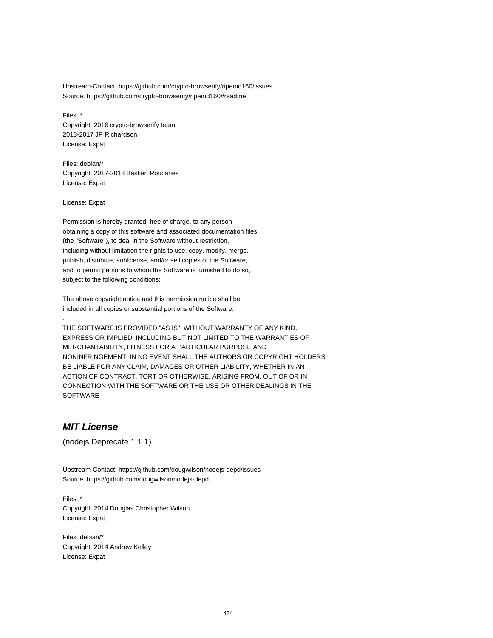Upstream-Contact: https://github.com/crypto-browserify/ripemd160/issues Source: https://github.com/crypto-browserify/ripemd160#readme

Files: \* Copyright: 2016 crypto-browserify team 2013-2017 JP Richardson License: Expat

Files: debian/\* Copyright: 2017-2018 Bastien Roucariès License: Expat

License: Expat

.

.

Permission is hereby granted, free of charge, to any person obtaining a copy of this software and associated documentation files (the "Software"), to deal in the Software without restriction, including without limitation the rights to use, copy, modify, merge, publish, distribute, sublicense, and/or sell copies of the Software, and to permit persons to whom the Software is furnished to do so, subject to the following conditions:

The above copyright notice and this permission notice shall be included in all copies or substantial portions of the Software.

THE SOFTWARE IS PROVIDED "AS IS", WITHOUT WARRANTY OF ANY KIND, EXPRESS OR IMPLIED, INCLUDING BUT NOT LIMITED TO THE WARRANTIES OF MERCHANTABILITY, FITNESS FOR A PARTICULAR PURPOSE AND NONINFRINGEMENT. IN NO EVENT SHALL THE AUTHORS OR COPYRIGHT HOLDERS BE LIABLE FOR ANY CLAIM, DAMAGES OR OTHER LIABILITY, WHETHER IN AN ACTION OF CONTRACT, TORT OR OTHERWISE, ARISING FROM, OUT OF OR IN CONNECTION WITH THE SOFTWARE OR THE USE OR OTHER DEALINGS IN THE SOFTWARE

# **MIT License**

(nodejs Deprecate 1.1.1)

Upstream-Contact: https://github.com/dougwilson/nodejs-depd/issues Source: https://github.com/dougwilson/nodejs-depd

Files: \* Copyright: 2014 Douglas Christopher Wilson License: Expat

Files: debian/\* Copyright: 2014 Andrew Kelley License: Expat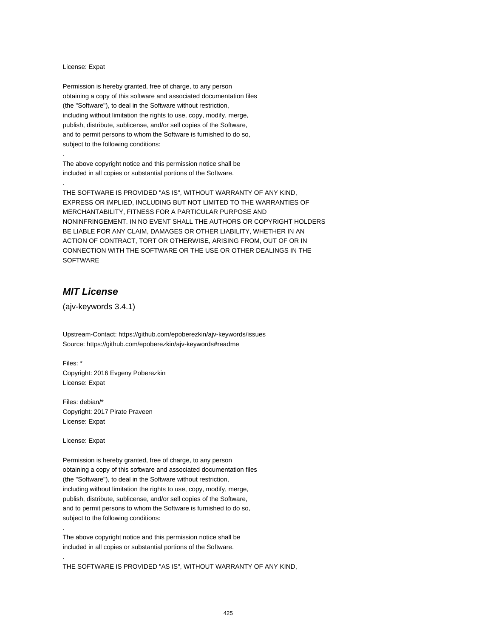#### License: Expat

.

.

Permission is hereby granted, free of charge, to any person obtaining a copy of this software and associated documentation files (the "Software"), to deal in the Software without restriction, including without limitation the rights to use, copy, modify, merge, publish, distribute, sublicense, and/or sell copies of the Software, and to permit persons to whom the Software is furnished to do so, subject to the following conditions:

The above copyright notice and this permission notice shall be included in all copies or substantial portions of the Software.

THE SOFTWARE IS PROVIDED "AS IS", WITHOUT WARRANTY OF ANY KIND, EXPRESS OR IMPLIED, INCLUDING BUT NOT LIMITED TO THE WARRANTIES OF MERCHANTABILITY, FITNESS FOR A PARTICULAR PURPOSE AND NONINFRINGEMENT. IN NO EVENT SHALL THE AUTHORS OR COPYRIGHT HOLDERS BE LIABLE FOR ANY CLAIM, DAMAGES OR OTHER LIABILITY, WHETHER IN AN ACTION OF CONTRACT, TORT OR OTHERWISE, ARISING FROM, OUT OF OR IN CONNECTION WITH THE SOFTWARE OR THE USE OR OTHER DEALINGS IN THE **SOFTWARE** 

## **MIT License**

(ajv-keywords 3.4.1)

Upstream-Contact: https://github.com/epoberezkin/ajv-keywords/issues Source: https://github.com/epoberezkin/ajv-keywords#readme

Files: \* Copyright: 2016 Evgeny Poberezkin License: Expat

Files: debian/\* Copyright: 2017 Pirate Praveen License: Expat

License: Expat

.

.

Permission is hereby granted, free of charge, to any person obtaining a copy of this software and associated documentation files (the "Software"), to deal in the Software without restriction, including without limitation the rights to use, copy, modify, merge, publish, distribute, sublicense, and/or sell copies of the Software, and to permit persons to whom the Software is furnished to do so, subject to the following conditions:

The above copyright notice and this permission notice shall be included in all copies or substantial portions of the Software.

THE SOFTWARE IS PROVIDED "AS IS", WITHOUT WARRANTY OF ANY KIND,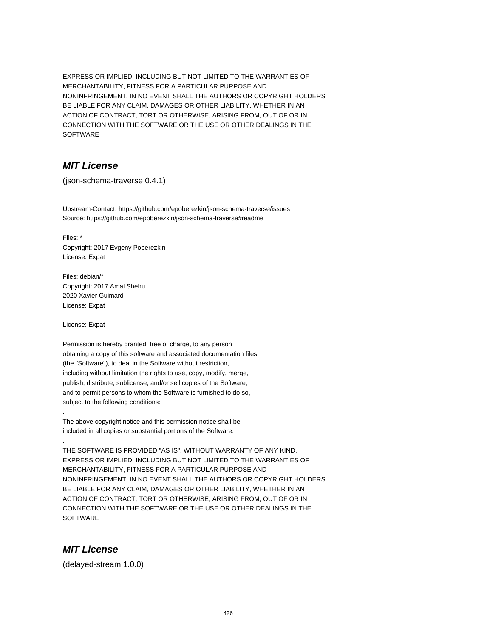EXPRESS OR IMPLIED, INCLUDING BUT NOT LIMITED TO THE WARRANTIES OF MERCHANTABILITY, FITNESS FOR A PARTICULAR PURPOSE AND NONINFRINGEMENT. IN NO EVENT SHALL THE AUTHORS OR COPYRIGHT HOLDERS BE LIABLE FOR ANY CLAIM, DAMAGES OR OTHER LIABILITY, WHETHER IN AN ACTION OF CONTRACT, TORT OR OTHERWISE, ARISING FROM, OUT OF OR IN CONNECTION WITH THE SOFTWARE OR THE USE OR OTHER DEALINGS IN THE SOFTWARE

# **MIT License**

(json-schema-traverse 0.4.1)

Upstream-Contact: https://github.com/epoberezkin/json-schema-traverse/issues Source: https://github.com/epoberezkin/json-schema-traverse#readme

Files: \* Copyright: 2017 Evgeny Poberezkin License: Expat

Files: debian/\* Copyright: 2017 Amal Shehu 2020 Xavier Guimard License: Expat

License: Expat

.

.

Permission is hereby granted, free of charge, to any person obtaining a copy of this software and associated documentation files (the "Software"), to deal in the Software without restriction, including without limitation the rights to use, copy, modify, merge, publish, distribute, sublicense, and/or sell copies of the Software, and to permit persons to whom the Software is furnished to do so, subject to the following conditions:

The above copyright notice and this permission notice shall be included in all copies or substantial portions of the Software.

THE SOFTWARE IS PROVIDED "AS IS", WITHOUT WARRANTY OF ANY KIND, EXPRESS OR IMPLIED, INCLUDING BUT NOT LIMITED TO THE WARRANTIES OF MERCHANTABILITY, FITNESS FOR A PARTICULAR PURPOSE AND NONINFRINGEMENT. IN NO EVENT SHALL THE AUTHORS OR COPYRIGHT HOLDERS BE LIABLE FOR ANY CLAIM, DAMAGES OR OTHER LIABILITY, WHETHER IN AN ACTION OF CONTRACT, TORT OR OTHERWISE, ARISING FROM, OUT OF OR IN CONNECTION WITH THE SOFTWARE OR THE USE OR OTHER DEALINGS IN THE **SOFTWARE** 

## **MIT License**

(delayed-stream 1.0.0)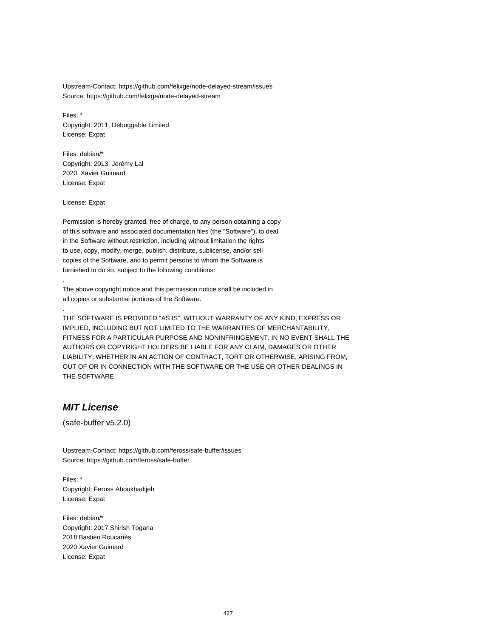Upstream-Contact: https://github.com/felixge/node-delayed-stream/issues Source: https://github.com/felixge/node-delayed-stream

Files: \* Copyright: 2011, Debuggable Limited License: Expat

Files: debian/\* Copyright: 2013, Jérémy Lal 2020, Xavier Guimard License: Expat

License: Expat

.

.

Permission is hereby granted, free of charge, to any person obtaining a copy of this software and associated documentation files (the "Software"), to deal in the Software without restriction, including without limitation the rights to use, copy, modify, merge, publish, distribute, sublicense, and/or sell copies of the Software, and to permit persons to whom the Software is furnished to do so, subject to the following conditions:

The above copyright notice and this permission notice shall be included in all copies or substantial portions of the Software.

THE SOFTWARE IS PROVIDED "AS IS", WITHOUT WARRANTY OF ANY KIND, EXPRESS OR IMPLIED, INCLUDING BUT NOT LIMITED TO THE WARRANTIES OF MERCHANTABILITY, FITNESS FOR A PARTICULAR PURPOSE AND NONINFRINGEMENT. IN NO EVENT SHALL THE AUTHORS OR COPYRIGHT HOLDERS BE LIABLE FOR ANY CLAIM, DAMAGES OR OTHER LIABILITY, WHETHER IN AN ACTION OF CONTRACT, TORT OR OTHERWISE, ARISING FROM, OUT OF OR IN CONNECTION WITH THE SOFTWARE OR THE USE OR OTHER DEALINGS IN THE SOFTWARE

#### **MIT License**

(safe-buffer v5.2.0)

Upstream-Contact: https://github.com/feross/safe-buffer/issues Source: https://github.com/feross/safe-buffer

Files: \* Copyright: Feross Aboukhadijeh License: Expat

Files: debian/\* Copyright: 2017 Shirish Togarla 2018 Bastien Roucariès 2020 Xavier Guimard License: Expat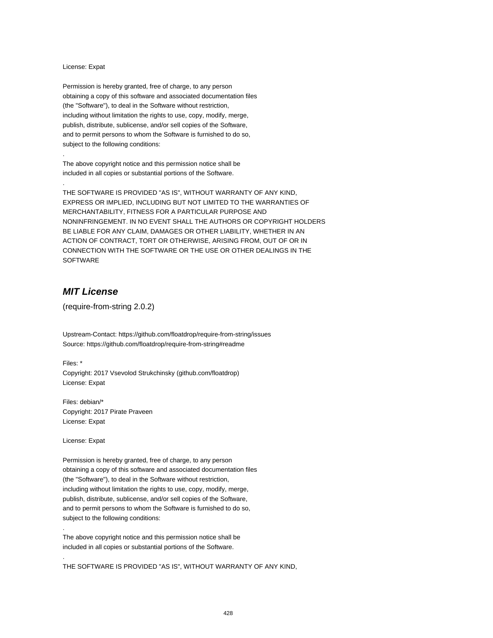#### License: Expat

.

.

Permission is hereby granted, free of charge, to any person obtaining a copy of this software and associated documentation files (the "Software"), to deal in the Software without restriction, including without limitation the rights to use, copy, modify, merge, publish, distribute, sublicense, and/or sell copies of the Software, and to permit persons to whom the Software is furnished to do so, subject to the following conditions:

The above copyright notice and this permission notice shall be included in all copies or substantial portions of the Software.

THE SOFTWARE IS PROVIDED "AS IS", WITHOUT WARRANTY OF ANY KIND, EXPRESS OR IMPLIED, INCLUDING BUT NOT LIMITED TO THE WARRANTIES OF MERCHANTABILITY, FITNESS FOR A PARTICULAR PURPOSE AND NONINFRINGEMENT. IN NO EVENT SHALL THE AUTHORS OR COPYRIGHT HOLDERS BE LIABLE FOR ANY CLAIM, DAMAGES OR OTHER LIABILITY, WHETHER IN AN ACTION OF CONTRACT, TORT OR OTHERWISE, ARISING FROM, OUT OF OR IN CONNECTION WITH THE SOFTWARE OR THE USE OR OTHER DEALINGS IN THE SOFTWARE

## **MIT License**

(require-from-string 2.0.2)

Upstream-Contact: https://github.com/floatdrop/require-from-string/issues Source: https://github.com/floatdrop/require-from-string#readme

Files: \*

Copyright: 2017 Vsevolod Strukchinsky (github.com/floatdrop) License: Expat

Files: debian/\* Copyright: 2017 Pirate Praveen License: Expat

License: Expat

.

.

Permission is hereby granted, free of charge, to any person obtaining a copy of this software and associated documentation files (the "Software"), to deal in the Software without restriction, including without limitation the rights to use, copy, modify, merge, publish, distribute, sublicense, and/or sell copies of the Software, and to permit persons to whom the Software is furnished to do so, subject to the following conditions:

The above copyright notice and this permission notice shall be included in all copies or substantial portions of the Software.

THE SOFTWARE IS PROVIDED "AS IS", WITHOUT WARRANTY OF ANY KIND,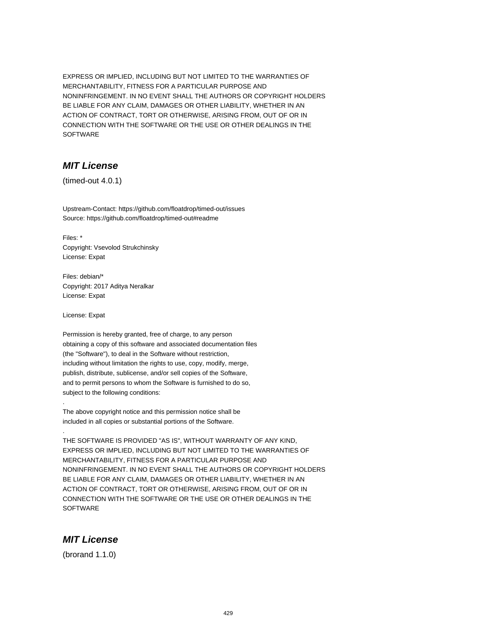EXPRESS OR IMPLIED, INCLUDING BUT NOT LIMITED TO THE WARRANTIES OF MERCHANTABILITY, FITNESS FOR A PARTICULAR PURPOSE AND NONINFRINGEMENT. IN NO EVENT SHALL THE AUTHORS OR COPYRIGHT HOLDERS BE LIABLE FOR ANY CLAIM, DAMAGES OR OTHER LIABILITY, WHETHER IN AN ACTION OF CONTRACT, TORT OR OTHERWISE, ARISING FROM, OUT OF OR IN CONNECTION WITH THE SOFTWARE OR THE USE OR OTHER DEALINGS IN THE SOFTWARE

# **MIT License**

(timed-out 4.0.1)

Upstream-Contact: https://github.com/floatdrop/timed-out/issues Source: https://github.com/floatdrop/timed-out#readme

Files: \* Copyright: Vsevolod Strukchinsky License: Expat

Files: debian/\* Copyright: 2017 Aditya Neralkar License: Expat

License: Expat

.

.

Permission is hereby granted, free of charge, to any person obtaining a copy of this software and associated documentation files (the "Software"), to deal in the Software without restriction, including without limitation the rights to use, copy, modify, merge, publish, distribute, sublicense, and/or sell copies of the Software, and to permit persons to whom the Software is furnished to do so, subject to the following conditions:

The above copyright notice and this permission notice shall be included in all copies or substantial portions of the Software.

THE SOFTWARE IS PROVIDED "AS IS", WITHOUT WARRANTY OF ANY KIND, EXPRESS OR IMPLIED, INCLUDING BUT NOT LIMITED TO THE WARRANTIES OF MERCHANTABILITY, FITNESS FOR A PARTICULAR PURPOSE AND NONINFRINGEMENT. IN NO EVENT SHALL THE AUTHORS OR COPYRIGHT HOLDERS BE LIABLE FOR ANY CLAIM, DAMAGES OR OTHER LIABILITY, WHETHER IN AN ACTION OF CONTRACT, TORT OR OTHERWISE, ARISING FROM, OUT OF OR IN CONNECTION WITH THE SOFTWARE OR THE USE OR OTHER DEALINGS IN THE **SOFTWARE** 

#### **MIT License**

(brorand 1.1.0)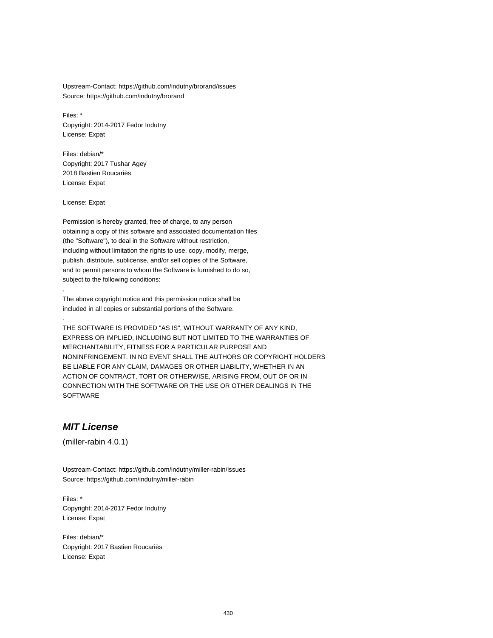Upstream-Contact: https://github.com/indutny/brorand/issues Source: https://github.com/indutny/brorand

Files: \* Copyright: 2014-2017 Fedor Indutny License: Expat

Files: debian/\* Copyright: 2017 Tushar Agey 2018 Bastien Roucariès License: Expat

License: Expat

.

.

Permission is hereby granted, free of charge, to any person obtaining a copy of this software and associated documentation files (the "Software"), to deal in the Software without restriction, including without limitation the rights to use, copy, modify, merge, publish, distribute, sublicense, and/or sell copies of the Software, and to permit persons to whom the Software is furnished to do so, subject to the following conditions:

The above copyright notice and this permission notice shall be included in all copies or substantial portions of the Software.

THE SOFTWARE IS PROVIDED "AS IS", WITHOUT WARRANTY OF ANY KIND, EXPRESS OR IMPLIED, INCLUDING BUT NOT LIMITED TO THE WARRANTIES OF MERCHANTABILITY, FITNESS FOR A PARTICULAR PURPOSE AND NONINFRINGEMENT. IN NO EVENT SHALL THE AUTHORS OR COPYRIGHT HOLDERS BE LIABLE FOR ANY CLAIM, DAMAGES OR OTHER LIABILITY, WHETHER IN AN ACTION OF CONTRACT, TORT OR OTHERWISE, ARISING FROM, OUT OF OR IN CONNECTION WITH THE SOFTWARE OR THE USE OR OTHER DEALINGS IN THE SOFTWARE

# **MIT License**

(miller-rabin 4.0.1)

Upstream-Contact: https://github.com/indutny/miller-rabin/issues Source: https://github.com/indutny/miller-rabin

Files: \* Copyright: 2014-2017 Fedor Indutny License: Expat

Files: debian/\* Copyright: 2017 Bastien Roucariès License: Expat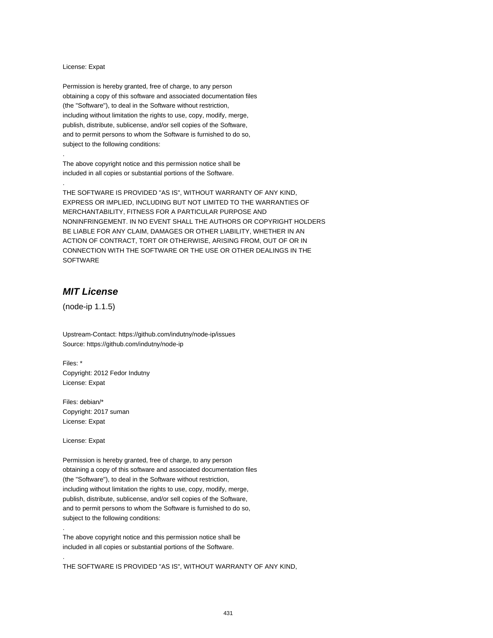#### License: Expat

.

.

Permission is hereby granted, free of charge, to any person obtaining a copy of this software and associated documentation files (the "Software"), to deal in the Software without restriction, including without limitation the rights to use, copy, modify, merge, publish, distribute, sublicense, and/or sell copies of the Software, and to permit persons to whom the Software is furnished to do so, subject to the following conditions:

The above copyright notice and this permission notice shall be included in all copies or substantial portions of the Software.

THE SOFTWARE IS PROVIDED "AS IS", WITHOUT WARRANTY OF ANY KIND, EXPRESS OR IMPLIED, INCLUDING BUT NOT LIMITED TO THE WARRANTIES OF MERCHANTABILITY, FITNESS FOR A PARTICULAR PURPOSE AND NONINFRINGEMENT. IN NO EVENT SHALL THE AUTHORS OR COPYRIGHT HOLDERS BE LIABLE FOR ANY CLAIM, DAMAGES OR OTHER LIABILITY, WHETHER IN AN ACTION OF CONTRACT, TORT OR OTHERWISE, ARISING FROM, OUT OF OR IN CONNECTION WITH THE SOFTWARE OR THE USE OR OTHER DEALINGS IN THE SOFTWARE

# **MIT License**

(node-ip 1.1.5)

Upstream-Contact: https://github.com/indutny/node-ip/issues Source: https://github.com/indutny/node-ip

Files: \* Copyright: 2012 Fedor Indutny License: Expat

Files: debian/\* Copyright: 2017 suman License: Expat

License: Expat

.

.

Permission is hereby granted, free of charge, to any person obtaining a copy of this software and associated documentation files (the "Software"), to deal in the Software without restriction, including without limitation the rights to use, copy, modify, merge, publish, distribute, sublicense, and/or sell copies of the Software, and to permit persons to whom the Software is furnished to do so, subject to the following conditions:

The above copyright notice and this permission notice shall be included in all copies or substantial portions of the Software.

THE SOFTWARE IS PROVIDED "AS IS", WITHOUT WARRANTY OF ANY KIND,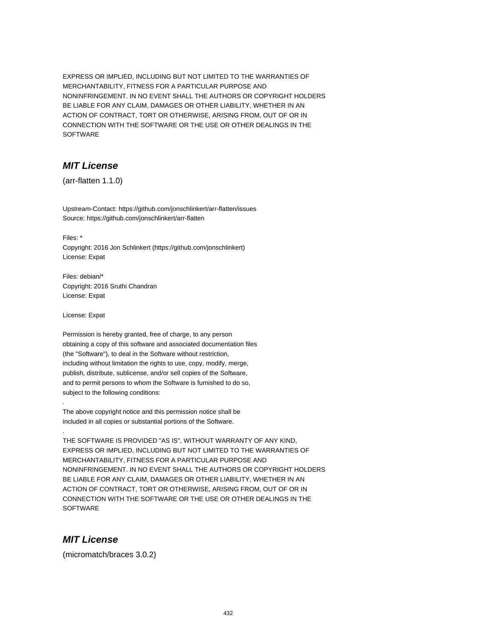EXPRESS OR IMPLIED, INCLUDING BUT NOT LIMITED TO THE WARRANTIES OF MERCHANTABILITY, FITNESS FOR A PARTICULAR PURPOSE AND NONINFRINGEMENT. IN NO EVENT SHALL THE AUTHORS OR COPYRIGHT HOLDERS BE LIABLE FOR ANY CLAIM, DAMAGES OR OTHER LIABILITY, WHETHER IN AN ACTION OF CONTRACT, TORT OR OTHERWISE, ARISING FROM, OUT OF OR IN CONNECTION WITH THE SOFTWARE OR THE USE OR OTHER DEALINGS IN THE SOFTWARE

# **MIT License**

(arr-flatten 1.1.0)

Upstream-Contact: https://github.com/jonschlinkert/arr-flatten/issues Source: https://github.com/jonschlinkert/arr-flatten

Files: \*

Copyright: 2016 Jon Schlinkert (https://github.com/jonschlinkert) License: Expat

Files: debian/\* Copyright: 2016 Sruthi Chandran License: Expat

License: Expat

.

.

Permission is hereby granted, free of charge, to any person obtaining a copy of this software and associated documentation files (the "Software"), to deal in the Software without restriction, including without limitation the rights to use, copy, modify, merge, publish, distribute, sublicense, and/or sell copies of the Software, and to permit persons to whom the Software is furnished to do so, subject to the following conditions:

The above copyright notice and this permission notice shall be included in all copies or substantial portions of the Software.

THE SOFTWARE IS PROVIDED "AS IS", WITHOUT WARRANTY OF ANY KIND, EXPRESS OR IMPLIED, INCLUDING BUT NOT LIMITED TO THE WARRANTIES OF MERCHANTABILITY, FITNESS FOR A PARTICULAR PURPOSE AND NONINFRINGEMENT. IN NO EVENT SHALL THE AUTHORS OR COPYRIGHT HOLDERS BE LIABLE FOR ANY CLAIM, DAMAGES OR OTHER LIABILITY, WHETHER IN AN ACTION OF CONTRACT, TORT OR OTHERWISE, ARISING FROM, OUT OF OR IN CONNECTION WITH THE SOFTWARE OR THE USE OR OTHER DEALINGS IN THE **SOFTWARE** 

#### **MIT License**

(micromatch/braces 3.0.2)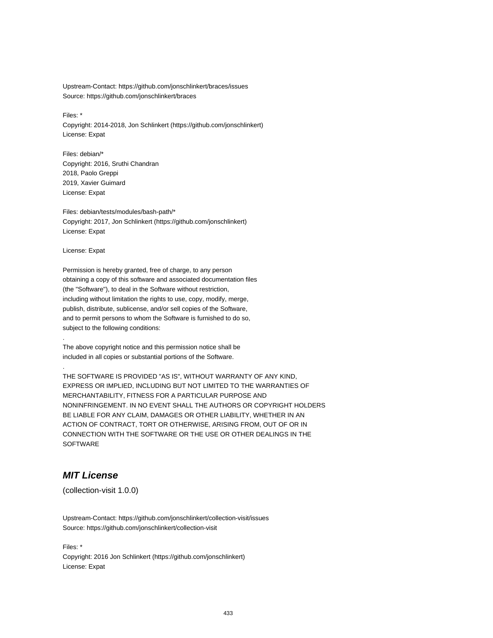Upstream-Contact: https://github.com/jonschlinkert/braces/issues Source: https://github.com/jonschlinkert/braces

Files: \*

Copyright: 2014-2018, Jon Schlinkert (https://github.com/jonschlinkert) License: Expat

Files: debian/\* Copyright: 2016, Sruthi Chandran 2018, Paolo Greppi 2019, Xavier Guimard License: Expat

Files: debian/tests/modules/bash-path/\* Copyright: 2017, Jon Schlinkert (https://github.com/jonschlinkert) License: Expat

License: Expat

.

.

Permission is hereby granted, free of charge, to any person obtaining a copy of this software and associated documentation files (the "Software"), to deal in the Software without restriction, including without limitation the rights to use, copy, modify, merge, publish, distribute, sublicense, and/or sell copies of the Software, and to permit persons to whom the Software is furnished to do so, subject to the following conditions:

The above copyright notice and this permission notice shall be included in all copies or substantial portions of the Software.

THE SOFTWARE IS PROVIDED "AS IS", WITHOUT WARRANTY OF ANY KIND, EXPRESS OR IMPLIED, INCLUDING BUT NOT LIMITED TO THE WARRANTIES OF MERCHANTABILITY, FITNESS FOR A PARTICULAR PURPOSE AND NONINFRINGEMENT. IN NO EVENT SHALL THE AUTHORS OR COPYRIGHT HOLDERS BE LIABLE FOR ANY CLAIM, DAMAGES OR OTHER LIABILITY, WHETHER IN AN ACTION OF CONTRACT, TORT OR OTHERWISE, ARISING FROM, OUT OF OR IN CONNECTION WITH THE SOFTWARE OR THE USE OR OTHER DEALINGS IN THE SOFTWARE

## **MIT License**

(collection-visit 1.0.0)

Upstream-Contact: https://github.com/jonschlinkert/collection-visit/issues Source: https://github.com/jonschlinkert/collection-visit

Files: \* Copyright: 2016 Jon Schlinkert (https://github.com/jonschlinkert) License: Expat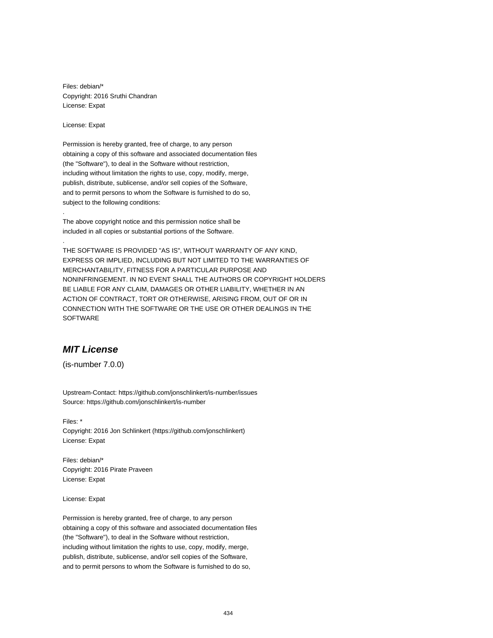Files: debian/\* Copyright: 2016 Sruthi Chandran License: Expat

License: Expat

.

.

Permission is hereby granted, free of charge, to any person obtaining a copy of this software and associated documentation files (the "Software"), to deal in the Software without restriction, including without limitation the rights to use, copy, modify, merge, publish, distribute, sublicense, and/or sell copies of the Software, and to permit persons to whom the Software is furnished to do so, subject to the following conditions:

The above copyright notice and this permission notice shall be included in all copies or substantial portions of the Software.

THE SOFTWARE IS PROVIDED "AS IS", WITHOUT WARRANTY OF ANY KIND, EXPRESS OR IMPLIED, INCLUDING BUT NOT LIMITED TO THE WARRANTIES OF MERCHANTABILITY, FITNESS FOR A PARTICULAR PURPOSE AND NONINFRINGEMENT. IN NO EVENT SHALL THE AUTHORS OR COPYRIGHT HOLDERS BE LIABLE FOR ANY CLAIM, DAMAGES OR OTHER LIABILITY, WHETHER IN AN ACTION OF CONTRACT, TORT OR OTHERWISE, ARISING FROM, OUT OF OR IN CONNECTION WITH THE SOFTWARE OR THE USE OR OTHER DEALINGS IN THE SOFTWARE

## **MIT License**

(is-number 7.0.0)

Upstream-Contact: https://github.com/jonschlinkert/is-number/issues Source: https://github.com/jonschlinkert/is-number

Files: \* Copyright: 2016 Jon Schlinkert (https://github.com/jonschlinkert) License: Expat

Files: debian/\* Copyright: 2016 Pirate Praveen License: Expat

License: Expat

Permission is hereby granted, free of charge, to any person obtaining a copy of this software and associated documentation files (the "Software"), to deal in the Software without restriction, including without limitation the rights to use, copy, modify, merge, publish, distribute, sublicense, and/or sell copies of the Software, and to permit persons to whom the Software is furnished to do so,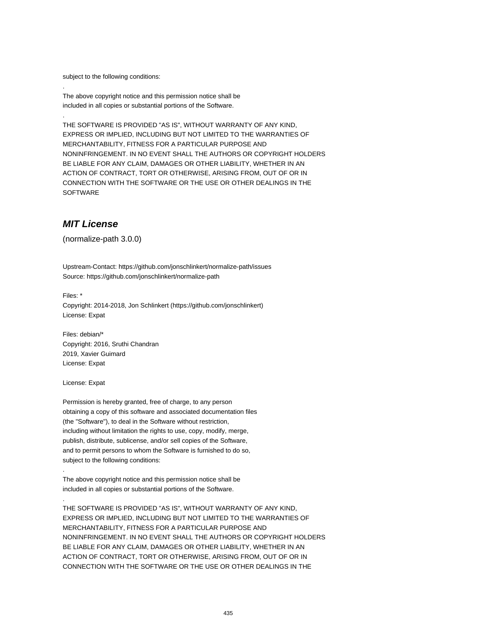subject to the following conditions:

.

.

The above copyright notice and this permission notice shall be included in all copies or substantial portions of the Software.

THE SOFTWARE IS PROVIDED "AS IS", WITHOUT WARRANTY OF ANY KIND, EXPRESS OR IMPLIED, INCLUDING BUT NOT LIMITED TO THE WARRANTIES OF MERCHANTABILITY, FITNESS FOR A PARTICULAR PURPOSE AND NONINFRINGEMENT. IN NO EVENT SHALL THE AUTHORS OR COPYRIGHT HOLDERS BE LIABLE FOR ANY CLAIM, DAMAGES OR OTHER LIABILITY, WHETHER IN AN ACTION OF CONTRACT, TORT OR OTHERWISE, ARISING FROM, OUT OF OR IN CONNECTION WITH THE SOFTWARE OR THE USE OR OTHER DEALINGS IN THE **SOFTWARE** 

### **MIT License**

(normalize-path 3.0.0)

Upstream-Contact: https://github.com/jonschlinkert/normalize-path/issues Source: https://github.com/jonschlinkert/normalize-path

Files: \* Copyright: 2014-2018, Jon Schlinkert (https://github.com/jonschlinkert) License: Expat

Files: debian/\* Copyright: 2016, Sruthi Chandran 2019, Xavier Guimard License: Expat

License: Expat

.

.

Permission is hereby granted, free of charge, to any person obtaining a copy of this software and associated documentation files (the "Software"), to deal in the Software without restriction, including without limitation the rights to use, copy, modify, merge, publish, distribute, sublicense, and/or sell copies of the Software, and to permit persons to whom the Software is furnished to do so, subject to the following conditions:

The above copyright notice and this permission notice shall be included in all copies or substantial portions of the Software.

THE SOFTWARE IS PROVIDED "AS IS", WITHOUT WARRANTY OF ANY KIND, EXPRESS OR IMPLIED, INCLUDING BUT NOT LIMITED TO THE WARRANTIES OF MERCHANTABILITY, FITNESS FOR A PARTICULAR PURPOSE AND NONINFRINGEMENT. IN NO EVENT SHALL THE AUTHORS OR COPYRIGHT HOLDERS BE LIABLE FOR ANY CLAIM, DAMAGES OR OTHER LIABILITY, WHETHER IN AN ACTION OF CONTRACT, TORT OR OTHERWISE, ARISING FROM, OUT OF OR IN CONNECTION WITH THE SOFTWARE OR THE USE OR OTHER DEALINGS IN THE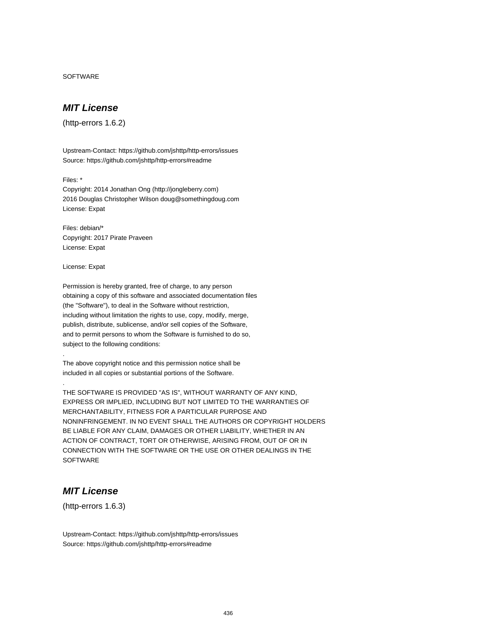SOFTWARE

## **MIT License**

(http-errors 1.6.2)

Upstream-Contact: https://github.com/jshttp/http-errors/issues Source: https://github.com/jshttp/http-errors#readme

Files: \*

Copyright: 2014 Jonathan Ong (http://jongleberry.com) 2016 Douglas Christopher Wilson doug@somethingdoug.com License: Expat

Files: debian/\* Copyright: 2017 Pirate Praveen License: Expat

License: Expat

.

.

Permission is hereby granted, free of charge, to any person obtaining a copy of this software and associated documentation files (the "Software"), to deal in the Software without restriction, including without limitation the rights to use, copy, modify, merge, publish, distribute, sublicense, and/or sell copies of the Software, and to permit persons to whom the Software is furnished to do so, subject to the following conditions:

The above copyright notice and this permission notice shall be included in all copies or substantial portions of the Software.

THE SOFTWARE IS PROVIDED "AS IS", WITHOUT WARRANTY OF ANY KIND, EXPRESS OR IMPLIED, INCLUDING BUT NOT LIMITED TO THE WARRANTIES OF MERCHANTABILITY, FITNESS FOR A PARTICULAR PURPOSE AND NONINFRINGEMENT. IN NO EVENT SHALL THE AUTHORS OR COPYRIGHT HOLDERS BE LIABLE FOR ANY CLAIM, DAMAGES OR OTHER LIABILITY, WHETHER IN AN ACTION OF CONTRACT, TORT OR OTHERWISE, ARISING FROM, OUT OF OR IN CONNECTION WITH THE SOFTWARE OR THE USE OR OTHER DEALINGS IN THE **SOFTWARE** 

## **MIT License**

(http-errors 1.6.3)

Upstream-Contact: https://github.com/jshttp/http-errors/issues Source: https://github.com/jshttp/http-errors#readme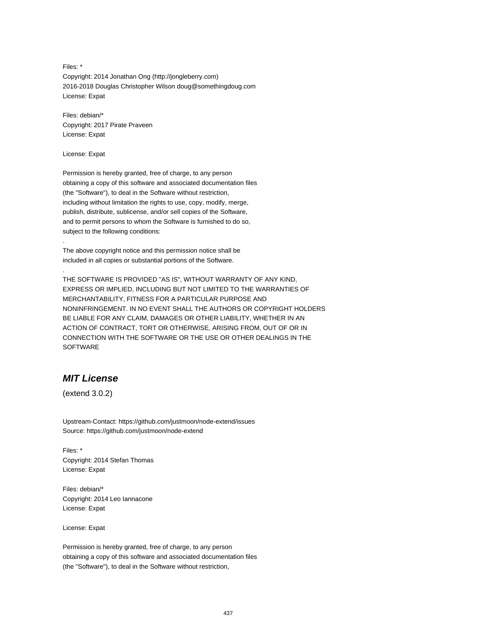Files: \* Copyright: 2014 Jonathan Ong (http://jongleberry.com) 2016-2018 Douglas Christopher Wilson doug@somethingdoug.com License: Expat

Files: debian/\* Copyright: 2017 Pirate Praveen License: Expat

License: Expat

.

.

Permission is hereby granted, free of charge, to any person obtaining a copy of this software and associated documentation files (the "Software"), to deal in the Software without restriction, including without limitation the rights to use, copy, modify, merge, publish, distribute, sublicense, and/or sell copies of the Software, and to permit persons to whom the Software is furnished to do so, subject to the following conditions:

The above copyright notice and this permission notice shall be included in all copies or substantial portions of the Software.

THE SOFTWARE IS PROVIDED "AS IS", WITHOUT WARRANTY OF ANY KIND, EXPRESS OR IMPLIED, INCLUDING BUT NOT LIMITED TO THE WARRANTIES OF MERCHANTABILITY, FITNESS FOR A PARTICULAR PURPOSE AND NONINFRINGEMENT. IN NO EVENT SHALL THE AUTHORS OR COPYRIGHT HOLDERS BE LIABLE FOR ANY CLAIM, DAMAGES OR OTHER LIABILITY, WHETHER IN AN ACTION OF CONTRACT, TORT OR OTHERWISE, ARISING FROM, OUT OF OR IN CONNECTION WITH THE SOFTWARE OR THE USE OR OTHER DEALINGS IN THE SOFTWARE

# **MIT License**

(extend 3.0.2)

Upstream-Contact: https://github.com/justmoon/node-extend/issues Source: https://github.com/justmoon/node-extend

Files: \* Copyright: 2014 Stefan Thomas License: Expat

Files: debian/\* Copyright: 2014 Leo Iannacone License: Expat

License: Expat

Permission is hereby granted, free of charge, to any person obtaining a copy of this software and associated documentation files (the "Software"), to deal in the Software without restriction,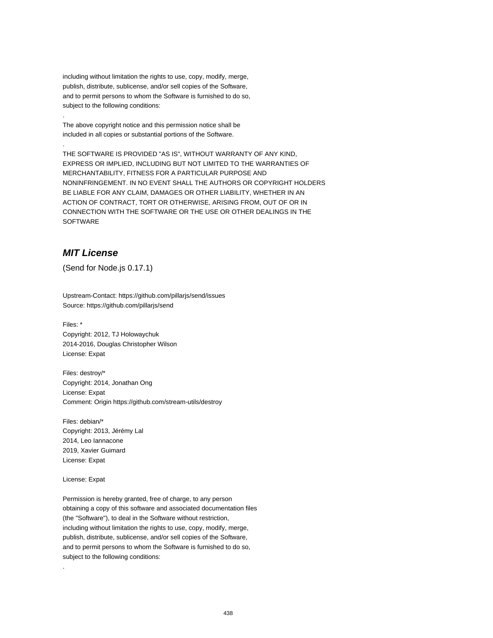including without limitation the rights to use, copy, modify, merge, publish, distribute, sublicense, and/or sell copies of the Software, and to permit persons to whom the Software is furnished to do so, subject to the following conditions:

The above copyright notice and this permission notice shall be included in all copies or substantial portions of the Software.

THE SOFTWARE IS PROVIDED "AS IS", WITHOUT WARRANTY OF ANY KIND, EXPRESS OR IMPLIED, INCLUDING BUT NOT LIMITED TO THE WARRANTIES OF MERCHANTABILITY, FITNESS FOR A PARTICULAR PURPOSE AND NONINFRINGEMENT. IN NO EVENT SHALL THE AUTHORS OR COPYRIGHT HOLDERS BE LIABLE FOR ANY CLAIM, DAMAGES OR OTHER LIABILITY, WHETHER IN AN ACTION OF CONTRACT, TORT OR OTHERWISE, ARISING FROM, OUT OF OR IN CONNECTION WITH THE SOFTWARE OR THE USE OR OTHER DEALINGS IN THE SOFTWARE

## **MIT License**

.

.

(Send for Node.js 0.17.1)

Upstream-Contact: https://github.com/pillarjs/send/issues Source: https://github.com/pillarjs/send

Files: \* Copyright: 2012, TJ Holowaychuk 2014-2016, Douglas Christopher Wilson License: Expat

Files: destroy/\* Copyright: 2014, Jonathan Ong License: Expat Comment: Origin https://github.com/stream-utils/destroy

Files: debian/\* Copyright: 2013, Jérémy Lal 2014, Leo Iannacone 2019, Xavier Guimard License: Expat

License: Expat

.

Permission is hereby granted, free of charge, to any person obtaining a copy of this software and associated documentation files (the "Software"), to deal in the Software without restriction, including without limitation the rights to use, copy, modify, merge, publish, distribute, sublicense, and/or sell copies of the Software, and to permit persons to whom the Software is furnished to do so, subject to the following conditions: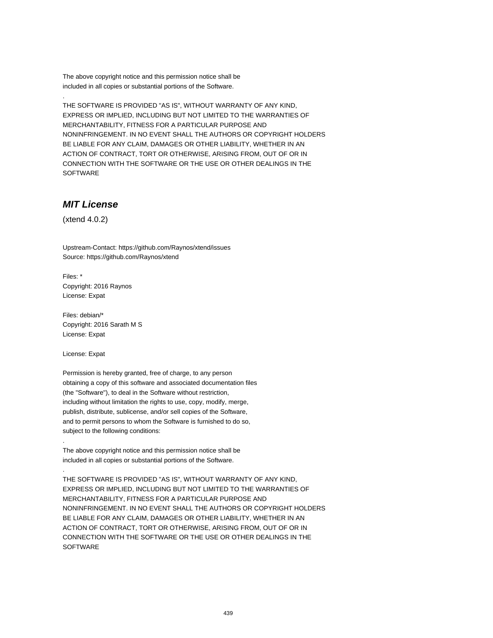The above copyright notice and this permission notice shall be included in all copies or substantial portions of the Software.

THE SOFTWARE IS PROVIDED "AS IS", WITHOUT WARRANTY OF ANY KIND, EXPRESS OR IMPLIED, INCLUDING BUT NOT LIMITED TO THE WARRANTIES OF MERCHANTABILITY, FITNESS FOR A PARTICULAR PURPOSE AND NONINFRINGEMENT. IN NO EVENT SHALL THE AUTHORS OR COPYRIGHT HOLDERS BE LIABLE FOR ANY CLAIM, DAMAGES OR OTHER LIABILITY, WHETHER IN AN ACTION OF CONTRACT, TORT OR OTHERWISE, ARISING FROM, OUT OF OR IN CONNECTION WITH THE SOFTWARE OR THE USE OR OTHER DEALINGS IN THE SOFTWARE

## **MIT License**

(xtend 4.0.2)

.

Upstream-Contact: https://github.com/Raynos/xtend/issues Source: https://github.com/Raynos/xtend

Files: \* Copyright: 2016 Raynos License: Expat

Files: debian/\* Copyright: 2016 Sarath M S License: Expat

License: Expat

.

.

Permission is hereby granted, free of charge, to any person obtaining a copy of this software and associated documentation files (the "Software"), to deal in the Software without restriction, including without limitation the rights to use, copy, modify, merge, publish, distribute, sublicense, and/or sell copies of the Software, and to permit persons to whom the Software is furnished to do so, subject to the following conditions:

The above copyright notice and this permission notice shall be included in all copies or substantial portions of the Software.

THE SOFTWARE IS PROVIDED "AS IS", WITHOUT WARRANTY OF ANY KIND, EXPRESS OR IMPLIED, INCLUDING BUT NOT LIMITED TO THE WARRANTIES OF MERCHANTABILITY, FITNESS FOR A PARTICULAR PURPOSE AND NONINFRINGEMENT. IN NO EVENT SHALL THE AUTHORS OR COPYRIGHT HOLDERS BE LIABLE FOR ANY CLAIM, DAMAGES OR OTHER LIABILITY, WHETHER IN AN ACTION OF CONTRACT, TORT OR OTHERWISE, ARISING FROM, OUT OF OR IN CONNECTION WITH THE SOFTWARE OR THE USE OR OTHER DEALINGS IN THE **SOFTWARE**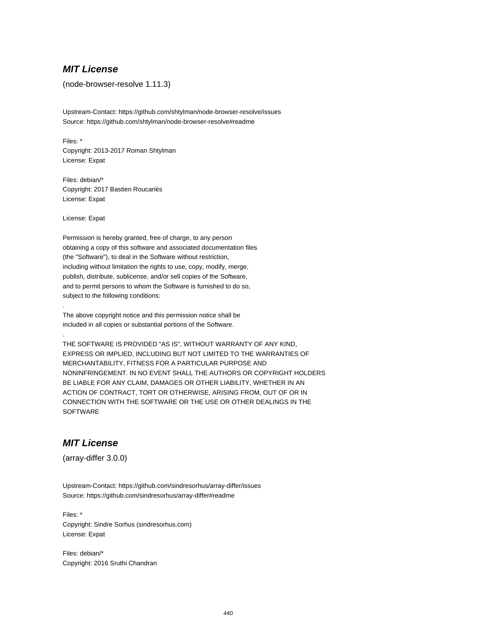### **MIT License**

(node-browser-resolve 1.11.3)

Upstream-Contact: https://github.com/shtylman/node-browser-resolve/issues Source: https://github.com/shtylman/node-browser-resolve#readme

Files: \* Copyright: 2013-2017 Roman Shtylman License: Expat

Files: debian/\* Copyright: 2017 Bastien Roucariès License: Expat

License: Expat

.

.

Permission is hereby granted, free of charge, to any person obtaining a copy of this software and associated documentation files (the "Software"), to deal in the Software without restriction, including without limitation the rights to use, copy, modify, merge, publish, distribute, sublicense, and/or sell copies of the Software, and to permit persons to whom the Software is furnished to do so, subject to the following conditions:

The above copyright notice and this permission notice shall be included in all copies or substantial portions of the Software.

THE SOFTWARE IS PROVIDED "AS IS", WITHOUT WARRANTY OF ANY KIND, EXPRESS OR IMPLIED, INCLUDING BUT NOT LIMITED TO THE WARRANTIES OF MERCHANTABILITY, FITNESS FOR A PARTICULAR PURPOSE AND NONINFRINGEMENT. IN NO EVENT SHALL THE AUTHORS OR COPYRIGHT HOLDERS BE LIABLE FOR ANY CLAIM, DAMAGES OR OTHER LIABILITY, WHETHER IN AN ACTION OF CONTRACT, TORT OR OTHERWISE, ARISING FROM, OUT OF OR IN CONNECTION WITH THE SOFTWARE OR THE USE OR OTHER DEALINGS IN THE **SOFTWARE** 

### **MIT License**

(array-differ 3.0.0)

Upstream-Contact: https://github.com/sindresorhus/array-differ/issues Source: https://github.com/sindresorhus/array-differ#readme

Files: \* Copyright: Sindre Sorhus (sindresorhus.com) License: Expat

Files: debian/\* Copyright: 2016 Sruthi Chandran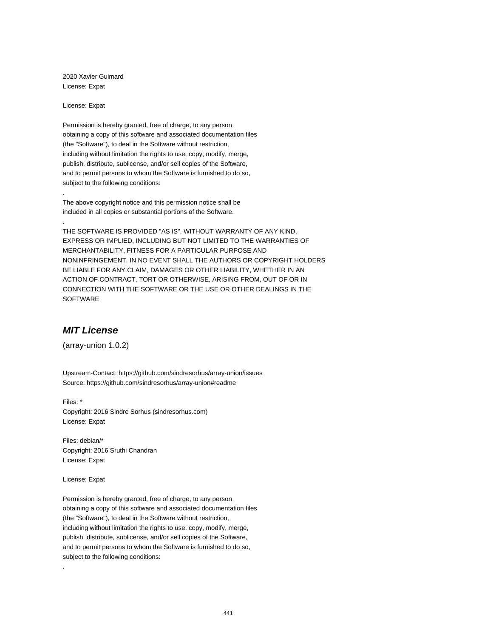2020 Xavier Guimard License: Expat

License: Expat

.

.

Permission is hereby granted, free of charge, to any person obtaining a copy of this software and associated documentation files (the "Software"), to deal in the Software without restriction, including without limitation the rights to use, copy, modify, merge, publish, distribute, sublicense, and/or sell copies of the Software, and to permit persons to whom the Software is furnished to do so, subject to the following conditions:

The above copyright notice and this permission notice shall be included in all copies or substantial portions of the Software.

THE SOFTWARE IS PROVIDED "AS IS", WITHOUT WARRANTY OF ANY KIND, EXPRESS OR IMPLIED, INCLUDING BUT NOT LIMITED TO THE WARRANTIES OF MERCHANTABILITY, FITNESS FOR A PARTICULAR PURPOSE AND NONINFRINGEMENT. IN NO EVENT SHALL THE AUTHORS OR COPYRIGHT HOLDERS BE LIABLE FOR ANY CLAIM, DAMAGES OR OTHER LIABILITY, WHETHER IN AN ACTION OF CONTRACT, TORT OR OTHERWISE, ARISING FROM, OUT OF OR IN CONNECTION WITH THE SOFTWARE OR THE USE OR OTHER DEALINGS IN THE SOFTWARE

## **MIT License**

(array-union 1.0.2)

Upstream-Contact: https://github.com/sindresorhus/array-union/issues Source: https://github.com/sindresorhus/array-union#readme

Files: \* Copyright: 2016 Sindre Sorhus (sindresorhus.com) License: Expat

Files: debian/\* Copyright: 2016 Sruthi Chandran License: Expat

License: Expat

.

Permission is hereby granted, free of charge, to any person obtaining a copy of this software and associated documentation files (the "Software"), to deal in the Software without restriction, including without limitation the rights to use, copy, modify, merge, publish, distribute, sublicense, and/or sell copies of the Software, and to permit persons to whom the Software is furnished to do so, subject to the following conditions: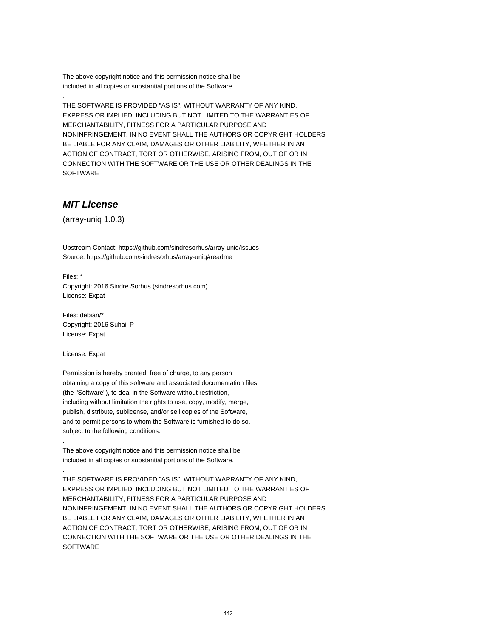The above copyright notice and this permission notice shall be included in all copies or substantial portions of the Software.

THE SOFTWARE IS PROVIDED "AS IS", WITHOUT WARRANTY OF ANY KIND, EXPRESS OR IMPLIED, INCLUDING BUT NOT LIMITED TO THE WARRANTIES OF MERCHANTABILITY, FITNESS FOR A PARTICULAR PURPOSE AND NONINFRINGEMENT. IN NO EVENT SHALL THE AUTHORS OR COPYRIGHT HOLDERS BE LIABLE FOR ANY CLAIM, DAMAGES OR OTHER LIABILITY, WHETHER IN AN ACTION OF CONTRACT, TORT OR OTHERWISE, ARISING FROM, OUT OF OR IN CONNECTION WITH THE SOFTWARE OR THE USE OR OTHER DEALINGS IN THE SOFTWARE

# **MIT License**

.

(array-uniq 1.0.3)

Upstream-Contact: https://github.com/sindresorhus/array-uniq/issues Source: https://github.com/sindresorhus/array-uniq#readme

Files: \* Copyright: 2016 Sindre Sorhus (sindresorhus.com) License: Expat

Files: debian/\* Copyright: 2016 Suhail P License: Expat

License: Expat

.

.

Permission is hereby granted, free of charge, to any person obtaining a copy of this software and associated documentation files (the "Software"), to deal in the Software without restriction, including without limitation the rights to use, copy, modify, merge, publish, distribute, sublicense, and/or sell copies of the Software, and to permit persons to whom the Software is furnished to do so, subject to the following conditions:

The above copyright notice and this permission notice shall be included in all copies or substantial portions of the Software.

THE SOFTWARE IS PROVIDED "AS IS", WITHOUT WARRANTY OF ANY KIND, EXPRESS OR IMPLIED, INCLUDING BUT NOT LIMITED TO THE WARRANTIES OF MERCHANTABILITY, FITNESS FOR A PARTICULAR PURPOSE AND NONINFRINGEMENT. IN NO EVENT SHALL THE AUTHORS OR COPYRIGHT HOLDERS BE LIABLE FOR ANY CLAIM, DAMAGES OR OTHER LIABILITY, WHETHER IN AN ACTION OF CONTRACT, TORT OR OTHERWISE, ARISING FROM, OUT OF OR IN CONNECTION WITH THE SOFTWARE OR THE USE OR OTHER DEALINGS IN THE **SOFTWARE**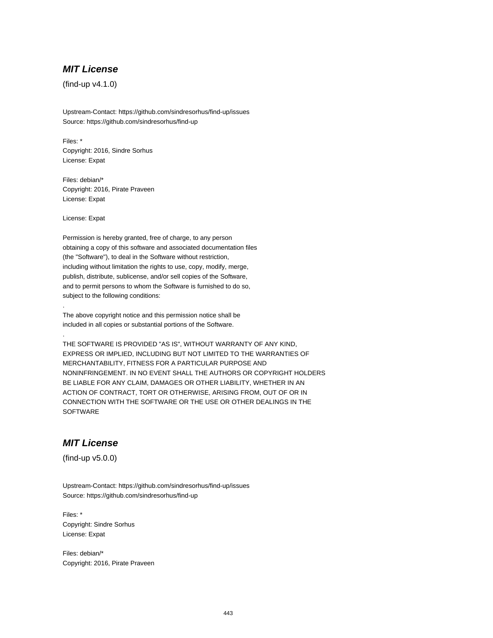## **MIT License**

(find-up v4.1.0)

Upstream-Contact: https://github.com/sindresorhus/find-up/issues Source: https://github.com/sindresorhus/find-up

Files: \* Copyright: 2016, Sindre Sorhus License: Expat

Files: debian/\* Copyright: 2016, Pirate Praveen License: Expat

License: Expat

.

.

Permission is hereby granted, free of charge, to any person obtaining a copy of this software and associated documentation files (the "Software"), to deal in the Software without restriction, including without limitation the rights to use, copy, modify, merge, publish, distribute, sublicense, and/or sell copies of the Software, and to permit persons to whom the Software is furnished to do so, subject to the following conditions:

The above copyright notice and this permission notice shall be included in all copies or substantial portions of the Software.

THE SOFTWARE IS PROVIDED "AS IS", WITHOUT WARRANTY OF ANY KIND, EXPRESS OR IMPLIED, INCLUDING BUT NOT LIMITED TO THE WARRANTIES OF MERCHANTABILITY, FITNESS FOR A PARTICULAR PURPOSE AND NONINFRINGEMENT. IN NO EVENT SHALL THE AUTHORS OR COPYRIGHT HOLDERS BE LIABLE FOR ANY CLAIM, DAMAGES OR OTHER LIABILITY, WHETHER IN AN ACTION OF CONTRACT, TORT OR OTHERWISE, ARISING FROM, OUT OF OR IN CONNECTION WITH THE SOFTWARE OR THE USE OR OTHER DEALINGS IN THE **SOFTWARE** 

### **MIT License**

(find-up v5.0.0)

Upstream-Contact: https://github.com/sindresorhus/find-up/issues Source: https://github.com/sindresorhus/find-up

Files: \* Copyright: Sindre Sorhus License: Expat

Files: debian/\* Copyright: 2016, Pirate Praveen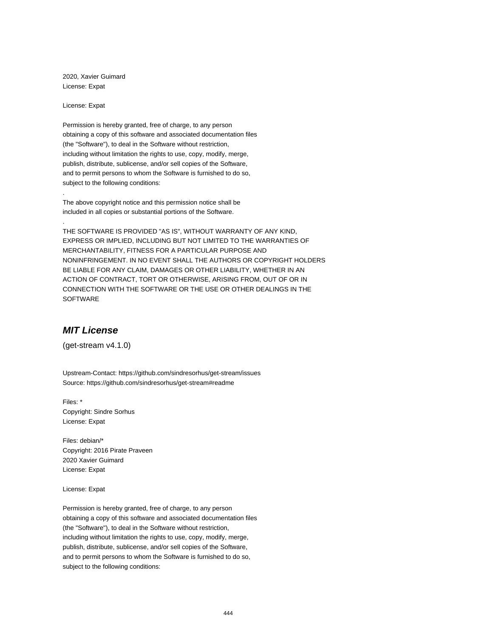2020, Xavier Guimard License: Expat

License: Expat

.

.

Permission is hereby granted, free of charge, to any person obtaining a copy of this software and associated documentation files (the "Software"), to deal in the Software without restriction, including without limitation the rights to use, copy, modify, merge, publish, distribute, sublicense, and/or sell copies of the Software, and to permit persons to whom the Software is furnished to do so, subject to the following conditions:

The above copyright notice and this permission notice shall be included in all copies or substantial portions of the Software.

THE SOFTWARE IS PROVIDED "AS IS", WITHOUT WARRANTY OF ANY KIND, EXPRESS OR IMPLIED, INCLUDING BUT NOT LIMITED TO THE WARRANTIES OF MERCHANTABILITY, FITNESS FOR A PARTICULAR PURPOSE AND NONINFRINGEMENT. IN NO EVENT SHALL THE AUTHORS OR COPYRIGHT HOLDERS BE LIABLE FOR ANY CLAIM, DAMAGES OR OTHER LIABILITY, WHETHER IN AN ACTION OF CONTRACT, TORT OR OTHERWISE, ARISING FROM, OUT OF OR IN CONNECTION WITH THE SOFTWARE OR THE USE OR OTHER DEALINGS IN THE SOFTWARE

## **MIT License**

(get-stream v4.1.0)

Upstream-Contact: https://github.com/sindresorhus/get-stream/issues Source: https://github.com/sindresorhus/get-stream#readme

Files: \* Copyright: Sindre Sorhus License: Expat

Files: debian/\* Copyright: 2016 Pirate Praveen 2020 Xavier Guimard License: Expat

License: Expat

Permission is hereby granted, free of charge, to any person obtaining a copy of this software and associated documentation files (the "Software"), to deal in the Software without restriction, including without limitation the rights to use, copy, modify, merge, publish, distribute, sublicense, and/or sell copies of the Software, and to permit persons to whom the Software is furnished to do so, subject to the following conditions: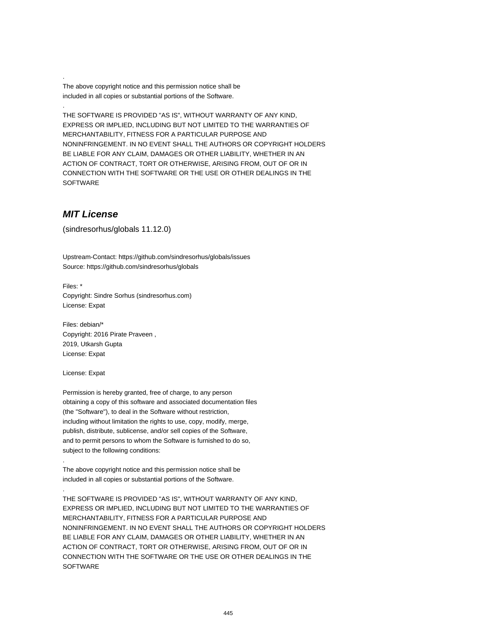The above copyright notice and this permission notice shall be included in all copies or substantial portions of the Software.

THE SOFTWARE IS PROVIDED "AS IS", WITHOUT WARRANTY OF ANY KIND, EXPRESS OR IMPLIED, INCLUDING BUT NOT LIMITED TO THE WARRANTIES OF MERCHANTABILITY, FITNESS FOR A PARTICULAR PURPOSE AND NONINFRINGEMENT. IN NO EVENT SHALL THE AUTHORS OR COPYRIGHT HOLDERS BE LIABLE FOR ANY CLAIM, DAMAGES OR OTHER LIABILITY, WHETHER IN AN ACTION OF CONTRACT, TORT OR OTHERWISE, ARISING FROM, OUT OF OR IN CONNECTION WITH THE SOFTWARE OR THE USE OR OTHER DEALINGS IN THE SOFTWARE

### **MIT License**

.

.

(sindresorhus/globals 11.12.0)

Upstream-Contact: https://github.com/sindresorhus/globals/issues Source: https://github.com/sindresorhus/globals

Files: \* Copyright: Sindre Sorhus (sindresorhus.com) License: Expat

Files: debian/\* Copyright: 2016 Pirate Praveen , 2019, Utkarsh Gupta License: Expat

License: Expat

.

.

Permission is hereby granted, free of charge, to any person obtaining a copy of this software and associated documentation files (the "Software"), to deal in the Software without restriction, including without limitation the rights to use, copy, modify, merge, publish, distribute, sublicense, and/or sell copies of the Software, and to permit persons to whom the Software is furnished to do so, subject to the following conditions:

The above copyright notice and this permission notice shall be included in all copies or substantial portions of the Software.

THE SOFTWARE IS PROVIDED "AS IS", WITHOUT WARRANTY OF ANY KIND, EXPRESS OR IMPLIED, INCLUDING BUT NOT LIMITED TO THE WARRANTIES OF MERCHANTABILITY, FITNESS FOR A PARTICULAR PURPOSE AND NONINFRINGEMENT. IN NO EVENT SHALL THE AUTHORS OR COPYRIGHT HOLDERS BE LIABLE FOR ANY CLAIM, DAMAGES OR OTHER LIABILITY, WHETHER IN AN ACTION OF CONTRACT, TORT OR OTHERWISE, ARISING FROM, OUT OF OR IN CONNECTION WITH THE SOFTWARE OR THE USE OR OTHER DEALINGS IN THE **SOFTWARE**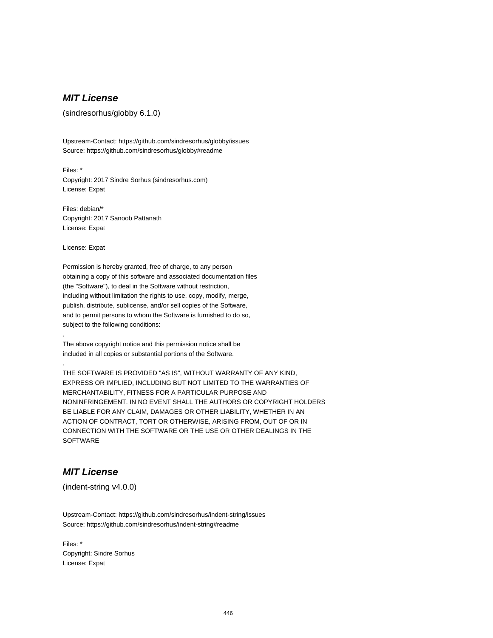# **MIT License**

(sindresorhus/globby 6.1.0)

Upstream-Contact: https://github.com/sindresorhus/globby/issues Source: https://github.com/sindresorhus/globby#readme

Files: \* Copyright: 2017 Sindre Sorhus (sindresorhus.com) License: Expat

Files: debian/\* Copyright: 2017 Sanoob Pattanath License: Expat

License: Expat

.

.

Permission is hereby granted, free of charge, to any person obtaining a copy of this software and associated documentation files (the "Software"), to deal in the Software without restriction, including without limitation the rights to use, copy, modify, merge, publish, distribute, sublicense, and/or sell copies of the Software, and to permit persons to whom the Software is furnished to do so, subject to the following conditions:

The above copyright notice and this permission notice shall be included in all copies or substantial portions of the Software.

THE SOFTWARE IS PROVIDED "AS IS", WITHOUT WARRANTY OF ANY KIND, EXPRESS OR IMPLIED, INCLUDING BUT NOT LIMITED TO THE WARRANTIES OF MERCHANTABILITY, FITNESS FOR A PARTICULAR PURPOSE AND NONINFRINGEMENT. IN NO EVENT SHALL THE AUTHORS OR COPYRIGHT HOLDERS BE LIABLE FOR ANY CLAIM, DAMAGES OR OTHER LIABILITY, WHETHER IN AN ACTION OF CONTRACT, TORT OR OTHERWISE, ARISING FROM, OUT OF OR IN CONNECTION WITH THE SOFTWARE OR THE USE OR OTHER DEALINGS IN THE **SOFTWARE** 

# **MIT License**

(indent-string v4.0.0)

Upstream-Contact: https://github.com/sindresorhus/indent-string/issues Source: https://github.com/sindresorhus/indent-string#readme

Files: \* Copyright: Sindre Sorhus License: Expat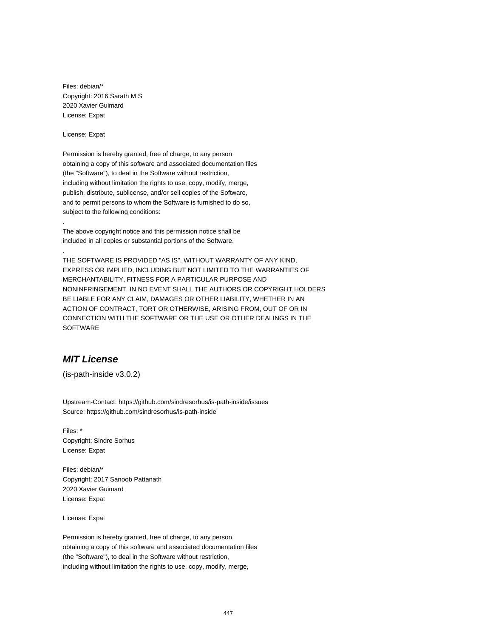Files: debian/\* Copyright: 2016 Sarath M S 2020 Xavier Guimard License: Expat

License: Expat

.

.

Permission is hereby granted, free of charge, to any person obtaining a copy of this software and associated documentation files (the "Software"), to deal in the Software without restriction, including without limitation the rights to use, copy, modify, merge, publish, distribute, sublicense, and/or sell copies of the Software, and to permit persons to whom the Software is furnished to do so, subject to the following conditions:

The above copyright notice and this permission notice shall be included in all copies or substantial portions of the Software.

THE SOFTWARE IS PROVIDED "AS IS", WITHOUT WARRANTY OF ANY KIND, EXPRESS OR IMPLIED, INCLUDING BUT NOT LIMITED TO THE WARRANTIES OF MERCHANTABILITY, FITNESS FOR A PARTICULAR PURPOSE AND NONINFRINGEMENT. IN NO EVENT SHALL THE AUTHORS OR COPYRIGHT HOLDERS BE LIABLE FOR ANY CLAIM, DAMAGES OR OTHER LIABILITY, WHETHER IN AN ACTION OF CONTRACT, TORT OR OTHERWISE, ARISING FROM, OUT OF OR IN CONNECTION WITH THE SOFTWARE OR THE USE OR OTHER DEALINGS IN THE **SOFTWARE** 

## **MIT License**

(is-path-inside v3.0.2)

Upstream-Contact: https://github.com/sindresorhus/is-path-inside/issues Source: https://github.com/sindresorhus/is-path-inside

Files: \* Copyright: Sindre Sorhus License: Expat

Files: debian/\* Copyright: 2017 Sanoob Pattanath 2020 Xavier Guimard License: Expat

License: Expat

Permission is hereby granted, free of charge, to any person obtaining a copy of this software and associated documentation files (the "Software"), to deal in the Software without restriction, including without limitation the rights to use, copy, modify, merge,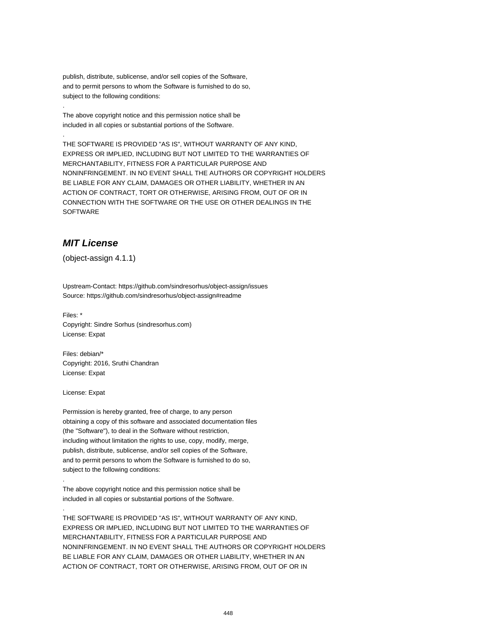publish, distribute, sublicense, and/or sell copies of the Software, and to permit persons to whom the Software is furnished to do so, subject to the following conditions:

The above copyright notice and this permission notice shall be included in all copies or substantial portions of the Software.

THE SOFTWARE IS PROVIDED "AS IS", WITHOUT WARRANTY OF ANY KIND, EXPRESS OR IMPLIED, INCLUDING BUT NOT LIMITED TO THE WARRANTIES OF MERCHANTABILITY, FITNESS FOR A PARTICULAR PURPOSE AND NONINFRINGEMENT. IN NO EVENT SHALL THE AUTHORS OR COPYRIGHT HOLDERS BE LIABLE FOR ANY CLAIM, DAMAGES OR OTHER LIABILITY, WHETHER IN AN ACTION OF CONTRACT, TORT OR OTHERWISE, ARISING FROM, OUT OF OR IN CONNECTION WITH THE SOFTWARE OR THE USE OR OTHER DEALINGS IN THE SOFTWARE

## **MIT License**

.

.

(object-assign 4.1.1)

Upstream-Contact: https://github.com/sindresorhus/object-assign/issues Source: https://github.com/sindresorhus/object-assign#readme

Files: \* Copyright: Sindre Sorhus (sindresorhus.com) License: Expat

Files: debian/\* Copyright: 2016, Sruthi Chandran License: Expat

License: Expat

.

.

Permission is hereby granted, free of charge, to any person obtaining a copy of this software and associated documentation files (the "Software"), to deal in the Software without restriction, including without limitation the rights to use, copy, modify, merge, publish, distribute, sublicense, and/or sell copies of the Software, and to permit persons to whom the Software is furnished to do so, subject to the following conditions:

The above copyright notice and this permission notice shall be included in all copies or substantial portions of the Software.

THE SOFTWARE IS PROVIDED "AS IS", WITHOUT WARRANTY OF ANY KIND, EXPRESS OR IMPLIED, INCLUDING BUT NOT LIMITED TO THE WARRANTIES OF MERCHANTABILITY, FITNESS FOR A PARTICULAR PURPOSE AND NONINFRINGEMENT. IN NO EVENT SHALL THE AUTHORS OR COPYRIGHT HOLDERS BE LIABLE FOR ANY CLAIM, DAMAGES OR OTHER LIABILITY, WHETHER IN AN ACTION OF CONTRACT, TORT OR OTHERWISE, ARISING FROM, OUT OF OR IN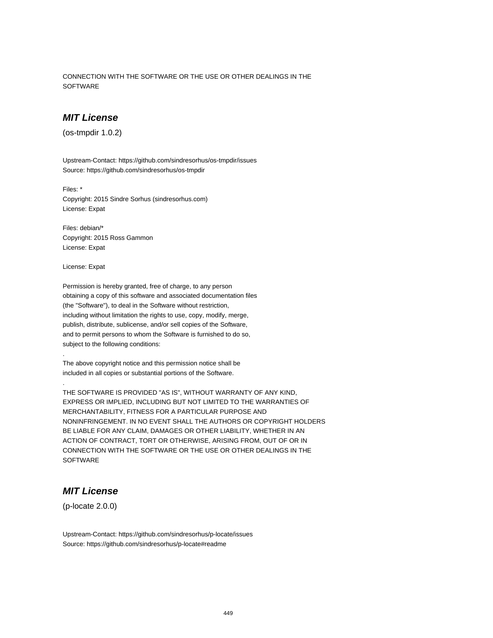CONNECTION WITH THE SOFTWARE OR THE USE OR OTHER DEALINGS IN THE **SOFTWARE** 

### **MIT License**

(os-tmpdir 1.0.2)

Upstream-Contact: https://github.com/sindresorhus/os-tmpdir/issues Source: https://github.com/sindresorhus/os-tmpdir

Files: \* Copyright: 2015 Sindre Sorhus (sindresorhus.com) License: Expat

Files: debian/\* Copyright: 2015 Ross Gammon License: Expat

License: Expat

.

.

Permission is hereby granted, free of charge, to any person obtaining a copy of this software and associated documentation files (the "Software"), to deal in the Software without restriction, including without limitation the rights to use, copy, modify, merge, publish, distribute, sublicense, and/or sell copies of the Software, and to permit persons to whom the Software is furnished to do so, subject to the following conditions:

The above copyright notice and this permission notice shall be included in all copies or substantial portions of the Software.

THE SOFTWARE IS PROVIDED "AS IS", WITHOUT WARRANTY OF ANY KIND, EXPRESS OR IMPLIED, INCLUDING BUT NOT LIMITED TO THE WARRANTIES OF MERCHANTABILITY, FITNESS FOR A PARTICULAR PURPOSE AND NONINFRINGEMENT. IN NO EVENT SHALL THE AUTHORS OR COPYRIGHT HOLDERS BE LIABLE FOR ANY CLAIM, DAMAGES OR OTHER LIABILITY, WHETHER IN AN ACTION OF CONTRACT, TORT OR OTHERWISE, ARISING FROM, OUT OF OR IN CONNECTION WITH THE SOFTWARE OR THE USE OR OTHER DEALINGS IN THE **SOFTWARE** 

## **MIT License**

(p-locate 2.0.0)

Upstream-Contact: https://github.com/sindresorhus/p-locate/issues Source: https://github.com/sindresorhus/p-locate#readme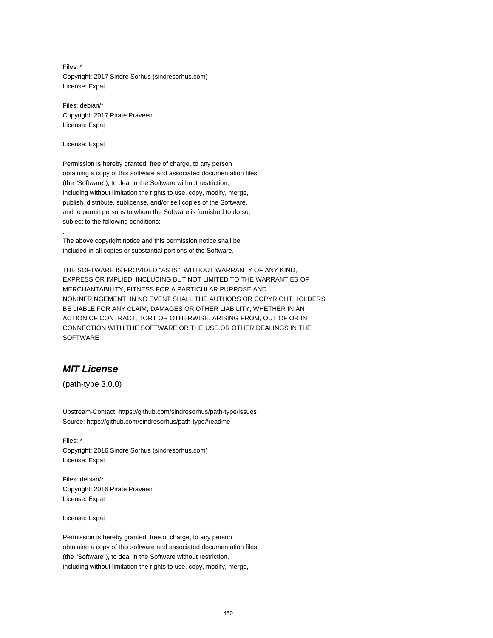Files: \* Copyright: 2017 Sindre Sorhus (sindresorhus.com) License: Expat

Files: debian/\* Copyright: 2017 Pirate Praveen License: Expat

License: Expat

.

.

Permission is hereby granted, free of charge, to any person obtaining a copy of this software and associated documentation files (the "Software"), to deal in the Software without restriction, including without limitation the rights to use, copy, modify, merge, publish, distribute, sublicense, and/or sell copies of the Software, and to permit persons to whom the Software is furnished to do so, subject to the following conditions:

The above copyright notice and this permission notice shall be included in all copies or substantial portions of the Software.

THE SOFTWARE IS PROVIDED "AS IS", WITHOUT WARRANTY OF ANY KIND, EXPRESS OR IMPLIED, INCLUDING BUT NOT LIMITED TO THE WARRANTIES OF MERCHANTABILITY, FITNESS FOR A PARTICULAR PURPOSE AND NONINFRINGEMENT. IN NO EVENT SHALL THE AUTHORS OR COPYRIGHT HOLDERS BE LIABLE FOR ANY CLAIM, DAMAGES OR OTHER LIABILITY, WHETHER IN AN ACTION OF CONTRACT, TORT OR OTHERWISE, ARISING FROM, OUT OF OR IN CONNECTION WITH THE SOFTWARE OR THE USE OR OTHER DEALINGS IN THE SOFTWARE

### **MIT License**

(path-type 3.0.0)

Upstream-Contact: https://github.com/sindresorhus/path-type/issues Source: https://github.com/sindresorhus/path-type#readme

Files: \* Copyright: 2016 Sindre Sorhus (sindresorhus.com) License: Expat

Files: debian/\* Copyright: 2016 Pirate Praveen License: Expat

License: Expat

Permission is hereby granted, free of charge, to any person obtaining a copy of this software and associated documentation files (the "Software"), to deal in the Software without restriction, including without limitation the rights to use, copy, modify, merge,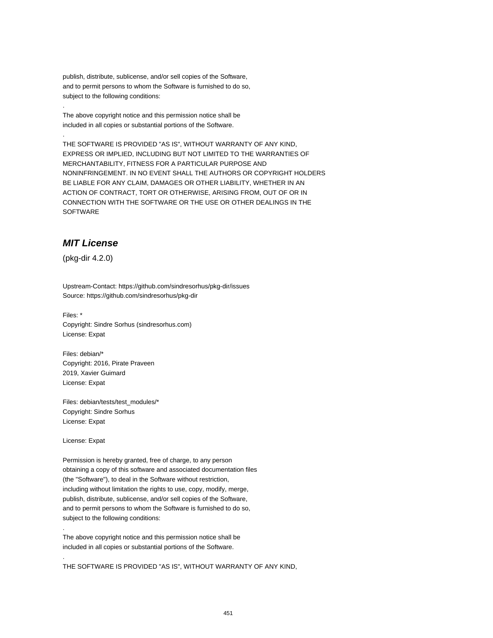publish, distribute, sublicense, and/or sell copies of the Software, and to permit persons to whom the Software is furnished to do so, subject to the following conditions:

The above copyright notice and this permission notice shall be included in all copies or substantial portions of the Software.

THE SOFTWARE IS PROVIDED "AS IS", WITHOUT WARRANTY OF ANY KIND, EXPRESS OR IMPLIED, INCLUDING BUT NOT LIMITED TO THE WARRANTIES OF MERCHANTABILITY, FITNESS FOR A PARTICULAR PURPOSE AND NONINFRINGEMENT. IN NO EVENT SHALL THE AUTHORS OR COPYRIGHT HOLDERS BE LIABLE FOR ANY CLAIM, DAMAGES OR OTHER LIABILITY, WHETHER IN AN ACTION OF CONTRACT, TORT OR OTHERWISE, ARISING FROM, OUT OF OR IN CONNECTION WITH THE SOFTWARE OR THE USE OR OTHER DEALINGS IN THE SOFTWARE

## **MIT License**

(pkg-dir 4.2.0)

.

.

Upstream-Contact: https://github.com/sindresorhus/pkg-dir/issues Source: https://github.com/sindresorhus/pkg-dir

Files: \* Copyright: Sindre Sorhus (sindresorhus.com) License: Expat

Files: debian/\* Copyright: 2016, Pirate Praveen 2019, Xavier Guimard License: Expat

Files: debian/tests/test\_modules/\* Copyright: Sindre Sorhus License: Expat

License: Expat

.

.

Permission is hereby granted, free of charge, to any person obtaining a copy of this software and associated documentation files (the "Software"), to deal in the Software without restriction, including without limitation the rights to use, copy, modify, merge, publish, distribute, sublicense, and/or sell copies of the Software, and to permit persons to whom the Software is furnished to do so, subject to the following conditions:

The above copyright notice and this permission notice shall be included in all copies or substantial portions of the Software.

THE SOFTWARE IS PROVIDED "AS IS", WITHOUT WARRANTY OF ANY KIND,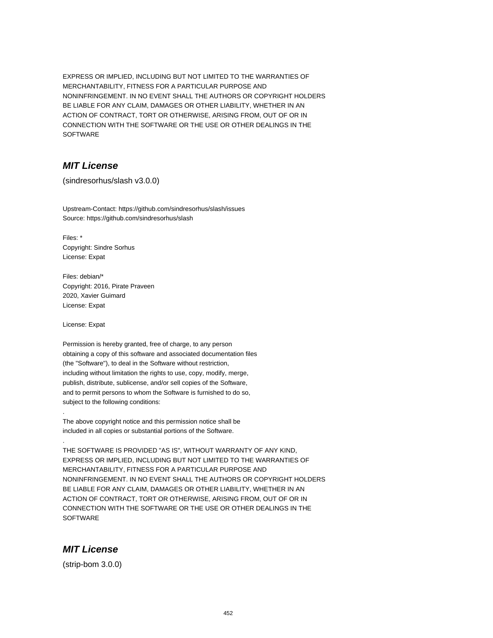EXPRESS OR IMPLIED, INCLUDING BUT NOT LIMITED TO THE WARRANTIES OF MERCHANTABILITY, FITNESS FOR A PARTICULAR PURPOSE AND NONINFRINGEMENT. IN NO EVENT SHALL THE AUTHORS OR COPYRIGHT HOLDERS BE LIABLE FOR ANY CLAIM, DAMAGES OR OTHER LIABILITY, WHETHER IN AN ACTION OF CONTRACT, TORT OR OTHERWISE, ARISING FROM, OUT OF OR IN CONNECTION WITH THE SOFTWARE OR THE USE OR OTHER DEALINGS IN THE SOFTWARE

## **MIT License**

(sindresorhus/slash v3.0.0)

Upstream-Contact: https://github.com/sindresorhus/slash/issues Source: https://github.com/sindresorhus/slash

Files: \* Copyright: Sindre Sorhus License: Expat

Files: debian/\* Copyright: 2016, Pirate Praveen 2020, Xavier Guimard License: Expat

License: Expat

.

.

Permission is hereby granted, free of charge, to any person obtaining a copy of this software and associated documentation files (the "Software"), to deal in the Software without restriction, including without limitation the rights to use, copy, modify, merge, publish, distribute, sublicense, and/or sell copies of the Software, and to permit persons to whom the Software is furnished to do so, subject to the following conditions:

The above copyright notice and this permission notice shall be included in all copies or substantial portions of the Software.

THE SOFTWARE IS PROVIDED "AS IS", WITHOUT WARRANTY OF ANY KIND, EXPRESS OR IMPLIED, INCLUDING BUT NOT LIMITED TO THE WARRANTIES OF MERCHANTABILITY, FITNESS FOR A PARTICULAR PURPOSE AND NONINFRINGEMENT. IN NO EVENT SHALL THE AUTHORS OR COPYRIGHT HOLDERS BE LIABLE FOR ANY CLAIM, DAMAGES OR OTHER LIABILITY, WHETHER IN AN ACTION OF CONTRACT, TORT OR OTHERWISE, ARISING FROM, OUT OF OR IN CONNECTION WITH THE SOFTWARE OR THE USE OR OTHER DEALINGS IN THE **SOFTWARE** 

## **MIT License**

(strip-bom 3.0.0)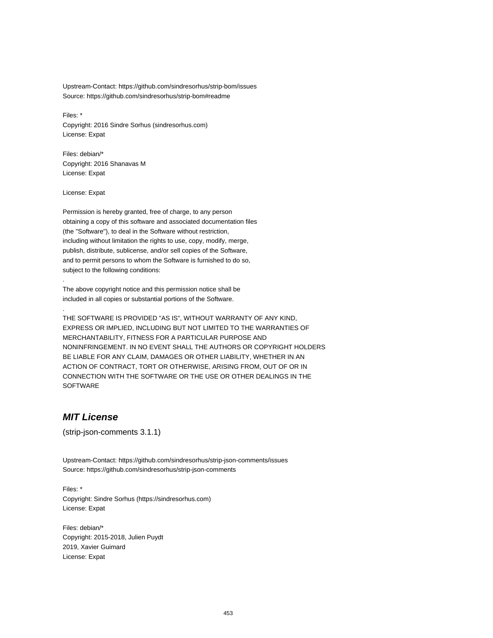Upstream-Contact: https://github.com/sindresorhus/strip-bom/issues Source: https://github.com/sindresorhus/strip-bom#readme

Files: \* Copyright: 2016 Sindre Sorhus (sindresorhus.com) License: Expat

Files: debian/\* Copyright: 2016 Shanavas M License: Expat

License: Expat

.

.

Permission is hereby granted, free of charge, to any person obtaining a copy of this software and associated documentation files (the "Software"), to deal in the Software without restriction, including without limitation the rights to use, copy, modify, merge, publish, distribute, sublicense, and/or sell copies of the Software, and to permit persons to whom the Software is furnished to do so, subject to the following conditions:

The above copyright notice and this permission notice shall be included in all copies or substantial portions of the Software.

THE SOFTWARE IS PROVIDED "AS IS", WITHOUT WARRANTY OF ANY KIND, EXPRESS OR IMPLIED, INCLUDING BUT NOT LIMITED TO THE WARRANTIES OF MERCHANTABILITY, FITNESS FOR A PARTICULAR PURPOSE AND NONINFRINGEMENT. IN NO EVENT SHALL THE AUTHORS OR COPYRIGHT HOLDERS BE LIABLE FOR ANY CLAIM, DAMAGES OR OTHER LIABILITY, WHETHER IN AN ACTION OF CONTRACT, TORT OR OTHERWISE, ARISING FROM, OUT OF OR IN CONNECTION WITH THE SOFTWARE OR THE USE OR OTHER DEALINGS IN THE **SOFTWARE** 

### **MIT License**

(strip-json-comments 3.1.1)

Upstream-Contact: https://github.com/sindresorhus/strip-json-comments/issues Source: https://github.com/sindresorhus/strip-json-comments

Files: \* Copyright: Sindre Sorhus (https://sindresorhus.com) License: Expat

Files: debian/\* Copyright: 2015-2018, Julien Puydt 2019, Xavier Guimard License: Expat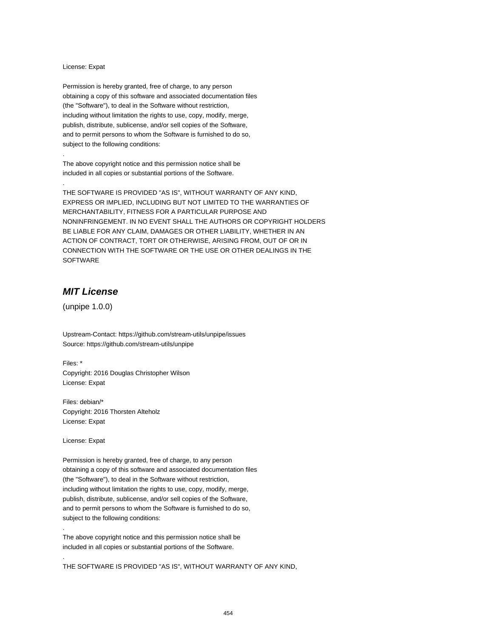#### License: Expat

.

.

Permission is hereby granted, free of charge, to any person obtaining a copy of this software and associated documentation files (the "Software"), to deal in the Software without restriction, including without limitation the rights to use, copy, modify, merge, publish, distribute, sublicense, and/or sell copies of the Software, and to permit persons to whom the Software is furnished to do so, subject to the following conditions:

The above copyright notice and this permission notice shall be included in all copies or substantial portions of the Software.

THE SOFTWARE IS PROVIDED "AS IS", WITHOUT WARRANTY OF ANY KIND, EXPRESS OR IMPLIED, INCLUDING BUT NOT LIMITED TO THE WARRANTIES OF MERCHANTABILITY, FITNESS FOR A PARTICULAR PURPOSE AND NONINFRINGEMENT. IN NO EVENT SHALL THE AUTHORS OR COPYRIGHT HOLDERS BE LIABLE FOR ANY CLAIM, DAMAGES OR OTHER LIABILITY, WHETHER IN AN ACTION OF CONTRACT, TORT OR OTHERWISE, ARISING FROM, OUT OF OR IN CONNECTION WITH THE SOFTWARE OR THE USE OR OTHER DEALINGS IN THE SOFTWARE

## **MIT License**

(unpipe 1.0.0)

Upstream-Contact: https://github.com/stream-utils/unpipe/issues Source: https://github.com/stream-utils/unpipe

Files: \* Copyright: 2016 Douglas Christopher Wilson License: Expat

Files: debian/\* Copyright: 2016 Thorsten Alteholz License: Expat

License: Expat

.

.

Permission is hereby granted, free of charge, to any person obtaining a copy of this software and associated documentation files (the "Software"), to deal in the Software without restriction, including without limitation the rights to use, copy, modify, merge, publish, distribute, sublicense, and/or sell copies of the Software, and to permit persons to whom the Software is furnished to do so, subject to the following conditions:

The above copyright notice and this permission notice shall be included in all copies or substantial portions of the Software.

THE SOFTWARE IS PROVIDED "AS IS", WITHOUT WARRANTY OF ANY KIND,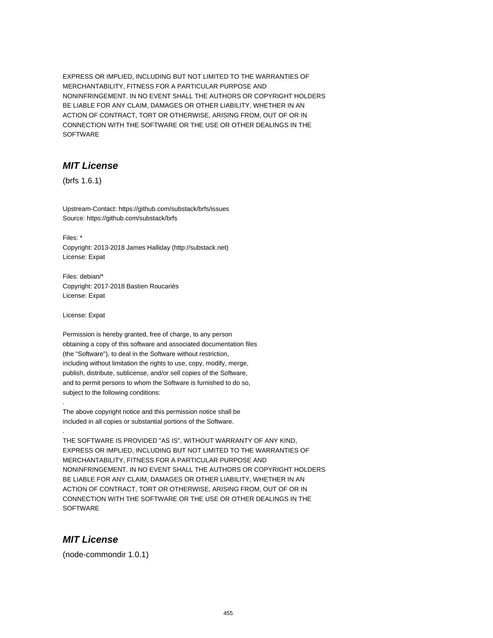EXPRESS OR IMPLIED, INCLUDING BUT NOT LIMITED TO THE WARRANTIES OF MERCHANTABILITY, FITNESS FOR A PARTICULAR PURPOSE AND NONINFRINGEMENT. IN NO EVENT SHALL THE AUTHORS OR COPYRIGHT HOLDERS BE LIABLE FOR ANY CLAIM, DAMAGES OR OTHER LIABILITY, WHETHER IN AN ACTION OF CONTRACT, TORT OR OTHERWISE, ARISING FROM, OUT OF OR IN CONNECTION WITH THE SOFTWARE OR THE USE OR OTHER DEALINGS IN THE SOFTWARE

## **MIT License**

(brfs 1.6.1)

Upstream-Contact: https://github.com/substack/brfs/issues Source: https://github.com/substack/brfs

Files: \* Copyright: 2013-2018 James Halliday (http://substack.net) License: Expat

Files: debian/\* Copyright: 2017-2018 Bastien Roucariès License: Expat

License: Expat

.

.

Permission is hereby granted, free of charge, to any person obtaining a copy of this software and associated documentation files (the "Software"), to deal in the Software without restriction, including without limitation the rights to use, copy, modify, merge, publish, distribute, sublicense, and/or sell copies of the Software, and to permit persons to whom the Software is furnished to do so, subject to the following conditions:

The above copyright notice and this permission notice shall be included in all copies or substantial portions of the Software.

THE SOFTWARE IS PROVIDED "AS IS", WITHOUT WARRANTY OF ANY KIND, EXPRESS OR IMPLIED, INCLUDING BUT NOT LIMITED TO THE WARRANTIES OF MERCHANTABILITY, FITNESS FOR A PARTICULAR PURPOSE AND NONINFRINGEMENT. IN NO EVENT SHALL THE AUTHORS OR COPYRIGHT HOLDERS BE LIABLE FOR ANY CLAIM, DAMAGES OR OTHER LIABILITY, WHETHER IN AN ACTION OF CONTRACT, TORT OR OTHERWISE, ARISING FROM, OUT OF OR IN CONNECTION WITH THE SOFTWARE OR THE USE OR OTHER DEALINGS IN THE **SOFTWARE** 

## **MIT License**

(node-commondir 1.0.1)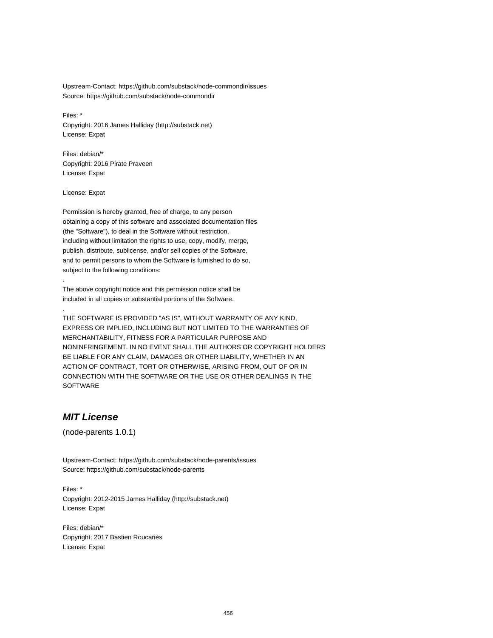Upstream-Contact: https://github.com/substack/node-commondir/issues Source: https://github.com/substack/node-commondir

Files: \* Copyright: 2016 James Halliday (http://substack.net) License: Expat

Files: debian/\* Copyright: 2016 Pirate Praveen License: Expat

License: Expat

.

.

Permission is hereby granted, free of charge, to any person obtaining a copy of this software and associated documentation files (the "Software"), to deal in the Software without restriction, including without limitation the rights to use, copy, modify, merge, publish, distribute, sublicense, and/or sell copies of the Software, and to permit persons to whom the Software is furnished to do so, subject to the following conditions:

The above copyright notice and this permission notice shall be included in all copies or substantial portions of the Software.

THE SOFTWARE IS PROVIDED "AS IS", WITHOUT WARRANTY OF ANY KIND, EXPRESS OR IMPLIED, INCLUDING BUT NOT LIMITED TO THE WARRANTIES OF MERCHANTABILITY, FITNESS FOR A PARTICULAR PURPOSE AND NONINFRINGEMENT. IN NO EVENT SHALL THE AUTHORS OR COPYRIGHT HOLDERS BE LIABLE FOR ANY CLAIM, DAMAGES OR OTHER LIABILITY, WHETHER IN AN ACTION OF CONTRACT, TORT OR OTHERWISE, ARISING FROM, OUT OF OR IN CONNECTION WITH THE SOFTWARE OR THE USE OR OTHER DEALINGS IN THE **SOFTWARE** 

### **MIT License**

(node-parents 1.0.1)

Upstream-Contact: https://github.com/substack/node-parents/issues Source: https://github.com/substack/node-parents

Files: \* Copyright: 2012-2015 James Halliday (http://substack.net) License: Expat

Files: debian/\* Copyright: 2017 Bastien Roucariès License: Expat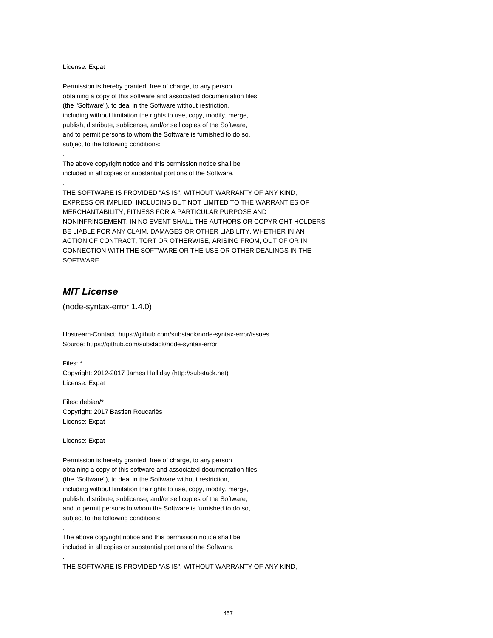#### License: Expat

.

.

Permission is hereby granted, free of charge, to any person obtaining a copy of this software and associated documentation files (the "Software"), to deal in the Software without restriction, including without limitation the rights to use, copy, modify, merge, publish, distribute, sublicense, and/or sell copies of the Software, and to permit persons to whom the Software is furnished to do so, subject to the following conditions:

The above copyright notice and this permission notice shall be included in all copies or substantial portions of the Software.

THE SOFTWARE IS PROVIDED "AS IS", WITHOUT WARRANTY OF ANY KIND, EXPRESS OR IMPLIED, INCLUDING BUT NOT LIMITED TO THE WARRANTIES OF MERCHANTABILITY, FITNESS FOR A PARTICULAR PURPOSE AND NONINFRINGEMENT. IN NO EVENT SHALL THE AUTHORS OR COPYRIGHT HOLDERS BE LIABLE FOR ANY CLAIM, DAMAGES OR OTHER LIABILITY, WHETHER IN AN ACTION OF CONTRACT, TORT OR OTHERWISE, ARISING FROM, OUT OF OR IN CONNECTION WITH THE SOFTWARE OR THE USE OR OTHER DEALINGS IN THE SOFTWARE

## **MIT License**

(node-syntax-error 1.4.0)

Upstream-Contact: https://github.com/substack/node-syntax-error/issues Source: https://github.com/substack/node-syntax-error

Files: \* Copyright: 2012-2017 James Halliday (http://substack.net) License: Expat

Files: debian/\* Copyright: 2017 Bastien Roucariès License: Expat

License: Expat

.

.

Permission is hereby granted, free of charge, to any person obtaining a copy of this software and associated documentation files (the "Software"), to deal in the Software without restriction, including without limitation the rights to use, copy, modify, merge, publish, distribute, sublicense, and/or sell copies of the Software, and to permit persons to whom the Software is furnished to do so, subject to the following conditions:

The above copyright notice and this permission notice shall be included in all copies or substantial portions of the Software.

THE SOFTWARE IS PROVIDED "AS IS", WITHOUT WARRANTY OF ANY KIND,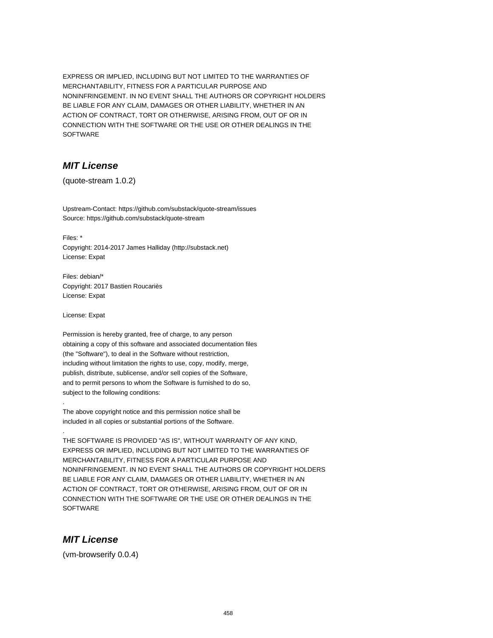EXPRESS OR IMPLIED, INCLUDING BUT NOT LIMITED TO THE WARRANTIES OF MERCHANTABILITY, FITNESS FOR A PARTICULAR PURPOSE AND NONINFRINGEMENT. IN NO EVENT SHALL THE AUTHORS OR COPYRIGHT HOLDERS BE LIABLE FOR ANY CLAIM, DAMAGES OR OTHER LIABILITY, WHETHER IN AN ACTION OF CONTRACT, TORT OR OTHERWISE, ARISING FROM, OUT OF OR IN CONNECTION WITH THE SOFTWARE OR THE USE OR OTHER DEALINGS IN THE SOFTWARE

## **MIT License**

(quote-stream 1.0.2)

Upstream-Contact: https://github.com/substack/quote-stream/issues Source: https://github.com/substack/quote-stream

Files: \* Copyright: 2014-2017 James Halliday (http://substack.net) License: Expat

Files: debian/\* Copyright: 2017 Bastien Roucariès License: Expat

License: Expat

.

.

Permission is hereby granted, free of charge, to any person obtaining a copy of this software and associated documentation files (the "Software"), to deal in the Software without restriction, including without limitation the rights to use, copy, modify, merge, publish, distribute, sublicense, and/or sell copies of the Software, and to permit persons to whom the Software is furnished to do so, subject to the following conditions:

The above copyright notice and this permission notice shall be included in all copies or substantial portions of the Software.

THE SOFTWARE IS PROVIDED "AS IS", WITHOUT WARRANTY OF ANY KIND, EXPRESS OR IMPLIED, INCLUDING BUT NOT LIMITED TO THE WARRANTIES OF MERCHANTABILITY, FITNESS FOR A PARTICULAR PURPOSE AND NONINFRINGEMENT. IN NO EVENT SHALL THE AUTHORS OR COPYRIGHT HOLDERS BE LIABLE FOR ANY CLAIM, DAMAGES OR OTHER LIABILITY, WHETHER IN AN ACTION OF CONTRACT, TORT OR OTHERWISE, ARISING FROM, OUT OF OR IN CONNECTION WITH THE SOFTWARE OR THE USE OR OTHER DEALINGS IN THE **SOFTWARE** 

### **MIT License**

(vm-browserify 0.0.4)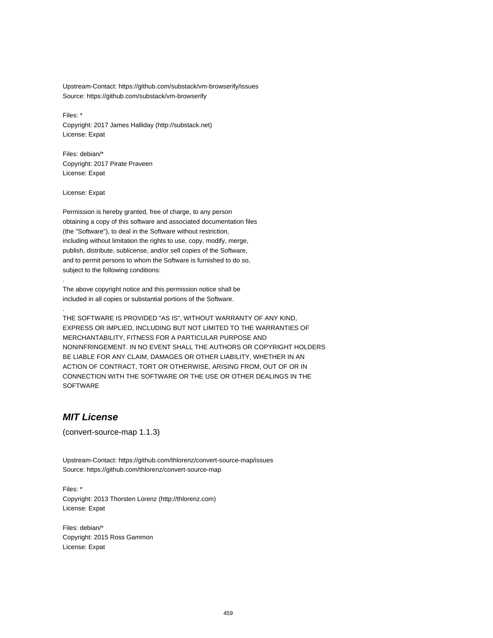Upstream-Contact: https://github.com/substack/vm-browserify/issues Source: https://github.com/substack/vm-browserify

Files: \* Copyright: 2017 James Halliday (http://substack.net) License: Expat

Files: debian/\* Copyright: 2017 Pirate Praveen License: Expat

License: Expat

.

.

Permission is hereby granted, free of charge, to any person obtaining a copy of this software and associated documentation files (the "Software"), to deal in the Software without restriction, including without limitation the rights to use, copy, modify, merge, publish, distribute, sublicense, and/or sell copies of the Software, and to permit persons to whom the Software is furnished to do so, subject to the following conditions:

The above copyright notice and this permission notice shall be included in all copies or substantial portions of the Software.

THE SOFTWARE IS PROVIDED "AS IS", WITHOUT WARRANTY OF ANY KIND, EXPRESS OR IMPLIED, INCLUDING BUT NOT LIMITED TO THE WARRANTIES OF MERCHANTABILITY, FITNESS FOR A PARTICULAR PURPOSE AND NONINFRINGEMENT. IN NO EVENT SHALL THE AUTHORS OR COPYRIGHT HOLDERS BE LIABLE FOR ANY CLAIM, DAMAGES OR OTHER LIABILITY, WHETHER IN AN ACTION OF CONTRACT, TORT OR OTHERWISE, ARISING FROM, OUT OF OR IN CONNECTION WITH THE SOFTWARE OR THE USE OR OTHER DEALINGS IN THE **SOFTWARE** 

### **MIT License**

(convert-source-map 1.1.3)

Upstream-Contact: https://github.com/thlorenz/convert-source-map/issues Source: https://github.com/thlorenz/convert-source-map

Files: \* Copyright: 2013 Thorsten Lorenz (http://thlorenz.com) License: Expat

Files: debian/\* Copyright: 2015 Ross Gammon License: Expat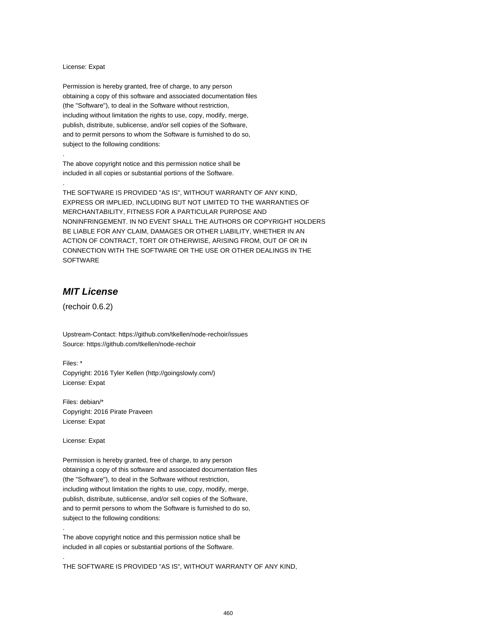#### License: Expat

.

.

Permission is hereby granted, free of charge, to any person obtaining a copy of this software and associated documentation files (the "Software"), to deal in the Software without restriction, including without limitation the rights to use, copy, modify, merge, publish, distribute, sublicense, and/or sell copies of the Software, and to permit persons to whom the Software is furnished to do so, subject to the following conditions:

The above copyright notice and this permission notice shall be included in all copies or substantial portions of the Software.

THE SOFTWARE IS PROVIDED "AS IS", WITHOUT WARRANTY OF ANY KIND, EXPRESS OR IMPLIED, INCLUDING BUT NOT LIMITED TO THE WARRANTIES OF MERCHANTABILITY, FITNESS FOR A PARTICULAR PURPOSE AND NONINFRINGEMENT. IN NO EVENT SHALL THE AUTHORS OR COPYRIGHT HOLDERS BE LIABLE FOR ANY CLAIM, DAMAGES OR OTHER LIABILITY, WHETHER IN AN ACTION OF CONTRACT, TORT OR OTHERWISE, ARISING FROM, OUT OF OR IN CONNECTION WITH THE SOFTWARE OR THE USE OR OTHER DEALINGS IN THE SOFTWARE

## **MIT License**

(rechoir 0.6.2)

Upstream-Contact: https://github.com/tkellen/node-rechoir/issues Source: https://github.com/tkellen/node-rechoir

Files: \* Copyright: 2016 Tyler Kellen (http://goingslowly.com/) License: Expat

Files: debian/\* Copyright: 2016 Pirate Praveen License: Expat

License: Expat

.

.

Permission is hereby granted, free of charge, to any person obtaining a copy of this software and associated documentation files (the "Software"), to deal in the Software without restriction, including without limitation the rights to use, copy, modify, merge, publish, distribute, sublicense, and/or sell copies of the Software, and to permit persons to whom the Software is furnished to do so, subject to the following conditions:

The above copyright notice and this permission notice shall be included in all copies or substantial portions of the Software.

THE SOFTWARE IS PROVIDED "AS IS", WITHOUT WARRANTY OF ANY KIND,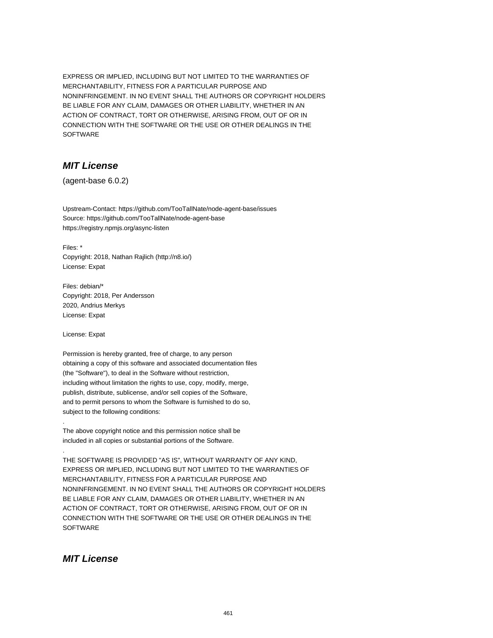EXPRESS OR IMPLIED, INCLUDING BUT NOT LIMITED TO THE WARRANTIES OF MERCHANTABILITY, FITNESS FOR A PARTICULAR PURPOSE AND NONINFRINGEMENT. IN NO EVENT SHALL THE AUTHORS OR COPYRIGHT HOLDERS BE LIABLE FOR ANY CLAIM, DAMAGES OR OTHER LIABILITY, WHETHER IN AN ACTION OF CONTRACT, TORT OR OTHERWISE, ARISING FROM, OUT OF OR IN CONNECTION WITH THE SOFTWARE OR THE USE OR OTHER DEALINGS IN THE SOFTWARE

## **MIT License**

(agent-base 6.0.2)

Upstream-Contact: https://github.com/TooTallNate/node-agent-base/issues Source: https://github.com/TooTallNate/node-agent-base https://registry.npmjs.org/async-listen

Files: \* Copyright: 2018, Nathan Rajlich (http://n8.io/) License: Expat

Files: debian/\* Copyright: 2018, Per Andersson 2020, Andrius Merkys License: Expat

License: Expat

.

.

Permission is hereby granted, free of charge, to any person obtaining a copy of this software and associated documentation files (the "Software"), to deal in the Software without restriction, including without limitation the rights to use, copy, modify, merge, publish, distribute, sublicense, and/or sell copies of the Software, and to permit persons to whom the Software is furnished to do so, subject to the following conditions:

The above copyright notice and this permission notice shall be included in all copies or substantial portions of the Software.

THE SOFTWARE IS PROVIDED "AS IS", WITHOUT WARRANTY OF ANY KIND, EXPRESS OR IMPLIED, INCLUDING BUT NOT LIMITED TO THE WARRANTIES OF MERCHANTABILITY, FITNESS FOR A PARTICULAR PURPOSE AND NONINFRINGEMENT. IN NO EVENT SHALL THE AUTHORS OR COPYRIGHT HOLDERS BE LIABLE FOR ANY CLAIM, DAMAGES OR OTHER LIABILITY, WHETHER IN AN ACTION OF CONTRACT, TORT OR OTHERWISE, ARISING FROM, OUT OF OR IN CONNECTION WITH THE SOFTWARE OR THE USE OR OTHER DEALINGS IN THE **SOFTWARE** 

### **MIT License**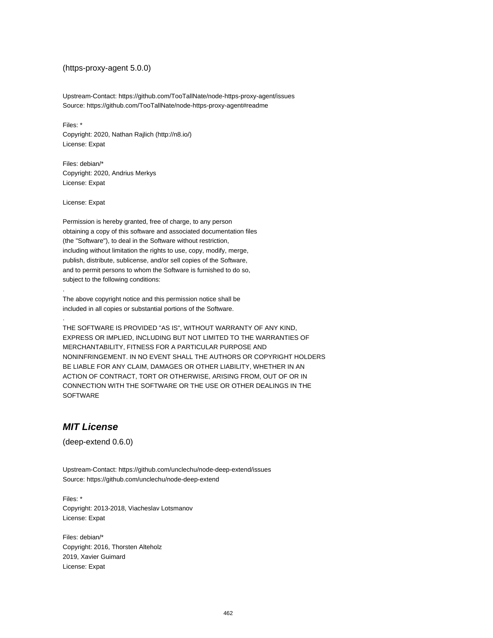#### (https-proxy-agent 5.0.0)

Upstream-Contact: https://github.com/TooTallNate/node-https-proxy-agent/issues Source: https://github.com/TooTallNate/node-https-proxy-agent#readme

Files: \* Copyright: 2020, Nathan Rajlich (http://n8.io/) License: Expat

Files: debian/\* Copyright: 2020, Andrius Merkys License: Expat

License: Expat

.

.

Permission is hereby granted, free of charge, to any person obtaining a copy of this software and associated documentation files (the "Software"), to deal in the Software without restriction, including without limitation the rights to use, copy, modify, merge, publish, distribute, sublicense, and/or sell copies of the Software, and to permit persons to whom the Software is furnished to do so, subject to the following conditions:

The above copyright notice and this permission notice shall be included in all copies or substantial portions of the Software.

THE SOFTWARE IS PROVIDED "AS IS", WITHOUT WARRANTY OF ANY KIND, EXPRESS OR IMPLIED, INCLUDING BUT NOT LIMITED TO THE WARRANTIES OF MERCHANTABILITY, FITNESS FOR A PARTICULAR PURPOSE AND NONINFRINGEMENT. IN NO EVENT SHALL THE AUTHORS OR COPYRIGHT HOLDERS BE LIABLE FOR ANY CLAIM, DAMAGES OR OTHER LIABILITY, WHETHER IN AN ACTION OF CONTRACT, TORT OR OTHERWISE, ARISING FROM, OUT OF OR IN CONNECTION WITH THE SOFTWARE OR THE USE OR OTHER DEALINGS IN THE SOFTWARE

## **MIT License**

(deep-extend 0.6.0)

Upstream-Contact: https://github.com/unclechu/node-deep-extend/issues Source: https://github.com/unclechu/node-deep-extend

Files: \* Copyright: 2013-2018, Viacheslav Lotsmanov License: Expat

Files: debian/\* Copyright: 2016, Thorsten Alteholz 2019, Xavier Guimard License: Expat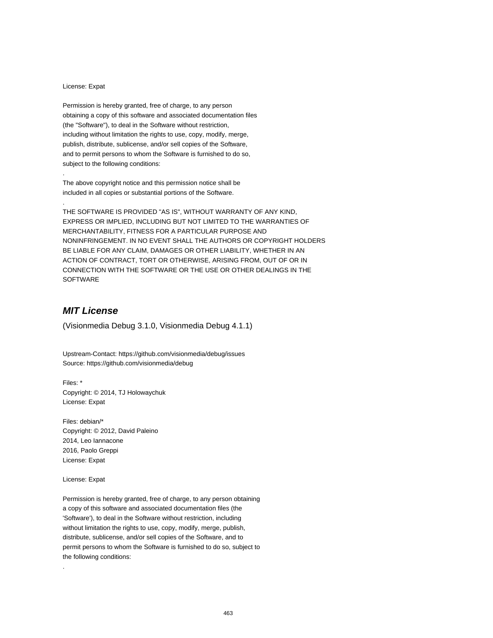#### License: Expat

.

.

Permission is hereby granted, free of charge, to any person obtaining a copy of this software and associated documentation files (the "Software"), to deal in the Software without restriction, including without limitation the rights to use, copy, modify, merge, publish, distribute, sublicense, and/or sell copies of the Software, and to permit persons to whom the Software is furnished to do so, subject to the following conditions:

The above copyright notice and this permission notice shall be included in all copies or substantial portions of the Software.

THE SOFTWARE IS PROVIDED "AS IS", WITHOUT WARRANTY OF ANY KIND, EXPRESS OR IMPLIED, INCLUDING BUT NOT LIMITED TO THE WARRANTIES OF MERCHANTABILITY, FITNESS FOR A PARTICULAR PURPOSE AND NONINFRINGEMENT. IN NO EVENT SHALL THE AUTHORS OR COPYRIGHT HOLDERS BE LIABLE FOR ANY CLAIM, DAMAGES OR OTHER LIABILITY, WHETHER IN AN ACTION OF CONTRACT, TORT OR OTHERWISE, ARISING FROM, OUT OF OR IN CONNECTION WITH THE SOFTWARE OR THE USE OR OTHER DEALINGS IN THE SOFTWARE

# **MIT License**

(Visionmedia Debug 3.1.0, Visionmedia Debug 4.1.1)

Upstream-Contact: https://github.com/visionmedia/debug/issues Source: https://github.com/visionmedia/debug

Files: \* Copyright: © 2014, TJ Holowaychuk License: Expat

Files: debian/\* Copyright: © 2012, David Paleino 2014, Leo Iannacone 2016, Paolo Greppi License: Expat

License: Expat

.

Permission is hereby granted, free of charge, to any person obtaining a copy of this software and associated documentation files (the 'Software'), to deal in the Software without restriction, including without limitation the rights to use, copy, modify, merge, publish, distribute, sublicense, and/or sell copies of the Software, and to permit persons to whom the Software is furnished to do so, subject to the following conditions: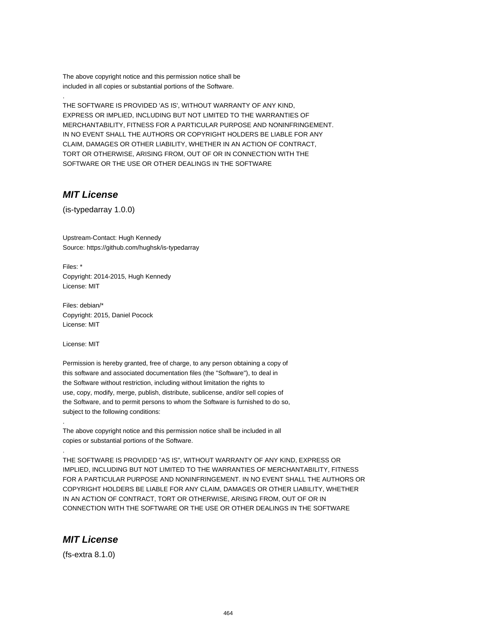The above copyright notice and this permission notice shall be included in all copies or substantial portions of the Software.

THE SOFTWARE IS PROVIDED 'AS IS', WITHOUT WARRANTY OF ANY KIND, EXPRESS OR IMPLIED, INCLUDING BUT NOT LIMITED TO THE WARRANTIES OF MERCHANTABILITY, FITNESS FOR A PARTICULAR PURPOSE AND NONINFRINGEMENT. IN NO EVENT SHALL THE AUTHORS OR COPYRIGHT HOLDERS BE LIABLE FOR ANY CLAIM, DAMAGES OR OTHER LIABILITY, WHETHER IN AN ACTION OF CONTRACT, TORT OR OTHERWISE, ARISING FROM, OUT OF OR IN CONNECTION WITH THE SOFTWARE OR THE USE OR OTHER DEALINGS IN THE SOFTWARE

### **MIT License**

.

(is-typedarray 1.0.0)

Upstream-Contact: Hugh Kennedy Source: https://github.com/hughsk/is-typedarray

Files: \* Copyright: 2014-2015, Hugh Kennedy License: MIT

Files: debian/\* Copyright: 2015, Daniel Pocock License: MIT

License: MIT

.

.

Permission is hereby granted, free of charge, to any person obtaining a copy of this software and associated documentation files (the "Software"), to deal in the Software without restriction, including without limitation the rights to use, copy, modify, merge, publish, distribute, sublicense, and/or sell copies of the Software, and to permit persons to whom the Software is furnished to do so, subject to the following conditions:

The above copyright notice and this permission notice shall be included in all copies or substantial portions of the Software.

THE SOFTWARE IS PROVIDED "AS IS", WITHOUT WARRANTY OF ANY KIND, EXPRESS OR IMPLIED, INCLUDING BUT NOT LIMITED TO THE WARRANTIES OF MERCHANTABILITY, FITNESS FOR A PARTICULAR PURPOSE AND NONINFRINGEMENT. IN NO EVENT SHALL THE AUTHORS OR COPYRIGHT HOLDERS BE LIABLE FOR ANY CLAIM, DAMAGES OR OTHER LIABILITY, WHETHER IN AN ACTION OF CONTRACT, TORT OR OTHERWISE, ARISING FROM, OUT OF OR IN CONNECTION WITH THE SOFTWARE OR THE USE OR OTHER DEALINGS IN THE SOFTWARE

### **MIT License**

(fs-extra 8.1.0)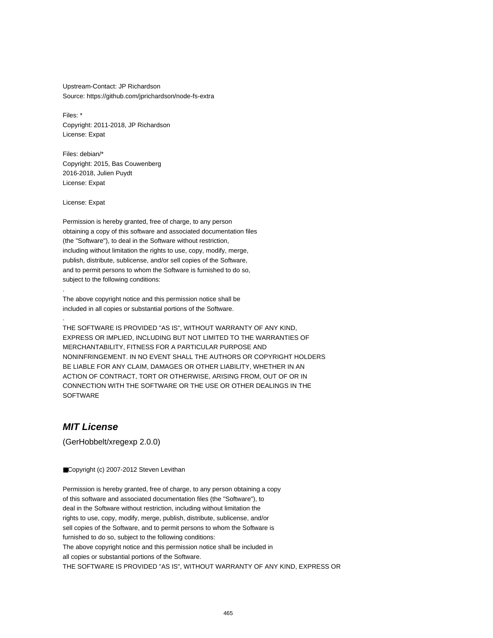Upstream-Contact: JP Richardson Source: https://github.com/jprichardson/node-fs-extra

Files: \* Copyright: 2011-2018, JP Richardson License: Expat

Files: debian/\* Copyright: 2015, Bas Couwenberg 2016-2018, Julien Puydt License: Expat

License: Expat

.

.

Permission is hereby granted, free of charge, to any person obtaining a copy of this software and associated documentation files (the "Software"), to deal in the Software without restriction, including without limitation the rights to use, copy, modify, merge, publish, distribute, sublicense, and/or sell copies of the Software, and to permit persons to whom the Software is furnished to do so, subject to the following conditions:

The above copyright notice and this permission notice shall be included in all copies or substantial portions of the Software.

THE SOFTWARE IS PROVIDED "AS IS", WITHOUT WARRANTY OF ANY KIND, EXPRESS OR IMPLIED, INCLUDING BUT NOT LIMITED TO THE WARRANTIES OF MERCHANTABILITY, FITNESS FOR A PARTICULAR PURPOSE AND NONINFRINGEMENT. IN NO EVENT SHALL THE AUTHORS OR COPYRIGHT HOLDERS BE LIABLE FOR ANY CLAIM, DAMAGES OR OTHER LIABILITY, WHETHER IN AN ACTION OF CONTRACT, TORT OR OTHERWISE, ARISING FROM, OUT OF OR IN CONNECTION WITH THE SOFTWARE OR THE USE OR OTHER DEALINGS IN THE SOFTWARE

### **MIT License**

(GerHobbelt/xregexp 2.0.0)

■Copyright (c) 2007-2012 Steven Levithan

Permission is hereby granted, free of charge, to any person obtaining a copy of this software and associated documentation files (the "Software"), to deal in the Software without restriction, including without limitation the rights to use, copy, modify, merge, publish, distribute, sublicense, and/or sell copies of the Software, and to permit persons to whom the Software is furnished to do so, subject to the following conditions: The above copyright notice and this permission notice shall be included in all copies or substantial portions of the Software. THE SOFTWARE IS PROVIDED "AS IS", WITHOUT WARRANTY OF ANY KIND, EXPRESS OR